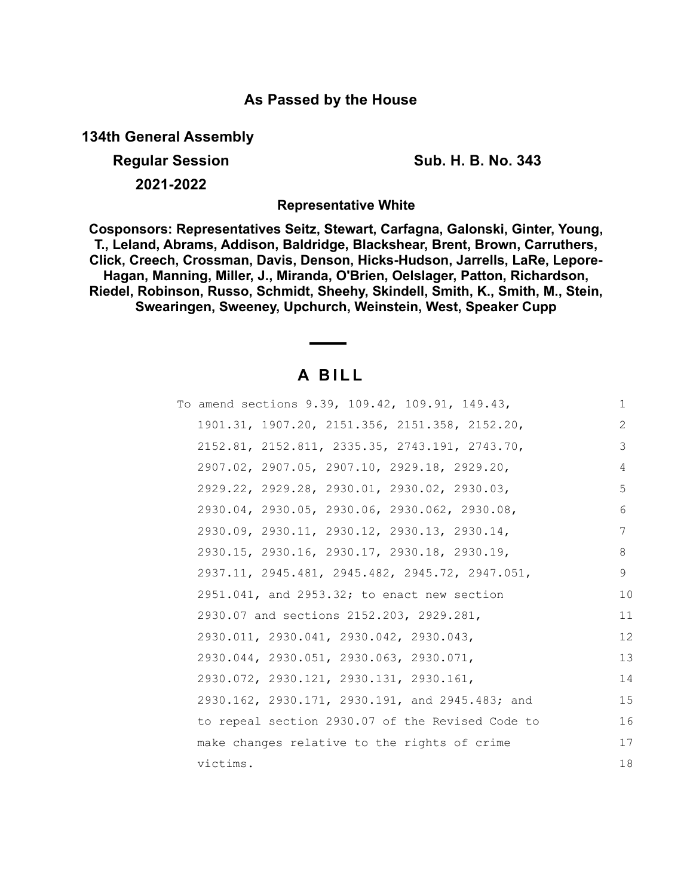# **As Passed by the House**

**134th General Assembly**

**Regular Session Sub. H. B. No. 343**

**2021-2022**

**Representative White**

**Cosponsors: Representatives Seitz, Stewart, Carfagna, Galonski, Ginter, Young, T., Leland, Abrams, Addison, Baldridge, Blackshear, Brent, Brown, Carruthers, Click, Creech, Crossman, Davis, Denson, Hicks-Hudson, Jarrells, LaRe, Lepore-Hagan, Manning, Miller, J., Miranda, O'Brien, Oelslager, Patton, Richardson, Riedel, Robinson, Russo, Schmidt, Sheehy, Skindell, Smith, K., Smith, M., Stein, Swearingen, Sweeney, Upchurch, Weinstein, West, Speaker Cupp**

# **A B I L L**

| To amend sections 9.39, 109.42, 109.91, 149.43,  | 1  |
|--------------------------------------------------|----|
| 1901.31, 1907.20, 2151.356, 2151.358, 2152.20,   | 2  |
| 2152.81, 2152.811, 2335.35, 2743.191, 2743.70,   | 3  |
| 2907.02, 2907.05, 2907.10, 2929.18, 2929.20,     | 4  |
| 2929.22, 2929.28, 2930.01, 2930.02, 2930.03,     | 5  |
| 2930.04, 2930.05, 2930.06, 2930.062, 2930.08,    | 6  |
| 2930.09, 2930.11, 2930.12, 2930.13, 2930.14,     | 7  |
| 2930.15, 2930.16, 2930.17, 2930.18, 2930.19,     | 8  |
| 2937.11, 2945.481, 2945.482, 2945.72, 2947.051,  | 9  |
| 2951.041, and 2953.32; to enact new section      | 10 |
| 2930.07 and sections 2152.203, 2929.281,         | 11 |
| 2930.011, 2930.041, 2930.042, 2930.043,          | 12 |
| 2930.044, 2930.051, 2930.063, 2930.071,          | 13 |
| 2930.072, 2930.121, 2930.131, 2930.161,          | 14 |
| 2930.162, 2930.171, 2930.191, and 2945.483; and  | 15 |
| to repeal section 2930.07 of the Revised Code to | 16 |
| make changes relative to the rights of crime     | 17 |
| victims.                                         | 18 |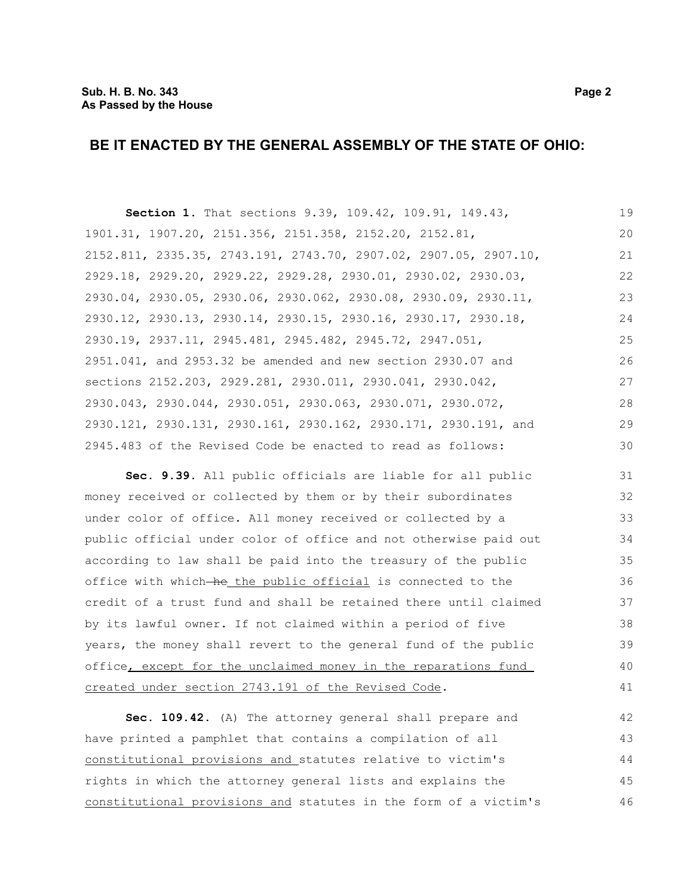| Section 1. That sections 9.39, 109.42, 109.91, 149.43,           | 19 |
|------------------------------------------------------------------|----|
| 1901.31, 1907.20, 2151.356, 2151.358, 2152.20, 2152.81,          | 20 |
| 2152.811, 2335.35, 2743.191, 2743.70, 2907.02, 2907.05, 2907.10, | 21 |
| 2929.18, 2929.20, 2929.22, 2929.28, 2930.01, 2930.02, 2930.03,   | 22 |
| 2930.04, 2930.05, 2930.06, 2930.062, 2930.08, 2930.09, 2930.11,  | 23 |
| 2930.12, 2930.13, 2930.14, 2930.15, 2930.16, 2930.17, 2930.18,   | 24 |
| 2930.19, 2937.11, 2945.481, 2945.482, 2945.72, 2947.051,         | 25 |
| 2951.041, and 2953.32 be amended and new section 2930.07 and     | 26 |
| sections 2152.203, 2929.281, 2930.011, 2930.041, 2930.042,       | 27 |
| 2930.043, 2930.044, 2930.051, 2930.063, 2930.071, 2930.072,      | 28 |
| 2930.121, 2930.131, 2930.161, 2930.162, 2930.171, 2930.191, and  | 29 |
| 2945.483 of the Revised Code be enacted to read as follows:      | 30 |

**Sec. 9.39.** All public officials are liable for all public money received or collected by them or by their subordinates under color of office. All money received or collected by a public official under color of office and not otherwise paid out according to law shall be paid into the treasury of the public office with which-he the public official is connected to the credit of a trust fund and shall be retained there until claimed by its lawful owner. If not claimed within a period of five years, the money shall revert to the general fund of the public office, except for the unclaimed money in the reparations fund created under section 2743.191 of the Revised Code. 31 32 33 34 35 36 37 38 39 40 41

**Sec. 109.42.** (A) The attorney general shall prepare and have printed a pamphlet that contains a compilation of all constitutional provisions and statutes relative to victim's rights in which the attorney general lists and explains the constitutional provisions and statutes in the form of a victim's 42 43 44 45 46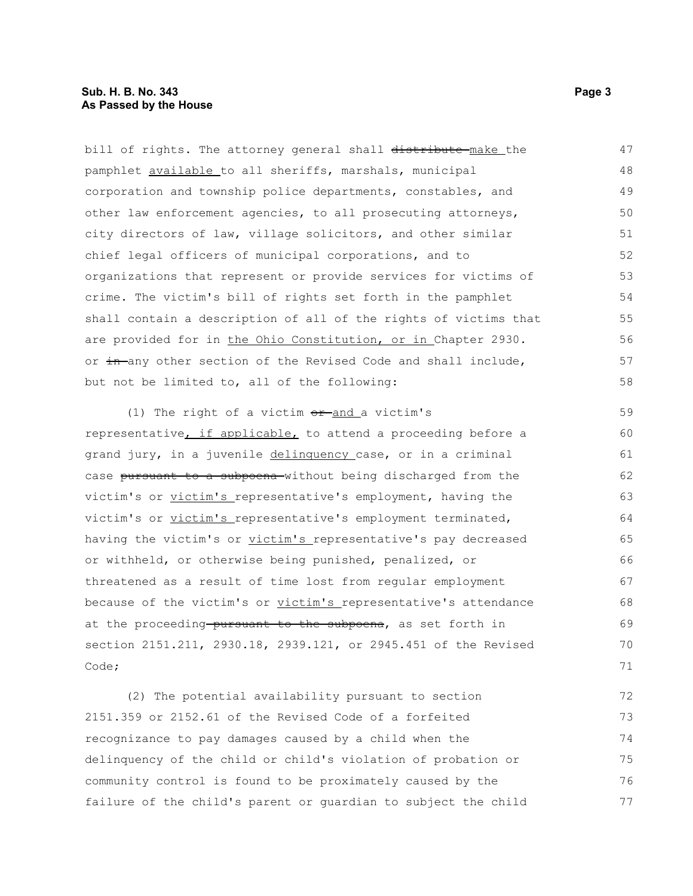bill of rights. The attorney general shall distribute make the pamphlet available to all sheriffs, marshals, municipal corporation and township police departments, constables, and other law enforcement agencies, to all prosecuting attorneys, city directors of law, village solicitors, and other similar chief legal officers of municipal corporations, and to organizations that represent or provide services for victims of crime. The victim's bill of rights set forth in the pamphlet shall contain a description of all of the rights of victims that are provided for in the Ohio Constitution, or in Chapter 2930. or in any other section of the Revised Code and shall include, but not be limited to, all of the following: 47 48 49 50 51 52 53 54 55 56 57 58

(1) The right of a victim  $\theta$ r-and a victim's representative, if applicable, to attend a proceeding before a grand jury, in a juvenile delinquency case, or in a criminal case pursuant to a subpoena-without being discharged from the victim's or victim's representative's employment, having the victim's or victim's representative's employment terminated, having the victim's or victim's representative's pay decreased or withheld, or otherwise being punished, penalized, or threatened as a result of time lost from regular employment because of the victim's or victim's representative's attendance at the proceeding pursuant to the subpoena, as set forth in section 2151.211, 2930.18, 2939.121, or 2945.451 of the Revised Code; 59 60 61 62 63 64 65 66 67 68 69 70 71

(2) The potential availability pursuant to section 2151.359 or 2152.61 of the Revised Code of a forfeited recognizance to pay damages caused by a child when the delinquency of the child or child's violation of probation or community control is found to be proximately caused by the failure of the child's parent or guardian to subject the child 72 73 74 75 76 77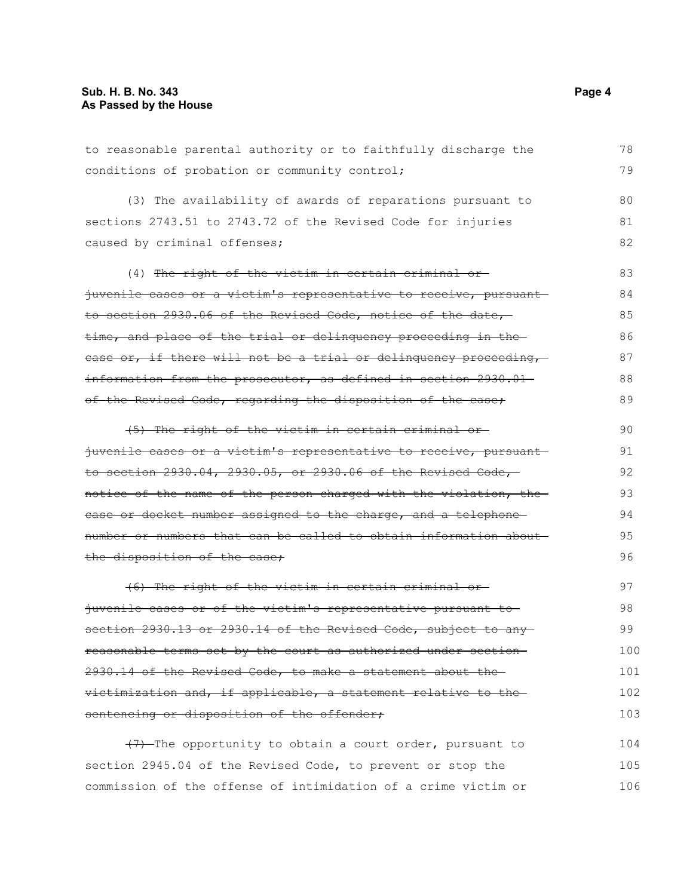to reasonable parental authority or to faithfully discharge the conditions of probation or community control; (3) The availability of awards of reparations pursuant to sections 2743.51 to 2743.72 of the Revised Code for injuries caused by criminal offenses; (4) The right of the victim in certain criminal orjuvenile cases or a victim's representative to receive, pursuant to section 2930.06 of the Revised Code, notice of the date, time, and place of the trial or delinquency proceeding in the ease or, if there will not be a trial or delinquency proceeding, information from the prosecutor, as defined in section 2930.01 of the Revised Code, regarding the disposition of the case; (5) The right of the victim in certain criminal or juvenile cases or a victim's representative to receive, pursuant to section 2930.04, 2930.05, or 2930.06 of the Revised Code, notice of the name of the person charged with the violation, the case or docket number assigned to the charge, and a telephone number or numbers that can be called to obtain information about the disposition of the case; (6) The right of the victim in certain criminal or juvenile cases or of the victim's representative pursuant to section 2930.13 or 2930.14 of the Revised Code, subject to any reasonable terms set by the court as authorized under section 2930.14 of the Revised Code, to make a statement about the victimization and, if applicable, a statement relative to the sentencing or disposition of the offender; 78 79 80 81 82 83 84 85 86 87 88 89 90 91 92 93 94 95 96 97 98 99 100 101 102 103

(7) The opportunity to obtain a court order, pursuant to section 2945.04 of the Revised Code, to prevent or stop the commission of the offense of intimidation of a crime victim or 104 105 106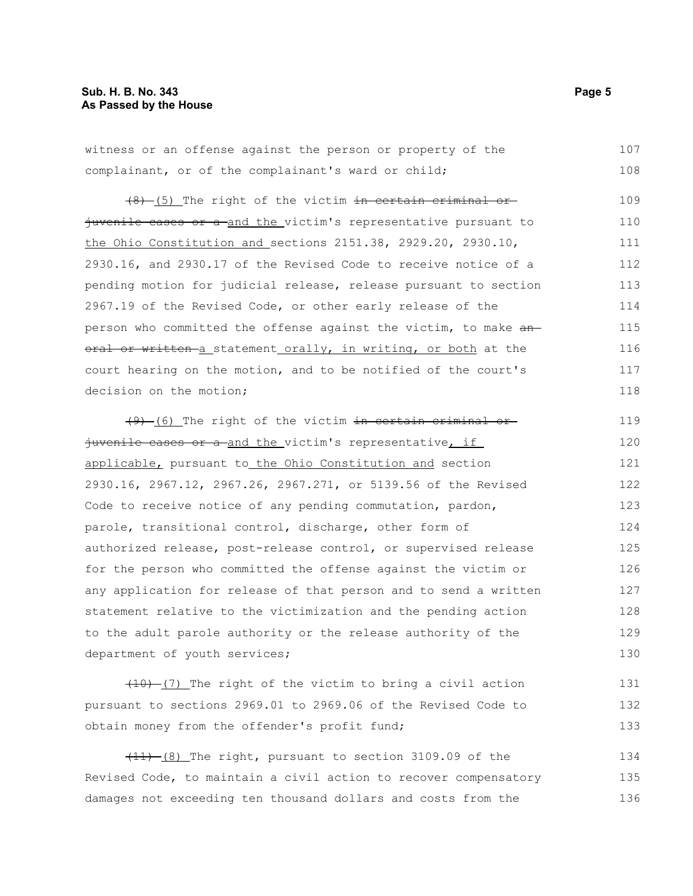#### **Sub. H. B. No. 343** Page 5 **As Passed by the House**

witness or an offense against the person or property of the complainant, or of the complainant's ward or child; 107 108

(8) (5) The right of the victim in certain criminal or juvenile cases or a and the victim's representative pursuant to the Ohio Constitution and sections 2151.38, 2929.20, 2930.10, 2930.16, and 2930.17 of the Revised Code to receive notice of a pending motion for judicial release, release pursuant to section 2967.19 of the Revised Code, or other early release of the person who committed the offense against the victim, to make anoral or written a statement orally, in writing, or both at the court hearing on the motion, and to be notified of the court's decision on the motion; 109 110 111 112 113 114 115 116 117 118

(9) (6) The right of the victim in certain criminal or juvenile cases or a and the victim's representative, if applicable, pursuant to the Ohio Constitution and section 2930.16, 2967.12, 2967.26, 2967.271, or 5139.56 of the Revised Code to receive notice of any pending commutation, pardon, parole, transitional control, discharge, other form of authorized release, post-release control, or supervised release for the person who committed the offense against the victim or any application for release of that person and to send a written statement relative to the victimization and the pending action to the adult parole authority or the release authority of the department of youth services; 119 120 121 122 123 124 125 126 127 128 129 130

 $(10)$  (7) The right of the victim to bring a civil action pursuant to sections 2969.01 to 2969.06 of the Revised Code to obtain money from the offender's profit fund; 131 132 133

 $(11)$   $(8)$  The right, pursuant to section 3109.09 of the Revised Code, to maintain a civil action to recover compensatory damages not exceeding ten thousand dollars and costs from the 134 135 136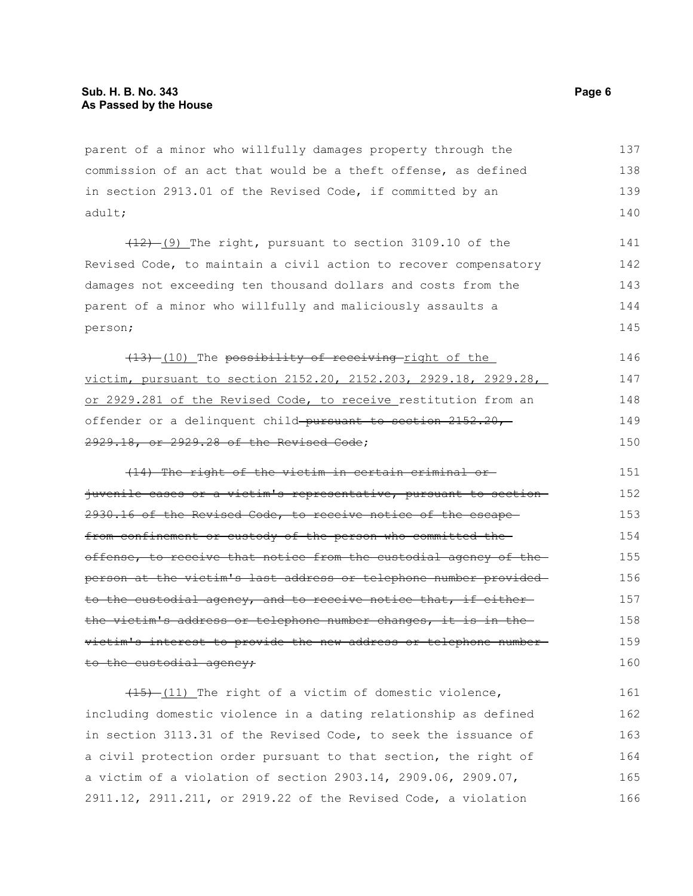parent of a minor who willfully damages property through the commission of an act that would be a theft offense, as defined in section 2913.01 of the Revised Code, if committed by an adult; 137 138 139 140

 $(12)$  (9) The right, pursuant to section 3109.10 of the Revised Code, to maintain a civil action to recover compensatory damages not exceeding ten thousand dollars and costs from the parent of a minor who willfully and maliciously assaults a person; 141 142 143 144 145

(13) (10) The possibility of receiving right of the victim, pursuant to section 2152.20, 2152.203, 2929.18, 2929.28, or 2929.281 of the Revised Code, to receive restitution from an offender or a delinquent child pursuant to section  $2152.20$ , 2929.18, or 2929.28 of the Revised Code; 146 147 148 149 150

(14) The right of the victim in certain criminal or juvenile cases or a victim's representative, pursuant to section 2930.16 of the Revised Code, to receive notice of the escape from confinement or custody of the person who committed the offense, to receive that notice from the custodial agency of the person at the victim's last address or telephone number provided to the custodial agency, and to receive notice that, if either the victim's address or telephone number changes, it is in the victim's interest to provide the new address or telephone number to the custodial agency; 151 152 153 154 155 156 157 158 159 160

 $(15)$  (11) The right of a victim of domestic violence, including domestic violence in a dating relationship as defined in section 3113.31 of the Revised Code, to seek the issuance of a civil protection order pursuant to that section, the right of a victim of a violation of section 2903.14, 2909.06, 2909.07, 2911.12, 2911.211, or 2919.22 of the Revised Code, a violation 161 162 163 164 165 166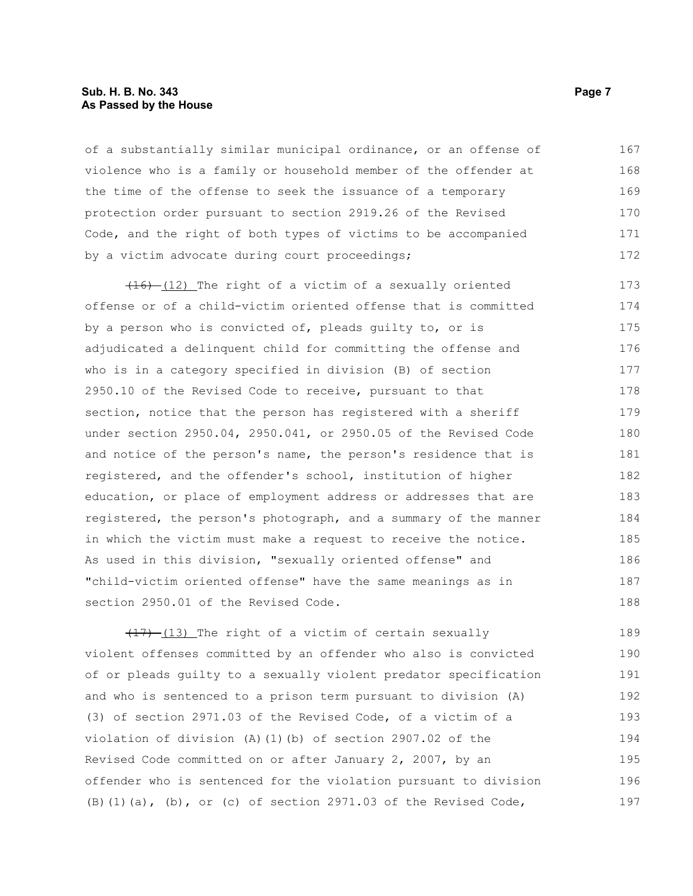#### **Sub. H. B. No. 343** Page 7 **As Passed by the House**

of a substantially similar municipal ordinance, or an offense of violence who is a family or household member of the offender at the time of the offense to seek the issuance of a temporary protection order pursuant to section 2919.26 of the Revised Code, and the right of both types of victims to be accompanied by a victim advocate during court proceedings; 167 168 169 170 171 172

 $(16)$  (12) The right of a victim of a sexually oriented offense or of a child-victim oriented offense that is committed by a person who is convicted of, pleads guilty to, or is adjudicated a delinquent child for committing the offense and who is in a category specified in division (B) of section 2950.10 of the Revised Code to receive, pursuant to that section, notice that the person has registered with a sheriff under section 2950.04, 2950.041, or 2950.05 of the Revised Code and notice of the person's name, the person's residence that is registered, and the offender's school, institution of higher education, or place of employment address or addresses that are registered, the person's photograph, and a summary of the manner in which the victim must make a request to receive the notice. As used in this division, "sexually oriented offense" and "child-victim oriented offense" have the same meanings as in section 2950.01 of the Revised Code. 173 174 175 176 177 178 179 180 181 182 183 184 185 186 187 188

 $(17)$   $(13)$  The right of a victim of certain sexually violent offenses committed by an offender who also is convicted of or pleads guilty to a sexually violent predator specification and who is sentenced to a prison term pursuant to division (A) (3) of section 2971.03 of the Revised Code, of a victim of a violation of division (A)(1)(b) of section 2907.02 of the Revised Code committed on or after January 2, 2007, by an offender who is sentenced for the violation pursuant to division  $(B)$ (1)(a),  $(b)$ , or (c) of section 2971.03 of the Revised Code, 189 190 191 192 193 194 195 196 197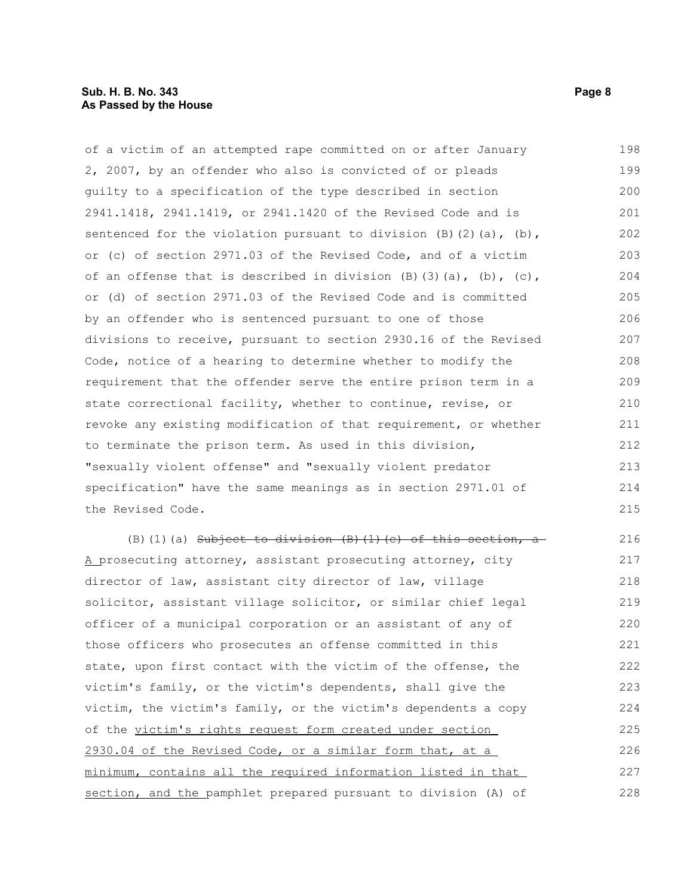of a victim of an attempted rape committed on or after January 2, 2007, by an offender who also is convicted of or pleads guilty to a specification of the type described in section 2941.1418, 2941.1419, or 2941.1420 of the Revised Code and is sentenced for the violation pursuant to division  $(B)$   $(2)$   $(a)$ ,  $(b)$ , or (c) of section 2971.03 of the Revised Code, and of a victim of an offense that is described in division  $(B)(3)(a)$ ,  $(b)$ ,  $(c)$ , or (d) of section 2971.03 of the Revised Code and is committed by an offender who is sentenced pursuant to one of those divisions to receive, pursuant to section 2930.16 of the Revised Code, notice of a hearing to determine whether to modify the requirement that the offender serve the entire prison term in a state correctional facility, whether to continue, revise, or revoke any existing modification of that requirement, or whether to terminate the prison term. As used in this division, "sexually violent offense" and "sexually violent predator specification" have the same meanings as in section 2971.01 of the Revised Code. 198 199 200 201 202 203 204 205 206 207 208 209 210 211 212 213 214 215

(B)(1)(a) Subject to division  $(B)$  (1)(c) of this section, a A prosecuting attorney, assistant prosecuting attorney, city director of law, assistant city director of law, village solicitor, assistant village solicitor, or similar chief legal officer of a municipal corporation or an assistant of any of those officers who prosecutes an offense committed in this state, upon first contact with the victim of the offense, the victim's family, or the victim's dependents, shall give the victim, the victim's family, or the victim's dependents a copy of the victim's rights request form created under section 2930.04 of the Revised Code, or a similar form that, at a minimum, contains all the required information listed in that section, and the pamphlet prepared pursuant to division (A) of 216 217 218 219 220 221 222 223 224 225 226 227 228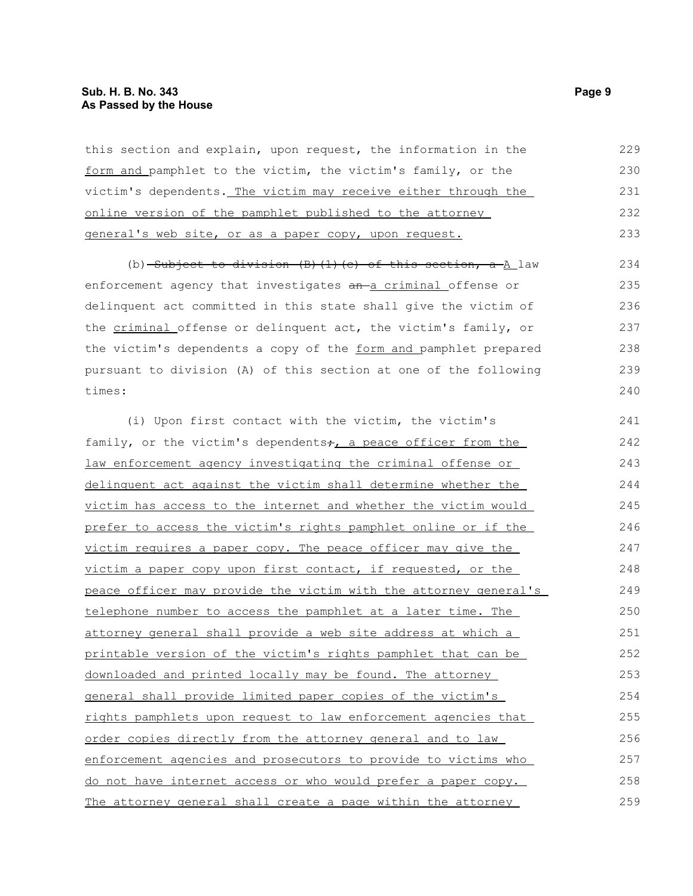this section and explain, upon request, the information in the form and pamphlet to the victim, the victim's family, or the victim's dependents. The victim may receive either through the online version of the pamphlet published to the attorney general's web site, or as a paper copy, upon request. 229 230 231 232 233

(b) Subject to division (B)(1)(c) of this section,  $a - A$  law enforcement agency that investigates an a criminal offense or delinquent act committed in this state shall give the victim of the criminal offense or delinquent act, the victim's family, or the victim's dependents a copy of the form and pamphlet prepared pursuant to division (A) of this section at one of the following times:

(i) Upon first contact with the victim, the victim's family, or the victim's dependents $\tau$ , a peace officer from the law enforcement agency investigating the criminal offense or delinquent act against the victim shall determine whether the victim has access to the internet and whether the victim would prefer to access the victim's rights pamphlet online or if the victim requires a paper copy. The peace officer may give the victim a paper copy upon first contact, if requested, or the peace officer may provide the victim with the attorney general's telephone number to access the pamphlet at a later time. The attorney general shall provide a web site address at which a printable version of the victim's rights pamphlet that can be downloaded and printed locally may be found. The attorney general shall provide limited paper copies of the victim's rights pamphlets upon request to law enforcement agencies that order copies directly from the attorney general and to law enforcement agencies and prosecutors to provide to victims who do not have internet access or who would prefer a paper copy. The attorney general shall create a page within the attorney 241 242 243 244 245 246 247 248 249 250 251 252 253 254 255 256 257 258 259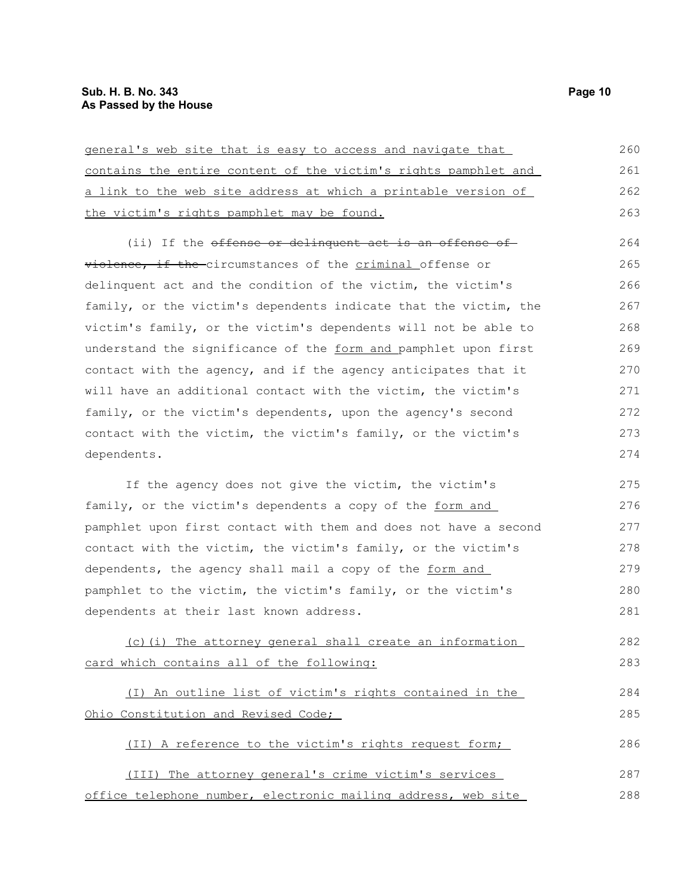| general's web site that is easy to access and navigate that      | 260 |
|------------------------------------------------------------------|-----|
| contains the entire content of the victim's rights pamphlet and  | 261 |
| a link to the web site address at which a printable version of   | 262 |
| the victim's rights pamphlet may be found.                       | 263 |
| (ii) If the offense or delinquent act is an offense of           | 264 |
| violence, if the circumstances of the criminal offense or        | 265 |
| delinquent act and the condition of the victim, the victim's     | 266 |
| family, or the victim's dependents indicate that the victim, the | 267 |
| victim's family, or the victim's dependents will not be able to  | 268 |
| understand the significance of the form and pamphlet upon first  | 269 |
| contact with the agency, and if the agency anticipates that it   | 270 |
| will have an additional contact with the victim, the victim's    | 271 |
| family, or the victim's dependents, upon the agency's second     | 272 |
| contact with the victim, the victim's family, or the victim's    | 273 |
| dependents.                                                      | 274 |
| If the agency does not give the victim, the victim's             | 275 |
| family, or the victim's dependents a copy of the form and        | 276 |
| pamphlet upon first contact with them and does not have a second | 277 |
| contact with the victim, the victim's family, or the victim's    | 278 |
| dependents, the agency shall mail a copy of the form and         | 279 |
| pamphlet to the victim, the victim's family, or the victim's     | 280 |
| dependents at their last known address.                          | 281 |
| (c) (i) The attorney general shall create an information         | 282 |
| card which contains all of the following:                        | 283 |
| (I) An outline list of victim's rights contained in the          | 284 |
| Ohio Constitution and Revised Code;                              | 285 |
| (II) A reference to the victim's rights request form;            | 286 |
| (III) The attorney general's crime victim's services             | 287 |
| office telephone number, electronic mailing address, web site    | 288 |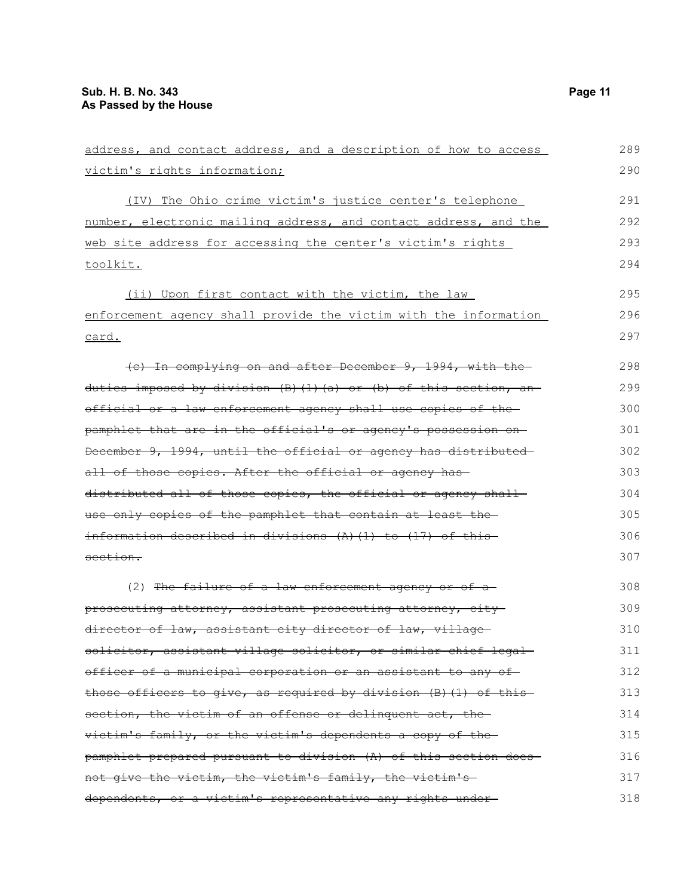| address, and contact address, and a description of how to access               | 289 |
|--------------------------------------------------------------------------------|-----|
| victim's rights information;                                                   | 290 |
| (IV) The Ohio crime victim's justice center's telephone                        | 291 |
| number, electronic mailing address, and contact address, and the               | 292 |
| web site address for accessing the center's victim's rights                    | 293 |
| toolkit.                                                                       | 294 |
| (ii) Upon first contact with the victim, the law                               | 295 |
| enforcement agency shall provide the victim with the information               | 296 |
| card.                                                                          | 297 |
| (c) In complying on and after December 9, 1994, with the                       | 298 |
| duties imposed by division $(B)$ $(1)$ $(a)$ or $(b)$ of this section, an      | 299 |
| official or a law enforcement agency shall use copies of the                   | 300 |
| pamphlet that are in the official's or agency's possession on                  | 301 |
| December 9, 1994, until the official or agency has distributed                 | 302 |
| all of those copies. After the official or agency has-                         | 303 |
| distributed all of those copies, the official or agency shall                  | 304 |
| use only copies of the pamphlet that contain at least the-                     | 305 |
| $\frac{1}{1}$ information described in divisions $(A)$ $(1)$ to $(17)$ of this | 306 |
| section.                                                                       | 307 |
| (2) The failure of a law enforcement agency or of $a$                          | 308 |
| prosecuting attorney, assistant prosecuting attorney, city-                    | 309 |
| director of law, assistant city director of law, village-                      | 310 |
| solicitor, assistant village solicitor, or similar chief legal-                | 311 |
| officer of a municipal corporation or an assistant to any of                   | 312 |
| those officers to give, as required by division (B) (1) of this                | 313 |
| section, the victim of an offense or delinquent act, the                       | 314 |
| victim's family, or the victim's dependents a copy of the                      | 315 |
| pamphlet prepared pursuant to division (A) of this section does-               | 316 |
| not give the victim, the victim's family, the victim's                         | 317 |
| dependents, or a victim's representative any rights under-                     | 318 |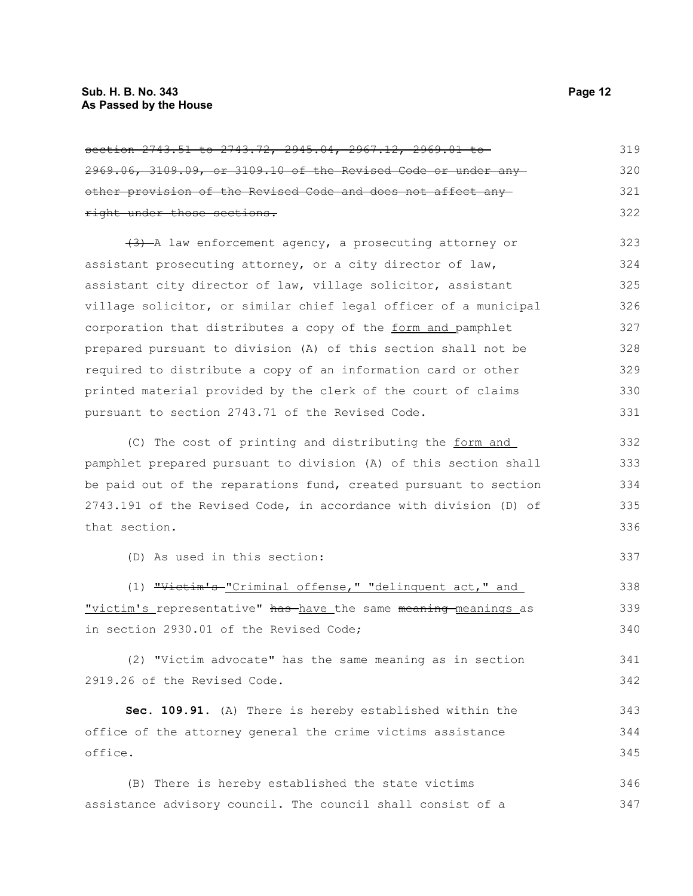| section 2743.51 to 2743.72, 2945.04, 2967.12, 2969.01 to               | 319 |
|------------------------------------------------------------------------|-----|
| 2969.06, 3109.09, or 3109.10 of the Revised Code or under any          | 320 |
| other provision of the Revised Code and does not affect any            | 321 |
| right under those sections.                                            | 322 |
| $(3)$ -A law enforcement agency, a prosecuting attorney or             | 323 |
| assistant prosecuting attorney, or a city director of law,             | 324 |
| assistant city director of law, village solicitor, assistant           | 325 |
| village solicitor, or similar chief legal officer of a municipal       | 326 |
| corporation that distributes a copy of the form and pamphlet           | 327 |
| prepared pursuant to division (A) of this section shall not be         | 328 |
| required to distribute a copy of an information card or other          | 329 |
| printed material provided by the clerk of the court of claims          | 330 |
| pursuant to section 2743.71 of the Revised Code.                       | 331 |
| (C) The cost of printing and distributing the form and                 | 332 |
| pamphlet prepared pursuant to division (A) of this section shall       | 333 |
| be paid out of the reparations fund, created pursuant to section       | 334 |
| 2743.191 of the Revised Code, in accordance with division (D) of       | 335 |
| that section.                                                          | 336 |
| (D) As used in this section:                                           | 337 |
| (1) "Victim's-"Criminal offense," "delinquent act," and                | 338 |
| <u>"victim's</u> representative" has have the same meaning meanings as | 339 |
| in section 2930.01 of the Revised Code;                                | 340 |
| (2) "Victim advocate" has the same meaning as in section               | 341 |
| 2919.26 of the Revised Code.                                           | 342 |
| Sec. 109.91. (A) There is hereby established within the                | 343 |
| office of the attorney general the crime victims assistance            | 344 |
| office.                                                                | 345 |
| (B) There is hereby established the state victims                      | 346 |
| assistance advisory council. The council shall consist of a            | 347 |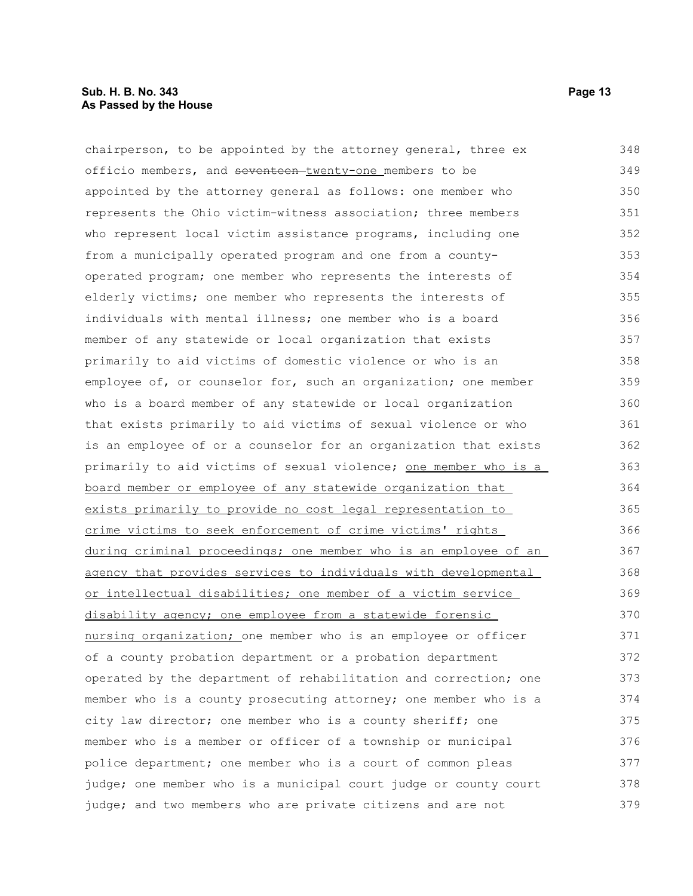#### **Sub. H. B. No. 343 Page 13 As Passed by the House**

chairperson, to be appointed by the attorney general, three ex officio members, and seventeen-twenty-one members to be appointed by the attorney general as follows: one member who represents the Ohio victim-witness association; three members who represent local victim assistance programs, including one from a municipally operated program and one from a countyoperated program; one member who represents the interests of elderly victims; one member who represents the interests of individuals with mental illness; one member who is a board member of any statewide or local organization that exists primarily to aid victims of domestic violence or who is an employee of, or counselor for, such an organization; one member who is a board member of any statewide or local organization that exists primarily to aid victims of sexual violence or who is an employee of or a counselor for an organization that exists primarily to aid victims of sexual violence; one member who is a board member or employee of any statewide organization that exists primarily to provide no cost legal representation to crime victims to seek enforcement of crime victims' rights during criminal proceedings; one member who is an employee of an agency that provides services to individuals with developmental or intellectual disabilities; one member of a victim service disability agency; one employee from a statewide forensic nursing organization; one member who is an employee or officer of a county probation department or a probation department operated by the department of rehabilitation and correction; one member who is a county prosecuting attorney; one member who is a city law director; one member who is a county sheriff; one member who is a member or officer of a township or municipal police department; one member who is a court of common pleas judge; one member who is a municipal court judge or county court judge; and two members who are private citizens and are not 348 349 350 351 352 353 354 355 356 357 358 359 360 361 362 363 364 365 366 367 368 369 370 371 372 373 374 375 376 377 378 379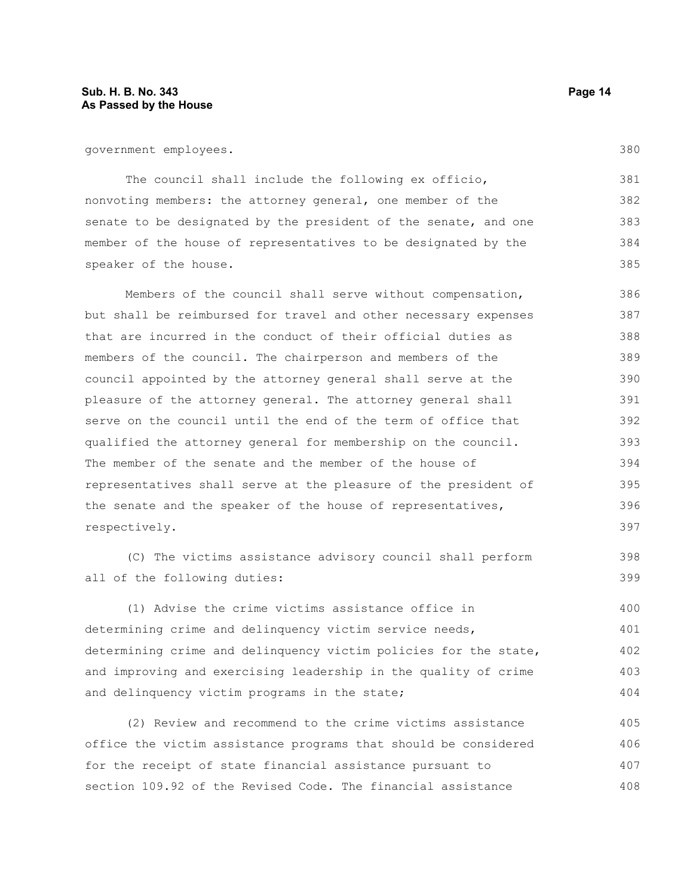#### **Sub. H. B. No. 343 Page 14 As Passed by the House**

government employees.

The council shall include the following ex officio, nonvoting members: the attorney general, one member of the senate to be designated by the president of the senate, and one member of the house of representatives to be designated by the speaker of the house. 381 382 383 384 385

Members of the council shall serve without compensation, but shall be reimbursed for travel and other necessary expenses that are incurred in the conduct of their official duties as members of the council. The chairperson and members of the council appointed by the attorney general shall serve at the pleasure of the attorney general. The attorney general shall serve on the council until the end of the term of office that qualified the attorney general for membership on the council. The member of the senate and the member of the house of representatives shall serve at the pleasure of the president of the senate and the speaker of the house of representatives, respectively. 386 387 388 389 390 391 392 393 394 395 396 397

(C) The victims assistance advisory council shall perform all of the following duties:

(1) Advise the crime victims assistance office in determining crime and delinquency victim service needs, determining crime and delinquency victim policies for the state, and improving and exercising leadership in the quality of crime and delinquency victim programs in the state; 400 401 402 403 404

(2) Review and recommend to the crime victims assistance office the victim assistance programs that should be considered for the receipt of state financial assistance pursuant to section 109.92 of the Revised Code. The financial assistance 405 406 407 408

380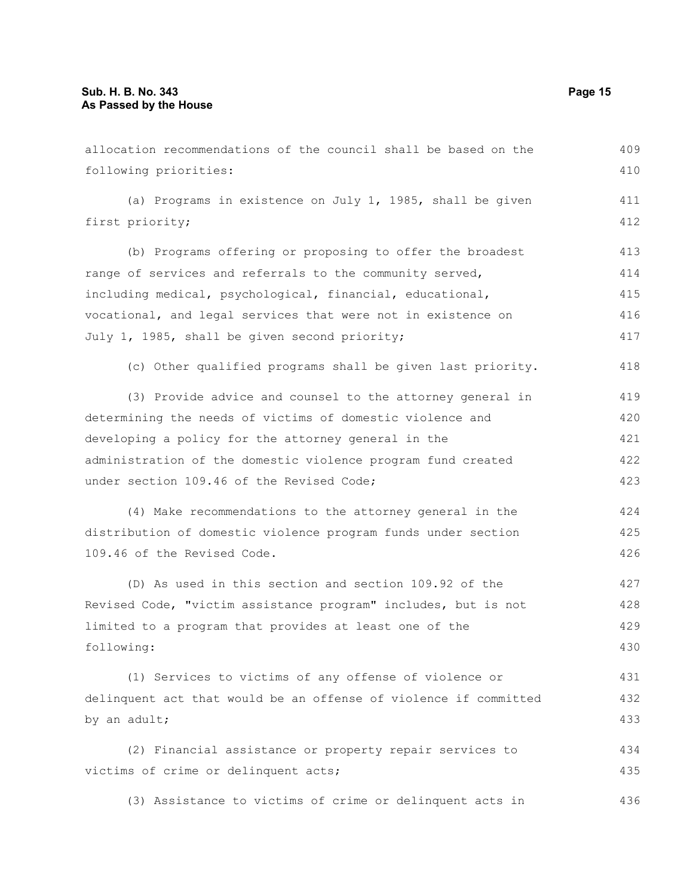allocation recommendations of the council shall be based on the following priorities: (a) Programs in existence on July 1, 1985, shall be given first priority; (b) Programs offering or proposing to offer the broadest range of services and referrals to the community served, including medical, psychological, financial, educational, vocational, and legal services that were not in existence on July 1, 1985, shall be given second priority; (c) Other qualified programs shall be given last priority. (3) Provide advice and counsel to the attorney general in determining the needs of victims of domestic violence and developing a policy for the attorney general in the administration of the domestic violence program fund created under section 109.46 of the Revised Code; (4) Make recommendations to the attorney general in the distribution of domestic violence program funds under section 109.46 of the Revised Code. (D) As used in this section and section 109.92 of the Revised Code, "victim assistance program" includes, but is not limited to a program that provides at least one of the following: (1) Services to victims of any offense of violence or delinquent act that would be an offense of violence if committed by an adult; (2) Financial assistance or property repair services to victims of crime or delinquent acts; 409 410 411 412 413 414 415 416 417 418 419 420 421 422 423 424 425 426 427 428 429 430 431 432 433 434 435

(3) Assistance to victims of crime or delinquent acts in 436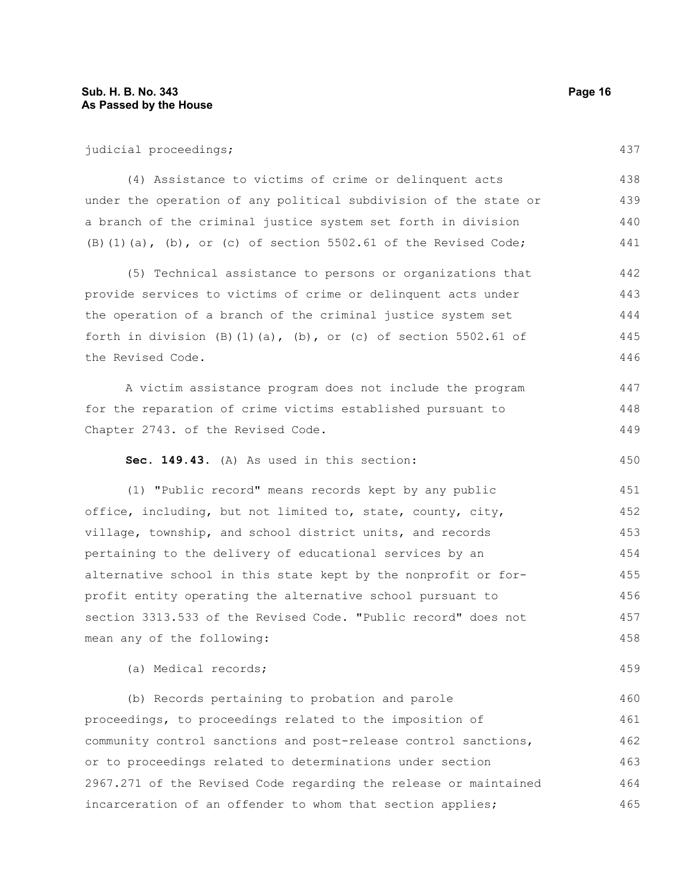judicial proceedings; (4) Assistance to victims of crime or delinquent acts under the operation of any political subdivision of the state or a branch of the criminal justice system set forth in division (B)(1)(a), (b), or (c) of section  $5502.61$  of the Revised Code; (5) Technical assistance to persons or organizations that provide services to victims of crime or delinquent acts under the operation of a branch of the criminal justice system set forth in division  $(B)(1)(a)$ ,  $(b)$ , or  $(c)$  of section 5502.61 of the Revised Code. A victim assistance program does not include the program for the reparation of crime victims established pursuant to Chapter 2743. of the Revised Code. **Sec. 149.43.** (A) As used in this section: (1) "Public record" means records kept by any public office, including, but not limited to, state, county, city, village, township, and school district units, and records pertaining to the delivery of educational services by an alternative school in this state kept by the nonprofit or forprofit entity operating the alternative school pursuant to section 3313.533 of the Revised Code. "Public record" does not mean any of the following: (a) Medical records; (b) Records pertaining to probation and parole proceedings, to proceedings related to the imposition of community control sanctions and post-release control sanctions, 437 438 439 440 441 442 443 444 445 446 447 448 449 450 451 452 453 454 455 456 457 458 459 460 461 462

or to proceedings related to determinations under section 2967.271 of the Revised Code regarding the release or maintained incarceration of an offender to whom that section applies; 463 464 465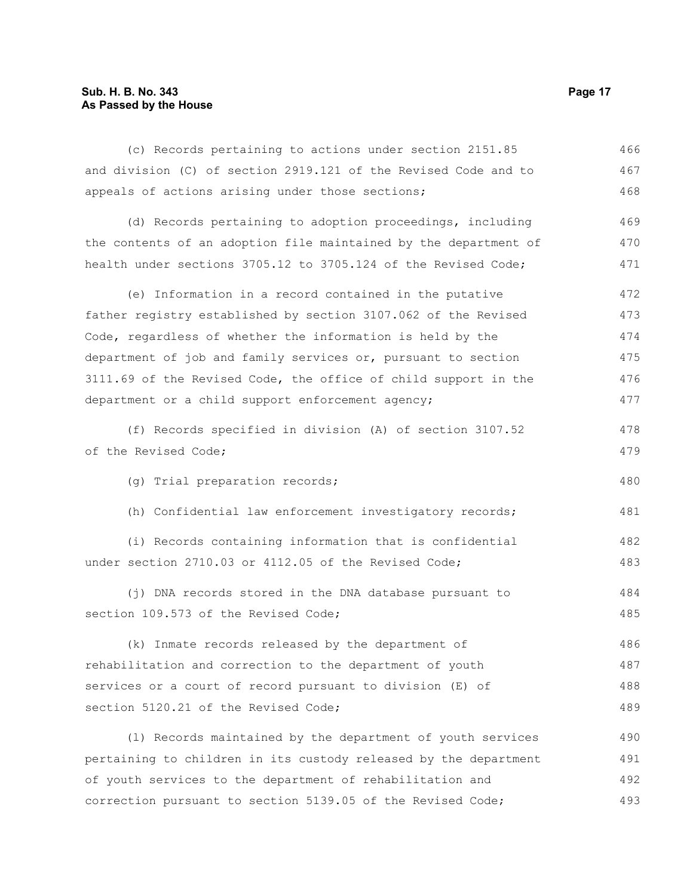## **Sub. H. B. No. 343** Page 17 **As Passed by the House**

| (c) Records pertaining to actions under section 2151.85          | 466 |
|------------------------------------------------------------------|-----|
| and division (C) of section 2919.121 of the Revised Code and to  | 467 |
| appeals of actions arising under those sections;                 | 468 |
| (d) Records pertaining to adoption proceedings, including        | 469 |
| the contents of an adoption file maintained by the department of | 470 |
| health under sections 3705.12 to 3705.124 of the Revised Code;   | 471 |
| (e) Information in a record contained in the putative            | 472 |
| father registry established by section 3107.062 of the Revised   | 473 |
| Code, regardless of whether the information is held by the       | 474 |
| department of job and family services or, pursuant to section    | 475 |
| 3111.69 of the Revised Code, the office of child support in the  | 476 |
| department or a child support enforcement agency;                | 477 |
| (f) Records specified in division (A) of section 3107.52         | 478 |
| of the Revised Code;                                             | 479 |
| (g) Trial preparation records;                                   | 480 |
| (h) Confidential law enforcement investigatory records;          | 481 |
| (i) Records containing information that is confidential          | 482 |
| under section 2710.03 or 4112.05 of the Revised Code;            | 483 |
| (j) DNA records stored in the DNA database pursuant to           | 484 |
| section 109.573 of the Revised Code;                             | 485 |
| (k) Inmate records released by the department of                 | 486 |
| rehabilitation and correction to the department of youth         | 487 |
| services or a court of record pursuant to division (E) of        | 488 |
| section 5120.21 of the Revised Code;                             | 489 |
| (1) Records maintained by the department of youth services       | 490 |
| pertaining to children in its custody released by the department | 491 |
| of youth services to the department of rehabilitation and        | 492 |

correction pursuant to section 5139.05 of the Revised Code; 493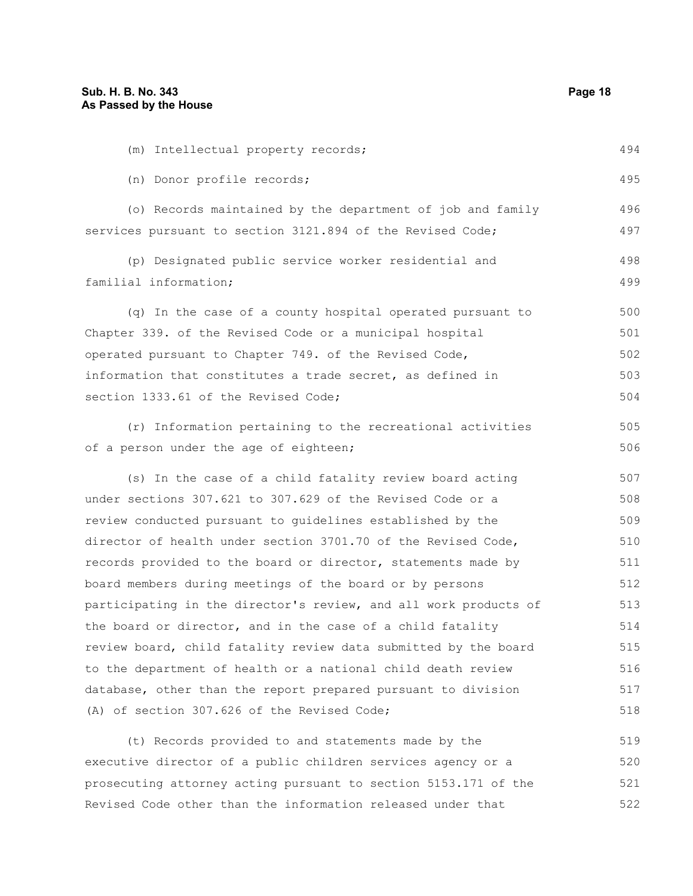(m) Intellectual property records;

| (n) Donor profile records;                                       | 495 |
|------------------------------------------------------------------|-----|
| (o) Records maintained by the department of job and family       | 496 |
| services pursuant to section 3121.894 of the Revised Code;       | 497 |
| (p) Designated public service worker residential and             | 498 |
| familial information;                                            | 499 |
| (q) In the case of a county hospital operated pursuant to        | 500 |
| Chapter 339. of the Revised Code or a municipal hospital         | 501 |
| operated pursuant to Chapter 749. of the Revised Code,           | 502 |
| information that constitutes a trade secret, as defined in       | 503 |
| section 1333.61 of the Revised Code;                             | 504 |
| (r) Information pertaining to the recreational activities        | 505 |
| of a person under the age of eighteen;                           | 506 |
| (s) In the case of a child fatality review board acting          | 507 |
| under sections 307.621 to 307.629 of the Revised Code or a       | 508 |
| review conducted pursuant to guidelines established by the       | 509 |
| director of health under section 3701.70 of the Revised Code,    | 510 |
| records provided to the board or director, statements made by    | 511 |
| board members during meetings of the board or by persons         | 512 |
| participating in the director's review, and all work products of | 513 |
| the board or director, and in the case of a child fatality       | 514 |
| review board, child fatality review data submitted by the board  | 515 |
| to the department of health or a national child death review     | 516 |
| database, other than the report prepared pursuant to division    | 517 |
| (A) of section 307.626 of the Revised Code;                      | 518 |
| (t) Records provided to and statements made by the               | 519 |
| executive director of a public children services agency or a     | 520 |
| prosecuting attorney acting pursuant to section 5153.171 of the  | 521 |
| Revised Code other than the information released under that      | 522 |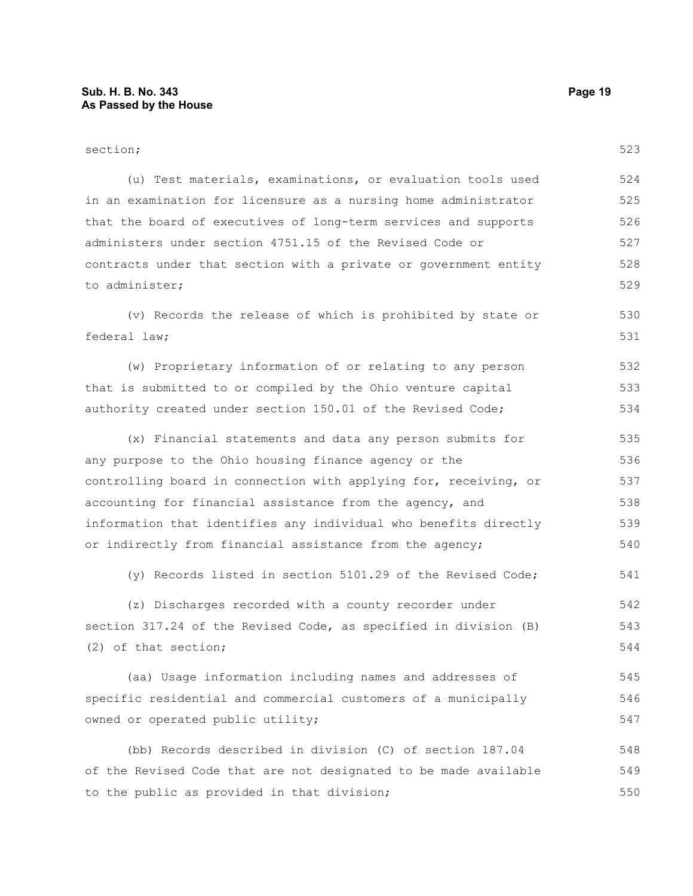section;

to administer;

# (u) Test materials, examinations, or evaluation tools used in an examination for licensure as a nursing home administrator that the board of executives of long-term services and supports administers under section 4751.15 of the Revised Code or contracts under that section with a private or government entity

(v) Records the release of which is prohibited by state or federal law; 530 531

(w) Proprietary information of or relating to any person that is submitted to or compiled by the Ohio venture capital authority created under section 150.01 of the Revised Code; 532 533 534

(x) Financial statements and data any person submits for any purpose to the Ohio housing finance agency or the controlling board in connection with applying for, receiving, or accounting for financial assistance from the agency, and information that identifies any individual who benefits directly or indirectly from financial assistance from the agency; 535 536 537 538 539 540

(y) Records listed in section 5101.29 of the Revised Code; 541

(z) Discharges recorded with a county recorder under section 317.24 of the Revised Code, as specified in division (B) (2) of that section; 542 543 544

(aa) Usage information including names and addresses of specific residential and commercial customers of a municipally owned or operated public utility; 545 546 547

(bb) Records described in division (C) of section 187.04 of the Revised Code that are not designated to be made available to the public as provided in that division; 548 549 550

523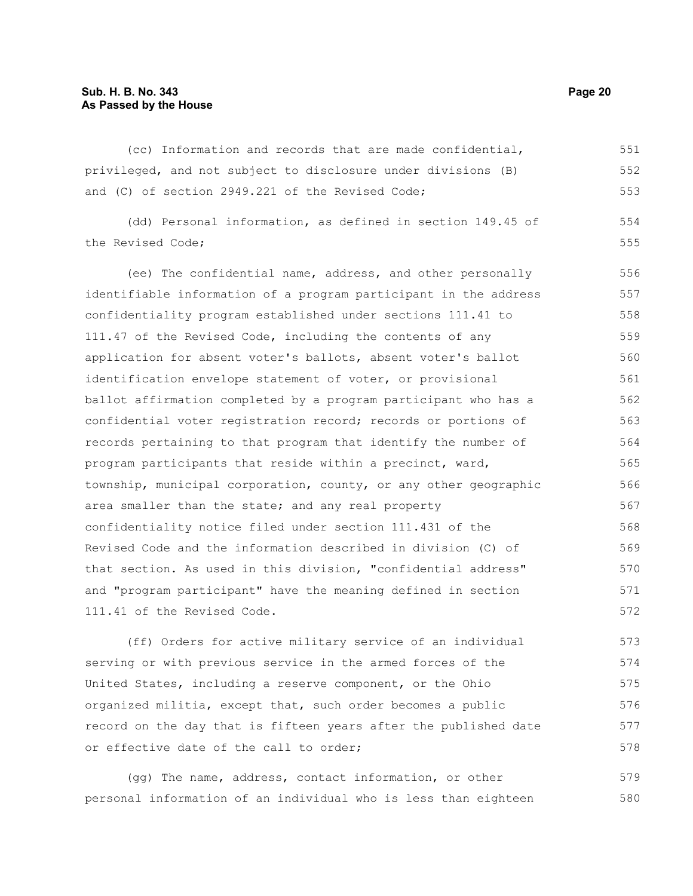#### **Sub. H. B. No. 343 Page 20 As Passed by the House**

(cc) Information and records that are made confidential, privileged, and not subject to disclosure under divisions (B) and (C) of section 2949.221 of the Revised Code; 551 552 553

(dd) Personal information, as defined in section 149.45 of the Revised Code; 554 555

(ee) The confidential name, address, and other personally identifiable information of a program participant in the address confidentiality program established under sections 111.41 to 111.47 of the Revised Code, including the contents of any application for absent voter's ballots, absent voter's ballot identification envelope statement of voter, or provisional ballot affirmation completed by a program participant who has a confidential voter registration record; records or portions of records pertaining to that program that identify the number of program participants that reside within a precinct, ward, township, municipal corporation, county, or any other geographic area smaller than the state; and any real property confidentiality notice filed under section 111.431 of the Revised Code and the information described in division (C) of that section. As used in this division, "confidential address" and "program participant" have the meaning defined in section 111.41 of the Revised Code. 556 557 558 559 560 561 562 563 564 565 566 567 568 569 570 571 572

(ff) Orders for active military service of an individual serving or with previous service in the armed forces of the United States, including a reserve component, or the Ohio organized militia, except that, such order becomes a public record on the day that is fifteen years after the published date or effective date of the call to order; 573 574 575 576 577 578

(gg) The name, address, contact information, or other personal information of an individual who is less than eighteen 579 580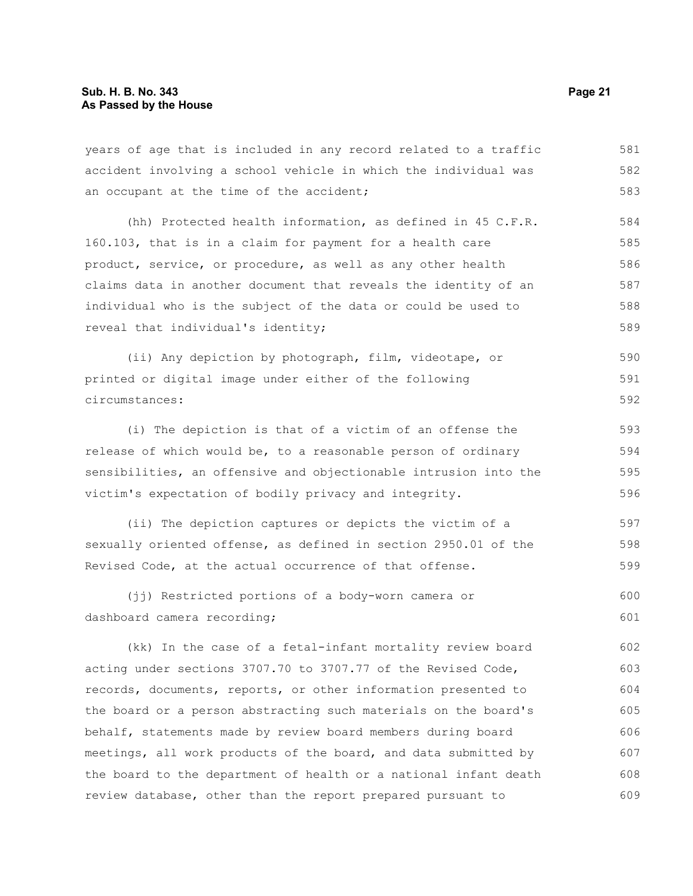years of age that is included in any record related to a traffic accident involving a school vehicle in which the individual was an occupant at the time of the accident; 581 582 583

(hh) Protected health information, as defined in 45 C.F.R. 160.103, that is in a claim for payment for a health care product, service, or procedure, as well as any other health claims data in another document that reveals the identity of an individual who is the subject of the data or could be used to reveal that individual's identity; 584 585 586 587 588 589

(ii) Any depiction by photograph, film, videotape, or printed or digital image under either of the following circumstances: 590 591 592

(i) The depiction is that of a victim of an offense the release of which would be, to a reasonable person of ordinary sensibilities, an offensive and objectionable intrusion into the victim's expectation of bodily privacy and integrity. 593 594 595 596

(ii) The depiction captures or depicts the victim of a sexually oriented offense, as defined in section 2950.01 of the Revised Code, at the actual occurrence of that offense. 597 598 599

(jj) Restricted portions of a body-worn camera or dashboard camera recording; 600 601

(kk) In the case of a fetal-infant mortality review board acting under sections 3707.70 to 3707.77 of the Revised Code, records, documents, reports, or other information presented to the board or a person abstracting such materials on the board's behalf, statements made by review board members during board meetings, all work products of the board, and data submitted by the board to the department of health or a national infant death review database, other than the report prepared pursuant to 602 603 604 605 606 607 608 609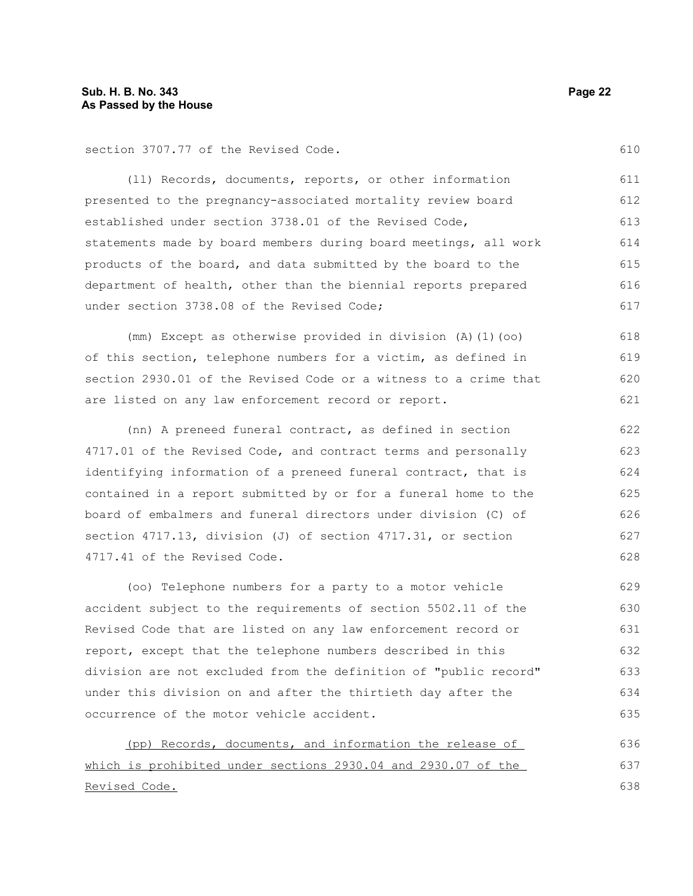section 3707.77 of the Revised Code.

(ll) Records, documents, reports, or other information presented to the pregnancy-associated mortality review board established under section 3738.01 of the Revised Code, statements made by board members during board meetings, all work products of the board, and data submitted by the board to the department of health, other than the biennial reports prepared under section 3738.08 of the Revised Code; 611 612 613 614 615 616 617

(mm) Except as otherwise provided in division (A)(1)(oo) of this section, telephone numbers for a victim, as defined in section 2930.01 of the Revised Code or a witness to a crime that are listed on any law enforcement record or report. 618 619 620 621

(nn) A preneed funeral contract, as defined in section 4717.01 of the Revised Code, and contract terms and personally identifying information of a preneed funeral contract, that is contained in a report submitted by or for a funeral home to the board of embalmers and funeral directors under division (C) of section 4717.13, division (J) of section 4717.31, or section 4717.41 of the Revised Code. 622 623 624 625 626 627 628

(oo) Telephone numbers for a party to a motor vehicle accident subject to the requirements of section 5502.11 of the Revised Code that are listed on any law enforcement record or report, except that the telephone numbers described in this division are not excluded from the definition of "public record" under this division on and after the thirtieth day after the occurrence of the motor vehicle accident. 629 630 631 632 633 634 635

(pp) Records, documents, and information the release of which is prohibited under sections 2930.04 and 2930.07 of the Revised Code. 636 637 638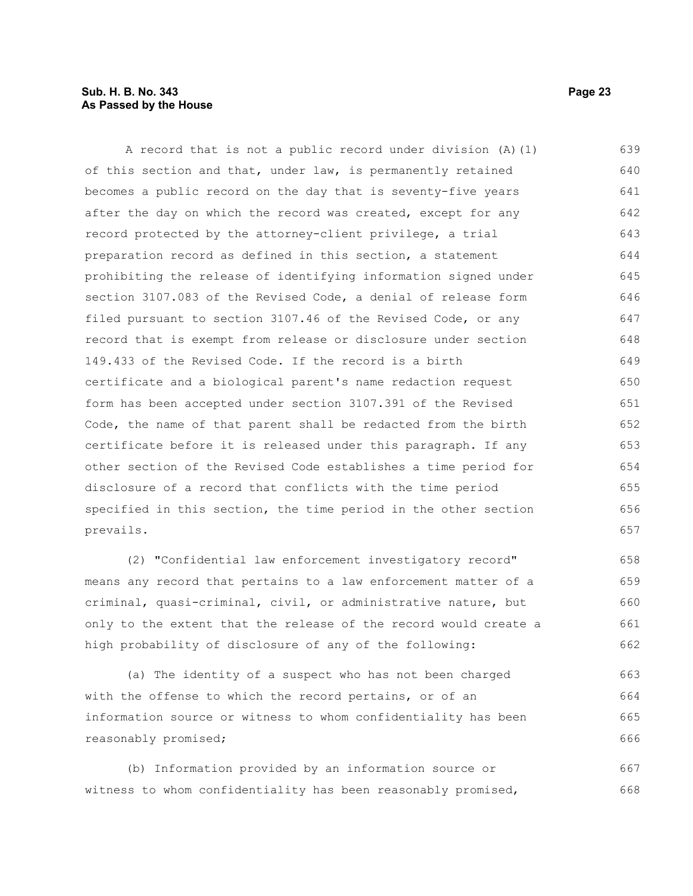#### **Sub. H. B. No. 343 Page 23 As Passed by the House**

A record that is not a public record under division (A)(1) of this section and that, under law, is permanently retained becomes a public record on the day that is seventy-five years after the day on which the record was created, except for any record protected by the attorney-client privilege, a trial preparation record as defined in this section, a statement prohibiting the release of identifying information signed under section 3107.083 of the Revised Code, a denial of release form filed pursuant to section 3107.46 of the Revised Code, or any record that is exempt from release or disclosure under section 149.433 of the Revised Code. If the record is a birth certificate and a biological parent's name redaction request form has been accepted under section 3107.391 of the Revised Code, the name of that parent shall be redacted from the birth certificate before it is released under this paragraph. If any other section of the Revised Code establishes a time period for disclosure of a record that conflicts with the time period specified in this section, the time period in the other section prevails. 639 640 641 642 643 644 645 646 647 648 649 650 651 652 653 654 655 656 657

(2) "Confidential law enforcement investigatory record" means any record that pertains to a law enforcement matter of a criminal, quasi-criminal, civil, or administrative nature, but only to the extent that the release of the record would create a high probability of disclosure of any of the following: 658 659 660 661 662

(a) The identity of a suspect who has not been charged with the offense to which the record pertains, or of an information source or witness to whom confidentiality has been reasonably promised; 663 664 665 666

(b) Information provided by an information source or witness to whom confidentiality has been reasonably promised, 667 668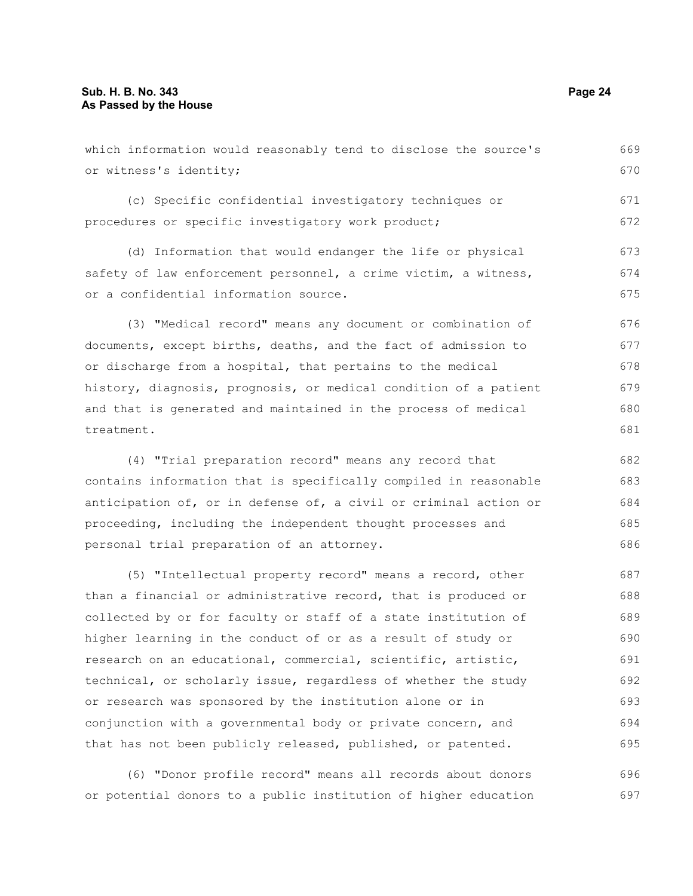which information would reasonably tend to disclose the source's or witness's identity; (c) Specific confidential investigatory techniques or procedures or specific investigatory work product; (d) Information that would endanger the life or physical safety of law enforcement personnel, a crime victim, a witness, or a confidential information source. (3) "Medical record" means any document or combination of documents, except births, deaths, and the fact of admission to or discharge from a hospital, that pertains to the medical history, diagnosis, prognosis, or medical condition of a patient and that is generated and maintained in the process of medical treatment. (4) "Trial preparation record" means any record that contains information that is specifically compiled in reasonable anticipation of, or in defense of, a civil or criminal action or proceeding, including the independent thought processes and personal trial preparation of an attorney. (5) "Intellectual property record" means a record, other 669 670 671 672 673 674 675 676 677 678 679 680 681 682 683 684 685 686 687

than a financial or administrative record, that is produced or collected by or for faculty or staff of a state institution of higher learning in the conduct of or as a result of study or research on an educational, commercial, scientific, artistic, technical, or scholarly issue, regardless of whether the study or research was sponsored by the institution alone or in conjunction with a governmental body or private concern, and that has not been publicly released, published, or patented. 688 689 690 691 692 693 694 695

(6) "Donor profile record" means all records about donors or potential donors to a public institution of higher education 696 697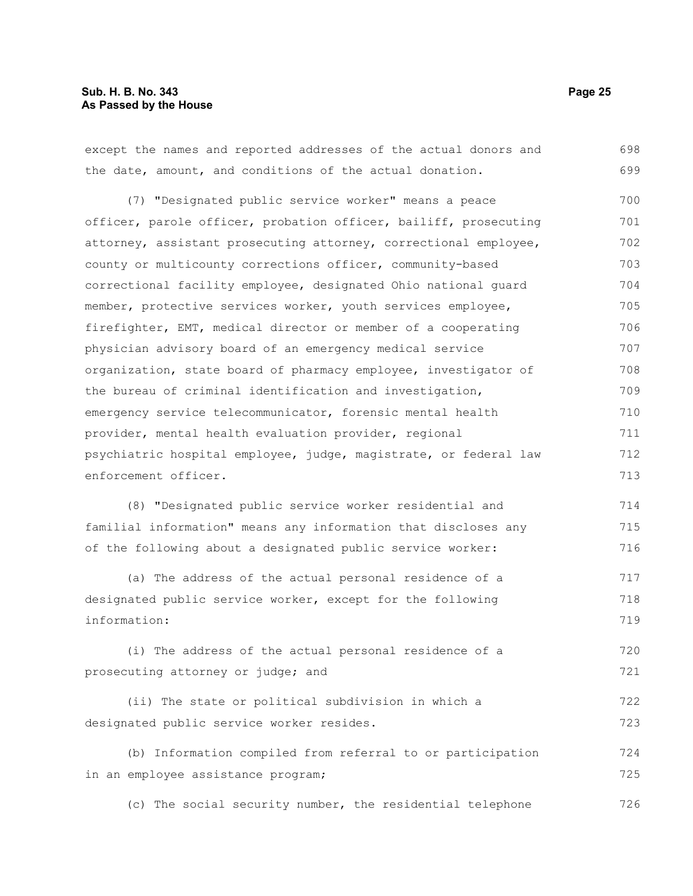except the names and reported addresses of the actual donors and the date, amount, and conditions of the actual donation. 698 699

(7) "Designated public service worker" means a peace officer, parole officer, probation officer, bailiff, prosecuting attorney, assistant prosecuting attorney, correctional employee, county or multicounty corrections officer, community-based correctional facility employee, designated Ohio national guard member, protective services worker, youth services employee, firefighter, EMT, medical director or member of a cooperating physician advisory board of an emergency medical service organization, state board of pharmacy employee, investigator of the bureau of criminal identification and investigation, emergency service telecommunicator, forensic mental health provider, mental health evaluation provider, regional psychiatric hospital employee, judge, magistrate, or federal law enforcement officer. 700 701 702 703 704 705 706 707 708 709 710 711 712 713

(8) "Designated public service worker residential and familial information" means any information that discloses any of the following about a designated public service worker: 714 715 716

(a) The address of the actual personal residence of a designated public service worker, except for the following information: 717 718 719

(i) The address of the actual personal residence of a prosecuting attorney or judge; and 720 721

(ii) The state or political subdivision in which a designated public service worker resides. 722 723

(b) Information compiled from referral to or participation in an employee assistance program; 724 725

(c) The social security number, the residential telephone 726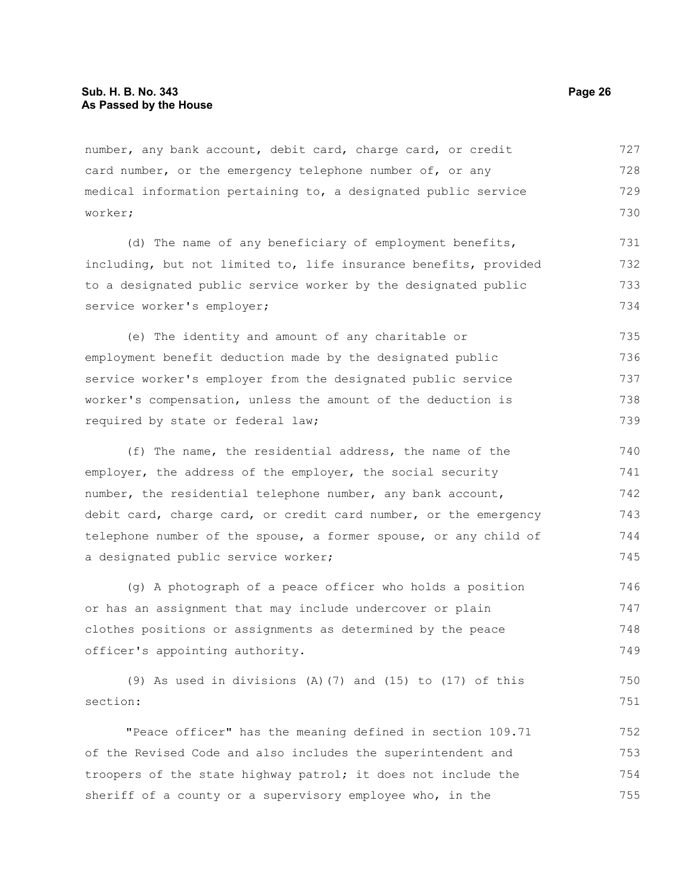number, any bank account, debit card, charge card, or credit card number, or the emergency telephone number of, or any medical information pertaining to, a designated public service worker; 727 728 729 730

(d) The name of any beneficiary of employment benefits, including, but not limited to, life insurance benefits, provided to a designated public service worker by the designated public service worker's employer; 731 732 733 734

(e) The identity and amount of any charitable or employment benefit deduction made by the designated public service worker's employer from the designated public service worker's compensation, unless the amount of the deduction is required by state or federal law; 735 736 737 738 739

(f) The name, the residential address, the name of the employer, the address of the employer, the social security number, the residential telephone number, any bank account, debit card, charge card, or credit card number, or the emergency telephone number of the spouse, a former spouse, or any child of a designated public service worker; 740 741 742 743 744 745

(g) A photograph of a peace officer who holds a position or has an assignment that may include undercover or plain clothes positions or assignments as determined by the peace officer's appointing authority. 746 747 748 749

(9) As used in divisions (A)(7) and (15) to (17) of this section: 750 751

"Peace officer" has the meaning defined in section 109.71 of the Revised Code and also includes the superintendent and troopers of the state highway patrol; it does not include the sheriff of a county or a supervisory employee who, in the 752 753 754 755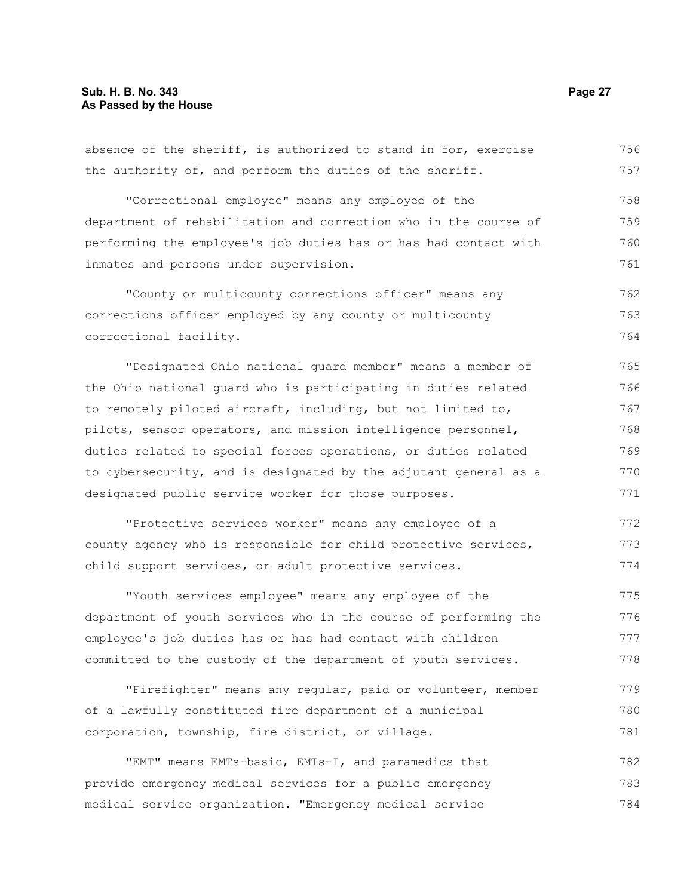#### **Sub. H. B. No. 343 Page 27 As Passed by the House**

absence of the sheriff, is authorized to stand in for, exercise the authority of, and perform the duties of the sheriff. "Correctional employee" means any employee of the department of rehabilitation and correction who in the course of performing the employee's job duties has or has had contact with inmates and persons under supervision. "County or multicounty corrections officer" means any corrections officer employed by any county or multicounty correctional facility. "Designated Ohio national guard member" means a member of the Ohio national guard who is participating in duties related to remotely piloted aircraft, including, but not limited to, pilots, sensor operators, and mission intelligence personnel, duties related to special forces operations, or duties related to cybersecurity, and is designated by the adjutant general as a 756 757 758 759 760 761 762 763 764 765 766 767 768 769 770

"Protective services worker" means any employee of a county agency who is responsible for child protective services, child support services, or adult protective services. 772 773 774

designated public service worker for those purposes.

"Youth services employee" means any employee of the department of youth services who in the course of performing the employee's job duties has or has had contact with children committed to the custody of the department of youth services. 775 776 777 778

"Firefighter" means any regular, paid or volunteer, member of a lawfully constituted fire department of a municipal corporation, township, fire district, or village. 779 780 781

"EMT" means EMTs-basic, EMTs-I, and paramedics that provide emergency medical services for a public emergency medical service organization. "Emergency medical service 782 783 784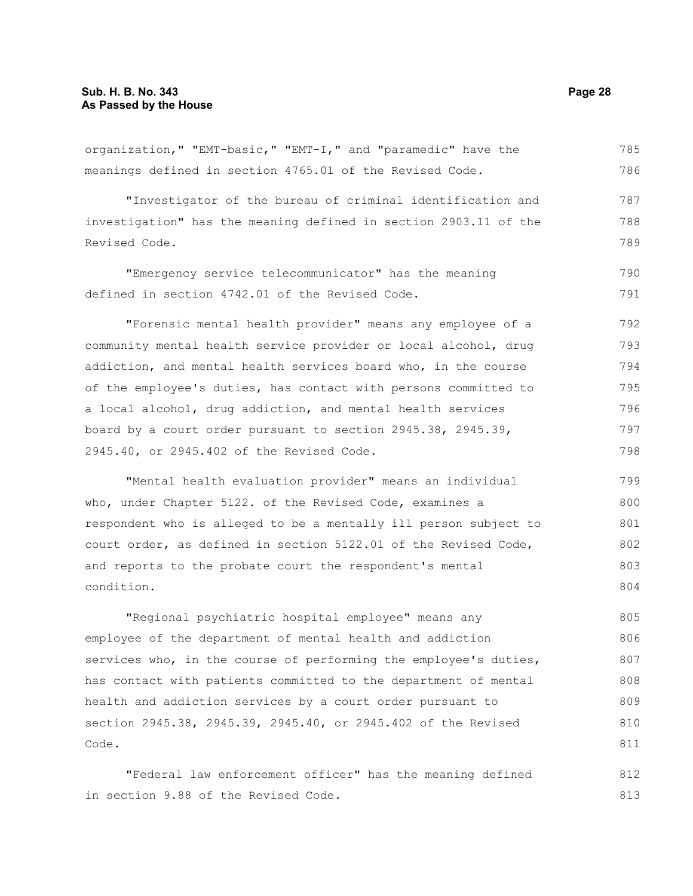#### **Sub. H. B. No. 343 Page 28 As Passed by the House**

organization," "EMT-basic," "EMT-I," and "paramedic" have the meanings defined in section 4765.01 of the Revised Code. "Investigator of the bureau of criminal identification and investigation" has the meaning defined in section 2903.11 of the Revised Code. "Emergency service telecommunicator" has the meaning defined in section 4742.01 of the Revised Code. "Forensic mental health provider" means any employee of a community mental health service provider or local alcohol, drug addiction, and mental health services board who, in the course of the employee's duties, has contact with persons committed to a local alcohol, drug addiction, and mental health services board by a court order pursuant to section 2945.38, 2945.39, 2945.40, or 2945.402 of the Revised Code. "Mental health evaluation provider" means an individual who, under Chapter 5122. of the Revised Code, examines a respondent who is alleged to be a mentally ill person subject to court order, as defined in section 5122.01 of the Revised Code, and reports to the probate court the respondent's mental condition. 785 786 787 788 789 790 791 792 793 794 795 796 797 798 799 800 801 802 803 804

"Regional psychiatric hospital employee" means any employee of the department of mental health and addiction services who, in the course of performing the employee's duties, has contact with patients committed to the department of mental health and addiction services by a court order pursuant to section 2945.38, 2945.39, 2945.40, or 2945.402 of the Revised Code. 805 806 807 808 809 810 811

"Federal law enforcement officer" has the meaning defined in section 9.88 of the Revised Code. 812 813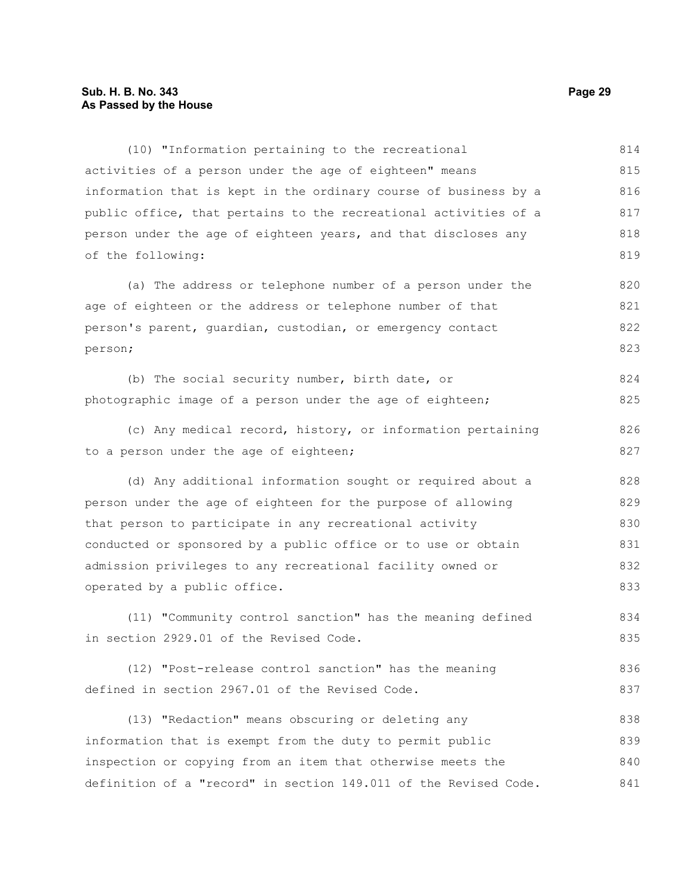### **Sub. H. B. No. 343 Page 29 As Passed by the House**

| (10) "Information pertaining to the recreational                 | 814 |
|------------------------------------------------------------------|-----|
| activities of a person under the age of eighteen" means          | 815 |
| information that is kept in the ordinary course of business by a | 816 |
| public office, that pertains to the recreational activities of a | 817 |
| person under the age of eighteen years, and that discloses any   | 818 |
| of the following:                                                | 819 |
| (a) The address or telephone number of a person under the        | 820 |
| age of eighteen or the address or telephone number of that       | 821 |
| person's parent, quardian, custodian, or emergency contact       | 822 |
| person;                                                          | 823 |
| (b) The social security number, birth date, or                   | 824 |
| photographic image of a person under the age of eighteen;        | 825 |
| (c) Any medical record, history, or information pertaining       | 826 |
| to a person under the age of eighteen;                           | 827 |
| (d) Any additional information sought or required about a        | 828 |
| person under the age of eighteen for the purpose of allowing     | 829 |
| that person to participate in any recreational activity          | 830 |
| conducted or sponsored by a public office or to use or obtain    | 831 |
| admission privileges to any recreational facility owned or       | 832 |
| operated by a public office.                                     | 833 |
| (11) "Community control sanction" has the meaning defined        | 834 |
| in section 2929.01 of the Revised Code.                          | 835 |
| (12) "Post-release control sanction" has the meaning             | 836 |
| defined in section 2967.01 of the Revised Code.                  | 837 |
| (13) "Redaction" means obscuring or deleting any                 | 838 |
| information that is exempt from the duty to permit public        | 839 |
| inspection or copying from an item that otherwise meets the      | 840 |

definition of a "record" in section 149.011 of the Revised Code. 841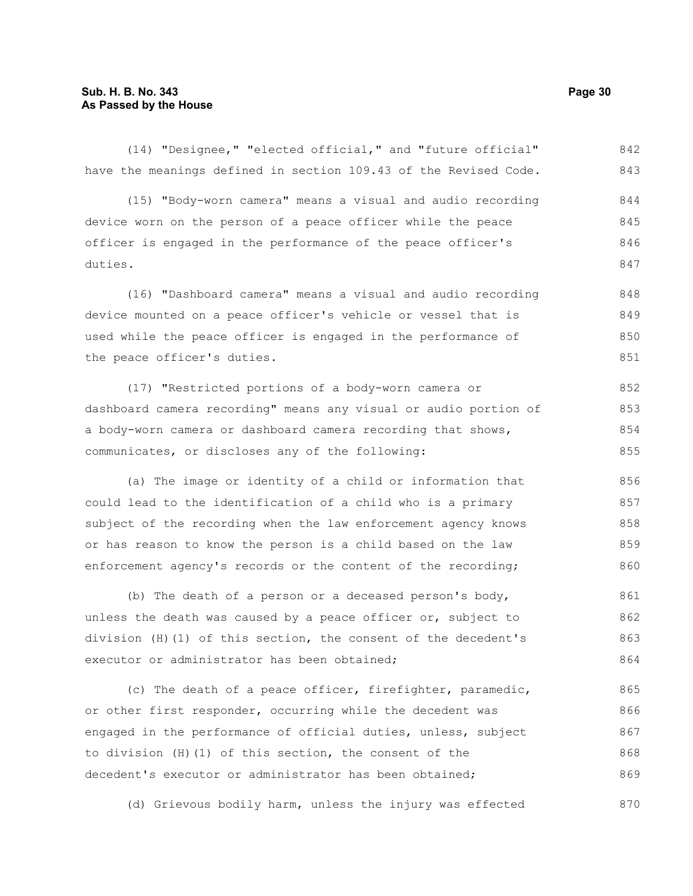(14) "Designee," "elected official," and "future official" have the meanings defined in section 109.43 of the Revised Code. 842 843

(15) "Body-worn camera" means a visual and audio recording device worn on the person of a peace officer while the peace officer is engaged in the performance of the peace officer's duties. 844 845 846 847

(16) "Dashboard camera" means a visual and audio recording device mounted on a peace officer's vehicle or vessel that is used while the peace officer is engaged in the performance of the peace officer's duties. 848 849 850 851

(17) "Restricted portions of a body-worn camera or dashboard camera recording" means any visual or audio portion of a body-worn camera or dashboard camera recording that shows, communicates, or discloses any of the following: 852 853 854 855

(a) The image or identity of a child or information that could lead to the identification of a child who is a primary subject of the recording when the law enforcement agency knows or has reason to know the person is a child based on the law enforcement agency's records or the content of the recording; 856 857 858 859 860

(b) The death of a person or a deceased person's body, unless the death was caused by a peace officer  $or$ , subject to division (H)(1) of this section, the consent of the decedent's executor or administrator has been obtained; 861 862 863 864

(c) The death of a peace officer, firefighter, paramedic, or other first responder, occurring while the decedent was engaged in the performance of official duties, unless, subject to division (H)(1) of this section, the consent of the decedent's executor or administrator has been obtained; 865 866 867 868 869

(d) Grievous bodily harm, unless the injury was effected 870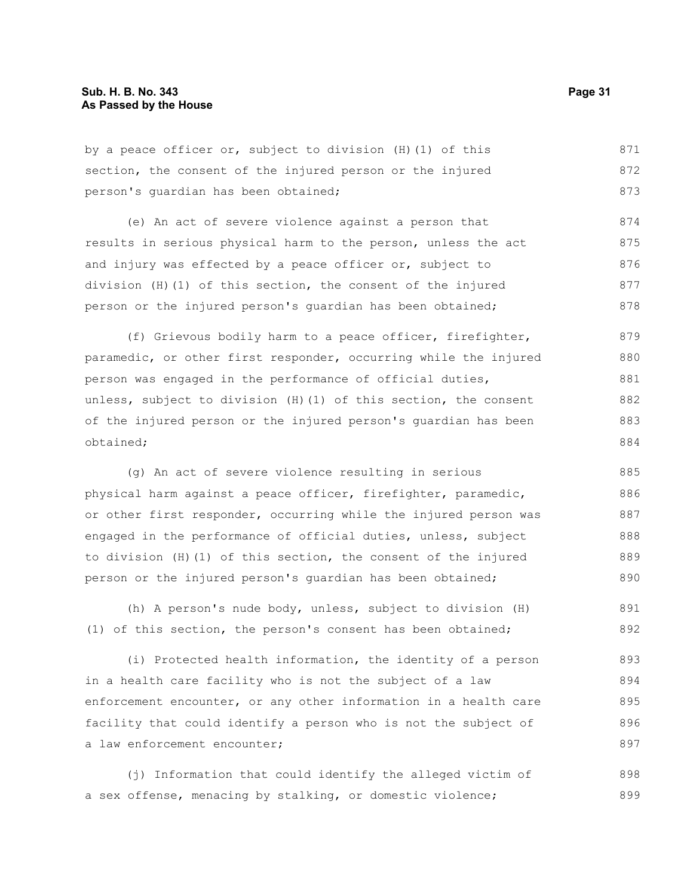by a peace officer or, subject to division (H)(1) of this section, the consent of the injured person or the injured person's guardian has been obtained; 871 872 873

(e) An act of severe violence against a person that results in serious physical harm to the person, unless the act and injury was effected by a peace officer or, subject to division (H)(1) of this section, the consent of the injured person or the injured person's guardian has been obtained; 874 875 876 877 878

(f) Grievous bodily harm to a peace officer, firefighter, paramedic, or other first responder, occurring while the injured person was engaged in the performance of official duties, unless, subject to division (H)(1) of this section, the consent of the injured person or the injured person's guardian has been obtained; 879 880 881 882 883 884

(g) An act of severe violence resulting in serious physical harm against a peace officer, firefighter, paramedic, or other first responder, occurring while the injured person was engaged in the performance of official duties, unless, subject to division (H)(1) of this section, the consent of the injured person or the injured person's guardian has been obtained; 885 886 887 888 889 890

(h) A person's nude body, unless, subject to division (H) (1) of this section, the person's consent has been obtained; 891 892

(i) Protected health information, the identity of a person in a health care facility who is not the subject of a law enforcement encounter, or any other information in a health care facility that could identify a person who is not the subject of a law enforcement encounter; 893 894 895 896 897

(j) Information that could identify the alleged victim of a sex offense, menacing by stalking, or domestic violence; 898 899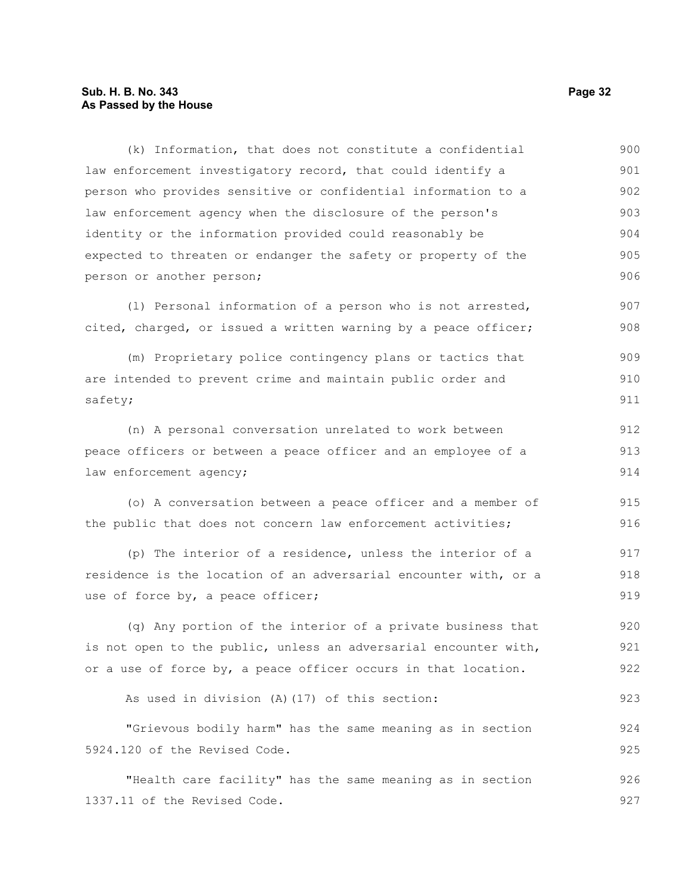#### **Sub. H. B. No. 343 Page 32 As Passed by the House**

(k) Information, that does not constitute a confidential law enforcement investigatory record, that could identify a person who provides sensitive or confidential information to a law enforcement agency when the disclosure of the person's identity or the information provided could reasonably be expected to threaten or endanger the safety or property of the person or another person; 900 901 902 903 904 905 906

(l) Personal information of a person who is not arrested, cited, charged, or issued a written warning by a peace officer; 907 908

(m) Proprietary police contingency plans or tactics that are intended to prevent crime and maintain public order and safety; 909 910 911

(n) A personal conversation unrelated to work between peace officers or between a peace officer and an employee of a law enforcement agency; 912 913 914

(o) A conversation between a peace officer and a member of the public that does not concern law enforcement activities; 915 916

(p) The interior of a residence, unless the interior of a residence is the location of an adversarial encounter with, or a use of force by, a peace officer; 917 918 919

(q) Any portion of the interior of a private business that is not open to the public, unless an adversarial encounter with, or a use of force by, a peace officer occurs in that location. 920 921 922

As used in division (A)(17) of this section:

"Grievous bodily harm" has the same meaning as in section 5924.120 of the Revised Code. 924 925

"Health care facility" has the same meaning as in section 1337.11 of the Revised Code. 926 927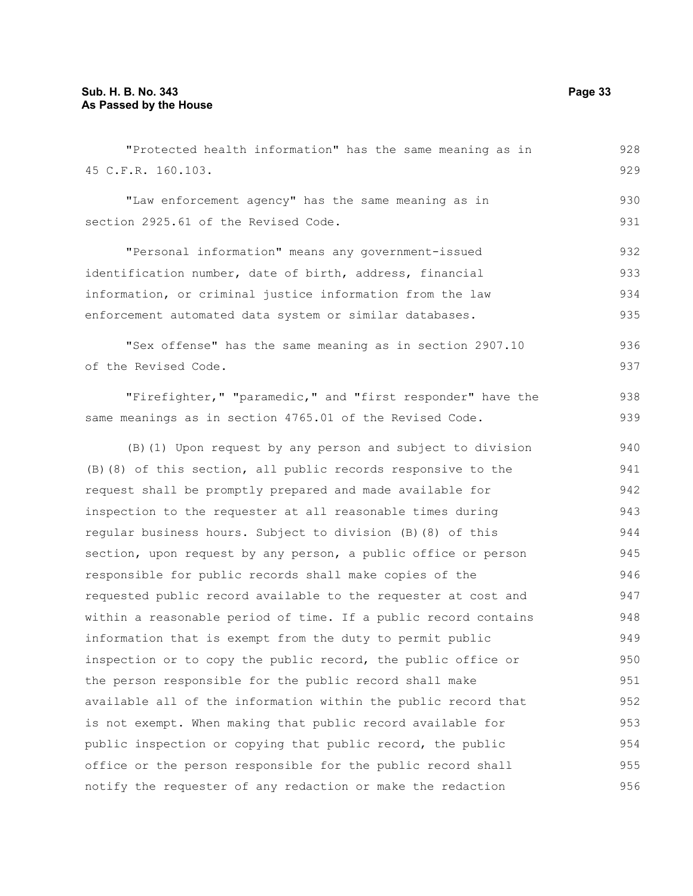| "Protected health information" has the same meaning as in       | 928 |
|-----------------------------------------------------------------|-----|
| 45 C.F.R. 160.103.                                              | 929 |
| "Law enforcement agency" has the same meaning as in             | 930 |
|                                                                 |     |
| section 2925.61 of the Revised Code.                            | 931 |
| "Personal information" means any government-issued              | 932 |
| identification number, date of birth, address, financial        | 933 |
| information, or criminal justice information from the law       | 934 |
| enforcement automated data system or similar databases.         | 935 |
| "Sex offense" has the same meaning as in section 2907.10        | 936 |
| of the Revised Code.                                            | 937 |
| "Firefighter," "paramedic," and "first responder" have the      | 938 |
| same meanings as in section 4765.01 of the Revised Code.        | 939 |
| (B) (1) Upon request by any person and subject to division      | 940 |
| (B) (8) of this section, all public records responsive to the   | 941 |
| request shall be promptly prepared and made available for       | 942 |
| inspection to the requester at all reasonable times during      | 943 |
| regular business hours. Subject to division (B) (8) of this     | 944 |
| section, upon request by any person, a public office or person  | 945 |
| responsible for public records shall make copies of the         | 946 |
| requested public record available to the requester at cost and  | 947 |
| within a reasonable period of time. If a public record contains | 948 |
| information that is exempt from the duty to permit public       | 949 |
| inspection or to copy the public record, the public office or   | 950 |
| the person responsible for the public record shall make         | 951 |
| available all of the information within the public record that  | 952 |
| is not exempt. When making that public record available for     | 953 |
| public inspection or copying that public record, the public     | 954 |
| office or the person responsible for the public record shall    | 955 |
| notify the requester of any redaction or make the redaction     | 956 |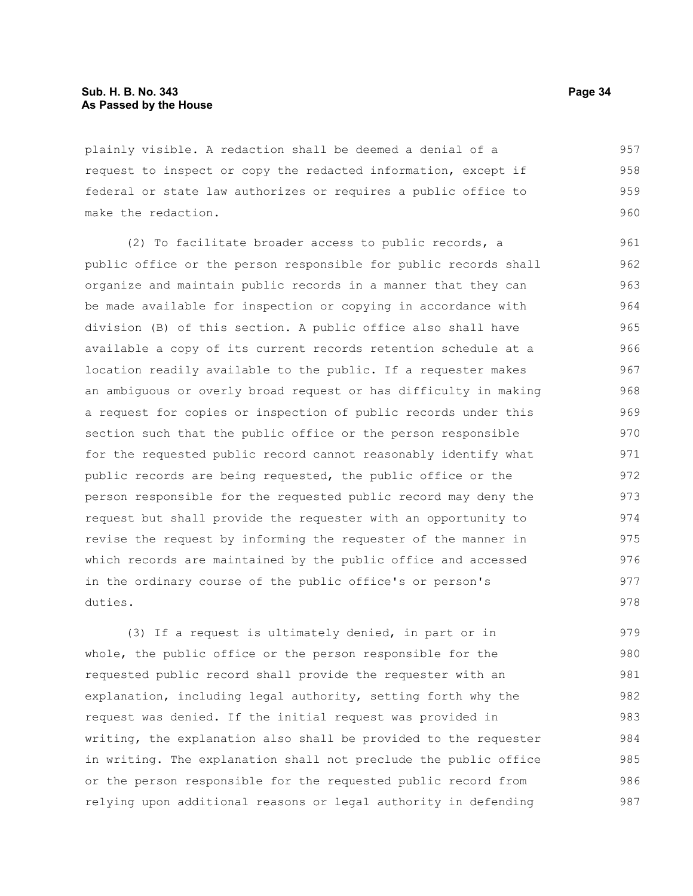plainly visible. A redaction shall be deemed a denial of a request to inspect or copy the redacted information, except if federal or state law authorizes or requires a public office to make the redaction. 957 958 959 960

(2) To facilitate broader access to public records, a public office or the person responsible for public records shall organize and maintain public records in a manner that they can be made available for inspection or copying in accordance with division (B) of this section. A public office also shall have available a copy of its current records retention schedule at a location readily available to the public. If a requester makes an ambiguous or overly broad request or has difficulty in making a request for copies or inspection of public records under this section such that the public office or the person responsible for the requested public record cannot reasonably identify what public records are being requested, the public office or the person responsible for the requested public record may deny the request but shall provide the requester with an opportunity to revise the request by informing the requester of the manner in which records are maintained by the public office and accessed in the ordinary course of the public office's or person's duties. 961 962 963 964 965 966 967 968 969 970 971 972 973 974 975 976 977 978

(3) If a request is ultimately denied, in part or in whole, the public office or the person responsible for the requested public record shall provide the requester with an explanation, including legal authority, setting forth why the request was denied. If the initial request was provided in writing, the explanation also shall be provided to the requester in writing. The explanation shall not preclude the public office or the person responsible for the requested public record from relying upon additional reasons or legal authority in defending 979 980 981 982 983 984 985 986 987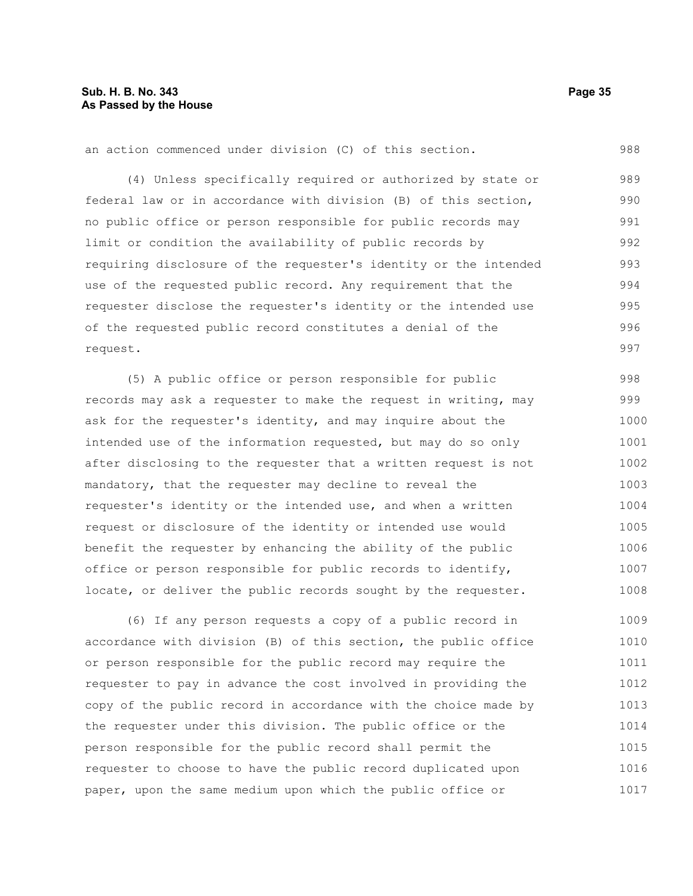an action commenced under division (C) of this section.

(4) Unless specifically required or authorized by state or federal law or in accordance with division (B) of this section, no public office or person responsible for public records may limit or condition the availability of public records by requiring disclosure of the requester's identity or the intended use of the requested public record. Any requirement that the requester disclose the requester's identity or the intended use of the requested public record constitutes a denial of the request. 989 990 991 992 993 994 995 996 997

(5) A public office or person responsible for public records may ask a requester to make the request in writing, may ask for the requester's identity, and may inquire about the intended use of the information requested, but may do so only after disclosing to the requester that a written request is not mandatory, that the requester may decline to reveal the requester's identity or the intended use, and when a written request or disclosure of the identity or intended use would benefit the requester by enhancing the ability of the public office or person responsible for public records to identify, locate, or deliver the public records sought by the requester. 998 999 1000 1001 1002 1003 1004 1005 1006 1007 1008

(6) If any person requests a copy of a public record in accordance with division (B) of this section, the public office or person responsible for the public record may require the requester to pay in advance the cost involved in providing the copy of the public record in accordance with the choice made by the requester under this division. The public office or the person responsible for the public record shall permit the requester to choose to have the public record duplicated upon paper, upon the same medium upon which the public office or 1009 1010 1011 1012 1013 1014 1015 1016 1017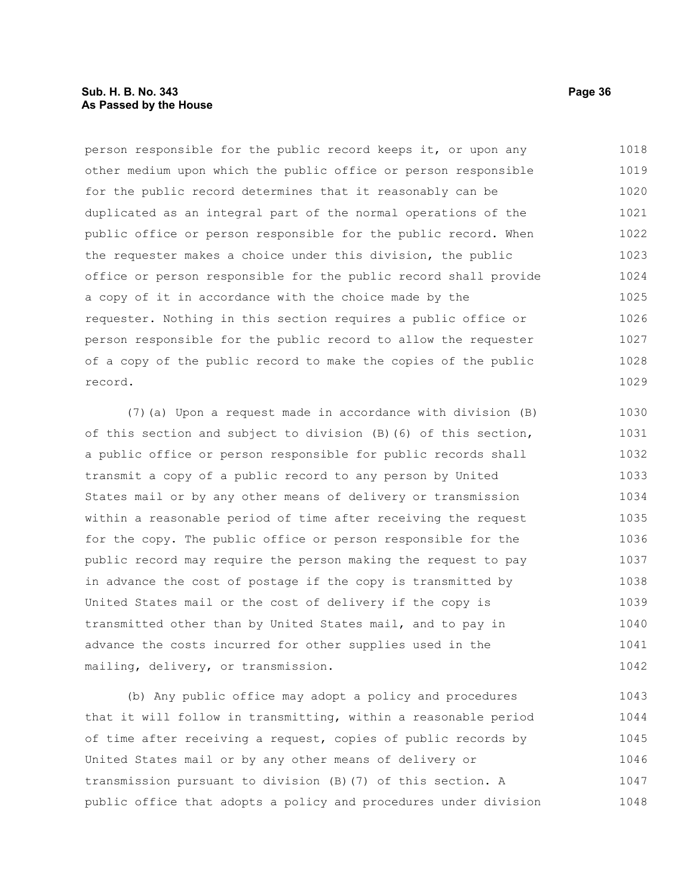#### **Sub. H. B. No. 343 Page 36 As Passed by the House**

person responsible for the public record keeps it, or upon any other medium upon which the public office or person responsible for the public record determines that it reasonably can be duplicated as an integral part of the normal operations of the public office or person responsible for the public record. When the requester makes a choice under this division, the public office or person responsible for the public record shall provide a copy of it in accordance with the choice made by the requester. Nothing in this section requires a public office or person responsible for the public record to allow the requester of a copy of the public record to make the copies of the public record. 1018 1019 1020 1021 1022 1023 1024 1025 1026 1027 1028 1029

(7)(a) Upon a request made in accordance with division (B) of this section and subject to division (B)(6) of this section, a public office or person responsible for public records shall transmit a copy of a public record to any person by United States mail or by any other means of delivery or transmission within a reasonable period of time after receiving the request for the copy. The public office or person responsible for the public record may require the person making the request to pay in advance the cost of postage if the copy is transmitted by United States mail or the cost of delivery if the copy is transmitted other than by United States mail, and to pay in advance the costs incurred for other supplies used in the mailing, delivery, or transmission. 1030 1031 1032 1033 1034 1035 1036 1037 1038 1039 1040 1041 1042

(b) Any public office may adopt a policy and procedures that it will follow in transmitting, within a reasonable period of time after receiving a request, copies of public records by United States mail or by any other means of delivery or transmission pursuant to division (B)(7) of this section. A public office that adopts a policy and procedures under division 1043 1044 1045 1046 1047 1048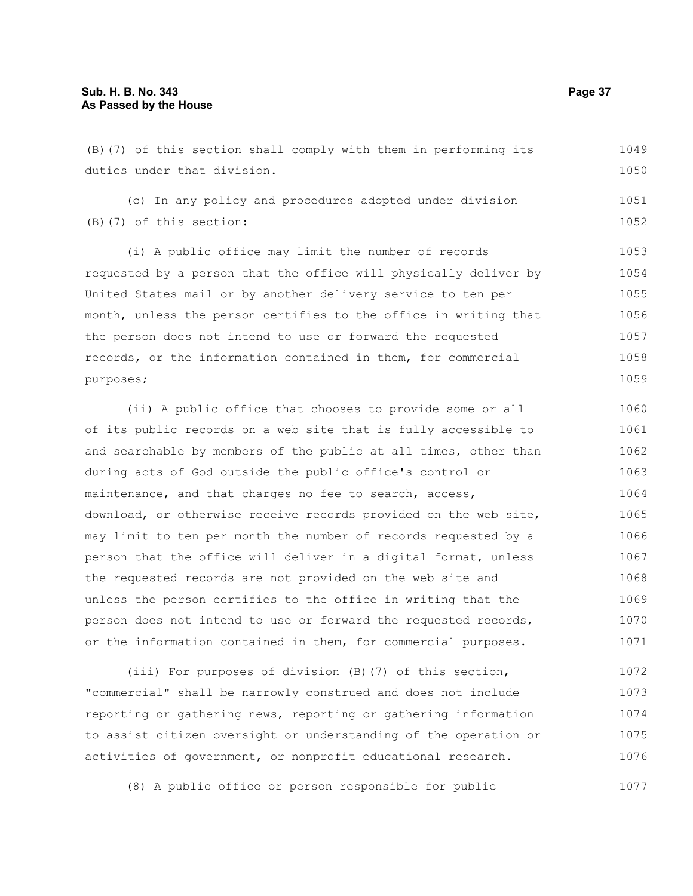(B)(7) of this section shall comply with them in performing its duties under that division. (c) In any policy and procedures adopted under division (B)(7) of this section: (i) A public office may limit the number of records requested by a person that the office will physically deliver by United States mail or by another delivery service to ten per month, unless the person certifies to the office in writing that the person does not intend to use or forward the requested records, or the information contained in them, for commercial purposes; 1049 1050 1051 1052 1053 1054 1055 1056 1057 1058 1059

(ii) A public office that chooses to provide some or all of its public records on a web site that is fully accessible to and searchable by members of the public at all times, other than during acts of God outside the public office's control or maintenance, and that charges no fee to search, access, download, or otherwise receive records provided on the web site, may limit to ten per month the number of records requested by a person that the office will deliver in a digital format, unless the requested records are not provided on the web site and unless the person certifies to the office in writing that the person does not intend to use or forward the requested records, or the information contained in them, for commercial purposes. 1060 1061 1062 1063 1064 1065 1066 1067 1068 1069 1070 1071

(iii) For purposes of division (B)(7) of this section, "commercial" shall be narrowly construed and does not include reporting or gathering news, reporting or gathering information to assist citizen oversight or understanding of the operation or activities of government, or nonprofit educational research. 1072 1073 1074 1075 1076

(8) A public office or person responsible for public 1077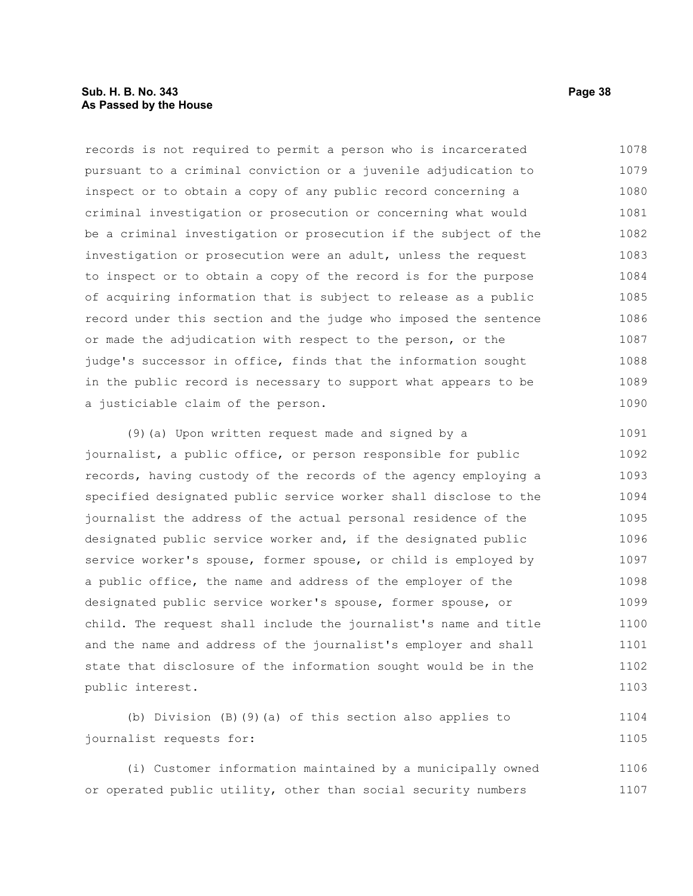# **Sub. H. B. No. 343 Page 38 As Passed by the House**

records is not required to permit a person who is incarcerated pursuant to a criminal conviction or a juvenile adjudication to inspect or to obtain a copy of any public record concerning a criminal investigation or prosecution or concerning what would be a criminal investigation or prosecution if the subject of the investigation or prosecution were an adult, unless the request to inspect or to obtain a copy of the record is for the purpose of acquiring information that is subject to release as a public record under this section and the judge who imposed the sentence or made the adjudication with respect to the person, or the judge's successor in office, finds that the information sought in the public record is necessary to support what appears to be a justiciable claim of the person. 1078 1079 1080 1081 1082 1083 1084 1085 1086 1087 1088 1089 1090

(9)(a) Upon written request made and signed by a journalist, a public office, or person responsible for public records, having custody of the records of the agency employing a specified designated public service worker shall disclose to the journalist the address of the actual personal residence of the designated public service worker and, if the designated public service worker's spouse, former spouse, or child is employed by a public office, the name and address of the employer of the designated public service worker's spouse, former spouse, or child. The request shall include the journalist's name and title and the name and address of the journalist's employer and shall state that disclosure of the information sought would be in the public interest. 1091 1092 1093 1094 1095 1096 1097 1098 1099 1100 1101 1102 1103

(b) Division (B)(9)(a) of this section also applies to journalist requests for: 1104 1105

(i) Customer information maintained by a municipally owned or operated public utility, other than social security numbers 1106 1107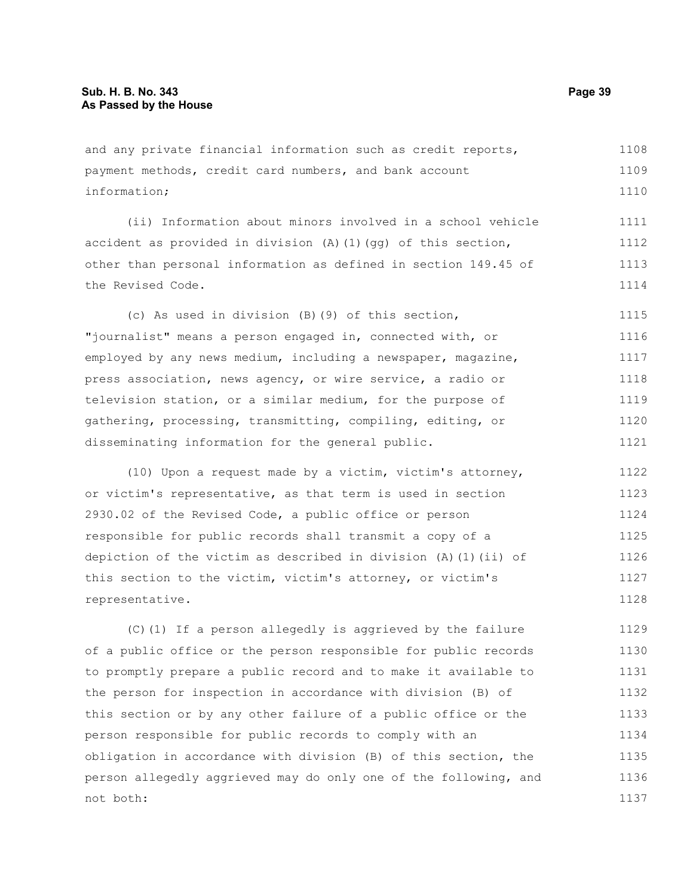not both:

and any private financial information such as credit reports, payment methods, credit card numbers, and bank account information; (ii) Information about minors involved in a school vehicle accident as provided in division  $(A)$   $(1)$  (gg) of this section, other than personal information as defined in section 149.45 of the Revised Code. (c) As used in division (B)(9) of this section, "journalist" means a person engaged in, connected with, or employed by any news medium, including a newspaper, magazine, press association, news agency, or wire service, a radio or television station, or a similar medium, for the purpose of gathering, processing, transmitting, compiling, editing, or disseminating information for the general public. (10) Upon a request made by a victim, victim's attorney, or victim's representative, as that term is used in section 2930.02 of the Revised Code, a public office or person responsible for public records shall transmit a copy of a depiction of the victim as described in division (A)(1)(ii) of this section to the victim, victim's attorney, or victim's representative. (C)(1) If a person allegedly is aggrieved by the failure of a public office or the person responsible for public records to promptly prepare a public record and to make it available to the person for inspection in accordance with division (B) of this section or by any other failure of a public office or the person responsible for public records to comply with an obligation in accordance with division (B) of this section, the person allegedly aggrieved may do only one of the following, and 1108 1109 1110 1111 1112 1113 1114 1115 1116 1117 1118 1119 1120 1121 1122 1123 1124 1125 1126 1127 1128 1129 1130 1131 1132 1133 1134 1135 1136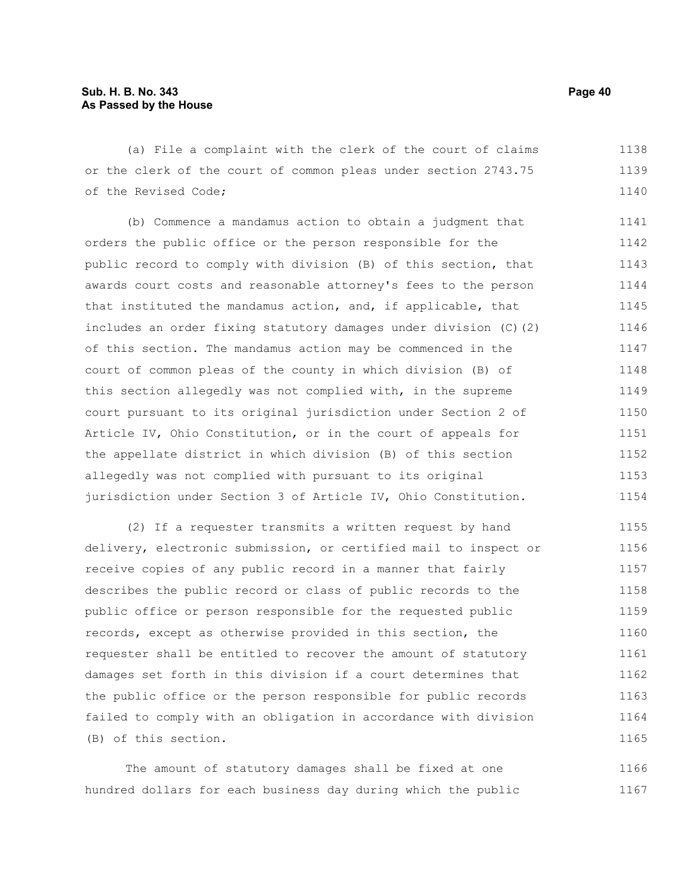(a) File a complaint with the clerk of the court of claims or the clerk of the court of common pleas under section 2743.75 of the Revised Code; 1138 1139 1140

(b) Commence a mandamus action to obtain a judgment that orders the public office or the person responsible for the public record to comply with division (B) of this section, that awards court costs and reasonable attorney's fees to the person that instituted the mandamus action, and, if applicable, that includes an order fixing statutory damages under division (C)(2) of this section. The mandamus action may be commenced in the court of common pleas of the county in which division (B) of this section allegedly was not complied with, in the supreme court pursuant to its original jurisdiction under Section 2 of Article IV, Ohio Constitution, or in the court of appeals for the appellate district in which division (B) of this section allegedly was not complied with pursuant to its original jurisdiction under Section 3 of Article IV, Ohio Constitution. 1141 1142 1143 1144 1145 1146 1147 1148 1149 1150 1151 1152 1153 1154

(2) If a requester transmits a written request by hand delivery, electronic submission, or certified mail to inspect or receive copies of any public record in a manner that fairly describes the public record or class of public records to the public office or person responsible for the requested public records, except as otherwise provided in this section, the requester shall be entitled to recover the amount of statutory damages set forth in this division if a court determines that the public office or the person responsible for public records failed to comply with an obligation in accordance with division (B) of this section. 1155 1156 1157 1158 1159 1160 1161 1162 1163 1164 1165

The amount of statutory damages shall be fixed at one hundred dollars for each business day during which the public 1166 1167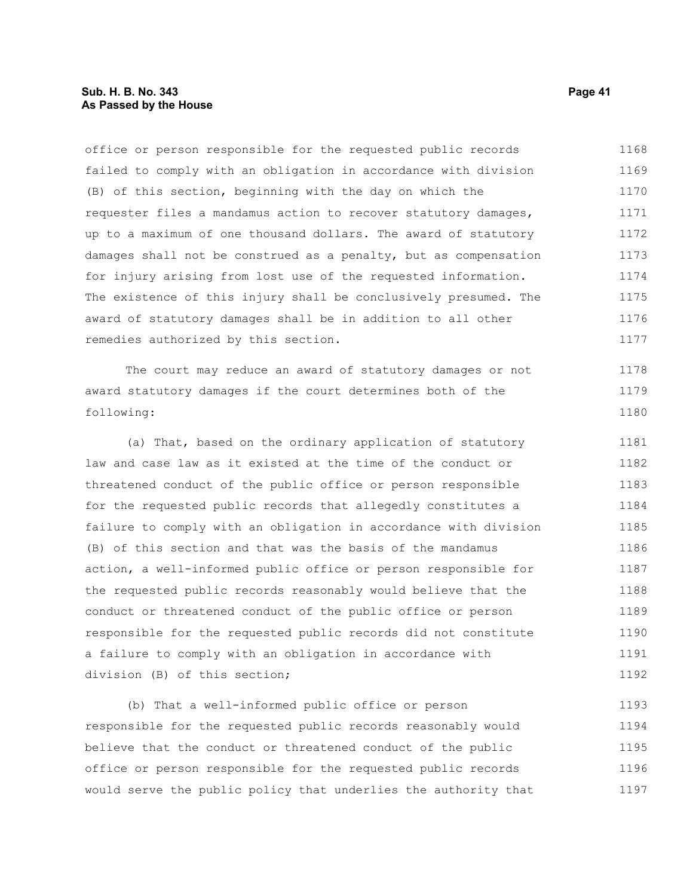# **Sub. H. B. No. 343 Page 41 As Passed by the House**

office or person responsible for the requested public records failed to comply with an obligation in accordance with division (B) of this section, beginning with the day on which the requester files a mandamus action to recover statutory damages, up to a maximum of one thousand dollars. The award of statutory damages shall not be construed as a penalty, but as compensation for injury arising from lost use of the requested information. The existence of this injury shall be conclusively presumed. The award of statutory damages shall be in addition to all other remedies authorized by this section. 1168 1169 1170 1171 1172 1173 1174 1175 1176 1177

The court may reduce an award of statutory damages or not award statutory damages if the court determines both of the following: 1178 1179 1180

(a) That, based on the ordinary application of statutory law and case law as it existed at the time of the conduct or threatened conduct of the public office or person responsible for the requested public records that allegedly constitutes a failure to comply with an obligation in accordance with division (B) of this section and that was the basis of the mandamus action, a well-informed public office or person responsible for the requested public records reasonably would believe that the conduct or threatened conduct of the public office or person responsible for the requested public records did not constitute a failure to comply with an obligation in accordance with division (B) of this section; 1181 1182 1183 1184 1185 1186 1187 1188 1189 1190 1191 1192

(b) That a well-informed public office or person responsible for the requested public records reasonably would believe that the conduct or threatened conduct of the public office or person responsible for the requested public records would serve the public policy that underlies the authority that 1193 1194 1195 1196 1197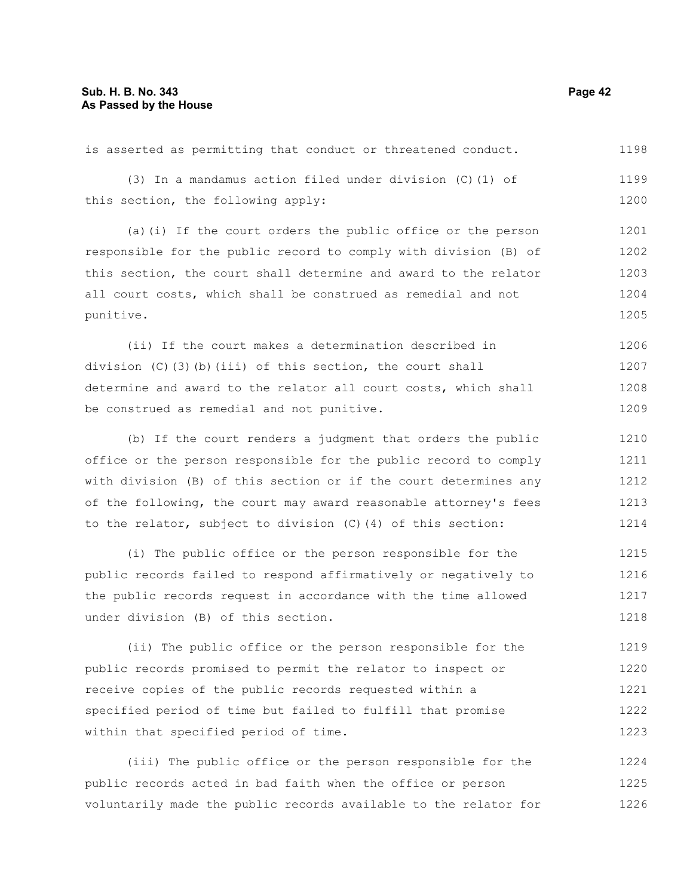is asserted as permitting that conduct or threatened conduct. (3) In a mandamus action filed under division (C)(1) of this section, the following apply: (a)(i) If the court orders the public office or the person responsible for the public record to comply with division (B) of this section, the court shall determine and award to the relator all court costs, which shall be construed as remedial and not punitive. (ii) If the court makes a determination described in division (C)(3)(b)(iii) of this section, the court shall determine and award to the relator all court costs, which shall be construed as remedial and not punitive. (b) If the court renders a judgment that orders the public office or the person responsible for the public record to comply with division (B) of this section or if the court determines any of the following, the court may award reasonable attorney's fees to the relator, subject to division (C)(4) of this section: (i) The public office or the person responsible for the public records failed to respond affirmatively or negatively to the public records request in accordance with the time allowed under division (B) of this section. (ii) The public office or the person responsible for the 1198 1199 1200 1201 1202 1203 1204 1205 1206 1207 1208 1209 1210 1211 1212 1213 1214 1215 1216 1217 1218 1219

public records promised to permit the relator to inspect or receive copies of the public records requested within a specified period of time but failed to fulfill that promise within that specified period of time. 1220 1221 1222 1223

(iii) The public office or the person responsible for the public records acted in bad faith when the office or person voluntarily made the public records available to the relator for 1224 1225 1226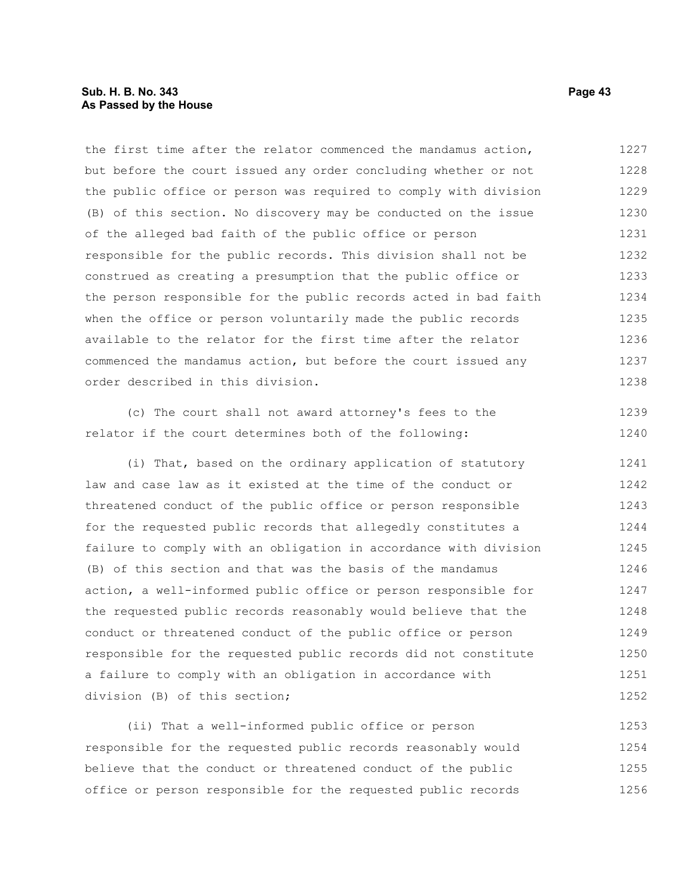# **Sub. H. B. No. 343 Page 43 As Passed by the House**

the first time after the relator commenced the mandamus action, but before the court issued any order concluding whether or not the public office or person was required to comply with division (B) of this section. No discovery may be conducted on the issue of the alleged bad faith of the public office or person responsible for the public records. This division shall not be construed as creating a presumption that the public office or the person responsible for the public records acted in bad faith when the office or person voluntarily made the public records available to the relator for the first time after the relator commenced the mandamus action, but before the court issued any order described in this division. 1227 1228 1229 1230 1231 1232 1233 1234 1235 1236 1237 1238

(c) The court shall not award attorney's fees to the relator if the court determines both of the following: 1239 1240

(i) That, based on the ordinary application of statutory law and case law as it existed at the time of the conduct or threatened conduct of the public office or person responsible for the requested public records that allegedly constitutes a failure to comply with an obligation in accordance with division (B) of this section and that was the basis of the mandamus action, a well-informed public office or person responsible for the requested public records reasonably would believe that the conduct or threatened conduct of the public office or person responsible for the requested public records did not constitute a failure to comply with an obligation in accordance with division (B) of this section; 1241 1242 1243 1244 1245 1246 1247 1248 1249 1250 1251 1252

(ii) That a well-informed public office or person responsible for the requested public records reasonably would believe that the conduct or threatened conduct of the public office or person responsible for the requested public records 1253 1254 1255 1256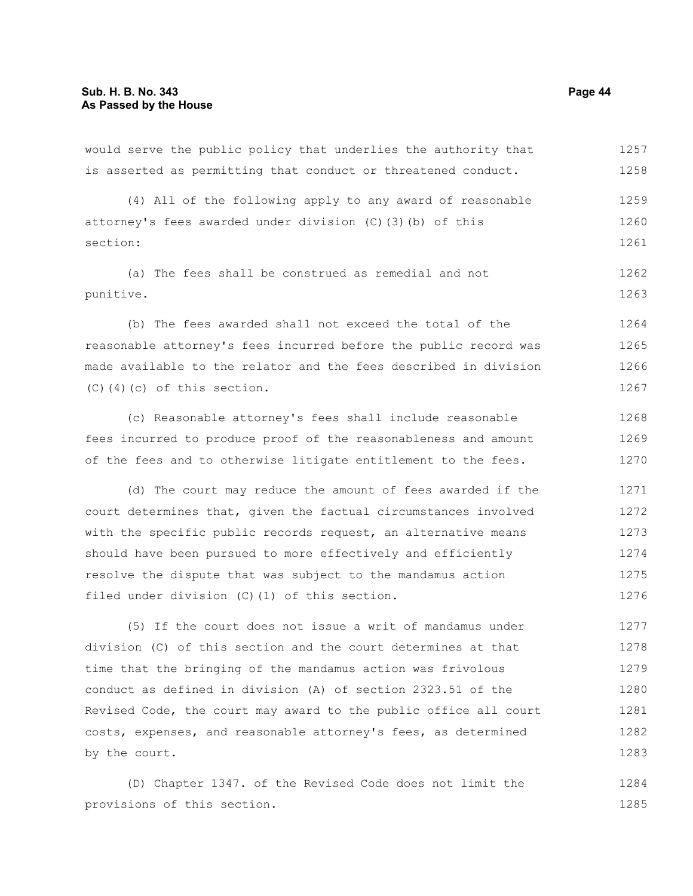would serve the public policy that underlies the authority that is asserted as permitting that conduct or threatened conduct. 1257 1258

(4) All of the following apply to any award of reasonable attorney's fees awarded under division (C)(3)(b) of this section: 1259 1260 1261

(a) The fees shall be construed as remedial and not punitive. 1262 1263

(b) The fees awarded shall not exceed the total of the reasonable attorney's fees incurred before the public record was made available to the relator and the fees described in division (C)(4)(c) of this section. 1264 1265 1266 1267

(c) Reasonable attorney's fees shall include reasonable fees incurred to produce proof of the reasonableness and amount of the fees and to otherwise litigate entitlement to the fees. 1268 1269 1270

(d) The court may reduce the amount of fees awarded if the court determines that, given the factual circumstances involved with the specific public records request, an alternative means should have been pursued to more effectively and efficiently resolve the dispute that was subject to the mandamus action filed under division (C)(1) of this section. 1271 1272 1273 1274 1275 1276

(5) If the court does not issue a writ of mandamus under division (C) of this section and the court determines at that time that the bringing of the mandamus action was frivolous conduct as defined in division (A) of section 2323.51 of the Revised Code, the court may award to the public office all court costs, expenses, and reasonable attorney's fees, as determined by the court. 1277 1278 1279 1280 1281 1282 1283

(D) Chapter 1347. of the Revised Code does not limit the provisions of this section. 1284 1285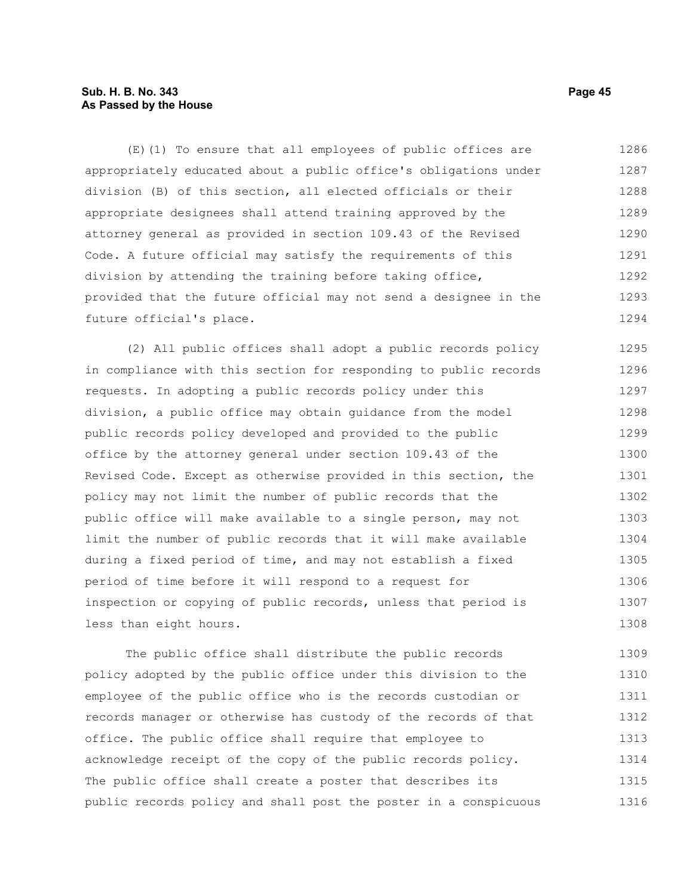# **Sub. H. B. No. 343 Page 45 As Passed by the House**

(E)(1) To ensure that all employees of public offices are appropriately educated about a public office's obligations under division (B) of this section, all elected officials or their appropriate designees shall attend training approved by the attorney general as provided in section 109.43 of the Revised Code. A future official may satisfy the requirements of this division by attending the training before taking office, provided that the future official may not send a designee in the future official's place. 1286 1287 1288 1289 1290 1291 1292 1293 1294

(2) All public offices shall adopt a public records policy in compliance with this section for responding to public records requests. In adopting a public records policy under this division, a public office may obtain guidance from the model public records policy developed and provided to the public office by the attorney general under section 109.43 of the Revised Code. Except as otherwise provided in this section, the policy may not limit the number of public records that the public office will make available to a single person, may not limit the number of public records that it will make available during a fixed period of time, and may not establish a fixed period of time before it will respond to a request for inspection or copying of public records, unless that period is less than eight hours. 1295 1296 1297 1298 1299 1300 1301 1302 1303 1304 1305 1306 1307 1308

The public office shall distribute the public records policy adopted by the public office under this division to the employee of the public office who is the records custodian or records manager or otherwise has custody of the records of that office. The public office shall require that employee to acknowledge receipt of the copy of the public records policy. The public office shall create a poster that describes its public records policy and shall post the poster in a conspicuous 1309 1310 1311 1312 1313 1314 1315 1316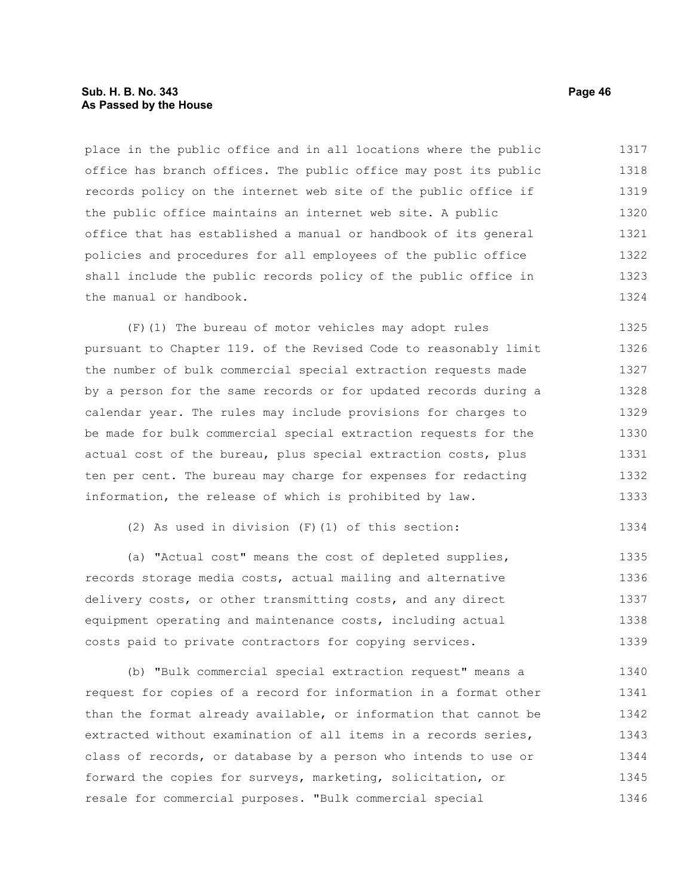# **Sub. H. B. No. 343 Page 46 As Passed by the House**

place in the public office and in all locations where the public office has branch offices. The public office may post its public records policy on the internet web site of the public office if the public office maintains an internet web site. A public office that has established a manual or handbook of its general policies and procedures for all employees of the public office shall include the public records policy of the public office in the manual or handbook. 1317 1318 1319 1320 1321 1322 1323 1324

(F)(1) The bureau of motor vehicles may adopt rules pursuant to Chapter 119. of the Revised Code to reasonably limit the number of bulk commercial special extraction requests made by a person for the same records or for updated records during a calendar year. The rules may include provisions for charges to be made for bulk commercial special extraction requests for the actual cost of the bureau, plus special extraction costs, plus ten per cent. The bureau may charge for expenses for redacting information, the release of which is prohibited by law. 1325 1326 1327 1328 1329 1330 1331 1332 1333

(2) As used in division (F)(1) of this section:

(a) "Actual cost" means the cost of depleted supplies, records storage media costs, actual mailing and alternative delivery costs, or other transmitting costs, and any direct equipment operating and maintenance costs, including actual costs paid to private contractors for copying services. 1335 1336 1337 1338 1339

(b) "Bulk commercial special extraction request" means a request for copies of a record for information in a format other than the format already available, or information that cannot be extracted without examination of all items in a records series, class of records, or database by a person who intends to use or forward the copies for surveys, marketing, solicitation, or resale for commercial purposes. "Bulk commercial special 1340 1341 1342 1343 1344 1345 1346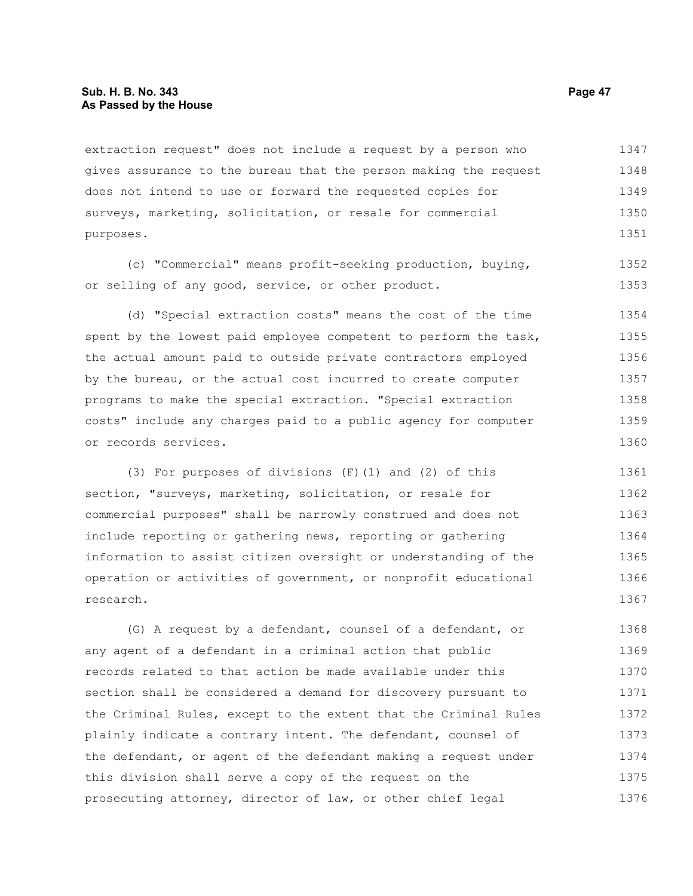#### **Sub. H. B. No. 343 Page 47 As Passed by the House**

extraction request" does not include a request by a person who gives assurance to the bureau that the person making the request does not intend to use or forward the requested copies for surveys, marketing, solicitation, or resale for commercial purposes. 1347 1348 1349 1350 1351

(c) "Commercial" means profit-seeking production, buying, or selling of any good, service, or other product. 1352 1353

(d) "Special extraction costs" means the cost of the time spent by the lowest paid employee competent to perform the task, the actual amount paid to outside private contractors employed by the bureau, or the actual cost incurred to create computer programs to make the special extraction. "Special extraction costs" include any charges paid to a public agency for computer or records services. 1354 1355 1356 1357 1358 1359 1360

(3) For purposes of divisions (F)(1) and (2) of this section, "surveys, marketing, solicitation, or resale for commercial purposes" shall be narrowly construed and does not include reporting or gathering news, reporting or gathering information to assist citizen oversight or understanding of the operation or activities of government, or nonprofit educational research. 1361 1362 1363 1364 1365 1366 1367

(G) A request by a defendant, counsel of a defendant, or any agent of a defendant in a criminal action that public records related to that action be made available under this section shall be considered a demand for discovery pursuant to the Criminal Rules, except to the extent that the Criminal Rules plainly indicate a contrary intent. The defendant, counsel of the defendant, or agent of the defendant making a request under this division shall serve a copy of the request on the prosecuting attorney, director of law, or other chief legal 1368 1369 1370 1371 1372 1373 1374 1375 1376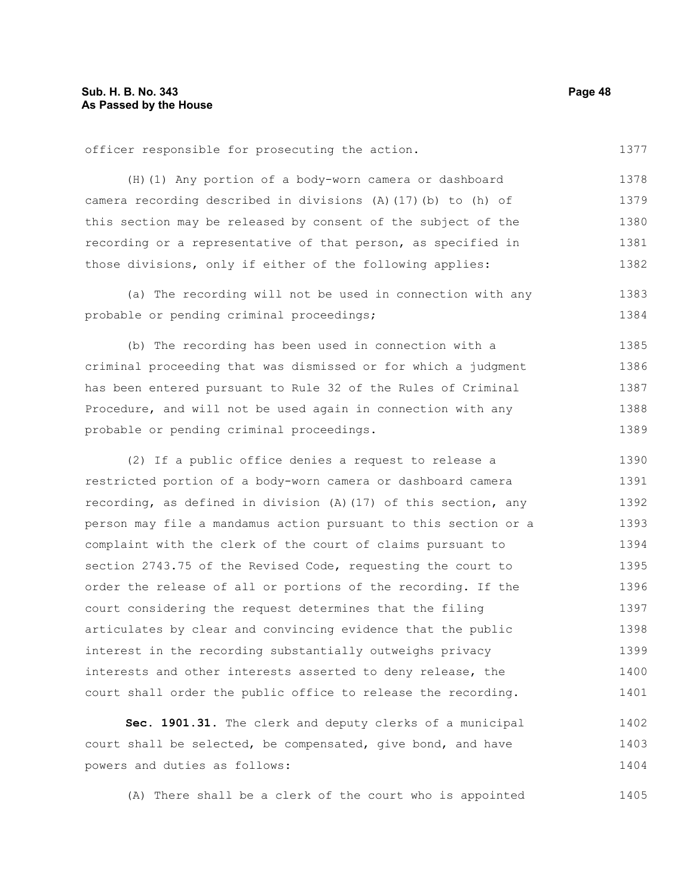#### officer responsible for prosecuting the action.

(H)(1) Any portion of a body-worn camera or dashboard camera recording described in divisions (A)(17)(b) to (h) of this section may be released by consent of the subject of the recording or a representative of that person, as specified in those divisions, only if either of the following applies: 1378 1379 1380 1381 1382

(a) The recording will not be used in connection with any probable or pending criminal proceedings;

(b) The recording has been used in connection with a criminal proceeding that was dismissed or for which a judgment has been entered pursuant to Rule 32 of the Rules of Criminal Procedure, and will not be used again in connection with any probable or pending criminal proceedings. 1385 1386 1387 1388 1389

(2) If a public office denies a request to release a restricted portion of a body-worn camera or dashboard camera recording, as defined in division  $(A)$  (17) of this section, any person may file a mandamus action pursuant to this section or a complaint with the clerk of the court of claims pursuant to section 2743.75 of the Revised Code, requesting the court to order the release of all or portions of the recording. If the court considering the request determines that the filing articulates by clear and convincing evidence that the public interest in the recording substantially outweighs privacy interests and other interests asserted to deny release, the court shall order the public office to release the recording. 1390 1391 1392 1393 1394 1395 1396 1397 1398 1399 1400 1401

**Sec. 1901.31.** The clerk and deputy clerks of a municipal court shall be selected, be compensated, give bond, and have powers and duties as follows: 1402 1403 1404

(A) There shall be a clerk of the court who is appointed 1405

1377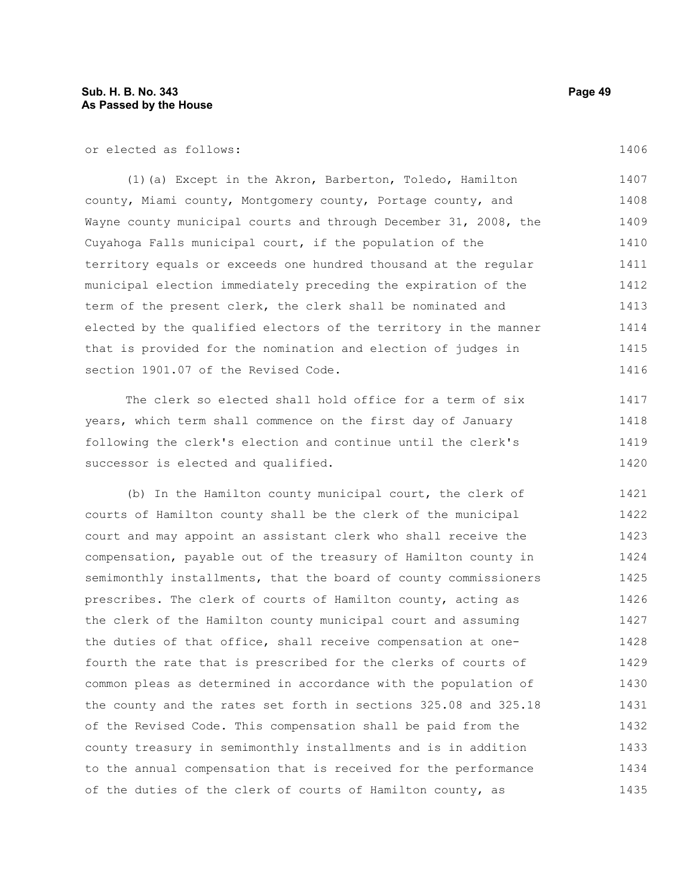or elected as follows:

(1)(a) Except in the Akron, Barberton, Toledo, Hamilton county, Miami county, Montgomery county, Portage county, and Wayne county municipal courts and through December 31, 2008, the Cuyahoga Falls municipal court, if the population of the territory equals or exceeds one hundred thousand at the regular municipal election immediately preceding the expiration of the term of the present clerk, the clerk shall be nominated and elected by the qualified electors of the territory in the manner that is provided for the nomination and election of judges in section 1901.07 of the Revised Code. 1407 1408 1409 1410 1411 1412 1413 1414 1415 1416

The clerk so elected shall hold office for a term of six years, which term shall commence on the first day of January following the clerk's election and continue until the clerk's successor is elected and qualified. 1417 1418 1419 1420

(b) In the Hamilton county municipal court, the clerk of courts of Hamilton county shall be the clerk of the municipal court and may appoint an assistant clerk who shall receive the compensation, payable out of the treasury of Hamilton county in semimonthly installments, that the board of county commissioners prescribes. The clerk of courts of Hamilton county, acting as the clerk of the Hamilton county municipal court and assuming the duties of that office, shall receive compensation at onefourth the rate that is prescribed for the clerks of courts of common pleas as determined in accordance with the population of the county and the rates set forth in sections 325.08 and 325.18 of the Revised Code. This compensation shall be paid from the county treasury in semimonthly installments and is in addition to the annual compensation that is received for the performance of the duties of the clerk of courts of Hamilton county, as 1421 1422 1423 1424 1425 1426 1427 1428 1429 1430 1431 1432 1433 1434 1435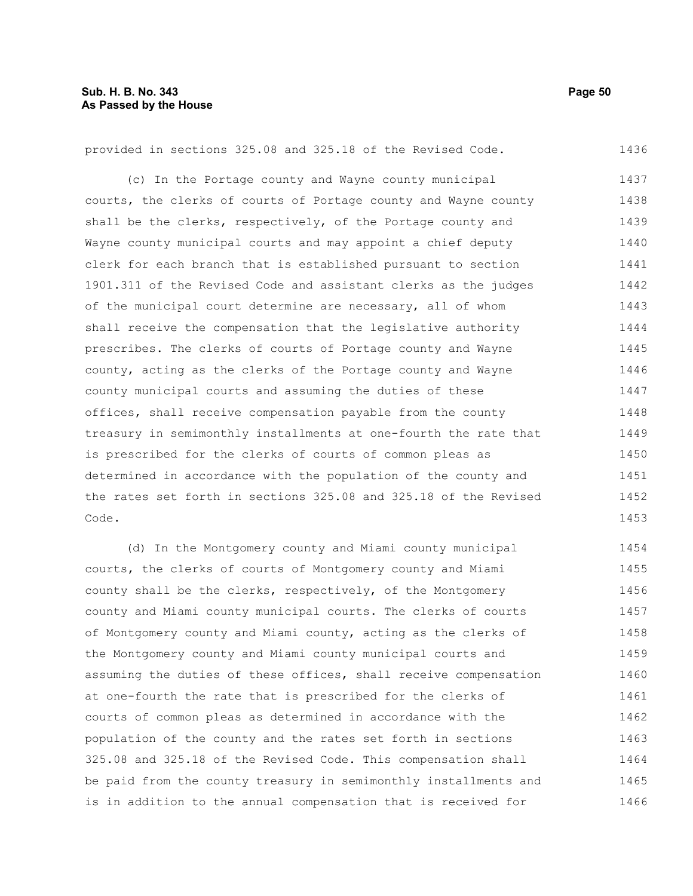provided in sections 325.08 and 325.18 of the Revised Code. 1436

(c) In the Portage county and Wayne county municipal courts, the clerks of courts of Portage county and Wayne county shall be the clerks, respectively, of the Portage county and Wayne county municipal courts and may appoint a chief deputy clerk for each branch that is established pursuant to section 1901.311 of the Revised Code and assistant clerks as the judges of the municipal court determine are necessary, all of whom shall receive the compensation that the legislative authority prescribes. The clerks of courts of Portage county and Wayne county, acting as the clerks of the Portage county and Wayne county municipal courts and assuming the duties of these offices, shall receive compensation payable from the county treasury in semimonthly installments at one-fourth the rate that is prescribed for the clerks of courts of common pleas as determined in accordance with the population of the county and the rates set forth in sections 325.08 and 325.18 of the Revised Code. 1437 1438 1439 1440 1441 1442 1443 1444 1445 1446 1447 1448 1449 1450 1451 1452 1453

(d) In the Montgomery county and Miami county municipal courts, the clerks of courts of Montgomery county and Miami county shall be the clerks, respectively, of the Montgomery county and Miami county municipal courts. The clerks of courts of Montgomery county and Miami county, acting as the clerks of the Montgomery county and Miami county municipal courts and assuming the duties of these offices, shall receive compensation at one-fourth the rate that is prescribed for the clerks of courts of common pleas as determined in accordance with the population of the county and the rates set forth in sections 325.08 and 325.18 of the Revised Code. This compensation shall be paid from the county treasury in semimonthly installments and is in addition to the annual compensation that is received for 1454 1455 1456 1457 1458 1459 1460 1461 1462 1463 1464 1465 1466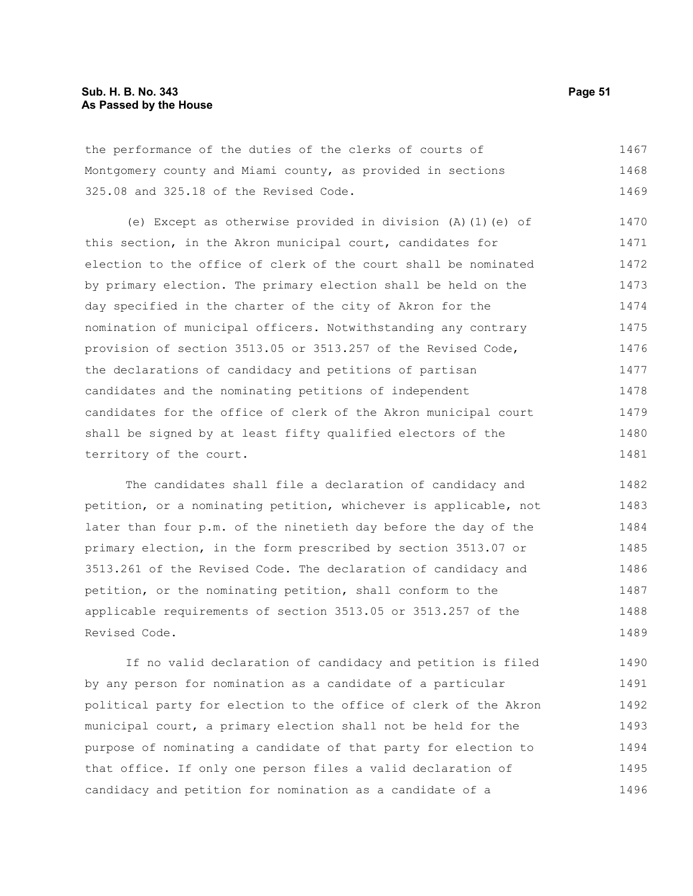the performance of the duties of the clerks of courts of Montgomery county and Miami county, as provided in sections 325.08 and 325.18 of the Revised Code. 1467 1468 1469

(e) Except as otherwise provided in division (A)(1)(e) of this section, in the Akron municipal court, candidates for election to the office of clerk of the court shall be nominated by primary election. The primary election shall be held on the day specified in the charter of the city of Akron for the nomination of municipal officers. Notwithstanding any contrary provision of section 3513.05 or 3513.257 of the Revised Code, the declarations of candidacy and petitions of partisan candidates and the nominating petitions of independent candidates for the office of clerk of the Akron municipal court shall be signed by at least fifty qualified electors of the territory of the court. 1470 1471 1472 1473 1474 1475 1476 1477 1478 1479 1480 1481

The candidates shall file a declaration of candidacy and petition, or a nominating petition, whichever is applicable, not later than four p.m. of the ninetieth day before the day of the primary election, in the form prescribed by section 3513.07 or 3513.261 of the Revised Code. The declaration of candidacy and petition, or the nominating petition, shall conform to the applicable requirements of section 3513.05 or 3513.257 of the Revised Code. 1482 1483 1484 1485 1486 1487 1488 1489

If no valid declaration of candidacy and petition is filed by any person for nomination as a candidate of a particular political party for election to the office of clerk of the Akron municipal court, a primary election shall not be held for the purpose of nominating a candidate of that party for election to that office. If only one person files a valid declaration of candidacy and petition for nomination as a candidate of a 1490 1491 1492 1493 1494 1495 1496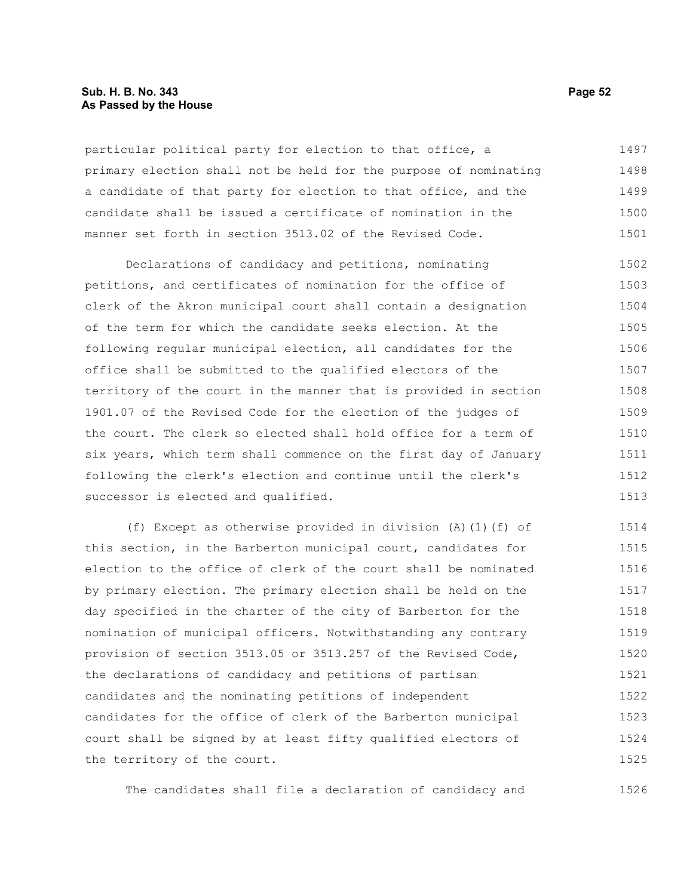# **Sub. H. B. No. 343 Page 52 As Passed by the House**

particular political party for election to that office, a primary election shall not be held for the purpose of nominating a candidate of that party for election to that office, and the candidate shall be issued a certificate of nomination in the manner set forth in section 3513.02 of the Revised Code. 1497 1498 1499 1500 1501

Declarations of candidacy and petitions, nominating petitions, and certificates of nomination for the office of clerk of the Akron municipal court shall contain a designation of the term for which the candidate seeks election. At the following regular municipal election, all candidates for the office shall be submitted to the qualified electors of the territory of the court in the manner that is provided in section 1901.07 of the Revised Code for the election of the judges of the court. The clerk so elected shall hold office for a term of six years, which term shall commence on the first day of January following the clerk's election and continue until the clerk's successor is elected and qualified. 1502 1503 1504 1505 1506 1507 1508 1509 1510 1511 1512 1513

(f) Except as otherwise provided in division (A)(1)(f) of this section, in the Barberton municipal court, candidates for election to the office of clerk of the court shall be nominated by primary election. The primary election shall be held on the day specified in the charter of the city of Barberton for the nomination of municipal officers. Notwithstanding any contrary provision of section 3513.05 or 3513.257 of the Revised Code, the declarations of candidacy and petitions of partisan candidates and the nominating petitions of independent candidates for the office of clerk of the Barberton municipal court shall be signed by at least fifty qualified electors of the territory of the court. 1514 1515 1516 1517 1518 1519 1520 1521 1522 1523 1524 1525

The candidates shall file a declaration of candidacy and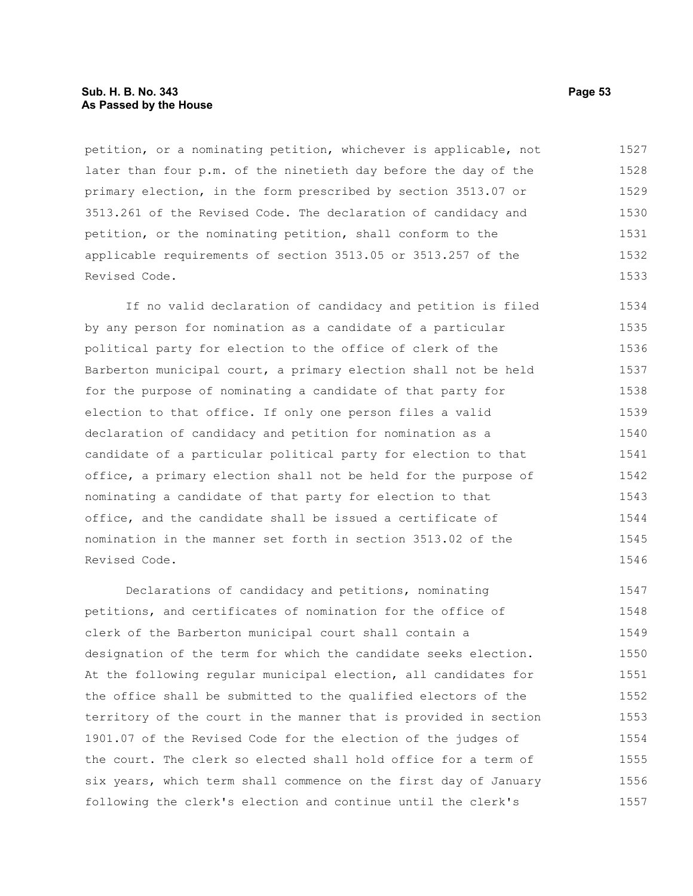# **Sub. H. B. No. 343 Page 53 As Passed by the House**

petition, or a nominating petition, whichever is applicable, not later than four p.m. of the ninetieth day before the day of the primary election, in the form prescribed by section 3513.07 or 3513.261 of the Revised Code. The declaration of candidacy and petition, or the nominating petition, shall conform to the applicable requirements of section 3513.05 or 3513.257 of the Revised Code. 1527 1528 1529 1530 1531 1532 1533

If no valid declaration of candidacy and petition is filed by any person for nomination as a candidate of a particular political party for election to the office of clerk of the Barberton municipal court, a primary election shall not be held for the purpose of nominating a candidate of that party for election to that office. If only one person files a valid declaration of candidacy and petition for nomination as a candidate of a particular political party for election to that office, a primary election shall not be held for the purpose of nominating a candidate of that party for election to that office, and the candidate shall be issued a certificate of nomination in the manner set forth in section 3513.02 of the Revised Code. 1534 1535 1536 1537 1538 1539 1540 1541 1542 1543 1544 1545 1546

Declarations of candidacy and petitions, nominating petitions, and certificates of nomination for the office of clerk of the Barberton municipal court shall contain a designation of the term for which the candidate seeks election. At the following regular municipal election, all candidates for the office shall be submitted to the qualified electors of the territory of the court in the manner that is provided in section 1901.07 of the Revised Code for the election of the judges of the court. The clerk so elected shall hold office for a term of six years, which term shall commence on the first day of January following the clerk's election and continue until the clerk's 1547 1548 1549 1550 1551 1552 1553 1554 1555 1556 1557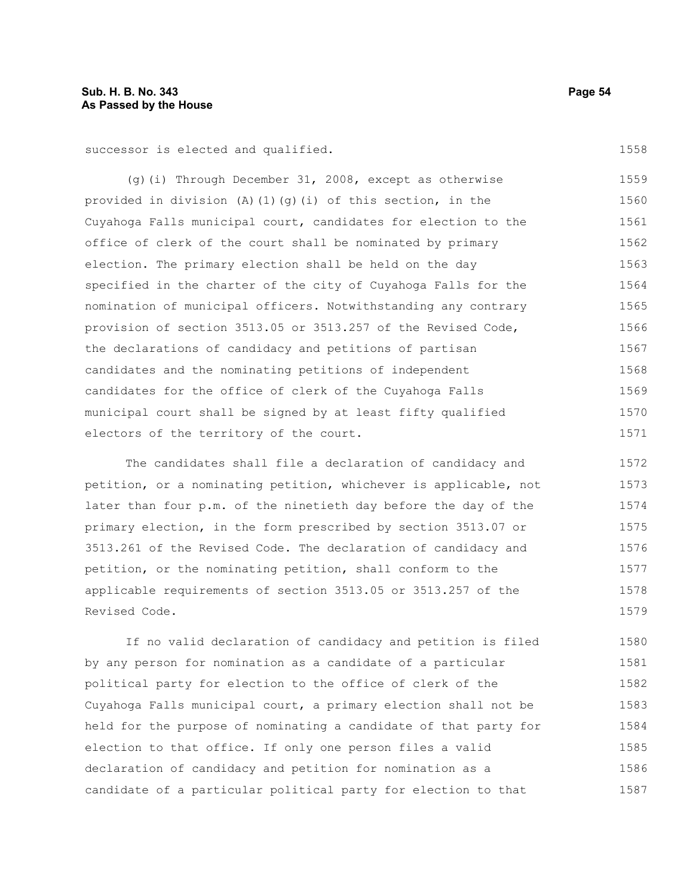successor is elected and qualified.

(g)(i) Through December 31, 2008, except as otherwise provided in division (A)(1)(g)(i) of this section, in the Cuyahoga Falls municipal court, candidates for election to the office of clerk of the court shall be nominated by primary election. The primary election shall be held on the day specified in the charter of the city of Cuyahoga Falls for the nomination of municipal officers. Notwithstanding any contrary provision of section 3513.05 or 3513.257 of the Revised Code, the declarations of candidacy and petitions of partisan candidates and the nominating petitions of independent candidates for the office of clerk of the Cuyahoga Falls municipal court shall be signed by at least fifty qualified electors of the territory of the court. 1559 1560 1561 1562 1563 1564 1565 1566 1567 1568 1569 1570 1571

The candidates shall file a declaration of candidacy and petition, or a nominating petition, whichever is applicable, not later than four p.m. of the ninetieth day before the day of the primary election, in the form prescribed by section 3513.07 or 3513.261 of the Revised Code. The declaration of candidacy and petition, or the nominating petition, shall conform to the applicable requirements of section 3513.05 or 3513.257 of the Revised Code. 1572 1573 1574 1575 1576 1577 1578 1579

If no valid declaration of candidacy and petition is filed by any person for nomination as a candidate of a particular political party for election to the office of clerk of the Cuyahoga Falls municipal court, a primary election shall not be held for the purpose of nominating a candidate of that party for election to that office. If only one person files a valid declaration of candidacy and petition for nomination as a candidate of a particular political party for election to that 1580 1581 1582 1583 1584 1585 1586 1587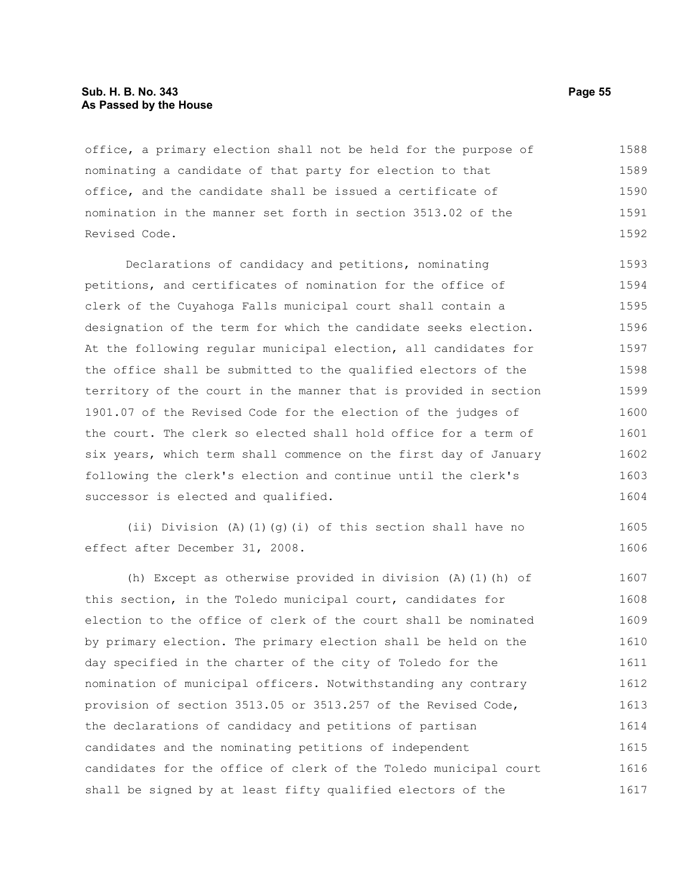#### **Sub. H. B. No. 343 Page 55 As Passed by the House**

office, a primary election shall not be held for the purpose of nominating a candidate of that party for election to that office, and the candidate shall be issued a certificate of nomination in the manner set forth in section 3513.02 of the Revised Code. 1588 1589 1590 1591 1592

Declarations of candidacy and petitions, nominating petitions, and certificates of nomination for the office of clerk of the Cuyahoga Falls municipal court shall contain a designation of the term for which the candidate seeks election. At the following regular municipal election, all candidates for the office shall be submitted to the qualified electors of the territory of the court in the manner that is provided in section 1901.07 of the Revised Code for the election of the judges of the court. The clerk so elected shall hold office for a term of six years, which term shall commence on the first day of January following the clerk's election and continue until the clerk's successor is elected and qualified. 1593 1594 1595 1596 1597 1598 1599 1600 1601 1602 1603 1604

(ii) Division (A)(1)(g)(i) of this section shall have no effect after December 31, 2008. 1605 1606

(h) Except as otherwise provided in division (A)(1)(h) of this section, in the Toledo municipal court, candidates for election to the office of clerk of the court shall be nominated by primary election. The primary election shall be held on the day specified in the charter of the city of Toledo for the nomination of municipal officers. Notwithstanding any contrary provision of section 3513.05 or 3513.257 of the Revised Code, the declarations of candidacy and petitions of partisan candidates and the nominating petitions of independent candidates for the office of clerk of the Toledo municipal court shall be signed by at least fifty qualified electors of the 1607 1608 1609 1610 1611 1612 1613 1614 1615 1616 1617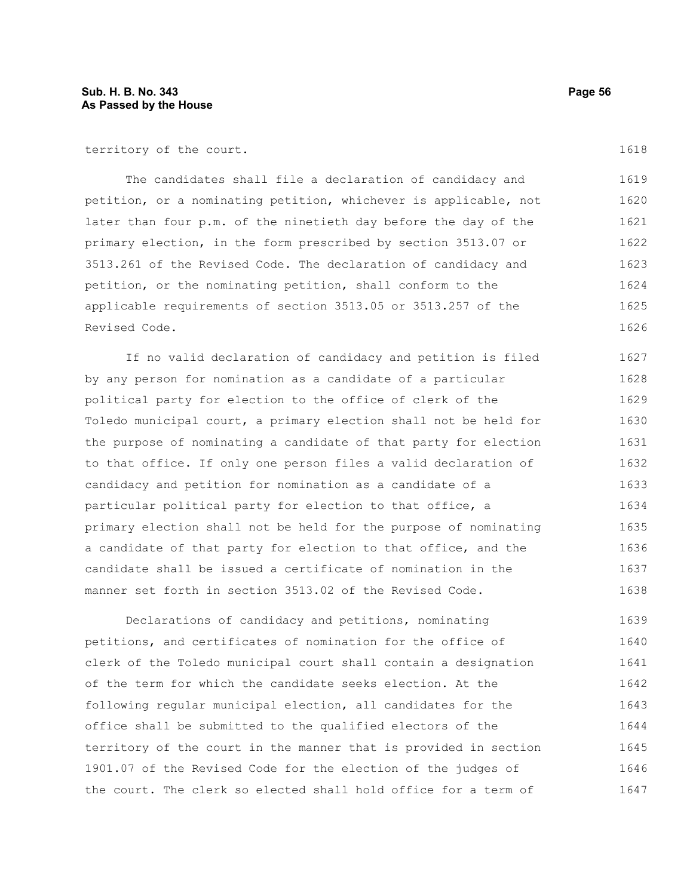territory of the court.

The candidates shall file a declaration of candidacy and petition, or a nominating petition, whichever is applicable, not later than four p.m. of the ninetieth day before the day of the primary election, in the form prescribed by section 3513.07 or 3513.261 of the Revised Code. The declaration of candidacy and petition, or the nominating petition, shall conform to the applicable requirements of section 3513.05 or 3513.257 of the Revised Code. 1619 1620 1621 1622 1623 1624 1625 1626

If no valid declaration of candidacy and petition is filed by any person for nomination as a candidate of a particular political party for election to the office of clerk of the Toledo municipal court, a primary election shall not be held for the purpose of nominating a candidate of that party for election to that office. If only one person files a valid declaration of candidacy and petition for nomination as a candidate of a particular political party for election to that office, a primary election shall not be held for the purpose of nominating a candidate of that party for election to that office, and the candidate shall be issued a certificate of nomination in the manner set forth in section 3513.02 of the Revised Code. 1627 1628 1629 1630 1631 1632 1633 1634 1635 1636 1637 1638

Declarations of candidacy and petitions, nominating petitions, and certificates of nomination for the office of clerk of the Toledo municipal court shall contain a designation of the term for which the candidate seeks election. At the following regular municipal election, all candidates for the office shall be submitted to the qualified electors of the territory of the court in the manner that is provided in section 1901.07 of the Revised Code for the election of the judges of the court. The clerk so elected shall hold office for a term of 1639 1640 1641 1642 1643 1644 1645 1646 1647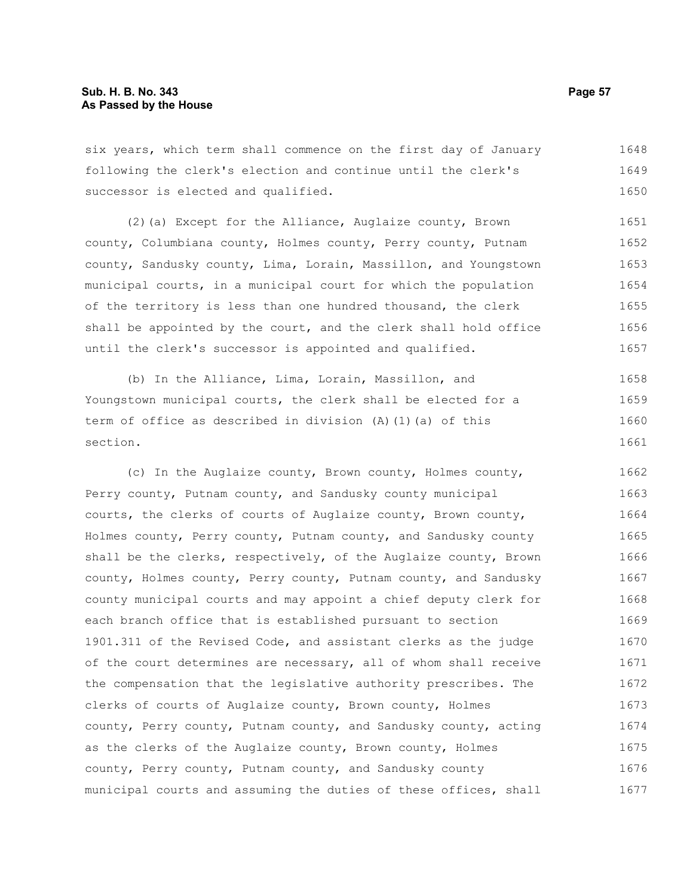six years, which term shall commence on the first day of January following the clerk's election and continue until the clerk's successor is elected and qualified. 1648 1649 1650

(2)(a) Except for the Alliance, Auglaize county, Brown county, Columbiana county, Holmes county, Perry county, Putnam county, Sandusky county, Lima, Lorain, Massillon, and Youngstown municipal courts, in a municipal court for which the population of the territory is less than one hundred thousand, the clerk shall be appointed by the court, and the clerk shall hold office until the clerk's successor is appointed and qualified. 1651 1652 1653 1654 1655 1656 1657

(b) In the Alliance, Lima, Lorain, Massillon, and Youngstown municipal courts, the clerk shall be elected for a term of office as described in division (A)(1)(a) of this section. 1658 1659 1660 1661

(c) In the Auglaize county, Brown county, Holmes county, Perry county, Putnam county, and Sandusky county municipal courts, the clerks of courts of Auglaize county, Brown county, Holmes county, Perry county, Putnam county, and Sandusky county shall be the clerks, respectively, of the Auglaize county, Brown county, Holmes county, Perry county, Putnam county, and Sandusky county municipal courts and may appoint a chief deputy clerk for each branch office that is established pursuant to section 1901.311 of the Revised Code, and assistant clerks as the judge of the court determines are necessary, all of whom shall receive the compensation that the legislative authority prescribes. The clerks of courts of Auglaize county, Brown county, Holmes county, Perry county, Putnam county, and Sandusky county, acting as the clerks of the Auglaize county, Brown county, Holmes county, Perry county, Putnam county, and Sandusky county municipal courts and assuming the duties of these offices, shall 1662 1663 1664 1665 1666 1667 1668 1669 1670 1671 1672 1673 1674 1675 1676 1677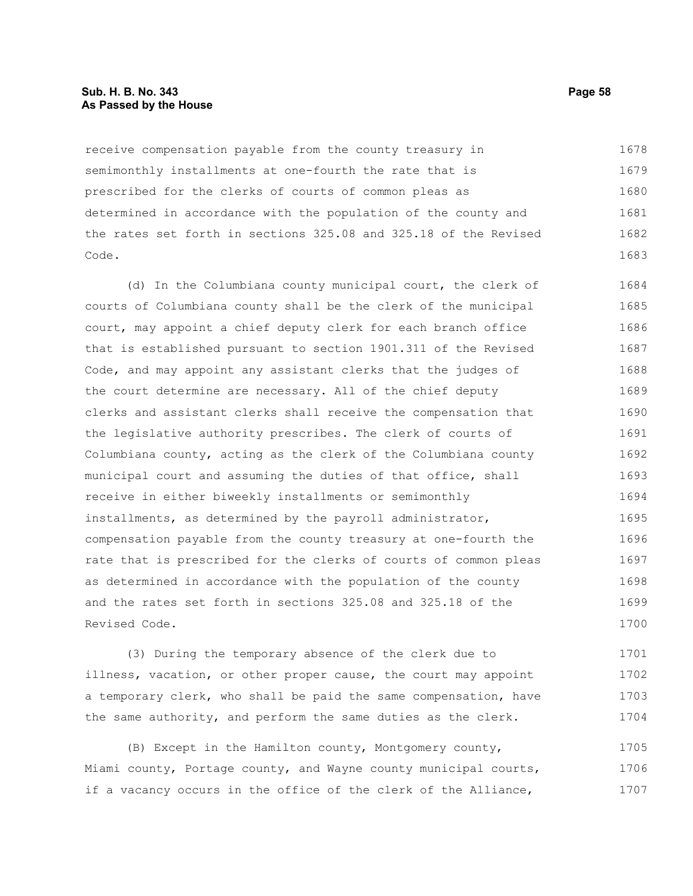## **Sub. H. B. No. 343 Page 58 As Passed by the House**

receive compensation payable from the county treasury in semimonthly installments at one-fourth the rate that is prescribed for the clerks of courts of common pleas as determined in accordance with the population of the county and the rates set forth in sections 325.08 and 325.18 of the Revised Code. 1678 1679 1680 1681 1682 1683

(d) In the Columbiana county municipal court, the clerk of courts of Columbiana county shall be the clerk of the municipal court, may appoint a chief deputy clerk for each branch office that is established pursuant to section 1901.311 of the Revised Code, and may appoint any assistant clerks that the judges of the court determine are necessary. All of the chief deputy clerks and assistant clerks shall receive the compensation that the legislative authority prescribes. The clerk of courts of Columbiana county, acting as the clerk of the Columbiana county municipal court and assuming the duties of that office, shall receive in either biweekly installments or semimonthly installments, as determined by the payroll administrator, compensation payable from the county treasury at one-fourth the rate that is prescribed for the clerks of courts of common pleas as determined in accordance with the population of the county and the rates set forth in sections 325.08 and 325.18 of the Revised Code. 1684 1685 1686 1687 1688 1689 1690 1691 1692 1693 1694 1695 1696 1697 1698 1699 1700

(3) During the temporary absence of the clerk due to illness, vacation, or other proper cause, the court may appoint a temporary clerk, who shall be paid the same compensation, have the same authority, and perform the same duties as the clerk. 1701 1702 1703 1704

(B) Except in the Hamilton county, Montgomery county, Miami county, Portage county, and Wayne county municipal courts, if a vacancy occurs in the office of the clerk of the Alliance, 1705 1706 1707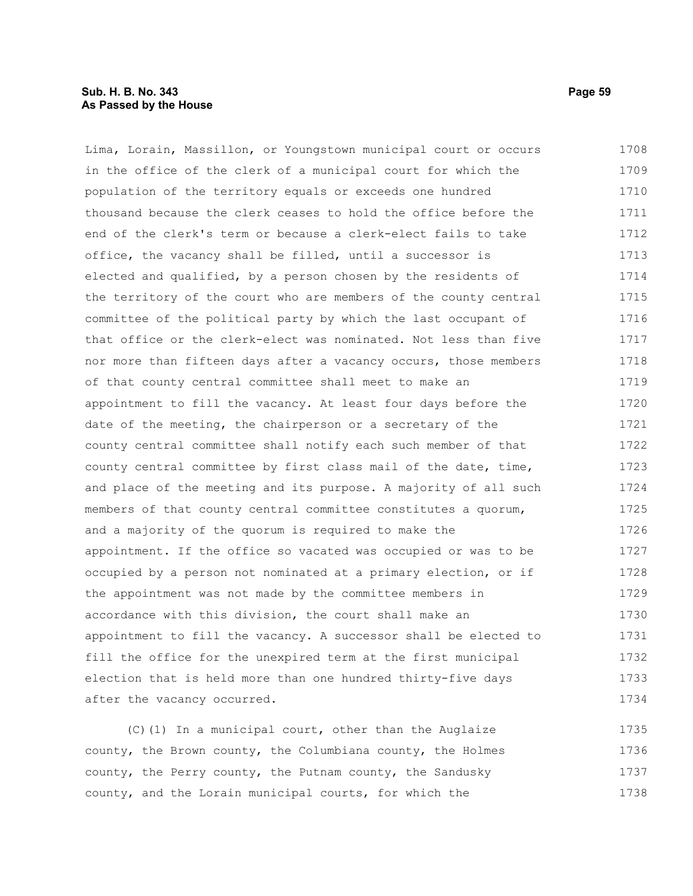# **Sub. H. B. No. 343 Page 59 As Passed by the House**

Lima, Lorain, Massillon, or Youngstown municipal court or occurs in the office of the clerk of a municipal court for which the population of the territory equals or exceeds one hundred thousand because the clerk ceases to hold the office before the end of the clerk's term or because a clerk-elect fails to take office, the vacancy shall be filled, until a successor is elected and qualified, by a person chosen by the residents of the territory of the court who are members of the county central committee of the political party by which the last occupant of that office or the clerk-elect was nominated. Not less than five nor more than fifteen days after a vacancy occurs, those members of that county central committee shall meet to make an appointment to fill the vacancy. At least four days before the date of the meeting, the chairperson or a secretary of the county central committee shall notify each such member of that county central committee by first class mail of the date, time, and place of the meeting and its purpose. A majority of all such members of that county central committee constitutes a quorum, and a majority of the quorum is required to make the appointment. If the office so vacated was occupied or was to be occupied by a person not nominated at a primary election, or if the appointment was not made by the committee members in accordance with this division, the court shall make an appointment to fill the vacancy. A successor shall be elected to fill the office for the unexpired term at the first municipal election that is held more than one hundred thirty-five days after the vacancy occurred. 1708 1709 1710 1711 1712 1713 1714 1715 1716 1717 1718 1719 1720 1721 1722 1723 1724 1725 1726 1727 1728 1729 1730 1731 1732 1733 1734

(C)(1) In a municipal court, other than the Auglaize county, the Brown county, the Columbiana county, the Holmes county, the Perry county, the Putnam county, the Sandusky county, and the Lorain municipal courts, for which the 1735 1736 1737 1738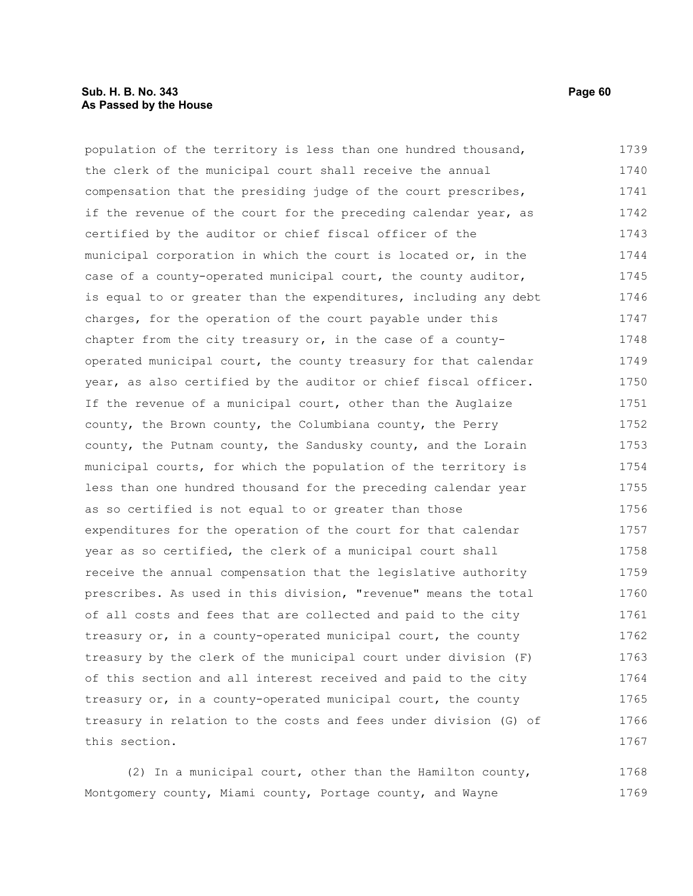# **Sub. H. B. No. 343 Page 60 As Passed by the House**

population of the territory is less than one hundred thousand, the clerk of the municipal court shall receive the annual compensation that the presiding judge of the court prescribes, if the revenue of the court for the preceding calendar year, as certified by the auditor or chief fiscal officer of the municipal corporation in which the court is located or, in the case of a county-operated municipal court, the county auditor, is equal to or greater than the expenditures, including any debt charges, for the operation of the court payable under this chapter from the city treasury or, in the case of a countyoperated municipal court, the county treasury for that calendar year, as also certified by the auditor or chief fiscal officer. If the revenue of a municipal court, other than the Auglaize county, the Brown county, the Columbiana county, the Perry county, the Putnam county, the Sandusky county, and the Lorain municipal courts, for which the population of the territory is less than one hundred thousand for the preceding calendar year as so certified is not equal to or greater than those expenditures for the operation of the court for that calendar year as so certified, the clerk of a municipal court shall receive the annual compensation that the legislative authority prescribes. As used in this division, "revenue" means the total of all costs and fees that are collected and paid to the city treasury or, in a county-operated municipal court, the county treasury by the clerk of the municipal court under division (F) of this section and all interest received and paid to the city treasury or, in a county-operated municipal court, the county treasury in relation to the costs and fees under division (G) of this section. 1739 1740 1741 1742 1743 1744 1745 1746 1747 1748 1749 1750 1751 1752 1753 1754 1755 1756 1757 1758 1759 1760 1761 1762 1763 1764 1765 1766 1767

(2) In a municipal court, other than the Hamilton county, Montgomery county, Miami county, Portage county, and Wayne 1768 1769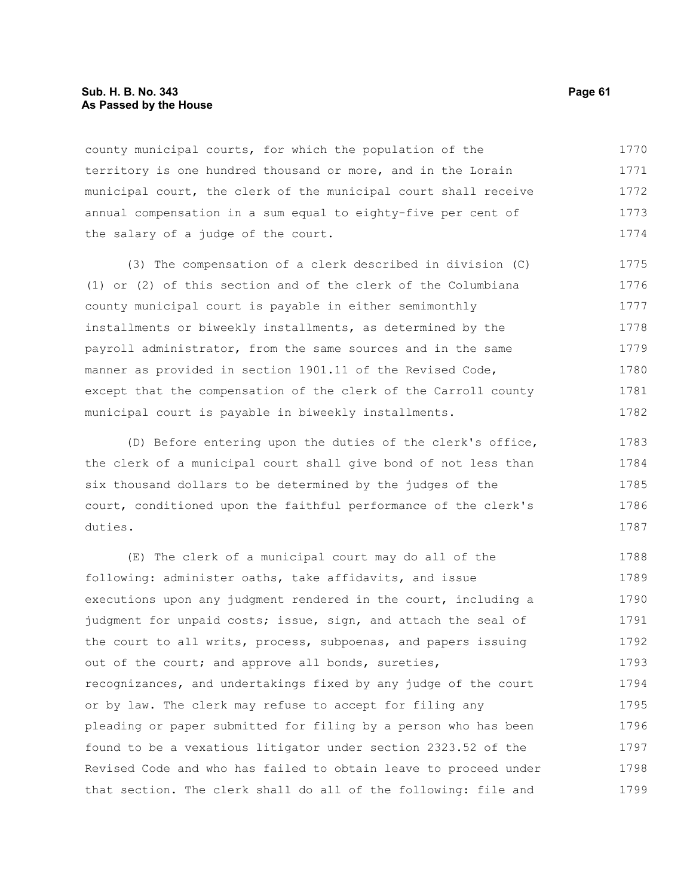# **Sub. H. B. No. 343 Page 61 As Passed by the House**

county municipal courts, for which the population of the territory is one hundred thousand or more, and in the Lorain municipal court, the clerk of the municipal court shall receive annual compensation in a sum equal to eighty-five per cent of the salary of a judge of the court. 1770 1771 1772 1773 1774

(3) The compensation of a clerk described in division (C) (1) or (2) of this section and of the clerk of the Columbiana county municipal court is payable in either semimonthly installments or biweekly installments, as determined by the payroll administrator, from the same sources and in the same manner as provided in section 1901.11 of the Revised Code, except that the compensation of the clerk of the Carroll county municipal court is payable in biweekly installments. 1775 1776 1777 1778 1779 1780 1781 1782

(D) Before entering upon the duties of the clerk's office, the clerk of a municipal court shall give bond of not less than six thousand dollars to be determined by the judges of the court, conditioned upon the faithful performance of the clerk's duties. 1783 1784 1785 1786 1787

(E) The clerk of a municipal court may do all of the following: administer oaths, take affidavits, and issue executions upon any judgment rendered in the court, including a judgment for unpaid costs; issue, sign, and attach the seal of the court to all writs, process, subpoenas, and papers issuing out of the court; and approve all bonds, sureties, recognizances, and undertakings fixed by any judge of the court or by law. The clerk may refuse to accept for filing any pleading or paper submitted for filing by a person who has been found to be a vexatious litigator under section 2323.52 of the Revised Code and who has failed to obtain leave to proceed under that section. The clerk shall do all of the following: file and 1788 1789 1790 1791 1792 1793 1794 1795 1796 1797 1798 1799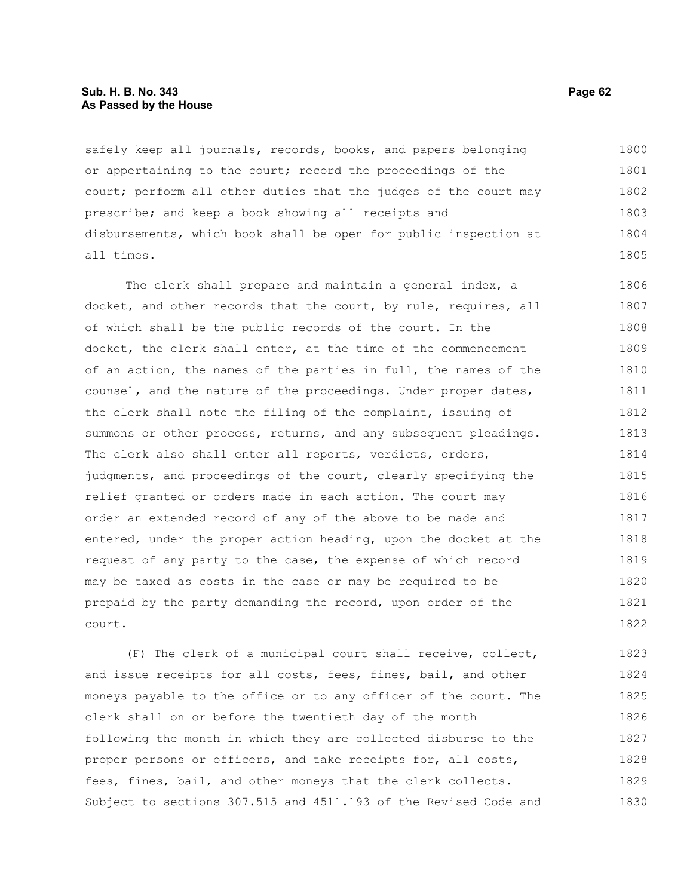# **Sub. H. B. No. 343 Page 62 As Passed by the House**

safely keep all journals, records, books, and papers belonging or appertaining to the court; record the proceedings of the court; perform all other duties that the judges of the court may prescribe; and keep a book showing all receipts and disbursements, which book shall be open for public inspection at all times. 1800 1801 1802 1803 1804 1805

The clerk shall prepare and maintain a general index, a docket, and other records that the court, by rule, requires, all of which shall be the public records of the court. In the docket, the clerk shall enter, at the time of the commencement of an action, the names of the parties in full, the names of the counsel, and the nature of the proceedings. Under proper dates, the clerk shall note the filing of the complaint, issuing of summons or other process, returns, and any subsequent pleadings. The clerk also shall enter all reports, verdicts, orders, judgments, and proceedings of the court, clearly specifying the relief granted or orders made in each action. The court may order an extended record of any of the above to be made and entered, under the proper action heading, upon the docket at the request of any party to the case, the expense of which record may be taxed as costs in the case or may be required to be prepaid by the party demanding the record, upon order of the court. 1806 1807 1808 1809 1810 1811 1812 1813 1814 1815 1816 1817 1818 1819 1820 1821 1822

(F) The clerk of a municipal court shall receive, collect, and issue receipts for all costs, fees, fines, bail, and other moneys payable to the office or to any officer of the court. The clerk shall on or before the twentieth day of the month following the month in which they are collected disburse to the proper persons or officers, and take receipts for, all costs, fees, fines, bail, and other moneys that the clerk collects. Subject to sections 307.515 and 4511.193 of the Revised Code and 1823 1824 1825 1826 1827 1828 1829 1830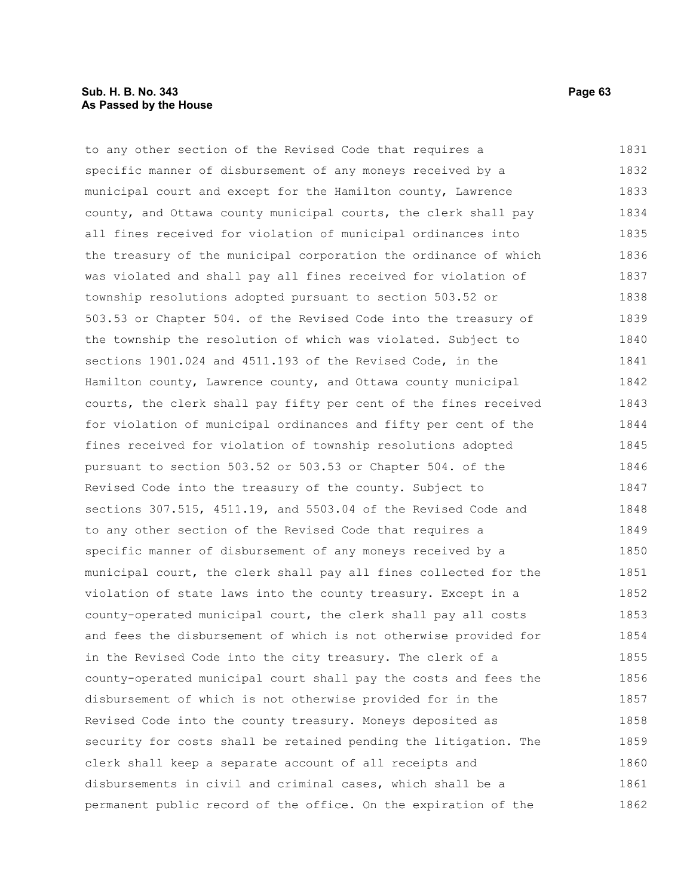# **Sub. H. B. No. 343 Page 63 As Passed by the House**

to any other section of the Revised Code that requires a specific manner of disbursement of any moneys received by a municipal court and except for the Hamilton county, Lawrence county, and Ottawa county municipal courts, the clerk shall pay all fines received for violation of municipal ordinances into the treasury of the municipal corporation the ordinance of which was violated and shall pay all fines received for violation of township resolutions adopted pursuant to section 503.52 or 503.53 or Chapter 504. of the Revised Code into the treasury of the township the resolution of which was violated. Subject to sections 1901.024 and 4511.193 of the Revised Code, in the Hamilton county, Lawrence county, and Ottawa county municipal courts, the clerk shall pay fifty per cent of the fines received for violation of municipal ordinances and fifty per cent of the fines received for violation of township resolutions adopted pursuant to section 503.52 or 503.53 or Chapter 504. of the Revised Code into the treasury of the county. Subject to sections 307.515, 4511.19, and 5503.04 of the Revised Code and to any other section of the Revised Code that requires a specific manner of disbursement of any moneys received by a municipal court, the clerk shall pay all fines collected for the violation of state laws into the county treasury. Except in a county-operated municipal court, the clerk shall pay all costs and fees the disbursement of which is not otherwise provided for in the Revised Code into the city treasury. The clerk of a county-operated municipal court shall pay the costs and fees the disbursement of which is not otherwise provided for in the Revised Code into the county treasury. Moneys deposited as security for costs shall be retained pending the litigation. The clerk shall keep a separate account of all receipts and disbursements in civil and criminal cases, which shall be a permanent public record of the office. On the expiration of the 1831 1832 1833 1834 1835 1836 1837 1838 1839 1840 1841 1842 1843 1844 1845 1846 1847 1848 1849 1850 1851 1852 1853 1854 1855 1856 1857 1858 1859 1860 1861 1862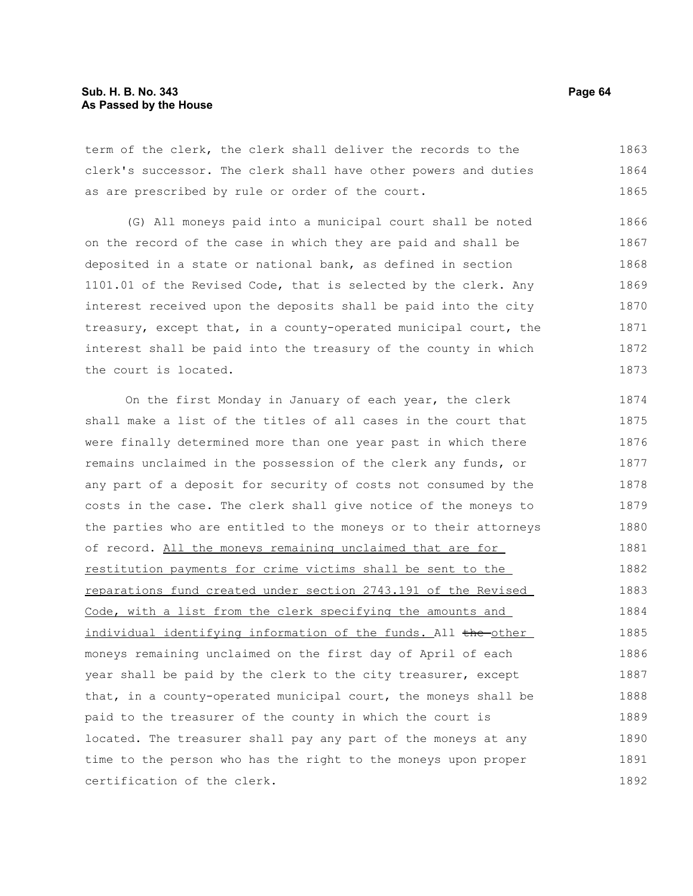term of the clerk, the clerk shall deliver the records to the clerk's successor. The clerk shall have other powers and duties as are prescribed by rule or order of the court. 1863 1864 1865

(G) All moneys paid into a municipal court shall be noted on the record of the case in which they are paid and shall be deposited in a state or national bank, as defined in section 1101.01 of the Revised Code, that is selected by the clerk. Any interest received upon the deposits shall be paid into the city treasury, except that, in a county-operated municipal court, the interest shall be paid into the treasury of the county in which the court is located. 1866 1867 1868 1869 1870 1871 1872 1873

On the first Monday in January of each year, the clerk shall make a list of the titles of all cases in the court that were finally determined more than one year past in which there remains unclaimed in the possession of the clerk any funds, or any part of a deposit for security of costs not consumed by the costs in the case. The clerk shall give notice of the moneys to the parties who are entitled to the moneys or to their attorneys of record. All the moneys remaining unclaimed that are for restitution payments for crime victims shall be sent to the reparations fund created under section 2743.191 of the Revised Code, with a list from the clerk specifying the amounts and individual identifying information of the funds. All the other moneys remaining unclaimed on the first day of April of each year shall be paid by the clerk to the city treasurer, except that, in a county-operated municipal court, the moneys shall be paid to the treasurer of the county in which the court is located. The treasurer shall pay any part of the moneys at any time to the person who has the right to the moneys upon proper certification of the clerk. 1874 1875 1876 1877 1878 1879 1880 1881 1882 1883 1884 1885 1886 1887 1888 1889 1890 1891 1892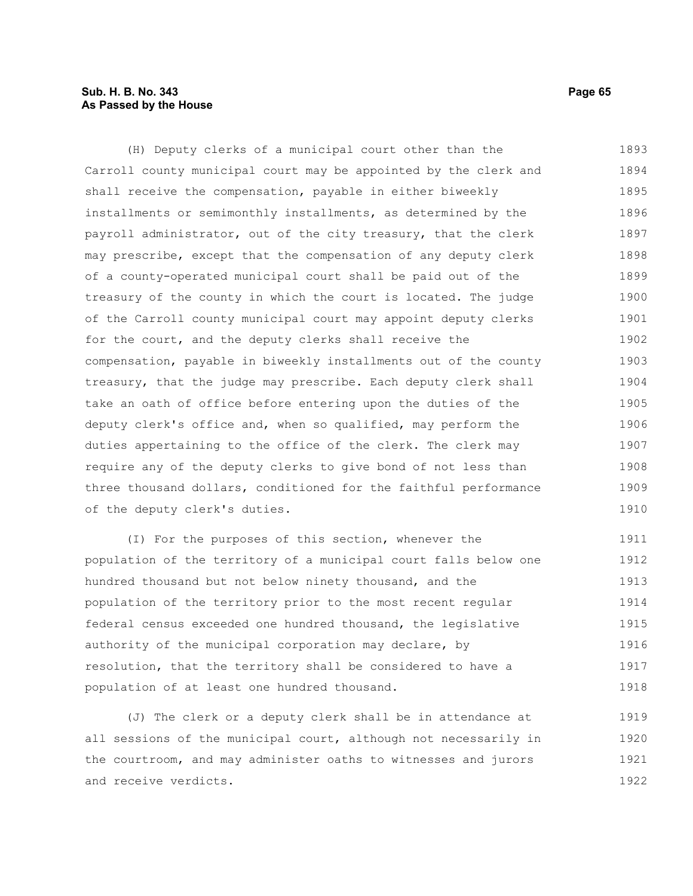# **Sub. H. B. No. 343 Page 65 As Passed by the House**

(H) Deputy clerks of a municipal court other than the Carroll county municipal court may be appointed by the clerk and shall receive the compensation, payable in either biweekly installments or semimonthly installments, as determined by the payroll administrator, out of the city treasury, that the clerk may prescribe, except that the compensation of any deputy clerk of a county-operated municipal court shall be paid out of the treasury of the county in which the court is located. The judge of the Carroll county municipal court may appoint deputy clerks for the court, and the deputy clerks shall receive the compensation, payable in biweekly installments out of the county treasury, that the judge may prescribe. Each deputy clerk shall take an oath of office before entering upon the duties of the deputy clerk's office and, when so qualified, may perform the duties appertaining to the office of the clerk. The clerk may require any of the deputy clerks to give bond of not less than three thousand dollars, conditioned for the faithful performance of the deputy clerk's duties. 1893 1894 1895 1896 1897 1898 1899 1900 1901 1902 1903 1904 1905 1906 1907 1908 1909 1910

(I) For the purposes of this section, whenever the population of the territory of a municipal court falls below one hundred thousand but not below ninety thousand, and the population of the territory prior to the most recent regular federal census exceeded one hundred thousand, the legislative authority of the municipal corporation may declare, by resolution, that the territory shall be considered to have a population of at least one hundred thousand. 1911 1912 1913 1914 1915 1916 1917 1918

(J) The clerk or a deputy clerk shall be in attendance at all sessions of the municipal court, although not necessarily in the courtroom, and may administer oaths to witnesses and jurors and receive verdicts. 1919 1920 1921 1922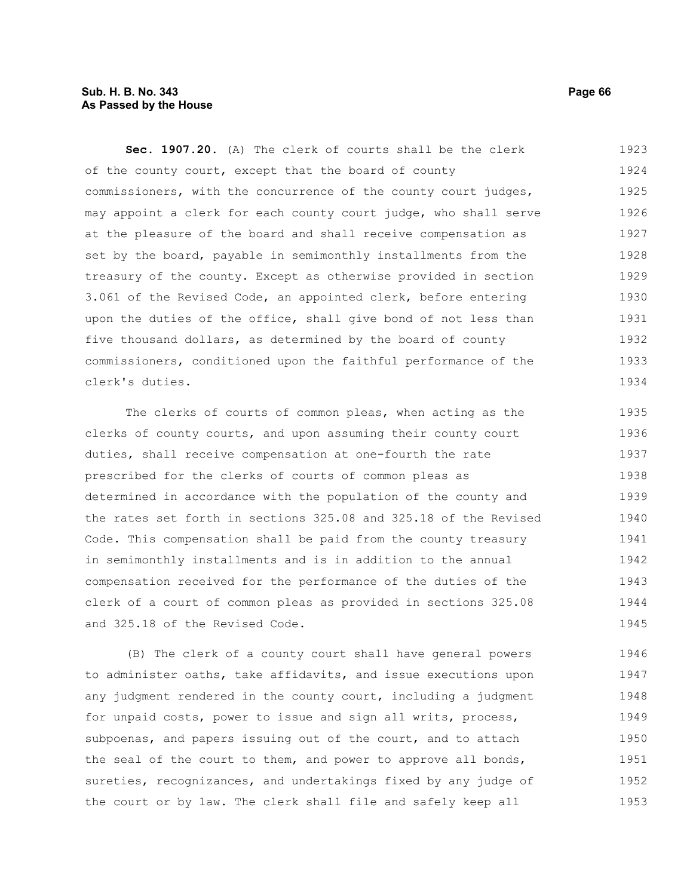# **Sub. H. B. No. 343 Page 66 As Passed by the House**

**Sec. 1907.20.** (A) The clerk of courts shall be the clerk of the county court, except that the board of county commissioners, with the concurrence of the county court judges, may appoint a clerk for each county court judge, who shall serve at the pleasure of the board and shall receive compensation as set by the board, payable in semimonthly installments from the treasury of the county. Except as otherwise provided in section 3.061 of the Revised Code, an appointed clerk, before entering upon the duties of the office, shall give bond of not less than five thousand dollars, as determined by the board of county commissioners, conditioned upon the faithful performance of the clerk's duties. 1923 1924 1925 1926 1927 1928 1929 1930 1931 1932 1933 1934

The clerks of courts of common pleas, when acting as the clerks of county courts, and upon assuming their county court duties, shall receive compensation at one-fourth the rate prescribed for the clerks of courts of common pleas as determined in accordance with the population of the county and the rates set forth in sections 325.08 and 325.18 of the Revised Code. This compensation shall be paid from the county treasury in semimonthly installments and is in addition to the annual compensation received for the performance of the duties of the clerk of a court of common pleas as provided in sections 325.08 and 325.18 of the Revised Code. 1935 1936 1937 1938 1939 1940 1941 1942 1943 1944 1945

(B) The clerk of a county court shall have general powers to administer oaths, take affidavits, and issue executions upon any judgment rendered in the county court, including a judgment for unpaid costs, power to issue and sign all writs, process, subpoenas, and papers issuing out of the court, and to attach the seal of the court to them, and power to approve all bonds, sureties, recognizances, and undertakings fixed by any judge of the court or by law. The clerk shall file and safely keep all 1946 1947 1948 1949 1950 1951 1952 1953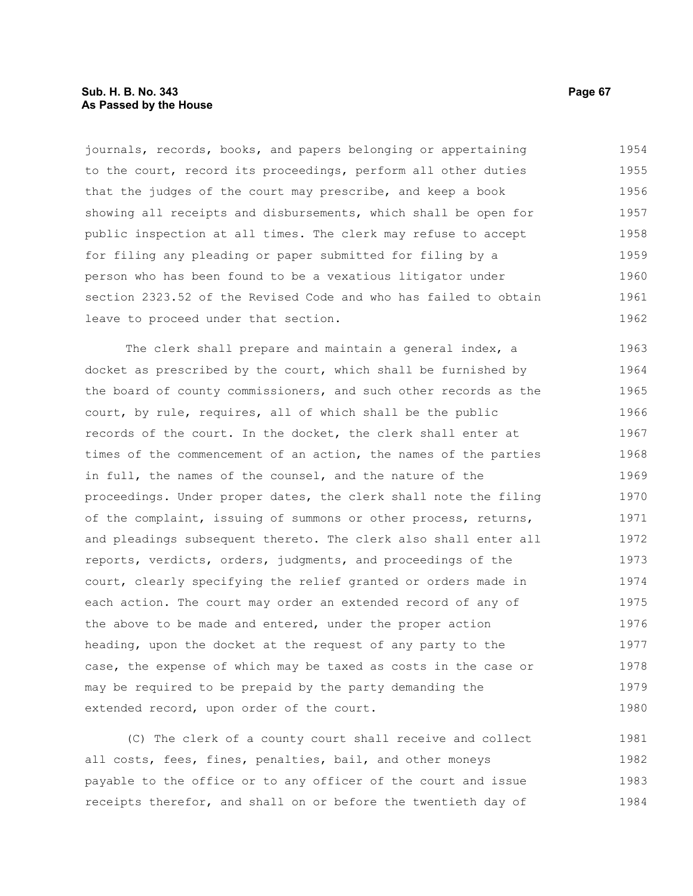# **Sub. H. B. No. 343 Page 67 As Passed by the House**

journals, records, books, and papers belonging or appertaining to the court, record its proceedings, perform all other duties that the judges of the court may prescribe, and keep a book showing all receipts and disbursements, which shall be open for public inspection at all times. The clerk may refuse to accept for filing any pleading or paper submitted for filing by a person who has been found to be a vexatious litigator under section 2323.52 of the Revised Code and who has failed to obtain leave to proceed under that section. 1954 1955 1956 1957 1958 1959 1960 1961 1962

The clerk shall prepare and maintain a general index, a docket as prescribed by the court, which shall be furnished by the board of county commissioners, and such other records as the court, by rule, requires, all of which shall be the public records of the court. In the docket, the clerk shall enter at times of the commencement of an action, the names of the parties in full, the names of the counsel, and the nature of the proceedings. Under proper dates, the clerk shall note the filing of the complaint, issuing of summons or other process, returns, and pleadings subsequent thereto. The clerk also shall enter all reports, verdicts, orders, judgments, and proceedings of the court, clearly specifying the relief granted or orders made in each action. The court may order an extended record of any of the above to be made and entered, under the proper action heading, upon the docket at the request of any party to the case, the expense of which may be taxed as costs in the case or may be required to be prepaid by the party demanding the extended record, upon order of the court. 1963 1964 1965 1966 1967 1968 1969 1970 1971 1972 1973 1974 1975 1976 1977 1978 1979 1980

(C) The clerk of a county court shall receive and collect all costs, fees, fines, penalties, bail, and other moneys payable to the office or to any officer of the court and issue receipts therefor, and shall on or before the twentieth day of 1981 1982 1983 1984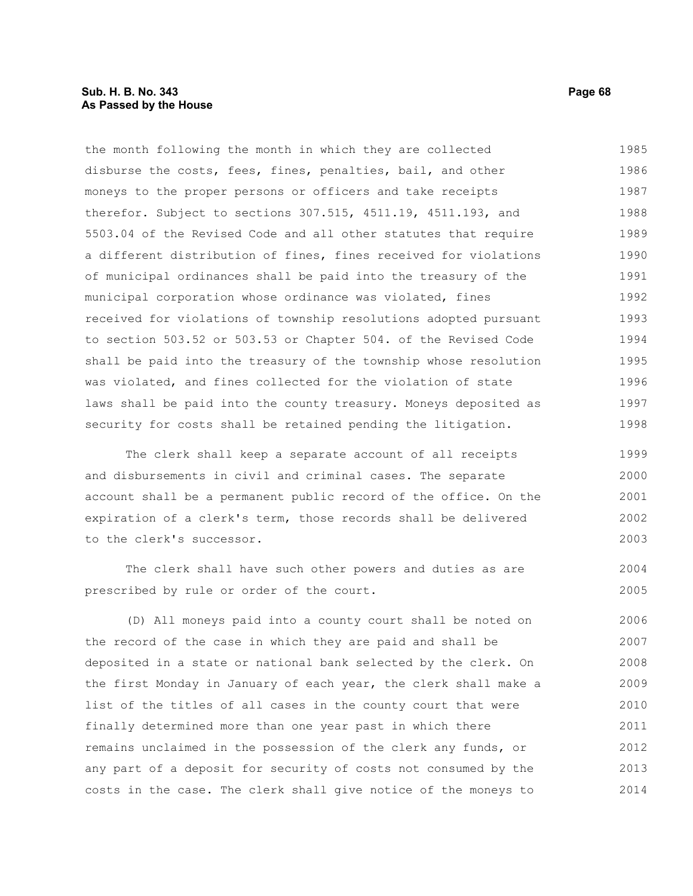# **Sub. H. B. No. 343 Page 68 As Passed by the House**

the month following the month in which they are collected disburse the costs, fees, fines, penalties, bail, and other moneys to the proper persons or officers and take receipts therefor. Subject to sections 307.515, 4511.19, 4511.193, and 5503.04 of the Revised Code and all other statutes that require a different distribution of fines, fines received for violations of municipal ordinances shall be paid into the treasury of the municipal corporation whose ordinance was violated, fines received for violations of township resolutions adopted pursuant to section 503.52 or 503.53 or Chapter 504. of the Revised Code shall be paid into the treasury of the township whose resolution was violated, and fines collected for the violation of state laws shall be paid into the county treasury. Moneys deposited as security for costs shall be retained pending the litigation. 1985 1986 1987 1988 1989 1990 1991 1992 1993 1994 1995 1996 1997 1998

The clerk shall keep a separate account of all receipts and disbursements in civil and criminal cases. The separate account shall be a permanent public record of the office. On the expiration of a clerk's term, those records shall be delivered to the clerk's successor. 1999 2000 2001 2002 2003

The clerk shall have such other powers and duties as are prescribed by rule or order of the court.

(D) All moneys paid into a county court shall be noted on the record of the case in which they are paid and shall be deposited in a state or national bank selected by the clerk. On the first Monday in January of each year, the clerk shall make a list of the titles of all cases in the county court that were finally determined more than one year past in which there remains unclaimed in the possession of the clerk any funds, or any part of a deposit for security of costs not consumed by the costs in the case. The clerk shall give notice of the moneys to 2006 2007 2008 2009 2010 2011 2012 2013 2014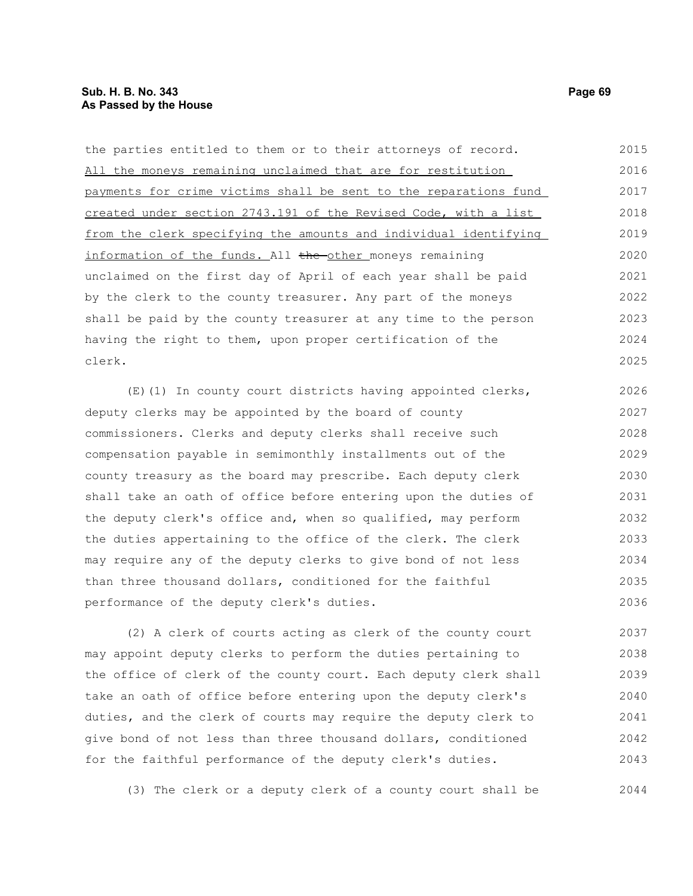the parties entitled to them or to their attorneys of record. All the moneys remaining unclaimed that are for restitution payments for crime victims shall be sent to the reparations fund created under section 2743.191 of the Revised Code, with a list from the clerk specifying the amounts and individual identifying information of the funds. All the other moneys remaining unclaimed on the first day of April of each year shall be paid by the clerk to the county treasurer. Any part of the moneys shall be paid by the county treasurer at any time to the person having the right to them, upon proper certification of the clerk. (E)(1) In county court districts having appointed clerks, 2015 2016 2017 2018 2019 2020 2021 2022 2023 2024 2025 2026 2027

deputy clerks may be appointed by the board of county commissioners. Clerks and deputy clerks shall receive such compensation payable in semimonthly installments out of the county treasury as the board may prescribe. Each deputy clerk shall take an oath of office before entering upon the duties of the deputy clerk's office and, when so qualified, may perform the duties appertaining to the office of the clerk. The clerk may require any of the deputy clerks to give bond of not less than three thousand dollars, conditioned for the faithful performance of the deputy clerk's duties. 2028 2029 2030 2031 2032 2033 2034 2035 2036

(2) A clerk of courts acting as clerk of the county court may appoint deputy clerks to perform the duties pertaining to the office of clerk of the county court. Each deputy clerk shall take an oath of office before entering upon the deputy clerk's duties, and the clerk of courts may require the deputy clerk to give bond of not less than three thousand dollars, conditioned for the faithful performance of the deputy clerk's duties. 2037 2038 2039 2040 2041 2042 2043

(3) The clerk or a deputy clerk of a county court shall be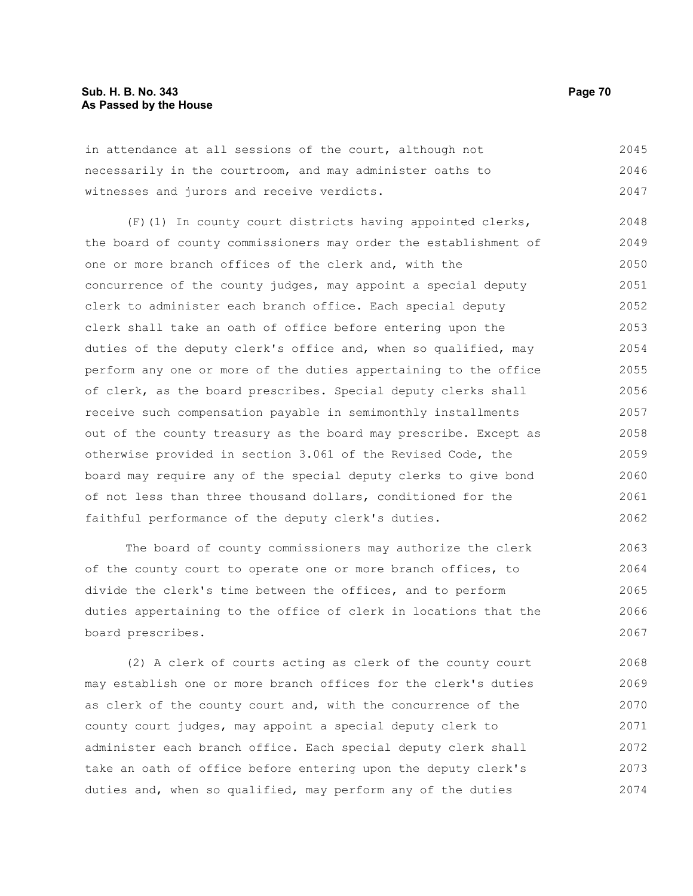## **Sub. H. B. No. 343 Page 70 As Passed by the House**

in attendance at all sessions of the court, although not necessarily in the courtroom, and may administer oaths to witnesses and jurors and receive verdicts. 2045 2046 2047

(F)(1) In county court districts having appointed clerks, the board of county commissioners may order the establishment of one or more branch offices of the clerk and, with the concurrence of the county judges, may appoint a special deputy clerk to administer each branch office. Each special deputy clerk shall take an oath of office before entering upon the duties of the deputy clerk's office and, when so qualified, may perform any one or more of the duties appertaining to the office of clerk, as the board prescribes. Special deputy clerks shall receive such compensation payable in semimonthly installments out of the county treasury as the board may prescribe. Except as otherwise provided in section 3.061 of the Revised Code, the board may require any of the special deputy clerks to give bond of not less than three thousand dollars, conditioned for the faithful performance of the deputy clerk's duties. 2048 2049 2050 2051 2052 2053 2054 2055 2056 2057 2058 2059 2060 2061 2062

The board of county commissioners may authorize the clerk of the county court to operate one or more branch offices, to divide the clerk's time between the offices, and to perform duties appertaining to the office of clerk in locations that the board prescribes. 2063 2064 2065 2066 2067

(2) A clerk of courts acting as clerk of the county court may establish one or more branch offices for the clerk's duties as clerk of the county court and, with the concurrence of the county court judges, may appoint a special deputy clerk to administer each branch office. Each special deputy clerk shall take an oath of office before entering upon the deputy clerk's duties and, when so qualified, may perform any of the duties 2068 2069 2070 2071 2072 2073 2074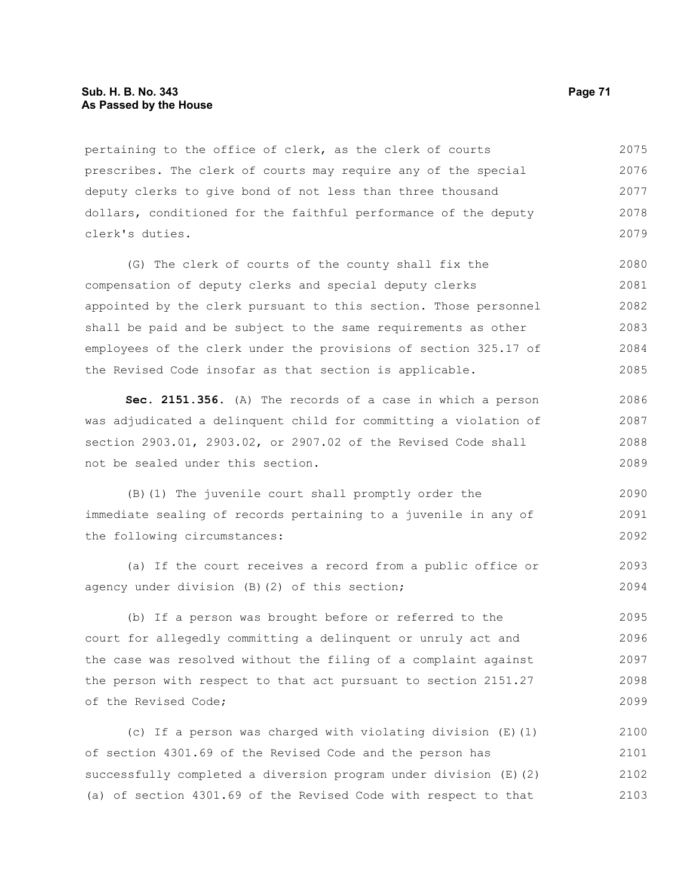### **Sub. H. B. No. 343 Page 71 As Passed by the House**

pertaining to the office of clerk, as the clerk of courts prescribes. The clerk of courts may require any of the special deputy clerks to give bond of not less than three thousand dollars, conditioned for the faithful performance of the deputy clerk's duties. 2075 2076 2077 2078 2079

(G) The clerk of courts of the county shall fix the compensation of deputy clerks and special deputy clerks appointed by the clerk pursuant to this section. Those personnel shall be paid and be subject to the same requirements as other employees of the clerk under the provisions of section 325.17 of the Revised Code insofar as that section is applicable. 2080 2081 2082 2083 2084 2085

**Sec. 2151.356.** (A) The records of a case in which a person was adjudicated a delinquent child for committing a violation of section 2903.01, 2903.02, or 2907.02 of the Revised Code shall not be sealed under this section. 2086 2087 2088 2089

(B)(1) The juvenile court shall promptly order the immediate sealing of records pertaining to a juvenile in any of the following circumstances: 2090 2091 2092

(a) If the court receives a record from a public office or agency under division (B)(2) of this section;

(b) If a person was brought before or referred to the court for allegedly committing a delinquent or unruly act and the case was resolved without the filing of a complaint against the person with respect to that act pursuant to section 2151.27 of the Revised Code; 2095 2096 2097 2098 2099

(c) If a person was charged with violating division (E)(1) of section 4301.69 of the Revised Code and the person has successfully completed a diversion program under division (E)(2) (a) of section 4301.69 of the Revised Code with respect to that 2100 2101 2102 2103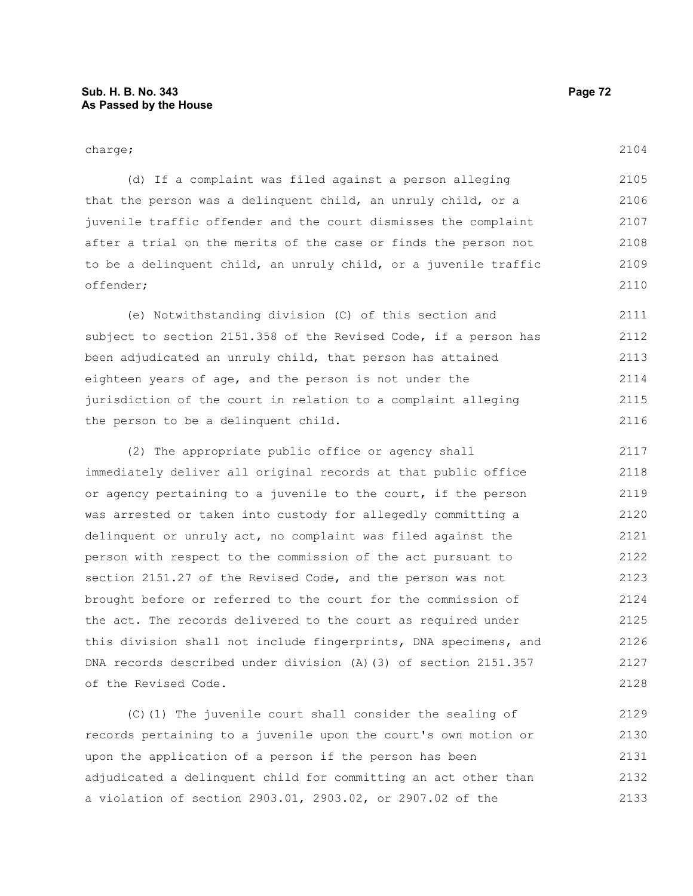| charge;                                                          | 2104 |
|------------------------------------------------------------------|------|
| (d) If a complaint was filed against a person alleging           | 2105 |
| that the person was a delinquent child, an unruly child, or a    | 2106 |
| juvenile traffic offender and the court dismisses the complaint  | 2107 |
| after a trial on the merits of the case or finds the person not  | 2108 |
| to be a delinquent child, an unruly child, or a juvenile traffic | 2109 |
| offender;                                                        | 2110 |
| (e) Notwithstanding division (C) of this section and             | 2111 |

subject to section 2151.358 of the Revised Code, if a person has been adjudicated an unruly child, that person has attained eighteen years of age, and the person is not under the jurisdiction of the court in relation to a complaint alleging the person to be a delinquent child. 2112 2113 2114 2115 2116

(2) The appropriate public office or agency shall immediately deliver all original records at that public office or agency pertaining to a juvenile to the court, if the person was arrested or taken into custody for allegedly committing a delinquent or unruly act, no complaint was filed against the person with respect to the commission of the act pursuant to section 2151.27 of the Revised Code, and the person was not brought before or referred to the court for the commission of the act. The records delivered to the court as required under this division shall not include fingerprints, DNA specimens, and DNA records described under division (A)(3) of section 2151.357 of the Revised Code. 2117 2118 2119 2120 2121 2122 2123 2124 2125 2126 2127 2128

(C)(1) The juvenile court shall consider the sealing of records pertaining to a juvenile upon the court's own motion or upon the application of a person if the person has been adjudicated a delinquent child for committing an act other than a violation of section 2903.01, 2903.02, or 2907.02 of the 2129 2130 2131 2132 2133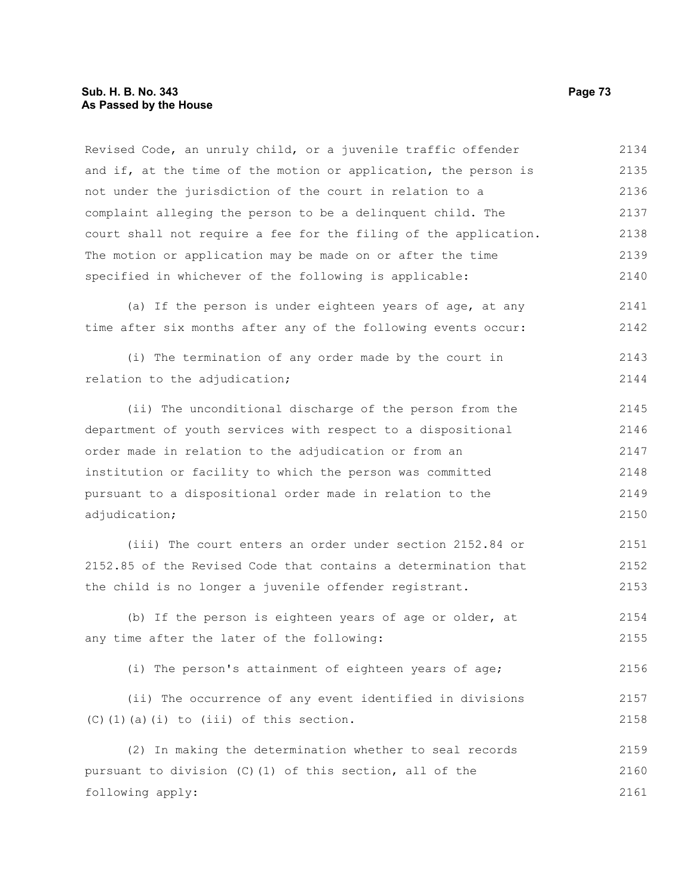Revised Code, an unruly child, or a juvenile traffic offender and if, at the time of the motion or application, the person is not under the jurisdiction of the court in relation to a complaint alleging the person to be a delinquent child. The court shall not require a fee for the filing of the application. The motion or application may be made on or after the time specified in whichever of the following is applicable: 2134 2135 2136 2137 2138 2139 2140

(a) If the person is under eighteen years of age, at any time after six months after any of the following events occur: 2141 2142

(i) The termination of any order made by the court in relation to the adjudication; 2143 2144

(ii) The unconditional discharge of the person from the department of youth services with respect to a dispositional order made in relation to the adjudication or from an institution or facility to which the person was committed pursuant to a dispositional order made in relation to the adjudication; 2145 2146 2147 2148 2149 2150

(iii) The court enters an order under section 2152.84 or 2152.85 of the Revised Code that contains a determination that the child is no longer a juvenile offender registrant. 2151 2152 2153

(b) If the person is eighteen years of age or older, at any time after the later of the following: 2154 2155

(i) The person's attainment of eighteen years of age; 2156

(ii) The occurrence of any event identified in divisions  $(C)$  $(1)$  $(a)$  $(i)$  to  $(iii)$  of this section. 2157 2158

(2) In making the determination whether to seal records pursuant to division (C)(1) of this section, all of the following apply: 2159 2160 2161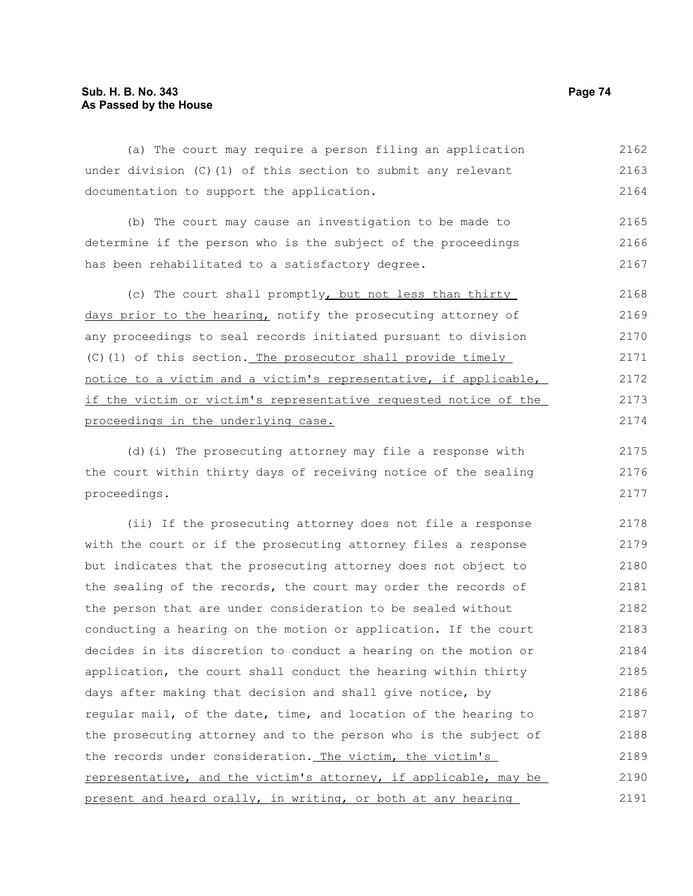## **Sub. H. B. No. 343 Page 74 As Passed by the House**

(a) The court may require a person filing an application under division (C)(1) of this section to submit any relevant documentation to support the application. 2162 2163 2164

(b) The court may cause an investigation to be made to determine if the person who is the subject of the proceedings has been rehabilitated to a satisfactory degree. 2165 2166 2167

(c) The court shall promptly, but not less than thirty days prior to the hearing, notify the prosecuting attorney of any proceedings to seal records initiated pursuant to division (C)(1) of this section. The prosecutor shall provide timely notice to a victim and a victim's representative, if applicable, if the victim or victim's representative requested notice of the proceedings in the underlying case. 2168 2169 2170 2171 2172 2173 2174

(d)(i) The prosecuting attorney may file a response with the court within thirty days of receiving notice of the sealing proceedings.

(ii) If the prosecuting attorney does not file a response with the court or if the prosecuting attorney files a response but indicates that the prosecuting attorney does not object to the sealing of the records, the court may order the records of the person that are under consideration to be sealed without conducting a hearing on the motion or application. If the court decides in its discretion to conduct a hearing on the motion or application, the court shall conduct the hearing within thirty days after making that decision and shall give notice, by regular mail, of the date, time, and location of the hearing to the prosecuting attorney and to the person who is the subject of the records under consideration. The victim, the victim's representative, and the victim's attorney, if applicable, may be present and heard orally, in writing, or both at any hearing 2178 2179 2180 2181 2182 2183 2184 2185 2186 2187 2188 2189 2190 2191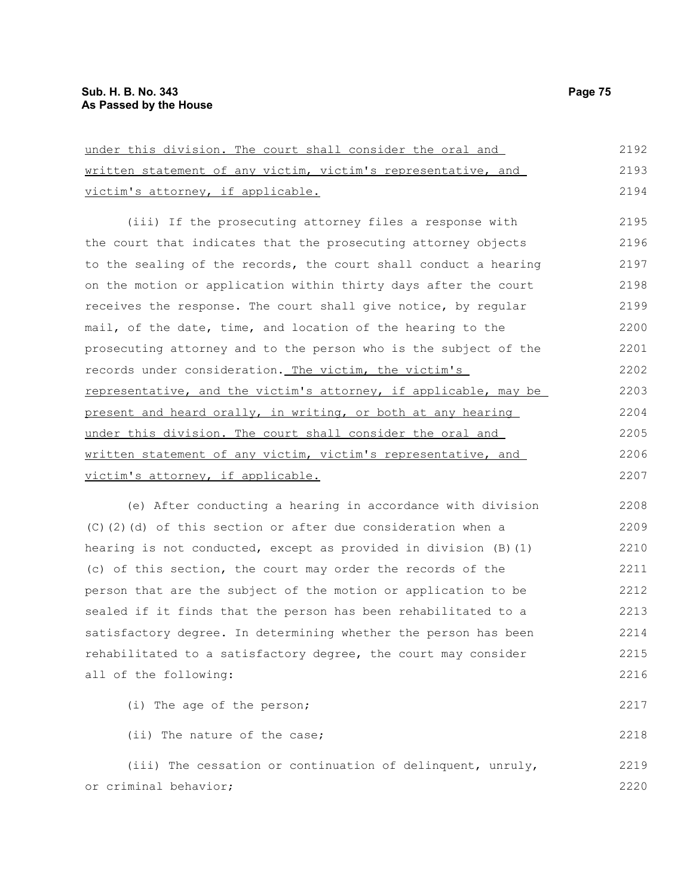| under this division. The court shall consider the oral and         | 2192 |
|--------------------------------------------------------------------|------|
| written statement of any victim, victim's representative, and      | 2193 |
| victim's attorney, if applicable.                                  | 2194 |
| (iii) If the prosecuting attorney files a response with            | 2195 |
| the court that indicates that the prosecuting attorney objects     | 2196 |
| to the sealing of the records, the court shall conduct a hearing   | 2197 |
| on the motion or application within thirty days after the court    | 2198 |
| receives the response. The court shall give notice, by regular     | 2199 |
| mail, of the date, time, and location of the hearing to the        | 2200 |
| prosecuting attorney and to the person who is the subject of the   | 2201 |
| records under consideration. The victim, the victim's              | 2202 |
| representative, and the victim's attorney, if applicable, may be   | 2203 |
| present and heard orally, in writing, or both at any hearing       | 2204 |
| under this division. The court shall consider the oral and         | 2205 |
| written statement of any victim, victim's representative, and      | 2206 |
| victim's attorney, if applicable.                                  | 2207 |
| (e) After conducting a hearing in accordance with division         | 2208 |
| (C)(2)(d) of this section or after due consideration when a        | 2209 |
| hearing is not conducted, except as provided in division $(B)$ (1) | 2210 |
| (c) of this section, the court may order the records of the        | 2211 |
| person that are the subject of the motion or application to be     | 2212 |
| sealed if it finds that the person has been rehabilitated to a     | 2213 |
| satisfactory degree. In determining whether the person has been    | 2214 |
| rehabilitated to a satisfactory degree, the court may consider     | 2215 |
| all of the following:                                              | 2216 |
| (i) The age of the person;                                         | 2217 |
| (ii) The nature of the case;                                       | 2218 |
| (iii) The cessation or continuation of delinquent, unruly,         | 2219 |
| or criminal behavior;                                              | 2220 |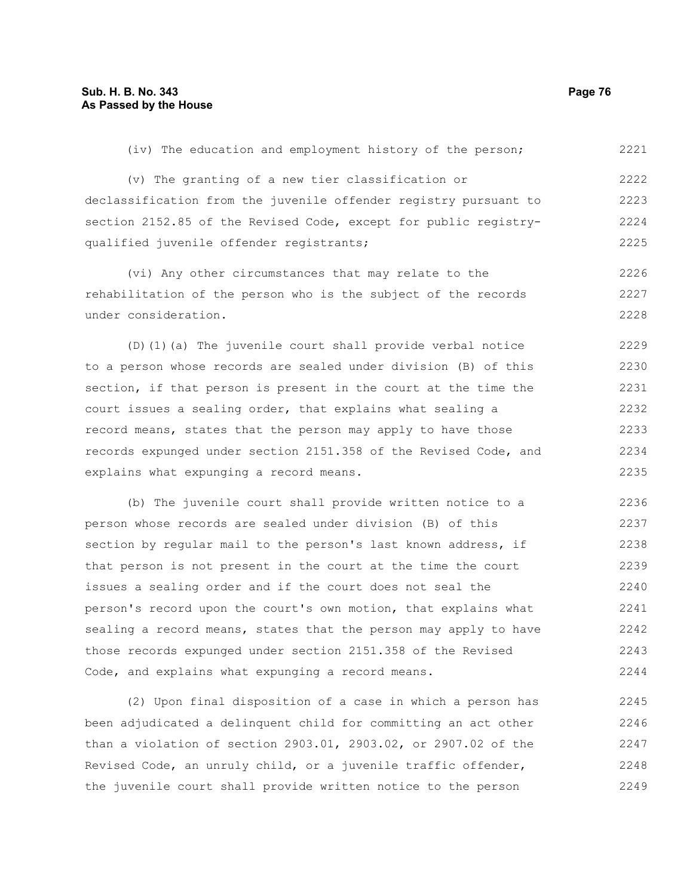(iv) The education and employment history of the person; (v) The granting of a new tier classification or declassification from the juvenile offender registry pursuant to section 2152.85 of the Revised Code, except for public registryqualified juvenile offender registrants; (vi) Any other circumstances that may relate to the rehabilitation of the person who is the subject of the records under consideration. (D)(1)(a) The juvenile court shall provide verbal notice to a person whose records are sealed under division (B) of this section, if that person is present in the court at the time the court issues a sealing order, that explains what sealing a record means, states that the person may apply to have those records expunged under section 2151.358 of the Revised Code, and explains what expunging a record means. 2221 2222 2223 2224 2225 2226 2227 2228 2229 2230 2231 2232 2233 2234 2235

(b) The juvenile court shall provide written notice to a person whose records are sealed under division (B) of this section by regular mail to the person's last known address, if that person is not present in the court at the time the court issues a sealing order and if the court does not seal the person's record upon the court's own motion, that explains what sealing a record means, states that the person may apply to have those records expunged under section 2151.358 of the Revised Code, and explains what expunging a record means. 2236 2237 2238 2239 2240 2241 2242 2243 2244

(2) Upon final disposition of a case in which a person has been adjudicated a delinquent child for committing an act other than a violation of section 2903.01, 2903.02, or 2907.02 of the Revised Code, an unruly child, or a juvenile traffic offender, the juvenile court shall provide written notice to the person 2245 2246 2247 2248 2249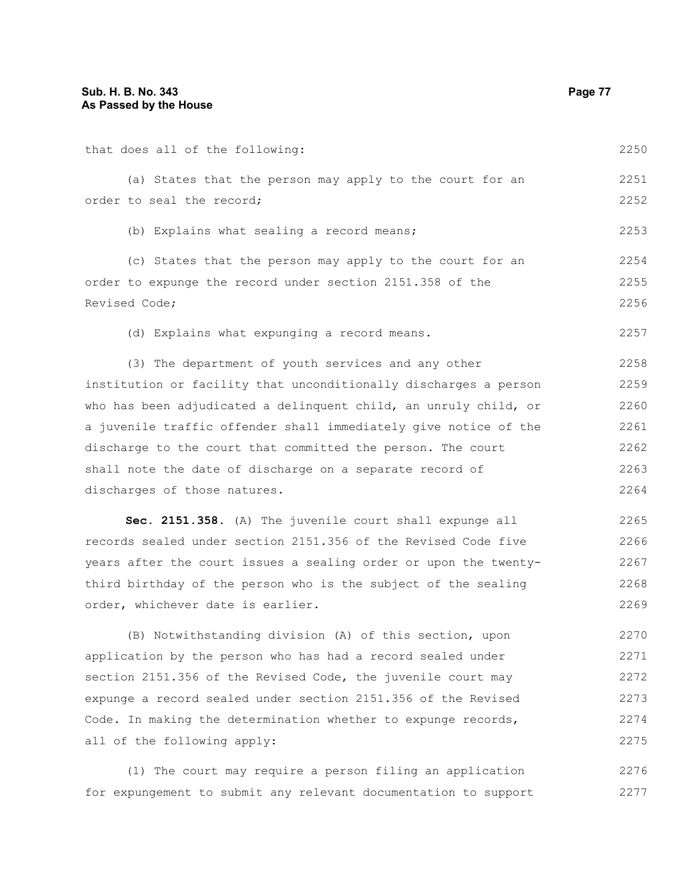that does all of the following: (a) States that the person may apply to the court for an order to seal the record; (b) Explains what sealing a record means; (c) States that the person may apply to the court for an order to expunge the record under section 2151.358 of the Revised Code; (d) Explains what expunging a record means. (3) The department of youth services and any other institution or facility that unconditionally discharges a person who has been adjudicated a delinquent child, an unruly child, or a juvenile traffic offender shall immediately give notice of the discharge to the court that committed the person. The court shall note the date of discharge on a separate record of discharges of those natures. **Sec. 2151.358.** (A) The juvenile court shall expunge all records sealed under section 2151.356 of the Revised Code five years after the court issues a sealing order or upon the twenty-2250 2251 2252 2253 2254 2255 2256 2257 2258 2259 2260 2261 2262 2263 2264 2265 2266 2267

(B) Notwithstanding division (A) of this section, upon application by the person who has had a record sealed under section 2151.356 of the Revised Code, the juvenile court may expunge a record sealed under section 2151.356 of the Revised Code. In making the determination whether to expunge records, all of the following apply: 2270 2271 2272 2273 2274 2275

third birthday of the person who is the subject of the sealing

order, whichever date is earlier.

(1) The court may require a person filing an application for expungement to submit any relevant documentation to support 2276 2277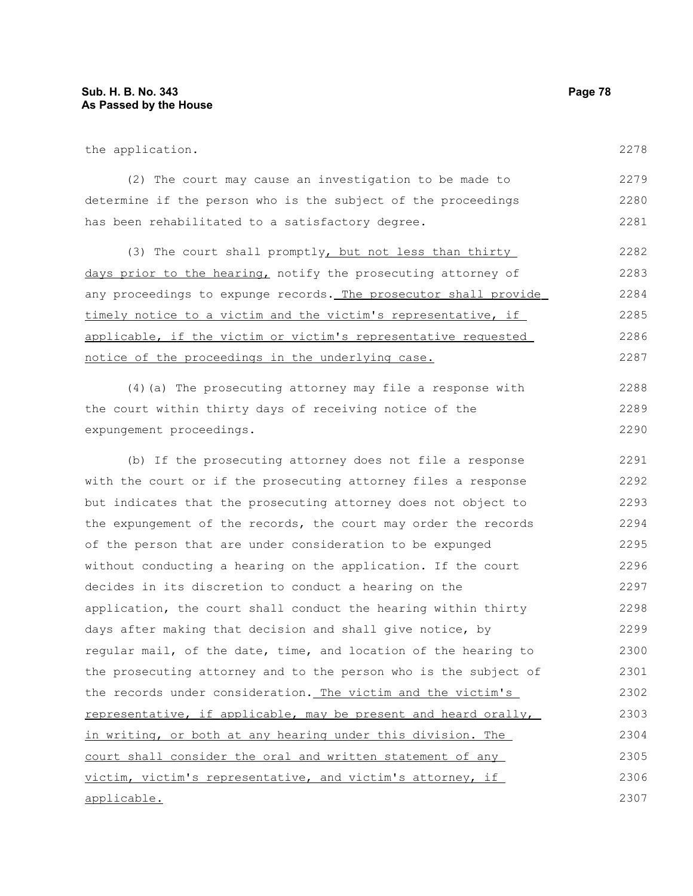the application.

(2) The court may cause an investigation to be made to determine if the person who is the subject of the proceedings has been rehabilitated to a satisfactory degree. 2279 2280 2281

(3) The court shall promptly, but not less than thirty days prior to the hearing, notify the prosecuting attorney of any proceedings to expunge records. The prosecutor shall provide timely notice to a victim and the victim's representative, if applicable, if the victim or victim's representative requested notice of the proceedings in the underlying case. 2282 2283 2284 2285 2286 2287

(4)(a) The prosecuting attorney may file a response with the court within thirty days of receiving notice of the expungement proceedings. 2288 2289 2290

(b) If the prosecuting attorney does not file a response with the court or if the prosecuting attorney files a response but indicates that the prosecuting attorney does not object to the expungement of the records, the court may order the records of the person that are under consideration to be expunged without conducting a hearing on the application. If the court decides in its discretion to conduct a hearing on the application, the court shall conduct the hearing within thirty days after making that decision and shall give notice, by regular mail, of the date, time, and location of the hearing to the prosecuting attorney and to the person who is the subject of the records under consideration. The victim and the victim's representative, if applicable, may be present and heard orally, in writing, or both at any hearing under this division. The court shall consider the oral and written statement of any victim, victim's representative, and victim's attorney, if applicable. 2291 2292 2293 2294 2295 2296 2297 2298 2299 2300 2301 2302 2303 2304 2305 2306 2307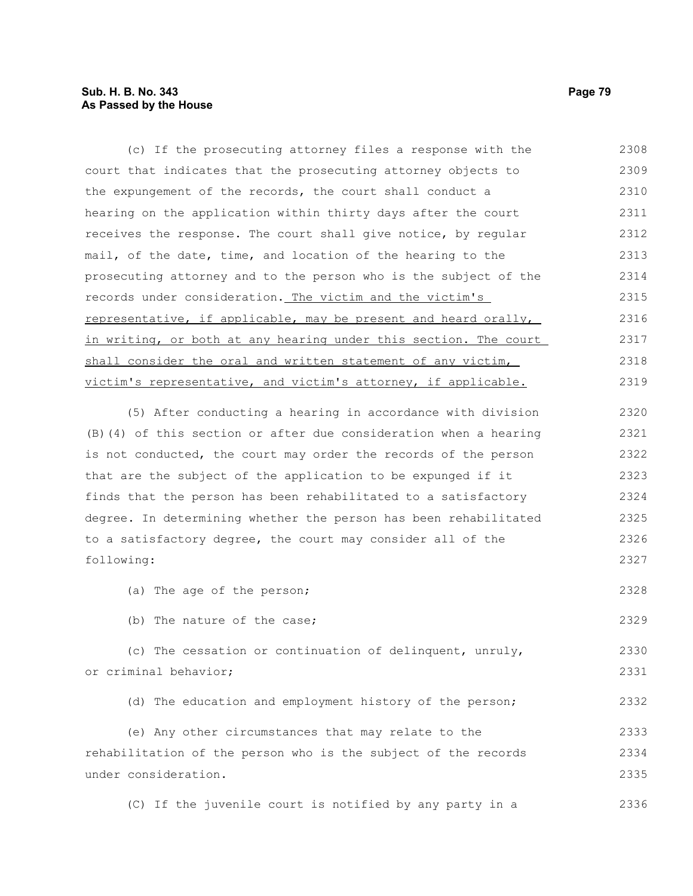# **Sub. H. B. No. 343 Page 79 As Passed by the House**

| (c) If the prosecuting attorney files a response with the         | 2308 |
|-------------------------------------------------------------------|------|
| court that indicates that the prosecuting attorney objects to     | 2309 |
| the expungement of the records, the court shall conduct a         | 2310 |
| hearing on the application within thirty days after the court     | 2311 |
| receives the response. The court shall give notice, by regular    | 2312 |
| mail, of the date, time, and location of the hearing to the       | 2313 |
| prosecuting attorney and to the person who is the subject of the  | 2314 |
| records under consideration. The victim and the victim's          | 2315 |
| representative, if applicable, may be present and heard orally,   | 2316 |
| in writing, or both at any hearing under this section. The court  | 2317 |
| shall consider the oral and written statement of any victim,      | 2318 |
| victim's representative, and victim's attorney, if applicable.    | 2319 |
| (5) After conducting a hearing in accordance with division        | 2320 |
| (B) (4) of this section or after due consideration when a hearing | 2321 |
| is not conducted, the court may order the records of the person   | 2322 |
| that are the subject of the application to be expunged if it      | 2323 |
| finds that the person has been rehabilitated to a satisfactory    | 2324 |
| degree. In determining whether the person has been rehabilitated  | 2325 |
| to a satisfactory degree, the court may consider all of the       | 2326 |
| following:                                                        | 2327 |
| (a) The age of the person;                                        | 2328 |
| (b) The nature of the case;                                       | 2329 |
| (c) The cessation or continuation of delinquent, unruly,          | 2330 |
| or criminal behavior;                                             | 2331 |
| (d) The education and employment history of the person;           | 2332 |
| (e) Any other circumstances that may relate to the                | 2333 |
| rehabilitation of the person who is the subject of the records    | 2334 |
| under consideration.                                              | 2335 |
| (C) If the juvenile court is notified by any party in a           | 2336 |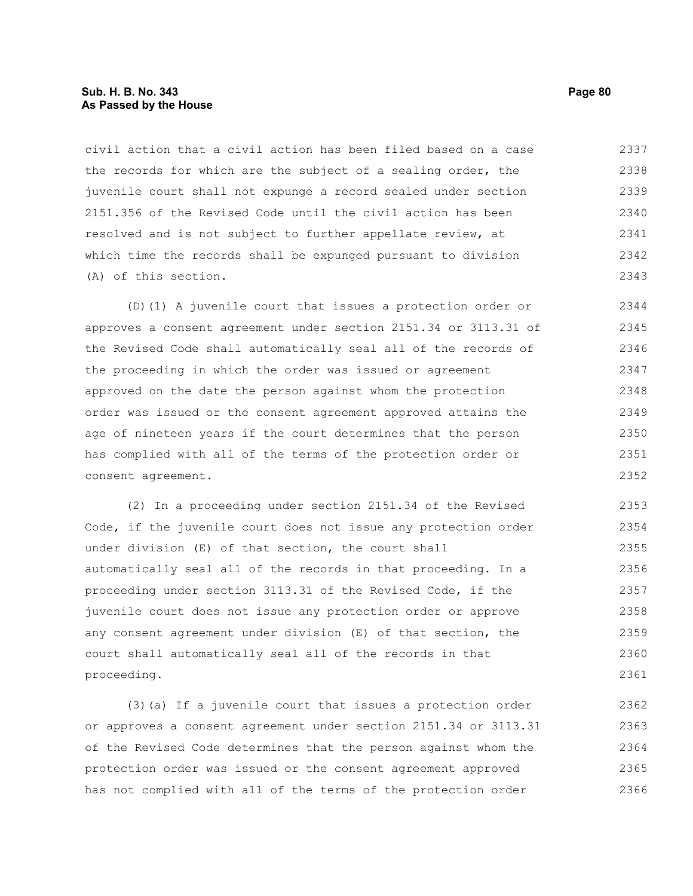## **Sub. H. B. No. 343 Page 80 As Passed by the House**

civil action that a civil action has been filed based on a case the records for which are the subject of a sealing order, the juvenile court shall not expunge a record sealed under section 2151.356 of the Revised Code until the civil action has been resolved and is not subject to further appellate review, at which time the records shall be expunged pursuant to division (A) of this section. 2337 2338 2339 2340 2341 2342 2343

(D)(1) A juvenile court that issues a protection order or approves a consent agreement under section 2151.34 or 3113.31 of the Revised Code shall automatically seal all of the records of the proceeding in which the order was issued or agreement approved on the date the person against whom the protection order was issued or the consent agreement approved attains the age of nineteen years if the court determines that the person has complied with all of the terms of the protection order or consent agreement. 2344 2345 2346 2347 2348 2349 2350 2351 2352

(2) In a proceeding under section 2151.34 of the Revised Code, if the juvenile court does not issue any protection order under division (E) of that section, the court shall automatically seal all of the records in that proceeding. In a proceeding under section 3113.31 of the Revised Code, if the juvenile court does not issue any protection order or approve any consent agreement under division (E) of that section, the court shall automatically seal all of the records in that proceeding. 2353 2354 2355 2356 2357 2358 2359 2360 2361

(3)(a) If a juvenile court that issues a protection order or approves a consent agreement under section 2151.34 or 3113.31 of the Revised Code determines that the person against whom the protection order was issued or the consent agreement approved has not complied with all of the terms of the protection order 2362 2363 2364 2365 2366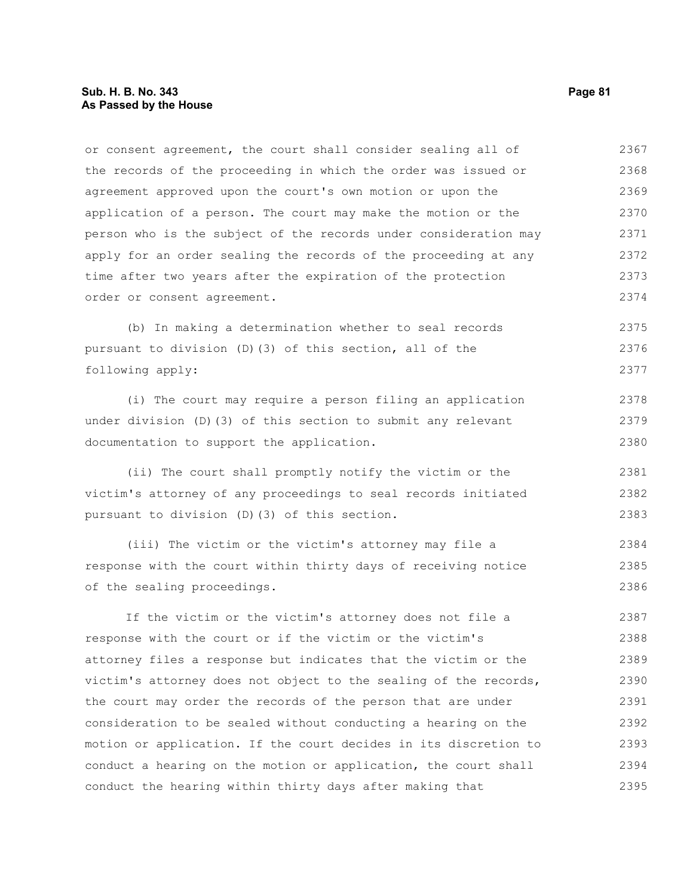## **Sub. H. B. No. 343 Page 81 As Passed by the House**

or consent agreement, the court shall consider sealing all of the records of the proceeding in which the order was issued or agreement approved upon the court's own motion or upon the application of a person. The court may make the motion or the person who is the subject of the records under consideration may apply for an order sealing the records of the proceeding at any time after two years after the expiration of the protection order or consent agreement. 2367 2368 2369 2370 2371 2372 2373 2374

(b) In making a determination whether to seal records pursuant to division (D)(3) of this section, all of the following apply: 2375 2376 2377

(i) The court may require a person filing an application under division (D)(3) of this section to submit any relevant documentation to support the application. 2378 2379

(ii) The court shall promptly notify the victim or the victim's attorney of any proceedings to seal records initiated pursuant to division (D)(3) of this section. 2381 2382 2383

(iii) The victim or the victim's attorney may file a response with the court within thirty days of receiving notice of the sealing proceedings.

If the victim or the victim's attorney does not file a response with the court or if the victim or the victim's attorney files a response but indicates that the victim or the victim's attorney does not object to the sealing of the records, the court may order the records of the person that are under consideration to be sealed without conducting a hearing on the motion or application. If the court decides in its discretion to conduct a hearing on the motion or application, the court shall conduct the hearing within thirty days after making that 2387 2388 2389 2390 2391 2392 2393 2394 2395

2380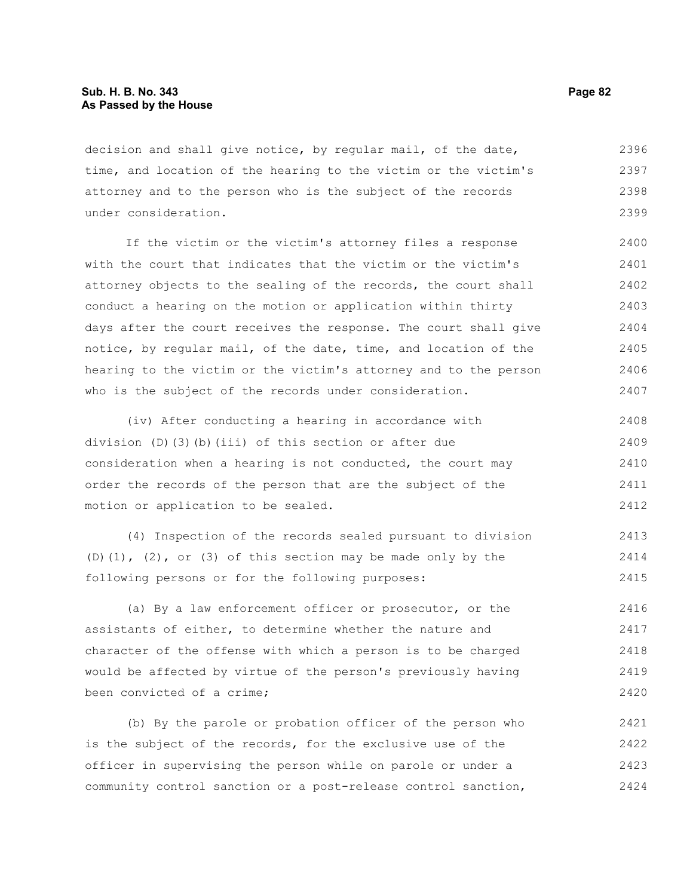## **Sub. H. B. No. 343 Page 82 As Passed by the House**

decision and shall give notice, by regular mail, of the date, time, and location of the hearing to the victim or the victim's attorney and to the person who is the subject of the records under consideration. 2396 2397 2398 2399

If the victim or the victim's attorney files a response with the court that indicates that the victim or the victim's attorney objects to the sealing of the records, the court shall conduct a hearing on the motion or application within thirty days after the court receives the response. The court shall give notice, by regular mail, of the date, time, and location of the hearing to the victim or the victim's attorney and to the person who is the subject of the records under consideration. 2400 2401 2402 2403 2404 2405 2406 2407

(iv) After conducting a hearing in accordance with division (D)(3)(b)(iii) of this section or after due consideration when a hearing is not conducted, the court may order the records of the person that are the subject of the motion or application to be sealed. 2408 2409 2410 2411 2412

(4) Inspection of the records sealed pursuant to division (D)(1), (2), or (3) of this section may be made only by the following persons or for the following purposes: 2413 2414 2415

(a) By a law enforcement officer or prosecutor, or the assistants of either, to determine whether the nature and character of the offense with which a person is to be charged would be affected by virtue of the person's previously having been convicted of a crime; 2416 2417 2418 2419 2420

(b) By the parole or probation officer of the person who is the subject of the records, for the exclusive use of the officer in supervising the person while on parole or under a community control sanction or a post-release control sanction, 2421 2422 2423 2424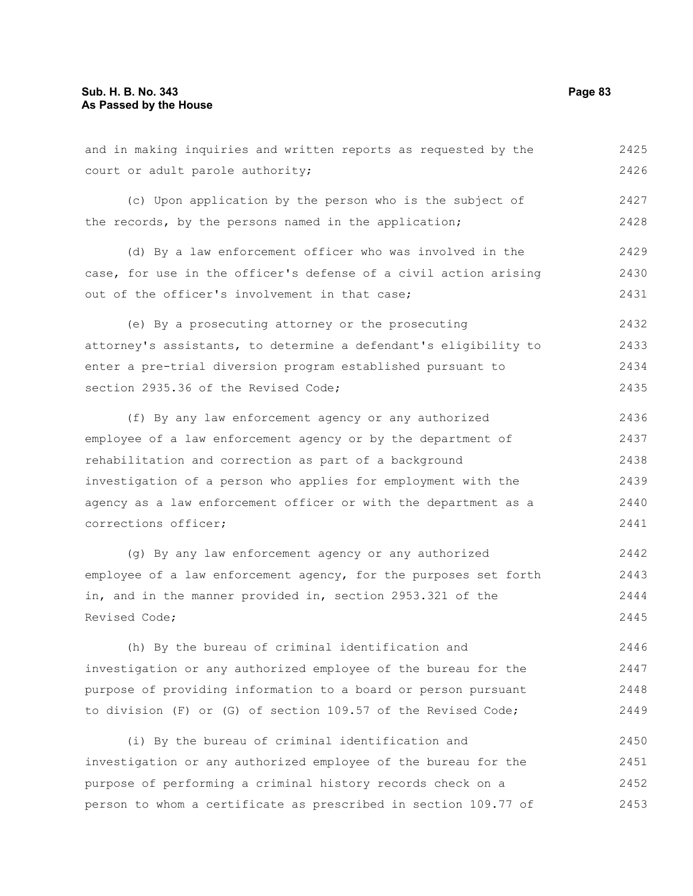court or adult parole authority; (c) Upon application by the person who is the subject of the records, by the persons named in the application; (d) By a law enforcement officer who was involved in the case, for use in the officer's defense of a civil action arising out of the officer's involvement in that case; (e) By a prosecuting attorney or the prosecuting attorney's assistants, to determine a defendant's eligibility to enter a pre-trial diversion program established pursuant to section 2935.36 of the Revised Code; (f) By any law enforcement agency or any authorized employee of a law enforcement agency or by the department of rehabilitation and correction as part of a background investigation of a person who applies for employment with the agency as a law enforcement officer or with the department as a corrections officer; (g) By any law enforcement agency or any authorized employee of a law enforcement agency, for the purposes set forth in, and in the manner provided in, section 2953.321 of the Revised Code; (h) By the bureau of criminal identification and investigation or any authorized employee of the bureau for the purpose of providing information to a board or person pursuant to division (F) or (G) of section 109.57 of the Revised Code; (i) By the bureau of criminal identification and 2426 2427 2428 2429 2430 2431 2432 2433 2434 2435 2436 2437 2438 2439 2440 2441 2442 2443 2444 2445 2446 2447 2448 2449 2450

and in making inquiries and written reports as requested by the

investigation or any authorized employee of the bureau for the purpose of performing a criminal history records check on a person to whom a certificate as prescribed in section 109.77 of 2451 2452 2453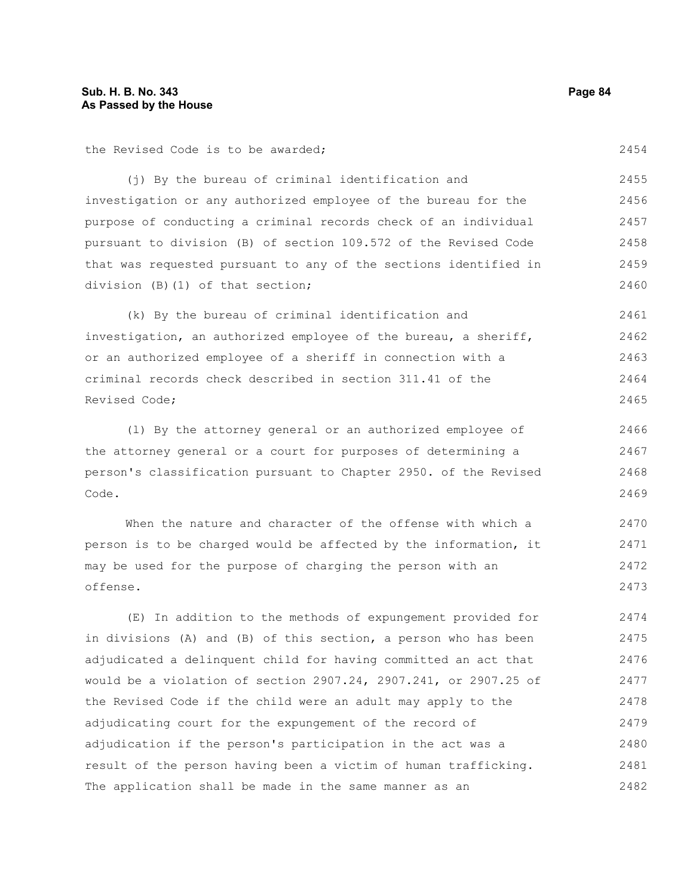the Revised Code is to be awarded;

(j) By the bureau of criminal identification and investigation or any authorized employee of the bureau for the purpose of conducting a criminal records check of an individual pursuant to division (B) of section 109.572 of the Revised Code that was requested pursuant to any of the sections identified in division (B)(1) of that section; 2455 2456 2457 2458 2459 2460

(k) By the bureau of criminal identification and investigation, an authorized employee of the bureau, a sheriff, or an authorized employee of a sheriff in connection with a criminal records check described in section 311.41 of the Revised Code; 2461 2462 2463 2464 2465

(l) By the attorney general or an authorized employee of the attorney general or a court for purposes of determining a person's classification pursuant to Chapter 2950. of the Revised Code. 2466 2467 2468 2469

When the nature and character of the offense with which a person is to be charged would be affected by the information, it may be used for the purpose of charging the person with an offense. 2470 2471 2472 2473

(E) In addition to the methods of expungement provided for in divisions (A) and (B) of this section, a person who has been adjudicated a delinquent child for having committed an act that would be a violation of section 2907.24, 2907.241, or 2907.25 of the Revised Code if the child were an adult may apply to the adjudicating court for the expungement of the record of adjudication if the person's participation in the act was a result of the person having been a victim of human trafficking. The application shall be made in the same manner as an 2474 2475 2476 2477 2478 2479 2480 2481 2482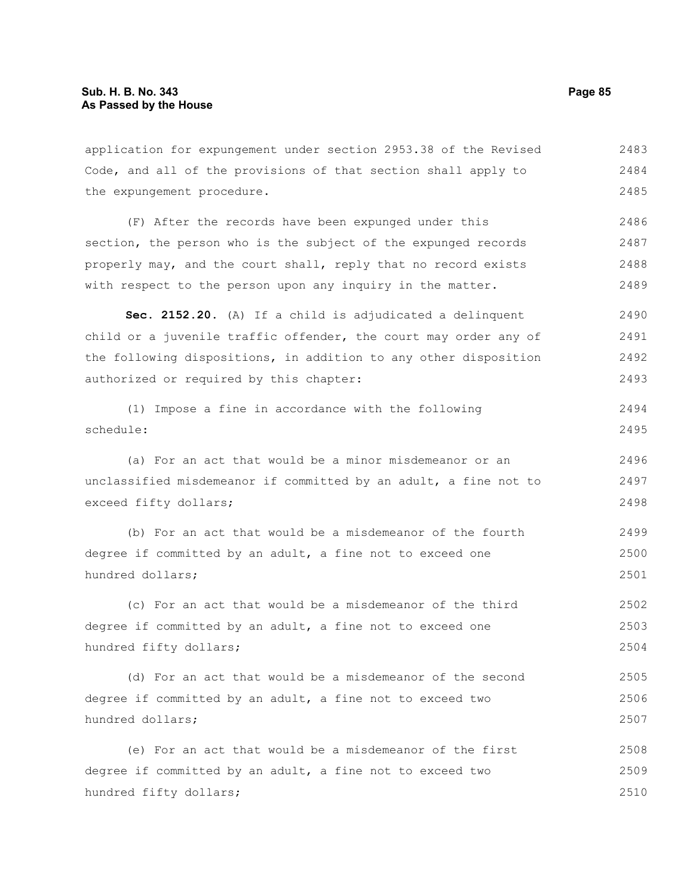application for expungement under section 2953.38 of the Revised Code, and all of the provisions of that section shall apply to the expungement procedure. 2483 2484 2485

(F) After the records have been expunged under this section, the person who is the subject of the expunged records properly may, and the court shall, reply that no record exists with respect to the person upon any inquiry in the matter. 2486 2487 2488 2489

**Sec. 2152.20.** (A) If a child is adjudicated a delinquent child or a juvenile traffic offender, the court may order any of the following dispositions, in addition to any other disposition authorized or required by this chapter: 2490 2491 2492 2493

(1) Impose a fine in accordance with the following schedule: 2494 2495

(a) For an act that would be a minor misdemeanor or an unclassified misdemeanor if committed by an adult, a fine not to exceed fifty dollars; 2496 2497 2498

(b) For an act that would be a misdemeanor of the fourth degree if committed by an adult, a fine not to exceed one hundred dollars; 2499 2500 2501

(c) For an act that would be a misdemeanor of the third degree if committed by an adult, a fine not to exceed one hundred fifty dollars; 2502 2503 2504

(d) For an act that would be a misdemeanor of the second degree if committed by an adult, a fine not to exceed two hundred dollars; 2505 2506 2507

(e) For an act that would be a misdemeanor of the first degree if committed by an adult, a fine not to exceed two hundred fifty dollars; 2508 2509 2510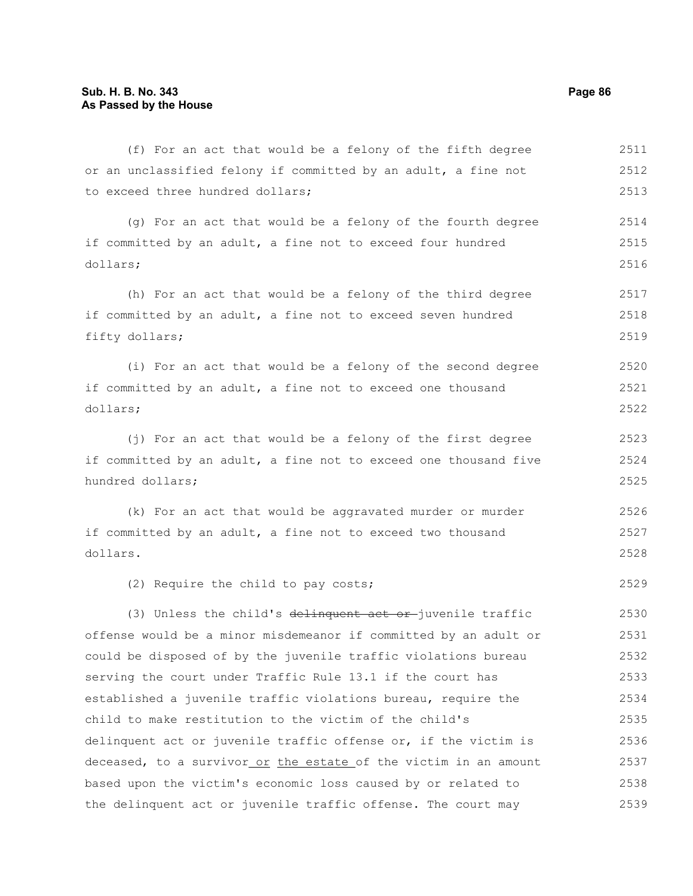(f) For an act that would be a felony of the fifth degree or an unclassified felony if committed by an adult, a fine not to exceed three hundred dollars; (g) For an act that would be a felony of the fourth degree if committed by an adult, a fine not to exceed four hundred dollars; (h) For an act that would be a felony of the third degree if committed by an adult, a fine not to exceed seven hundred fifty dollars; (i) For an act that would be a felony of the second degree if committed by an adult, a fine not to exceed one thousand dollars; (j) For an act that would be a felony of the first degree if committed by an adult, a fine not to exceed one thousand five hundred dollars; (k) For an act that would be aggravated murder or murder if committed by an adult, a fine not to exceed two thousand dollars. (2) Require the child to pay costs; (3) Unless the child's delinquent act or juvenile traffic offense would be a minor misdemeanor if committed by an adult or could be disposed of by the juvenile traffic violations bureau serving the court under Traffic Rule 13.1 if the court has established a juvenile traffic violations bureau, require the child to make restitution to the victim of the child's delinquent act or juvenile traffic offense or, if the victim is deceased, to a survivor or the estate of the victim in an amount based upon the victim's economic loss caused by or related to 2511 2512 2513 2514 2515 2516 2517 2518 2519 2520 2521 2522 2523 2524 2525 2526 2527 2528 2529 2530 2531 2532 2533 2534 2535 2536 2537 2538

the delinquent act or juvenile traffic offense. The court may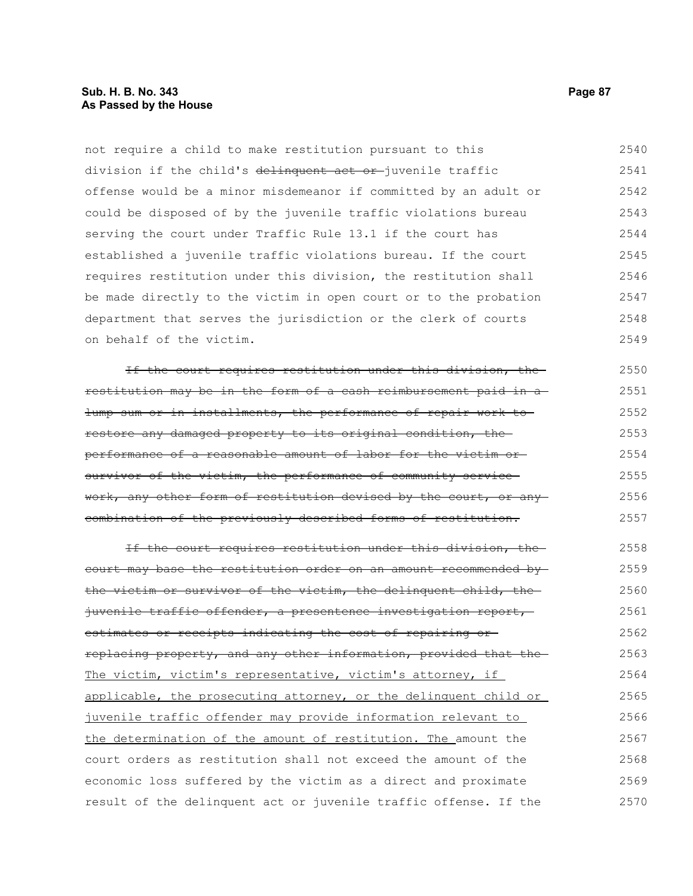# **Sub. H. B. No. 343 Page 87 As Passed by the House**

| not require a child to make restitution pursuant to this         | 2540 |
|------------------------------------------------------------------|------|
| division if the child's delinquent act or juvenile traffic       | 2541 |
| offense would be a minor misdemeanor if committed by an adult or | 2542 |
| could be disposed of by the juvenile traffic violations bureau   | 2543 |
| serving the court under Traffic Rule 13.1 if the court has       | 2544 |
| established a juvenile traffic violations bureau. If the court   | 2545 |
| requires restitution under this division, the restitution shall  | 2546 |
| be made directly to the victim in open court or to the probation | 2547 |
| department that serves the jurisdiction or the clerk of courts   | 2548 |
| on behalf of the victim.                                         | 2549 |
| If the court requires restitution under this division, the-      | 2550 |
| restitution may be in the form of a cash reimbursement paid in a | 2551 |
| lump sum or in installments, the performance of repair work to   | 2552 |
| restore any damaged property to its original condition, the      | 2553 |
| performance of a reasonable amount of labor for the victim or    | 2554 |
| survivor of the victim, the performance of community service     | 2555 |
| work, any other form of restitution devised by the court, or any | 2556 |
| combination of the previously described forms of restitution.    | 2557 |
| If the court requires restitution under this division, the-      | 2558 |
| court may base the restitution order on an amount recommended by | 2559 |
| the victim or survivor of the victim, the delinquent child, the  | 2560 |
| juvenile traffic offender, a presentence investigation report,   | 2561 |
| estimates or receipts indicating the cost of repairing or-       | 2562 |
| replacing property, and any other information, provided that the | 2563 |
| The victim, victim's representative, victim's attorney, if       | 2564 |
| applicable, the prosecuting attorney, or the delinquent child or | 2565 |
| juvenile traffic offender may provide information relevant to    | 2566 |
| the determination of the amount of restitution. The amount the   | 2567 |
| court orders as restitution shall not exceed the amount of the   | 2568 |
| economic loss suffered by the victim as a direct and proximate   | 2569 |
| result of the delinquent act or juvenile traffic offense. If the | 2570 |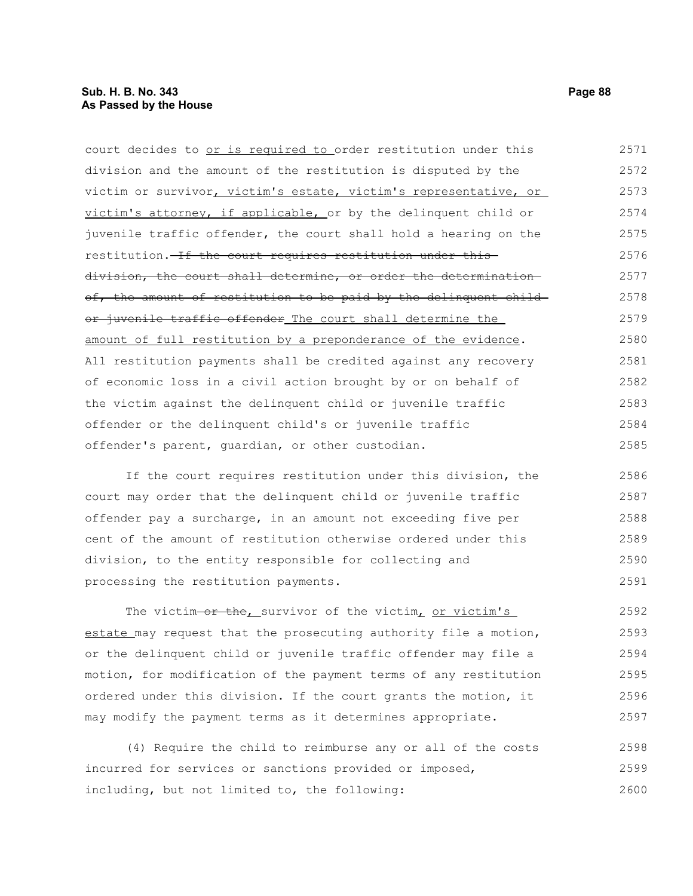court decides to or is required to order restitution under this division and the amount of the restitution is disputed by the victim or survivor, victim's estate, victim's representative, or victim's attorney, if applicable, or by the delinquent child or juvenile traffic offender, the court shall hold a hearing on the restitution. If the court requires restitution under thisdivision, the court shall determine, or order the determination of, the amount of restitution to be paid by the delinquent childor juvenile traffic offender The court shall determine the amount of full restitution by a preponderance of the evidence. All restitution payments shall be credited against any recovery of economic loss in a civil action brought by or on behalf of the victim against the delinquent child or juvenile traffic offender or the delinquent child's or juvenile traffic offender's parent, guardian, or other custodian. 2571 2572 2573 2574 2575 2576 2577 2578 2579 2580 2581 2582 2583 2584 2585

If the court requires restitution under this division, the court may order that the delinquent child or juvenile traffic offender pay a surcharge, in an amount not exceeding five per cent of the amount of restitution otherwise ordered under this division, to the entity responsible for collecting and processing the restitution payments. 2586 2587 2588 2589 2590 2591

The victim-or the, survivor of the victim, or victim's estate may request that the prosecuting authority file a motion, or the delinquent child or juvenile traffic offender may file a motion, for modification of the payment terms of any restitution ordered under this division. If the court grants the motion, it may modify the payment terms as it determines appropriate. 2592 2593 2594 2595 2596 2597

(4) Require the child to reimburse any or all of the costs incurred for services or sanctions provided or imposed, including, but not limited to, the following: 2598 2599 2600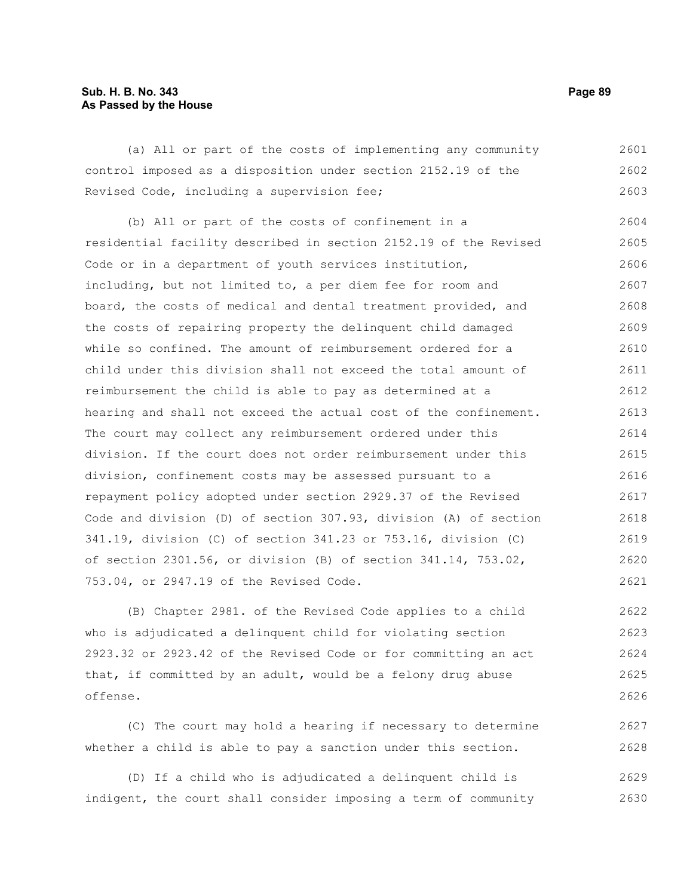## **Sub. H. B. No. 343 Page 89 As Passed by the House**

(a) All or part of the costs of implementing any community control imposed as a disposition under section 2152.19 of the Revised Code, including a supervision fee; 2601 2602 2603

(b) All or part of the costs of confinement in a residential facility described in section 2152.19 of the Revised Code or in a department of youth services institution, including, but not limited to, a per diem fee for room and board, the costs of medical and dental treatment provided, and the costs of repairing property the delinquent child damaged while so confined. The amount of reimbursement ordered for a child under this division shall not exceed the total amount of reimbursement the child is able to pay as determined at a hearing and shall not exceed the actual cost of the confinement. The court may collect any reimbursement ordered under this division. If the court does not order reimbursement under this division, confinement costs may be assessed pursuant to a repayment policy adopted under section 2929.37 of the Revised Code and division (D) of section 307.93, division (A) of section 341.19, division (C) of section 341.23 or 753.16, division (C) of section 2301.56, or division (B) of section 341.14, 753.02, 753.04, or 2947.19 of the Revised Code. 2604 2605 2606 2607 2608 2609 2610 2611 2612 2613 2614 2615 2616 2617 2618 2619 2620 2621

(B) Chapter 2981. of the Revised Code applies to a child who is adjudicated a delinquent child for violating section 2923.32 or 2923.42 of the Revised Code or for committing an act that, if committed by an adult, would be a felony drug abuse offense. 2622 2623 2624 2625 2626

(C) The court may hold a hearing if necessary to determine whether a child is able to pay a sanction under this section.

(D) If a child who is adjudicated a delinquent child is indigent, the court shall consider imposing a term of community 2629 2630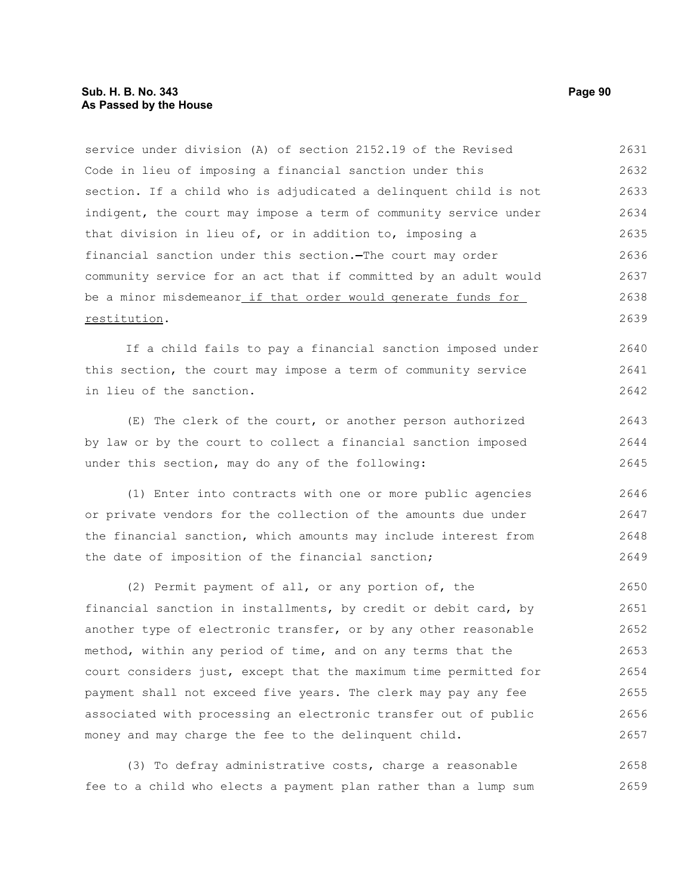## **Sub. H. B. No. 343 Page 90 As Passed by the House**

service under division (A) of section 2152.19 of the Revised Code in lieu of imposing a financial sanction under this section. If a child who is adjudicated a delinquent child is not indigent, the court may impose a term of community service under that division in lieu of, or in addition to, imposing a financial sanction under this section. The court may order community service for an act that if committed by an adult would be a minor misdemeanor if that order would generate funds for restitution. 2631 2632 2633 2634 2635 2636 2637 2638 2639

If a child fails to pay a financial sanction imposed under this section, the court may impose a term of community service in lieu of the sanction. 2640 2641 2642

(E) The clerk of the court, or another person authorized by law or by the court to collect a financial sanction imposed under this section, may do any of the following: 2643 2644 2645

(1) Enter into contracts with one or more public agencies or private vendors for the collection of the amounts due under the financial sanction, which amounts may include interest from the date of imposition of the financial sanction; 2646 2647 2648 2649

(2) Permit payment of all, or any portion of, the financial sanction in installments, by credit or debit card, by another type of electronic transfer, or by any other reasonable method, within any period of time, and on any terms that the court considers just, except that the maximum time permitted for payment shall not exceed five years. The clerk may pay any fee associated with processing an electronic transfer out of public money and may charge the fee to the delinquent child. 2650 2651 2652 2653 2654 2655 2656 2657

(3) To defray administrative costs, charge a reasonable fee to a child who elects a payment plan rather than a lump sum 2658 2659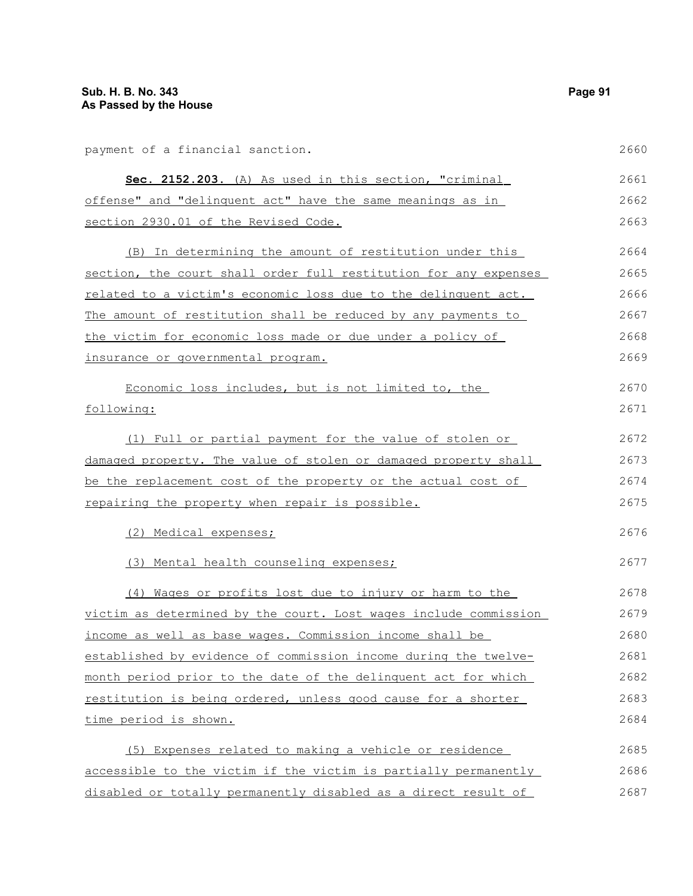payment of a financial sanction.

| payment of a financial sanction.                                 | 2660 |
|------------------------------------------------------------------|------|
| Sec. 2152.203. (A) As used in this section, "criminal            | 2661 |
| offense" and "delinquent act" have the same meanings as in       | 2662 |
| section 2930.01 of the Revised Code.                             | 2663 |
| (B) In determining the amount of restitution under this          | 2664 |
| section, the court shall order full restitution for any expenses | 2665 |
| related to a victim's economic loss due to the delinquent act.   | 2666 |
| The amount of restitution shall be reduced by any payments to    | 2667 |
| the victim for economic loss made or due under a policy of       | 2668 |
| <u>insurance or governmental program.</u>                        | 2669 |
| Economic loss includes, but is not limited to, the               | 2670 |
| following:                                                       | 2671 |
| (1) Full or partial payment for the value of stolen or           | 2672 |
| damaged property. The value of stolen or damaged property shall  | 2673 |
| be the replacement cost of the property or the actual cost of    | 2674 |
| repairing the property when repair is possible.                  | 2675 |
| (2) Medical expenses;                                            | 2676 |
| (3) Mental health counseling expenses;                           | 2677 |
| Wages or profits lost due to injury or harm to the<br>(4)        | 2678 |
| victim as determined by the court. Lost wages include commission | 2679 |
| income as well as base wages. Commission income shall be         | 2680 |
| established by evidence of commission income during the twelve-  | 2681 |
| month period prior to the date of the delinquent act for which   | 2682 |
| restitution is being ordered, unless good cause for a shorter    | 2683 |
| time period is shown.                                            | 2684 |
| (5) Expenses related to making a vehicle or residence            | 2685 |
| accessible to the victim if the victim is partially permanently  | 2686 |
| disabled or totally permanently disabled as a direct result of   | 2687 |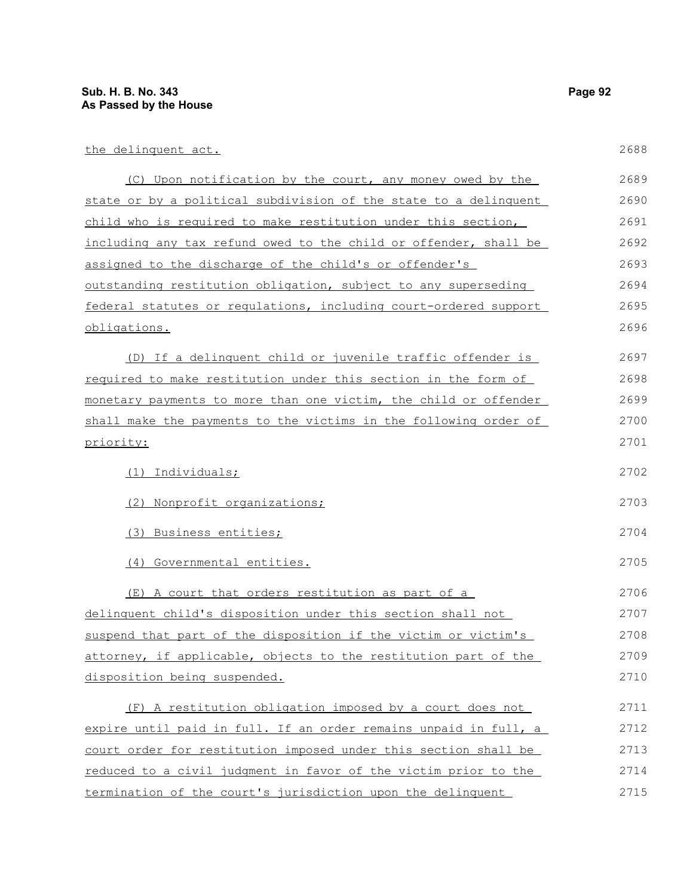the delinquent act.

| (C) Upon notification by the court, any money owed by the        | 2689 |
|------------------------------------------------------------------|------|
| state or by a political subdivision of the state to a delinquent | 2690 |
| child who is required to make restitution under this section,    | 2691 |
| including any tax refund owed to the child or offender, shall be | 2692 |
| assigned to the discharge of the child's or offender's           | 2693 |
| outstanding restitution obligation, subject to any superseding   | 2694 |
| federal statutes or regulations, including court-ordered support | 2695 |
| obligations.                                                     | 2696 |
| (D) If a delinquent child or juvenile traffic offender is        | 2697 |
| required to make restitution under this section in the form of   | 2698 |
| monetary payments to more than one victim, the child or offender | 2699 |
| shall make the payments to the victims in the following order of | 2700 |
| priority:                                                        | 2701 |
| (1) Individuals;                                                 | 2702 |
| (2) Nonprofit organizations;                                     | 2703 |
| (3) Business entities;                                           | 2704 |
| (4) Governmental entities.                                       | 2705 |
| (E) A court that orders restitution as part of a                 | 2706 |
| delinquent child's disposition under this section shall not      | 2707 |
| suspend that part of the disposition if the victim or victim's   | 2708 |
| attorney, if applicable, objects to the restitution part of the  | 2709 |
| disposition being suspended.                                     | 2710 |
| (F) A restitution obligation imposed by a court does not         | 2711 |
| expire until paid in full. If an order remains unpaid in full, a | 2712 |
| court order for restitution imposed under this section shall be  | 2713 |
| reduced to a civil judgment in favor of the victim prior to the  | 2714 |
| termination of the court's jurisdiction upon the delinquent      | 2715 |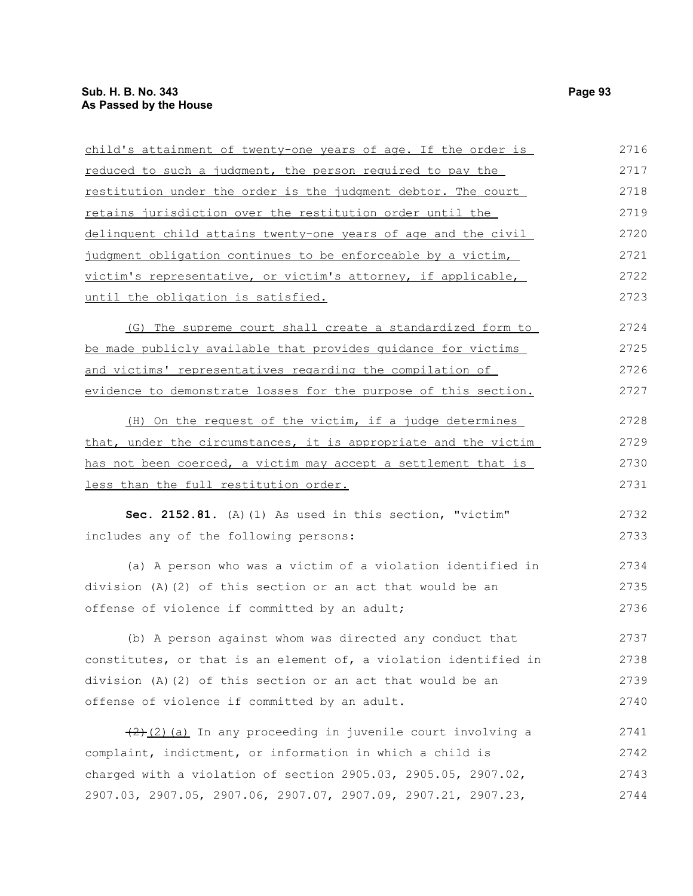| child's attainment of twenty-one years of age. If the order is   | 2716 |
|------------------------------------------------------------------|------|
| reduced to such a judgment, the person required to pay the       | 2717 |
| restitution under the order is the judgment debtor. The court    | 2718 |
| retains jurisdiction over the restitution order until the        | 2719 |
| delinquent child attains twenty-one years of age and the civil   | 2720 |
| judgment obligation continues to be enforceable by a victim,     | 2721 |
| victim's representative, or victim's attorney, if applicable,    | 2722 |
| until the obligation is satisfied.                               | 2723 |
| (G) The supreme court shall create a standardized form to        | 2724 |
| be made publicly available that provides quidance for victims    | 2725 |
| and victims' representatives regarding the compilation of        | 2726 |
| evidence to demonstrate losses for the purpose of this section.  | 2727 |
| (H) On the request of the victim, if a judge determines          | 2728 |
| that, under the circumstances, it is appropriate and the victim  | 2729 |
| has not been coerced, a victim may accept a settlement that is   | 2730 |
| less than the full restitution order.                            | 2731 |
| Sec. 2152.81. (A) (1) As used in this section, "victim"          | 2732 |
| includes any of the following persons:                           | 2733 |
| (a) A person who was a victim of a violation identified in       | 2734 |
| division $(A)$ $(2)$ of this section or an act that would be an  | 2735 |
| offense of violence if committed by an adult;                    | 2736 |
| (b) A person against whom was directed any conduct that          | 2737 |
| constitutes, or that is an element of, a violation identified in | 2738 |
| division (A)(2) of this section or an act that would be an       | 2739 |
| offense of violence if committed by an adult.                    | 2740 |
| $(2)$ (a) In any proceeding in juvenile court involving a        | 2741 |
| complaint, indictment, or information in which a child is        | 2742 |
| charged with a violation of section 2905.03, 2905.05, 2907.02,   | 2743 |
| 2907.03, 2907.05, 2907.06, 2907.07, 2907.09, 2907.21, 2907.23,   | 2744 |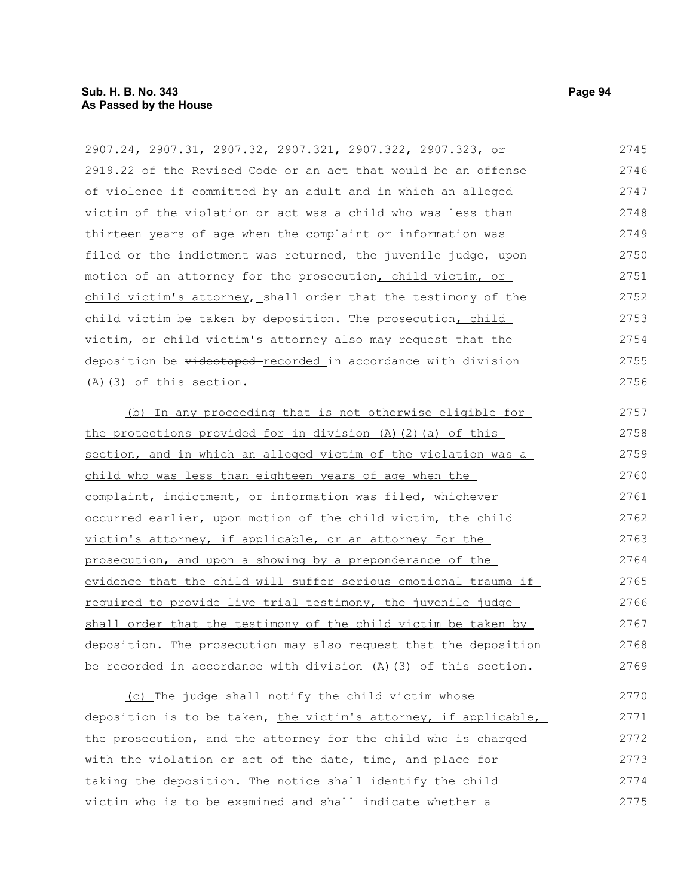## **Sub. H. B. No. 343 Page 94 As Passed by the House**

2907.24, 2907.31, 2907.32, 2907.321, 2907.322, 2907.323, or 2919.22 of the Revised Code or an act that would be an offense of violence if committed by an adult and in which an alleged victim of the violation or act was a child who was less than thirteen years of age when the complaint or information was filed or the indictment was returned, the juvenile judge, upon motion of an attorney for the prosecution, child victim, or child victim's attorney, shall order that the testimony of the child victim be taken by deposition. The prosecution, child victim, or child victim's attorney also may request that the deposition be <del>videotaped recorded</del> in accordance with division (A)(3) of this section. (b) In any proceeding that is not otherwise eligible for the protections provided for in division  $(A)(2)(a)$  of this section, and in which an alleged victim of the violation was a child who was less than eighteen years of age when the complaint, indictment, or information was filed, whichever occurred earlier, upon motion of the child victim, the child victim's attorney, if applicable, or an attorney for the prosecution, and upon a showing by a preponderance of the evidence that the child will suffer serious emotional trauma if required to provide live trial testimony, the juvenile judge shall order that the testimony of the child victim be taken by deposition. The prosecution may also request that the deposition be recorded in accordance with division (A)(3) of this section. (c) The judge shall notify the child victim whose deposition is to be taken, the victim's attorney, if applicable, 2745 2746 2747 2748 2749 2750 2751 2752 2753 2754 2755 2756 2757 2758 2759 2760 2761 2762 2763 2764 2765 2766 2767 2768 2769 2770 2771

the prosecution, and the attorney for the child who is charged with the violation or act of the date, time, and place for taking the deposition. The notice shall identify the child victim who is to be examined and shall indicate whether a 2772 2773 2774 2775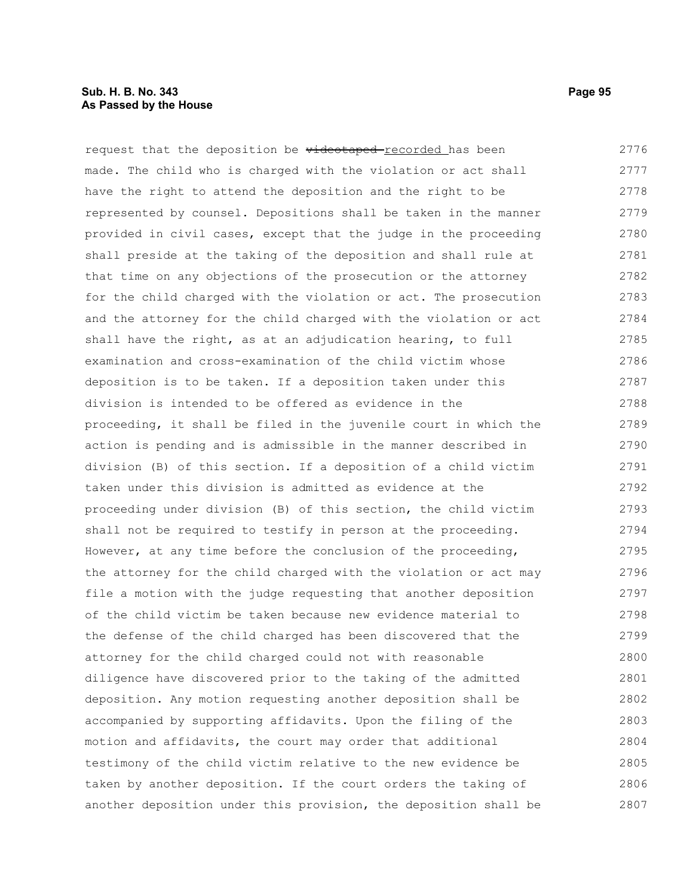## **Sub. H. B. No. 343 Page 95 As Passed by the House**

request that the deposition be videotaped-recorded has been made. The child who is charged with the violation or act shall have the right to attend the deposition and the right to be represented by counsel. Depositions shall be taken in the manner provided in civil cases, except that the judge in the proceeding shall preside at the taking of the deposition and shall rule at that time on any objections of the prosecution or the attorney for the child charged with the violation or act. The prosecution and the attorney for the child charged with the violation or act shall have the right, as at an adjudication hearing, to full examination and cross-examination of the child victim whose deposition is to be taken. If a deposition taken under this division is intended to be offered as evidence in the proceeding, it shall be filed in the juvenile court in which the action is pending and is admissible in the manner described in division (B) of this section. If a deposition of a child victim taken under this division is admitted as evidence at the proceeding under division (B) of this section, the child victim shall not be required to testify in person at the proceeding. However, at any time before the conclusion of the proceeding, the attorney for the child charged with the violation or act may file a motion with the judge requesting that another deposition of the child victim be taken because new evidence material to the defense of the child charged has been discovered that the attorney for the child charged could not with reasonable diligence have discovered prior to the taking of the admitted deposition. Any motion requesting another deposition shall be accompanied by supporting affidavits. Upon the filing of the motion and affidavits, the court may order that additional testimony of the child victim relative to the new evidence be taken by another deposition. If the court orders the taking of another deposition under this provision, the deposition shall be 2776 2777 2778 2779 2780 2781 2782 2783 2784 2785 2786 2787 2788 2789 2790 2791 2792 2793 2794 2795 2796 2797 2798 2799 2800 2801 2802 2803 2804 2805 2806 2807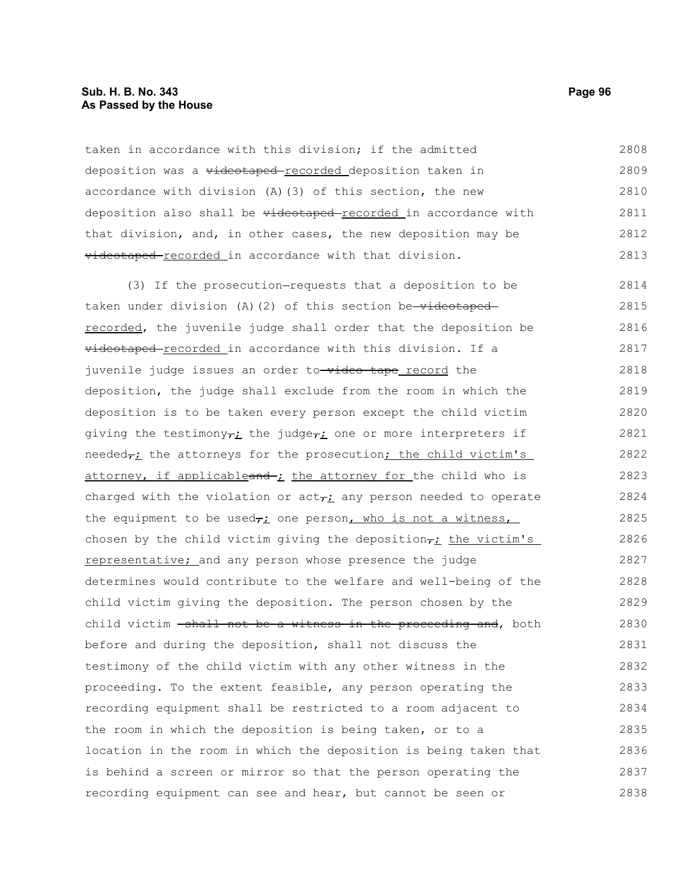#### **Sub. H. B. No. 343 Page 96 As Passed by the House**

taken in accordance with this division; if the admitted deposition was a videotaped-recorded deposition taken in accordance with division (A)(3) of this section, the new deposition also shall be videotaped-recorded in accordance with that division, and, in other cases, the new deposition may be videotaped-recorded in accordance with that division. 2808 2809 2810 2811 2812 2813

(3) If the prosecution-requests that a deposition to be taken under division (A)(2) of this section be-videotapedrecorded, the juvenile judge shall order that the deposition be videotaped recorded in accordance with this division. If a juvenile judge issues an order to video tape record the deposition, the judge shall exclude from the room in which the deposition is to be taken every person except the child victim giving the testimony $\tau_L$  the judge $\tau_L$  one or more interpreters if needed $_{7L}$  the attorneys for the prosecution; the child victim's attorney, if applicableand-; the attorney for the child who is charged with the violation or  $act_{\tau}$  any person needed to operate the equipment to be used $\tau_i$  one person, who is not a witness, chosen by the child victim giving the deposition<sub>7</sub>; the victim's representative; and any person whose presence the judge determines would contribute to the welfare and well-being of the child victim giving the deposition. The person chosen by the child victim -shall not be a witness in the proceeding and, both before and during the deposition, shall not discuss the testimony of the child victim with any other witness in the proceeding. To the extent feasible, any person operating the recording equipment shall be restricted to a room adjacent to the room in which the deposition is being taken, or to a location in the room in which the deposition is being taken that is behind a screen or mirror so that the person operating the recording equipment can see and hear, but cannot be seen or 2814 2815 2816 2817 2818 2819 2820 2821 2822 2823 2824 2825 2826 2827 2828 2829 2830 2831 2832 2833 2834 2835 2836 2837 2838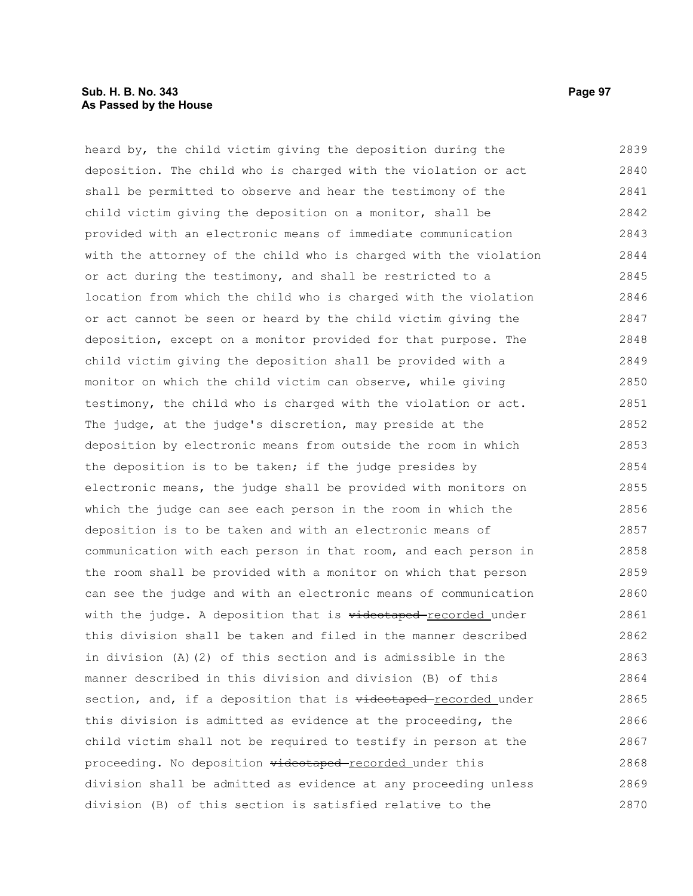## **Sub. H. B. No. 343 Page 97 As Passed by the House**

heard by, the child victim giving the deposition during the deposition. The child who is charged with the violation or act shall be permitted to observe and hear the testimony of the child victim giving the deposition on a monitor, shall be provided with an electronic means of immediate communication with the attorney of the child who is charged with the violation or act during the testimony, and shall be restricted to a location from which the child who is charged with the violation or act cannot be seen or heard by the child victim giving the deposition, except on a monitor provided for that purpose. The child victim giving the deposition shall be provided with a monitor on which the child victim can observe, while giving testimony, the child who is charged with the violation or act. The judge, at the judge's discretion, may preside at the deposition by electronic means from outside the room in which the deposition is to be taken; if the judge presides by electronic means, the judge shall be provided with monitors on which the judge can see each person in the room in which the deposition is to be taken and with an electronic means of communication with each person in that room, and each person in the room shall be provided with a monitor on which that person can see the judge and with an electronic means of communication with the judge. A deposition that is videotaped-recorded under this division shall be taken and filed in the manner described in division (A)(2) of this section and is admissible in the manner described in this division and division (B) of this section, and, if a deposition that is videotaped-recorded under this division is admitted as evidence at the proceeding, the child victim shall not be required to testify in person at the proceeding. No deposition videotaped-recorded under this division shall be admitted as evidence at any proceeding unless division (B) of this section is satisfied relative to the 2839 2840 2841 2842 2843 2844 2845 2846 2847 2848 2849 2850 2851 2852 2853 2854 2855 2856 2857 2858 2859 2860 2861 2862 2863 2864 2865 2866 2867 2868 2869 2870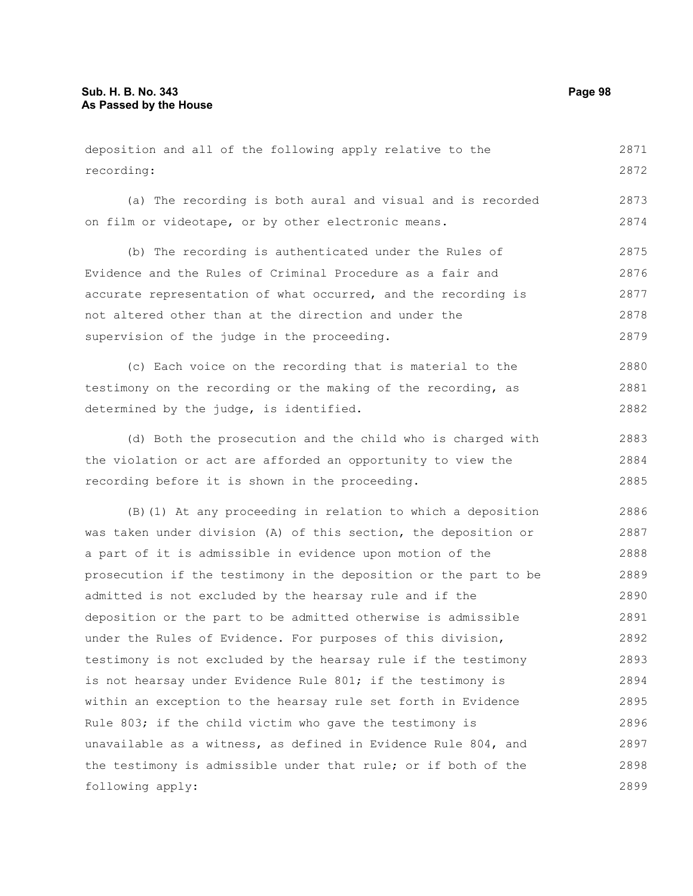| deposition and all of the following apply relative to the |  |  |  |  | 2871 |
|-----------------------------------------------------------|--|--|--|--|------|
| recording:                                                |  |  |  |  | 2872 |
|                                                           |  |  |  |  |      |

(a) The recording is both aural and visual and is recorded on film or videotape, or by other electronic means. 2873 2874

(b) The recording is authenticated under the Rules of Evidence and the Rules of Criminal Procedure as a fair and accurate representation of what occurred, and the recording is not altered other than at the direction and under the supervision of the judge in the proceeding. 2875 2876 2877 2878 2879

(c) Each voice on the recording that is material to the testimony on the recording or the making of the recording, as determined by the judge, is identified. 2880 2881 2882

(d) Both the prosecution and the child who is charged with the violation or act are afforded an opportunity to view the recording before it is shown in the proceeding. 2883 2884 2885

(B)(1) At any proceeding in relation to which a deposition was taken under division (A) of this section, the deposition or a part of it is admissible in evidence upon motion of the prosecution if the testimony in the deposition or the part to be admitted is not excluded by the hearsay rule and if the deposition or the part to be admitted otherwise is admissible under the Rules of Evidence. For purposes of this division, testimony is not excluded by the hearsay rule if the testimony is not hearsay under Evidence Rule 801; if the testimony is within an exception to the hearsay rule set forth in Evidence Rule 803; if the child victim who gave the testimony is unavailable as a witness, as defined in Evidence Rule 804, and the testimony is admissible under that rule; or if both of the following apply: 2886 2887 2888 2889 2890 2891 2892 2893 2894 2895 2896 2897 2898 2899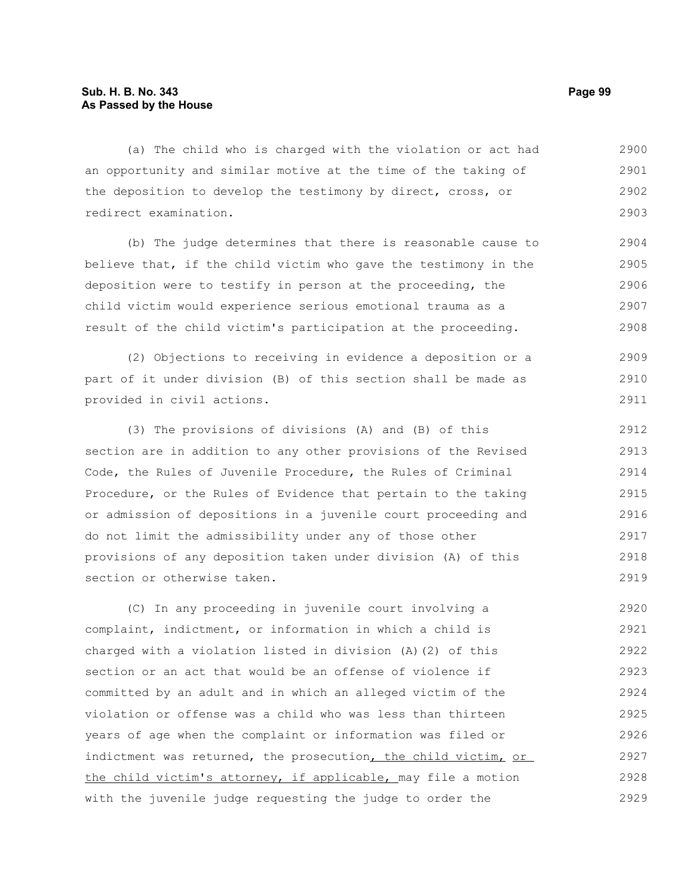(a) The child who is charged with the violation or act had an opportunity and similar motive at the time of the taking of the deposition to develop the testimony by direct, cross, or redirect examination. 2900 2901 2902 2903

(b) The judge determines that there is reasonable cause to believe that, if the child victim who gave the testimony in the deposition were to testify in person at the proceeding, the child victim would experience serious emotional trauma as a result of the child victim's participation at the proceeding. 2904 2905 2906 2907 2908

(2) Objections to receiving in evidence a deposition or a part of it under division (B) of this section shall be made as provided in civil actions. 2909 2910 2911

(3) The provisions of divisions (A) and (B) of this section are in addition to any other provisions of the Revised Code, the Rules of Juvenile Procedure, the Rules of Criminal Procedure, or the Rules of Evidence that pertain to the taking or admission of depositions in a juvenile court proceeding and do not limit the admissibility under any of those other provisions of any deposition taken under division (A) of this section or otherwise taken. 2912 2913 2914 2915 2916 2917 2918 2919

(C) In any proceeding in juvenile court involving a complaint, indictment, or information in which a child is charged with a violation listed in division (A)(2) of this section or an act that would be an offense of violence if committed by an adult and in which an alleged victim of the violation or offense was a child who was less than thirteen years of age when the complaint or information was filed or indictment was returned, the prosecution, the child victim, or the child victim's attorney, if applicable, may file a motion with the juvenile judge requesting the judge to order the 2920 2921 2922 2923 2924 2925 2926 2927 2928 2929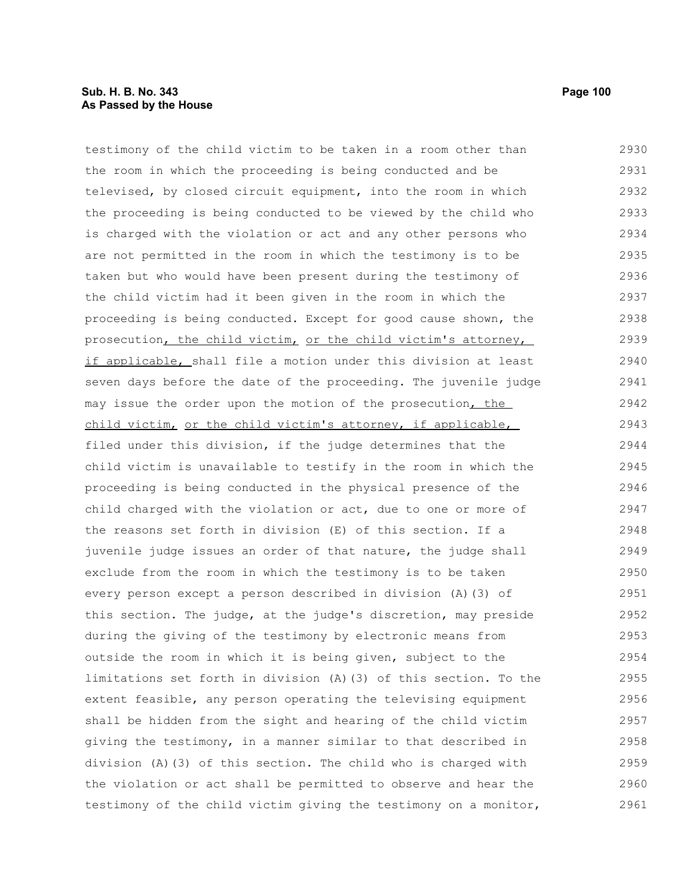## **Sub. H. B. No. 343 Page 100 As Passed by the House**

testimony of the child victim to be taken in a room other than the room in which the proceeding is being conducted and be televised, by closed circuit equipment, into the room in which the proceeding is being conducted to be viewed by the child who is charged with the violation or act and any other persons who are not permitted in the room in which the testimony is to be taken but who would have been present during the testimony of the child victim had it been given in the room in which the proceeding is being conducted. Except for good cause shown, the prosecution, the child victim, or the child victim's attorney, if applicable, shall file a motion under this division at least seven days before the date of the proceeding. The juvenile judge may issue the order upon the motion of the prosecution, the child victim, or the child victim's attorney, if applicable, filed under this division, if the judge determines that the child victim is unavailable to testify in the room in which the proceeding is being conducted in the physical presence of the child charged with the violation or act, due to one or more of the reasons set forth in division (E) of this section. If a juvenile judge issues an order of that nature, the judge shall exclude from the room in which the testimony is to be taken every person except a person described in division (A)(3) of this section. The judge, at the judge's discretion, may preside during the giving of the testimony by electronic means from outside the room in which it is being given, subject to the limitations set forth in division (A)(3) of this section. To the extent feasible, any person operating the televising equipment shall be hidden from the sight and hearing of the child victim giving the testimony, in a manner similar to that described in division (A)(3) of this section. The child who is charged with the violation or act shall be permitted to observe and hear the testimony of the child victim giving the testimony on a monitor, 2930 2931 2932 2933 2934 2935 2936 2937 2938 2939 2940 2941 2942 2943 2944 2945 2946 2947 2948 2949 2950 2951 2952 2953 2954 2955 2956 2957 2958 2959 2960 2961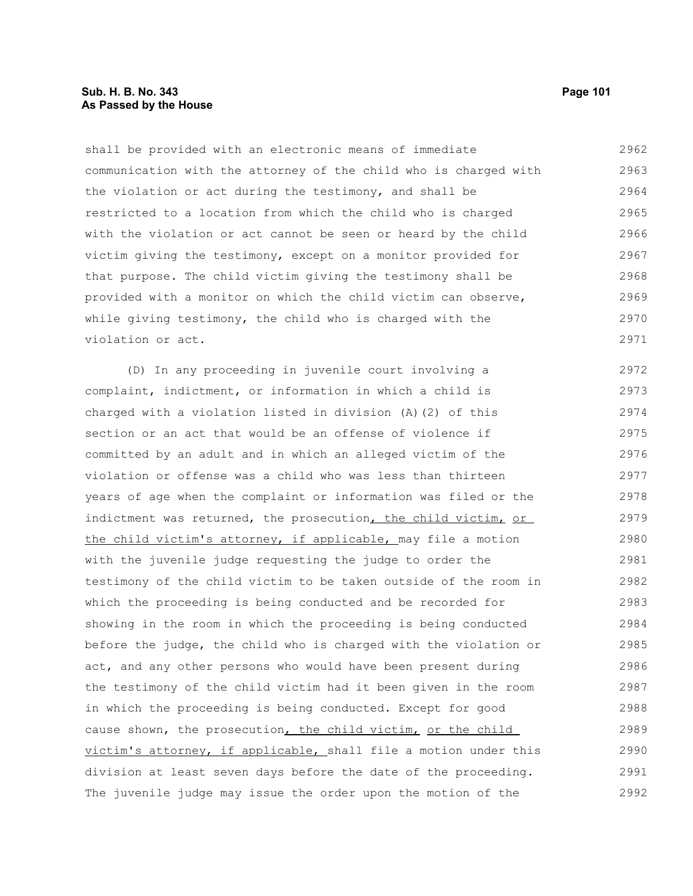## **Sub. H. B. No. 343 Page 101 As Passed by the House**

shall be provided with an electronic means of immediate communication with the attorney of the child who is charged with the violation or act during the testimony, and shall be restricted to a location from which the child who is charged with the violation or act cannot be seen or heard by the child victim giving the testimony, except on a monitor provided for that purpose. The child victim giving the testimony shall be provided with a monitor on which the child victim can observe, while giving testimony, the child who is charged with the violation or act. 2962 2963 2964 2965 2966 2967 2968 2969 2970 2971

(D) In any proceeding in juvenile court involving a complaint, indictment, or information in which a child is charged with a violation listed in division (A)(2) of this section or an act that would be an offense of violence if committed by an adult and in which an alleged victim of the violation or offense was a child who was less than thirteen years of age when the complaint or information was filed or the indictment was returned, the prosecution, the child victim, or the child victim's attorney, if applicable, may file a motion with the juvenile judge requesting the judge to order the testimony of the child victim to be taken outside of the room in which the proceeding is being conducted and be recorded for showing in the room in which the proceeding is being conducted before the judge, the child who is charged with the violation or act, and any other persons who would have been present during the testimony of the child victim had it been given in the room in which the proceeding is being conducted. Except for good cause shown, the prosecution, the child victim, or the child victim's attorney, if applicable, shall file a motion under this division at least seven days before the date of the proceeding. The juvenile judge may issue the order upon the motion of the 2972 2973 2974 2975 2976 2977 2978 2979 2980 2981 2982 2983 2984 2985 2986 2987 2988 2989 2990 2991 2992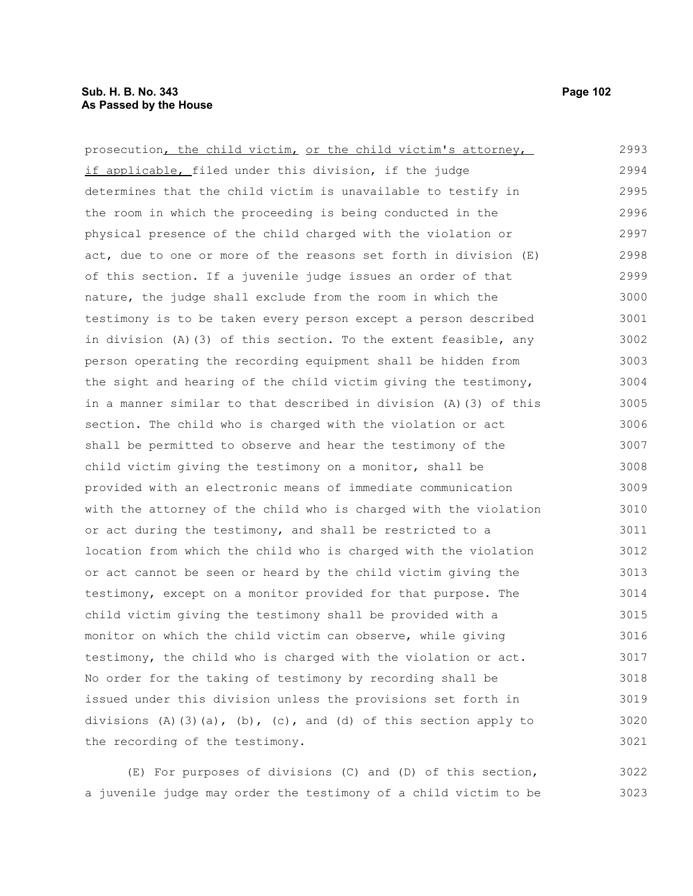| prosecution, the child victim, or the child victim's attorney,                   | 2993 |
|----------------------------------------------------------------------------------|------|
| if applicable, filed under this division, if the judge                           | 2994 |
| determines that the child victim is unavailable to testify in                    | 2995 |
| the room in which the proceeding is being conducted in the                       | 2996 |
| physical presence of the child charged with the violation or                     | 2997 |
| act, due to one or more of the reasons set forth in division (E)                 | 2998 |
| of this section. If a juvenile judge issues an order of that                     | 2999 |
| nature, the judge shall exclude from the room in which the                       | 3000 |
| testimony is to be taken every person except a person described                  | 3001 |
| in division (A) (3) of this section. To the extent feasible, any                 | 3002 |
| person operating the recording equipment shall be hidden from                    | 3003 |
| the sight and hearing of the child victim giving the testimony,                  | 3004 |
| in a manner similar to that described in division (A) (3) of this                | 3005 |
| section. The child who is charged with the violation or act                      | 3006 |
| shall be permitted to observe and hear the testimony of the                      | 3007 |
| child victim giving the testimony on a monitor, shall be                         | 3008 |
| provided with an electronic means of immediate communication                     | 3009 |
| with the attorney of the child who is charged with the violation                 | 3010 |
| or act during the testimony, and shall be restricted to a                        | 3011 |
| location from which the child who is charged with the violation                  | 3012 |
| or act cannot be seen or heard by the child victim giving the                    | 3013 |
| testimony, except on a monitor provided for that purpose. The                    | 3014 |
| child victim giving the testimony shall be provided with a                       | 3015 |
| monitor on which the child victim can observe, while giving                      | 3016 |
| testimony, the child who is charged with the violation or act.                   | 3017 |
| No order for the taking of testimony by recording shall be                       | 3018 |
| issued under this division unless the provisions set forth in                    | 3019 |
| divisions $(A)$ $(3)$ $(a)$ , $(b)$ , $(c)$ , and $(d)$ of this section apply to | 3020 |
| the recording of the testimony.                                                  | 3021 |
|                                                                                  |      |

(E) For purposes of divisions (C) and (D) of this section, a juvenile judge may order the testimony of a child victim to be 30233022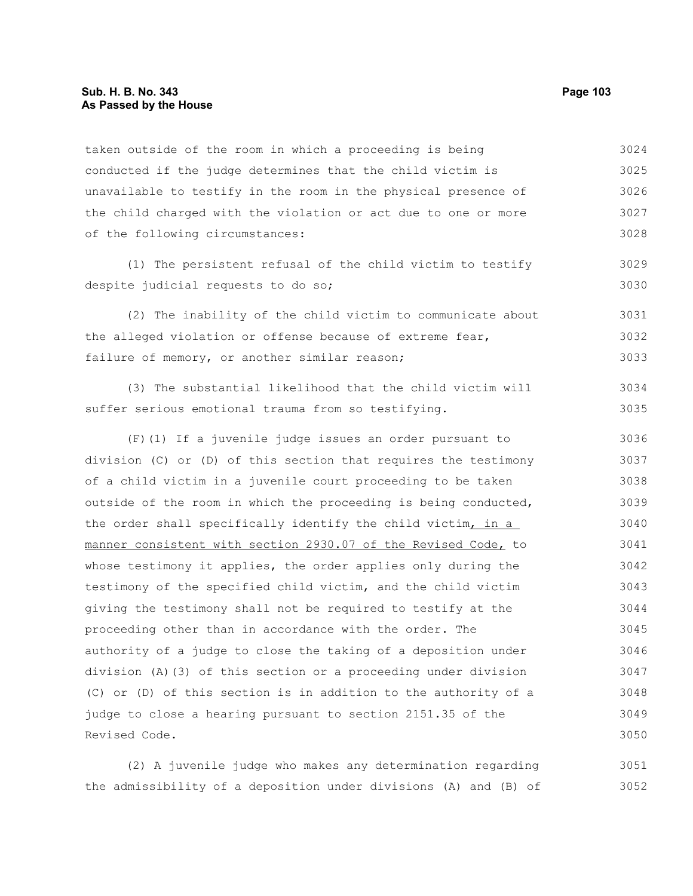taken outside of the room in which a proceeding is being conducted if the judge determines that the child victim is unavailable to testify in the room in the physical presence of the child charged with the violation or act due to one or more of the following circumstances: 3024 3025 3026 3027 3028

(1) The persistent refusal of the child victim to testify despite judicial requests to do so;

(2) The inability of the child victim to communicate about the alleged violation or offense because of extreme fear, failure of memory, or another similar reason; 3031 3032 3033

(3) The substantial likelihood that the child victim will suffer serious emotional trauma from so testifying. 3034 3035

(F)(1) If a juvenile judge issues an order pursuant to division (C) or (D) of this section that requires the testimony of a child victim in a juvenile court proceeding to be taken outside of the room in which the proceeding is being conducted, the order shall specifically identify the child victim, in a manner consistent with section 2930.07 of the Revised Code, to whose testimony it applies, the order applies only during the testimony of the specified child victim, and the child victim giving the testimony shall not be required to testify at the proceeding other than in accordance with the order. The authority of a judge to close the taking of a deposition under division (A)(3) of this section or a proceeding under division (C) or (D) of this section is in addition to the authority of a judge to close a hearing pursuant to section 2151.35 of the Revised Code. 3036 3037 3038 3039 3040 3041 3042 3043 3044 3045 3046 3047 3048 3049 3050

(2) A juvenile judge who makes any determination regarding the admissibility of a deposition under divisions (A) and (B) of 3051 3052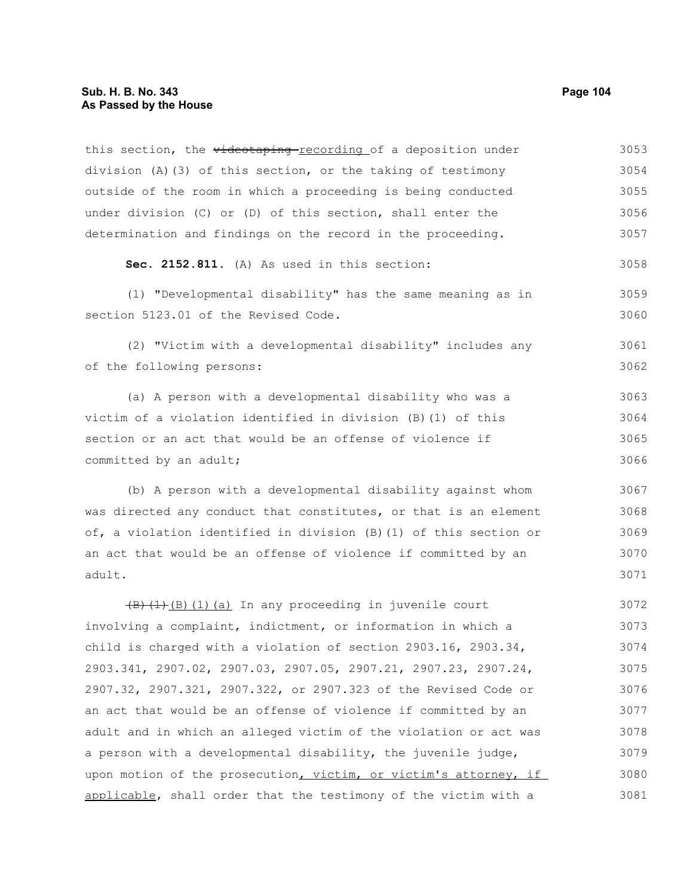division (A)(3) of this section, or the taking of testimony outside of the room in which a proceeding is being conducted under division (C) or (D) of this section, shall enter the determination and findings on the record in the proceeding. **Sec. 2152.811.** (A) As used in this section: (1) "Developmental disability" has the same meaning as in section 5123.01 of the Revised Code. (2) "Victim with a developmental disability" includes any of the following persons: (a) A person with a developmental disability who was a victim of a violation identified in division (B)(1) of this section or an act that would be an offense of violence if committed by an adult; (b) A person with a developmental disability against whom was directed any conduct that constitutes, or that is an element of, a violation identified in division (B)(1) of this section or an act that would be an offense of violence if committed by an adult. 3054 3055 3056 3057 3058 3059 3060 3061 3062 3063 3064 3065 3066 3067 3068 3069 3070 3071

this section, the videotaping recording of a deposition under

 $(B)$   $(1)$   $(B)$   $(1)$   $(a)$  In any proceeding in juvenile court involving a complaint, indictment, or information in which a child is charged with a violation of section 2903.16, 2903.34, 2903.341, 2907.02, 2907.03, 2907.05, 2907.21, 2907.23, 2907.24, 2907.32, 2907.321, 2907.322, or 2907.323 of the Revised Code or an act that would be an offense of violence if committed by an adult and in which an alleged victim of the violation or act was a person with a developmental disability, the juvenile judge, upon motion of the prosecution, victim, or victim's attorney, if applicable, shall order that the testimony of the victim with a 3072 3073 3074 3075 3076 3077 3078 3079 3080 3081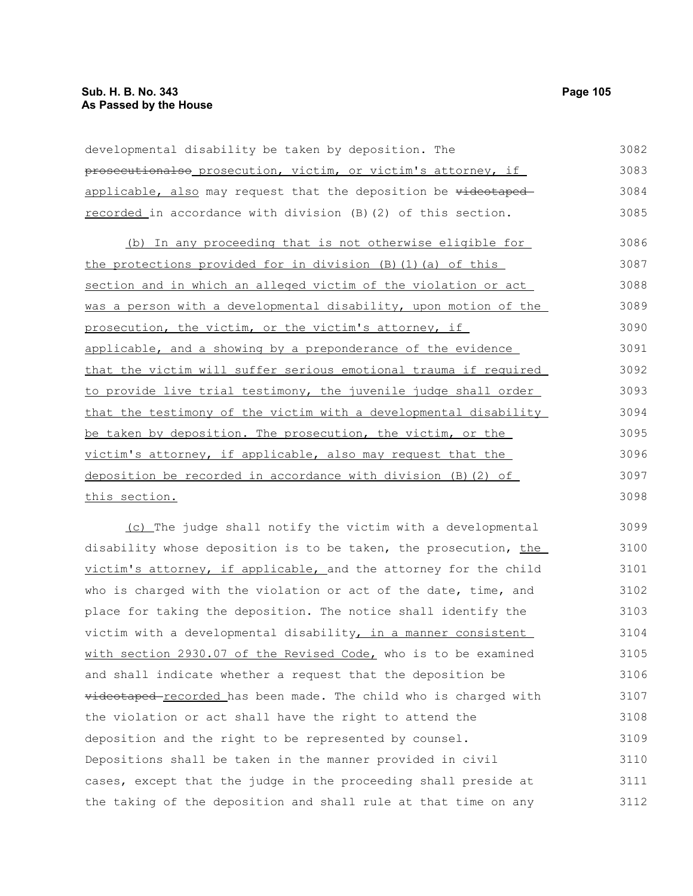| developmental disability be taken by deposition. The             | 3082 |
|------------------------------------------------------------------|------|
| prosecutionalso prosecution, victim, or victim's attorney, if    | 3083 |
| applicable, also may request that the deposition be videotaped   | 3084 |
| recorded in accordance with division (B) (2) of this section.    | 3085 |
| (b) In any proceeding that is not otherwise eligible for         | 3086 |
| the protections provided for in division (B)(1)(a) of this       | 3087 |
| section and in which an alleged victim of the violation or act   | 3088 |
| was a person with a developmental disability, upon motion of the | 3089 |
| prosecution, the victim, or the victim's attorney, if            | 3090 |
| applicable, and a showing by a preponderance of the evidence     | 3091 |
| that the victim will suffer serious emotional trauma if required | 3092 |
| to provide live trial testimony, the juvenile judge shall order  | 3093 |
| that the testimony of the victim with a developmental disability | 3094 |
| be taken by deposition. The prosecution, the victim, or the      | 3095 |
| victim's attorney, if applicable, also may request that the      | 3096 |
| deposition be recorded in accordance with division (B) (2) of    | 3097 |
| this section.                                                    | 3098 |

(c) The judge shall notify the victim with a developmental disability whose deposition is to be taken, the prosecution, the victim's attorney, if applicable, and the attorney for the child who is charged with the violation or act of the date, time, and place for taking the deposition. The notice shall identify the victim with a developmental disability, in a manner consistent with section 2930.07 of the Revised Code, who is to be examined and shall indicate whether a request that the deposition be videotaped recorded has been made. The child who is charged with the violation or act shall have the right to attend the deposition and the right to be represented by counsel. Depositions shall be taken in the manner provided in civil cases, except that the judge in the proceeding shall preside at the taking of the deposition and shall rule at that time on any 3099 3100 3101 3102 3103 3104 3105 3106 3107 3108 3109 3110 3111 3112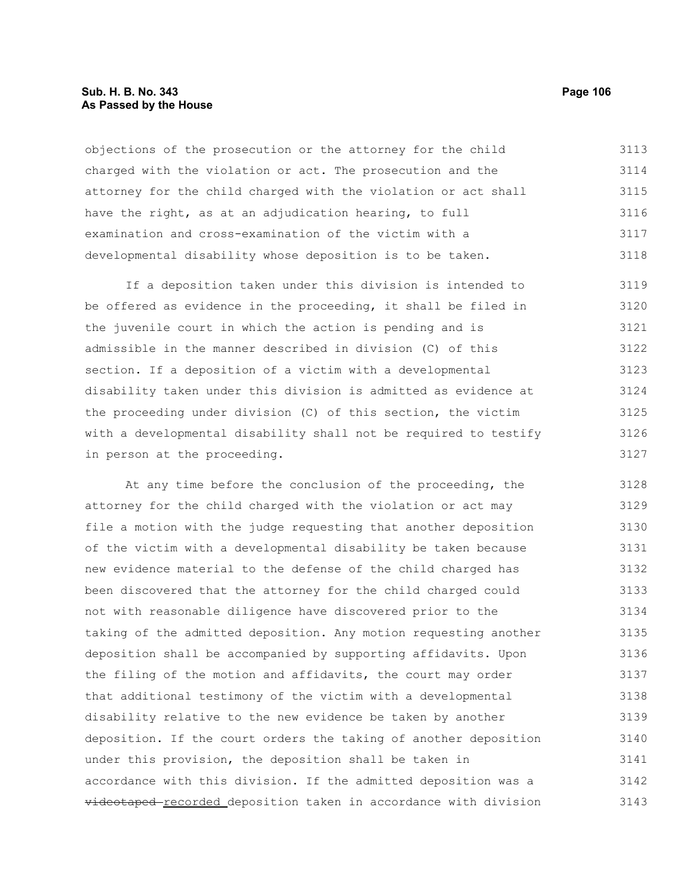## **Sub. H. B. No. 343 Page 106 As Passed by the House**

objections of the prosecution or the attorney for the child charged with the violation or act. The prosecution and the attorney for the child charged with the violation or act shall have the right, as at an adjudication hearing, to full examination and cross-examination of the victim with a developmental disability whose deposition is to be taken. 3113 3114 3115 3116 3117 3118

If a deposition taken under this division is intended to be offered as evidence in the proceeding, it shall be filed in the juvenile court in which the action is pending and is admissible in the manner described in division (C) of this section. If a deposition of a victim with a developmental disability taken under this division is admitted as evidence at the proceeding under division (C) of this section, the victim with a developmental disability shall not be required to testify in person at the proceeding. 3119 3120 3121 3122 3123 3124 3125 3126 3127

At any time before the conclusion of the proceeding, the attorney for the child charged with the violation or act may file a motion with the judge requesting that another deposition of the victim with a developmental disability be taken because new evidence material to the defense of the child charged has been discovered that the attorney for the child charged could not with reasonable diligence have discovered prior to the taking of the admitted deposition. Any motion requesting another deposition shall be accompanied by supporting affidavits. Upon the filing of the motion and affidavits, the court may order that additional testimony of the victim with a developmental disability relative to the new evidence be taken by another deposition. If the court orders the taking of another deposition under this provision, the deposition shall be taken in accordance with this division. If the admitted deposition was a videotaped recorded deposition taken in accordance with division 3128 3129 3130 3131 3132 3133 3134 3135 3136 3137 3138 3139 3140 3141 3142 3143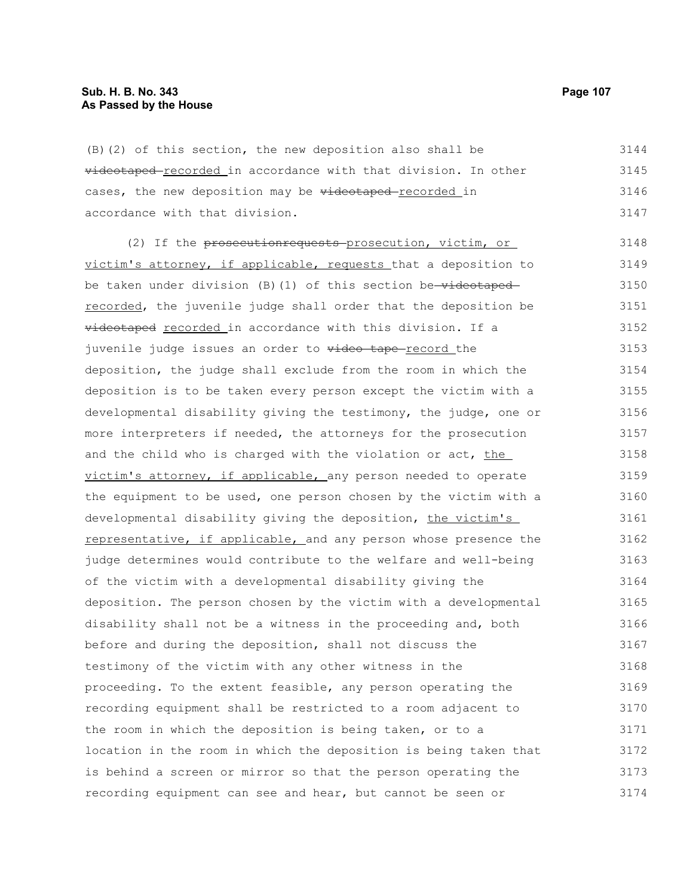| (B) (2) of this section, the new deposition also shall be        | 3144 |
|------------------------------------------------------------------|------|
| videotaped-recorded in accordance with that division. In other   | 3145 |
| cases, the new deposition may be videotaped-recorded in          | 3146 |
| accordance with that division.                                   | 3147 |
| (2) If the prosecutionrequests prosecution, victim, or           | 3148 |
| victim's attorney, if applicable, requests that a deposition to  | 3149 |
| be taken under division (B)(1) of this section be videotaped     | 3150 |
| recorded, the juvenile judge shall order that the deposition be  | 3151 |
| videotaped recorded in accordance with this division. If a       | 3152 |
| juvenile judge issues an order to video tape-record the          | 3153 |
| deposition, the judge shall exclude from the room in which the   | 3154 |
| deposition is to be taken every person except the victim with a  | 3155 |
| developmental disability giving the testimony, the judge, one or | 3156 |
| more interpreters if needed, the attorneys for the prosecution   | 3157 |
| and the child who is charged with the violation or act, the      | 3158 |
| victim's attorney, if applicable, any person needed to operate   | 3159 |
| the equipment to be used, one person chosen by the victim with a | 3160 |
| developmental disability giving the deposition, the victim's     | 3161 |
| representative, if applicable, and any person whose presence the | 3162 |
| judge determines would contribute to the welfare and well-being  | 3163 |
| of the victim with a developmental disability giving the         | 3164 |
| deposition. The person chosen by the victim with a developmental | 3165 |
| disability shall not be a witness in the proceeding and, both    | 3166 |
| before and during the deposition, shall not discuss the          | 3167 |
| testimony of the victim with any other witness in the            | 3168 |
| proceeding. To the extent feasible, any person operating the     | 3169 |
| recording equipment shall be restricted to a room adjacent to    | 3170 |
| the room in which the deposition is being taken, or to a         | 3171 |
| location in the room in which the deposition is being taken that | 3172 |
| is behind a screen or mirror so that the person operating the    | 3173 |
| recording equipment can see and hear, but cannot be seen or      | 3174 |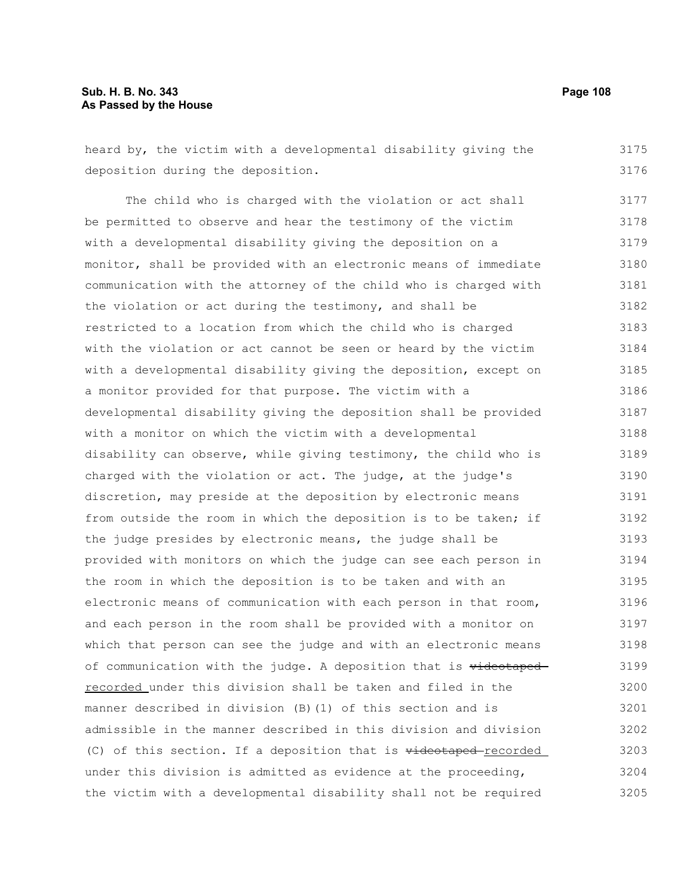## **Sub. H. B. No. 343 Page 108 As Passed by the House**

heard by, the victim with a developmental disability giving the deposition during the deposition. The child who is charged with the violation or act shall be permitted to observe and hear the testimony of the victim with a developmental disability giving the deposition on a monitor, shall be provided with an electronic means of immediate communication with the attorney of the child who is charged with the violation or act during the testimony, and shall be restricted to a location from which the child who is charged with the violation or act cannot be seen or heard by the victim with a developmental disability giving the deposition, except on a monitor provided for that purpose. The victim with a developmental disability giving the deposition shall be provided with a monitor on which the victim with a developmental disability can observe, while giving testimony, the child who is charged with the violation or act. The judge, at the judge's discretion, may preside at the deposition by electronic means from outside the room in which the deposition is to be taken; if the judge presides by electronic means, the judge shall be provided with monitors on which the judge can see each person in the room in which the deposition is to be taken and with an electronic means of communication with each person in that room, and each person in the room shall be provided with a monitor on which that person can see the judge and with an electronic means of communication with the judge. A deposition that is videotaped recorded under this division shall be taken and filed in the manner described in division (B)(1) of this section and is admissible in the manner described in this division and division (C) of this section. If a deposition that is videotaped recorded under this division is admitted as evidence at the proceeding, the victim with a developmental disability shall not be required 3175 3176 3177 3178 3179 3180 3181 3182 3183 3184 3185 3186 3187 3188 3189 3190 3191 3192 3193 3194 3195 3196 3197 3198 3199 3200 3201 3202 3203 3204 3205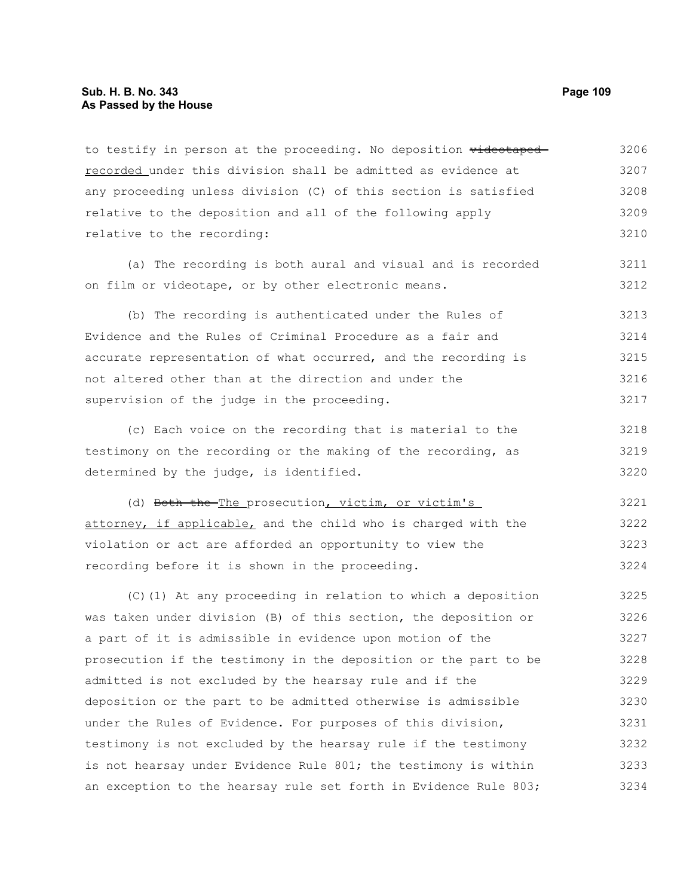to testify in person at the proceeding. No deposition videotaped recorded under this division shall be admitted as evidence at any proceeding unless division (C) of this section is satisfied relative to the deposition and all of the following apply relative to the recording: 3206 3207 3208 3209 3210

(a) The recording is both aural and visual and is recorded on film or videotape, or by other electronic means.

(b) The recording is authenticated under the Rules of Evidence and the Rules of Criminal Procedure as a fair and accurate representation of what occurred, and the recording is not altered other than at the direction and under the supervision of the judge in the proceeding. 3213 3214 3215 3216 3217

(c) Each voice on the recording that is material to the testimony on the recording or the making of the recording, as determined by the judge, is identified. 3218 3219 3220

(d) Both the The prosecution, victim, or victim's attorney, if applicable, and the child who is charged with the violation or act are afforded an opportunity to view the recording before it is shown in the proceeding. 3221 3222 3223 3224

(C)(1) At any proceeding in relation to which a deposition was taken under division (B) of this section, the deposition or a part of it is admissible in evidence upon motion of the prosecution if the testimony in the deposition or the part to be admitted is not excluded by the hearsay rule and if the deposition or the part to be admitted otherwise is admissible under the Rules of Evidence. For purposes of this division, testimony is not excluded by the hearsay rule if the testimony is not hearsay under Evidence Rule 801; the testimony is within an exception to the hearsay rule set forth in Evidence Rule 803; 3225 3226 3227 3228 3229 3230 3231 3232 3233 3234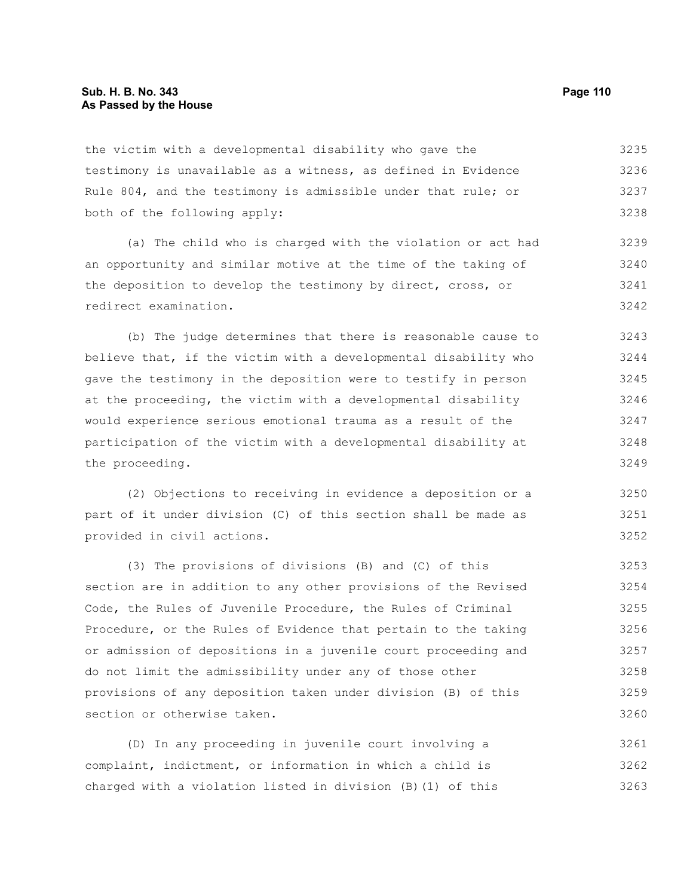the victim with a developmental disability who gave the testimony is unavailable as a witness, as defined in Evidence Rule 804, and the testimony is admissible under that rule; or both of the following apply: 3235 3236 3237 3238

(a) The child who is charged with the violation or act had an opportunity and similar motive at the time of the taking of the deposition to develop the testimony by direct, cross, or redirect examination. 3239 3240 3241 3242

(b) The judge determines that there is reasonable cause to believe that, if the victim with a developmental disability who gave the testimony in the deposition were to testify in person at the proceeding, the victim with a developmental disability would experience serious emotional trauma as a result of the participation of the victim with a developmental disability at the proceeding. 3243 3244 3245 3246 3247 3248 3249

(2) Objections to receiving in evidence a deposition or a part of it under division (C) of this section shall be made as provided in civil actions. 3250 3251 3252

(3) The provisions of divisions (B) and (C) of this section are in addition to any other provisions of the Revised Code, the Rules of Juvenile Procedure, the Rules of Criminal Procedure, or the Rules of Evidence that pertain to the taking or admission of depositions in a juvenile court proceeding and do not limit the admissibility under any of those other provisions of any deposition taken under division (B) of this section or otherwise taken. 3253 3254 3255 3256 3257 3258 3259 3260

(D) In any proceeding in juvenile court involving a complaint, indictment, or information in which a child is charged with a violation listed in division (B)(1) of this 3261 3262 3263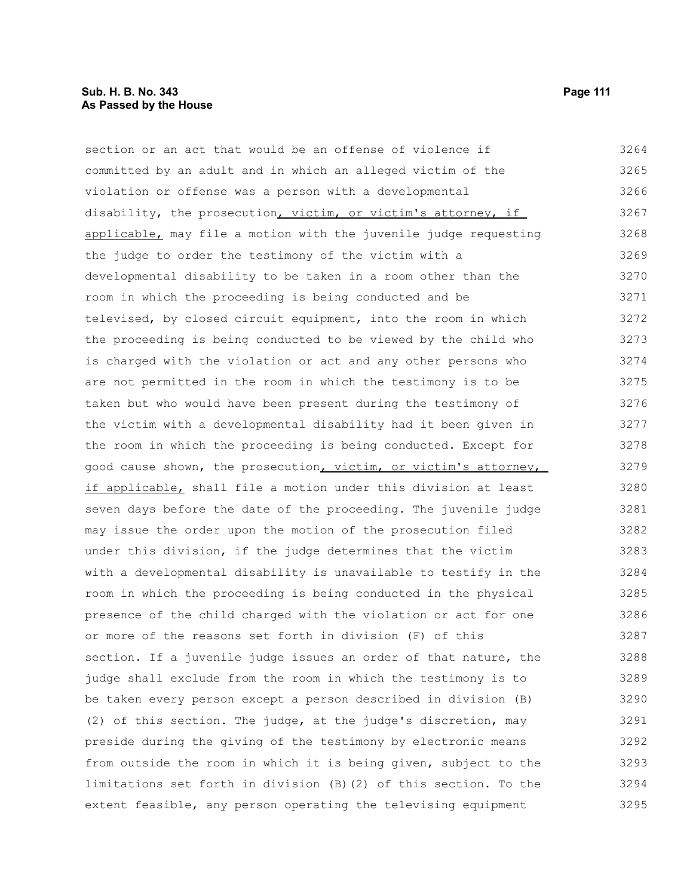section or an act that would be an offense of violence if committed by an adult and in which an alleged victim of the violation or offense was a person with a developmental disability, the prosecution, victim, or victim's attorney, if applicable, may file a motion with the juvenile judge requesting the judge to order the testimony of the victim with a developmental disability to be taken in a room other than the room in which the proceeding is being conducted and be televised, by closed circuit equipment, into the room in which the proceeding is being conducted to be viewed by the child who is charged with the violation or act and any other persons who are not permitted in the room in which the testimony is to be taken but who would have been present during the testimony of the victim with a developmental disability had it been given in the room in which the proceeding is being conducted. Except for good cause shown, the prosecution, victim, or victim's attorney, if applicable, shall file a motion under this division at least seven days before the date of the proceeding. The juvenile judge may issue the order upon the motion of the prosecution filed under this division, if the judge determines that the victim with a developmental disability is unavailable to testify in the room in which the proceeding is being conducted in the physical presence of the child charged with the violation or act for one or more of the reasons set forth in division (F) of this section. If a juvenile judge issues an order of that nature, the judge shall exclude from the room in which the testimony is to be taken every person except a person described in division (B) (2) of this section. The judge, at the judge's discretion, may preside during the giving of the testimony by electronic means from outside the room in which it is being given, subject to the limitations set forth in division (B)(2) of this section. To the extent feasible, any person operating the televising equipment 3264 3265 3266 3267 3268 3269 3270 3271 3272 3273 3274 3275 3276 3277 3278 3279 3280 3281 3282 3283 3284 3285 3286 3287 3288 3289 3290 3291 3292 3293 3294 3295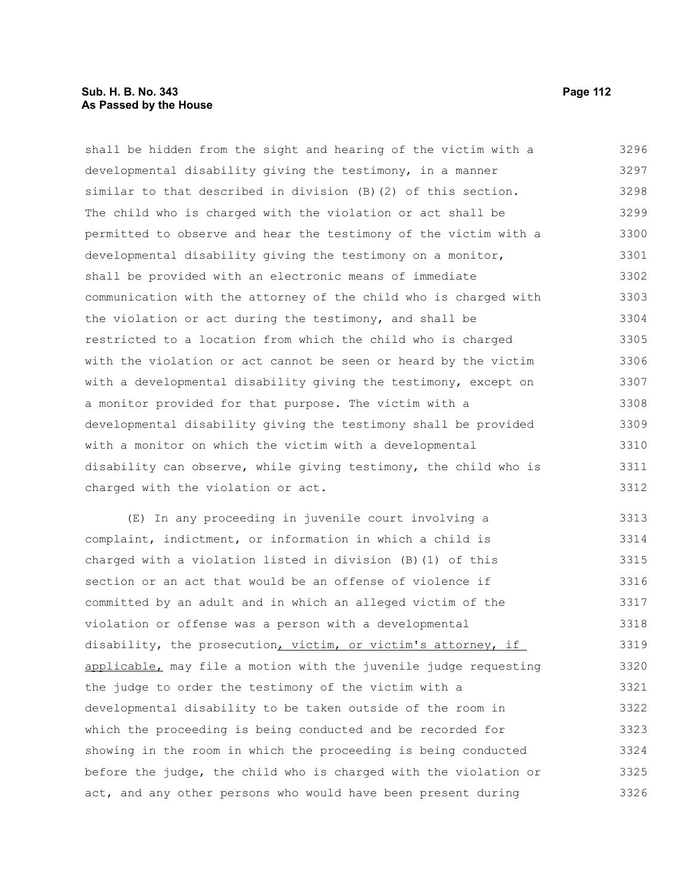## **Sub. H. B. No. 343 Page 112 As Passed by the House**

shall be hidden from the sight and hearing of the victim with a developmental disability giving the testimony, in a manner similar to that described in division (B)(2) of this section. The child who is charged with the violation or act shall be permitted to observe and hear the testimony of the victim with a developmental disability giving the testimony on a monitor, shall be provided with an electronic means of immediate communication with the attorney of the child who is charged with the violation or act during the testimony, and shall be restricted to a location from which the child who is charged with the violation or act cannot be seen or heard by the victim with a developmental disability giving the testimony, except on a monitor provided for that purpose. The victim with a developmental disability giving the testimony shall be provided with a monitor on which the victim with a developmental disability can observe, while giving testimony, the child who is charged with the violation or act. 3296 3297 3298 3299 3300 3301 3302 3303 3304 3305 3306 3307 3308 3309 3310 3311 3312

(E) In any proceeding in juvenile court involving a complaint, indictment, or information in which a child is charged with a violation listed in division (B)(1) of this section or an act that would be an offense of violence if committed by an adult and in which an alleged victim of the violation or offense was a person with a developmental disability, the prosecution, victim, or victim's attorney, if applicable, may file a motion with the juvenile judge requesting the judge to order the testimony of the victim with a developmental disability to be taken outside of the room in which the proceeding is being conducted and be recorded for showing in the room in which the proceeding is being conducted before the judge, the child who is charged with the violation or act, and any other persons who would have been present during 3313 3314 3315 3316 3317 3318 3319 3320 3321 3322 3323 3324 3325 3326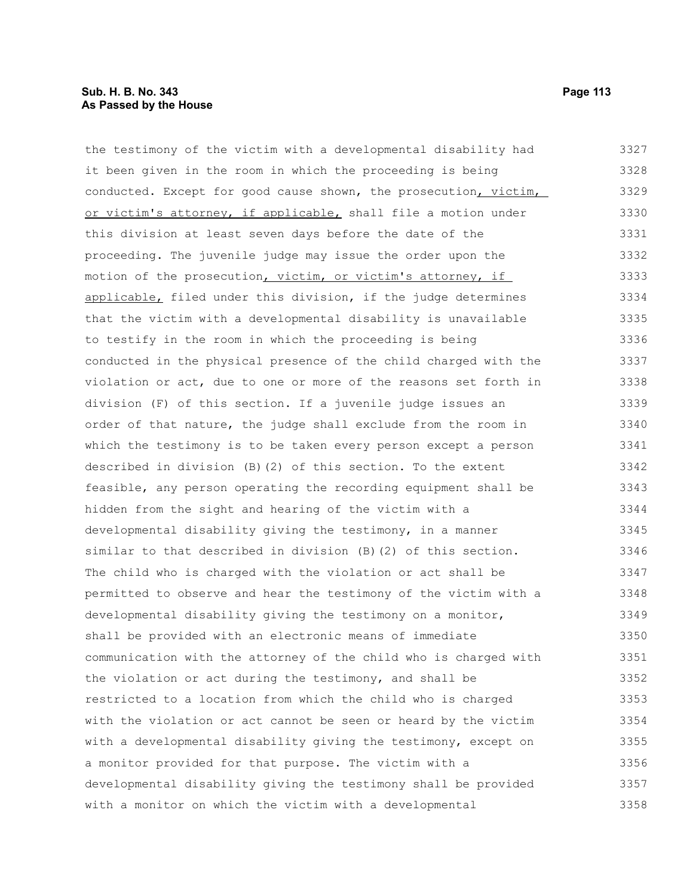## **Sub. H. B. No. 343 Page 113 As Passed by the House**

the testimony of the victim with a developmental disability had it been given in the room in which the proceeding is being conducted. Except for good cause shown, the prosecution, victim, or victim's attorney, if applicable, shall file a motion under this division at least seven days before the date of the proceeding. The juvenile judge may issue the order upon the motion of the prosecution, victim, or victim's attorney, if applicable, filed under this division, if the judge determines that the victim with a developmental disability is unavailable to testify in the room in which the proceeding is being conducted in the physical presence of the child charged with the violation or act, due to one or more of the reasons set forth in division (F) of this section. If a juvenile judge issues an order of that nature, the judge shall exclude from the room in which the testimony is to be taken every person except a person described in division (B)(2) of this section. To the extent feasible, any person operating the recording equipment shall be hidden from the sight and hearing of the victim with a developmental disability giving the testimony, in a manner similar to that described in division (B)(2) of this section. The child who is charged with the violation or act shall be permitted to observe and hear the testimony of the victim with a developmental disability giving the testimony on a monitor, shall be provided with an electronic means of immediate communication with the attorney of the child who is charged with the violation or act during the testimony, and shall be restricted to a location from which the child who is charged with the violation or act cannot be seen or heard by the victim with a developmental disability giving the testimony, except on a monitor provided for that purpose. The victim with a developmental disability giving the testimony shall be provided with a monitor on which the victim with a developmental 3327 3328 3329 3330 3331 3332 3333 3334 3335 3336 3337 3338 3339 3340 3341 3342 3343 3344 3345 3346 3347 3348 3349 3350 3351 3352 3353 3354 3355 3356 3357 3358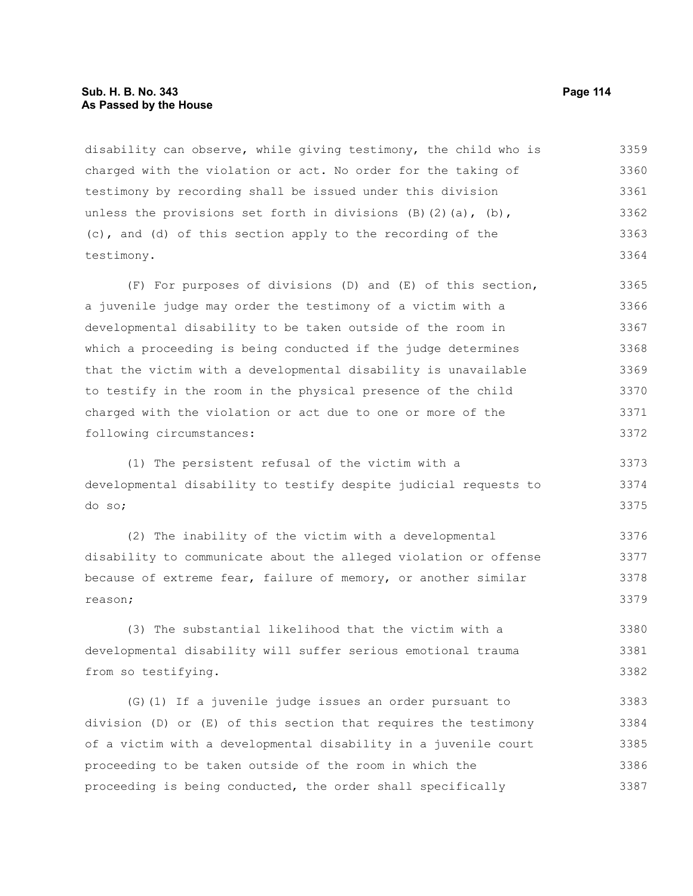## **Sub. H. B. No. 343 Page 114 As Passed by the House**

disability can observe, while giving testimony, the child who is charged with the violation or act. No order for the taking of testimony by recording shall be issued under this division unless the provisions set forth in divisions  $(B)$   $(2)$   $(a)$ ,  $(b)$ , (c), and (d) of this section apply to the recording of the testimony. 3359 3360 3361 3362 3363 3364

(F) For purposes of divisions (D) and (E) of this section, a juvenile judge may order the testimony of a victim with a developmental disability to be taken outside of the room in which a proceeding is being conducted if the judge determines that the victim with a developmental disability is unavailable to testify in the room in the physical presence of the child charged with the violation or act due to one or more of the following circumstances: 3365 3366 3367 3368 3369 3370 3371 3372

(1) The persistent refusal of the victim with a developmental disability to testify despite judicial requests to do so; 3373 3374 3375

(2) The inability of the victim with a developmental disability to communicate about the alleged violation or offense because of extreme fear, failure of memory, or another similar reason; 3376 3377 3378 3379

(3) The substantial likelihood that the victim with a developmental disability will suffer serious emotional trauma from so testifying. 3380 3381 3382

(G)(1) If a juvenile judge issues an order pursuant to division (D) or (E) of this section that requires the testimony of a victim with a developmental disability in a juvenile court proceeding to be taken outside of the room in which the proceeding is being conducted, the order shall specifically 3383 3384 3385 3386 3387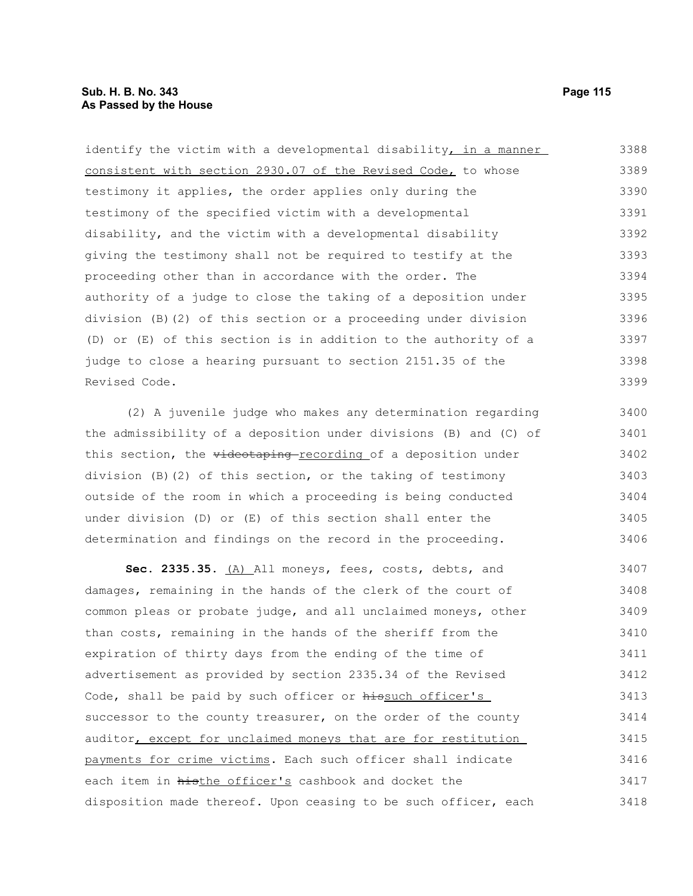identify the victim with a developmental disability, in a manner consistent with section 2930.07 of the Revised Code, to whose testimony it applies, the order applies only during the testimony of the specified victim with a developmental disability, and the victim with a developmental disability giving the testimony shall not be required to testify at the proceeding other than in accordance with the order. The authority of a judge to close the taking of a deposition under division (B)(2) of this section or a proceeding under division (D) or (E) of this section is in addition to the authority of a judge to close a hearing pursuant to section 2151.35 of the Revised Code. 3388 3389 3390 3391 3392 3393 3394 3395 3396 3397 3398 3399

(2) A juvenile judge who makes any determination regarding the admissibility of a deposition under divisions (B) and (C) of this section, the videotaping recording of a deposition under division (B)(2) of this section, or the taking of testimony outside of the room in which a proceeding is being conducted under division (D) or (E) of this section shall enter the determination and findings on the record in the proceeding. 3400 3401 3402 3403 3404 3405 3406

Sec. 2335.35. (A) All moneys, fees, costs, debts, and damages, remaining in the hands of the clerk of the court of common pleas or probate judge, and all unclaimed moneys, other than costs, remaining in the hands of the sheriff from the expiration of thirty days from the ending of the time of advertisement as provided by section 2335.34 of the Revised Code, shall be paid by such officer or hissuch officer's successor to the county treasurer, on the order of the county auditor, except for unclaimed moneys that are for restitution payments for crime victims. Each such officer shall indicate each item in histhe officer's cashbook and docket the disposition made thereof. Upon ceasing to be such officer, each 3407 3408 3409 3410 3411 3412 3413 3414 3415 3416 3417 3418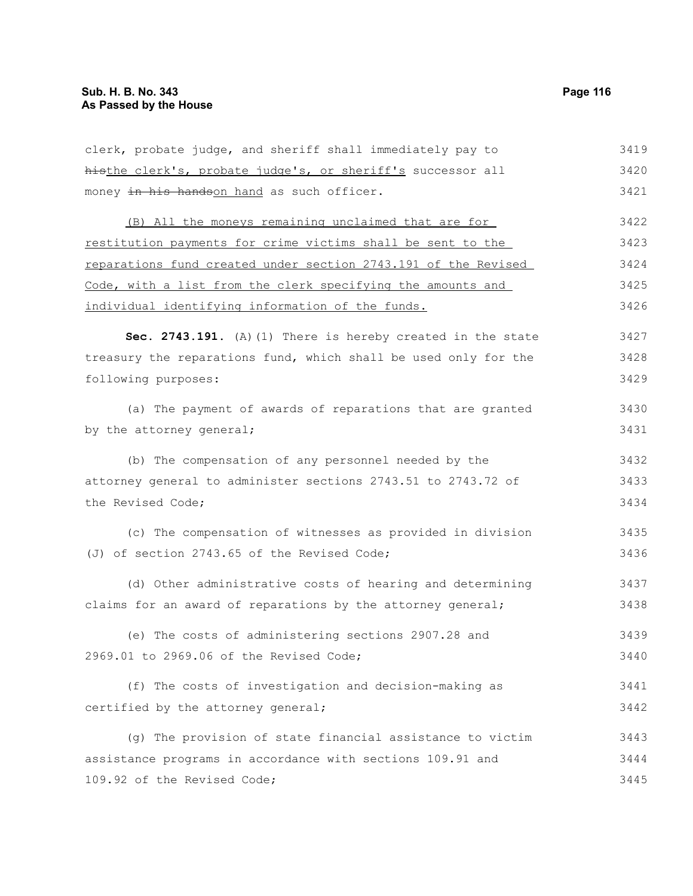histhe clerk's, probate judge's, or sheriff's successor all money in his handson hand as such officer. (B) All the moneys remaining unclaimed that are for restitution payments for crime victims shall be sent to the reparations fund created under section 2743.191 of the Revised Code, with a list from the clerk specifying the amounts and individual identifying information of the funds. **Sec. 2743.191.** (A)(1) There is hereby created in the state treasury the reparations fund, which shall be used only for the following purposes: (a) The payment of awards of reparations that are granted by the attorney general; (b) The compensation of any personnel needed by the attorney general to administer sections 2743.51 to 2743.72 of the Revised Code; (c) The compensation of witnesses as provided in division (J) of section 2743.65 of the Revised Code; (d) Other administrative costs of hearing and determining claims for an award of reparations by the attorney general; (e) The costs of administering sections 2907.28 and 2969.01 to 2969.06 of the Revised Code; (f) The costs of investigation and decision-making as certified by the attorney general; (g) The provision of state financial assistance to victim assistance programs in accordance with sections 109.91 and 109.92 of the Revised Code; 3420 3421 3422 3423 3424 3425 3426 3427 3428 3429 3430 3431 3432 3433 3434 3435 3436 3437 3438 3439 3440 3441 3442 3443 3444 3445

clerk, probate judge, and sheriff shall immediately pay to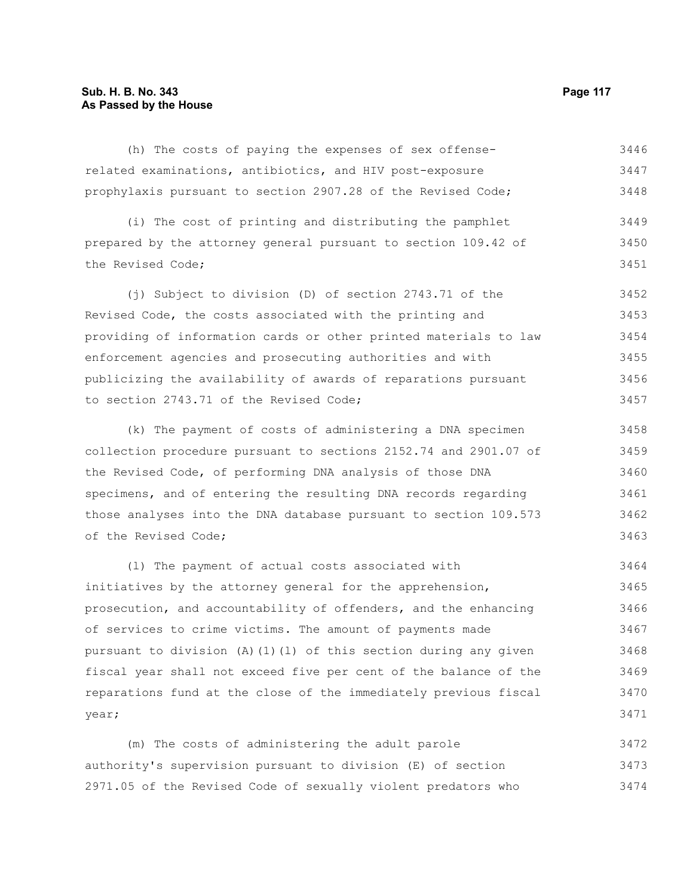# **Sub. H. B. No. 343 Page 117 As Passed by the House**

(h) The costs of paying the expenses of sex offenserelated examinations, antibiotics, and HIV post-exposure prophylaxis pursuant to section 2907.28 of the Revised Code; 3446 3447 3448

(i) The cost of printing and distributing the pamphlet prepared by the attorney general pursuant to section 109.42 of the Revised Code; 3449 3450 3451

(j) Subject to division (D) of section 2743.71 of the Revised Code, the costs associated with the printing and providing of information cards or other printed materials to law enforcement agencies and prosecuting authorities and with publicizing the availability of awards of reparations pursuant to section 2743.71 of the Revised Code; 3452 3453 3454 3455 3456 3457

(k) The payment of costs of administering a DNA specimen collection procedure pursuant to sections 2152.74 and 2901.07 of the Revised Code, of performing DNA analysis of those DNA specimens, and of entering the resulting DNA records regarding those analyses into the DNA database pursuant to section 109.573 of the Revised Code; 3458 3459 3460 3461 3462 3463

(l) The payment of actual costs associated with initiatives by the attorney general for the apprehension, prosecution, and accountability of offenders, and the enhancing of services to crime victims. The amount of payments made pursuant to division (A)(1)(1) of this section during any given fiscal year shall not exceed five per cent of the balance of the reparations fund at the close of the immediately previous fiscal year; 3464 3465 3466 3467 3468 3469 3470 3471

(m) The costs of administering the adult parole authority's supervision pursuant to division (E) of section 2971.05 of the Revised Code of sexually violent predators who 3472 3473 3474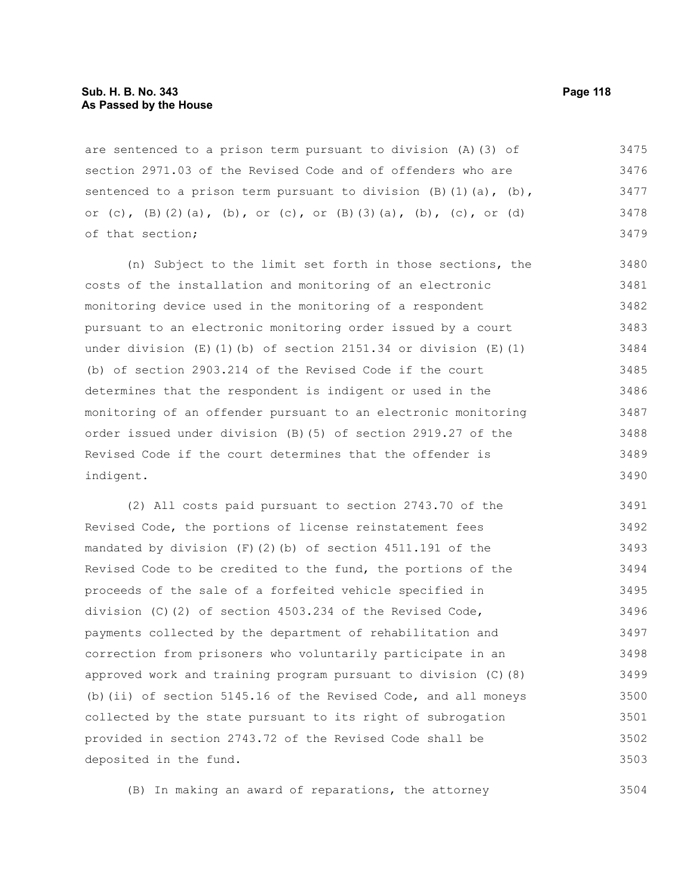#### **Sub. H. B. No. 343 Page 118 As Passed by the House**

are sentenced to a prison term pursuant to division (A)(3) of section 2971.03 of the Revised Code and of offenders who are sentenced to a prison term pursuant to division  $(B)$   $(1)$   $(a)$ ,  $(b)$ , or (c),  $(B) (2) (a)$ ,  $(b)$ , or (c), or  $(B) (3) (a)$ ,  $(b)$ ,  $(c)$ , or  $(d)$ of that section; 3475 3476 3477 3478 3479

(n) Subject to the limit set forth in those sections, the costs of the installation and monitoring of an electronic monitoring device used in the monitoring of a respondent pursuant to an electronic monitoring order issued by a court under division  $(E)$  (1)(b) of section 2151.34 or division  $(E)$  (1) (b) of section 2903.214 of the Revised Code if the court determines that the respondent is indigent or used in the monitoring of an offender pursuant to an electronic monitoring order issued under division (B)(5) of section 2919.27 of the Revised Code if the court determines that the offender is indigent. 3480 3481 3482 3483 3484 3485 3486 3487 3488 3489 3490

(2) All costs paid pursuant to section 2743.70 of the Revised Code, the portions of license reinstatement fees mandated by division (F)(2)(b) of section 4511.191 of the Revised Code to be credited to the fund, the portions of the proceeds of the sale of a forfeited vehicle specified in division (C)(2) of section 4503.234 of the Revised Code, payments collected by the department of rehabilitation and correction from prisoners who voluntarily participate in an approved work and training program pursuant to division (C)(8) (b)(ii) of section 5145.16 of the Revised Code, and all moneys collected by the state pursuant to its right of subrogation provided in section 2743.72 of the Revised Code shall be deposited in the fund. 3491 3492 3493 3494 3495 3496 3497 3498 3499 3500 3501 3502 3503

(B) In making an award of reparations, the attorney 3504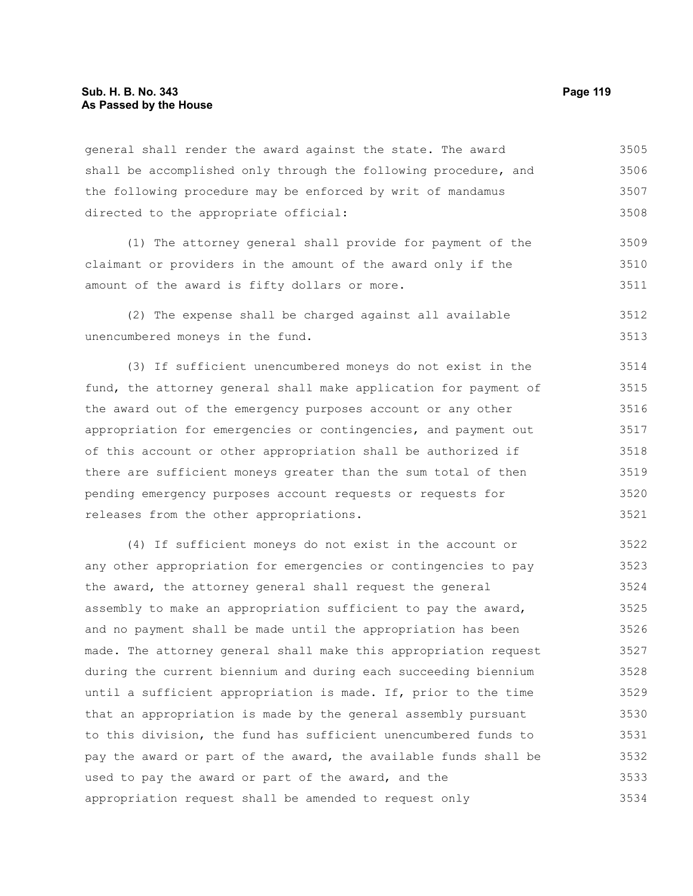general shall render the award against the state. The award shall be accomplished only through the following procedure, and the following procedure may be enforced by writ of mandamus directed to the appropriate official: 3505 3506 3507 3508

(1) The attorney general shall provide for payment of the claimant or providers in the amount of the award only if the amount of the award is fifty dollars or more. 3509 3510 3511

(2) The expense shall be charged against all available unencumbered moneys in the fund. 3512 3513

(3) If sufficient unencumbered moneys do not exist in the fund, the attorney general shall make application for payment of the award out of the emergency purposes account or any other appropriation for emergencies or contingencies, and payment out of this account or other appropriation shall be authorized if there are sufficient moneys greater than the sum total of then pending emergency purposes account requests or requests for releases from the other appropriations. 3514 3515 3516 3517 3518 3519 3520 3521

(4) If sufficient moneys do not exist in the account or any other appropriation for emergencies or contingencies to pay the award, the attorney general shall request the general assembly to make an appropriation sufficient to pay the award, and no payment shall be made until the appropriation has been made. The attorney general shall make this appropriation request during the current biennium and during each succeeding biennium until a sufficient appropriation is made. If, prior to the time that an appropriation is made by the general assembly pursuant to this division, the fund has sufficient unencumbered funds to pay the award or part of the award, the available funds shall be used to pay the award or part of the award, and the appropriation request shall be amended to request only 3522 3523 3524 3525 3526 3527 3528 3529 3530 3531 3532 3533 3534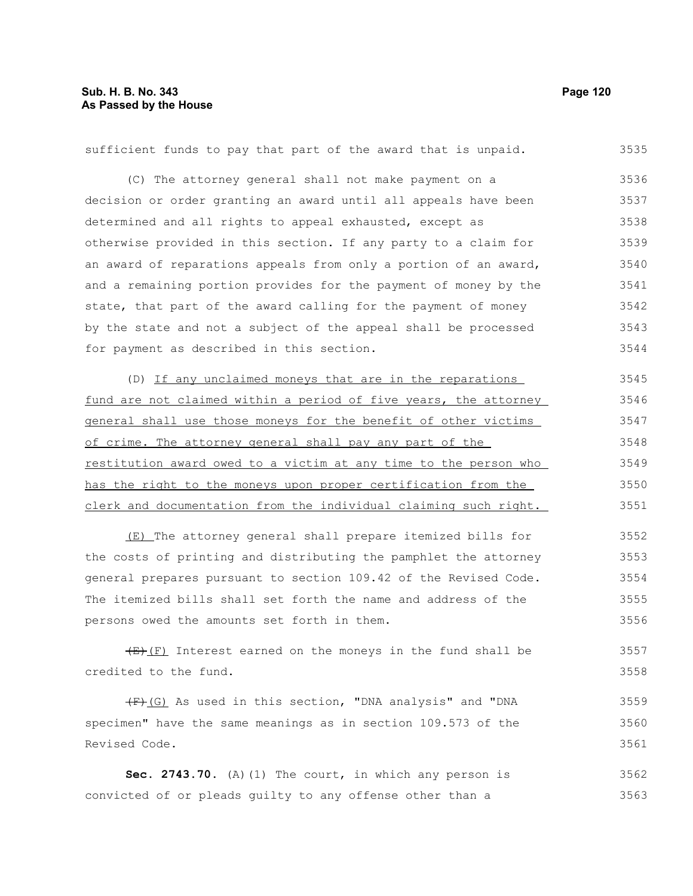sufficient funds to pay that part of the award that is unpaid. (C) The attorney general shall not make payment on a decision or order granting an award until all appeals have been determined and all rights to appeal exhausted, except as otherwise provided in this section. If any party to a claim for an award of reparations appeals from only a portion of an award, and a remaining portion provides for the payment of money by the state, that part of the award calling for the payment of money by the state and not a subject of the appeal shall be processed for payment as described in this section. (D) If any unclaimed moneys that are in the reparations fund are not claimed within a period of five years, the attorney general shall use those moneys for the benefit of other victims of crime. The attorney general shall pay any part of the restitution award owed to a victim at any time to the person who has the right to the moneys upon proper certification from the clerk and documentation from the individual claiming such right. (E) The attorney general shall prepare itemized bills for the costs of printing and distributing the pamphlet the attorney general prepares pursuant to section 109.42 of the Revised Code. The itemized bills shall set forth the name and address of the persons owed the amounts set forth in them.  $\overline{E}(F)$  Interest earned on the moneys in the fund shall be credited to the fund.  $\overline{f}$ (G) As used in this section, "DNA analysis" and "DNA specimen" have the same meanings as in section 109.573 of the Revised Code. Sec. 2743.70. (A)(1) The court, in which any person is convicted of or pleads guilty to any offense other than a 3535 3536 3537 3538 3539 3540 3541 3542 3543 3544 3545 3546 3547 3548 3549 3550 3551 3552 3553 3554 3555 3556 3557 3558 3559 3560 3561 3562 3563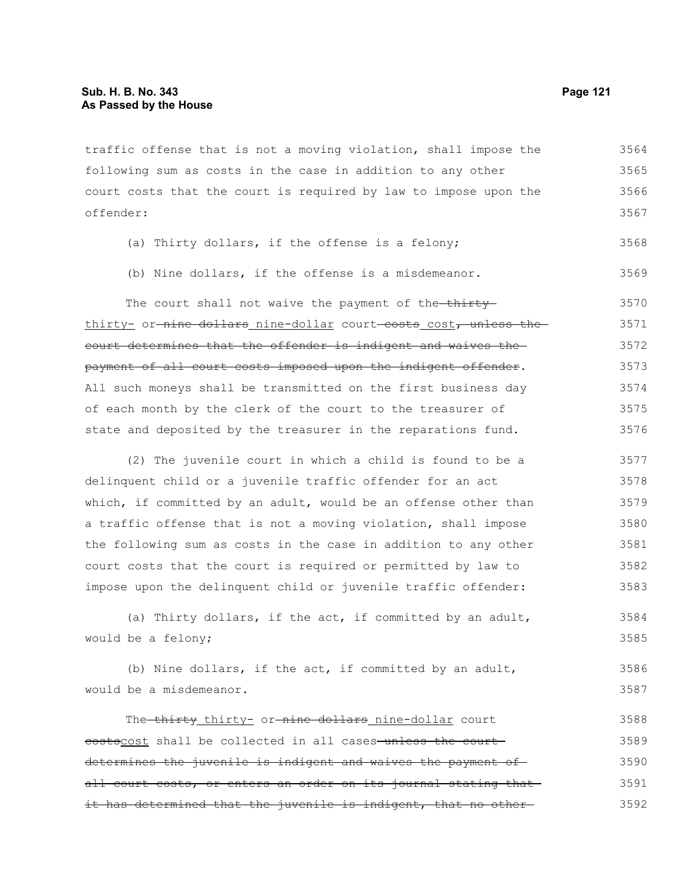traffic offense that is not a moving violation, shall impose the following sum as costs in the case in addition to any other court costs that the court is required by law to impose upon the offender: 3564 3565 3566 3567

- (a) Thirty dollars, if the offense is a felony; 3568
- (b) Nine dollars, if the offense is a misdemeanor. 3569

The court shall not waive the payment of the-thirtythirty- or-nine dollars nine-dollar court-costs cost, unless thecourt determines that the offender is indigent and waives the payment of all court costs imposed upon the indigent offender. All such moneys shall be transmitted on the first business day of each month by the clerk of the court to the treasurer of state and deposited by the treasurer in the reparations fund. 3570 3571 3572 3573 3574 3575 3576

(2) The juvenile court in which a child is found to be a delinquent child or a juvenile traffic offender for an act which, if committed by an adult, would be an offense other than a traffic offense that is not a moving violation, shall impose the following sum as costs in the case in addition to any other court costs that the court is required or permitted by law to impose upon the delinquent child or juvenile traffic offender: 3577 3578 3579 3580 3581 3582 3583

(a) Thirty dollars, if the act, if committed by an adult, would be a felony; 3584 3585

(b) Nine dollars, if the act, if committed by an adult, would be a misdemeanor. 3586 3587

The-thirty thirty- or-nine dollars nine-dollar court eostscost shall be collected in all cases-unless the courtdetermines the juvenile is indigent and waives the payment of all court costs, or enters an order on its journal stating that it has determined that the juvenile is indigent, that no other-3588 3589 3590 3591 3592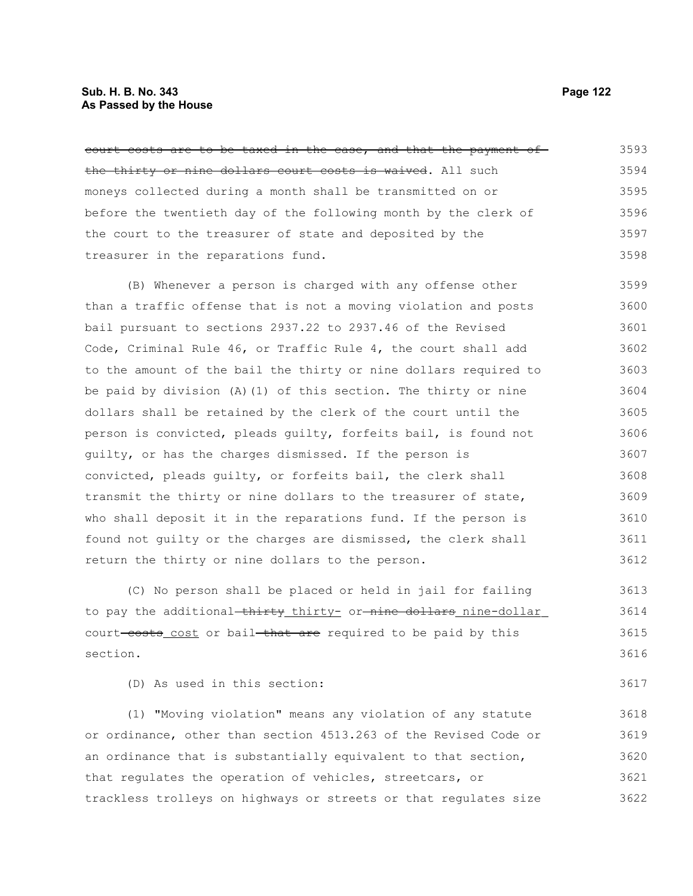# **Sub. H. B. No. 343 Page 122 As Passed by the House**

| <u>court costs are to be taxed in the case, and that the payment of </u> | 3593 |
|--------------------------------------------------------------------------|------|
| <del>the thirty or nine dollars court costs is waived</del> . All such   | 3594 |
| moneys collected during a month shall be transmitted on or               | 3595 |
| before the twentieth day of the following month by the clerk of          | 3596 |
| the court to the treasurer of state and deposited by the                 | 3597 |
| treasurer in the reparations fund.                                       | 3598 |
| (B) Whenever a person is charged with any offense other                  | 3599 |
| than a traffic offense that is not a moving violation and posts          | 3600 |
| bail pursuant to sections 2937.22 to 2937.46 of the Revised              | 3601 |
| Code, Criminal Rule 46, or Traffic Rule 4, the court shall add           | 3602 |
| to the amount of the bail the thirty or nine dollars required to         | 3603 |
| be paid by division (A)(1) of this section. The thirty or nine           | 3604 |
| dollars shall be retained by the clerk of the court until the            | 3605 |
| person is convicted, pleads guilty, forfeits bail, is found not          | 3606 |
| quilty, or has the charges dismissed. If the person is                   | 3607 |
| convicted, pleads quilty, or forfeits bail, the clerk shall              | 3608 |
| transmit the thirty or nine dollars to the treasurer of state,           | 3609 |
| who shall deposit it in the reparations fund. If the person is           | 3610 |
| found not guilty or the charges are dismissed, the clerk shall           | 3611 |
| return the thirty or nine dollars to the person.                         | 3612 |
| (C) No person shall be placed or held in jail for failing                | 3613 |

to pay the additional-thirty thirty- or-nine dollars nine-dollar court-costs\_cost or bail-that are required to be paid by this section. 3614 3615 3616

(D) As used in this section:

3617

(1) "Moving violation" means any violation of any statute or ordinance, other than section 4513.263 of the Revised Code or an ordinance that is substantially equivalent to that section, that regulates the operation of vehicles, streetcars, or trackless trolleys on highways or streets or that regulates size 3618 3619 3620 3621 3622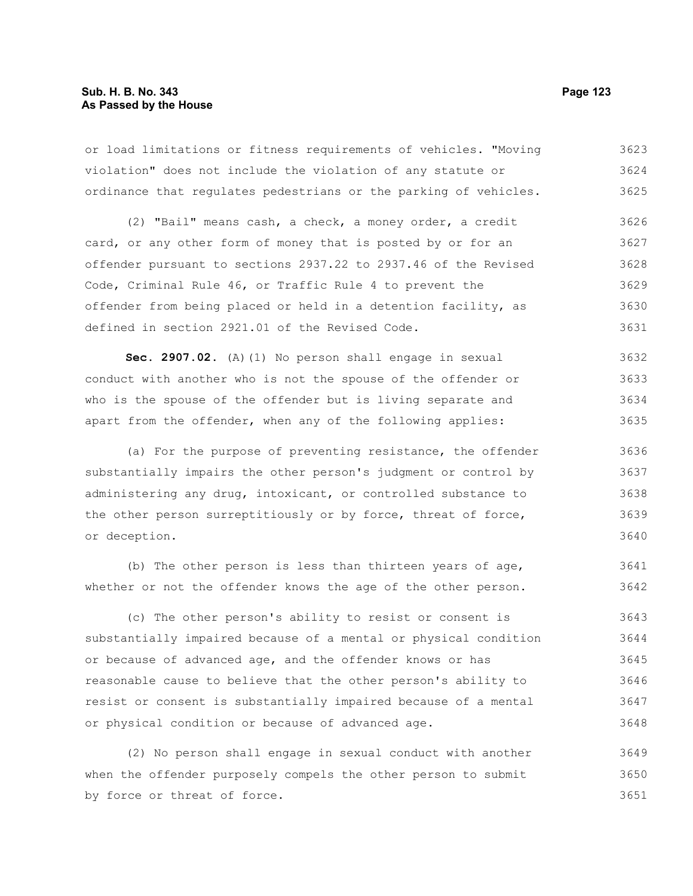or load limitations or fitness requirements of vehicles. "Moving violation" does not include the violation of any statute or ordinance that regulates pedestrians or the parking of vehicles. 3623 3624 3625

(2) "Bail" means cash, a check, a money order, a credit card, or any other form of money that is posted by or for an offender pursuant to sections 2937.22 to 2937.46 of the Revised Code, Criminal Rule 46, or Traffic Rule 4 to prevent the offender from being placed or held in a detention facility, as defined in section 2921.01 of the Revised Code. 3626 3627 3628 3629 3630 3631

Sec. 2907.02. (A)(1) No person shall engage in sexual conduct with another who is not the spouse of the offender or who is the spouse of the offender but is living separate and apart from the offender, when any of the following applies: 3632 3633 3634 3635

(a) For the purpose of preventing resistance, the offender substantially impairs the other person's judgment or control by administering any drug, intoxicant, or controlled substance to the other person surreptitiously or by force, threat of force, or deception. 3636 3637 3638 3639 3640

(b) The other person is less than thirteen years of age, whether or not the offender knows the age of the other person. 3641 3642

(c) The other person's ability to resist or consent is substantially impaired because of a mental or physical condition or because of advanced age, and the offender knows or has reasonable cause to believe that the other person's ability to resist or consent is substantially impaired because of a mental or physical condition or because of advanced age. 3643 3644 3645 3646 3647 3648

(2) No person shall engage in sexual conduct with another when the offender purposely compels the other person to submit by force or threat of force. 3649 3650 3651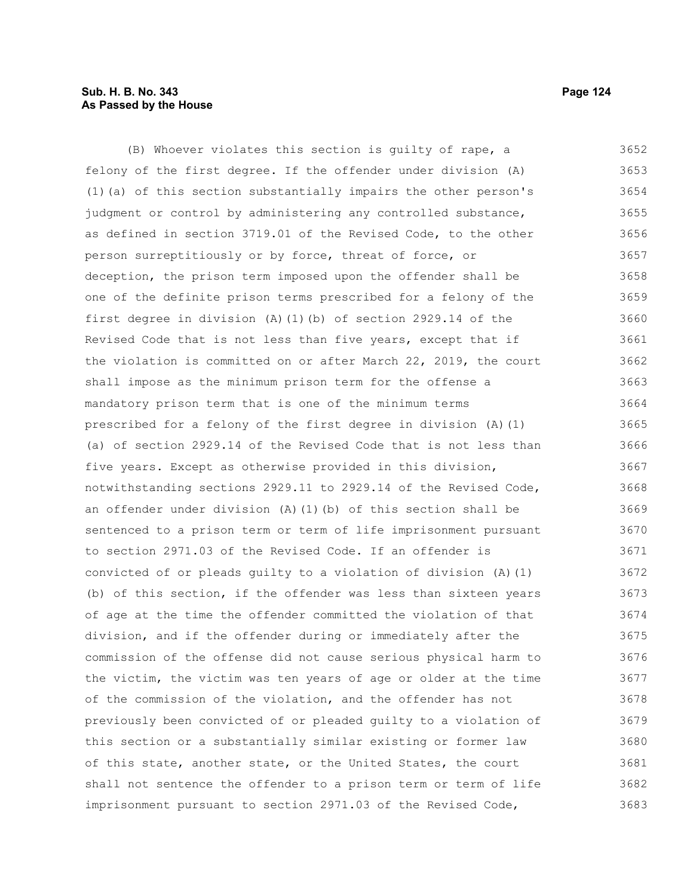# **Sub. H. B. No. 343** Page 124 **As Passed by the House**

(B) Whoever violates this section is guilty of rape, a felony of the first degree. If the offender under division (A) (1)(a) of this section substantially impairs the other person's judgment or control by administering any controlled substance, as defined in section 3719.01 of the Revised Code, to the other person surreptitiously or by force, threat of force, or deception, the prison term imposed upon the offender shall be one of the definite prison terms prescribed for a felony of the first degree in division (A)(1)(b) of section 2929.14 of the Revised Code that is not less than five years, except that if the violation is committed on or after March 22, 2019, the court shall impose as the minimum prison term for the offense a mandatory prison term that is one of the minimum terms prescribed for a felony of the first degree in division (A)(1) (a) of section 2929.14 of the Revised Code that is not less than five years. Except as otherwise provided in this division, notwithstanding sections 2929.11 to 2929.14 of the Revised Code, an offender under division (A)(1)(b) of this section shall be sentenced to a prison term or term of life imprisonment pursuant to section 2971.03 of the Revised Code. If an offender is convicted of or pleads guilty to a violation of division (A)(1) (b) of this section, if the offender was less than sixteen years of age at the time the offender committed the violation of that division, and if the offender during or immediately after the commission of the offense did not cause serious physical harm to the victim, the victim was ten years of age or older at the time of the commission of the violation, and the offender has not previously been convicted of or pleaded guilty to a violation of this section or a substantially similar existing or former law of this state, another state, or the United States, the court shall not sentence the offender to a prison term or term of life imprisonment pursuant to section 2971.03 of the Revised Code, 3652 3653 3654 3655 3656 3657 3658 3659 3660 3661 3662 3663 3664 3665 3666 3667 3668 3669 3670 3671 3672 3673 3674 3675 3676 3677 3678 3679 3680 3681 3682 3683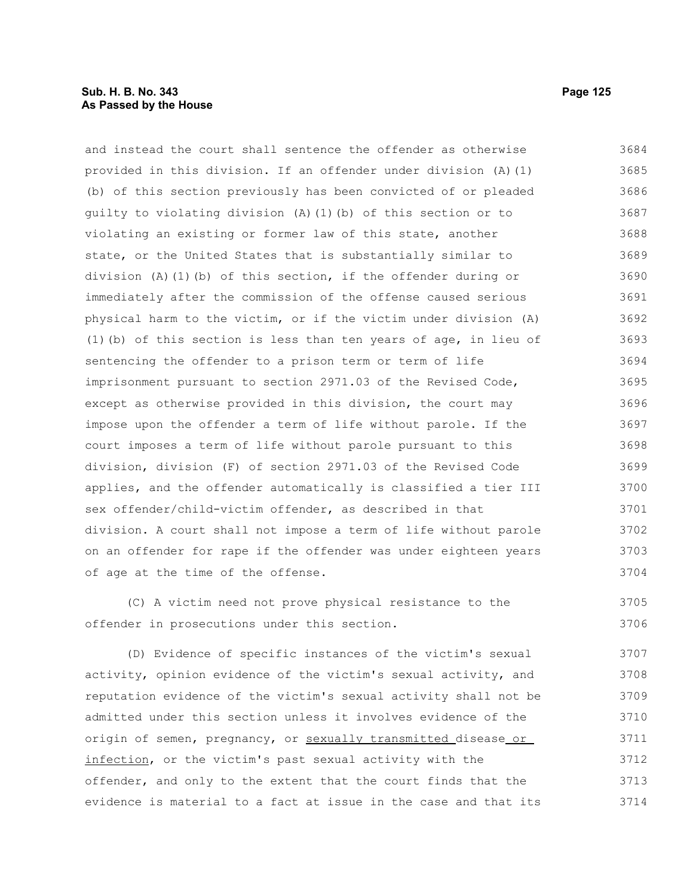# **Sub. H. B. No. 343 Page 125 As Passed by the House**

and instead the court shall sentence the offender as otherwise provided in this division. If an offender under division (A)(1) (b) of this section previously has been convicted of or pleaded guilty to violating division (A)(1)(b) of this section or to violating an existing or former law of this state, another state, or the United States that is substantially similar to division (A)(1)(b) of this section, if the offender during or immediately after the commission of the offense caused serious physical harm to the victim, or if the victim under division (A) (1)(b) of this section is less than ten years of age, in lieu of sentencing the offender to a prison term or term of life imprisonment pursuant to section 2971.03 of the Revised Code, except as otherwise provided in this division, the court may impose upon the offender a term of life without parole. If the court imposes a term of life without parole pursuant to this division, division (F) of section 2971.03 of the Revised Code applies, and the offender automatically is classified a tier III sex offender/child-victim offender, as described in that division. A court shall not impose a term of life without parole on an offender for rape if the offender was under eighteen years of age at the time of the offense. 3684 3685 3686 3687 3688 3689 3690 3691 3692 3693 3694 3695 3696 3697 3698 3699 3700 3701 3702 3703 3704

(C) A victim need not prove physical resistance to the offender in prosecutions under this section. 3705 3706

(D) Evidence of specific instances of the victim's sexual activity, opinion evidence of the victim's sexual activity, and reputation evidence of the victim's sexual activity shall not be admitted under this section unless it involves evidence of the origin of semen, pregnancy, or sexually transmitted disease or infection, or the victim's past sexual activity with the offender, and only to the extent that the court finds that the evidence is material to a fact at issue in the case and that its 3707 3708 3709 3710 3711 3712 3713 3714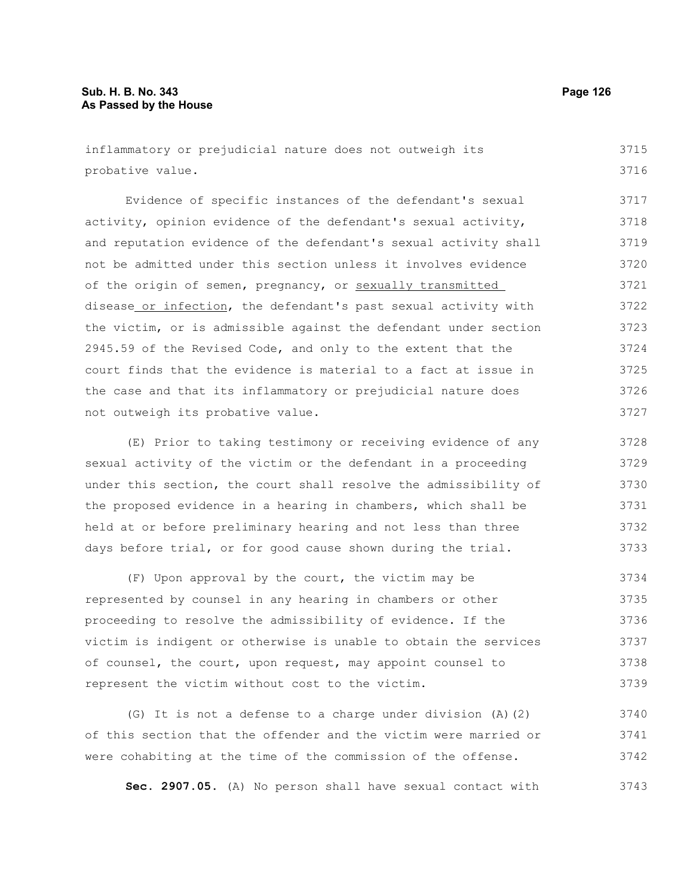inflammatory or prejudicial nature does not outweigh its probative value. 3715 3716

Evidence of specific instances of the defendant's sexual activity, opinion evidence of the defendant's sexual activity, and reputation evidence of the defendant's sexual activity shall not be admitted under this section unless it involves evidence of the origin of semen, pregnancy, or sexually transmitted disease or infection, the defendant's past sexual activity with the victim, or is admissible against the defendant under section 2945.59 of the Revised Code, and only to the extent that the court finds that the evidence is material to a fact at issue in the case and that its inflammatory or prejudicial nature does not outweigh its probative value. 3717 3718 3719 3720 3721 3722 3723 3724 3725 3726 3727

(E) Prior to taking testimony or receiving evidence of any sexual activity of the victim or the defendant in a proceeding under this section, the court shall resolve the admissibility of the proposed evidence in a hearing in chambers, which shall be held at or before preliminary hearing and not less than three days before trial, or for good cause shown during the trial. 3728 3729 3730 3731 3732 3733

(F) Upon approval by the court, the victim may be represented by counsel in any hearing in chambers or other proceeding to resolve the admissibility of evidence. If the victim is indigent or otherwise is unable to obtain the services of counsel, the court, upon request, may appoint counsel to represent the victim without cost to the victim. 3734 3735 3736 3737 3738 3739

(G) It is not a defense to a charge under division (A)(2) of this section that the offender and the victim were married or were cohabiting at the time of the commission of the offense. 3740 3741 3742

**Sec. 2907.05.** (A) No person shall have sexual contact with 3743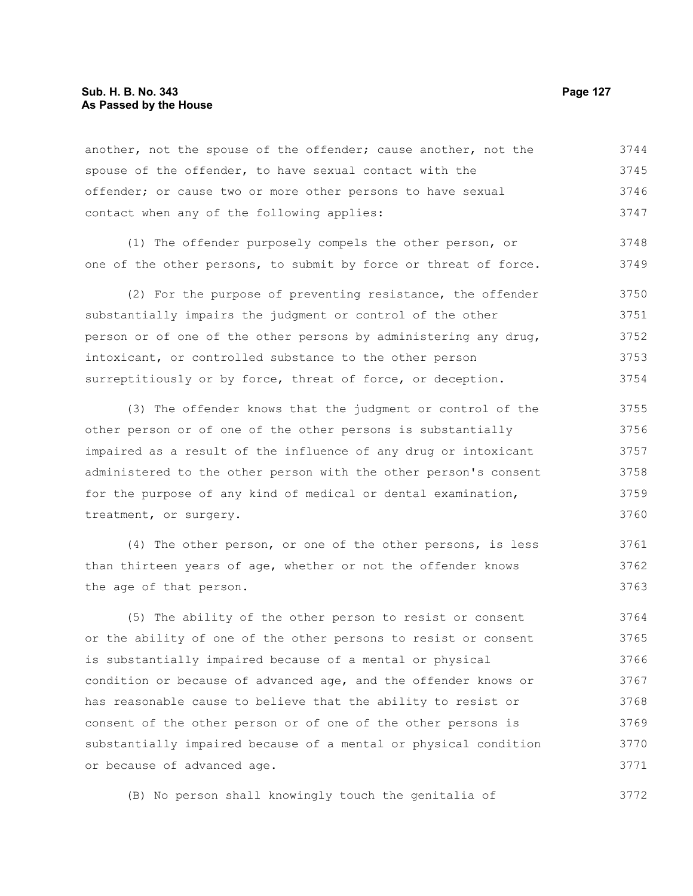another, not the spouse of the offender; cause another, not the spouse of the offender, to have sexual contact with the offender; or cause two or more other persons to have sexual contact when any of the following applies: 3744 3745 3746 3747

(1) The offender purposely compels the other person, or one of the other persons, to submit by force or threat of force. 3748 3749

(2) For the purpose of preventing resistance, the offender substantially impairs the judgment or control of the other person or of one of the other persons by administering any drug, intoxicant, or controlled substance to the other person surreptitiously or by force, threat of force, or deception. 3750 3751 3752 3753 3754

(3) The offender knows that the judgment or control of the other person or of one of the other persons is substantially impaired as a result of the influence of any drug or intoxicant administered to the other person with the other person's consent for the purpose of any kind of medical or dental examination, treatment, or surgery. 3755 3756 3757 3758 3759 3760

(4) The other person, or one of the other persons, is less than thirteen years of age, whether or not the offender knows the age of that person. 3761 3762 3763

(5) The ability of the other person to resist or consent or the ability of one of the other persons to resist or consent is substantially impaired because of a mental or physical condition or because of advanced age, and the offender knows or has reasonable cause to believe that the ability to resist or consent of the other person or of one of the other persons is substantially impaired because of a mental or physical condition or because of advanced age. 3764 3765 3766 3767 3768 3769 3770 3771

(B) No person shall knowingly touch the genitalia of 3772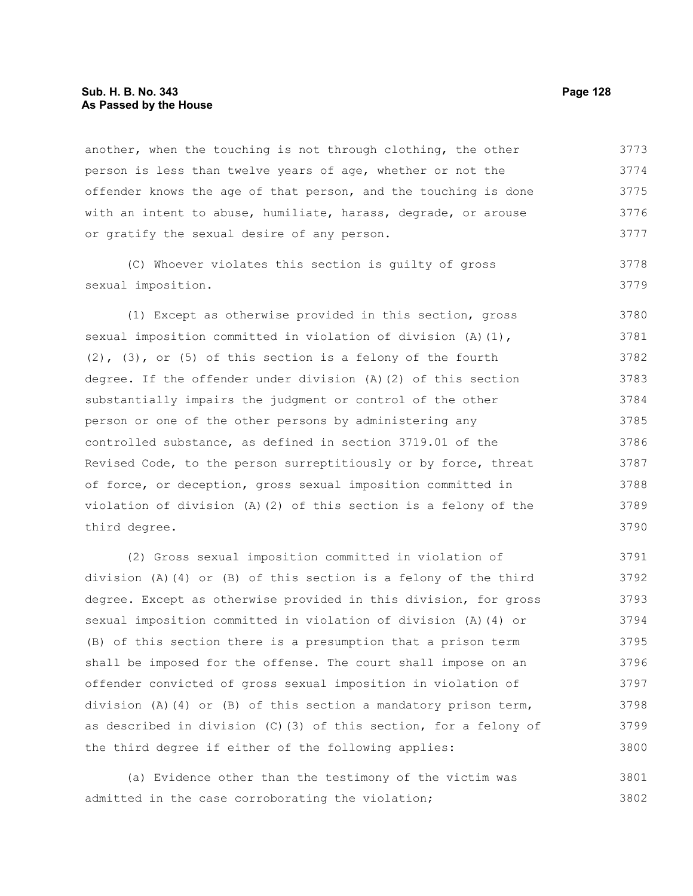## **Sub. H. B. No. 343 Page 128 As Passed by the House**

another, when the touching is not through clothing, the other person is less than twelve years of age, whether or not the offender knows the age of that person, and the touching is done with an intent to abuse, humiliate, harass, degrade, or arouse or gratify the sexual desire of any person. 3773 3774 3775 3776 3777

(C) Whoever violates this section is guilty of gross sexual imposition.

(1) Except as otherwise provided in this section, gross sexual imposition committed in violation of division (A)(1), (2), (3), or (5) of this section is a felony of the fourth degree. If the offender under division (A)(2) of this section substantially impairs the judgment or control of the other person or one of the other persons by administering any controlled substance, as defined in section 3719.01 of the Revised Code, to the person surreptitiously or by force, threat of force, or deception, gross sexual imposition committed in violation of division (A)(2) of this section is a felony of the third degree. 3780 3781 3782 3783 3784 3785 3786 3787 3788 3789 3790

(2) Gross sexual imposition committed in violation of division (A)(4) or (B) of this section is a felony of the third degree. Except as otherwise provided in this division, for gross sexual imposition committed in violation of division (A)(4) or (B) of this section there is a presumption that a prison term shall be imposed for the offense. The court shall impose on an offender convicted of gross sexual imposition in violation of division (A)(4) or (B) of this section a mandatory prison term, as described in division  $(C)$  (3) of this section, for a felony of the third degree if either of the following applies: 3791 3792 3793 3794 3795 3796 3797 3798 3799 3800

(a) Evidence other than the testimony of the victim was admitted in the case corroborating the violation; 3801 3802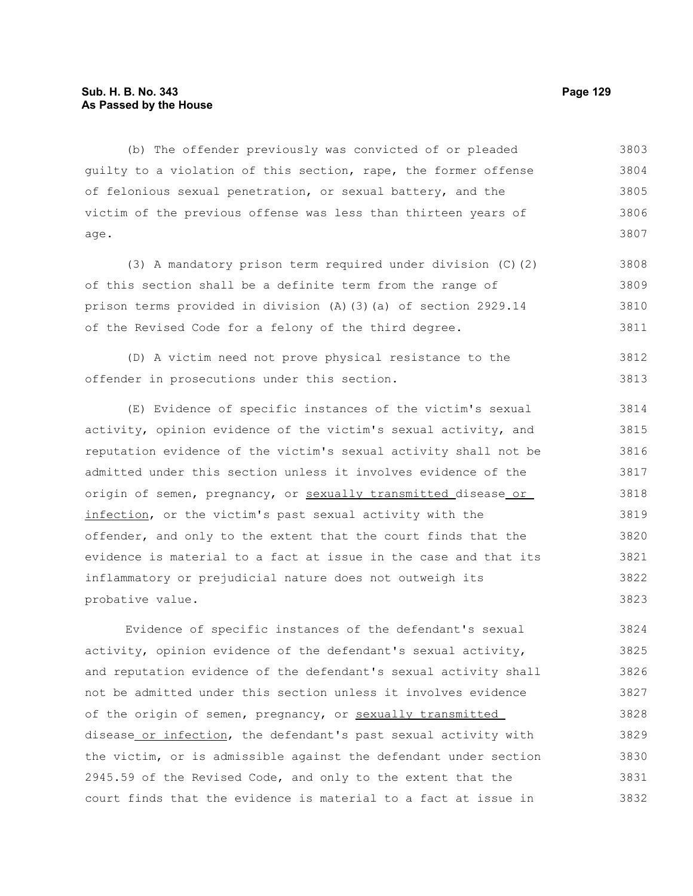# **Sub. H. B. No. 343** Page 129 **As Passed by the House**

(b) The offender previously was convicted of or pleaded guilty to a violation of this section, rape, the former offense of felonious sexual penetration, or sexual battery, and the victim of the previous offense was less than thirteen years of age. 3803 3804 3805 3806 3807

(3) A mandatory prison term required under division (C)(2) of this section shall be a definite term from the range of prison terms provided in division (A)(3)(a) of section 2929.14 of the Revised Code for a felony of the third degree. 3808 3809 3810 3811

(D) A victim need not prove physical resistance to the offender in prosecutions under this section. 3812 3813

(E) Evidence of specific instances of the victim's sexual activity, opinion evidence of the victim's sexual activity, and reputation evidence of the victim's sexual activity shall not be admitted under this section unless it involves evidence of the origin of semen, pregnancy, or sexually transmitted disease or infection, or the victim's past sexual activity with the offender, and only to the extent that the court finds that the evidence is material to a fact at issue in the case and that its inflammatory or prejudicial nature does not outweigh its probative value. 3814 3815 3816 3817 3818 3819 3820 3821 3822 3823

Evidence of specific instances of the defendant's sexual activity, opinion evidence of the defendant's sexual activity, and reputation evidence of the defendant's sexual activity shall not be admitted under this section unless it involves evidence of the origin of semen, pregnancy, or sexually transmitted disease or infection, the defendant's past sexual activity with the victim, or is admissible against the defendant under section 2945.59 of the Revised Code, and only to the extent that the court finds that the evidence is material to a fact at issue in 3824 3825 3826 3827 3828 3829 3830 3831 3832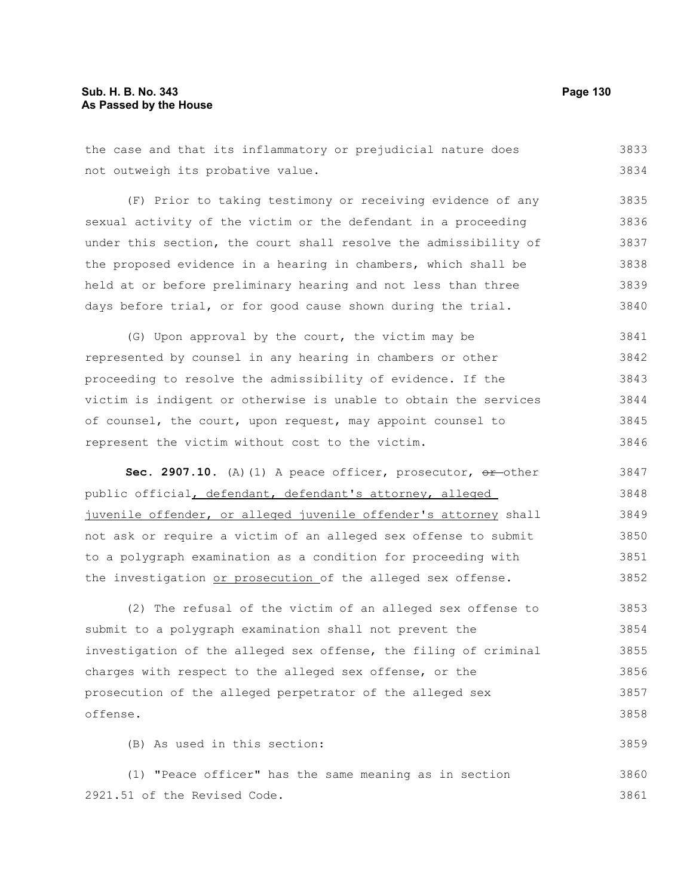3861

| the case and that its inflammatory or prejudicial nature does                                                            | 3833         |
|--------------------------------------------------------------------------------------------------------------------------|--------------|
| not outweigh its probative value.                                                                                        | 3834         |
| (F) Prior to taking testimony or receiving evidence of any                                                               | 3835         |
| sexual activity of the victim or the defendant in a proceeding                                                           | 3836         |
| under this section, the court shall resolve the admissibility of                                                         | 3837         |
|                                                                                                                          |              |
| the proposed evidence in a hearing in chambers, which shall be                                                           | 3838         |
| held at or before preliminary hearing and not less than three                                                            | 3839         |
| days before trial, or for good cause shown during the trial.                                                             | 3840         |
| (G) Upon approval by the court, the victim may be                                                                        | 3841         |
| represented by counsel in any hearing in chambers or other                                                               | 3842         |
| proceeding to resolve the admissibility of evidence. If the                                                              | 3843         |
| victim is indigent or otherwise is unable to obtain the services                                                         | 3844         |
| of counsel, the court, upon request, may appoint counsel to                                                              | 3845         |
| represent the victim without cost to the victim.                                                                         | 3846         |
|                                                                                                                          |              |
|                                                                                                                          | 3847         |
| Sec. 2907.10. (A) (1) A peace officer, prosecutor, or-other<br>public official, defendant, defendant's attorney, alleged | 3848         |
| juvenile offender, or alleged juvenile offender's attorney shall                                                         | 3849         |
| not ask or require a victim of an alleged sex offense to submit                                                          | 3850         |
| to a polygraph examination as a condition for proceeding with                                                            | 3851         |
| the investigation or prosecution of the alleged sex offense.                                                             | 3852         |
|                                                                                                                          | 3853         |
| (2) The refusal of the victim of an alleged sex offense to                                                               | 3854         |
| submit to a polygraph examination shall not prevent the                                                                  | 3855         |
| investigation of the alleged sex offense, the filing of criminal                                                         |              |
| charges with respect to the alleged sex offense, or the                                                                  | 3856         |
| prosecution of the alleged perpetrator of the alleged sex<br>offense.                                                    | 3857<br>3858 |
|                                                                                                                          |              |
| (B) As used in this section:                                                                                             | 3859         |

2921.51 of the Revised Code.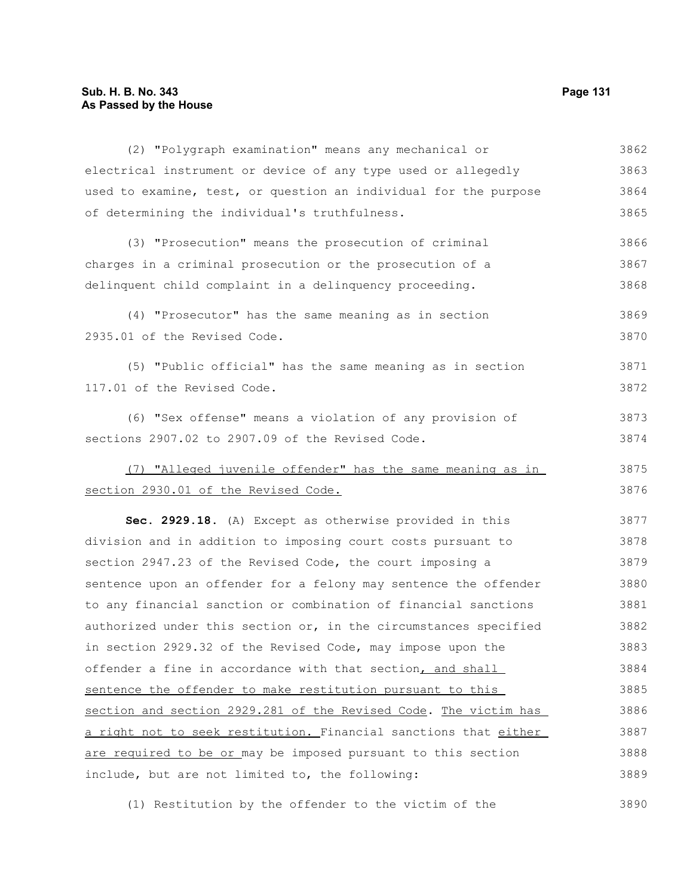## **Sub. H. B. No. 343 Page 131 As Passed by the House**

(2) "Polygraph examination" means any mechanical or electrical instrument or device of any type used or allegedly used to examine, test, or question an individual for the purpose of determining the individual's truthfulness. (3) "Prosecution" means the prosecution of criminal charges in a criminal prosecution or the prosecution of a delinquent child complaint in a delinquency proceeding. (4) "Prosecutor" has the same meaning as in section 2935.01 of the Revised Code. (5) "Public official" has the same meaning as in section 117.01 of the Revised Code. (6) "Sex offense" means a violation of any provision of sections 2907.02 to 2907.09 of the Revised Code. (7) "Alleged juvenile offender" has the same meaning as in section 2930.01 of the Revised Code. **Sec. 2929.18.** (A) Except as otherwise provided in this division and in addition to imposing court costs pursuant to section 2947.23 of the Revised Code, the court imposing a sentence upon an offender for a felony may sentence the offender to any financial sanction or combination of financial sanctions authorized under this section or, in the circumstances specified in section 2929.32 of the Revised Code, may impose upon the offender a fine in accordance with that section, and shall sentence the offender to make restitution pursuant to this section and section 2929.281 of the Revised Code. The victim has a right not to seek restitution. Financial sanctions that either are required to be or may be imposed pursuant to this section 3862 3863 3864 3865 3866 3867 3868 3869 3870 3871 3872 3873 3874 3875 3876 3877 3878 3879 3880 3881 3882 3883 3884 3885 3886 3887 3888

(1) Restitution by the offender to the victim of the 3890

include, but are not limited to, the following: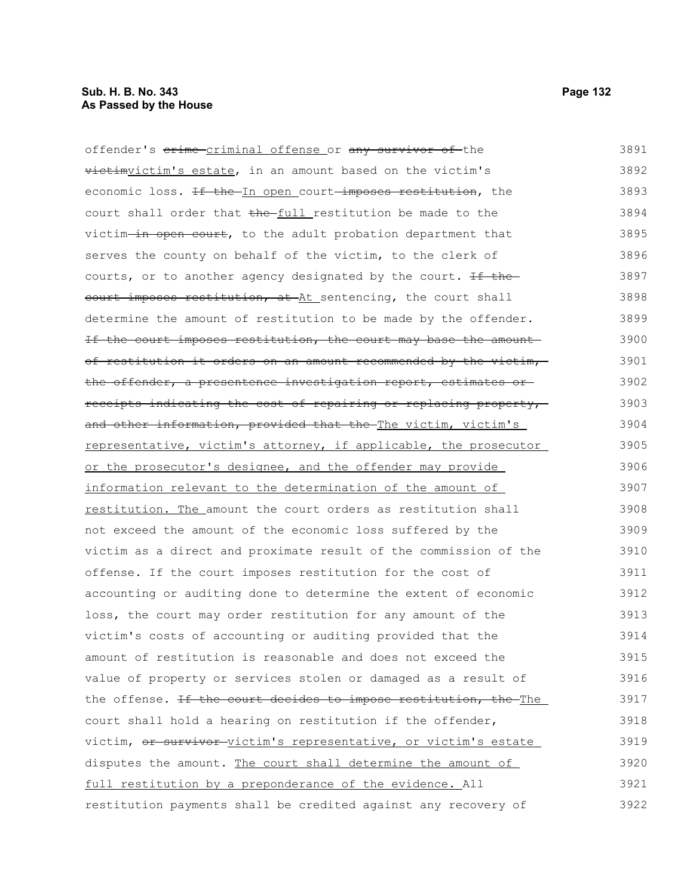### **Sub. H. B. No. 343 Page 132 As Passed by the House**

offender's crime-criminal offense or any survivor of the victimvictim's estate, in an amount based on the victim's economic loss. If the In open court imposes restitution, the court shall order that the full restitution be made to the victim in open court, to the adult probation department that serves the county on behalf of the victim, to the clerk of courts, or to another agency designated by the court. If the eourt imposes restitution, at At sentencing, the court shall determine the amount of restitution to be made by the offender. If the court imposes restitution, the court may base the amount of restitution it orders on an amount recommended by the victim, the offender, a presentence investigation report, estimates or receipts indicating the cost of repairing or replacing property, and other information, provided that the The victim, victim's representative, victim's attorney, if applicable, the prosecutor or the prosecutor's designee, and the offender may provide information relevant to the determination of the amount of restitution. The amount the court orders as restitution shall not exceed the amount of the economic loss suffered by the victim as a direct and proximate result of the commission of the offense. If the court imposes restitution for the cost of accounting or auditing done to determine the extent of economic loss, the court may order restitution for any amount of the victim's costs of accounting or auditing provided that the amount of restitution is reasonable and does not exceed the value of property or services stolen or damaged as a result of the offense. If the court decides to impose restitution, the The court shall hold a hearing on restitution if the offender, victim, or survivor-victim's representative, or victim's estate disputes the amount. The court shall determine the amount of full restitution by a preponderance of the evidence. All restitution payments shall be credited against any recovery of 3891 3892 3893 3894 3895 3896 3897 3898 3899 3900 3901 3902 3903 3904 3905 3906 3907 3908 3909 3910 3911 3912 3913 3914 3915 3916 3917 3918 3919 3920 3921 3922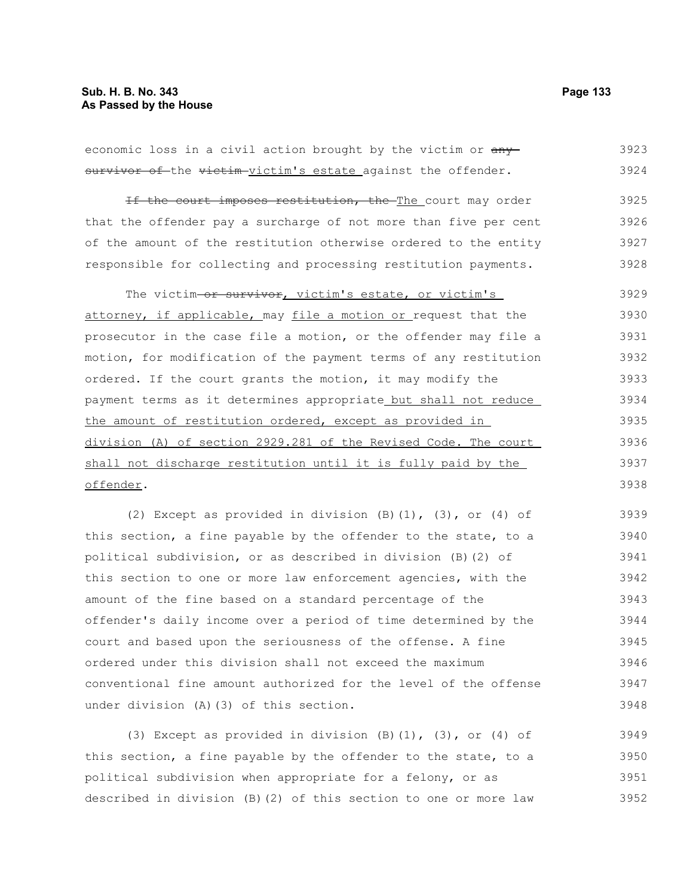survivor of the victim-victim's estate against the offender. If the court imposes restitution, the The court may order that the offender pay a surcharge of not more than five per cent of the amount of the restitution otherwise ordered to the entity responsible for collecting and processing restitution payments. The victim-or survivor, victim's estate, or victim's attorney, if applicable, may file a motion or request that the prosecutor in the case file a motion, or the offender may file a motion, for modification of the payment terms of any restitution ordered. If the court grants the motion, it may modify the payment terms as it determines appropriate but shall not reduce the amount of restitution ordered, except as provided in division (A) of section 2929.281 of the Revised Code. The court shall not discharge restitution until it is fully paid by the offender. (2) Except as provided in division  $(B)$   $(1)$ ,  $(3)$ , or  $(4)$  of this section, a fine payable by the offender to the state, to a political subdivision, or as described in division (B)(2) of this section to one or more law enforcement agencies, with the amount of the fine based on a standard percentage of the offender's daily income over a period of time determined by the court and based upon the seriousness of the offense. A fine ordered under this division shall not exceed the maximum conventional fine amount authorized for the level of the offense under division (A)(3) of this section. 3924 3925 3926 3927 3928 3929 3930 3931 3932 3933 3934 3935 3936 3937 3938 3939 3940 3941 3942 3943 3944 3945 3946 3947 3948

economic loss in a civil action brought by the victim or  $\frac{any}{ }$ 

(3) Except as provided in division  $(B)(1)$ ,  $(3)$ , or  $(4)$  of this section, a fine payable by the offender to the state, to a political subdivision when appropriate for a felony, or as described in division (B)(2) of this section to one or more law 3949 3950 3951 3952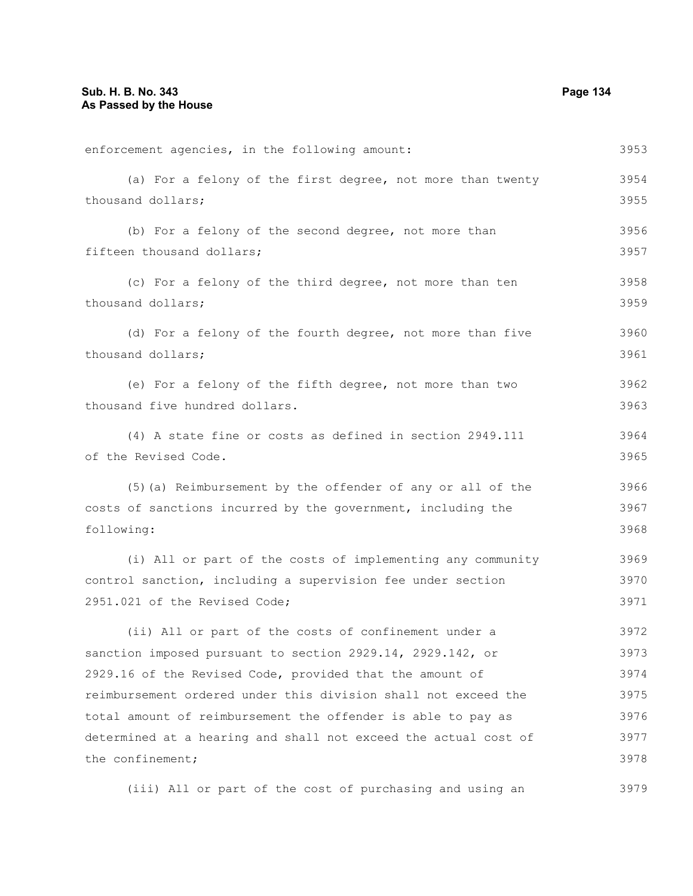enforcement agencies, in the following amount: (a) For a felony of the first degree, not more than twenty thousand dollars; (b) For a felony of the second degree, not more than fifteen thousand dollars; (c) For a felony of the third degree, not more than ten thousand dollars; (d) For a felony of the fourth degree, not more than five thousand dollars; (e) For a felony of the fifth degree, not more than two thousand five hundred dollars. (4) A state fine or costs as defined in section 2949.111 of the Revised Code. (5)(a) Reimbursement by the offender of any or all of the costs of sanctions incurred by the government, including the following: (i) All or part of the costs of implementing any community control sanction, including a supervision fee under section 2951.021 of the Revised Code; (ii) All or part of the costs of confinement under a sanction imposed pursuant to section 2929.14, 2929.142, or 2929.16 of the Revised Code, provided that the amount of reimbursement ordered under this division shall not exceed the total amount of reimbursement the offender is able to pay as determined at a hearing and shall not exceed the actual cost of the confinement; 3953 3954 3955 3956 3957 3958 3959 3960 3961 3962 3963 3964 3965 3966 3967 3968 3969 3970 3971 3972 3973 3974 3975 3976 3977 3978

(iii) All or part of the cost of purchasing and using an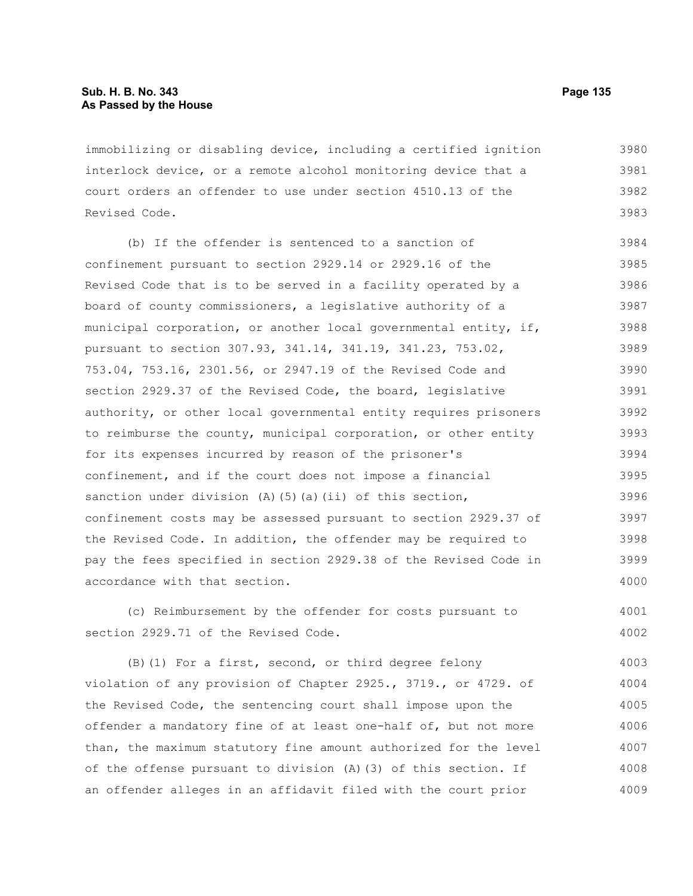immobilizing or disabling device, including a certified ignition interlock device, or a remote alcohol monitoring device that a court orders an offender to use under section 4510.13 of the Revised Code. 3980 3981 3982 3983

(b) If the offender is sentenced to a sanction of confinement pursuant to section 2929.14 or 2929.16 of the Revised Code that is to be served in a facility operated by a board of county commissioners, a legislative authority of a municipal corporation, or another local governmental entity, if, pursuant to section 307.93, 341.14, 341.19, 341.23, 753.02, 753.04, 753.16, 2301.56, or 2947.19 of the Revised Code and section 2929.37 of the Revised Code, the board, legislative authority, or other local governmental entity requires prisoners to reimburse the county, municipal corporation, or other entity for its expenses incurred by reason of the prisoner's confinement, and if the court does not impose a financial sanction under division (A)(5)(a)(ii) of this section, confinement costs may be assessed pursuant to section 2929.37 of the Revised Code. In addition, the offender may be required to pay the fees specified in section 2929.38 of the Revised Code in accordance with that section. 3984 3985 3986 3987 3988 3989 3990 3991 3992 3993 3994 3995 3996 3997 3998 3999 4000

(c) Reimbursement by the offender for costs pursuant to section 2929.71 of the Revised Code.

(B)(1) For a first, second, or third degree felony violation of any provision of Chapter 2925., 3719., or 4729. of the Revised Code, the sentencing court shall impose upon the offender a mandatory fine of at least one-half of, but not more than, the maximum statutory fine amount authorized for the level of the offense pursuant to division (A)(3) of this section. If an offender alleges in an affidavit filed with the court prior 4003 4004 4005 4006 4007 4008 4009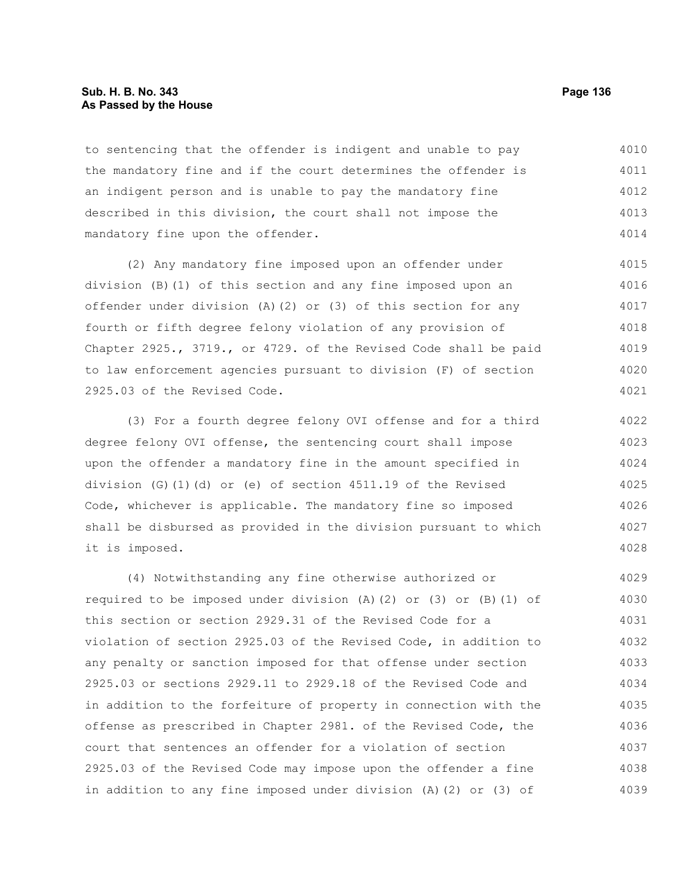#### **Sub. H. B. No. 343 Page 136 As Passed by the House**

to sentencing that the offender is indigent and unable to pay the mandatory fine and if the court determines the offender is an indigent person and is unable to pay the mandatory fine described in this division, the court shall not impose the mandatory fine upon the offender. 4010 4011 4012 4013 4014

(2) Any mandatory fine imposed upon an offender under division (B)(1) of this section and any fine imposed upon an offender under division (A)(2) or (3) of this section for any fourth or fifth degree felony violation of any provision of Chapter 2925., 3719., or 4729. of the Revised Code shall be paid to law enforcement agencies pursuant to division (F) of section 2925.03 of the Revised Code. 4015 4016 4017 4018 4019 4020 4021

(3) For a fourth degree felony OVI offense and for a third degree felony OVI offense, the sentencing court shall impose upon the offender a mandatory fine in the amount specified in division (G)(1)(d) or (e) of section  $4511.19$  of the Revised Code, whichever is applicable. The mandatory fine so imposed shall be disbursed as provided in the division pursuant to which it is imposed. 4022 4023 4024 4025 4026 4027 4028

(4) Notwithstanding any fine otherwise authorized or required to be imposed under division  $(A)(2)$  or  $(3)$  or  $(B)(1)$  of this section or section 2929.31 of the Revised Code for a violation of section 2925.03 of the Revised Code, in addition to any penalty or sanction imposed for that offense under section 2925.03 or sections 2929.11 to 2929.18 of the Revised Code and in addition to the forfeiture of property in connection with the offense as prescribed in Chapter 2981. of the Revised Code, the court that sentences an offender for a violation of section 2925.03 of the Revised Code may impose upon the offender a fine in addition to any fine imposed under division (A)(2) or (3) of 4029 4030 4031 4032 4033 4034 4035 4036 4037 4038 4039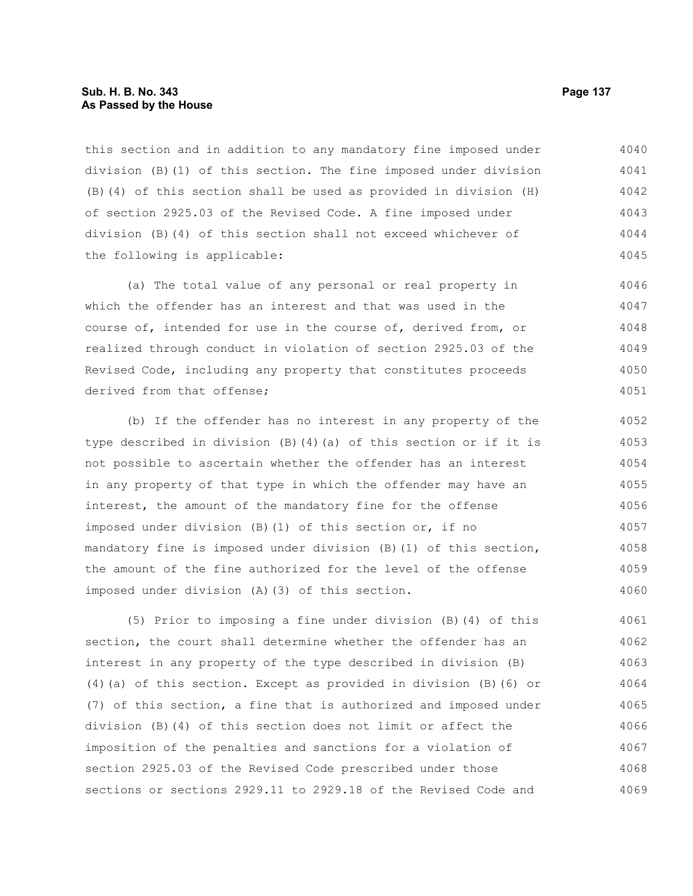## **Sub. H. B. No. 343 Page 137 As Passed by the House**

this section and in addition to any mandatory fine imposed under division (B)(1) of this section. The fine imposed under division (B)(4) of this section shall be used as provided in division (H) of section 2925.03 of the Revised Code. A fine imposed under division (B)(4) of this section shall not exceed whichever of the following is applicable: 4040 4041 4042 4043 4044 4045

(a) The total value of any personal or real property in which the offender has an interest and that was used in the course of, intended for use in the course of, derived from, or realized through conduct in violation of section 2925.03 of the Revised Code, including any property that constitutes proceeds derived from that offense; 4046 4047 4048 4049 4050 4051

(b) If the offender has no interest in any property of the type described in division  $(B)$  (4)(a) of this section or if it is not possible to ascertain whether the offender has an interest in any property of that type in which the offender may have an interest, the amount of the mandatory fine for the offense imposed under division (B)(1) of this section or, if no mandatory fine is imposed under division (B)(1) of this section, the amount of the fine authorized for the level of the offense imposed under division (A)(3) of this section. 4052 4053 4054 4055 4056 4057 4058 4059 4060

(5) Prior to imposing a fine under division (B)(4) of this section, the court shall determine whether the offender has an interest in any property of the type described in division (B) (4)(a) of this section. Except as provided in division (B)(6) or (7) of this section, a fine that is authorized and imposed under division (B)(4) of this section does not limit or affect the imposition of the penalties and sanctions for a violation of section 2925.03 of the Revised Code prescribed under those sections or sections 2929.11 to 2929.18 of the Revised Code and 4061 4062 4063 4064 4065 4066 4067 4068 4069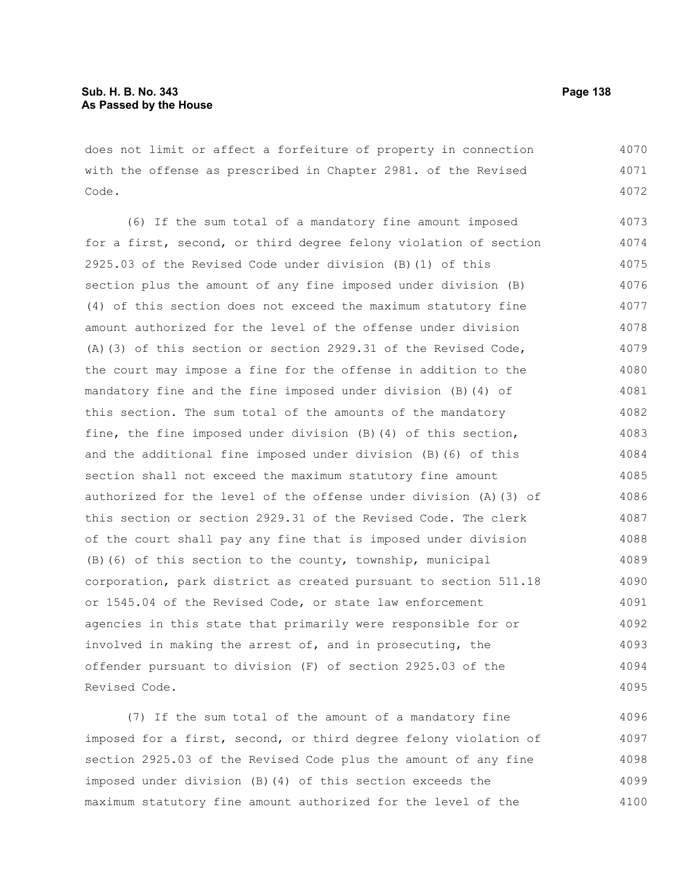does not limit or affect a forfeiture of property in connection with the offense as prescribed in Chapter 2981. of the Revised Code. 4070 4071 4072

(6) If the sum total of a mandatory fine amount imposed for a first, second, or third degree felony violation of section 2925.03 of the Revised Code under division (B)(1) of this section plus the amount of any fine imposed under division (B) (4) of this section does not exceed the maximum statutory fine amount authorized for the level of the offense under division (A)(3) of this section or section 2929.31 of the Revised Code, the court may impose a fine for the offense in addition to the mandatory fine and the fine imposed under division (B)(4) of this section. The sum total of the amounts of the mandatory fine, the fine imposed under division (B)(4) of this section, and the additional fine imposed under division (B)(6) of this section shall not exceed the maximum statutory fine amount authorized for the level of the offense under division (A)(3) of this section or section 2929.31 of the Revised Code. The clerk of the court shall pay any fine that is imposed under division (B)(6) of this section to the county, township, municipal corporation, park district as created pursuant to section 511.18 or 1545.04 of the Revised Code, or state law enforcement agencies in this state that primarily were responsible for or involved in making the arrest of, and in prosecuting, the offender pursuant to division (F) of section 2925.03 of the Revised Code. 4073 4074 4075 4076 4077 4078 4079 4080 4081 4082 4083 4084 4085 4086 4087 4088 4089 4090 4091 4092 4093 4094 4095

(7) If the sum total of the amount of a mandatory fine imposed for a first, second, or third degree felony violation of section 2925.03 of the Revised Code plus the amount of any fine imposed under division (B)(4) of this section exceeds the maximum statutory fine amount authorized for the level of the 4096 4097 4098 4099 4100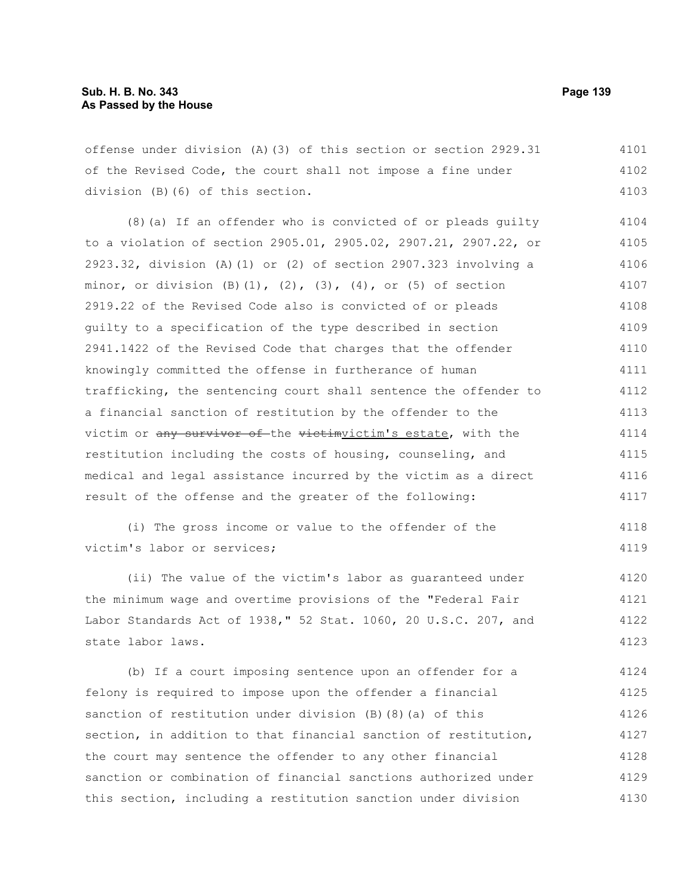offense under division (A)(3) of this section or section 2929.31 of the Revised Code, the court shall not impose a fine under division (B)(6) of this section. 4101 4102 4103

(8)(a) If an offender who is convicted of or pleads guilty to a violation of section 2905.01, 2905.02, 2907.21, 2907.22, or 2923.32, division (A)(1) or (2) of section 2907.323 involving a minor, or division  $(B)(1)$ ,  $(2)$ ,  $(3)$ ,  $(4)$ , or  $(5)$  of section 2919.22 of the Revised Code also is convicted of or pleads guilty to a specification of the type described in section 2941.1422 of the Revised Code that charges that the offender knowingly committed the offense in furtherance of human trafficking, the sentencing court shall sentence the offender to a financial sanction of restitution by the offender to the victim or any survivor of the vietimvictim's estate, with the restitution including the costs of housing, counseling, and medical and legal assistance incurred by the victim as a direct result of the offense and the greater of the following: 4104 4105 4106 4107 4108 4109 4110 4111 4112 4113 4114 4115 4116 4117

(i) The gross income or value to the offender of the victim's labor or services; 4118 4119

(ii) The value of the victim's labor as guaranteed under the minimum wage and overtime provisions of the "Federal Fair Labor Standards Act of 1938," 52 Stat. 1060, 20 U.S.C. 207, and state labor laws. 4120 4121 4122 4123

(b) If a court imposing sentence upon an offender for a felony is required to impose upon the offender a financial sanction of restitution under division (B)(8)(a) of this section, in addition to that financial sanction of restitution, the court may sentence the offender to any other financial sanction or combination of financial sanctions authorized under this section, including a restitution sanction under division 4124 4125 4126 4127 4128 4129 4130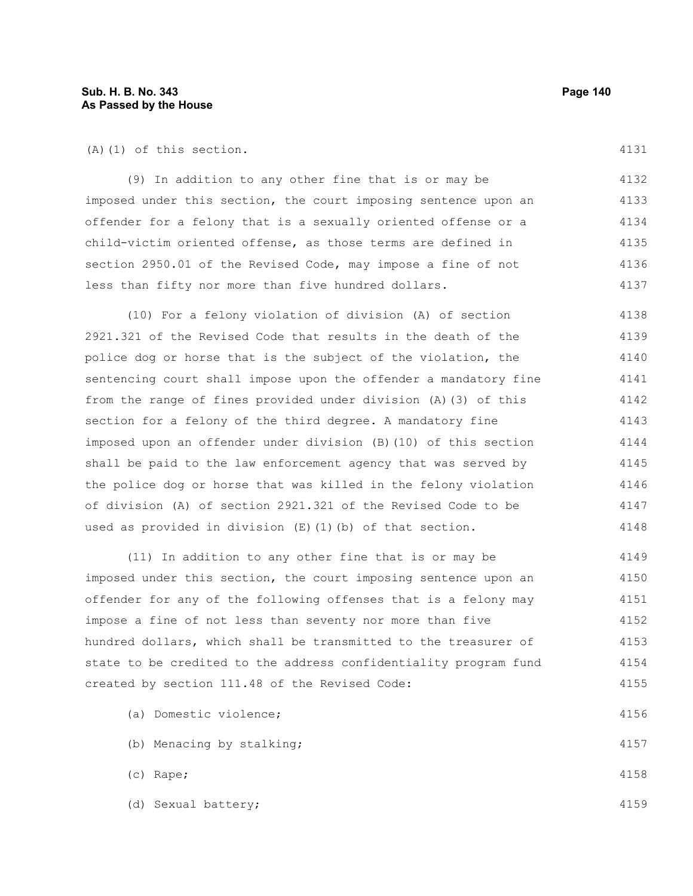(A)(1) of this section.

(9) In addition to any other fine that is or may be imposed under this section, the court imposing sentence upon an offender for a felony that is a sexually oriented offense or a child-victim oriented offense, as those terms are defined in section 2950.01 of the Revised Code, may impose a fine of not less than fifty nor more than five hundred dollars. 4132 4134 4135 4136 4137

(10) For a felony violation of division (A) of section 2921.321 of the Revised Code that results in the death of the police dog or horse that is the subject of the violation, the sentencing court shall impose upon the offender a mandatory fine from the range of fines provided under division (A)(3) of this section for a felony of the third degree. A mandatory fine imposed upon an offender under division (B)(10) of this section shall be paid to the law enforcement agency that was served by the police dog or horse that was killed in the felony violation of division (A) of section 2921.321 of the Revised Code to be used as provided in division (E)(1)(b) of that section. 4138 4139 4140 4141 4142 4143 4144 4145 4146 4147 4148

(11) In addition to any other fine that is or may be imposed under this section, the court imposing sentence upon an offender for any of the following offenses that is a felony may impose a fine of not less than seventy nor more than five hundred dollars, which shall be transmitted to the treasurer of state to be credited to the address confidentiality program fund created by section 111.48 of the Revised Code: 4149 4150 4151 4152 4153 4154 4155

- (a) Domestic violence; (b) Menacing by stalking; (c) Rape; 4156 4157 4158
	- (d) Sexual battery; 4159

4131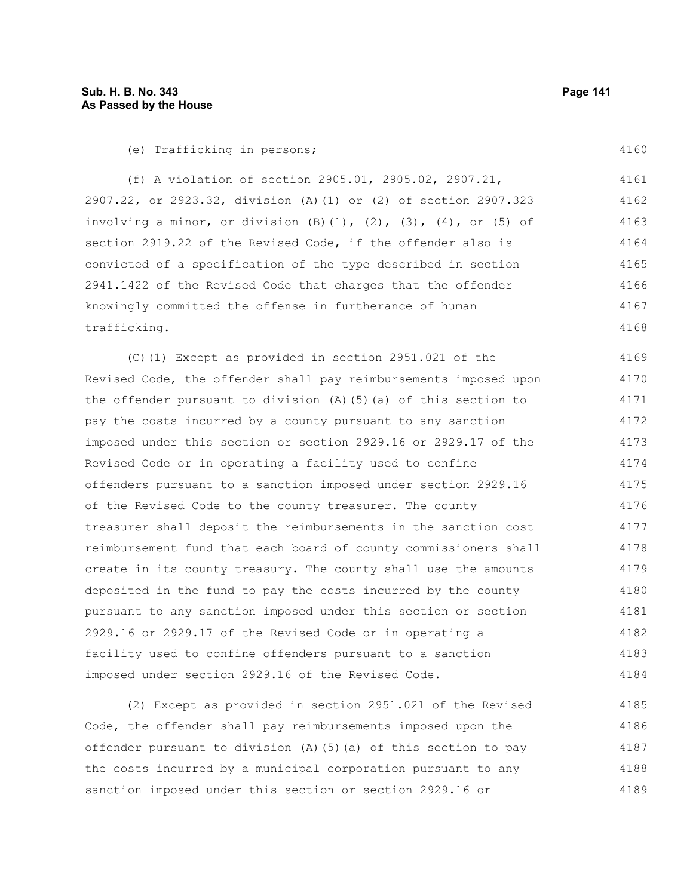(e) Trafficking in persons;

(f) A violation of section 2905.01, 2905.02, 2907.21, 2907.22, or 2923.32, division (A)(1) or (2) of section 2907.323 involving a minor, or division  $(B)$   $(1)$ ,  $(2)$ ,  $(3)$ ,  $(4)$ , or  $(5)$  of section 2919.22 of the Revised Code, if the offender also is convicted of a specification of the type described in section 2941.1422 of the Revised Code that charges that the offender knowingly committed the offense in furtherance of human trafficking. 4161 4162 4163 4164 4165 4166 4167 4168

(C)(1) Except as provided in section 2951.021 of the Revised Code, the offender shall pay reimbursements imposed upon the offender pursuant to division (A)(5)(a) of this section to pay the costs incurred by a county pursuant to any sanction imposed under this section or section 2929.16 or 2929.17 of the Revised Code or in operating a facility used to confine offenders pursuant to a sanction imposed under section 2929.16 of the Revised Code to the county treasurer. The county treasurer shall deposit the reimbursements in the sanction cost reimbursement fund that each board of county commissioners shall create in its county treasury. The county shall use the amounts deposited in the fund to pay the costs incurred by the county pursuant to any sanction imposed under this section or section 2929.16 or 2929.17 of the Revised Code or in operating a facility used to confine offenders pursuant to a sanction imposed under section 2929.16 of the Revised Code. 4169 4170 4171 4172 4173 4174 4175 4176 4177 4178 4179 4180 4181 4182 4183 4184

(2) Except as provided in section 2951.021 of the Revised Code, the offender shall pay reimbursements imposed upon the offender pursuant to division  $(A)$  (5)(a) of this section to pay the costs incurred by a municipal corporation pursuant to any sanction imposed under this section or section 2929.16 or 4185 4186 4187 4188 4189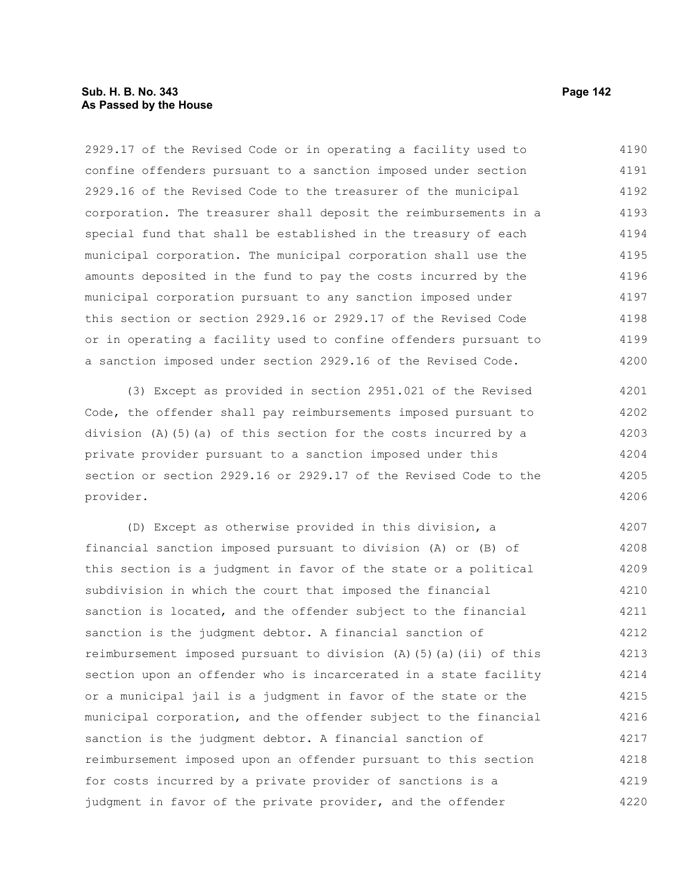# **Sub. H. B. No. 343** Page 142 **As Passed by the House**

2929.17 of the Revised Code or in operating a facility used to confine offenders pursuant to a sanction imposed under section 2929.16 of the Revised Code to the treasurer of the municipal corporation. The treasurer shall deposit the reimbursements in a special fund that shall be established in the treasury of each municipal corporation. The municipal corporation shall use the amounts deposited in the fund to pay the costs incurred by the municipal corporation pursuant to any sanction imposed under this section or section 2929.16 or 2929.17 of the Revised Code or in operating a facility used to confine offenders pursuant to a sanction imposed under section 2929.16 of the Revised Code. 4190 4191 4192 4193 4194 4195 4196 4197 4198 4199 4200

(3) Except as provided in section 2951.021 of the Revised Code, the offender shall pay reimbursements imposed pursuant to division (A)(5)(a) of this section for the costs incurred by a private provider pursuant to a sanction imposed under this section or section 2929.16 or 2929.17 of the Revised Code to the provider. 4201 4202 4203 4204 4205 4206

(D) Except as otherwise provided in this division, a financial sanction imposed pursuant to division (A) or (B) of this section is a judgment in favor of the state or a political subdivision in which the court that imposed the financial sanction is located, and the offender subject to the financial sanction is the judgment debtor. A financial sanction of reimbursement imposed pursuant to division (A)(5)(a)(ii) of this section upon an offender who is incarcerated in a state facility or a municipal jail is a judgment in favor of the state or the municipal corporation, and the offender subject to the financial sanction is the judgment debtor. A financial sanction of reimbursement imposed upon an offender pursuant to this section for costs incurred by a private provider of sanctions is a judgment in favor of the private provider, and the offender 4207 4208 4209 4210 4211 4212 4213 4214 4215 4216 4217 4218 4219 4220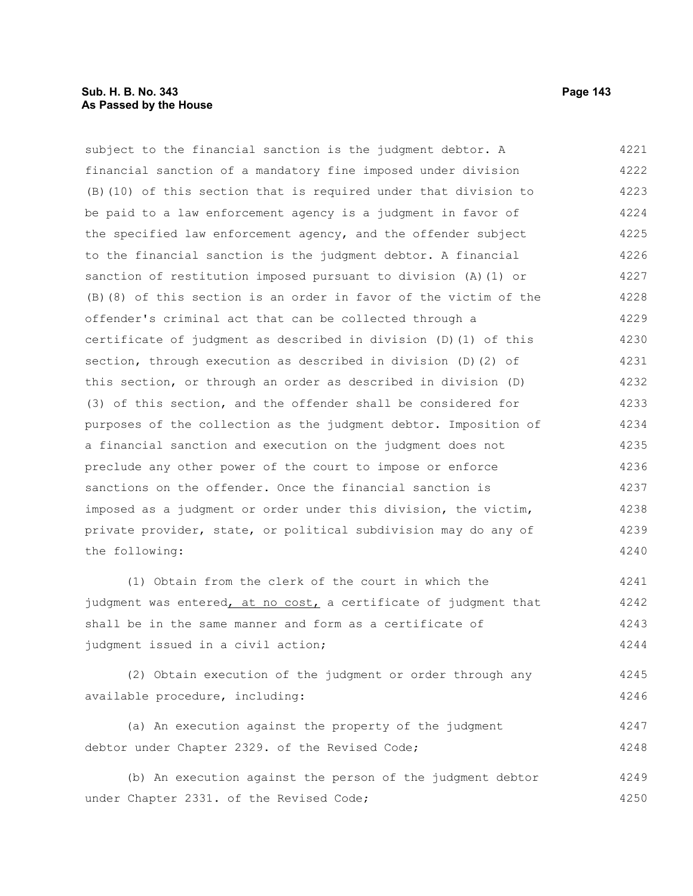subject to the financial sanction is the judgment debtor. A financial sanction of a mandatory fine imposed under division (B)(10) of this section that is required under that division to be paid to a law enforcement agency is a judgment in favor of the specified law enforcement agency, and the offender subject to the financial sanction is the judgment debtor. A financial sanction of restitution imposed pursuant to division (A)(1) or (B)(8) of this section is an order in favor of the victim of the offender's criminal act that can be collected through a certificate of judgment as described in division (D)(1) of this section, through execution as described in division (D)(2) of this section, or through an order as described in division (D) (3) of this section, and the offender shall be considered for purposes of the collection as the judgment debtor. Imposition of a financial sanction and execution on the judgment does not preclude any other power of the court to impose or enforce sanctions on the offender. Once the financial sanction is imposed as a judgment or order under this division, the victim, private provider, state, or political subdivision may do any of the following: 4221 4222 4223 4224 4225 4226 4227 4228 4229 4230 4231 4232 4233 4234 4235 4236 4237 4238 4239 4240

(1) Obtain from the clerk of the court in which the judgment was entered, at no cost, a certificate of judgment that shall be in the same manner and form as a certificate of judgment issued in a civil action; 4241 4242 4243 4244

(2) Obtain execution of the judgment or order through any available procedure, including: 4245 4246

(a) An execution against the property of the judgment debtor under Chapter 2329. of the Revised Code; 4247 4248

(b) An execution against the person of the judgment debtor under Chapter 2331. of the Revised Code; 4249 4250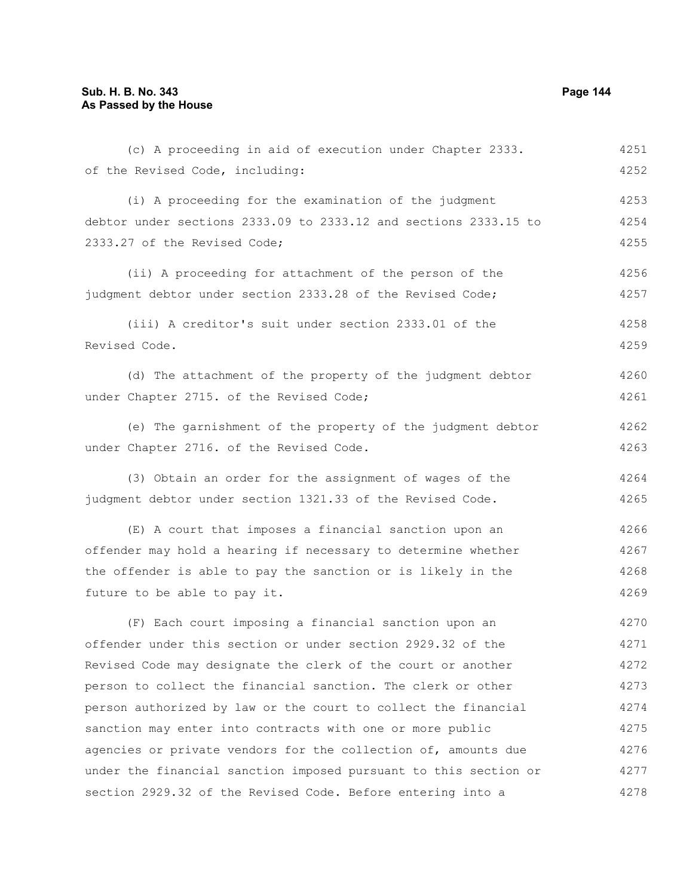| (c) A proceeding in aid of execution under Chapter 2333.         | 4251 |
|------------------------------------------------------------------|------|
| of the Revised Code, including:                                  | 4252 |
| (i) A proceeding for the examination of the judgment             | 4253 |
| debtor under sections 2333.09 to 2333.12 and sections 2333.15 to | 4254 |
| 2333.27 of the Revised Code;                                     | 4255 |
| (ii) A proceeding for attachment of the person of the            | 4256 |
| judgment debtor under section 2333.28 of the Revised Code;       | 4257 |
| (iii) A creditor's suit under section 2333.01 of the             | 4258 |
| Revised Code.                                                    | 4259 |
| (d) The attachment of the property of the judgment debtor        | 4260 |
| under Chapter 2715. of the Revised Code;                         | 4261 |
| (e) The garnishment of the property of the judgment debtor       | 4262 |
| under Chapter 2716. of the Revised Code.                         | 4263 |
| (3) Obtain an order for the assignment of wages of the           | 4264 |
| judgment debtor under section 1321.33 of the Revised Code.       | 4265 |
| (E) A court that imposes a financial sanction upon an            | 4266 |
| offender may hold a hearing if necessary to determine whether    | 4267 |
| the offender is able to pay the sanction or is likely in the     | 4268 |
| future to be able to pay it.                                     | 4269 |
| (F) Each court imposing a financial sanction upon an             | 4270 |
| offender under this section or under section 2929.32 of the      | 4271 |
| Revised Code may designate the clerk of the court or another     | 4272 |
| person to collect the financial sanction. The clerk or other     | 4273 |
| person authorized by law or the court to collect the financial   | 4274 |
| sanction may enter into contracts with one or more public        | 4275 |
| agencies or private vendors for the collection of, amounts due   | 4276 |
| under the financial sanction imposed pursuant to this section or | 4277 |
| section 2929.32 of the Revised Code. Before entering into a      | 4278 |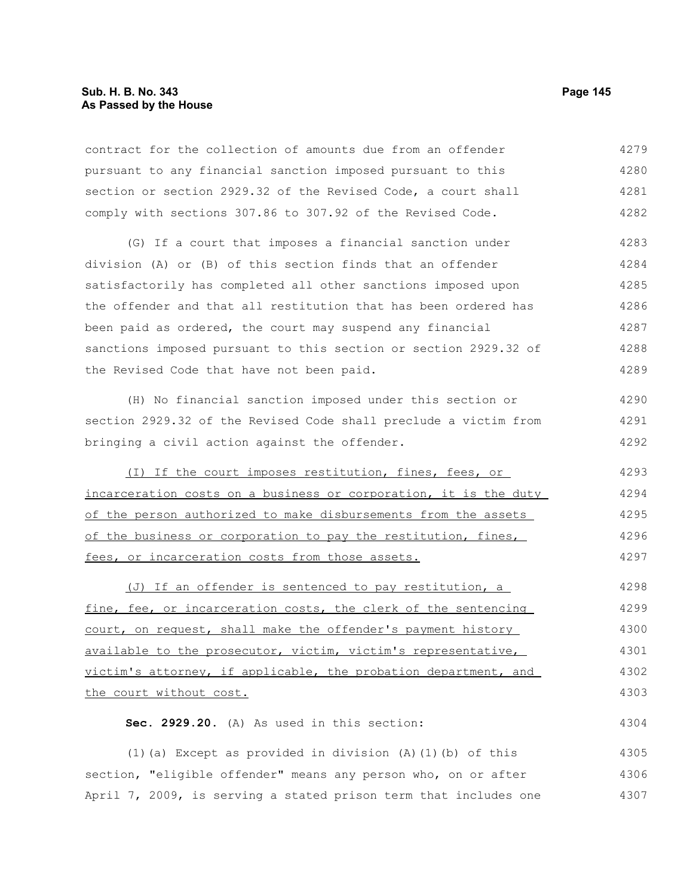contract for the collection of amounts due from an offender pursuant to any financial sanction imposed pursuant to this section or section 2929.32 of the Revised Code, a court shall comply with sections 307.86 to 307.92 of the Revised Code. 4279 4280 4281 4282

(G) If a court that imposes a financial sanction under division (A) or (B) of this section finds that an offender satisfactorily has completed all other sanctions imposed upon the offender and that all restitution that has been ordered has been paid as ordered, the court may suspend any financial sanctions imposed pursuant to this section or section 2929.32 of the Revised Code that have not been paid. 4283 4284 4285 4286 4287 4288 4289

(H) No financial sanction imposed under this section or section 2929.32 of the Revised Code shall preclude a victim from bringing a civil action against the offender. 4290 4291 4292

(I) If the court imposes restitution, fines, fees, or incarceration costs on a business or corporation, it is the duty of the person authorized to make disbursements from the assets of the business or corporation to pay the restitution, fines, fees, or incarceration costs from those assets. 4293 4294 4295 4296 4297

(J) If an offender is sentenced to pay restitution, a fine, fee, or incarceration costs, the clerk of the sentencing court, on request, shall make the offender's payment history available to the prosecutor, victim, victim's representative, victim's attorney, if applicable, the probation department, and the court without cost. 4298 4299 4300 4301 4302 4303

**Sec. 2929.20.** (A) As used in this section:

(1)(a) Except as provided in division (A)(1)(b) of this section, "eligible offender" means any person who, on or after April 7, 2009, is serving a stated prison term that includes one 4305 4306 4307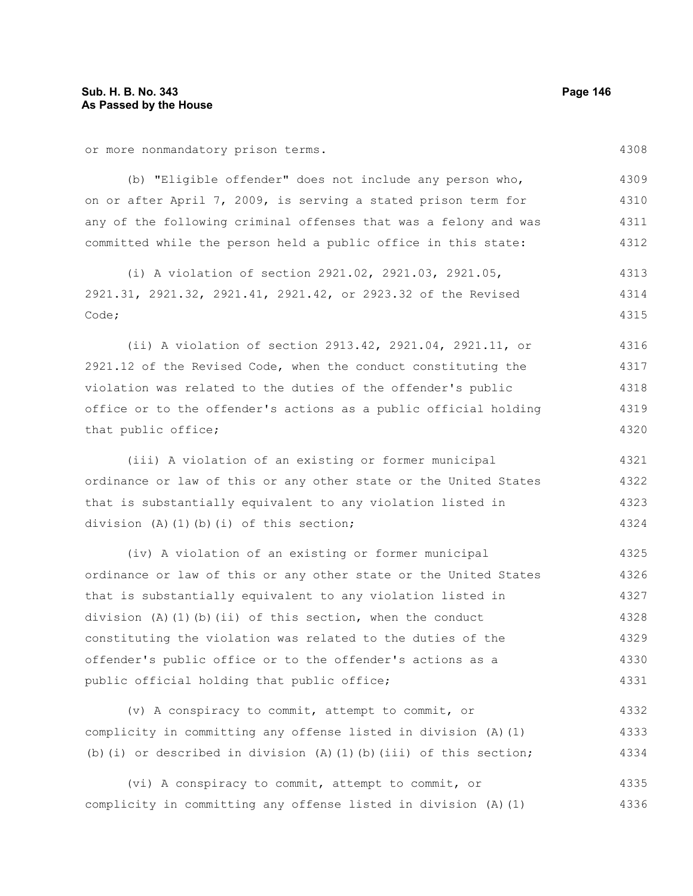or more nonmandatory prison terms.

(b) "Eligible offender" does not include any person who, on or after April 7, 2009, is serving a stated prison term for any of the following criminal offenses that was a felony and was committed while the person held a public office in this state: 4309 4310 4311 4312

(i) A violation of section 2921.02, 2921.03, 2921.05, 2921.31, 2921.32, 2921.41, 2921.42, or 2923.32 of the Revised Code; 4313 4314 4315

(ii) A violation of section 2913.42, 2921.04, 2921.11, or 2921.12 of the Revised Code, when the conduct constituting the violation was related to the duties of the offender's public office or to the offender's actions as a public official holding that public office; 4316 4317 4318 4319 4320

(iii) A violation of an existing or former municipal ordinance or law of this or any other state or the United States that is substantially equivalent to any violation listed in division (A)(1)(b)(i) of this section; 4321 4322 4323 4324

(iv) A violation of an existing or former municipal ordinance or law of this or any other state or the United States that is substantially equivalent to any violation listed in division (A)(1)(b)(ii) of this section, when the conduct constituting the violation was related to the duties of the offender's public office or to the offender's actions as a public official holding that public office; 4325 4326 4327 4328 4329 4330 4331

(v) A conspiracy to commit, attempt to commit, or complicity in committing any offense listed in division (A)(1) (b)(i) or described in division (A)(1)(b)(iii) of this section; 4332 4333 4334

(vi) A conspiracy to commit, attempt to commit, or complicity in committing any offense listed in division (A)(1) 4335 4336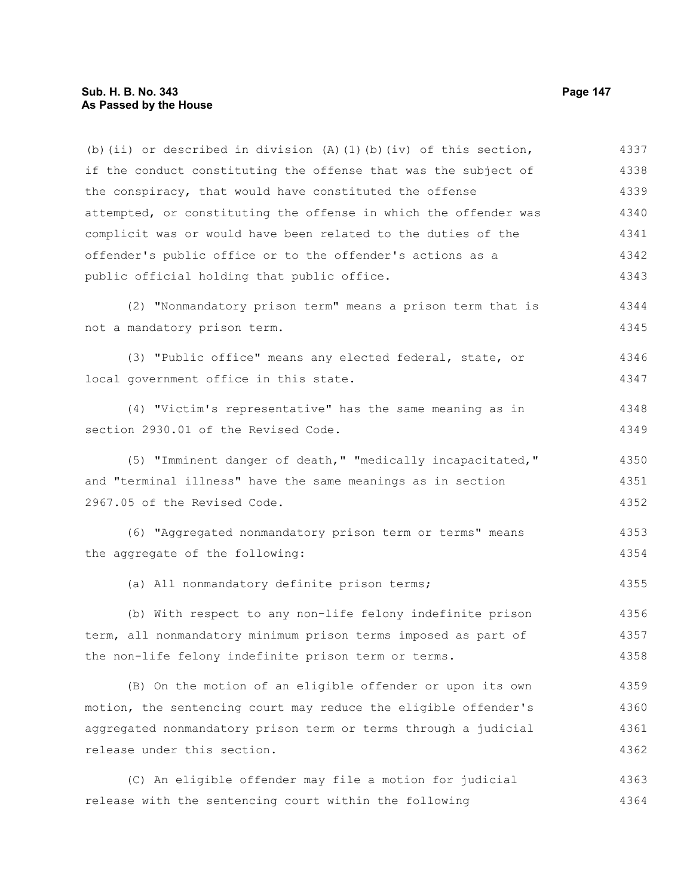| if the conduct constituting the offense that was the subject of  | 4338 |
|------------------------------------------------------------------|------|
| the conspiracy, that would have constituted the offense          | 4339 |
| attempted, or constituting the offense in which the offender was | 4340 |
| complicit was or would have been related to the duties of the    | 4341 |
| offender's public office or to the offender's actions as a       | 4342 |
| public official holding that public office.                      | 4343 |
| (2) "Nonmandatory prison term" means a prison term that is       | 4344 |
| not a mandatory prison term.                                     | 4345 |
| (3) "Public office" means any elected federal, state, or         | 4346 |
| local government office in this state.                           | 4347 |
| (4) "Victim's representative" has the same meaning as in         | 4348 |
| section 2930.01 of the Revised Code.                             | 4349 |
| (5) "Imminent danger of death," "medically incapacitated,"       | 4350 |
| and "terminal illness" have the same meanings as in section      | 4351 |
| 2967.05 of the Revised Code.                                     | 4352 |
| (6) "Aggregated nonmandatory prison term or terms" means         | 4353 |
| the aggregate of the following:                                  | 4354 |
| (a) All nonmandatory definite prison terms;                      | 4355 |
| (b) With respect to any non-life felony indefinite prison        | 4356 |
| term, all nonmandatory minimum prison terms imposed as part of   | 4357 |
| the non-life felony indefinite prison term or terms.             | 4358 |
| (B) On the motion of an eligible offender or upon its own        | 4359 |
| motion, the sentencing court may reduce the eligible offender's  | 4360 |
| aggregated nonmandatory prison term or terms through a judicial  | 4361 |
| release under this section.                                      | 4362 |
| (C) An eligible offender may file a motion for judicial          | 4363 |

(b)(ii) or described in division (A)(1)(b)(iv) of this section,

release with the sentencing court within the following 4364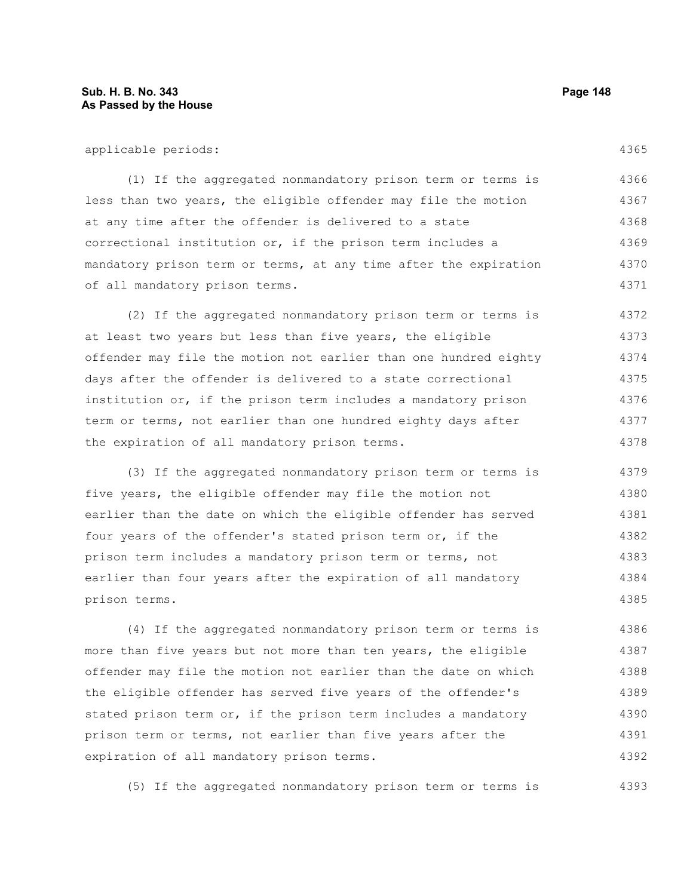applicable periods:

(1) If the aggregated nonmandatory prison term or terms is less than two years, the eligible offender may file the motion at any time after the offender is delivered to a state correctional institution or, if the prison term includes a mandatory prison term or terms, at any time after the expiration of all mandatory prison terms. 4366 4367 4368 4369 4370 4371

(2) If the aggregated nonmandatory prison term or terms is at least two years but less than five years, the eligible offender may file the motion not earlier than one hundred eighty days after the offender is delivered to a state correctional institution or, if the prison term includes a mandatory prison term or terms, not earlier than one hundred eighty days after the expiration of all mandatory prison terms. 4372 4373 4374 4375 4376 4377 4378

(3) If the aggregated nonmandatory prison term or terms is five years, the eligible offender may file the motion not earlier than the date on which the eligible offender has served four years of the offender's stated prison term or, if the prison term includes a mandatory prison term or terms, not earlier than four years after the expiration of all mandatory prison terms. 4379 4380 4381 4382 4383 4384 4385

(4) If the aggregated nonmandatory prison term or terms is more than five years but not more than ten years, the eligible offender may file the motion not earlier than the date on which the eligible offender has served five years of the offender's stated prison term or, if the prison term includes a mandatory prison term or terms, not earlier than five years after the expiration of all mandatory prison terms. 4386 4387 4388 4389 4390 4391 4392

(5) If the aggregated nonmandatory prison term or terms is

4365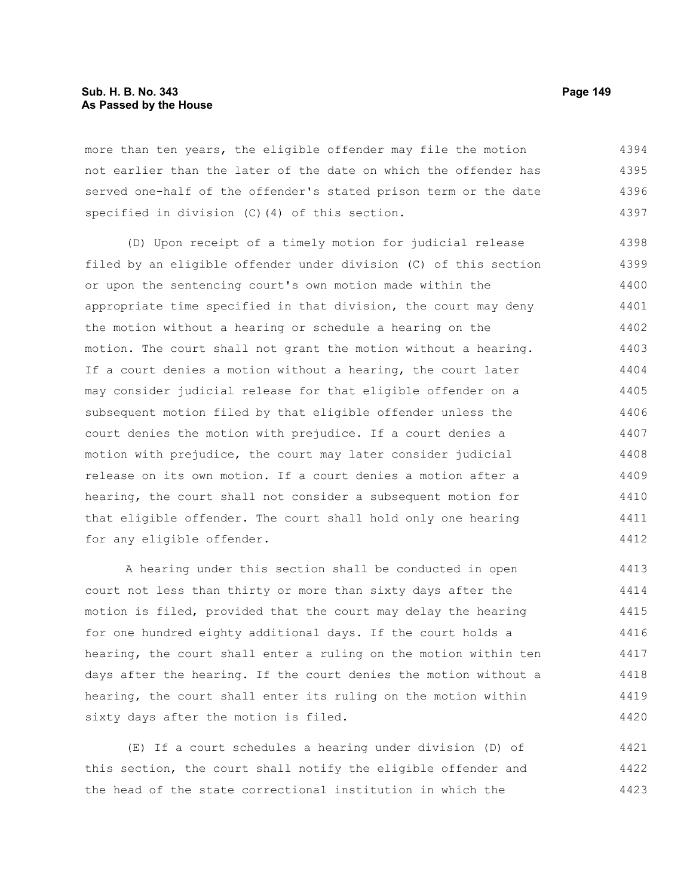# **Sub. H. B. No. 343** Page 149 **As Passed by the House**

more than ten years, the eligible offender may file the motion not earlier than the later of the date on which the offender has served one-half of the offender's stated prison term or the date specified in division (C)(4) of this section. 4394 4395 4396 4397

(D) Upon receipt of a timely motion for judicial release filed by an eligible offender under division (C) of this section or upon the sentencing court's own motion made within the appropriate time specified in that division, the court may deny the motion without a hearing or schedule a hearing on the motion. The court shall not grant the motion without a hearing. If a court denies a motion without a hearing, the court later may consider judicial release for that eligible offender on a subsequent motion filed by that eligible offender unless the court denies the motion with prejudice. If a court denies a motion with prejudice, the court may later consider judicial release on its own motion. If a court denies a motion after a hearing, the court shall not consider a subsequent motion for that eligible offender. The court shall hold only one hearing for any eligible offender. 4398 4399 4400 4401 4402 4403 4404 4405 4406 4407 4408 4409 4410 4411 4412

A hearing under this section shall be conducted in open court not less than thirty or more than sixty days after the motion is filed, provided that the court may delay the hearing for one hundred eighty additional days. If the court holds a hearing, the court shall enter a ruling on the motion within ten days after the hearing. If the court denies the motion without a hearing, the court shall enter its ruling on the motion within sixty days after the motion is filed. 4413 4414 4415 4416 4417 4418 4419 4420

(E) If a court schedules a hearing under division (D) of this section, the court shall notify the eligible offender and the head of the state correctional institution in which the 4421 4422 4423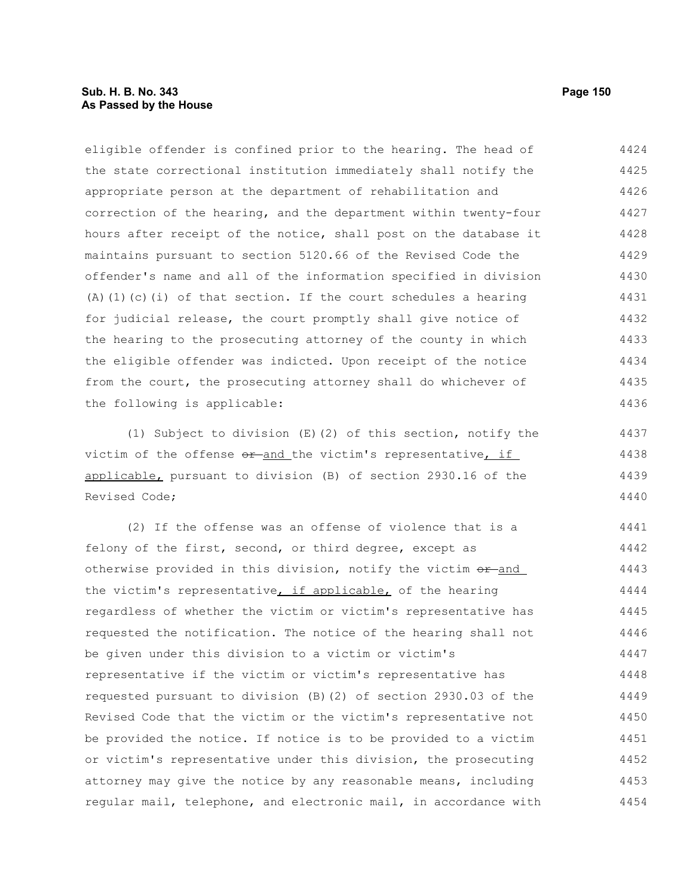# **Sub. H. B. No. 343 Page 150 As Passed by the House**

eligible offender is confined prior to the hearing. The head of the state correctional institution immediately shall notify the appropriate person at the department of rehabilitation and correction of the hearing, and the department within twenty-four hours after receipt of the notice, shall post on the database it maintains pursuant to section 5120.66 of the Revised Code the offender's name and all of the information specified in division (A)(1)(c)(i) of that section. If the court schedules a hearing for judicial release, the court promptly shall give notice of the hearing to the prosecuting attorney of the county in which the eligible offender was indicted. Upon receipt of the notice from the court, the prosecuting attorney shall do whichever of the following is applicable: 4424 4425 4426 4427 4428 4429 4430 4431 4432 4433 4434 4435 4436

(1) Subject to division (E)(2) of this section, notify the victim of the offense  $er$ -and the victim's representative, if applicable, pursuant to division (B) of section 2930.16 of the Revised Code;

(2) If the offense was an offense of violence that is a felony of the first, second, or third degree, except as otherwise provided in this division, notify the victim or and the victim's representative, if applicable, of the hearing regardless of whether the victim or victim's representative has requested the notification. The notice of the hearing shall not be given under this division to a victim or victim's representative if the victim or victim's representative has requested pursuant to division (B)(2) of section 2930.03 of the Revised Code that the victim or the victim's representative not be provided the notice. If notice is to be provided to a victim or victim's representative under this division, the prosecuting attorney may give the notice by any reasonable means, including regular mail, telephone, and electronic mail, in accordance with 4441 4442 4443 4444 4445 4446 4447 4448 4449 4450 4451 4452 4453 4454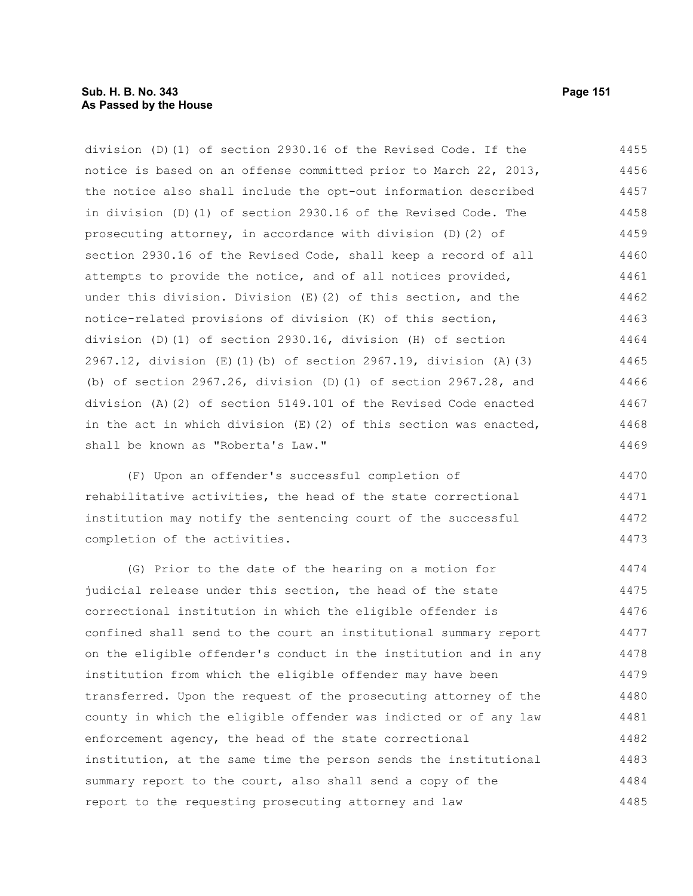division (D)(1) of section 2930.16 of the Revised Code. If the notice is based on an offense committed prior to March 22, 2013, the notice also shall include the opt-out information described in division (D)(1) of section 2930.16 of the Revised Code. The prosecuting attorney, in accordance with division (D)(2) of section 2930.16 of the Revised Code, shall keep a record of all attempts to provide the notice, and of all notices provided, under this division. Division (E)(2) of this section, and the notice-related provisions of division (K) of this section, division (D)(1) of section 2930.16, division (H) of section 2967.12, division (E)(1)(b) of section 2967.19, division (A)(3) (b) of section 2967.26, division (D)(1) of section 2967.28, and division (A)(2) of section 5149.101 of the Revised Code enacted in the act in which division  $(E)(2)$  of this section was enacted, shall be known as "Roberta's Law." 4455 4456 4457 4458 4459 4460 4461 4462 4463 4464 4465 4466 4467 4468 4469

(F) Upon an offender's successful completion of rehabilitative activities, the head of the state correctional institution may notify the sentencing court of the successful completion of the activities. 4470 4471 4472 4473

(G) Prior to the date of the hearing on a motion for judicial release under this section, the head of the state correctional institution in which the eligible offender is confined shall send to the court an institutional summary report on the eligible offender's conduct in the institution and in any institution from which the eligible offender may have been transferred. Upon the request of the prosecuting attorney of the county in which the eligible offender was indicted or of any law enforcement agency, the head of the state correctional institution, at the same time the person sends the institutional summary report to the court, also shall send a copy of the report to the requesting prosecuting attorney and law 4474 4475 4476 4477 4478 4479 4480 4481 4482 4483 4484 4485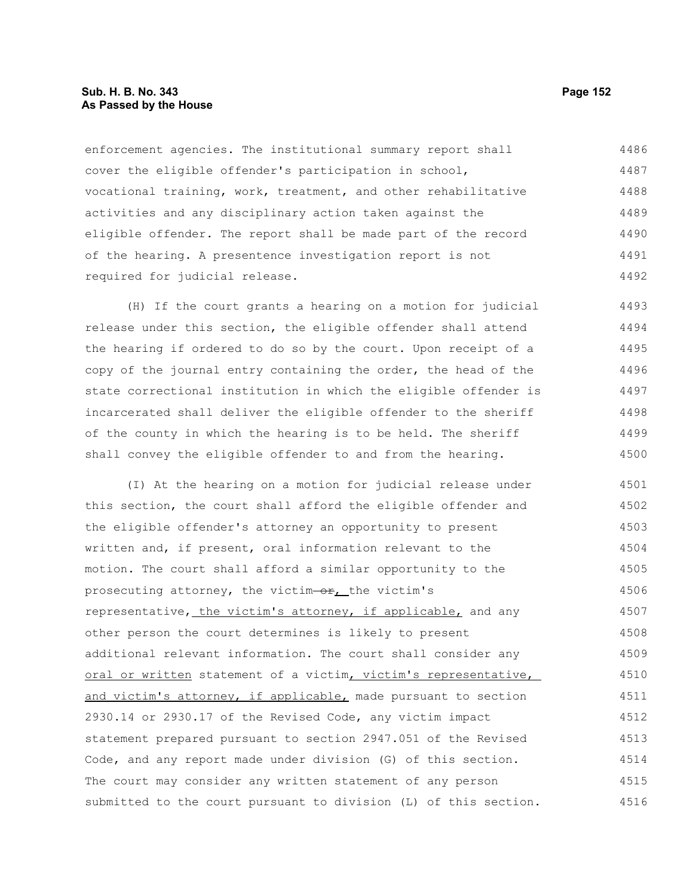# **Sub. H. B. No. 343 Page 152 As Passed by the House**

enforcement agencies. The institutional summary report shall cover the eligible offender's participation in school, vocational training, work, treatment, and other rehabilitative activities and any disciplinary action taken against the eligible offender. The report shall be made part of the record of the hearing. A presentence investigation report is not required for judicial release. 4486 4487 4488 4489 4490 4491 4492

(H) If the court grants a hearing on a motion for judicial release under this section, the eligible offender shall attend the hearing if ordered to do so by the court. Upon receipt of a copy of the journal entry containing the order, the head of the state correctional institution in which the eligible offender is incarcerated shall deliver the eligible offender to the sheriff of the county in which the hearing is to be held. The sheriff shall convey the eligible offender to and from the hearing. 4493 4494 4495 4496 4497 4498 4499 4500

(I) At the hearing on a motion for judicial release under this section, the court shall afford the eligible offender and the eligible offender's attorney an opportunity to present written and, if present, oral information relevant to the motion. The court shall afford a similar opportunity to the prosecuting attorney, the victim- $or_{L}$  the victim's representative, the victim's attorney, if applicable, and any other person the court determines is likely to present additional relevant information. The court shall consider any oral or written statement of a victim, victim's representative, and victim's attorney, if applicable, made pursuant to section 2930.14 or 2930.17 of the Revised Code, any victim impact statement prepared pursuant to section 2947.051 of the Revised Code, and any report made under division (G) of this section. The court may consider any written statement of any person submitted to the court pursuant to division (L) of this section. 4501 4502 4503 4504 4505 4506 4507 4508 4509 4510 4511 4512 4513 4514 4515 4516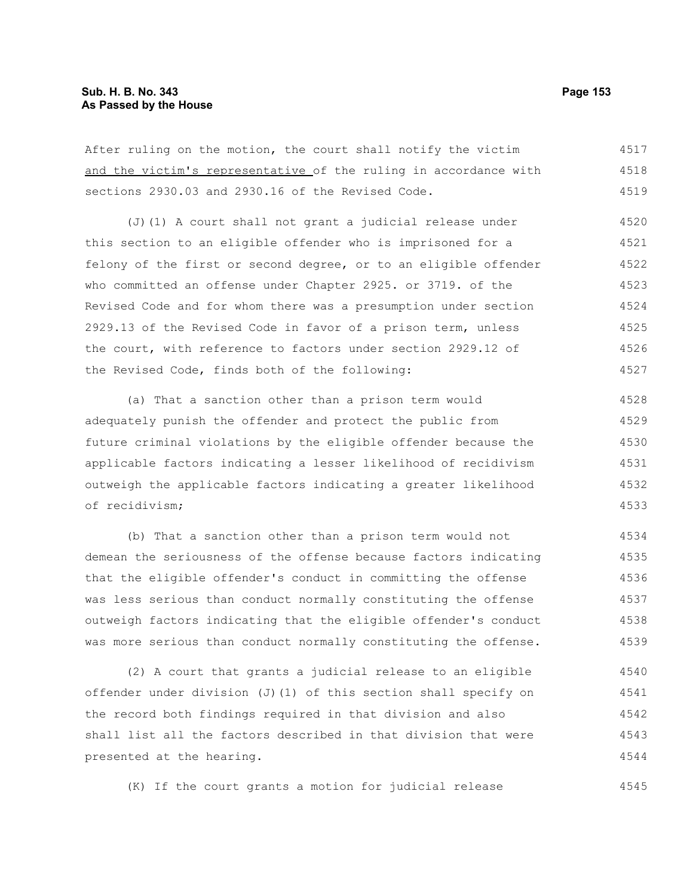After ruling on the motion, the court shall notify the victim and the victim's representative of the ruling in accordance with sections 2930.03 and 2930.16 of the Revised Code. 4517 4518 4519

(J)(1) A court shall not grant a judicial release under this section to an eligible offender who is imprisoned for a felony of the first or second degree, or to an eligible offender who committed an offense under Chapter 2925. or 3719. of the Revised Code and for whom there was a presumption under section 2929.13 of the Revised Code in favor of a prison term, unless the court, with reference to factors under section 2929.12 of the Revised Code, finds both of the following: 4520 4521 4522 4523 4524 4525 4526 4527

(a) That a sanction other than a prison term would adequately punish the offender and protect the public from future criminal violations by the eligible offender because the applicable factors indicating a lesser likelihood of recidivism outweigh the applicable factors indicating a greater likelihood of recidivism; 4528 4529 4530 4531 4532 4533

(b) That a sanction other than a prison term would not demean the seriousness of the offense because factors indicating that the eligible offender's conduct in committing the offense was less serious than conduct normally constituting the offense outweigh factors indicating that the eligible offender's conduct was more serious than conduct normally constituting the offense. 4534 4535 4536 4537 4538 4539

(2) A court that grants a judicial release to an eligible offender under division (J)(1) of this section shall specify on the record both findings required in that division and also shall list all the factors described in that division that were presented at the hearing. 4540 4541 4542 4543 4544

(K) If the court grants a motion for judicial release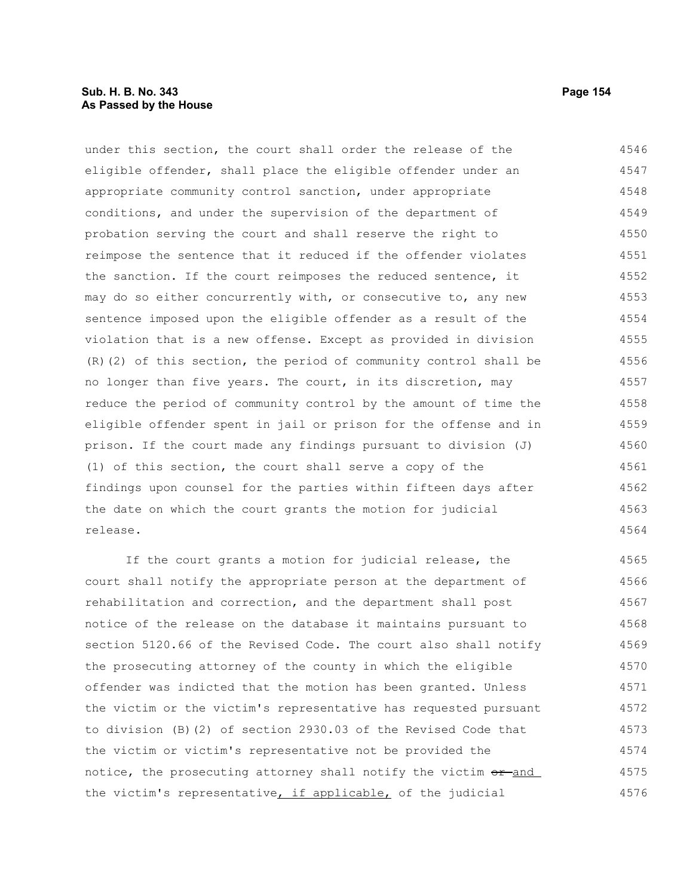# **Sub. H. B. No. 343 Page 154 As Passed by the House**

under this section, the court shall order the release of the eligible offender, shall place the eligible offender under an appropriate community control sanction, under appropriate conditions, and under the supervision of the department of probation serving the court and shall reserve the right to reimpose the sentence that it reduced if the offender violates the sanction. If the court reimposes the reduced sentence, it may do so either concurrently with, or consecutive to, any new sentence imposed upon the eligible offender as a result of the violation that is a new offense. Except as provided in division (R)(2) of this section, the period of community control shall be no longer than five years. The court, in its discretion, may reduce the period of community control by the amount of time the eligible offender spent in jail or prison for the offense and in prison. If the court made any findings pursuant to division (J) (1) of this section, the court shall serve a copy of the findings upon counsel for the parties within fifteen days after the date on which the court grants the motion for judicial release. 4546 4547 4548 4549 4550 4551 4552 4553 4554 4555 4556 4557 4558 4559 4560 4561 4562 4563 4564

If the court grants a motion for judicial release, the court shall notify the appropriate person at the department of rehabilitation and correction, and the department shall post notice of the release on the database it maintains pursuant to section 5120.66 of the Revised Code. The court also shall notify the prosecuting attorney of the county in which the eligible offender was indicted that the motion has been granted. Unless the victim or the victim's representative has requested pursuant to division (B)(2) of section 2930.03 of the Revised Code that the victim or victim's representative not be provided the notice, the prosecuting attorney shall notify the victim  $\sigma$ r and the victim's representative, if applicable, of the judicial 4565 4566 4567 4568 4569 4570 4571 4572 4573 4574 4575 4576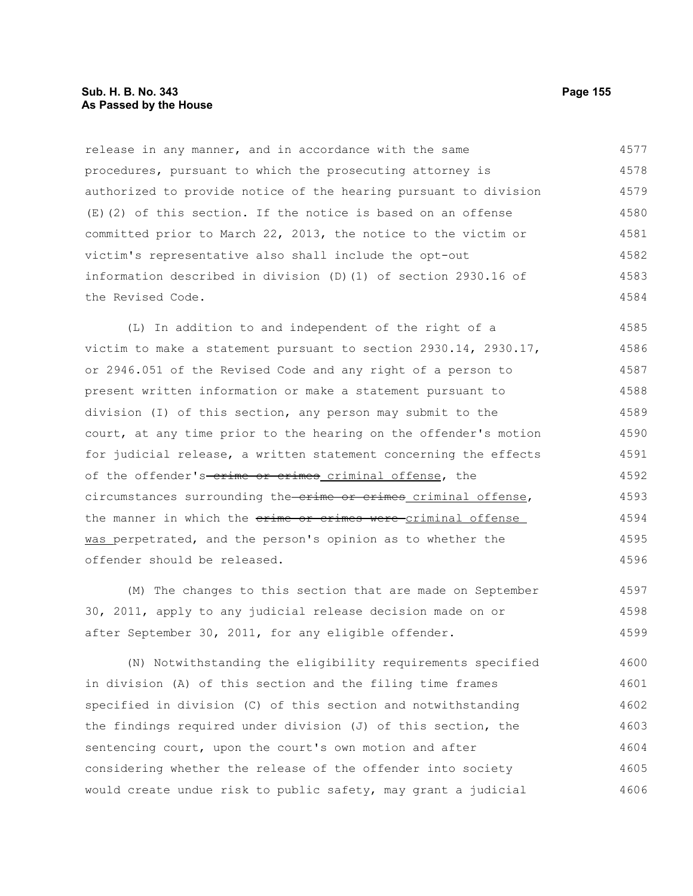# **Sub. H. B. No. 343 Page 155 As Passed by the House**

release in any manner, and in accordance with the same procedures, pursuant to which the prosecuting attorney is authorized to provide notice of the hearing pursuant to division (E)(2) of this section. If the notice is based on an offense committed prior to March 22, 2013, the notice to the victim or victim's representative also shall include the opt-out information described in division (D)(1) of section 2930.16 of the Revised Code. 4577 4578 4579 4580 4581 4582 4583 4584

(L) In addition to and independent of the right of a victim to make a statement pursuant to section 2930.14, 2930.17, or 2946.051 of the Revised Code and any right of a person to present written information or make a statement pursuant to division (I) of this section, any person may submit to the court, at any time prior to the hearing on the offender's motion for judicial release, a written statement concerning the effects of the offender's-crime or crimes criminal offense, the circumstances surrounding the erime or erimes criminal offense, the manner in which the erime or crimes were criminal offense was perpetrated, and the person's opinion as to whether the offender should be released. 4585 4586 4587 4588 4589 4590 4591 4592 4593 4594 4595 4596

(M) The changes to this section that are made on September 30, 2011, apply to any judicial release decision made on or after September 30, 2011, for any eligible offender. 4597 4598 4599

(N) Notwithstanding the eligibility requirements specified in division (A) of this section and the filing time frames specified in division (C) of this section and notwithstanding the findings required under division (J) of this section, the sentencing court, upon the court's own motion and after considering whether the release of the offender into society would create undue risk to public safety, may grant a judicial 4600 4601 4602 4603 4604 4605 4606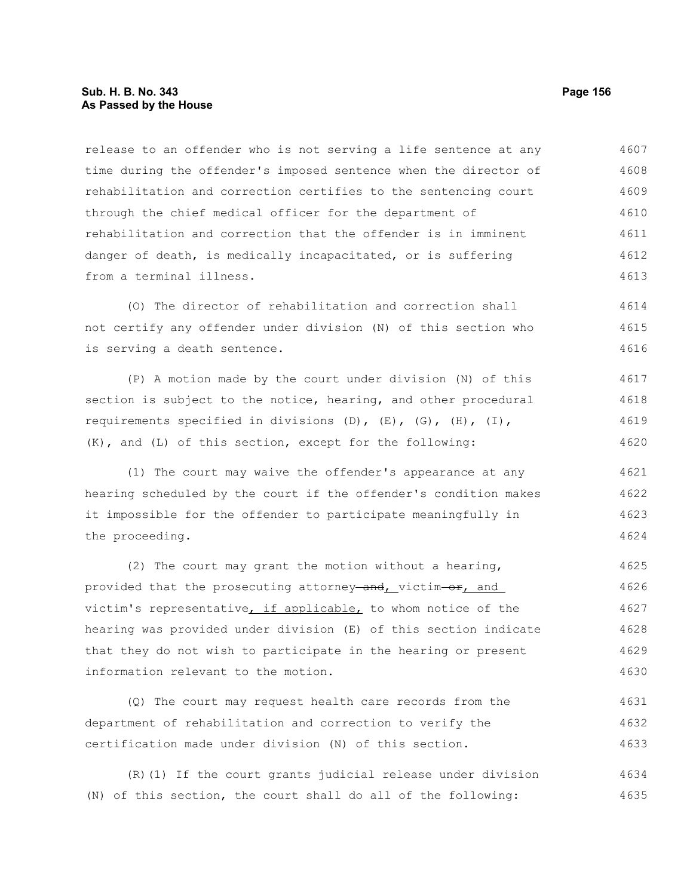release to an offender who is not serving a life sentence at any time during the offender's imposed sentence when the director of rehabilitation and correction certifies to the sentencing court through the chief medical officer for the department of rehabilitation and correction that the offender is in imminent danger of death, is medically incapacitated, or is suffering from a terminal illness. 4607 4608 4609 4610 4611 4612 4613

(O) The director of rehabilitation and correction shall not certify any offender under division (N) of this section who is serving a death sentence. 4614 4615 4616

(P) A motion made by the court under division (N) of this section is subject to the notice, hearing, and other procedural requirements specified in divisions (D), (E), (G), (H), (I), (K), and (L) of this section, except for the following: 4617 4618 4619 4620

(1) The court may waive the offender's appearance at any hearing scheduled by the court if the offender's condition makes it impossible for the offender to participate meaningfully in the proceeding. 4621 4622 4623 4624

(2) The court may grant the motion without a hearing, provided that the prosecuting attorney and, victim or, and victim's representative, if applicable, to whom notice of the hearing was provided under division (E) of this section indicate that they do not wish to participate in the hearing or present information relevant to the motion. 4625 4626 4627 4628 4629 4630

(Q) The court may request health care records from the department of rehabilitation and correction to verify the certification made under division (N) of this section. 4631 4632 4633

(R)(1) If the court grants judicial release under division (N) of this section, the court shall do all of the following: 4634 4635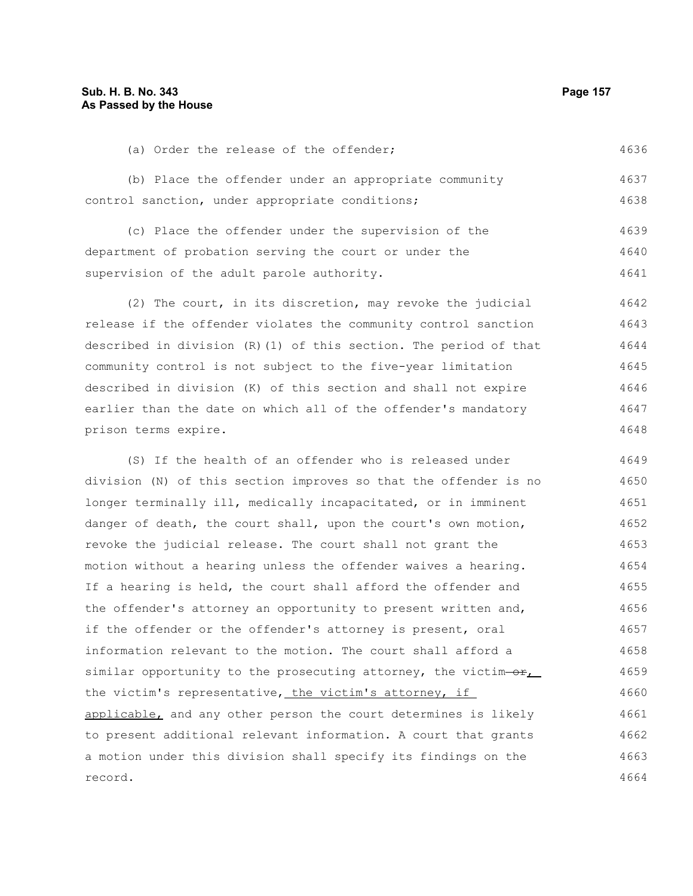#### (a) Order the release of the offender; 4636

(b) Place the offender under an appropriate community control sanction, under appropriate conditions; 4637 4638

(c) Place the offender under the supervision of the department of probation serving the court or under the supervision of the adult parole authority. 4639 4640 4641

(2) The court, in its discretion, may revoke the judicial release if the offender violates the community control sanction described in division (R)(1) of this section. The period of that community control is not subject to the five-year limitation described in division (K) of this section and shall not expire earlier than the date on which all of the offender's mandatory prison terms expire. 4642 4643 4644 4645 4646 4647 4648

(S) If the health of an offender who is released under division (N) of this section improves so that the offender is no longer terminally ill, medically incapacitated, or in imminent danger of death, the court shall, upon the court's own motion, revoke the judicial release. The court shall not grant the motion without a hearing unless the offender waives a hearing. If a hearing is held, the court shall afford the offender and the offender's attorney an opportunity to present written and, if the offender or the offender's attorney is present, oral information relevant to the motion. The court shall afford a similar opportunity to the prosecuting attorney, the victim- $or_{f}$ the victim's representative, the victim's attorney, if applicable, and any other person the court determines is likely to present additional relevant information. A court that grants a motion under this division shall specify its findings on the record. 4649 4650 4651 4652 4653 4654 4655 4656 4657 4658 4659 4660 4661 4662 4663 4664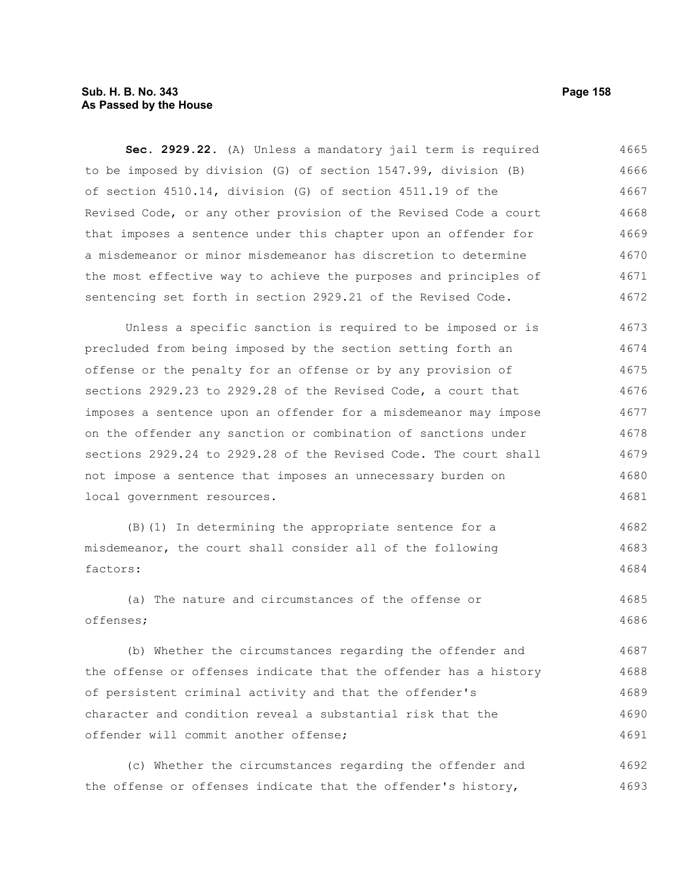# **Sub. H. B. No. 343 Page 158 As Passed by the House**

**Sec. 2929.22.** (A) Unless a mandatory jail term is required to be imposed by division (G) of section 1547.99, division (B) of section 4510.14, division (G) of section 4511.19 of the Revised Code, or any other provision of the Revised Code a court that imposes a sentence under this chapter upon an offender for a misdemeanor or minor misdemeanor has discretion to determine the most effective way to achieve the purposes and principles of sentencing set forth in section 2929.21 of the Revised Code. 4665 4666 4667 4668 4669 4670 4671 4672

Unless a specific sanction is required to be imposed or is precluded from being imposed by the section setting forth an offense or the penalty for an offense or by any provision of sections 2929.23 to 2929.28 of the Revised Code, a court that imposes a sentence upon an offender for a misdemeanor may impose on the offender any sanction or combination of sanctions under sections 2929.24 to 2929.28 of the Revised Code. The court shall not impose a sentence that imposes an unnecessary burden on local government resources. 4673 4674 4675 4676 4677 4678 4679 4680 4681

(B)(1) In determining the appropriate sentence for a misdemeanor, the court shall consider all of the following factors: 4682 4683 4684

(a) The nature and circumstances of the offense or offenses; 4685 4686

(b) Whether the circumstances regarding the offender and the offense or offenses indicate that the offender has a history of persistent criminal activity and that the offender's character and condition reveal a substantial risk that the offender will commit another offense; 4687 4688 4689 4690 4691

(c) Whether the circumstances regarding the offender and the offense or offenses indicate that the offender's history, 4692 4693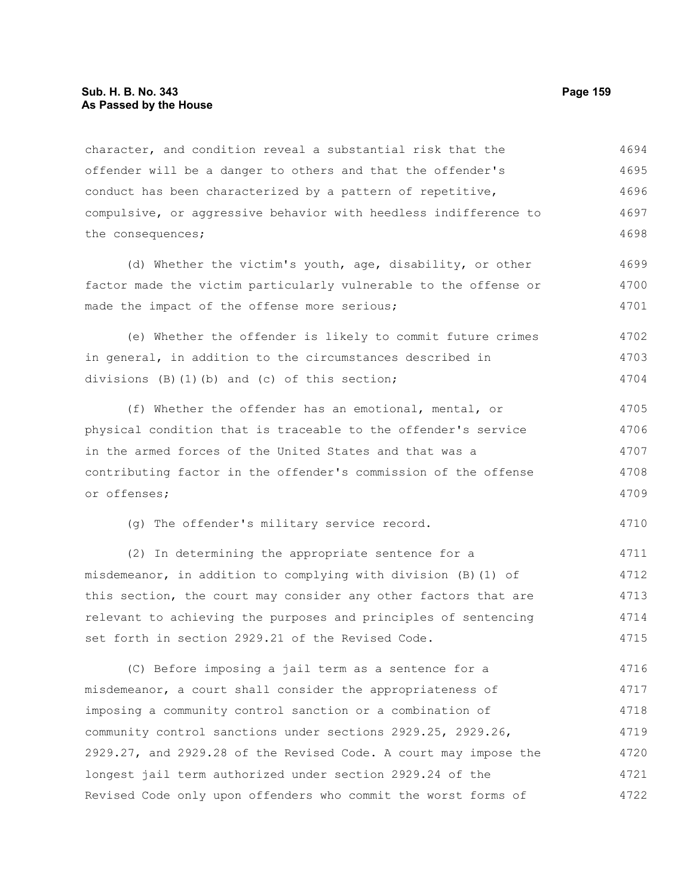#### **Sub. H. B. No. 343** Page 159 **As Passed by the House**

character, and condition reveal a substantial risk that the offender will be a danger to others and that the offender's conduct has been characterized by a pattern of repetitive, compulsive, or aggressive behavior with heedless indifference to the consequences; 4694 4695 4696 4697 4698

(d) Whether the victim's youth, age, disability, or other factor made the victim particularly vulnerable to the offense or made the impact of the offense more serious; 4699 4700 4701

(e) Whether the offender is likely to commit future crimes in general, in addition to the circumstances described in divisions (B)(1)(b) and (c) of this section; 4702 4703 4704

(f) Whether the offender has an emotional, mental, or physical condition that is traceable to the offender's service in the armed forces of the United States and that was a contributing factor in the offender's commission of the offense or offenses; 4705 4706 4707 4708 4709

(g) The offender's military service record.

(2) In determining the appropriate sentence for a misdemeanor, in addition to complying with division (B)(1) of this section, the court may consider any other factors that are relevant to achieving the purposes and principles of sentencing set forth in section 2929.21 of the Revised Code. 4711 4712 4713 4714 4715

(C) Before imposing a jail term as a sentence for a misdemeanor, a court shall consider the appropriateness of imposing a community control sanction or a combination of community control sanctions under sections 2929.25, 2929.26, 2929.27, and 2929.28 of the Revised Code. A court may impose the longest jail term authorized under section 2929.24 of the Revised Code only upon offenders who commit the worst forms of 4716 4717 4718 4719 4720 4721 4722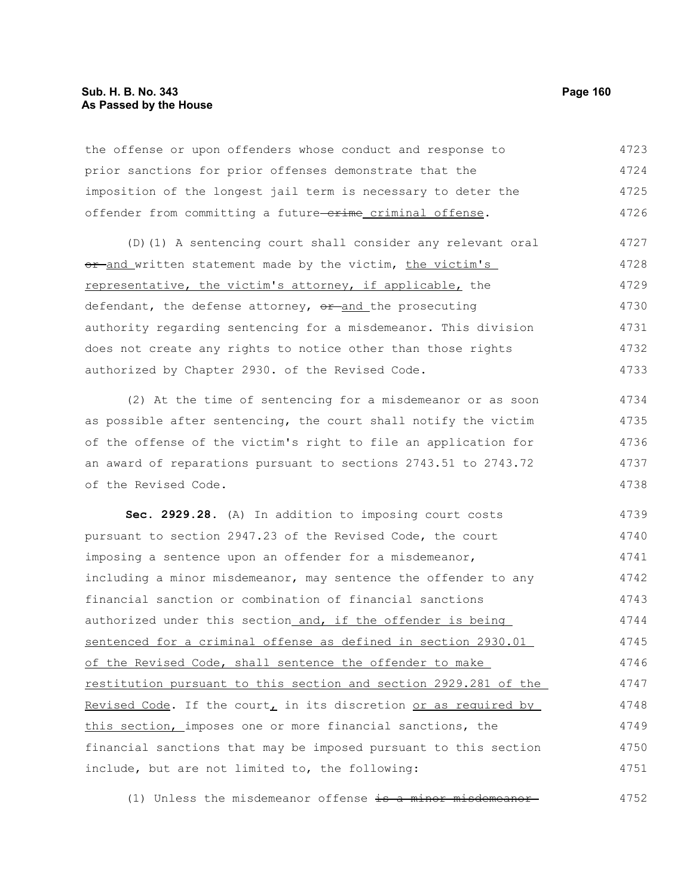# **Sub. H. B. No. 343 Page 160 As Passed by the House**

the offense or upon offenders whose conduct and response to prior sanctions for prior offenses demonstrate that the imposition of the longest jail term is necessary to deter the offender from committing a future-erime criminal offense. 4723 4724 4725 4726

(D)(1) A sentencing court shall consider any relevant oral or-and written statement made by the victim, the victim's representative, the victim's attorney, if applicable, the defendant, the defense attorney,  $\theta$ r and the prosecuting authority regarding sentencing for a misdemeanor. This division does not create any rights to notice other than those rights authorized by Chapter 2930. of the Revised Code. 4727 4728 4729 4730 4731 4732 4733

(2) At the time of sentencing for a misdemeanor or as soon as possible after sentencing, the court shall notify the victim of the offense of the victim's right to file an application for an award of reparations pursuant to sections 2743.51 to 2743.72 of the Revised Code. 4734 4735 4736 4737 4738

**Sec. 2929.28.** (A) In addition to imposing court costs pursuant to section 2947.23 of the Revised Code, the court imposing a sentence upon an offender for a misdemeanor, including a minor misdemeanor, may sentence the offender to any financial sanction or combination of financial sanctions authorized under this section and, if the offender is being sentenced for a criminal offense as defined in section 2930.01 of the Revised Code, shall sentence the offender to make restitution pursuant to this section and section 2929.281 of the Revised Code. If the court, in its discretion or as required by this section, imposes one or more financial sanctions, the financial sanctions that may be imposed pursuant to this section include, but are not limited to, the following: 4739 4740 4741 4742 4743 4744 4745 4746 4747 4748 4749 4750 4751

(1) Unless the misdemeanor offense  $\frac{1}{10}$  a minor misdemeanor 4752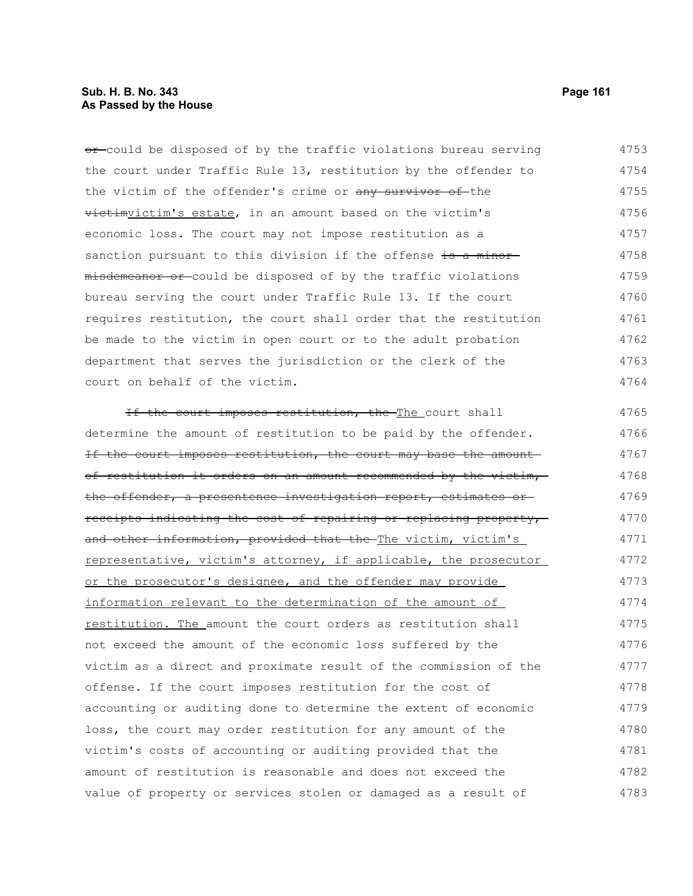# **Sub. H. B. No. 343 Page 161 As Passed by the House**

or-could be disposed of by the traffic violations bureau serving the court under Traffic Rule 13, restitution by the offender to the victim of the offender's crime or any survivor of the victimvictim's estate, in an amount based on the victim's economic loss. The court may not impose restitution as a sanction pursuant to this division if the offense is a minor misdemeanor or could be disposed of by the traffic violations bureau serving the court under Traffic Rule 13. If the court requires restitution, the court shall order that the restitution be made to the victim in open court or to the adult probation department that serves the jurisdiction or the clerk of the court on behalf of the victim. 4753 4754 4755 4756 4757 4758 4759 4760 4761 4762 4763 4764

If the court imposes restitution, the The court shall determine the amount of restitution to be paid by the offender. If the court imposes restitution, the court may base the amount of restitution it orders on an amount recommended by the victim, the offender, a presentence investigation report, estimates or receipts indicating the cost of repairing or replacing property, and other information, provided that the The victim, victim's representative, victim's attorney, if applicable, the prosecutor or the prosecutor's designee, and the offender may provide information relevant to the determination of the amount of restitution. The amount the court orders as restitution shall not exceed the amount of the economic loss suffered by the victim as a direct and proximate result of the commission of the offense. If the court imposes restitution for the cost of accounting or auditing done to determine the extent of economic loss, the court may order restitution for any amount of the victim's costs of accounting or auditing provided that the amount of restitution is reasonable and does not exceed the value of property or services stolen or damaged as a result of 4765 4766 4767 4768 4769 4770 4771 4772 4773 4774 4775 4776 4777 4778 4779 4780 4781 4782 4783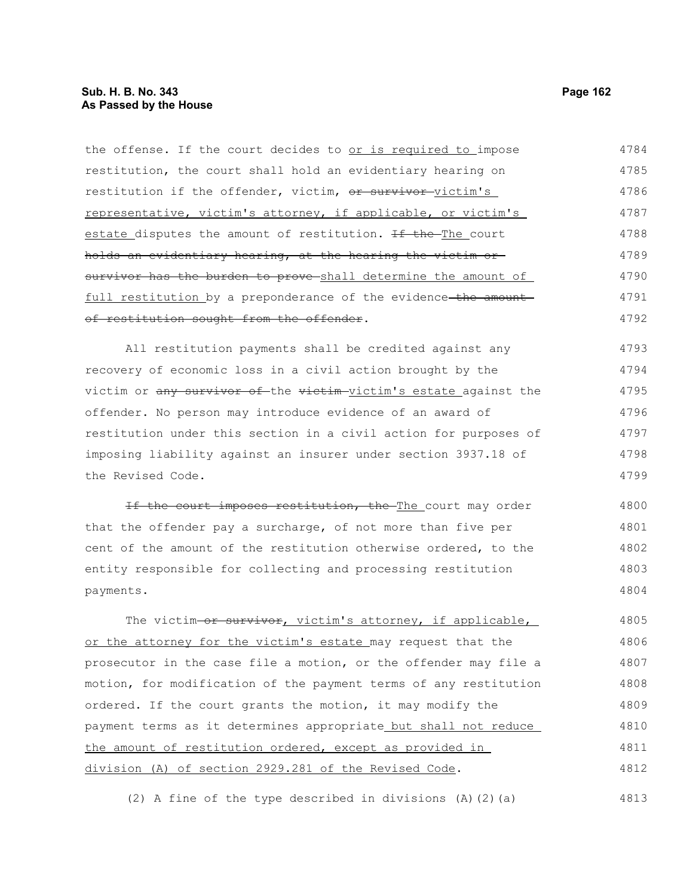the offense. If the court decides to or is required to impose restitution, the court shall hold an evidentiary hearing on restitution if the offender, victim, or survivor victim's representative, victim's attorney, if applicable, or victim's estate disputes the amount of restitution. If the The court holds an evidentiary hearing, at the hearing the victim or survivor has the burden to prove shall determine the amount of full restitution by a preponderance of the evidence-the amountof restitution sought from the offender. All restitution payments shall be credited against any recovery of economic loss in a civil action brought by the victim or any survivor of the victim-victim's estate against the offender. No person may introduce evidence of an award of restitution under this section in a civil action for purposes of imposing liability against an insurer under section 3937.18 of the Revised Code. If the court imposes restitution, the The court may order that the offender pay a surcharge, of not more than five per cent of the amount of the restitution otherwise ordered, to the entity responsible for collecting and processing restitution payments. The victim-or survivor, victim's attorney, if applicable, or the attorney for the victim's estate may request that the prosecutor in the case file a motion, or the offender may file a motion, for modification of the payment terms of any restitution ordered. If the court grants the motion, it may modify the payment terms as it determines appropriate but shall not reduce the amount of restitution ordered, except as provided in division (A) of section 2929.281 of the Revised Code. 4784 4785 4786 4787 4788 4789 4790 4791 4792 4793 4794 4795 4796 4797 4798 4799 4800 4801 4802 4803 4804 4805 4806 4807 4808 4809 4810 4811 4812

(2) A fine of the type described in divisions  $(A)(2)(a)$ 4813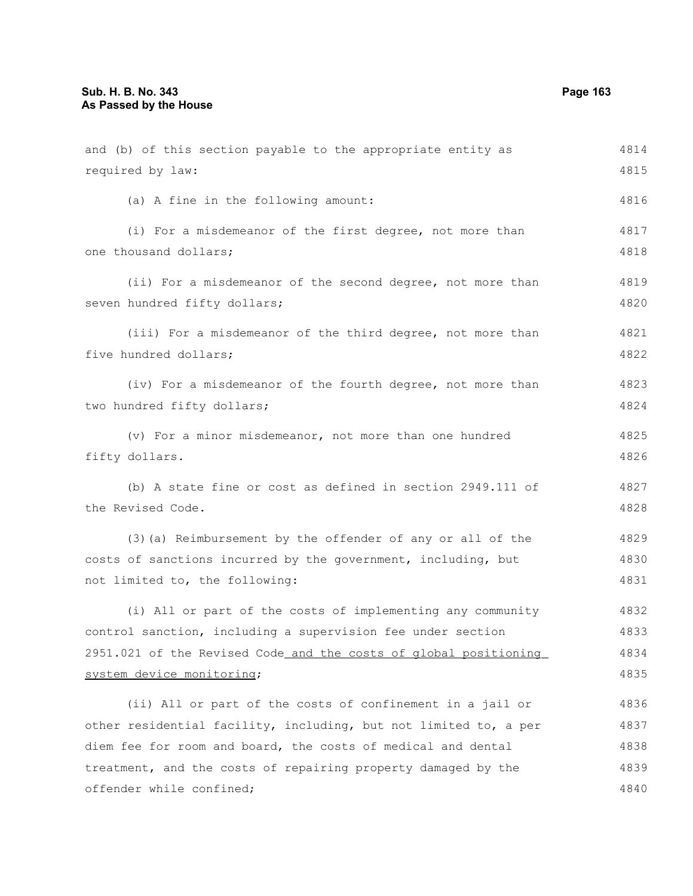required by law: (a) A fine in the following amount: (i) For a misdemeanor of the first degree, not more than one thousand dollars; (ii) For a misdemeanor of the second degree, not more than seven hundred fifty dollars; (iii) For a misdemeanor of the third degree, not more than five hundred dollars; (iv) For a misdemeanor of the fourth degree, not more than two hundred fifty dollars; (v) For a minor misdemeanor, not more than one hundred fifty dollars. (b) A state fine or cost as defined in section 2949.111 of the Revised Code. (3)(a) Reimbursement by the offender of any or all of the costs of sanctions incurred by the government, including, but not limited to, the following: (i) All or part of the costs of implementing any community control sanction, including a supervision fee under section 2951.021 of the Revised Code and the costs of global positioning system device monitoring; (ii) All or part of the costs of confinement in a jail or other residential facility, including, but not limited to, a per diem fee for room and board, the costs of medical and dental treatment, and the costs of repairing property damaged by the offender while confined; 4815 4816 4817 4818 4819 4820 4821 4822 4823 4824 4825 4826 4827 4828 4829 4830 4831 4832 4833 4834 4835 4836 4837 4838 4839 4840

and (b) of this section payable to the appropriate entity as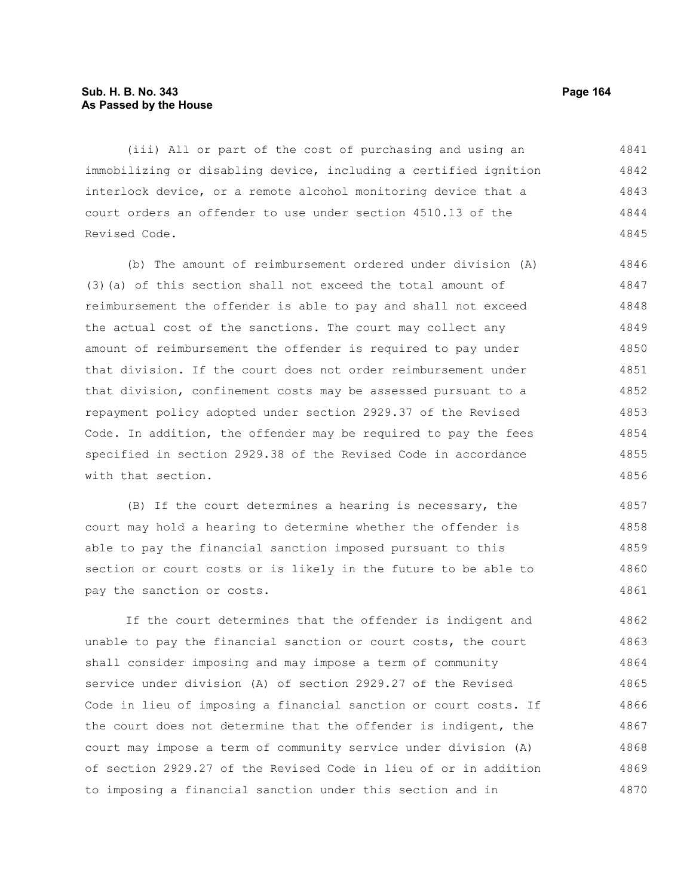# **Sub. H. B. No. 343 Page 164 As Passed by the House**

(iii) All or part of the cost of purchasing and using an immobilizing or disabling device, including a certified ignition interlock device, or a remote alcohol monitoring device that a court orders an offender to use under section 4510.13 of the Revised Code. 4841 4842 4843 4844 4845

(b) The amount of reimbursement ordered under division (A) (3)(a) of this section shall not exceed the total amount of reimbursement the offender is able to pay and shall not exceed the actual cost of the sanctions. The court may collect any amount of reimbursement the offender is required to pay under that division. If the court does not order reimbursement under that division, confinement costs may be assessed pursuant to a repayment policy adopted under section 2929.37 of the Revised Code. In addition, the offender may be required to pay the fees specified in section 2929.38 of the Revised Code in accordance with that section. 4846 4847 4848 4849 4850 4851 4852 4853 4854 4855 4856

(B) If the court determines a hearing is necessary, the court may hold a hearing to determine whether the offender is able to pay the financial sanction imposed pursuant to this section or court costs or is likely in the future to be able to pay the sanction or costs. 4857 4858 4859 4860 4861

If the court determines that the offender is indigent and unable to pay the financial sanction or court costs, the court shall consider imposing and may impose a term of community service under division (A) of section 2929.27 of the Revised Code in lieu of imposing a financial sanction or court costs. If the court does not determine that the offender is indigent, the court may impose a term of community service under division (A) of section 2929.27 of the Revised Code in lieu of or in addition to imposing a financial sanction under this section and in 4862 4863 4864 4865 4866 4867 4868 4869 4870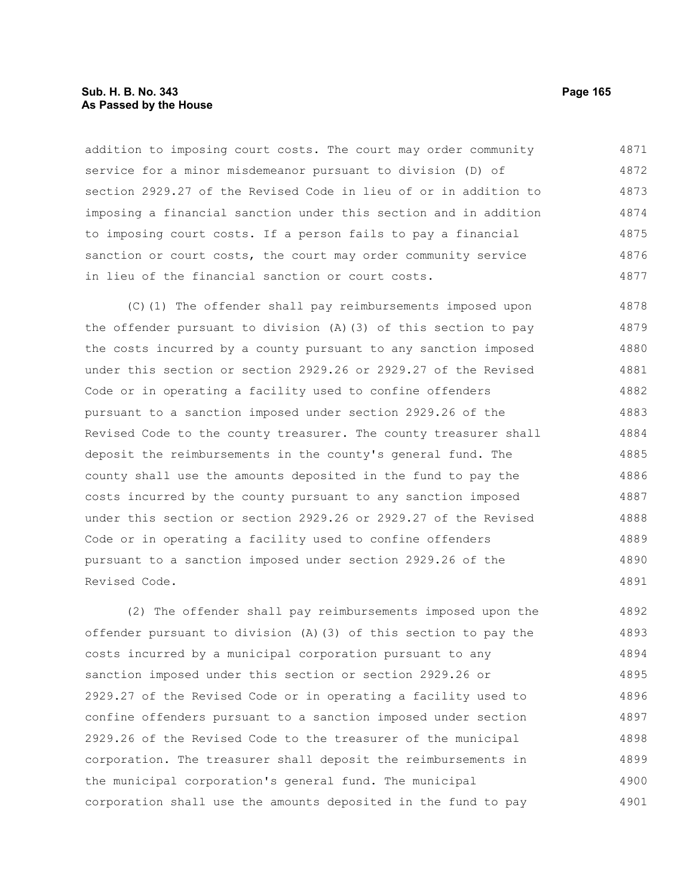# **Sub. H. B. No. 343 Page 165 As Passed by the House**

addition to imposing court costs. The court may order community service for a minor misdemeanor pursuant to division (D) of section 2929.27 of the Revised Code in lieu of or in addition to imposing a financial sanction under this section and in addition to imposing court costs. If a person fails to pay a financial sanction or court costs, the court may order community service in lieu of the financial sanction or court costs. 4871 4872 4873 4874 4875 4876 4877

(C)(1) The offender shall pay reimbursements imposed upon the offender pursuant to division (A)(3) of this section to pay the costs incurred by a county pursuant to any sanction imposed under this section or section 2929.26 or 2929.27 of the Revised Code or in operating a facility used to confine offenders pursuant to a sanction imposed under section 2929.26 of the Revised Code to the county treasurer. The county treasurer shall deposit the reimbursements in the county's general fund. The county shall use the amounts deposited in the fund to pay the costs incurred by the county pursuant to any sanction imposed under this section or section 2929.26 or 2929.27 of the Revised Code or in operating a facility used to confine offenders pursuant to a sanction imposed under section 2929.26 of the Revised Code. 4878 4879 4880 4881 4882 4883 4884 4885 4886 4887 4888 4889 4890 4891

(2) The offender shall pay reimbursements imposed upon the offender pursuant to division (A)(3) of this section to pay the costs incurred by a municipal corporation pursuant to any sanction imposed under this section or section 2929.26 or 2929.27 of the Revised Code or in operating a facility used to confine offenders pursuant to a sanction imposed under section 2929.26 of the Revised Code to the treasurer of the municipal corporation. The treasurer shall deposit the reimbursements in the municipal corporation's general fund. The municipal corporation shall use the amounts deposited in the fund to pay 4892 4893 4894 4895 4896 4897 4898 4899 4900 4901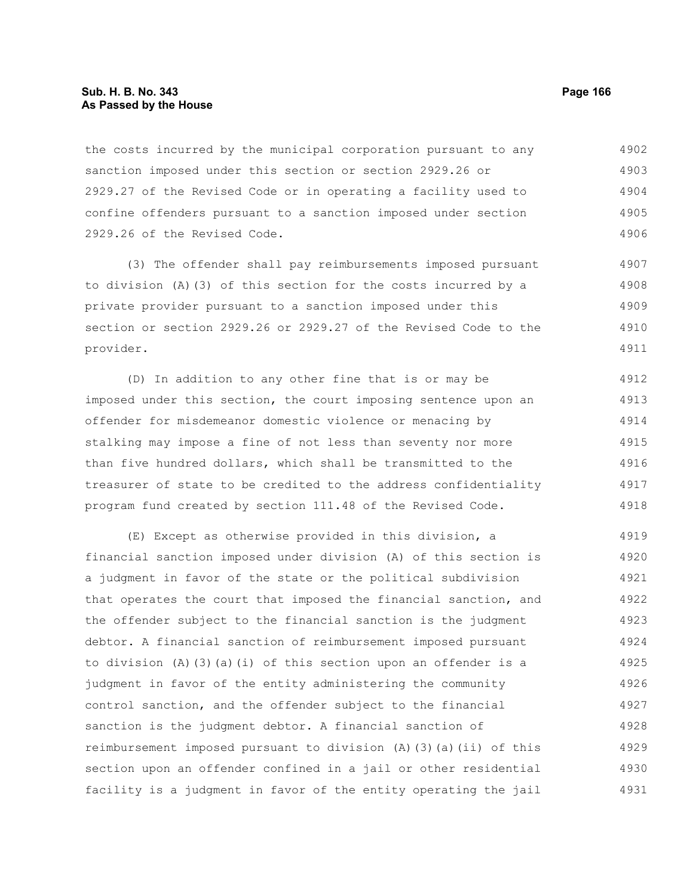### **Sub. H. B. No. 343 Page 166 As Passed by the House**

the costs incurred by the municipal corporation pursuant to any sanction imposed under this section or section 2929.26 or 2929.27 of the Revised Code or in operating a facility used to confine offenders pursuant to a sanction imposed under section 2929.26 of the Revised Code. 4902 4903 4904 4905 4906

(3) The offender shall pay reimbursements imposed pursuant to division (A)(3) of this section for the costs incurred by a private provider pursuant to a sanction imposed under this section or section 2929.26 or 2929.27 of the Revised Code to the provider. 4907 4908 4909 4910 4911

(D) In addition to any other fine that is or may be imposed under this section, the court imposing sentence upon an offender for misdemeanor domestic violence or menacing by stalking may impose a fine of not less than seventy nor more than five hundred dollars, which shall be transmitted to the treasurer of state to be credited to the address confidentiality program fund created by section 111.48 of the Revised Code. 4912 4913 4914 4915 4916 4917 4918

(E) Except as otherwise provided in this division, a financial sanction imposed under division (A) of this section is a judgment in favor of the state or the political subdivision that operates the court that imposed the financial sanction, and the offender subject to the financial sanction is the judgment debtor. A financial sanction of reimbursement imposed pursuant to division (A)(3)(a)(i) of this section upon an offender is a judgment in favor of the entity administering the community control sanction, and the offender subject to the financial sanction is the judgment debtor. A financial sanction of reimbursement imposed pursuant to division (A)(3)(a)(ii) of this section upon an offender confined in a jail or other residential facility is a judgment in favor of the entity operating the jail 4919 4920 4921 4922 4923 4924 4925 4926 4927 4928 4929 4930 4931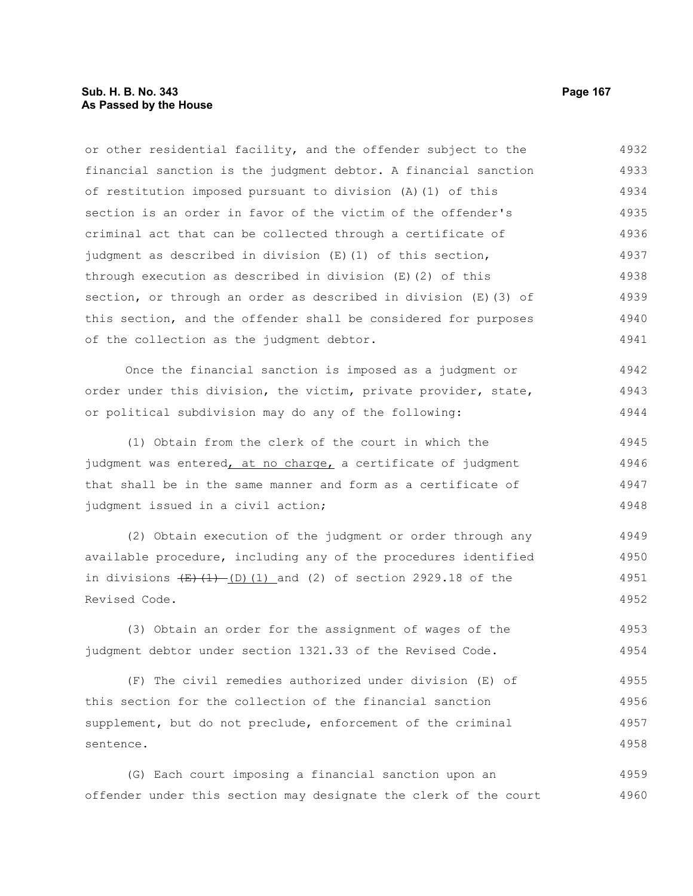# **Sub. H. B. No. 343 Page 167 As Passed by the House**

or other residential facility, and the offender subject to the financial sanction is the judgment debtor. A financial sanction of restitution imposed pursuant to division (A)(1) of this section is an order in favor of the victim of the offender's criminal act that can be collected through a certificate of judgment as described in division (E)(1) of this section, through execution as described in division (E)(2) of this section, or through an order as described in division (E)(3) of this section, and the offender shall be considered for purposes of the collection as the judgment debtor. 4932 4933 4934 4935 4936 4937 4938 4939 4940 4941

Once the financial sanction is imposed as a judgment or order under this division, the victim, private provider, state, or political subdivision may do any of the following: 4942 4943 4944

(1) Obtain from the clerk of the court in which the judgment was entered, at no charge, a certificate of judgment that shall be in the same manner and form as a certificate of judgment issued in a civil action; 4945 4946 4947 4948

(2) Obtain execution of the judgment or order through any available procedure, including any of the procedures identified in divisions  $(E)$   $(1)$   $(0)$   $(1)$  and  $(2)$  of section 2929.18 of the Revised Code. 4949 4950 4951 4952

(3) Obtain an order for the assignment of wages of the judgment debtor under section 1321.33 of the Revised Code. 4953 4954

(F) The civil remedies authorized under division (E) of this section for the collection of the financial sanction supplement, but do not preclude, enforcement of the criminal sentence. 4955 4956 4957 4958

(G) Each court imposing a financial sanction upon an offender under this section may designate the clerk of the court 4959 4960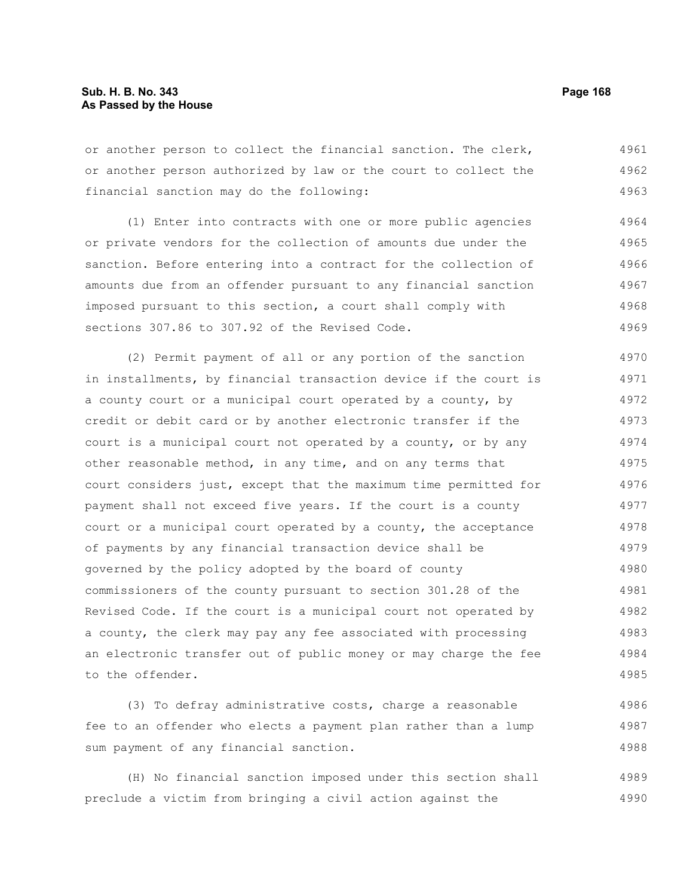or another person to collect the financial sanction. The clerk, or another person authorized by law or the court to collect the financial sanction may do the following: 4961 4962 4963

(1) Enter into contracts with one or more public agencies or private vendors for the collection of amounts due under the sanction. Before entering into a contract for the collection of amounts due from an offender pursuant to any financial sanction imposed pursuant to this section, a court shall comply with sections 307.86 to 307.92 of the Revised Code. 4964 4965 4966 4967 4968 4969

(2) Permit payment of all or any portion of the sanction in installments, by financial transaction device if the court is a county court or a municipal court operated by a county, by credit or debit card or by another electronic transfer if the court is a municipal court not operated by a county, or by any other reasonable method, in any time, and on any terms that court considers just, except that the maximum time permitted for payment shall not exceed five years. If the court is a county court or a municipal court operated by a county, the acceptance of payments by any financial transaction device shall be governed by the policy adopted by the board of county commissioners of the county pursuant to section 301.28 of the Revised Code. If the court is a municipal court not operated by a county, the clerk may pay any fee associated with processing an electronic transfer out of public money or may charge the fee to the offender. 4970 4971 4972 4973 4974 4975 4976 4977 4978 4979 4980 4981 4982 4983 4984 4985

(3) To defray administrative costs, charge a reasonable fee to an offender who elects a payment plan rather than a lump sum payment of any financial sanction. 4986 4987 4988

(H) No financial sanction imposed under this section shall preclude a victim from bringing a civil action against the 4989 4990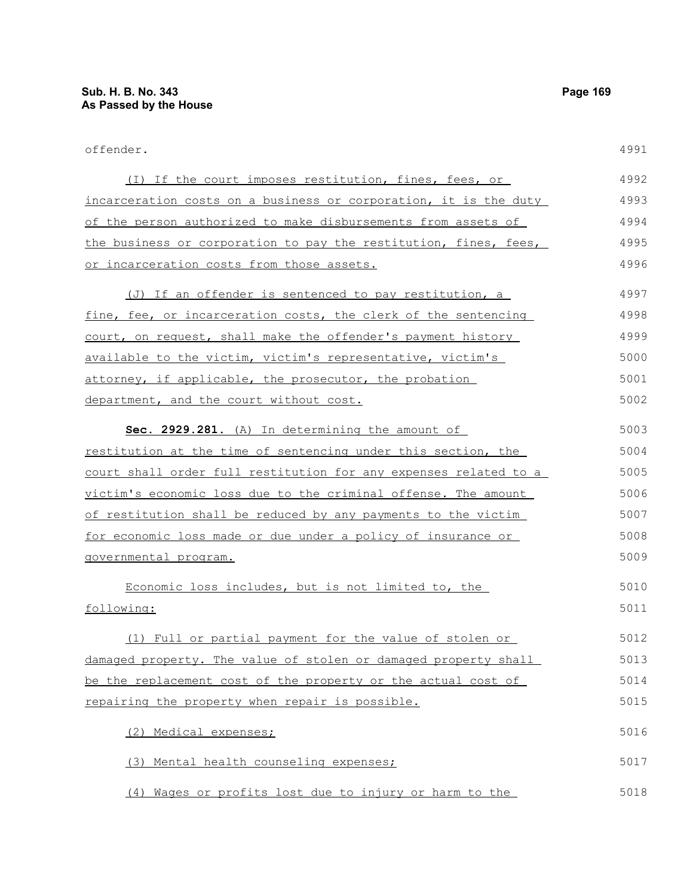| offender.                                                            | 4991 |
|----------------------------------------------------------------------|------|
| (I) If the court imposes restitution, fines, fees, or                | 4992 |
| incarceration costs on a business or corporation, it is the duty     | 4993 |
| <u>of the person authorized to make disbursements from assets of</u> | 4994 |
| the business or corporation to pay the restitution, fines, fees,     | 4995 |
| or incarceration costs from those assets.                            | 4996 |
| (J) If an offender is sentenced to pay restitution, a                | 4997 |
| fine, fee, or incarceration costs, the clerk of the sentencing       | 4998 |
| court, on request, shall make the offender's payment history         | 4999 |
| available to the victim, victim's representative, victim's           | 5000 |
| attorney, if applicable, the prosecutor, the probation               | 5001 |
| department, and the court without cost.                              | 5002 |
| Sec. 2929.281. (A) In determining the amount of                      | 5003 |
| restitution at the time of sentencing under this section, the        | 5004 |
| court shall order full restitution for any expenses related to a     | 5005 |
| victim's economic loss due to the criminal offense. The amount       | 5006 |
| of restitution shall be reduced by any payments to the victim        | 5007 |
| for economic loss made or due under a policy of insurance or         | 5008 |
| governmental program.                                                | 5009 |
| Economic loss includes, but is not limited to, the                   | 5010 |
| following:                                                           | 5011 |
| (1) Full or partial payment for the value of stolen or               | 5012 |
| damaged property. The value of stolen or damaged property shall      | 5013 |
| be the replacement cost of the property or the actual cost of        | 5014 |
| repairing the property when repair is possible.                      | 5015 |
| (2) Medical expenses;                                                | 5016 |
| (3) Mental health counseling expenses;                               | 5017 |
| (4) Wages or profits lost due to injury or harm to the               | 5018 |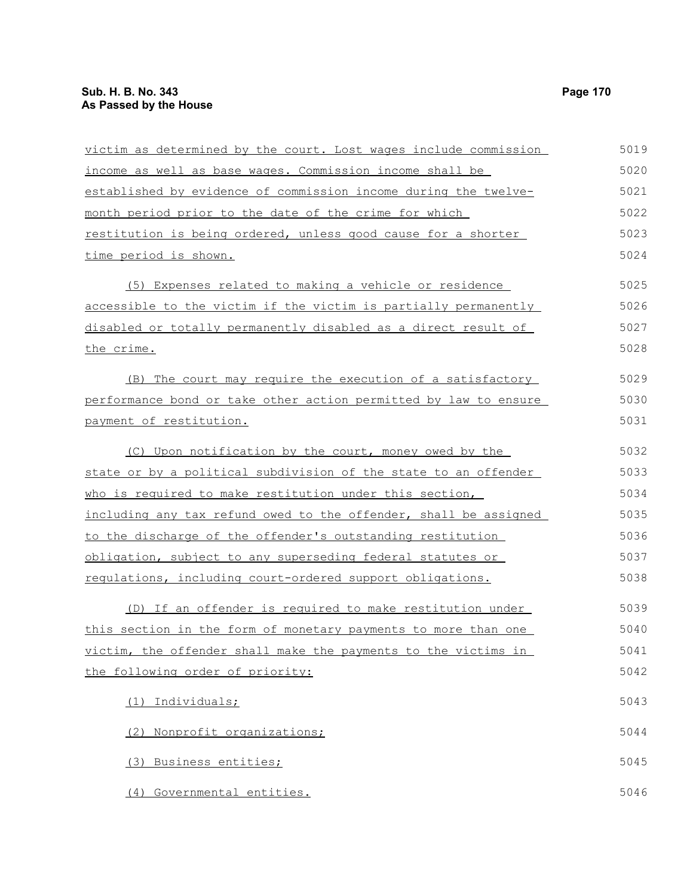| <u>victim as determined by the court. Lost wages include commission </u> | 5019 |
|--------------------------------------------------------------------------|------|
| income as well as base wages. Commission income shall be                 | 5020 |
| established by evidence of commission income during the twelve-          | 5021 |
| month period prior to the date of the crime for which                    | 5022 |
| restitution is being ordered, unless good cause for a shorter            | 5023 |
| time period is shown.                                                    | 5024 |
| (5) Expenses related to making a vehicle or residence                    | 5025 |
| accessible to the victim if the victim is partially permanently          | 5026 |
| disabled or totally permanently disabled as a direct result of           | 5027 |
| <u>the crime.</u>                                                        | 5028 |
| (B) The court may require the execution of a satisfactory                | 5029 |
| performance bond or take other action permitted by law to ensure         | 5030 |
| payment of restitution.                                                  | 5031 |
| (C) Upon notification by the court, money owed by the                    | 5032 |
| state or by a political subdivision of the state to an offender          | 5033 |
| who is required to make restitution under this section,                  | 5034 |
| including any tax refund owed to the offender, shall be assigned         | 5035 |
| to the discharge of the offender's outstanding restitution               | 5036 |
| obligation, subject to any superseding federal statutes or               | 5037 |
| requlations, including court-ordered support obligations.                | 5038 |
| (D) If an offender is required to make restitution under                 | 5039 |
| this section in the form of monetary payments to more than one           | 5040 |
| victim, the offender shall make the payments to the victims in           | 5041 |
| the following order of priority:                                         | 5042 |
| (1) Individuals;                                                         | 5043 |
| (2) Nonprofit organizations;                                             | 5044 |
| (3) Business entities;                                                   | 5045 |
| (4) Governmental entities.                                               | 5046 |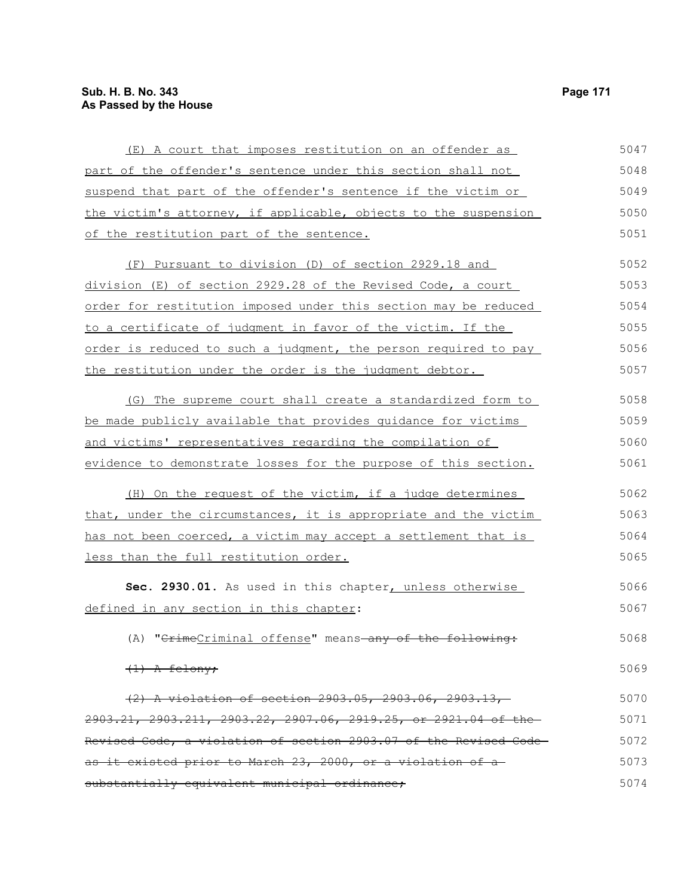| (E) A court that imposes restitution on an offender as                 | 5047 |
|------------------------------------------------------------------------|------|
| part of the offender's sentence under this section shall not           | 5048 |
| suspend that part of the offender's sentence if the victim or          | 5049 |
| the victim's attorney, if applicable, objects to the suspension        | 5050 |
| of the restitution part of the sentence.                               | 5051 |
| (F) Pursuant to division (D) of section 2929.18 and                    | 5052 |
| division (E) of section 2929.28 of the Revised Code, a court           | 5053 |
| order for restitution imposed under this section may be reduced        | 5054 |
| to a certificate of judgment in favor of the victim. If the            | 5055 |
| order is reduced to such a judgment, the person required to pay        | 5056 |
| <u>the restitution under the order is the judgment debtor.</u>         | 5057 |
| (G) The supreme court shall create a standardized form to              | 5058 |
| be made publicly available that provides quidance for victims          | 5059 |
| and victims' representatives regarding the compilation of              | 5060 |
| evidence to demonstrate losses for the purpose of this section.        | 5061 |
| (H) On the request of the victim, if a judge determines                | 5062 |
| that, under the circumstances, it is appropriate and the victim        | 5063 |
| <u>has not been coerced, a victim may accept a settlement that is </u> | 5064 |
| <u>less than the full restitution order.</u>                           | 5065 |
| Sec. 2930.01. As used in this chapter, unless otherwise                | 5066 |
| defined in any section in this chapter:                                | 5067 |
| (A) "CrimeCriminal offense" means-any of the following                 | 5068 |
| $\left\{ \frac{1}{1} \right\}$ A felony;                               | 5069 |
| (2) A violation of section 2903.05, 2903.06, 2903.13,                  | 5070 |
| 2903.21, 2903.211, 2903.22, 2907.06, 2919.25, or 2921.04 of the        | 5071 |
| Revised Code, a violation of section 2903.07 of the Revised Code-      | 5072 |
| as it existed prior to March 23, 2000, or a violation of a-            | 5073 |
| substantially equivalent municipal ordinance;                          | 5074 |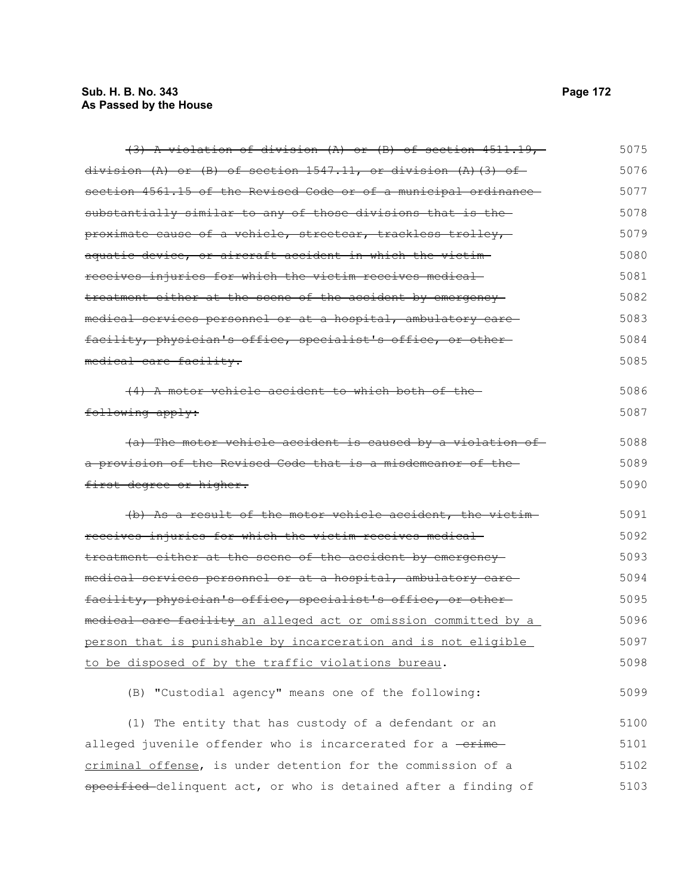# **Sub. H. B. No. 343 Page 172 As Passed by the House**

(3) A violation of division (A) or (B) of section 4511.19, division  $(A)$  or  $(B)$  of section 1547.11, or division  $(A)$   $(3)$  of section 4561.15 of the Revised Code or of a municipal ordinance substantially similar to any of those divisions that is the proximate cause of a vehicle, streetcar, trackless trolley, aquatic device, or aircraft accident in which the victim receives injuries for which the victim receives medical treatment either at the scene of the accident by emergency medical services personnel or at a hospital, ambulatory care facility, physician's office, specialist's office, or other medical care facility. (4) A motor vehicle accident to which both of the following apply: (a) The motor vehicle accident is caused by a violation of a provision of the Revised Code that is a misdemeanor of the first degree or higher. (b) As a result of the motor vehicle accident, the victim receives injuries for which the victim receives medical treatment either at the scene of the accident by emergency medical services personnel or at a hospital, ambulatory care facility, physician's office, specialist's office, or other medical care facility an alleged act or omission committed by a person that is punishable by incarceration and is not eligible to be disposed of by the traffic violations bureau. (B) "Custodial agency" means one of the following: (1) The entity that has custody of a defendant or an alleged juvenile offender who is incarcerated for a -crimecriminal offense, is under detention for the commission of a specified delinquent act, or who is detained after a finding of 5075 5076 5077 5078 5079 5080 5081 5082 5083 5084 5085 5086 5087 5088 5089 5090 5091 5092 5093 5094 5095 5096 5097 5098 5099 5100 5101 5102 5103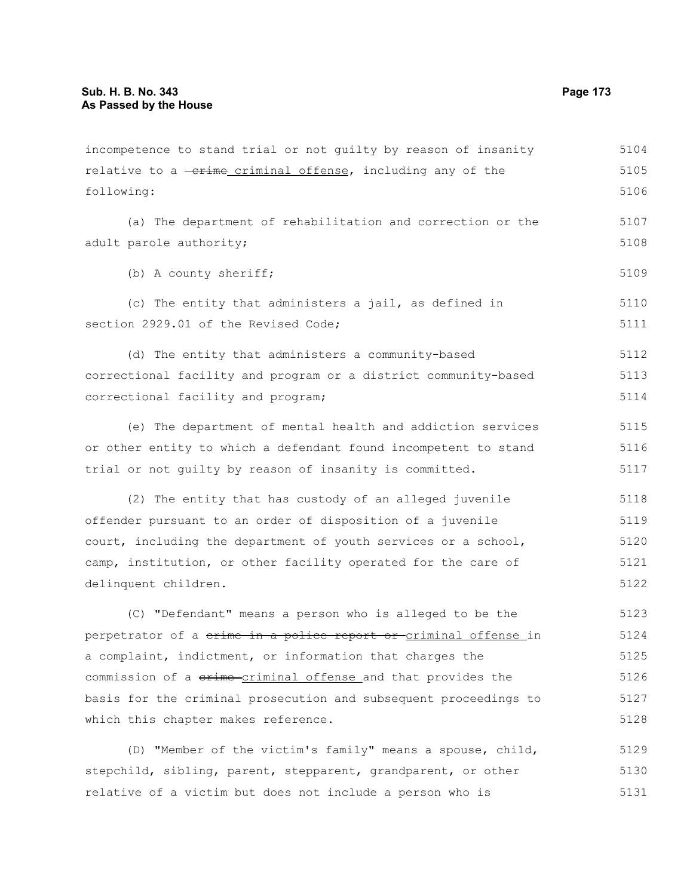incompetence to stand trial or not guilty by reason of insanity relative to a -erime criminal offense, including any of the following: (a) The department of rehabilitation and correction or the adult parole authority; (b) A county sheriff; (c) The entity that administers a jail, as defined in section 2929.01 of the Revised Code; (d) The entity that administers a community-based correctional facility and program or a district community-based correctional facility and program; (e) The department of mental health and addiction services or other entity to which a defendant found incompetent to stand trial or not guilty by reason of insanity is committed. (2) The entity that has custody of an alleged juvenile offender pursuant to an order of disposition of a juvenile court, including the department of youth services or a school, camp, institution, or other facility operated for the care of delinquent children. (C) "Defendant" means a person who is alleged to be the perpetrator of a crime in a police report or criminal offense in a complaint, indictment, or information that charges the commission of a erime-criminal offense and that provides the basis for the criminal prosecution and subsequent proceedings to which this chapter makes reference. (D) "Member of the victim's family" means a spouse, child, stepchild, sibling, parent, stepparent, grandparent, or other 5104 5105 5106 5107 5108 5109 5110 5111 5112 5113 5114 5115 5116 5117 5118 5119 5120 5121 5122 5123 5124 5125 5126 5127 5128 5129 5130

relative of a victim but does not include a person who is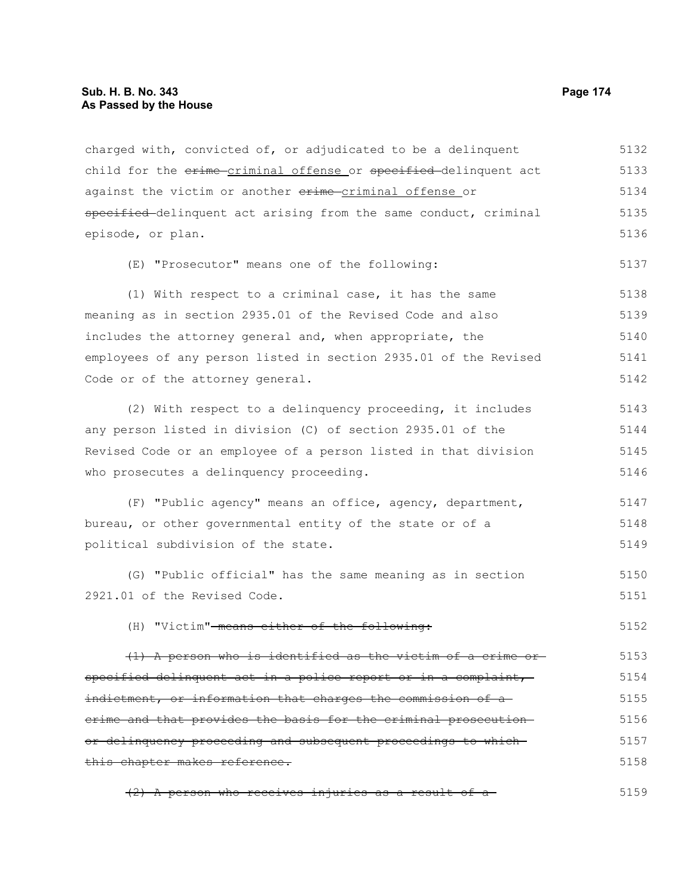charged with, convicted of, or adjudicated to be a delinquent child for the erime criminal offense or specified delinquent act against the victim or another erime-criminal offense or specified delinquent act arising from the same conduct, criminal episode, or plan. (E) "Prosecutor" means one of the following: (1) With respect to a criminal case, it has the same meaning as in section 2935.01 of the Revised Code and also includes the attorney general and, when appropriate, the employees of any person listed in section 2935.01 of the Revised Code or of the attorney general. (2) With respect to a delinquency proceeding, it includes any person listed in division (C) of section 2935.01 of the Revised Code or an employee of a person listed in that division who prosecutes a delinquency proceeding. (F) "Public agency" means an office, agency, department, bureau, or other governmental entity of the state or of a political subdivision of the state. (G) "Public official" has the same meaning as in section 2921.01 of the Revised Code. (H) "Victim"-means either of the following: (1) A person who is identified as the victim of a crime or specified delinquent act in a police report or in a complaint, indictment, or information that charges the commission of a crime and that provides the basis for the criminal prosecution or delinquency proceeding and subsequent proceedings to which this chapter makes reference. 5132 5133 5134 5135 5136 5137 5138 5139 5140 5141 5142 5143 5144 5145 5146 5147 5148 5149 5150 5151 5152 5153 5154 5155 5156 5157 5158

(2) A person who receives injuries as a result of a 5159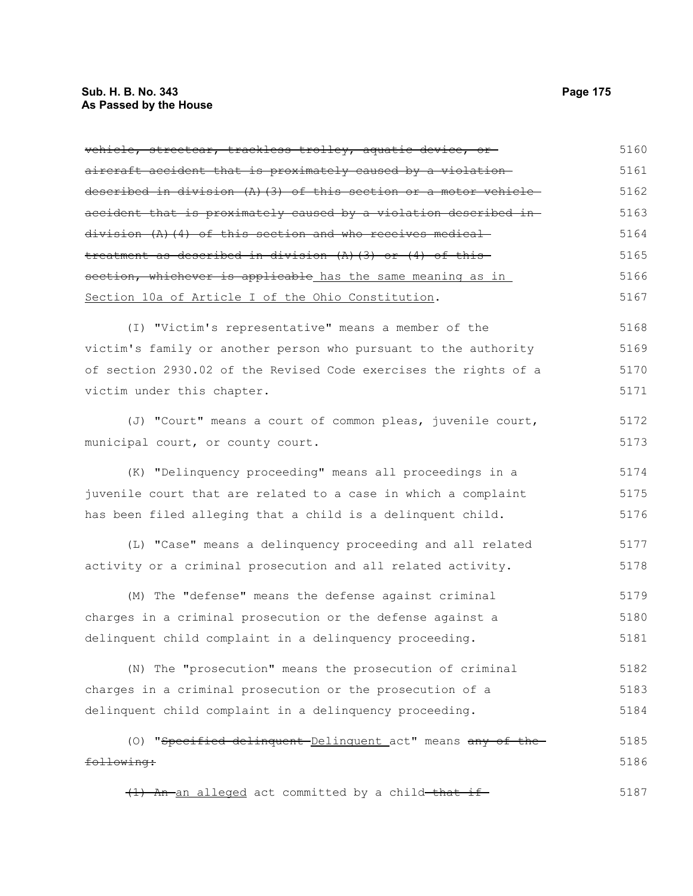#### **Sub. H. B. No. 343 Page 175 As Passed by the House**

vehicle, streetcar, trackless trolley, aquatic device, oraircraft accident that is proximately caused by a violation described in division (A)(3) of this section or a motor vehicle accident that is proximately caused by a violation described in division  $(A)$  (4) of this section and who receives medicaltreatment as described in division (A)(3) or (4) of this section, whichever is applicable has the same meaning as in Section 10a of Article I of the Ohio Constitution. (I) "Victim's representative" means a member of the victim's family or another person who pursuant to the authority of section 2930.02 of the Revised Code exercises the rights of a victim under this chapter. (J) "Court" means a court of common pleas, juvenile court, municipal court, or county court. (K) "Delinquency proceeding" means all proceedings in a juvenile court that are related to a case in which a complaint has been filed alleging that a child is a delinquent child. (L) "Case" means a delinquency proceeding and all related activity or a criminal prosecution and all related activity. (M) The "defense" means the defense against criminal charges in a criminal prosecution or the defense against a delinquent child complaint in a delinquency proceeding. (N) The "prosecution" means the prosecution of criminal charges in a criminal prosecution or the prosecution of a delinquent child complaint in a delinquency proceeding. (0) "Specified delinquent Delinquent act" means any of the following: 5160 5161 5162 5163 5164 5165 5166 5167 5168 5169 5170 5171 5172 5173 5174 5175 5176 5177 5178 5179 5180 5181 5182 5183 5184 5185 5186

 $(1)$  An-an alleged act committed by a child-that if 5187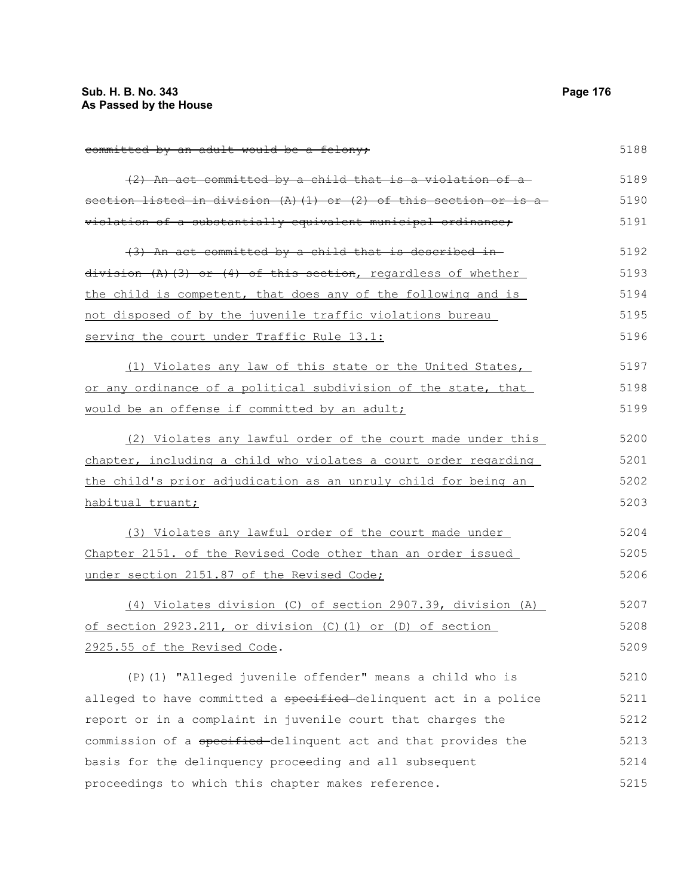committed by an adult would be a felony; (2) An act committed by a child that is a violation of a section listed in division  $(A)$   $(1)$  or  $(2)$  of this section or is a violation of a substantially equivalent municipal ordinance; (3) An act committed by a child that is described in division (A)(3) or (4) of this section, regardless of whether the child is competent, that does any of the following and is not disposed of by the juvenile traffic violations bureau serving the court under Traffic Rule 13.1: (1) Violates any law of this state or the United States, or any ordinance of a political subdivision of the state, that would be an offense if committed by an adult; (2) Violates any lawful order of the court made under this chapter, including a child who violates a court order regarding the child's prior adjudication as an unruly child for being an habitual truant; (3) Violates any lawful order of the court made under Chapter 2151. of the Revised Code other than an order issued under section 2151.87 of the Revised Code; (4) Violates division (C) of section 2907.39, division (A) of section 2923.211, or division (C)(1) or (D) of section 2925.55 of the Revised Code. (P)(1) "Alleged juvenile offender" means a child who is alleged to have committed a specified delinquent act in a police report or in a complaint in juvenile court that charges the commission of a specified-delinquent act and that provides the 5188 5189 5190 5191 5192 5193 5194 5195 5196 5197 5198 5199 5200 5201 5202 5203 5204 5205 5206 5207 5208 5209 5210 5211 5212 5213

basis for the delinquency proceeding and all subsequent

proceedings to which this chapter makes reference.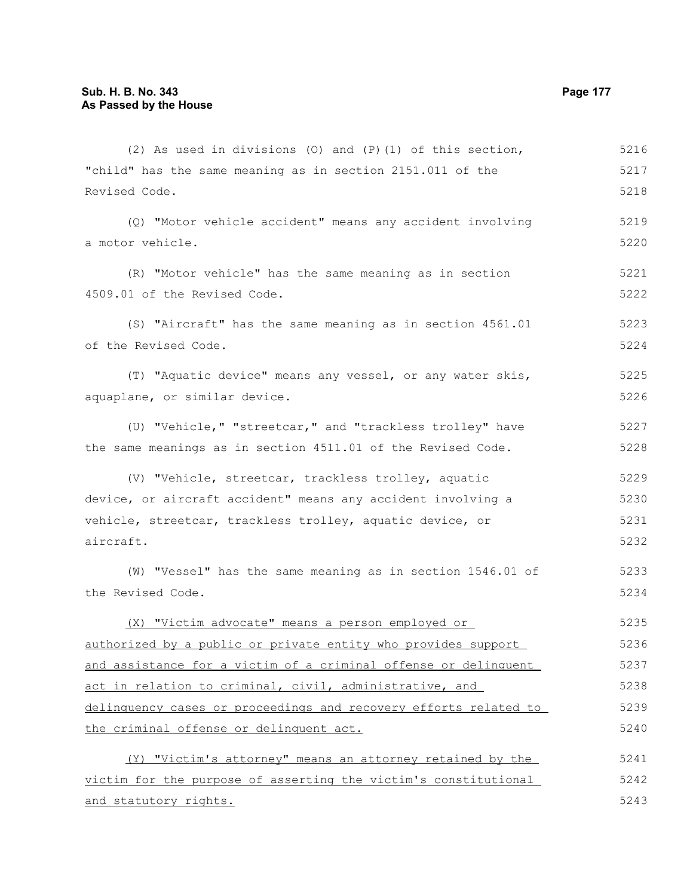| (2) As used in divisions (0) and $(P)$ (1) of this section,      | 5216 |
|------------------------------------------------------------------|------|
| "child" has the same meaning as in section 2151.011 of the       | 5217 |
| Revised Code.                                                    | 5218 |
| (Q) "Motor vehicle accident" means any accident involving        | 5219 |
| a motor vehicle.                                                 | 5220 |
| (R) "Motor vehicle" has the same meaning as in section           | 5221 |
| 4509.01 of the Revised Code.                                     | 5222 |
| (S) "Aircraft" has the same meaning as in section 4561.01        | 5223 |
| of the Revised Code.                                             | 5224 |
| (T) "Aquatic device" means any vessel, or any water skis,        | 5225 |
| aquaplane, or similar device.                                    | 5226 |
| (U) "Vehicle," "streetcar," and "trackless trolley" have         | 5227 |
| the same meanings as in section 4511.01 of the Revised Code.     | 5228 |
| (V) "Vehicle, streetcar, trackless trolley, aquatic              | 5229 |
| device, or aircraft accident" means any accident involving a     | 5230 |
| vehicle, streetcar, trackless trolley, aquatic device, or        | 5231 |
| aircraft.                                                        | 5232 |
| (W) "Vessel" has the same meaning as in section 1546.01 of       | 5233 |
| the Revised Code.                                                | 5234 |
| (X) "Victim advocate" means a person employed or                 | 5235 |
| authorized by a public or private entity who provides support    | 5236 |
| and assistance for a victim of a criminal offense or delinquent  | 5237 |
| act in relation to criminal, civil, administrative, and          | 5238 |
| delinquency cases or proceedings and recovery efforts related to | 5239 |
| the criminal offense or delinquent act.                          | 5240 |
| (Y) "Victim's attorney" means an attorney retained by the        | 5241 |
| victim for the purpose of asserting the victim's constitutional  | 5242 |
| and statutory rights.                                            | 5243 |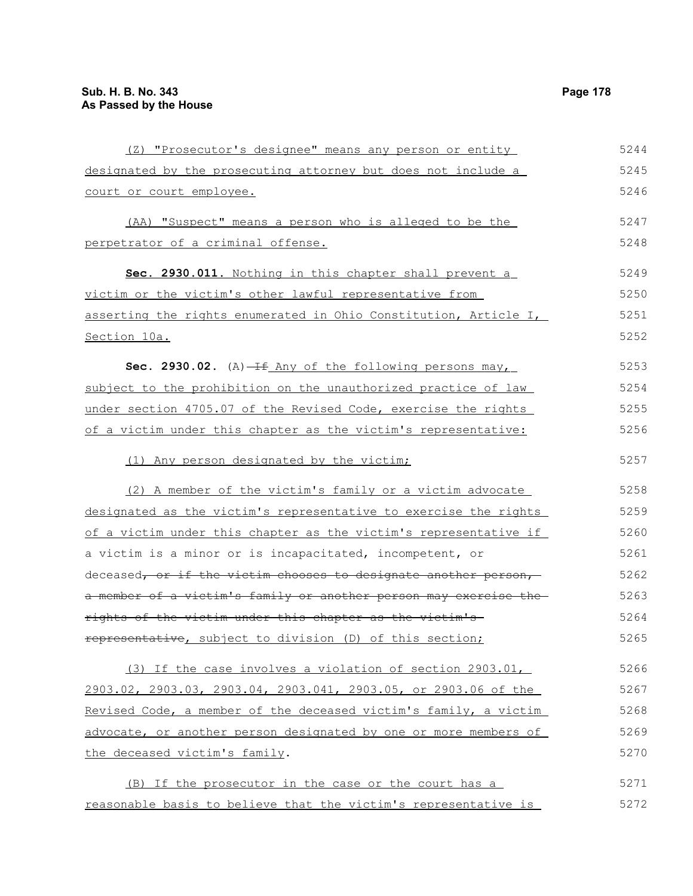| (Z) "Prosecutor's designee" means any person or entity                        | 5244 |
|-------------------------------------------------------------------------------|------|
| designated by the prosecuting attorney but does not include a                 | 5245 |
| court or court employee.                                                      | 5246 |
| (AA) "Suspect" means a person who is alleged to be the                        | 5247 |
| perpetrator of a criminal offense.                                            | 5248 |
| Sec. 2930.011. Nothing in this chapter shall prevent a                        | 5249 |
| victim or the victim's other lawful representative from                       | 5250 |
| asserting the rights enumerated in Ohio Constitution, Article I,              | 5251 |
| Section 10a.                                                                  | 5252 |
| Sec. 2930.02. $(A)$ -If Any of the following persons may,                     | 5253 |
| subject to the prohibition on the unauthorized practice of law                | 5254 |
| under section 4705.07 of the Revised Code, exercise the rights                | 5255 |
| of a victim under this chapter as the victim's representative:                | 5256 |
| (1) Any person designated by the victim;                                      | 5257 |
| (2) A member of the victim's family or a victim advocate                      | 5258 |
| designated as the victim's representative to exercise the rights              | 5259 |
| of a victim under this chapter as the victim's representative if              | 5260 |
| a victim is a minor or is incapacitated, incompetent, or                      | 5261 |
| deceased <del>, or if the victim chooses to designate another person,</del> - | 5262 |
| <del>a member of a victim's family or another person may exercise the -</del> | 5263 |
| <u>rights of the victim under this chapter as the victim's-</u>               | 5264 |
| representative, subject to division (D) of this section;                      | 5265 |
| (3) If the case involves a violation of section 2903.01,                      | 5266 |
| 2903.02, 2903.03, 2903.04, 2903.041, 2903.05, or 2903.06 of the               | 5267 |
| Revised Code, a member of the deceased victim's family, a victim              | 5268 |
| advocate, or another person designated by one or more members of              | 5269 |
| the deceased victim's family.                                                 | 5270 |
| (B) If the prosecutor in the case or the court has a                          | 5271 |
|                                                                               |      |

#### reasonable basis to believe that the victim's representative is 5272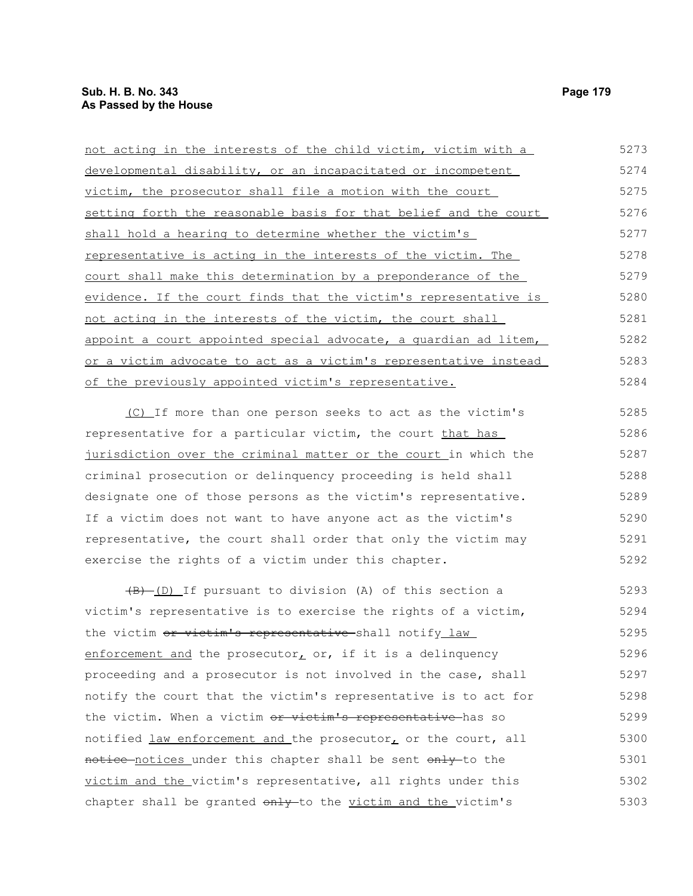| not acting in the interests of the child victim, victim with a   | 5273 |
|------------------------------------------------------------------|------|
| developmental disability, or an incapacitated or incompetent     | 5274 |
| victim, the prosecutor shall file a motion with the court        | 5275 |
| setting forth the reasonable basis for that belief and the court | 5276 |
| shall hold a hearing to determine whether the victim's           | 5277 |
| representative is acting in the interests of the victim. The     | 5278 |
| court shall make this determination by a preponderance of the    | 5279 |
| evidence. If the court finds that the victim's representative is | 5280 |
| not acting in the interests of the victim, the court shall       | 5281 |
| appoint a court appointed special advocate, a quardian ad litem, | 5282 |
| or a victim advocate to act as a victim's representative instead | 5283 |
| of the previously appointed victim's representative.             | 5284 |
|                                                                  |      |

(C) If more than one person seeks to act as the victim's representative for a particular victim, the court that has jurisdiction over the criminal matter or the court in which the criminal prosecution or delinquency proceeding is held shall designate one of those persons as the victim's representative. If a victim does not want to have anyone act as the victim's representative, the court shall order that only the victim may exercise the rights of a victim under this chapter. 5285 5286 5287 5288 5289 5290 5291 5292

 $(B)$  (D) If pursuant to division (A) of this section a victim's representative is to exercise the rights of a victim, the victim or victim's representative shall notify law enforcement and the prosecutor, or, if it is a delinquency proceeding and a prosecutor is not involved in the case, shall notify the court that the victim's representative is to act for the victim. When a victim or victim's representative has so notified law enforcement and the prosecutor, or the court, all notice-notices under this chapter shall be sent only-to the victim and the victim's representative, all rights under this chapter shall be granted only to the victim and the victim's 5293 5294 5295 5296 5297 5298 5299 5300 5301 5302 5303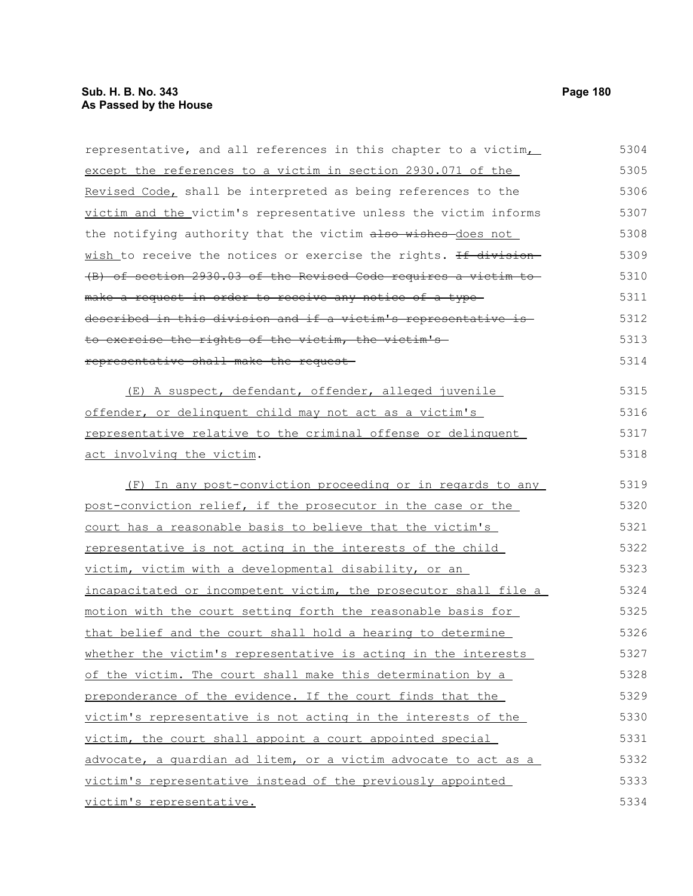| representative, and all references in this chapter to a victim,  | 5304 |
|------------------------------------------------------------------|------|
| except the references to a victim in section 2930.071 of the     | 5305 |
| Revised Code, shall be interpreted as being references to the    | 5306 |
| victim and the victim's representative unless the victim informs | 5307 |
| the notifying authority that the victim also wishes does not     | 5308 |
| wish to receive the notices or exercise the rights. If division- | 5309 |
| (B) of section 2930.03 of the Revised Code requires a victim to  | 5310 |
| make a request in order to receive any notice of a type-         | 5311 |
| described in this division and if a victim's representative is   | 5312 |
| to exercise the rights of the victim, the victim's-              | 5313 |
| representative shall make the request-                           | 5314 |
| (E) A suspect, defendant, offender, alleged juvenile             | 5315 |
| offender, or delinquent child may not act as a victim's          | 5316 |
| representative relative to the criminal offense or delinquent    | 5317 |
| act involving the victim.                                        | 5318 |
| (F) In any post-conviction proceeding or in regards to any       | 5319 |
| post-conviction relief, if the prosecutor in the case or the     | 5320 |
| court has a reasonable basis to believe that the victim's        | 5321 |
| representative is not acting in the interests of the child       | 5322 |
| victim, victim with a developmental disability, or an            | 5323 |
| incapacitated or incompetent victim, the prosecutor shall file a | 5324 |
| motion with the court setting forth the reasonable basis for     | 5325 |
| that belief and the court shall hold a hearing to determine      | 5326 |
| whether the victim's representative is acting in the interests   | 5327 |
| of the victim. The court shall make this determination by a      | 5328 |
| preponderance of the evidence. If the court finds that the       | 5329 |
| victim's representative is not acting in the interests of the    | 5330 |
| victim, the court shall appoint a court appointed special        | 5331 |
| advocate, a quardian ad litem, or a victim advocate to act as a  | 5332 |
| victim's representative instead of the previously appointed      | 5333 |
| victim's representative.                                         | 5334 |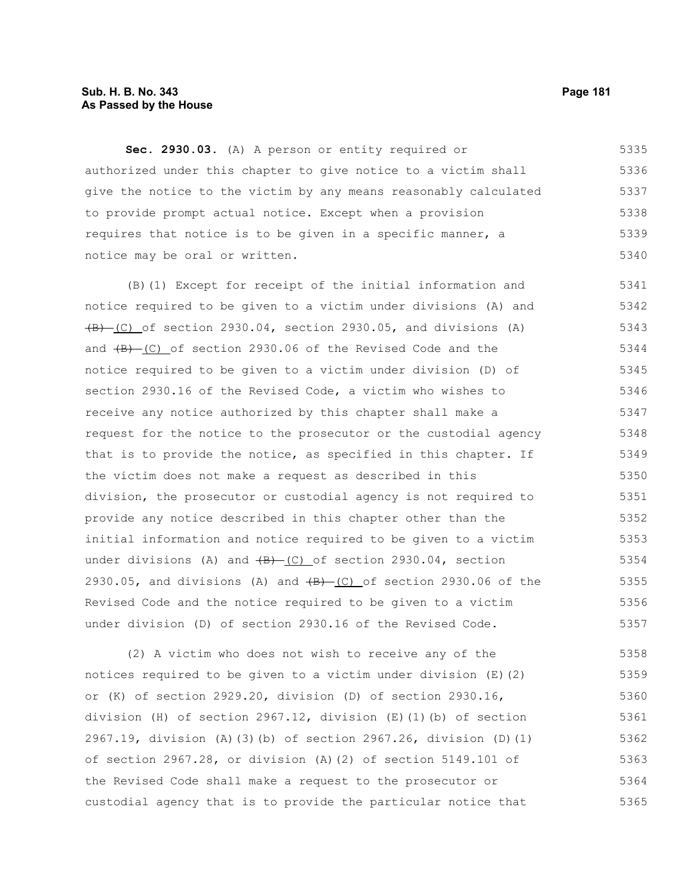### **Sub. H. B. No. 343 Page 181 As Passed by the House**

**Sec. 2930.03.** (A) A person or entity required or authorized under this chapter to give notice to a victim shall give the notice to the victim by any means reasonably calculated to provide prompt actual notice. Except when a provision requires that notice is to be given in a specific manner, a notice may be oral or written. 5335 5336 5337 5338 5339 5340

(B)(1) Except for receipt of the initial information and notice required to be given to a victim under divisions (A) and  $\overline{(B)}$  (C) of section 2930.04, section 2930.05, and divisions (A) and  $(B)$  (C) of section 2930.06 of the Revised Code and the notice required to be given to a victim under division (D) of section 2930.16 of the Revised Code, a victim who wishes to receive any notice authorized by this chapter shall make a request for the notice to the prosecutor or the custodial agency that is to provide the notice, as specified in this chapter. If the victim does not make a request as described in this division, the prosecutor or custodial agency is not required to provide any notice described in this chapter other than the initial information and notice required to be given to a victim under divisions (A) and  $\overline{(B) - (C)}$  of section 2930.04, section 2930.05, and divisions (A) and  $\overline{(B)}$  (C) of section 2930.06 of the Revised Code and the notice required to be given to a victim under division (D) of section 2930.16 of the Revised Code. 5341 5342 5343 5344 5345 5346 5347 5348 5349 5350 5351 5352 5353 5354 5355 5356 5357

(2) A victim who does not wish to receive any of the notices required to be given to a victim under division (E)(2) or (K) of section 2929.20, division (D) of section 2930.16, division (H) of section 2967.12, division (E)(1)(b) of section 2967.19, division (A)(3)(b) of section 2967.26, division (D)(1) of section 2967.28, or division (A)(2) of section 5149.101 of the Revised Code shall make a request to the prosecutor or custodial agency that is to provide the particular notice that 5358 5359 5360 5361 5362 5363 5364 5365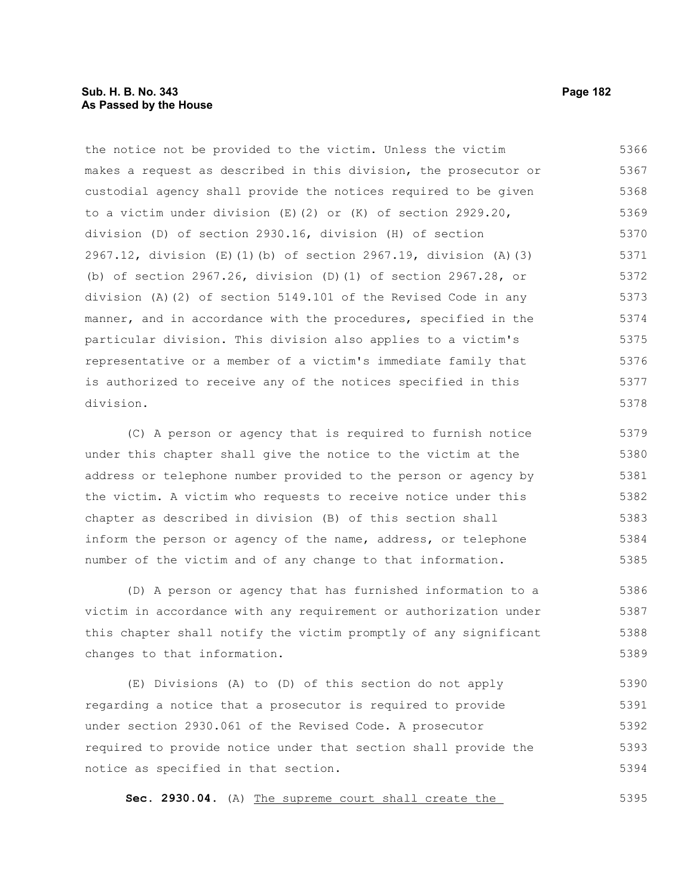the notice not be provided to the victim. Unless the victim makes a request as described in this division, the prosecutor or custodial agency shall provide the notices required to be given to a victim under division (E)(2) or (K) of section 2929.20, division (D) of section 2930.16, division (H) of section 2967.12, division (E)(1)(b) of section 2967.19, division (A)(3) (b) of section 2967.26, division (D)(1) of section 2967.28, or division (A)(2) of section 5149.101 of the Revised Code in any manner, and in accordance with the procedures, specified in the particular division. This division also applies to a victim's representative or a member of a victim's immediate family that is authorized to receive any of the notices specified in this division. 5366 5367 5368 5369 5370 5371 5372 5373 5374 5375 5376 5377 5378

(C) A person or agency that is required to furnish notice under this chapter shall give the notice to the victim at the address or telephone number provided to the person or agency by the victim. A victim who requests to receive notice under this chapter as described in division (B) of this section shall inform the person or agency of the name, address, or telephone number of the victim and of any change to that information. 5379 5380 5381 5382 5383 5384 5385

(D) A person or agency that has furnished information to a victim in accordance with any requirement or authorization under this chapter shall notify the victim promptly of any significant changes to that information. 5386 5387 5388 5389

(E) Divisions (A) to (D) of this section do not apply regarding a notice that a prosecutor is required to provide under section 2930.061 of the Revised Code. A prosecutor required to provide notice under that section shall provide the notice as specified in that section. 5390 5391 5392 5393 5394

**Sec. 2930.04.** (A) The supreme court shall create the 5395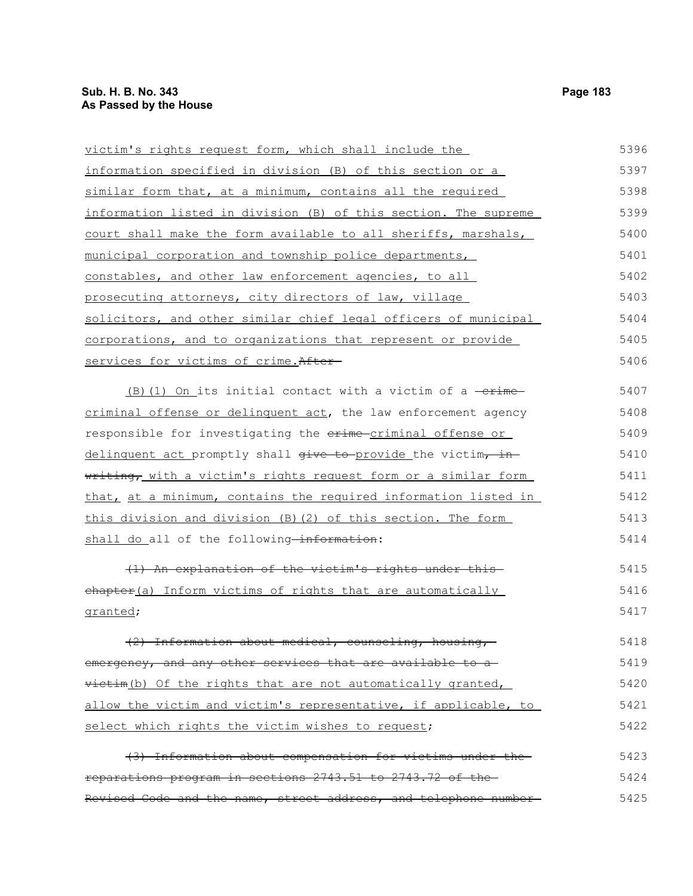victim's rights request form, which shall include the information specified in division (B) of this section or a similar form that, at a minimum, contains all the required information listed in division (B) of this section. The supreme court shall make the form available to all sheriffs, marshals, municipal corporation and township police departments, constables, and other law enforcement agencies, to all prosecuting attorneys, city directors of law, village solicitors, and other similar chief legal officers of municipal corporations, and to organizations that represent or provide services for victims of crime. After- $(B)$  (1) On its initial contact with a victim of a  $-$ erimecriminal offense or delinquent act, the law enforcement agency responsible for investigating the erime-criminal offense or delinquent act promptly shall give to provide the victim, in writing, with a victim's rights request form or a similar form that, at a minimum, contains the required information listed in this division and division (B)(2) of this section. The form shall do all of the following-information: (1) An explanation of the victim's rights under this chapter(a) Inform victims of rights that are automatically granted; (2) Information about medical, counseling, housing, emergency, and any other services that are available to a- $\overline{v}$ ictim(b) Of the rights that are not automatically granted, allow the victim and victim's representative, if applicable, to select which rights the victim wishes to request; (3) Information about compensation for victims under the reparations program in sections 2743.51 to 2743.72 of the Revised Code and the name, street address, and telephone number 5396 5397 5398 5399 5400 5401 5402 5403 5404 5405 5406 5407 5408 5409 5410 5411 5412 5413 5414 5415 5416 5417 5418 5419 5420 5421 5422 5423 5424 5425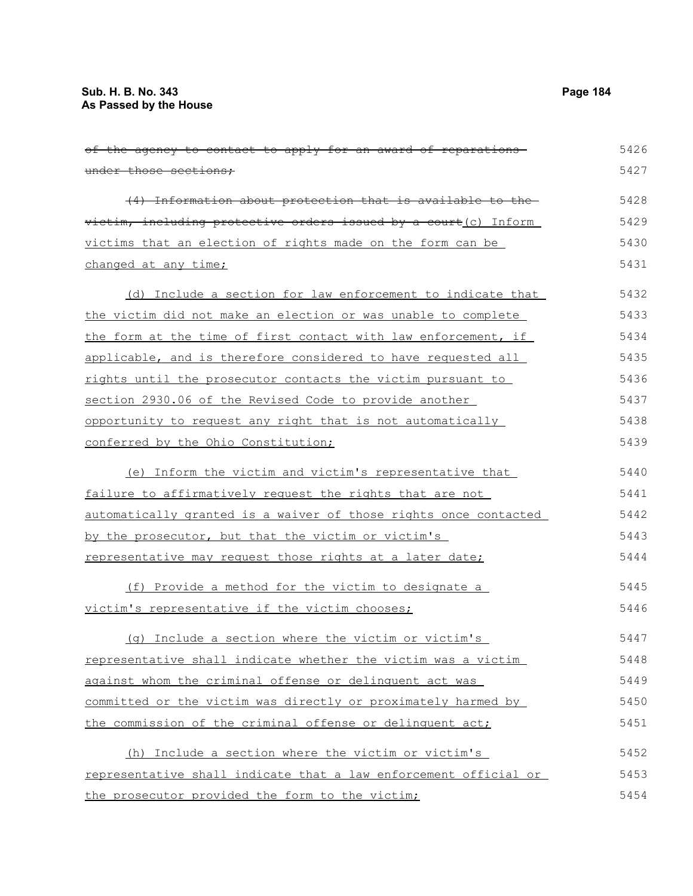of the agency to contact to apply for an award of reparations under those sections: (4) Information about protection that is available to the victim, including protective orders issued by a court(c) Inform victims that an election of rights made on the form can be changed at any time; (d) Include a section for law enforcement to indicate that the victim did not make an election or was unable to complete the form at the time of first contact with law enforcement, if applicable, and is therefore considered to have requested all rights until the prosecutor contacts the victim pursuant to section 2930.06 of the Revised Code to provide another opportunity to request any right that is not automatically conferred by the Ohio Constitution; (e) Inform the victim and victim's representative that failure to affirmatively request the rights that are not automatically granted is a waiver of those rights once contacted by the prosecutor, but that the victim or victim's representative may request those rights at a later date; (f) Provide a method for the victim to designate a victim's representative if the victim chooses; (g) Include a section where the victim or victim's representative shall indicate whether the victim was a victim against whom the criminal offense or delinquent act was committed or the victim was directly or proximately harmed by the commission of the criminal offense or delinquent act; (h) Include a section where the victim or victim's representative shall indicate that a law enforcement official or the prosecutor provided the form to the victim; 5426 5427 5428 5429 5430 5431 5432 5433 5434 5435 5436 5437 5438 5439 5440 5441 5442 5443 5444 5445 5446 5447 5448 5449 5450 5451 5452 5453 5454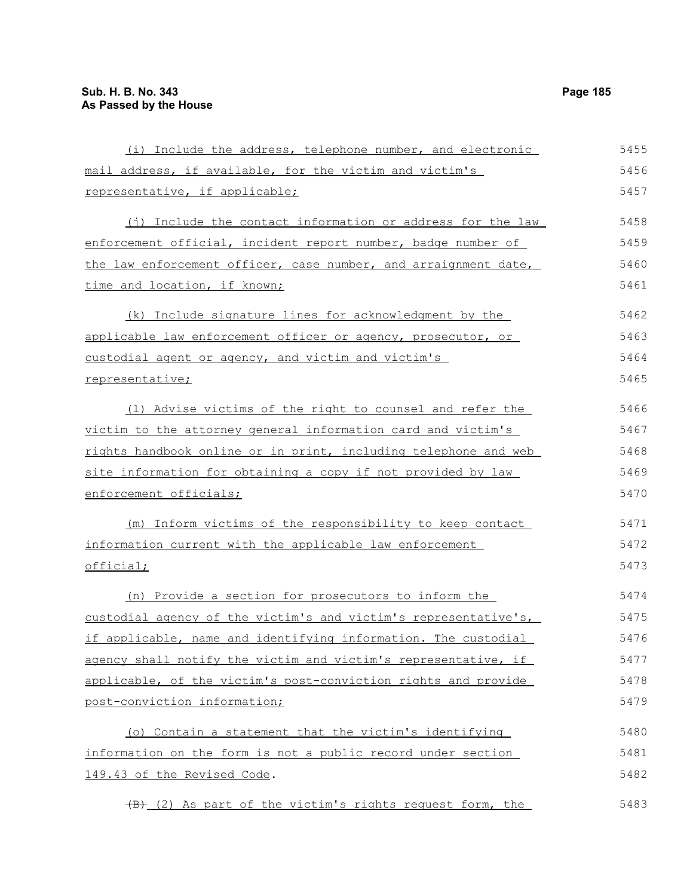| (i) Include the address, telephone number, and electronic       | 5455 |
|-----------------------------------------------------------------|------|
| mail address, if available, for the victim and victim's         | 5456 |
| representative, if applicable;                                  | 5457 |
| (j) Include the contact information or address for the law      | 5458 |
| enforcement official, incident report number, badge number of   | 5459 |
| the law enforcement officer, case number, and arraignment date, | 5460 |
| time and location, if known;                                    | 5461 |
| (k) Include signature lines for acknowledgment by the           | 5462 |
| applicable law enforcement officer or agency, prosecutor, or    | 5463 |
| custodial agent or agency, and victim and victim's              | 5464 |
| representative;                                                 | 5465 |
| (1) Advise victims of the right to counsel and refer the        | 5466 |
| victim to the attorney general information card and victim's    | 5467 |
| rights handbook online or in print, including telephone and web | 5468 |
| site information for obtaining a copy if not provided by law    | 5469 |
| enforcement officials;                                          | 5470 |
| (m) Inform victims of the responsibility to keep contact        | 5471 |
| information current with the applicable law enforcement         | 5472 |
| official;                                                       | 5473 |
| (n) Provide a section for prosecutors to inform the             | 5474 |
| custodial agency of the victim's and victim's representative's, | 5475 |
| if applicable, name and identifying information. The custodial  | 5476 |
| agency shall notify the victim and victim's representative, if  | 5477 |
| applicable, of the victim's post-conviction rights and provide  | 5478 |
| post-conviction information;                                    | 5479 |
| (o) Contain a statement that the victim's identifying           | 5480 |
| information on the form is not a public record under section    | 5481 |
| 149.43 of the Revised Code.                                     | 5482 |
| (B) (2) As part of the victim's rights request form, the        | 5483 |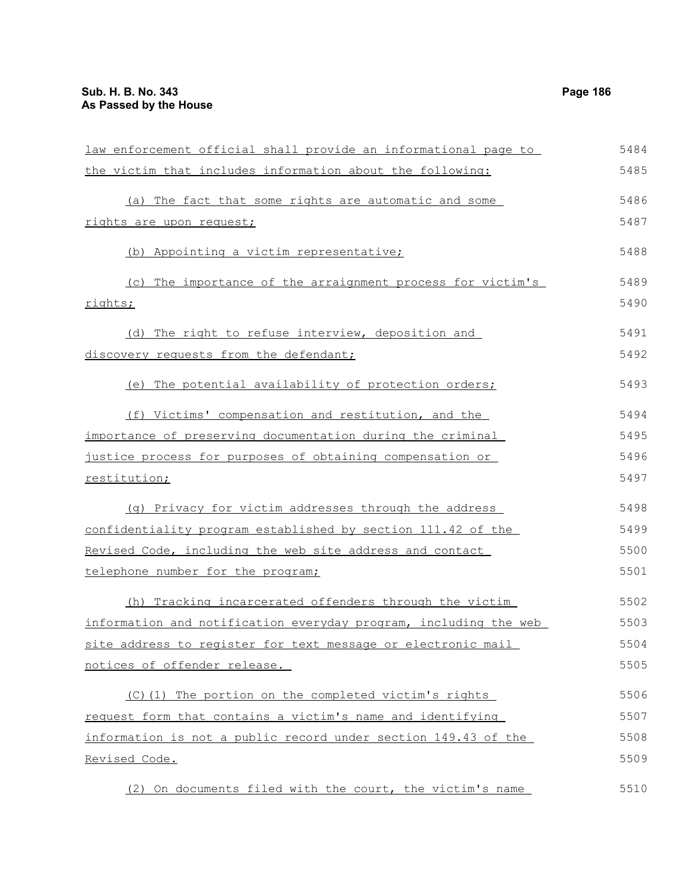law enforcement official shall provide an informational page to the victim that includes information about the following: (a) The fact that some rights are automatic and some rights are upon request; (b) Appointing a victim representative; (c) The importance of the arraignment process for victim's rights; (d) The right to refuse interview, deposition and discovery requests from the defendant; (e) The potential availability of protection orders; (f) Victims' compensation and restitution, and the importance of preserving documentation during the criminal justice process for purposes of obtaining compensation or restitution; (g) Privacy for victim addresses through the address confidentiality program established by section 111.42 of the Revised Code, including the web site address and contact telephone number for the program; (h) Tracking incarcerated offenders through the victim information and notification everyday program, including the web site address to register for text message or electronic mail notices of offender release. (C)(1) The portion on the completed victim's rights request form that contains a victim's name and identifying information is not a public record under section 149.43 of the Revised Code. 5484 5485 5486 5487 5488 5489 5490 5491 5492 5493 5494 5495 5496 5497 5498 5499 5500 5501 5502 5503 5504 5505 5506 5507 5508 5509

(2) On documents filed with the court, the victim's name 5510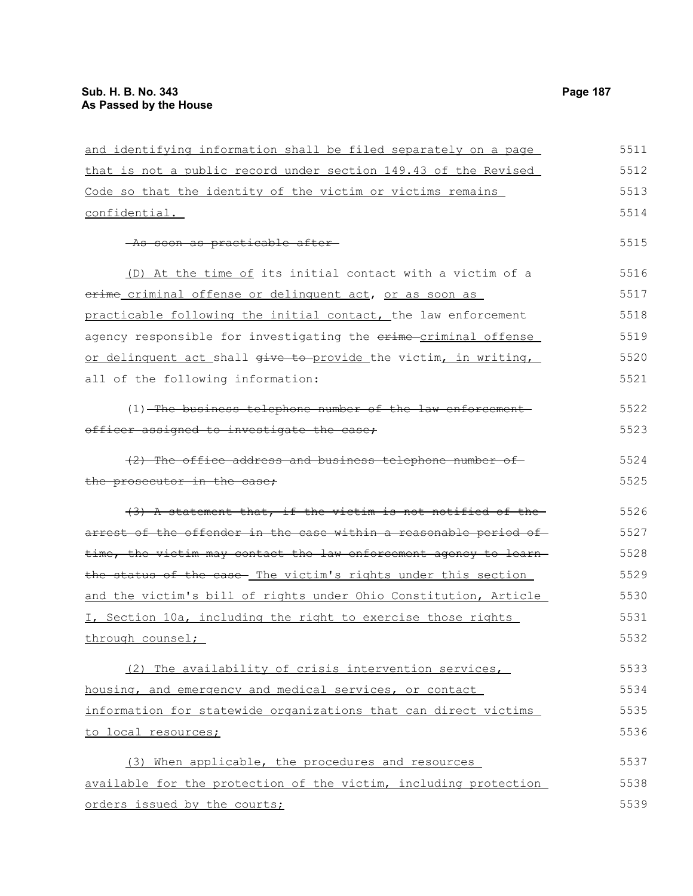| and identifying information shall be filed separately on a page  | 5511 |
|------------------------------------------------------------------|------|
| that is not a public record under section 149.43 of the Revised  | 5512 |
| Code so that the identity of the victim or victims remains       | 5513 |
| confidential.                                                    | 5514 |
| -As soon as practicable after-                                   | 5515 |
| (D) At the time of its initial contact with a victim of a        | 5516 |
| erime_criminal offense or delinquent act, or as soon as          | 5517 |
| practicable following the initial contact, the law enforcement   | 5518 |
| agency responsible for investigating the erime-criminal offense  | 5519 |
| or delinquent act shall give to-provide the victim, in writing,  | 5520 |
| all of the following information:                                | 5521 |
| (1) The business telephone number of the law enforcement         | 5522 |
| officer assigned to investigate the case;                        | 5523 |
| (2) The office address and business telephone number of          | 5524 |
| the prosecutor in the case;                                      | 5525 |
| (3) A statement that, if the victim is not notified of the       | 5526 |
| arrest of the offender in the case within a reasonable period of | 5527 |
| time, the victim may contact the law enforcement agency to learn | 5528 |
| the status of the case- The victim's rights under this section   | 5529 |
| and the victim's bill of rights under Ohio Constitution, Article | 5530 |
| I, Section 10a, including the right to exercise those rights     | 5531 |
| through counsel;                                                 | 5532 |
| (2) The availability of crisis intervention services,            | 5533 |
| housing, and emergency and medical services, or contact          | 5534 |
| information for statewide organizations that can direct victims  | 5535 |
| <u>to local resources;</u>                                       | 5536 |
| (3) When applicable, the procedures and resources                | 5537 |
| available for the protection of the victim, including protection | 5538 |
| orders issued by the courts;                                     | 5539 |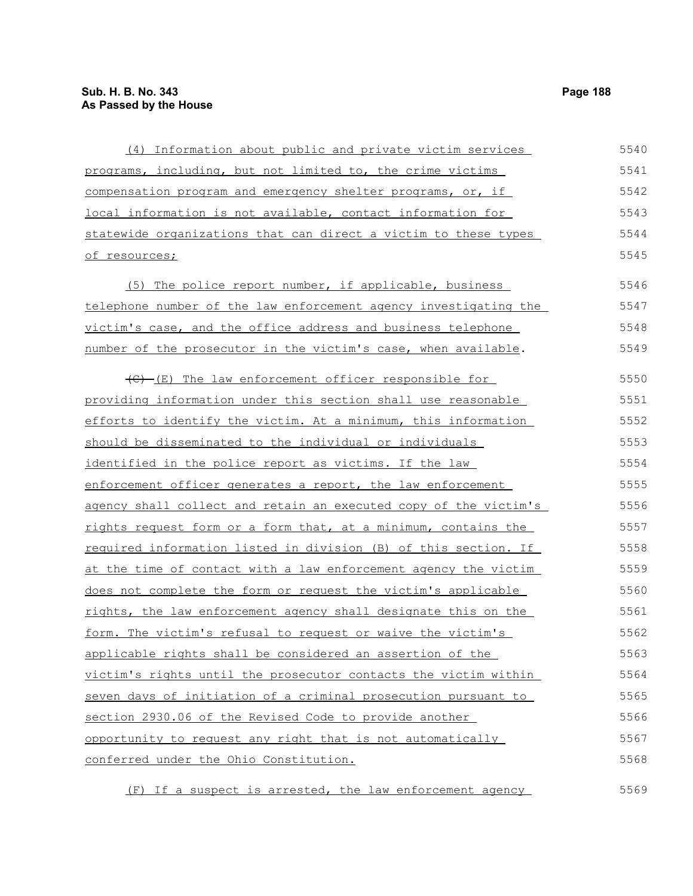(4) Information about public and private victim services programs, including, but not limited to, the crime victims compensation program and emergency shelter programs, or, if local information is not available, contact information for statewide organizations that can direct a victim to these types of resources; (5) The police report number, if applicable, business telephone number of the law enforcement agency investigating the victim's case, and the office address and business telephone number of the prosecutor in the victim's case, when available.  $\left(\frac{C}{C}\right)$  The law enforcement officer responsible for providing information under this section shall use reasonable efforts to identify the victim. At a minimum, this information should be disseminated to the individual or individuals identified in the police report as victims. If the law enforcement officer generates a report, the law enforcement agency shall collect and retain an executed copy of the victim's rights request form or a form that, at a minimum, contains the required information listed in division (B) of this section. If at the time of contact with a law enforcement agency the victim does not complete the form or request the victim's applicable rights, the law enforcement agency shall designate this on the form. The victim's refusal to request or waive the victim's 5540 5541 5542 5543 5544 5545 5546 5547 5548 5549 5550 5551 5552 5553 5554 5555 5556 5557 5558 5559 5560 5561 5562

applicable rights shall be considered an assertion of the victim's rights until the prosecutor contacts the victim within seven days of initiation of a criminal prosecution pursuant to section 2930.06 of the Revised Code to provide another opportunity to request any right that is not automatically conferred under the Ohio Constitution. 5563 5564 5565 5566 5567 5568

(F) If a suspect is arrested, the law enforcement agency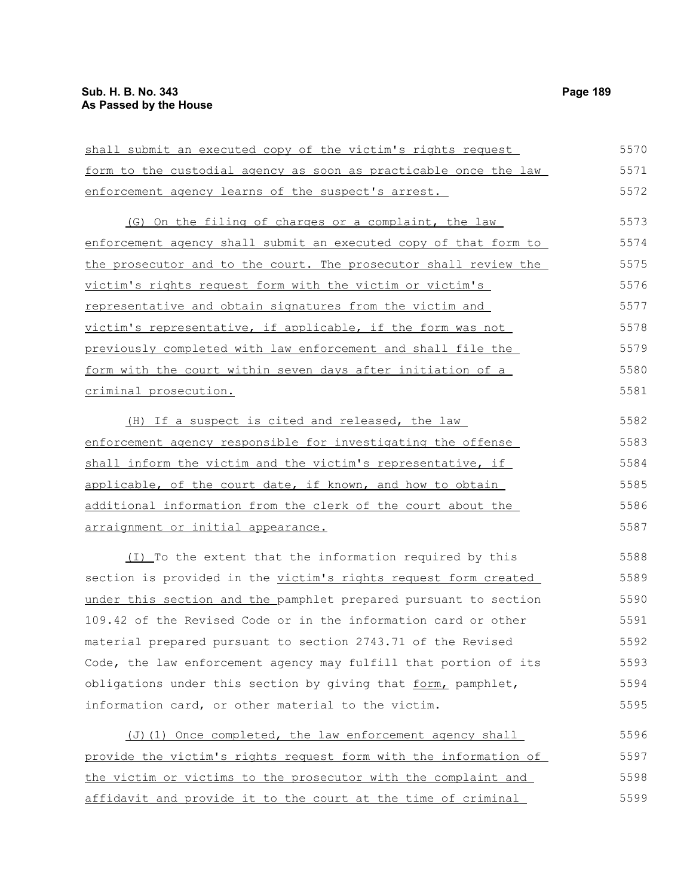| shall submit an executed copy of the victim's rights request     | 5570 |
|------------------------------------------------------------------|------|
| form to the custodial agency as soon as practicable once the law | 5571 |
| enforcement agency learns of the suspect's arrest.               | 5572 |
| (G) On the filing of charges or a complaint, the law             | 5573 |
| enforcement agency shall submit an executed copy of that form to | 5574 |
| the prosecutor and to the court. The prosecutor shall review the | 5575 |
| victim's rights request form with the victim or victim's         | 5576 |
| representative and obtain signatures from the victim and         | 5577 |
| victim's representative, if applicable, if the form was not      | 5578 |
| previously completed with law enforcement and shall file the     | 5579 |
| form with the court within seven days after initiation of a      | 5580 |
| criminal prosecution.                                            | 5581 |
| (H) If a suspect is cited and released, the law                  | 5582 |
| enforcement agency responsible for investigating the offense     | 5583 |
| shall inform the victim and the victim's representative, if      | 5584 |
| applicable, of the court date, if known, and how to obtain       | 5585 |
| additional information from the clerk of the court about the     | 5586 |
| arraignment or initial appearance.                               | 5587 |
| (I) To the extent that the information required by this          | 5588 |
| section is provided in the victim's rights request form created  | 5589 |
| under this section and the pamphlet prepared pursuant to section | 5590 |
| 109.42 of the Revised Code or in the information card or other   | 5591 |
| material prepared pursuant to section 2743.71 of the Revised     | 5592 |
| Code, the law enforcement agency may fulfill that portion of its | 5593 |
| obligations under this section by giving that form, pamphlet,    | 5594 |
| information card, or other material to the victim.               | 5595 |
| (J)(1) Once completed, the law enforcement agency shall          | 5596 |
| provide the victim's rights request form with the information of | 5597 |
| the victim or victims to the prosecutor with the complaint and   | 5598 |

affidavit and provide it to the court at the time of criminal 5599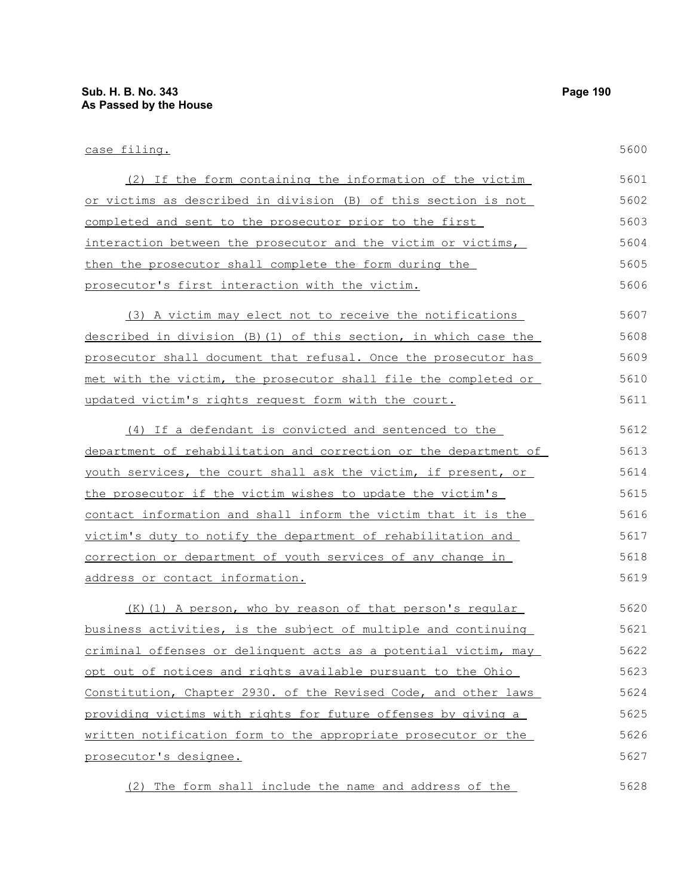| case filing.                                                     | 5600 |
|------------------------------------------------------------------|------|
| (2) If the form containing the information of the victim         | 5601 |
| or victims as described in division (B) of this section is not   | 5602 |
| completed and sent to the prosecutor prior to the first          | 5603 |
| interaction between the prosecutor and the victim or victims,    | 5604 |
| then the prosecutor shall complete the form during the           | 5605 |
| prosecutor's first interaction with the victim.                  | 5606 |
| (3) A victim may elect not to receive the notifications          | 5607 |
| described in division (B) (1) of this section, in which case the | 5608 |
| prosecutor shall document that refusal. Once the prosecutor has  | 5609 |
| met with the victim, the prosecutor shall file the completed or  | 5610 |
| updated victim's rights request form with the court.             | 5611 |
| (4) If a defendant is convicted and sentenced to the             | 5612 |
| department of rehabilitation and correction or the department of | 5613 |
| youth services, the court shall ask the victim, if present, or   | 5614 |
| the prosecutor if the victim wishes to update the victim's       | 5615 |
| contact information and shall inform the victim that it is the   | 5616 |
| victim's duty to notify the department of rehabilitation and     | 5617 |
| correction or department of youth services of any change in      | 5618 |
| address or contact information.                                  | 5619 |
| (K) (1) A person, who by reason of that person's reqular         | 5620 |
| business activities, is the subject of multiple and continuing   | 5621 |
| criminal offenses or delinquent acts as a potential victim, may  | 5622 |
| opt out of notices and rights available pursuant to the Ohio     | 5623 |
| Constitution, Chapter 2930. of the Revised Code, and other laws  | 5624 |
| providing victims with rights for future offenses by giving a    | 5625 |
| written notification form to the appropriate prosecutor or the   | 5626 |
| prosecutor's designee.                                           | 5627 |
| The form shall include the name and address of the<br>(2)        | 5628 |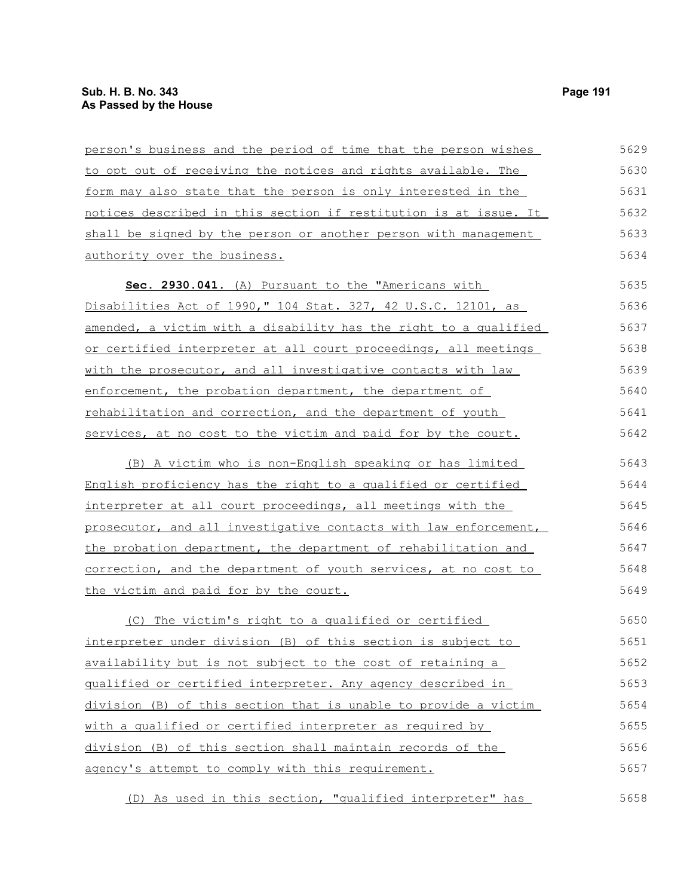| person's business and the period of time that the person wishes  | 5629 |
|------------------------------------------------------------------|------|
| to opt out of receiving the notices and rights available. The    | 5630 |
| form may also state that the person is only interested in the    | 5631 |
| notices described in this section if restitution is at issue. It | 5632 |
| shall be signed by the person or another person with management  | 5633 |
| authority over the business.                                     | 5634 |
| Sec. 2930.041. (A) Pursuant to the "Americans with               | 5635 |
| Disabilities Act of 1990," 104 Stat. 327, 42 U.S.C. 12101, as    | 5636 |
| amended, a victim with a disability has the right to a qualified | 5637 |
| or certified interpreter at all court proceedings, all meetings  | 5638 |
| with the prosecutor, and all investigative contacts with law     | 5639 |
| enforcement, the probation department, the department of         | 5640 |
| rehabilitation and correction, and the department of youth       | 5641 |
| services, at no cost to the victim and paid for by the court.    | 5642 |
| (B) A victim who is non-English speaking or has limited          | 5643 |
| English proficiency has the right to a qualified or certified    | 5644 |
| interpreter at all court proceedings, all meetings with the      | 5645 |
| prosecutor, and all investigative contacts with law enforcement, | 5646 |
| the probation department, the department of rehabilitation and   | 5647 |
| correction, and the department of youth services, at no cost to  | 5648 |
| the victim and paid for by the court.                            | 5649 |
| (C) The victim's right to a qualified or certified               | 5650 |
| interpreter under division (B) of this section is subject to     | 5651 |
| availability but is not subject to the cost of retaining a       | 5652 |
| qualified or certified interpreter. Any agency described in      | 5653 |
| division (B) of this section that is unable to provide a victim  | 5654 |
| with a qualified or certified interpreter as required by         | 5655 |
| division (B) of this section shall maintain records of the       | 5656 |
| agency's attempt to comply with this requirement.                | 5657 |
| (D) As used in this section, "qualified interpreter" has         | 5658 |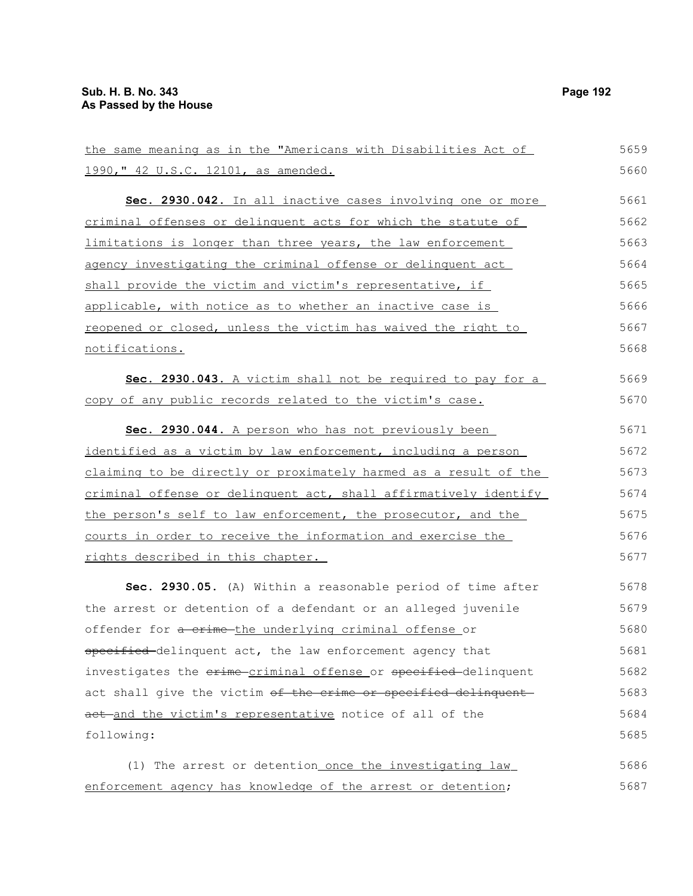| the same meaning as in the "Americans with Disabilities Act of   | 5659 |
|------------------------------------------------------------------|------|
| 1990, " 42 U.S.C. 12101, as amended.                             | 5660 |
| Sec. 2930.042. In all inactive cases involving one or more       | 5661 |
| criminal offenses or delinquent acts for which the statute of    | 5662 |
| limitations is longer than three years, the law enforcement      | 5663 |
| agency investigating the criminal offense or delinquent act      | 5664 |
| shall provide the victim and victim's representative, if         | 5665 |
| applicable, with notice as to whether an inactive case is        | 5666 |
| reopened or closed, unless the victim has waived the right to    | 5667 |
| notifications.                                                   | 5668 |
| Sec. 2930.043. A victim shall not be required to pay for a       | 5669 |
| copy of any public records related to the victim's case.         | 5670 |
| Sec. 2930.044. A person who has not previously been              | 5671 |
| identified as a victim by law enforcement, including a person    | 5672 |
| claiming to be directly or proximately harmed as a result of the | 5673 |
| criminal offense or delinquent act, shall affirmatively identify | 5674 |
| the person's self to law enforcement, the prosecutor, and the    | 5675 |
| courts in order to receive the information and exercise the      | 5676 |
| rights described in this chapter.                                | 5677 |
| Sec. 2930.05. (A) Within a reasonable period of time after       | 5678 |
| the arrest or detention of a defendant or an alleged juvenile    | 5679 |
| offender for a crime-the underlying criminal offense or          | 5680 |
| specified delinquent act, the law enforcement agency that        | 5681 |
| investigates the erime-criminal offense or specified-delinquent  | 5682 |
| act shall give the victim of the crime or specified delinquent-  | 5683 |
| act and the victim's representative notice of all of the         | 5684 |
| following:                                                       | 5685 |
| (1) The arrest or detention once the investigating law           | 5686 |
| enforcement agency has knowledge of the arrest or detention;     | 5687 |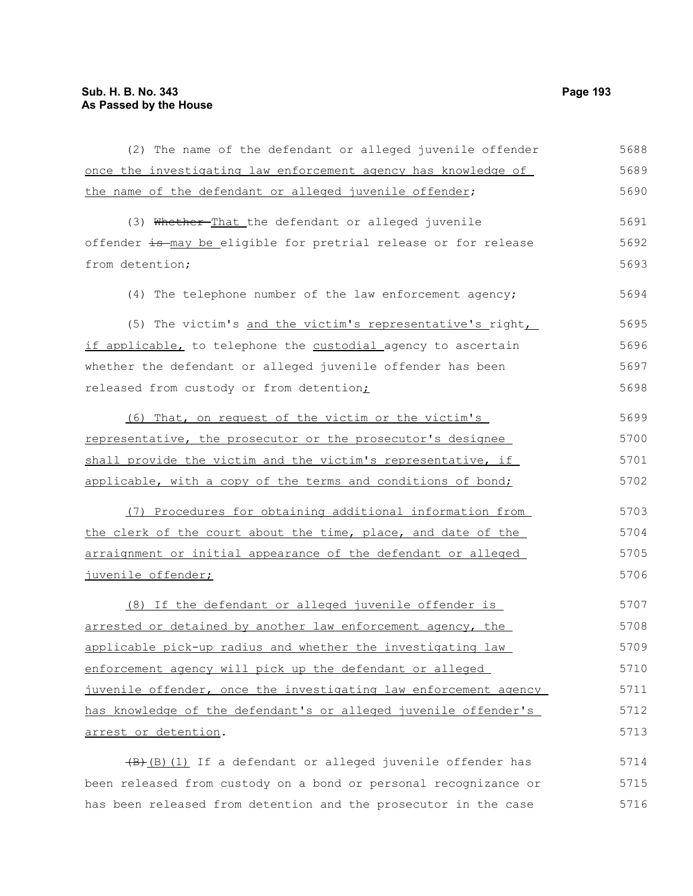(2) The name of the defendant or alleged juvenile offender once the investigating law enforcement agency has knowledge of the name of the defendant or alleged juvenile offender; (3) Whether-That the defendant or alleged juvenile offender is may be eligible for pretrial release or for release from detention; (4) The telephone number of the law enforcement agency; (5) The victim's and the victim's representative's right, if applicable, to telephone the custodial agency to ascertain whether the defendant or alleged juvenile offender has been released from custody or from detention; (6) That, on request of the victim or the victim's representative, the prosecutor or the prosecutor's designee shall provide the victim and the victim's representative, if applicable, with a copy of the terms and conditions of bond; (7) Procedures for obtaining additional information from the clerk of the court about the time, place, and date of the arraignment or initial appearance of the defendant or alleged juvenile offender; (8) If the defendant or alleged juvenile offender is arrested or detained by another law enforcement agency, the applicable pick-up radius and whether the investigating law enforcement agency will pick up the defendant or alleged juvenile offender, once the investigating law enforcement agency has knowledge of the defendant's or alleged juvenile offender's arrest or detention.  $\left(\frac{H}{B}\right)$ (B)(1) If a defendant or alleged juvenile offender has been released from custody on a bond or personal recognizance or 5688 5689 5690 5691 5692 5693 5694 5695 5696 5697 5698 5699 5700 5701 5702 5703 5704 5705 5706 5707 5708 5709 5710 5711 5712 5713 5714 5715

has been released from detention and the prosecutor in the case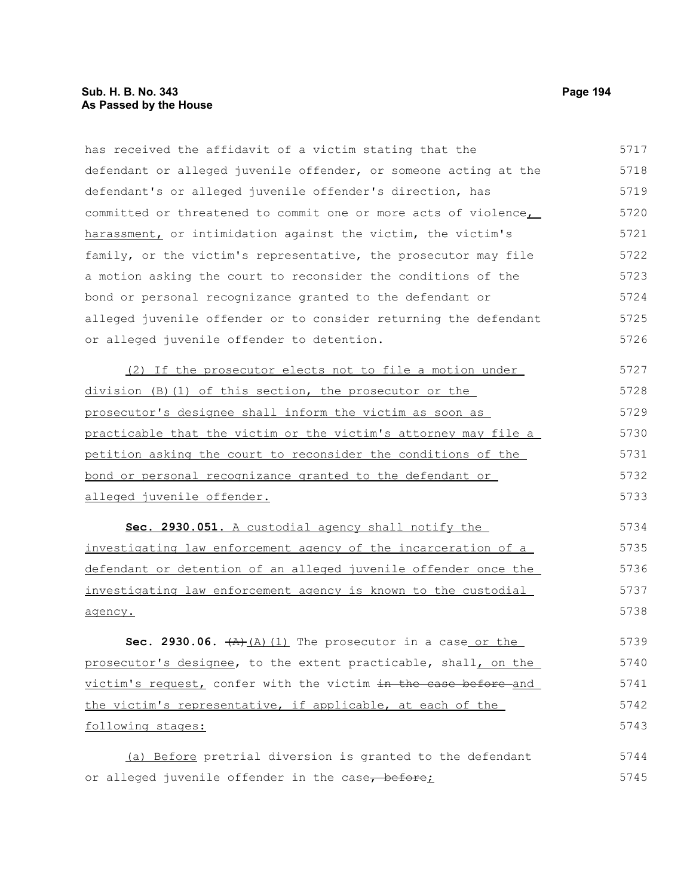## **Sub. H. B. No. 343 Page 194 As Passed by the House**

has received the affidavit of a victim stating that the defendant or alleged juvenile offender, or someone acting at the defendant's or alleged juvenile offender's direction, has committed or threatened to commit one or more acts of violence, harassment, or intimidation against the victim, the victim's family, or the victim's representative, the prosecutor may file a motion asking the court to reconsider the conditions of the bond or personal recognizance granted to the defendant or alleged juvenile offender or to consider returning the defendant or alleged juvenile offender to detention. 5717 5718 5719 5720 5721 5722 5723 5724 5725 5726

(2) If the prosecutor elects not to file a motion under division (B)(1) of this section, the prosecutor or the prosecutor's designee shall inform the victim as soon as practicable that the victim or the victim's attorney may file a petition asking the court to reconsider the conditions of the bond or personal recognizance granted to the defendant or alleged juvenile offender. 5727 5728 5729 5730 5731 5732 5733

 **Sec. 2930.051.** A custodial agency shall notify the investigating law enforcement agency of the incarceration of a defendant or detention of an alleged juvenile offender once the investigating law enforcement agency is known to the custodial agency. 5734 5735 5736 5737 5738

**Sec. 2930.06.**  $(A)$ <sup>(A)</sup>(1) The prosecutor in a case or the prosecutor's designee, to the extent practicable, shall, on the victim's request, confer with the victim in the case before and the victim's representative, if applicable, at each of the following stages: 5739 5740 5741 5742 5743

(a) Before pretrial diversion is granted to the defendant or alleged juvenile offender in the case, before; 5744 5745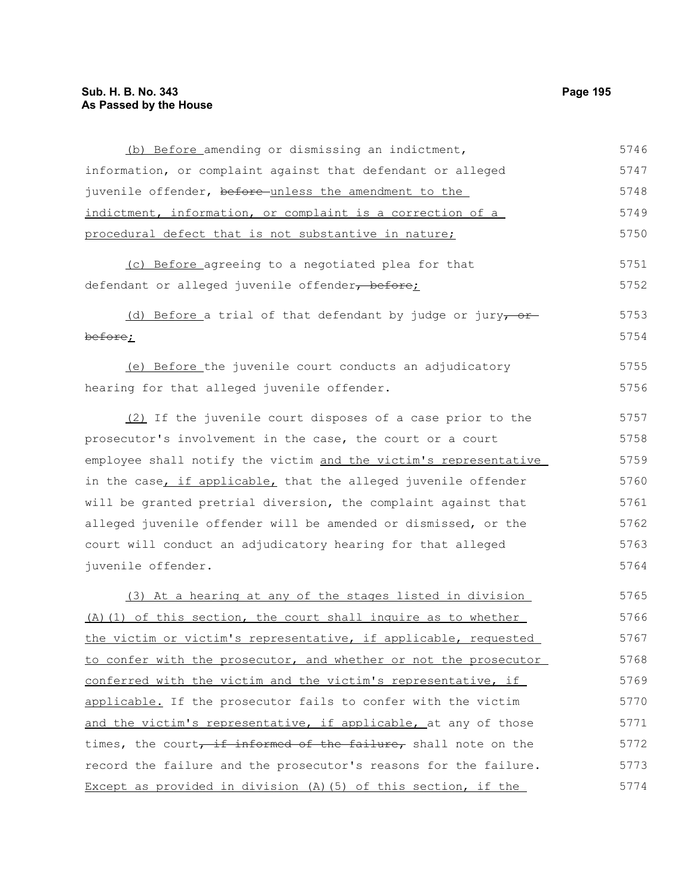| (b) Before amending or dismissing an indictment,                 | 5746 |
|------------------------------------------------------------------|------|
| information, or complaint against that defendant or alleged      | 5747 |
| juvenile offender, before unless the amendment to the            | 5748 |
| indictment, information, or complaint is a correction of a       | 5749 |
| procedural defect that is not substantive in nature;             | 5750 |
| (c) Before agreeing to a negotiated plea for that                | 5751 |
| defendant or alleged juvenile offender <del>, before</del> ;     | 5752 |
| (d) Before a trial of that defendant by judge or jury, or        | 5753 |
| before;                                                          | 5754 |
| (e) Before the juvenile court conducts an adjudicatory           | 5755 |
| hearing for that alleged juvenile offender.                      | 5756 |
| (2) If the juvenile court disposes of a case prior to the        | 5757 |
| prosecutor's involvement in the case, the court or a court       | 5758 |
| employee shall notify the victim and the victim's representative | 5759 |
| in the case, if applicable, that the alleged juvenile offender   | 5760 |
| will be granted pretrial diversion, the complaint against that   | 5761 |
| alleged juvenile offender will be amended or dismissed, or the   | 5762 |
| court will conduct an adjudicatory hearing for that alleged      | 5763 |
| juvenile offender.                                               | 5764 |
| (3) At a hearing at any of the stages listed in division         | 5765 |
| (A) (1) of this section, the court shall inquire as to whether   | 5766 |
| the victim or victim's representative, if applicable, requested  | 5767 |
| to confer with the prosecutor, and whether or not the prosecutor | 5768 |
| conferred with the victim and the victim's representative, if    | 5769 |
| applicable. If the prosecutor fails to confer with the victim    | 5770 |
| and the victim's representative, if applicable, at any of those  | 5771 |
| times, the court, if informed of the failure, shall note on the  | 5772 |
| record the failure and the prosecutor's reasons for the failure. | 5773 |
| Except as provided in division (A) (5) of this section, if the   | 5774 |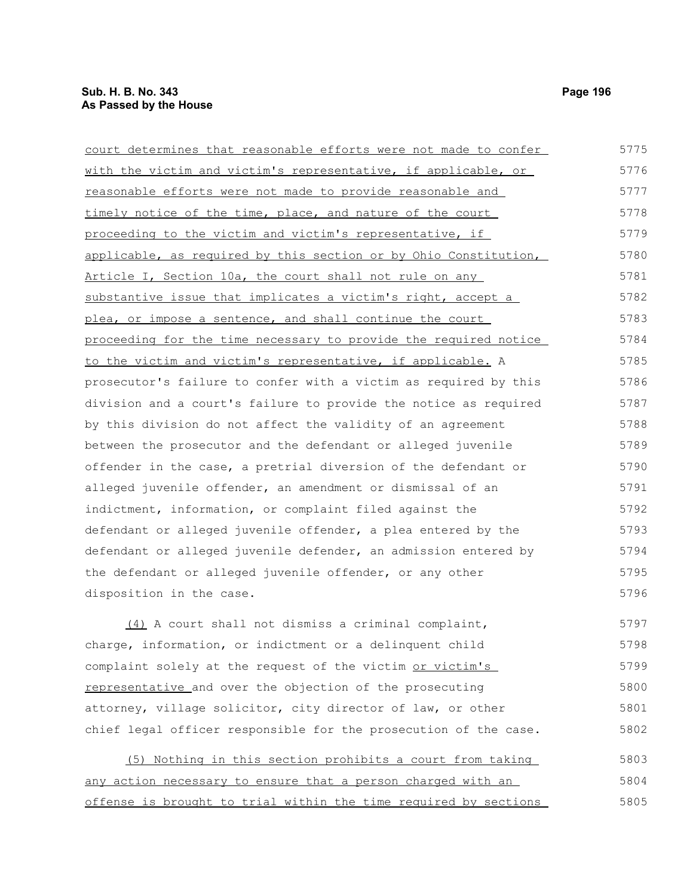| court determines that reasonable efforts were not made to confer | 5775 |
|------------------------------------------------------------------|------|
| with the victim and victim's representative, if applicable, or   | 5776 |
| reasonable efforts were not made to provide reasonable and       | 5777 |
| timely notice of the time, place, and nature of the court        | 5778 |
| proceeding to the victim and victim's representative, if         | 5779 |
| applicable, as required by this section or by Ohio Constitution, | 5780 |
| Article I, Section 10a, the court shall not rule on any          | 5781 |
| substantive issue that implicates a victim's right, accept a     | 5782 |
| plea, or impose a sentence, and shall continue the court         | 5783 |
| proceeding for the time necessary to provide the required notice | 5784 |
| to the victim and victim's representative, if applicable. A      | 5785 |
| prosecutor's failure to confer with a victim as required by this | 5786 |
| division and a court's failure to provide the notice as required | 5787 |
| by this division do not affect the validity of an agreement      | 5788 |
| between the prosecutor and the defendant or alleged juvenile     | 5789 |
| offender in the case, a pretrial diversion of the defendant or   | 5790 |
| alleged juvenile offender, an amendment or dismissal of an       | 5791 |
| indictment, information, or complaint filed against the          | 5792 |
| defendant or alleged juvenile offender, a plea entered by the    | 5793 |
| defendant or alleged juvenile defender, an admission entered by  | 5794 |
| the defendant or alleged juvenile offender, or any other         | 5795 |
| disposition in the case.                                         | 5796 |
|                                                                  |      |

(4) A court shall not dismiss a criminal complaint, charge, information, or indictment or a delinquent child complaint solely at the request of the victim or victim's representative and over the objection of the prosecuting attorney, village solicitor, city director of law, or other chief legal officer responsible for the prosecution of the case. 5797 5798 5799 5800 5801 5802

(5) Nothing in this section prohibits a court from taking any action necessary to ensure that a person charged with an offense is brought to trial within the time required by sections 5803 5804 5805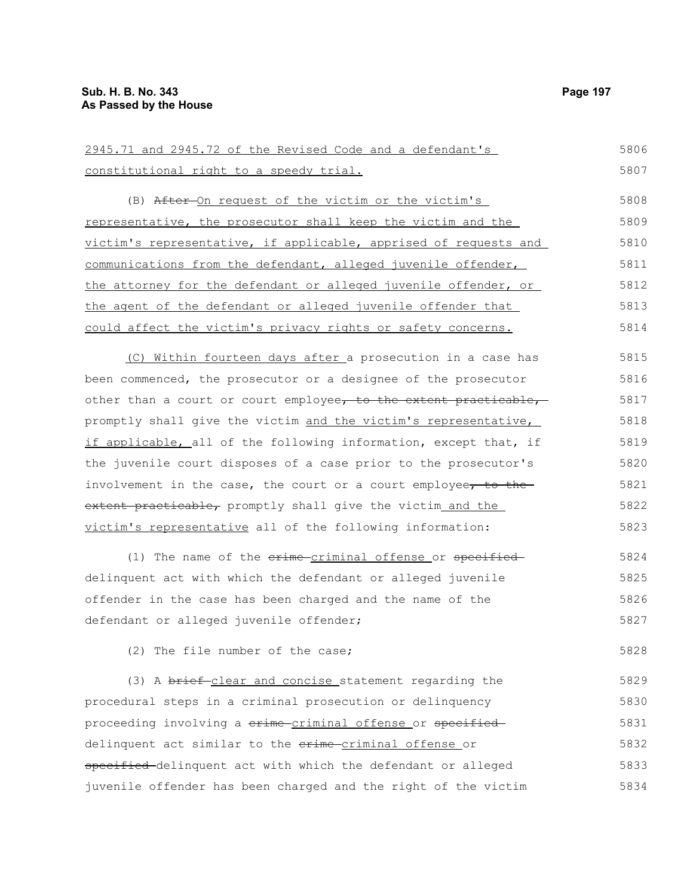| 2945.71 and 2945.72 of the Revised Code and a defendant's        | 5806 |
|------------------------------------------------------------------|------|
| constitutional right to a speedy trial.                          | 5807 |
| (B) After On request of the victim or the victim's               | 5808 |
| representative, the prosecutor shall keep the victim and the     | 5809 |
| victim's representative, if applicable, apprised of requests and | 5810 |
| communications from the defendant, alleged juvenile offender,    | 5811 |
| the attorney for the defendant or alleged juvenile offender, or  | 5812 |
| the agent of the defendant or alleged juvenile offender that     | 5813 |
| could affect the victim's privacy rights or safety concerns.     | 5814 |
| (C) Within fourteen days after a prosecution in a case has       | 5815 |
| been commenced, the prosecutor or a designee of the prosecutor   | 5816 |
| other than a court or court employee, to the extent practicable, | 5817 |
| promptly shall give the victim and the victim's representative,  | 5818 |
| if applicable, all of the following information, except that, if | 5819 |
| the juvenile court disposes of a case prior to the prosecutor's  | 5820 |
| involvement in the case, the court or a court employee, to the   | 5821 |
| extent practicable, promptly shall give the victim and the       | 5822 |
| victim's representative all of the following information:        | 5823 |
| (1) The name of the erime-criminal offense or specified-         | 5824 |
| delinquent act with which the defendant or alleged juvenile      | 5825 |
| offender in the case has been charged and the name of the        | 5826 |
| defendant or alleged juvenile offender;                          | 5827 |
| (2) The file number of the case;                                 | 5828 |
| (3) A brief-clear and concise statement regarding the            | 5829 |
| procedural steps in a criminal prosecution or delinquency        | 5830 |
| proceeding involving a erime-criminal offense or specified-      | 5831 |
| delinquent act similar to the erime-criminal offense or          | 5832 |
| specified delinquent act with which the defendant or alleged     | 5833 |
| juvenile offender has been charged and the right of the victim   | 5834 |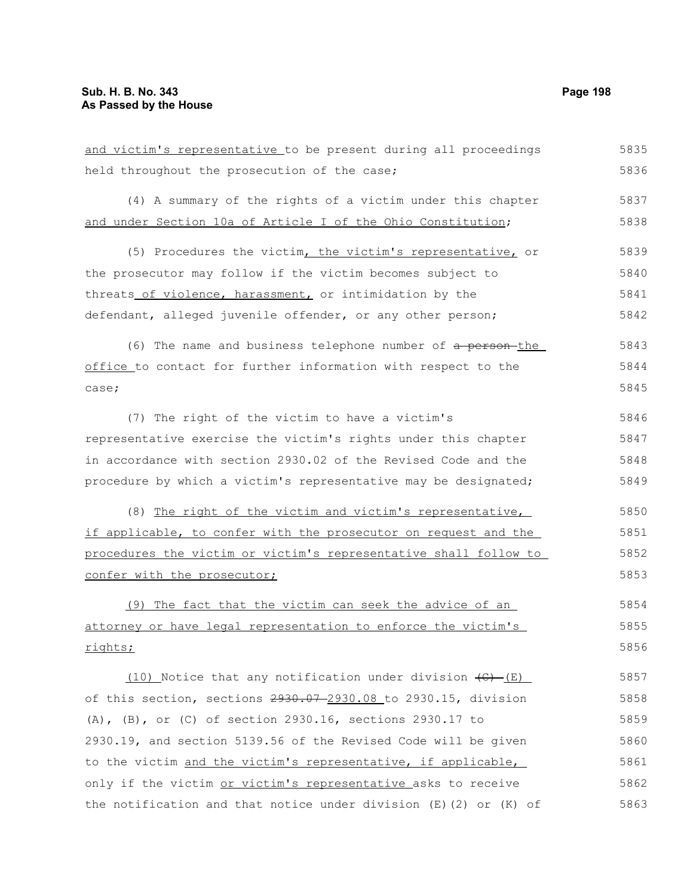held throughout the prosecution of the case; (4) A summary of the rights of a victim under this chapter and under Section 10a of Article I of the Ohio Constitution; (5) Procedures the victim, the victim's representative, or the prosecutor may follow if the victim becomes subject to threats of violence, harassment, or intimidation by the defendant, alleged juvenile offender, or any other person; (6) The name and business telephone number of  $a$  person-the office to contact for further information with respect to the case; (7) The right of the victim to have a victim's representative exercise the victim's rights under this chapter in accordance with section 2930.02 of the Revised Code and the procedure by which a victim's representative may be designated; (8) The right of the victim and victim's representative, if applicable, to confer with the prosecutor on request and the procedures the victim or victim's representative shall follow to confer with the prosecutor; (9) The fact that the victim can seek the advice of an attorney or have legal representation to enforce the victim's rights;  $(10)$  Notice that any notification under division  $\left(\overline{C}\right)$  (E) of this section, sections  $2930.07-2930.08$  to 2930.15, division (A), (B), or (C) of section 2930.16, sections 2930.17 to 2930.19, and section 5139.56 of the Revised Code will be given to the victim and the victim's representative, if applicable, only if the victim or victim's representative asks to receive 5837 5838 5839 5840 5841 5842 5843 5844 5845 5846 5847 5848 5849 5850 5851 5852 5853 5854 5855 5856 5857 5858 5859 5860 5861 5862

and victim's representative to be present during all proceedings

the notification and that notice under division (E)(2) or (K) of 5863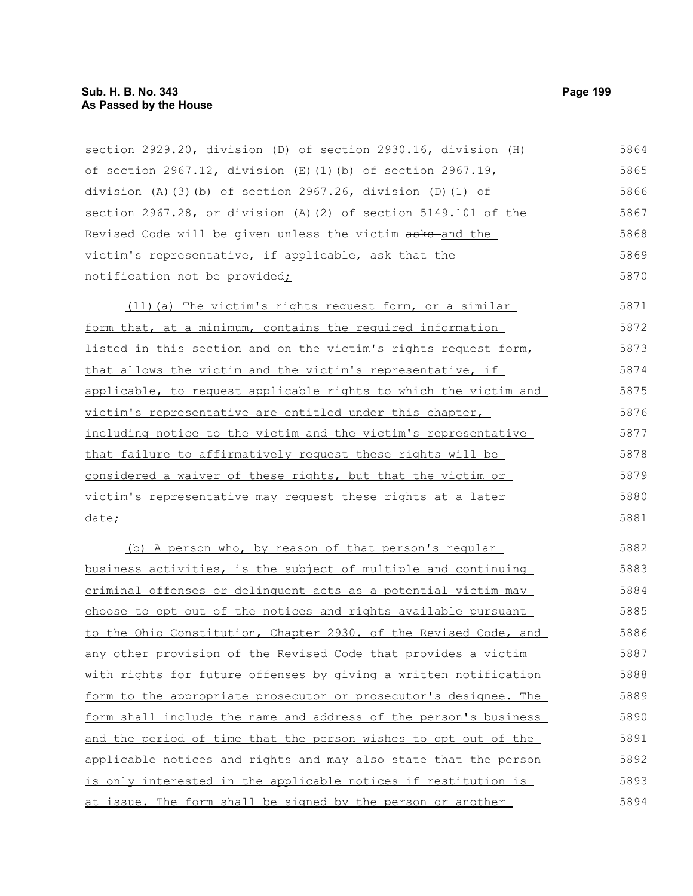section 2929.20, division (D) of section 2930.16, division (H) of section  $2967.12$ , division  $(E)(1)(b)$  of section  $2967.19$ , division (A)(3)(b) of section 2967.26, division (D)(1) of section 2967.28, or division (A)(2) of section 5149.101 of the Revised Code will be given unless the victim asks and the victim's representative, if applicable, ask that the notification not be provided; 5864 5865 5866 5867 5868 5869 5870

 $(11)$  (a) The victim's rights request form, or a similar form that, at a minimum, contains the required information listed in this section and on the victim's rights request form, that allows the victim and the victim's representative, if applicable, to request applicable rights to which the victim and victim's representative are entitled under this chapter, including notice to the victim and the victim's representative that failure to affirmatively request these rights will be considered a waiver of these rights, but that the victim or victim's representative may request these rights at a later date; 5871 5872 5873 5874 5875 5876 5877 5878 5879 5880 5881

(b) A person who, by reason of that person's regular business activities, is the subject of multiple and continuing criminal offenses or delinquent acts as a potential victim may choose to opt out of the notices and rights available pursuant to the Ohio Constitution, Chapter 2930. of the Revised Code, and any other provision of the Revised Code that provides a victim with rights for future offenses by giving a written notification form to the appropriate prosecutor or prosecutor's designee. The form shall include the name and address of the person's business and the period of time that the person wishes to opt out of the applicable notices and rights and may also state that the person is only interested in the applicable notices if restitution is at issue. The form shall be signed by the person or another 5882 5883 5884 5885 5886 5887 5888 5889 5890 5891 5892 5893 5894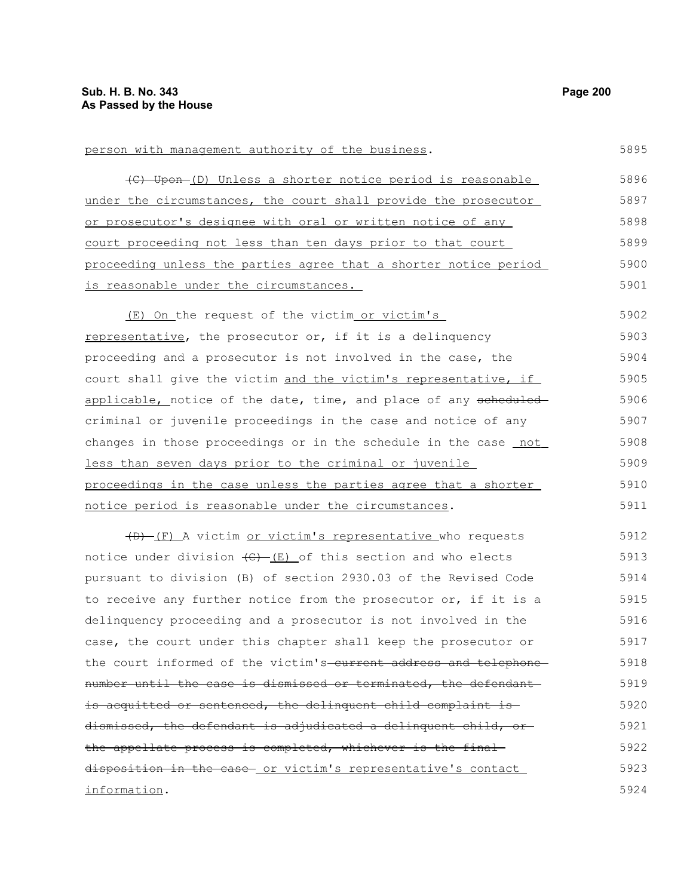5924

| person with management authority of the business.                               | 5895 |
|---------------------------------------------------------------------------------|------|
| (C) Upon-(D) Unless a shorter notice period is reasonable                       | 5896 |
| under the circumstances, the court shall provide the prosecutor                 | 5897 |
| or prosecutor's designee with oral or written notice of any                     | 5898 |
| court proceeding not less than ten days prior to that court                     | 5899 |
| proceeding unless the parties agree that a shorter notice period                | 5900 |
| is reasonable under the circumstances.                                          | 5901 |
| (E) On the request of the victim or victim's                                    | 5902 |
| representative, the prosecutor or, if it is a delinquency                       | 5903 |
| proceeding and a prosecutor is not involved in the case, the                    | 5904 |
| court shall give the victim and the victim's representative, if                 | 5905 |
| applicable, notice of the date, time, and place of any scheduled                | 5906 |
| criminal or juvenile proceedings in the case and notice of any                  | 5907 |
| changes in those proceedings or in the schedule in the case not                 | 5908 |
| less than seven days prior to the criminal or juvenile                          | 5909 |
| proceedings in the case unless the parties agree that a shorter                 | 5910 |
| notice period is reasonable under the circumstances.                            | 5911 |
| (F) A victim or victim's representative who requests                            | 5912 |
| notice under division $\left(\frac{E}{E}\right)$ of this section and who elects | 5913 |
| pursuant to division (B) of section 2930.03 of the Revised Code                 | 5914 |
| to receive any further notice from the prosecutor or, if it is a                | 5915 |
| delinquency proceeding and a prosecutor is not involved in the                  | 5916 |
| case, the court under this chapter shall keep the prosecutor or                 | 5917 |
| the court informed of the victim's-current address and telephone-               | 5918 |
| number until the case is dismissed or terminated, the defendant-                | 5919 |
| is acquitted or sentenced, the delinquent child complaint is-                   | 5920 |
| dismissed, the defendant is adjudicated a delinquent child, or-                 | 5921 |
| the appellate process is completed, whichever is the final-                     | 5922 |
| disposition in the case or victim's representative's contact                    | 5923 |

information.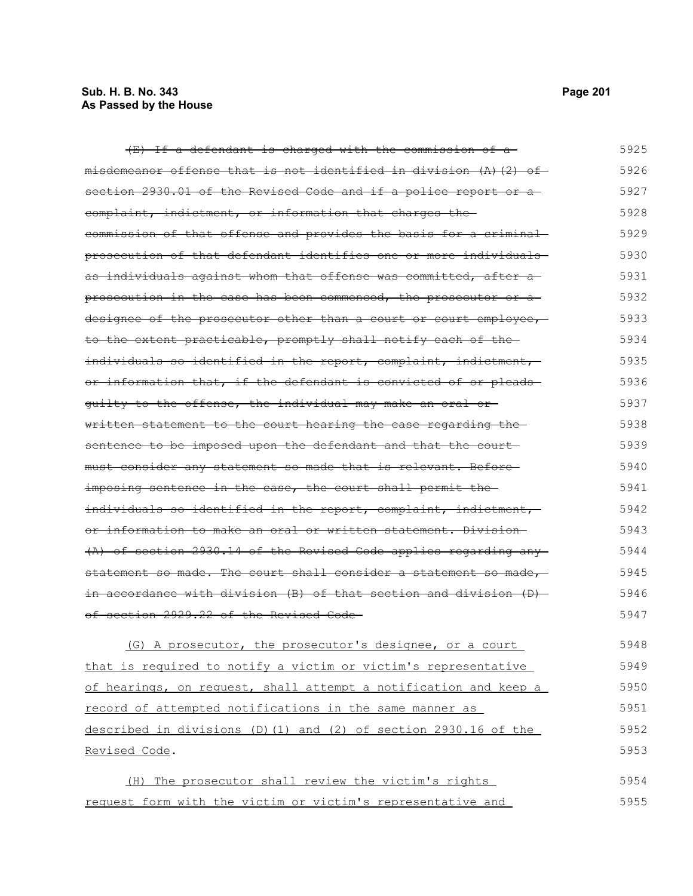# **Sub. H. B. No. 343 Page 201 As Passed by the House**

| (E) If a defendant is charged with the commission of a             | 5925 |
|--------------------------------------------------------------------|------|
| misdemeanor offense that is not identified in division (A)(2) of   | 5926 |
| section 2930.01 of the Revised Code and if a police report or a    | 5927 |
| complaint, indictment, or information that charges the-            | 5928 |
| commission of that offense and provides the basis for a criminal   | 5929 |
| prosecution of that defendant identifies one or more individuals-  | 5930 |
| as individuals against whom that offense was committed, after a    | 5931 |
| prosecution in the case has been commenced, the prosecutor or a    | 5932 |
| designee of the prosecutor other than a court or court employee,   | 5933 |
| to the extent practicable, promptly shall notify each of the-      | 5934 |
| individuals so identified in the report, complaint, indictment,    | 5935 |
| or information that, if the defendant is convicted of or pleads    | 5936 |
| quilty to the offense, the individual may make an oral or-         | 5937 |
| written statement to the court hearing the case regarding the      | 5938 |
| sentence to be imposed upon the defendant and that the court-      | 5939 |
| must consider any statement so made that is relevant. Before-      | 5940 |
| imposing sentence in the case, the court shall permit the          | 5941 |
| individuals so identified in the report, complaint, indictment,    | 5942 |
| or information to make an oral or written statement. Division-     | 5943 |
| (A) of section 2930.14 of the Revised Code applies regarding any   | 5944 |
| statement so made. The court shall consider a statement so made,   | 5945 |
| in accordance with division (B) of that section and division (D) - | 5946 |
| of section 2929.22 of the Revised Code                             | 5947 |
|                                                                    |      |
| (G) A prosecutor, the prosecutor's designee, or a court            | 5948 |
| that is required to notify a victim or victim's representative     | 5949 |
| of hearings, on request, shall attempt a notification and keep a   | 5950 |
| record of attempted notifications in the same manner as            | 5951 |
| described in divisions (D) (1) and (2) of section 2930.16 of the   | 5952 |
| Revised Code.                                                      | 5953 |
|                                                                    |      |
| (H) The prosecutor shall review the victim's rights                | 5954 |
| request form with the victim or victim's representative and        | 5955 |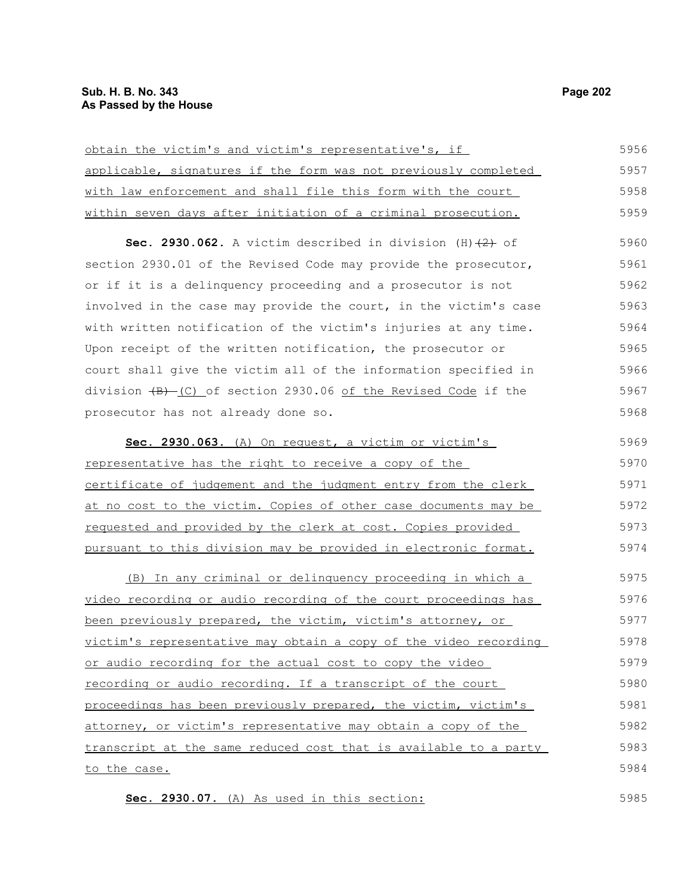obtain the victim's and victim's representative's, if applicable, signatures if the form was not previously completed with law enforcement and shall file this form with the court 5956 5957 5958

within seven days after initiation of a criminal prosecution. 5959

**Sec. 2930.062.** A victim described in division  $(H)$  $\{2\}$  of section 2930.01 of the Revised Code may provide the prosecutor, or if it is a delinquency proceeding and a prosecutor is not involved in the case may provide the court, in the victim's case with written notification of the victim's injuries at any time. Upon receipt of the written notification, the prosecutor or court shall give the victim all of the information specified in division  $\left(\frac{B}{C}\right)$  of section 2930.06 of the Revised Code if the prosecutor has not already done so. 5960 5961 5962 5963 5964 5965 5966 5967 5968

 **Sec. 2930.063.** (A) On request, a victim or victim's representative has the right to receive a copy of the certificate of judgement and the judgment entry from the clerk at no cost to the victim. Copies of other case documents may be requested and provided by the clerk at cost. Copies provided pursuant to this division may be provided in electronic format. 5969 5970 5971 5972 5973 5974

(B) In any criminal or delinquency proceeding in which a video recording or audio recording of the court proceedings has been previously prepared, the victim, victim's attorney, or victim's representative may obtain a copy of the video recording or audio recording for the actual cost to copy the video recording or audio recording. If a transcript of the court proceedings has been previously prepared, the victim, victim's attorney, or victim's representative may obtain a copy of the transcript at the same reduced cost that is available to a party to the case. 5975 5976 5977 5978 5979 5980 5981 5982 5983 5984

**Sec. 2930.07.** (A) As used in this section: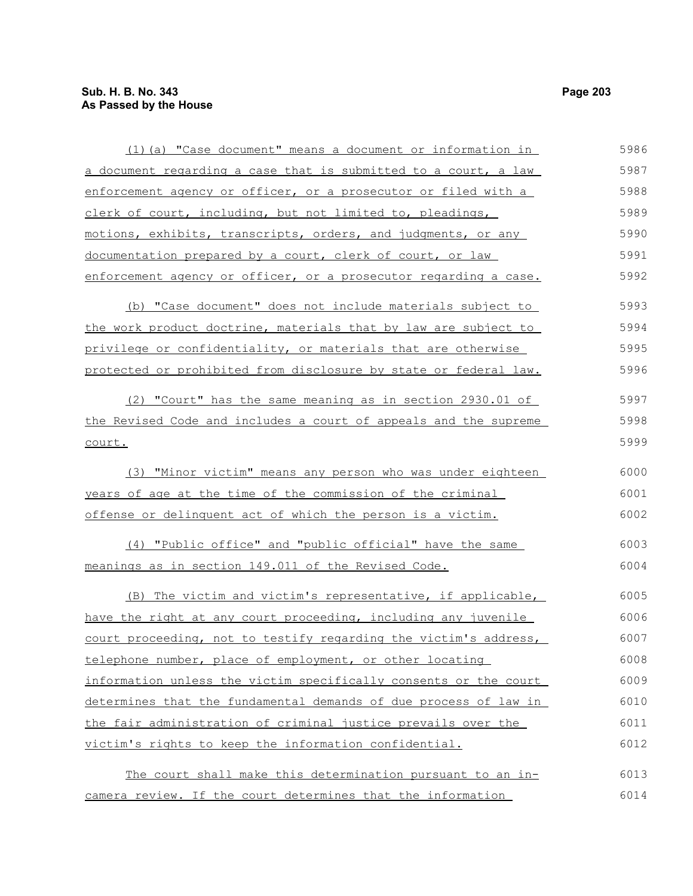## **Sub. H. B. No. 343 Page 203 As Passed by the House**

| (1) (a) "Case document" means a document or information in            | 5986 |
|-----------------------------------------------------------------------|------|
| a document regarding a case that is submitted to a court, a law       | 5987 |
| enforcement agency or officer, or a prosecutor or filed with a        | 5988 |
| clerk of court, including, but not limited to, pleadings,             | 5989 |
| <u>motions, exhibits, transcripts, orders, and judgments, or any </u> | 5990 |
| documentation prepared by a court, clerk of court, or law             | 5991 |
| enforcement agency or officer, or a prosecutor regarding a case.      | 5992 |
| (b) "Case document" does not include materials subject to             | 5993 |
| the work product doctrine, materials that by law are subject to       | 5994 |
| privilege or confidentiality, or materials that are otherwise         | 5995 |
| protected or prohibited from disclosure by state or federal law.      | 5996 |
| (2) "Court" has the same meaning as in section 2930.01 of             | 5997 |
| the Revised Code and includes a court of appeals and the supreme      | 5998 |
| <u>court.</u>                                                         | 5999 |
| (3) "Minor victim" means any person who was under eighteen            | 6000 |
| years of age at the time of the commission of the criminal            | 6001 |
| <u>offense or delinquent act of which the person is a victim.</u>     | 6002 |
| (4) "Public office" and "public official" have the same               | 6003 |
| <u>meanings as in section 149.011 of the Revised Code.</u>            | 6004 |
| (B) The victim and victim's representative, if applicable,            | 6005 |
| have the right at any court proceeding, including any juvenile        | 6006 |
| court proceeding, not to testify regarding the victim's address,      | 6007 |
| telephone number, place of employment, or other locating              | 6008 |
| information unless the victim specifically consents or the court      | 6009 |
| determines that the fundamental demands of due process of law in      | 6010 |
| the fair administration of criminal justice prevails over the         | 6011 |
| victim's rights to keep the information confidential.                 | 6012 |
| The court shall make this determination pursuant to an in-            | 6013 |
| camera review. If the court determines that the information           | 6014 |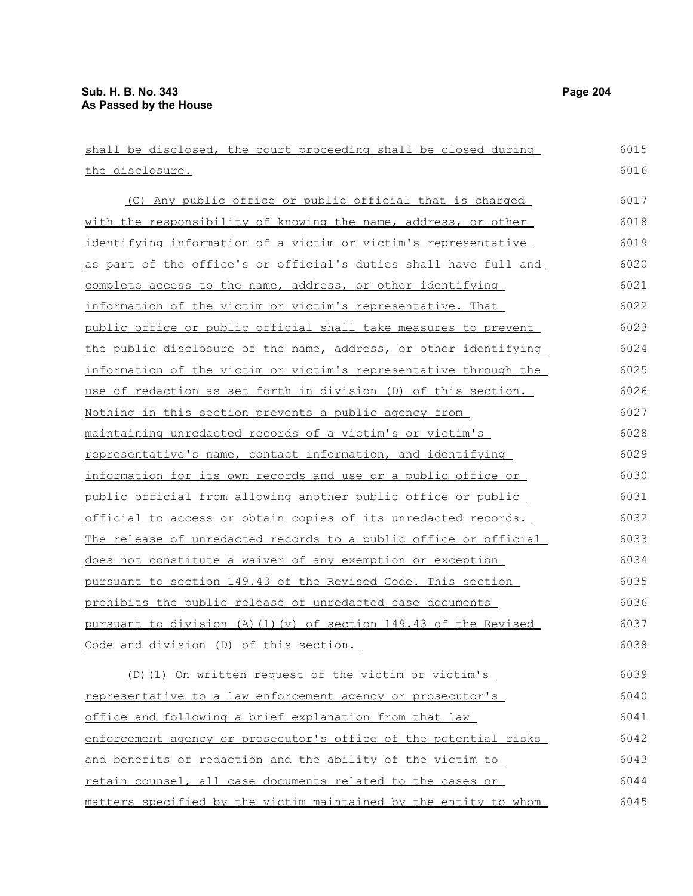| shall be disclosed, the court proceeding shall be closed during  | 6015 |
|------------------------------------------------------------------|------|
| the disclosure.                                                  | 6016 |
| (C) Any public office or public official that is charged         | 6017 |
| with the responsibility of knowing the name, address, or other   | 6018 |
| identifying information of a victim or victim's representative   | 6019 |
| as part of the office's or official's duties shall have full and | 6020 |
| complete access to the name, address, or other identifying       | 6021 |
| information of the victim or victim's representative. That       | 6022 |
| public office or public official shall take measures to prevent  | 6023 |
| the public disclosure of the name, address, or other identifying | 6024 |
| information of the victim or victim's representative through the | 6025 |
| use of redaction as set forth in division (D) of this section.   | 6026 |
| Nothing in this section prevents a public agency from            | 6027 |
| maintaining unredacted records of a victim's or victim's         | 6028 |
| representative's name, contact information, and identifying      | 6029 |
| information for its own records and use or a public office or    | 6030 |
| public official from allowing another public office or public    | 6031 |
| official to access or obtain copies of its unredacted records.   | 6032 |
| The release of unredacted records to a public office or official | 6033 |
| does not constitute a waiver of any exemption or exception       | 6034 |
| pursuant to section 149.43 of the Revised Code. This section     | 6035 |
| prohibits the public release of unredacted case documents        | 6036 |
| pursuant to division (A)(1)(v) of section 149.43 of the Revised  | 6037 |
| Code and division (D) of this section.                           | 6038 |
| (D) (1) On written request of the victim or victim's             | 6039 |
| representative to a law enforcement agency or prosecutor's       | 6040 |
| office and following a brief explanation from that law           | 6041 |
| enforcement agency or prosecutor's office of the potential risks | 6042 |
| and benefits of redaction and the ability of the victim to       | 6043 |
| retain counsel, all case documents related to the cases or       | 6044 |
| matters specified by the victim maintained by the entity to whom | 6045 |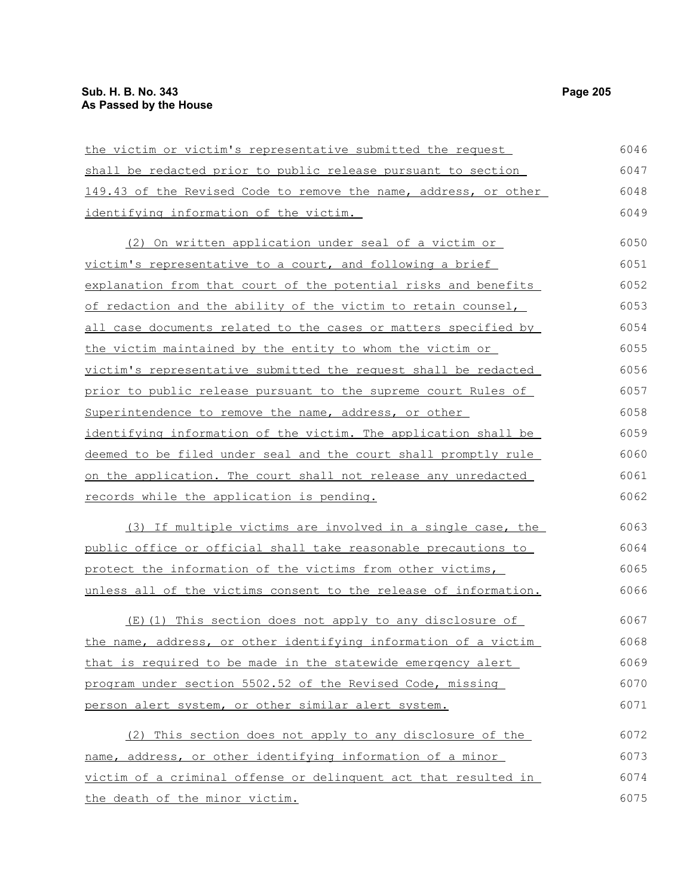| the victim or victim's representative submitted the request            | 6046 |
|------------------------------------------------------------------------|------|
| shall be redacted prior to public release pursuant to section          | 6047 |
| 149.43 of the Revised Code to remove the name, address, or other       | 6048 |
| identifying information of the victim.                                 | 6049 |
| (2) On written application under seal of a victim or                   | 6050 |
| victim's representative to a court, and following a brief              | 6051 |
| explanation from that court of the potential risks and benefits        | 6052 |
| of redaction and the ability of the victim to retain counsel,          | 6053 |
| <u>all case documents related to the cases or matters specified by</u> | 6054 |
| the victim maintained by the entity to whom the victim or              | 6055 |
| victim's representative submitted the request shall be redacted        | 6056 |
| prior to public release pursuant to the supreme court Rules of         | 6057 |
| Superintendence to remove the name, address, or other                  | 6058 |
| identifying information of the victim. The application shall be        | 6059 |
| deemed to be filed under seal and the court shall promptly rule        | 6060 |
| on the application. The court shall not release any unredacted         | 6061 |
| records while the application is pending.                              | 6062 |
| (3) If multiple victims are involved in a single case, the             | 6063 |
| public office or official shall take reasonable precautions to         | 6064 |
| protect the information of the victims from other victims,             | 6065 |
| unless all of the victims consent to the release of information.       | 6066 |
| (E) (1) This section does not apply to any disclosure of               | 6067 |
| the name, address, or other identifying information of a victim        | 6068 |
| that is required to be made in the statewide emergency alert           | 6069 |
| program under section 5502.52 of the Revised Code, missing             | 6070 |
| person alert system, or other similar alert system.                    | 6071 |
| (2) This section does not apply to any disclosure of the               | 6072 |
| name, address, or other identifying information of a minor             | 6073 |
| victim of a criminal offense or delinquent act that resulted in        | 6074 |
| the death of the minor victim.                                         | 6075 |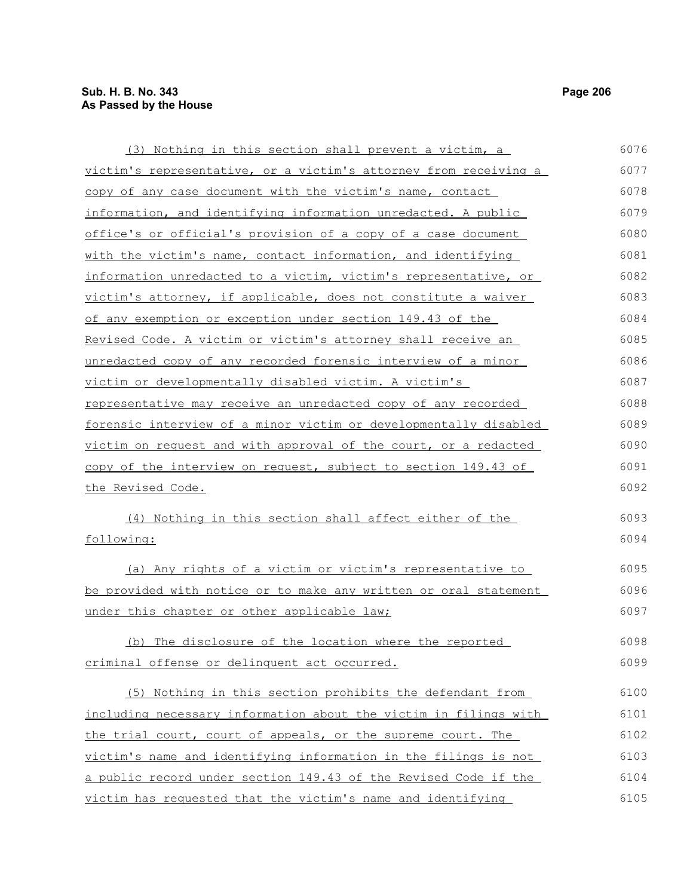6105

| (3) Nothing in this section shall prevent a victim, a            | 6076 |
|------------------------------------------------------------------|------|
| victim's representative, or a victim's attorney from receiving a | 6077 |
| copy of any case document with the victim's name, contact        | 6078 |
| information, and identifying information unredacted. A public    | 6079 |
| office's or official's provision of a copy of a case document    | 6080 |
| with the victim's name, contact information, and identifying     | 6081 |
| information unredacted to a victim, victim's representative, or  | 6082 |
| victim's attorney, if applicable, does not constitute a waiver   | 6083 |
| of any exemption or exception under section 149.43 of the        | 6084 |
| Revised Code. A victim or victim's attorney shall receive an     | 6085 |
| unredacted copy of any recorded forensic interview of a minor    | 6086 |
| victim or developmentally disabled victim. A victim's            | 6087 |
| representative may receive an unredacted copy of any recorded    | 6088 |
| forensic interview of a minor victim or developmentally disabled | 6089 |
| victim on request and with approval of the court, or a redacted  | 6090 |
| copy of the interview on request, subject to section 149.43 of   | 6091 |
| the Revised Code.                                                | 6092 |
| (4) Nothing in this section shall affect either of the           | 6093 |
| following:                                                       | 6094 |
| (a) Any rights of a victim or victim's representative to         | 6095 |
| be provided with notice or to make any written or oral statement | 6096 |
| under this chapter or other applicable law;                      | 6097 |
| (b) The disclosure of the location where the reported            | 6098 |
| criminal offense or delinquent act occurred.                     | 6099 |
| (5) Nothing in this section prohibits the defendant from         | 6100 |
| including necessary information about the victim in filings with | 6101 |
| the trial court, court of appeals, or the supreme court. The     | 6102 |
| victim's name and identifying information in the filings is not  | 6103 |
| a public record under section 149.43 of the Revised Code if the  | 6104 |

victim has requested that the victim's name and identifying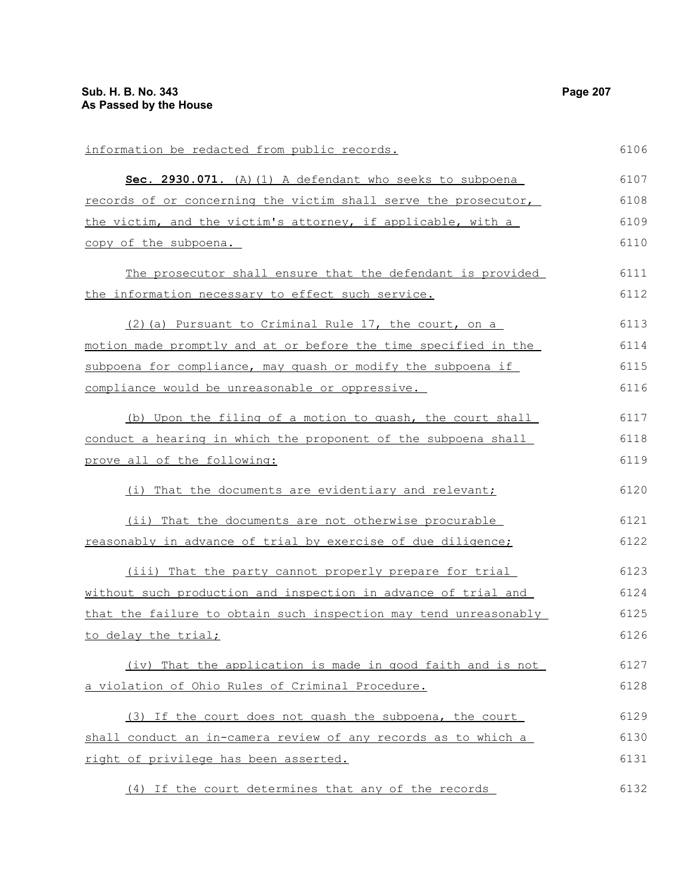| information be redacted from public records.                     | 6106 |
|------------------------------------------------------------------|------|
| Sec. 2930.071. (A) (1) A defendant who seeks to subpoena         | 6107 |
| records of or concerning the victim shall serve the prosecutor,  | 6108 |
| the victim, and the victim's attorney, if applicable, with a     | 6109 |
| copy of the subpoena.                                            | 6110 |
| The prosecutor shall ensure that the defendant is provided       | 6111 |
| the information necessary to effect such service.                | 6112 |
| (2) (a) Pursuant to Criminal Rule 17, the court, on a            | 6113 |
| motion made promptly and at or before the time specified in the  | 6114 |
| subpoena for compliance, may quash or modify the subpoena if     | 6115 |
| compliance would be unreasonable or oppressive.                  | 6116 |
| (b) Upon the filing of a motion to quash, the court shall        | 6117 |
| conduct a hearing in which the proponent of the subpoena shall   | 6118 |
| prove all of the following:                                      | 6119 |
| (i) That the documents are evidentiary and relevant;             | 6120 |
| (ii) That the documents are not otherwise procurable             | 6121 |
| reasonably in advance of trial by exercise of due diligence;     | 6122 |
| (iii) That the party cannot properly prepare for trial           | 6123 |
| without such production and inspection in advance of trial and   | 6124 |
| that the failure to obtain such inspection may tend unreasonably | 6125 |
| to delay the trial;                                              | 6126 |
| (iv) That the application is made in good faith and is not       | 6127 |
| a violation of Ohio Rules of Criminal Procedure.                 | 6128 |
| (3) If the court does not quash the subpoena, the court          | 6129 |
| shall conduct an in-camera review of any records as to which a   | 6130 |
| right of privilege has been asserted.                            | 6131 |
| (4) If the court determines that any of the records              | 6132 |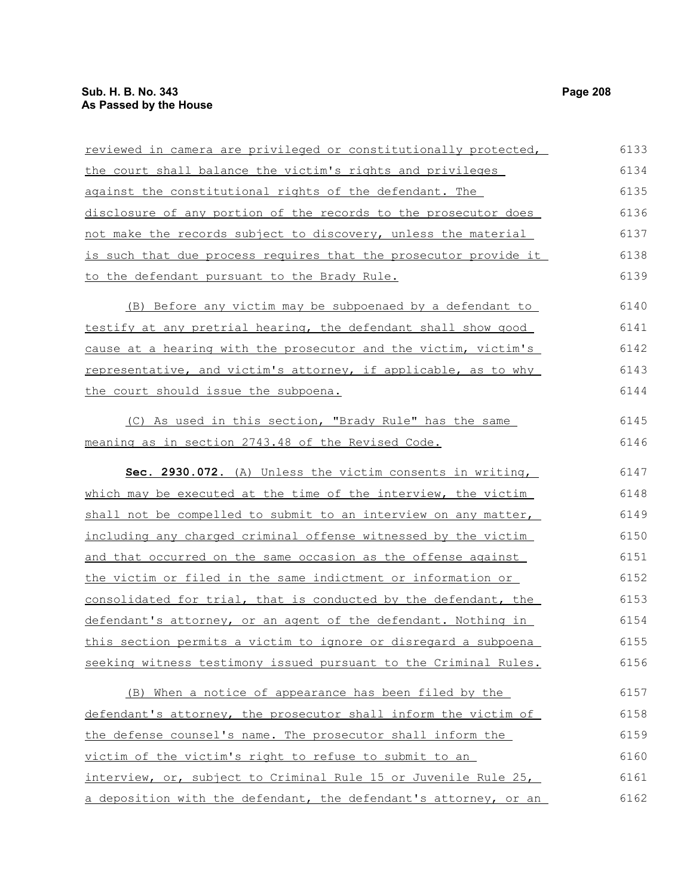| reviewed in camera are privileged or constitutionally protected,        | 6133 |
|-------------------------------------------------------------------------|------|
| the court shall balance the victim's rights and privileges              | 6134 |
| against the constitutional rights of the defendant. The                 | 6135 |
| disclosure of any portion of the records to the prosecutor does         | 6136 |
| not make the records subject to discovery, unless the material          | 6137 |
| <u>is such that due process requires that the prosecutor provide it</u> | 6138 |
| to the defendant pursuant to the Brady Rule.                            | 6139 |
| (B) Before any victim may be subpoenaed by a defendant to               | 6140 |
| testify at any pretrial hearing, the defendant shall show good          | 6141 |
| cause at a hearing with the prosecutor and the victim, victim's         | 6142 |
| representative, and victim's attorney, if applicable, as to why         | 6143 |
| the court should issue the subpoena.                                    | 6144 |
| (C) As used in this section, "Brady Rule" has the same                  | 6145 |
| meaning as in section 2743.48 of the Revised Code.                      | 6146 |
| Sec. 2930.072. (A) Unless the victim consents in writing,               | 6147 |
| which may be executed at the time of the interview, the victim          | 6148 |
| shall not be compelled to submit to an interview on any matter,         | 6149 |
| including any charged criminal offense witnessed by the victim          | 6150 |
| and that occurred on the same occasion as the offense against           | 6151 |
| the victim or filed in the same indictment or information or            | 6152 |
| consolidated for trial, that is conducted by the defendant, the         | 6153 |
| defendant's attorney, or an agent of the defendant. Nothing in          | 6154 |
| this section permits a victim to ignore or disregard a subpoena         | 6155 |
| seeking witness testimony issued pursuant to the Criminal Rules.        | 6156 |
| (B) When a notice of appearance has been filed by the                   | 6157 |
| defendant's attorney, the prosecutor shall inform the victim of         | 6158 |
| the defense counsel's name. The prosecutor shall inform the             | 6159 |
| victim of the victim's right to refuse to submit to an                  | 6160 |
| interview, or, subject to Criminal Rule 15 or Juvenile Rule 25,         | 6161 |
| a deposition with the defendant, the defendant's attorney, or an        | 6162 |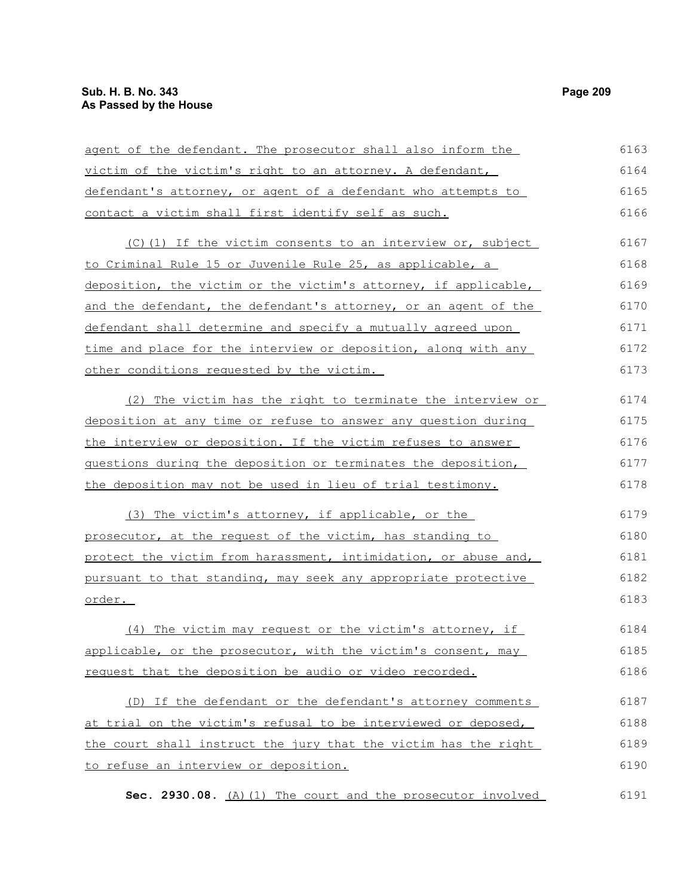| agent of the defendant. The prosecutor shall also inform the    | 6163 |
|-----------------------------------------------------------------|------|
| victim of the victim's right to an attorney. A defendant,       | 6164 |
| defendant's attorney, or agent of a defendant who attempts to   | 6165 |
| contact a victim shall first identify self as such.             | 6166 |
| (C)(1) If the victim consents to an interview or, subject       | 6167 |
| to Criminal Rule 15 or Juvenile Rule 25, as applicable, a       | 6168 |
| deposition, the victim or the victim's attorney, if applicable, | 6169 |
| and the defendant, the defendant's attorney, or an agent of the | 6170 |
| defendant shall determine and specify a mutually agreed upon    | 6171 |
| time and place for the interview or deposition, along with any  | 6172 |
| other conditions requested by the victim.                       | 6173 |
| (2) The victim has the right to terminate the interview or      | 6174 |
| deposition at any time or refuse to answer any question during  | 6175 |
| the interview or deposition. If the victim refuses to answer    | 6176 |
| questions during the deposition or terminates the deposition,   | 6177 |
| the deposition may not be used in lieu of trial testimony.      | 6178 |
| (3) The victim's attorney, if applicable, or the                | 6179 |
| prosecutor, at the request of the victim, has standing to       | 6180 |
| protect the victim from harassment, intimidation, or abuse and, | 6181 |
| pursuant to that standing, may seek any appropriate protective  | 6182 |
| <u>order.</u>                                                   | 6183 |
| (4) The victim may request or the victim's attorney, if         | 6184 |
| applicable, or the prosecutor, with the victim's consent, may   | 6185 |
| request that the deposition be audio or video recorded.         | 6186 |
| (D) If the defendant or the defendant's attorney comments       | 6187 |
| at trial on the victim's refusal to be interviewed or deposed,  | 6188 |
| the court shall instruct the jury that the victim has the right | 6189 |
| to refuse an interview or deposition.                           | 6190 |
| Sec. 2930.08. (A) (1) The court and the prosecutor involved     | 6191 |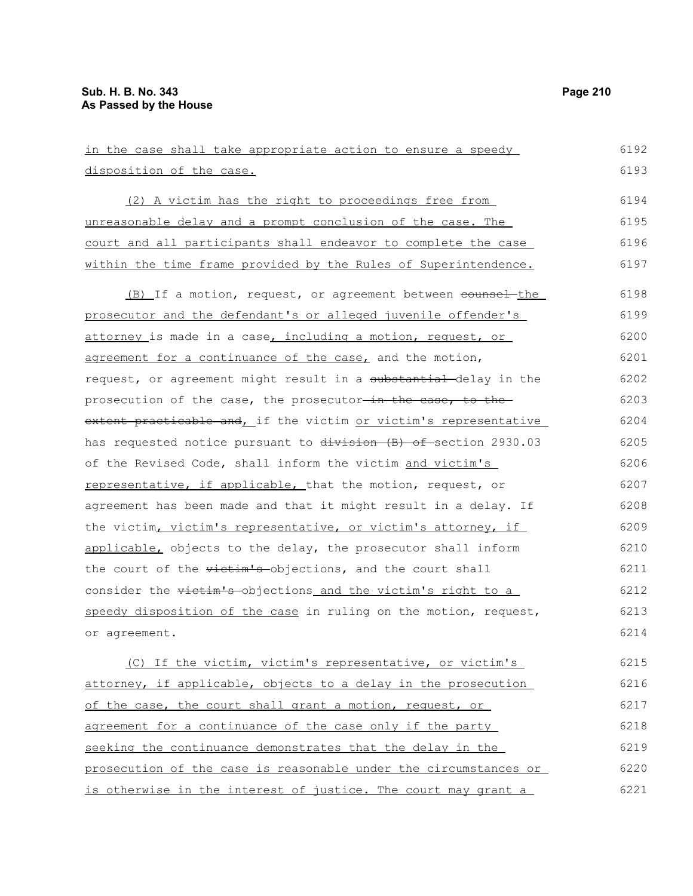| in the case shall take appropriate action to ensure a speedy     | 6192 |
|------------------------------------------------------------------|------|
| disposition of the case.                                         | 6193 |
|                                                                  |      |
| (2) A victim has the right to proceedings free from              | 6194 |
| unreasonable delay and a prompt conclusion of the case. The      | 6195 |
| court and all participants shall endeavor to complete the case   | 6196 |
| within the time frame provided by the Rules of Superintendence.  | 6197 |
| (B) If a motion, request, or agreement between counsel the       | 6198 |
| prosecutor and the defendant's or alleged juvenile offender's    | 6199 |
| attorney is made in a case, including a motion, request, or      | 6200 |
| agreement for a continuance of the case, and the motion,         | 6201 |
| request, or agreement might result in a substantial delay in the | 6202 |
| prosecution of the case, the prosecutor-in the case, to the-     | 6203 |
| extent practicable and, if the victim or victim's representative | 6204 |
| has requested notice pursuant to division (B) of section 2930.03 | 6205 |
| of the Revised Code, shall inform the victim and victim's        | 6206 |
| representative, if applicable, that the motion, request, or      | 6207 |
| agreement has been made and that it might result in a delay. If  | 6208 |
| the victim, victim's representative, or victim's attorney, if    | 6209 |
| applicable, objects to the delay, the prosecutor shall inform    | 6210 |
| the court of the victim's objections, and the court shall        | 6211 |
| consider the victim's objections and the victim's right to a     | 6212 |
| speedy disposition of the case in ruling on the motion, request, | 6213 |
| or agreement.                                                    | 6214 |
| (C) If the victim, victim's representative, or victim's          | 6215 |
| attorney, if applicable, objects to a delay in the prosecution   | 6216 |
| of the case, the court shall grant a motion, request, or         | 6217 |
| agreement for a continuance of the case only if the party        | 6218 |
| seeking the continuance demonstrates that the delay in the       | 6219 |
| prosecution of the case is reasonable under the circumstances or | 6220 |
|                                                                  |      |
| is otherwise in the interest of justice. The court may grant a   | 6221 |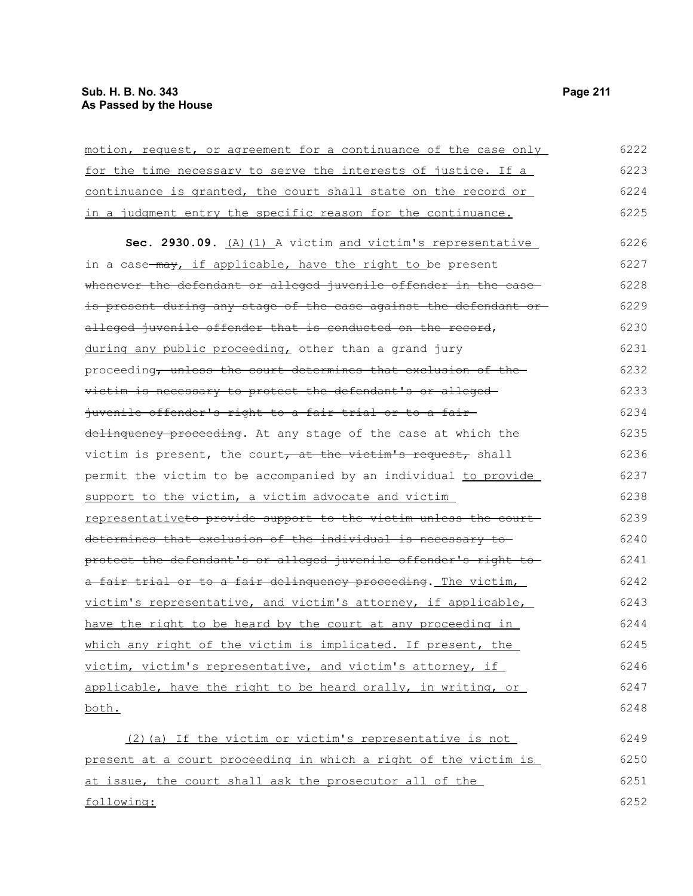following:

| motion, request, or agreement for a continuance of the case only  | 6222 |
|-------------------------------------------------------------------|------|
| for the time necessary to serve the interests of justice. If a    | 6223 |
| continuance is granted, the court shall state on the record or    | 6224 |
| in a judgment entry the specific reason for the continuance.      | 6225 |
| Sec. 2930.09. (A) (1) A victim and victim's representative        | 6226 |
| in a case may, if applicable, have the right to be present        | 6227 |
| whenever the defendant or alleged juvenile offender in the case-  | 6228 |
| is present during any stage of the case against the defendant or- | 6229 |
| alleged juvenile offender that is conducted on the record,        | 6230 |
| during any public proceeding, other than a grand jury             | 6231 |
| proceeding, unless the court determines that exclusion of the     | 6232 |
| victim is necessary to protect the defendant's or alleged-        | 6233 |
| juvenile offender's right to a fair trial or to a fair-           | 6234 |
| delinquency proceeding. At any stage of the case at which the     | 6235 |
| victim is present, the court, at the victim's request, shall      | 6236 |
| permit the victim to be accompanied by an individual to provide   | 6237 |
| support to the victim, a victim advocate and victim               | 6238 |
| representativeto provide support to the victim unless the court-  | 6239 |
| determines that exclusion of the individual is necessary to       | 6240 |
| protect the defendant's or alleged juvenile offender's right to   | 6241 |
| a fair trial or to a fair delinquency proceeding. The victim,     | 6242 |
| victim's representative, and victim's attorney, if applicable,    | 6243 |
| have the right to be heard by the court at any proceeding in      | 6244 |
| which any right of the victim is implicated. If present, the      | 6245 |
| victim, victim's representative, and victim's attorney, if        | 6246 |
| applicable, have the right to be heard orally, in writing, or     | 6247 |
| both.                                                             | 6248 |
| (2) (a) If the victim or victim's representative is not           | 6249 |
| present at a court proceeding in which a right of the victim is   | 6250 |

at issue, the court shall ask the prosecutor all of the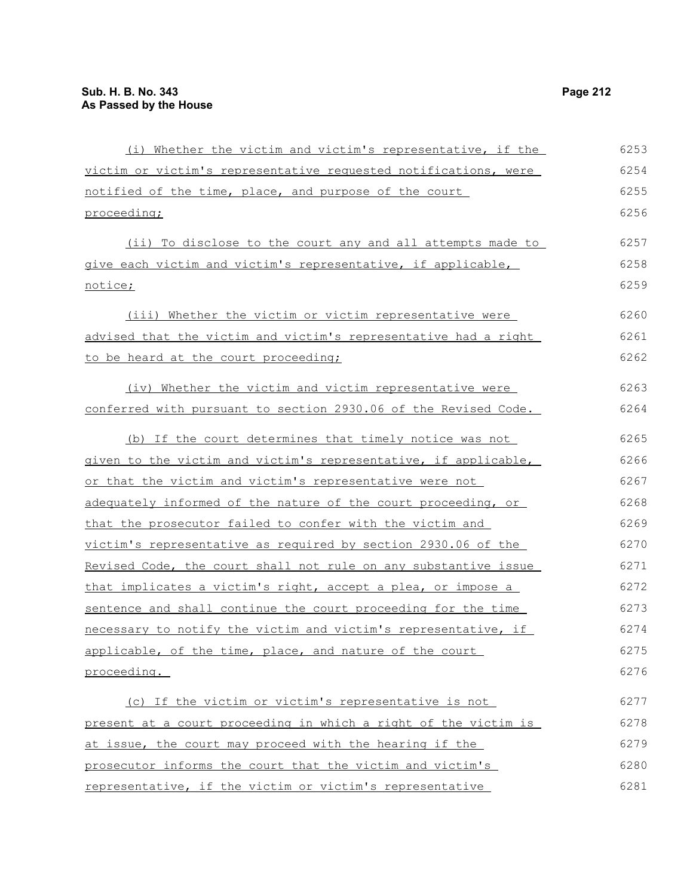| (i) Whether the victim and victim's representative, if the      | 6253 |
|-----------------------------------------------------------------|------|
| victim or victim's representative requested notifications, were | 6254 |
| notified of the time, place, and purpose of the court           | 6255 |
| <u>proceeding;</u>                                              | 6256 |
| (ii) To disclose to the court any and all attempts made to      | 6257 |
| give each victim and victim's representative, if applicable,    | 6258 |
| notice;                                                         | 6259 |
| (iii) Whether the victim or victim representative were          | 6260 |
| advised that the victim and victim's representative had a right | 6261 |
| to be heard at the court proceeding;                            | 6262 |
| (iv) Whether the victim and victim representative were          | 6263 |
| conferred with pursuant to section 2930.06 of the Revised Code. | 6264 |
| (b) If the court determines that timely notice was not          | 6265 |
| given to the victim and victim's representative, if applicable, | 6266 |
| or that the victim and victim's representative were not         | 6267 |
| adequately informed of the nature of the court proceeding, or   | 6268 |
| that the prosecutor failed to confer with the victim and        | 6269 |
| victim's representative as required by section 2930.06 of the   | 6270 |
| Revised Code, the court shall not rule on any substantive issue | 6271 |
| that implicates a victim's right, accept a plea, or impose a    | 6272 |
| sentence and shall continue the court proceeding for the time   | 6273 |
| necessary to notify the victim and victim's representative, if  | 6274 |
| applicable, of the time, place, and nature of the court         | 6275 |
| proceeding.                                                     | 6276 |
| (c) If the victim or victim's representative is not             | 6277 |
| present at a court proceeding in which a right of the victim is | 6278 |
| at issue, the court may proceed with the hearing if the         | 6279 |
| prosecutor informs the court that the victim and victim's       | 6280 |
| representative, if the victim or victim's representative        | 6281 |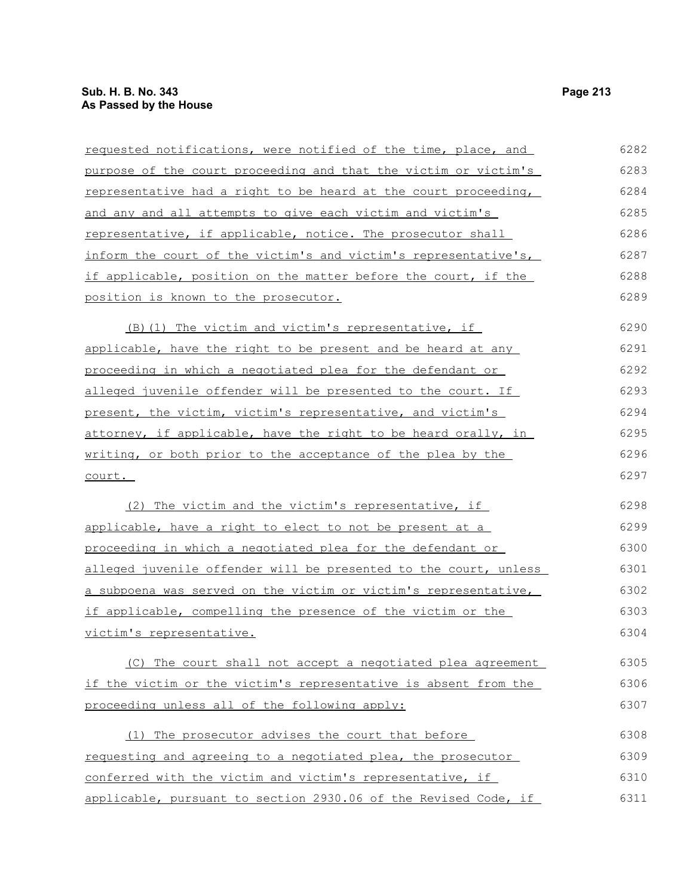| requested notifications, were notified of the time, place, and     | 6282 |
|--------------------------------------------------------------------|------|
| purpose of the court proceeding and that the victim or victim's    | 6283 |
| representative had a right to be heard at the court proceeding,    | 6284 |
| and any and all attempts to give each victim and victim's          | 6285 |
| representative, if applicable, notice. The prosecutor shall        | 6286 |
| inform the court of the victim's and victim's representative's,    | 6287 |
| if applicable, position on the matter before the court, if the     | 6288 |
| position is known to the prosecutor.                               | 6289 |
| (B) (1) The victim and victim's representative, if                 | 6290 |
| applicable, have the right to be present and be heard at any       | 6291 |
| proceeding in which a negotiated plea for the defendant or         | 6292 |
| alleged juvenile offender will be presented to the court. If       | 6293 |
| present, the victim, victim's representative, and victim's         | 6294 |
| attorney, if applicable, have the right to be heard orally, in     | 6295 |
| <u>writing, or both prior to the acceptance of the plea by the</u> | 6296 |
| court.                                                             | 6297 |
| (2) The victim and the victim's representative, if                 | 6298 |
| applicable, have a right to elect to not be present at a           | 6299 |
| proceeding in which a negotiated plea for the defendant or         | 6300 |
| alleged juvenile offender will be presented to the court, unless   | 6301 |
| a subpoena was served on the victim or victim's representative,    | 6302 |
| if applicable, compelling the presence of the victim or the        | 6303 |
| <u>victim's representative.</u>                                    | 6304 |
| (C) The court shall not accept a negotiated plea agreement         | 6305 |
| if the victim or the victim's representative is absent from the    | 6306 |
| proceeding unless all of the following apply:                      | 6307 |
| The prosecutor advises the court that before<br>(1)                | 6308 |
| requesting and agreeing to a negotiated plea, the prosecutor       | 6309 |
| conferred with the victim and victim's representative, if          | 6310 |
| applicable, pursuant to section 2930.06 of the Revised Code, if    | 6311 |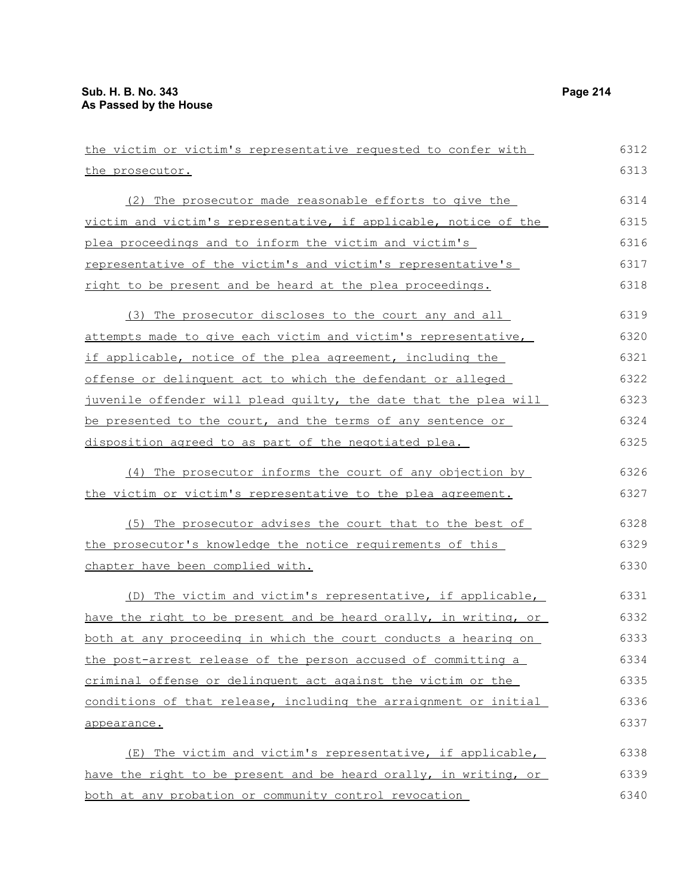| the victim or victim's representative requested to confer with   | 6312 |
|------------------------------------------------------------------|------|
| the prosecutor.                                                  | 6313 |
| (2) The prosecutor made reasonable efforts to give the           | 6314 |
| victim and victim's representative, if applicable, notice of the | 6315 |
| plea proceedings and to inform the victim and victim's           | 6316 |
| representative of the victim's and victim's representative's     | 6317 |
| right to be present and be heard at the plea proceedings.        | 6318 |
| (3) The prosecutor discloses to the court any and all            | 6319 |
| attempts made to give each victim and victim's representative,   | 6320 |
| if applicable, notice of the plea agreement, including the       | 6321 |
| offense or delinquent act to which the defendant or alleged      | 6322 |
| juvenile offender will plead quilty, the date that the plea will | 6323 |
| be presented to the court, and the terms of any sentence or      | 6324 |
| disposition agreed to as part of the negotiated plea.            | 6325 |
| (4) The prosecutor informs the court of any objection by         | 6326 |
| the victim or victim's representative to the plea agreement.     | 6327 |
| (5) The prosecutor advises the court that to the best of         | 6328 |
| the prosecutor's knowledge the notice requirements of this       | 6329 |
| chapter have been complied with.                                 | 6330 |
| (D) The victim and victim's representative, if applicable,       | 6331 |
| have the right to be present and be heard orally, in writing, or | 6332 |
| both at any proceeding in which the court conducts a hearing on  | 6333 |
| the post-arrest release of the person accused of committing a    | 6334 |
| criminal offense or delinquent act against the victim or the     | 6335 |
| conditions of that release, including the arraignment or initial | 6336 |
| appearance.                                                      | 6337 |
| (E) The victim and victim's representative, if applicable,       | 6338 |
| have the right to be present and be heard orally, in writing, or | 6339 |
| both at any probation or community control revocation            | 6340 |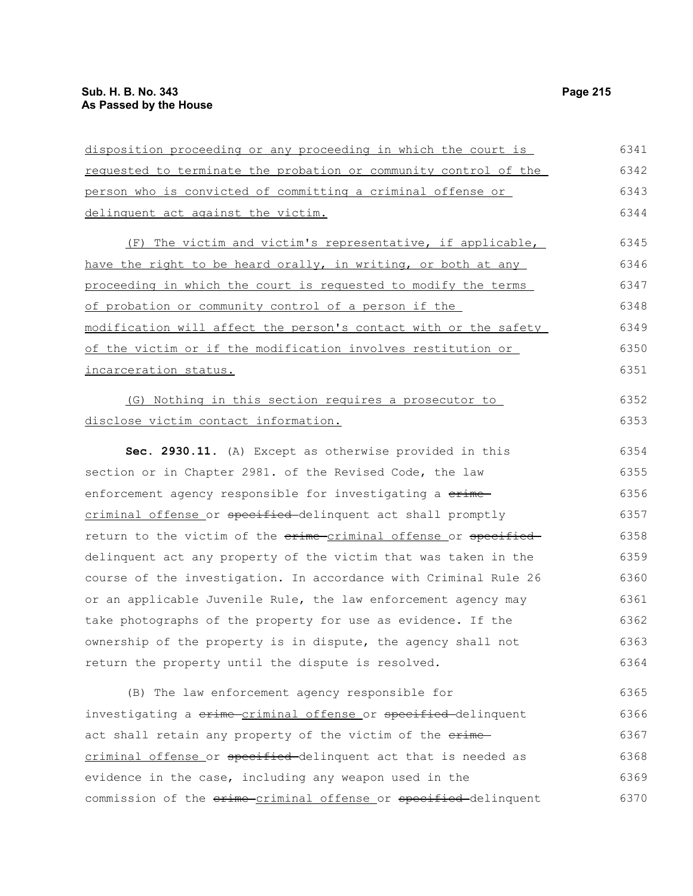| disposition proceeding or any proceeding in which the court is   | 6341 |
|------------------------------------------------------------------|------|
| requested to terminate the probation or community control of the | 6342 |
| person who is convicted of committing a criminal offense or      | 6343 |
| delinquent act against the victim.                               | 6344 |
| The victim and victim's representative, if applicable,<br>(F)    | 6345 |
| have the right to be heard orally, in writing, or both at any    | 6346 |
| proceeding in which the court is requested to modify the terms   | 6347 |
| of probation or community control of a person if the             | 6348 |
| modification will affect the person's contact with or the safety | 6349 |
| of the victim or if the modification involves restitution or     | 6350 |
| incarceration status.                                            | 6351 |
| (G) Nothing in this section requires a prosecutor to             | 6352 |
| disclose victim contact information.                             | 6353 |
| Sec. 2930.11. (A) Except as otherwise provided in this           | 6354 |
| section or in Chapter 2981. of the Revised Code, the law         | 6355 |
| enforcement agency responsible for investigating a erime         | 6356 |
| criminal offense or specified-delinquent act shall promptly      | 6357 |
| return to the victim of the erime-criminal offense or specified  | 6358 |
| delinquent act any property of the victim that was taken in the  | 6359 |
| course of the investigation. In accordance with Criminal Rule 26 | 6360 |
| or an applicable Juvenile Rule, the law enforcement agency may   | 6361 |
| take photographs of the property for use as evidence. If the     | 6362 |
| ownership of the property is in dispute, the agency shall not    | 6363 |
| return the property until the dispute is resolved.               | 6364 |
| (B) The law enforcement agency responsible for                   | 6365 |
| investigating a erime-criminal offense or specified-delinquent   | 6366 |
| act shall retain any property of the victim of the erime         | 6367 |
| criminal offense or specified-delinquent act that is needed as   | 6368 |
| evidence in the case, including any weapon used in the           | 6369 |

commission of the erime-criminal offense or specified-delinquent 6370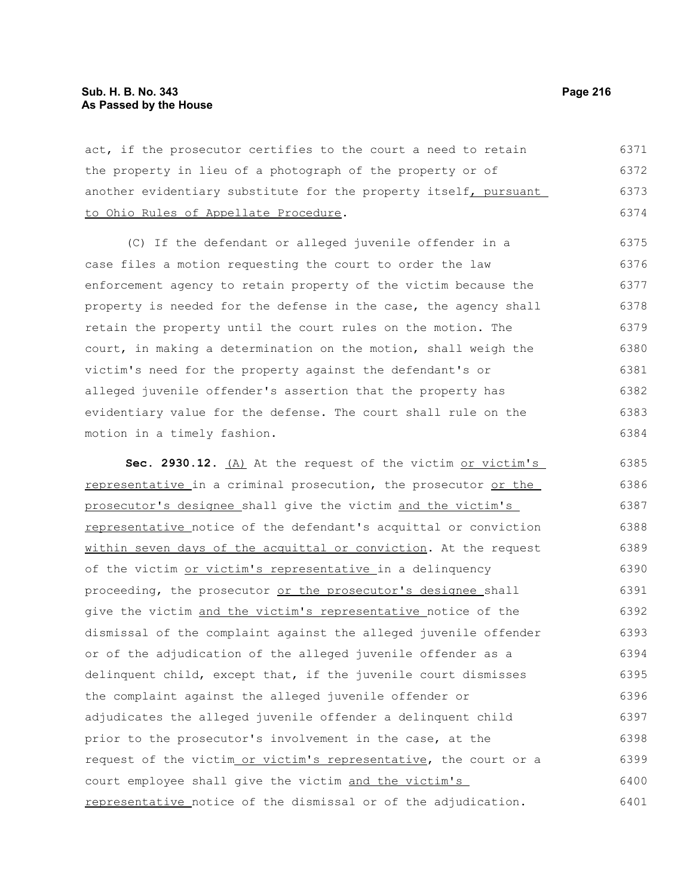act, if the prosecutor certifies to the court a need to retain the property in lieu of a photograph of the property or of another evidentiary substitute for the property itself, pursuant to Ohio Rules of Appellate Procedure. 6371 6372 6373 6374

(C) If the defendant or alleged juvenile offender in a case files a motion requesting the court to order the law enforcement agency to retain property of the victim because the property is needed for the defense in the case, the agency shall retain the property until the court rules on the motion. The court, in making a determination on the motion, shall weigh the victim's need for the property against the defendant's or alleged juvenile offender's assertion that the property has evidentiary value for the defense. The court shall rule on the motion in a timely fashion. 6375 6376 6377 6378 6379 6380 6381 6382 6383 6384

**Sec. 2930.12.** (A) At the request of the victim or victim's representative in a criminal prosecution, the prosecutor or the prosecutor's designee shall give the victim and the victim's representative notice of the defendant's acquittal or conviction within seven days of the acquittal or conviction. At the request of the victim or victim's representative in a delinquency proceeding, the prosecutor or the prosecutor's designee shall give the victim and the victim's representative notice of the dismissal of the complaint against the alleged juvenile offender or of the adjudication of the alleged juvenile offender as a delinquent child, except that, if the juvenile court dismisses the complaint against the alleged juvenile offender or adjudicates the alleged juvenile offender a delinquent child prior to the prosecutor's involvement in the case, at the request of the victim or victim's representative, the court or a court employee shall give the victim and the victim's representative notice of the dismissal or of the adjudication. 6385 6386 6387 6388 6389 6390 6391 6392 6393 6394 6395 6396 6397 6398 6399 6400 6401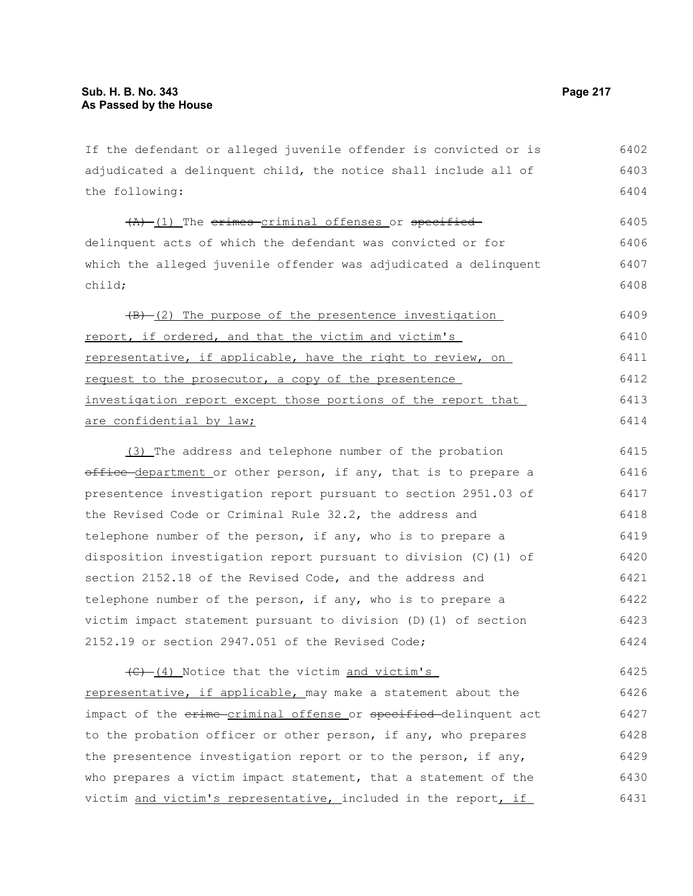If the defendant or alleged juvenile offender is convicted or is adjudicated a delinquent child, the notice shall include all of the following: 6402 6403 6404

(A) (1) The erimes criminal offenses or specified delinquent acts of which the defendant was convicted or for which the alleged juvenile offender was adjudicated a delinquent child; 6405 6406 6407 6408

(B) (2) The purpose of the presentence investigation report, if ordered, and that the victim and victim's representative, if applicable, have the right to review, on request to the prosecutor, a copy of the presentence investigation report except those portions of the report that are confidential by law; 6409 6410 6411 6412 6413 6414

(3) The address and telephone number of the probation office department or other person, if any, that is to prepare a presentence investigation report pursuant to section 2951.03 of the Revised Code or Criminal Rule 32.2, the address and telephone number of the person, if any, who is to prepare a disposition investigation report pursuant to division (C)(1) of section 2152.18 of the Revised Code, and the address and telephone number of the person, if any, who is to prepare a victim impact statement pursuant to division (D)(1) of section 2152.19 or section 2947.051 of the Revised Code; 6415 6416 6417 6418 6419 6420 6421 6422 6423 6424

 $\left(\frac{C}{C}\right)$  (4) Notice that the victim and victim's representative, if applicable, may make a statement about the impact of the erime criminal offense or specified delinquent act to the probation officer or other person, if any, who prepares the presentence investigation report or to the person, if any, who prepares a victim impact statement, that a statement of the victim and victim's representative, included in the report, if 6425 6426 6427 6428 6429 6430 6431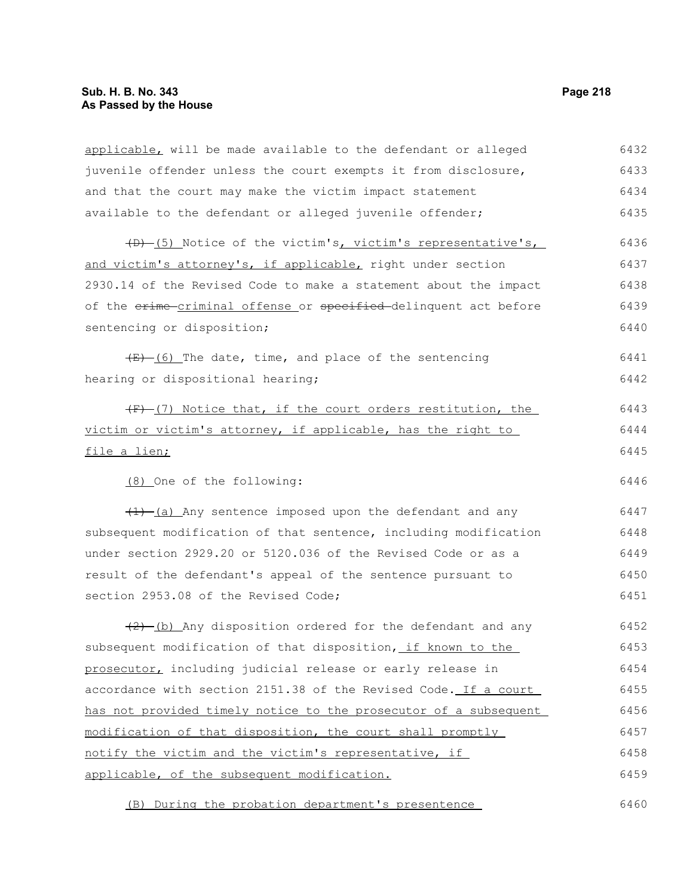| applicable, will be made available to the defendant or alleged     | 6432 |
|--------------------------------------------------------------------|------|
| juvenile offender unless the court exempts it from disclosure,     | 6433 |
| and that the court may make the victim impact statement            | 6434 |
| available to the defendant or alleged juvenile offender;           | 6435 |
| (D) (5) Notice of the victim's victim's representative's,          | 6436 |
| and victim's attorney's, if applicable, right under section        | 6437 |
| 2930.14 of the Revised Code to make a statement about the impact   | 6438 |
| of the erime-criminal offense or specified-delinquent act before   | 6439 |
| sentencing or disposition;                                         | 6440 |
| $\overline{(E) - (6)}$ The date, time, and place of the sentencing | 6441 |
| hearing or dispositional hearing;                                  | 6442 |
| (F) (7) Notice that, if the court orders restitution, the          | 6443 |
| victim or victim's attorney, if applicable, has the right to       | 6444 |
| file a lien;                                                       | 6445 |
| (8) One of the following:                                          | 6446 |
| (1) (a) Any sentence imposed upon the defendant and any            | 6447 |
| subsequent modification of that sentence, including modification   | 6448 |
| under section 2929.20 or 5120.036 of the Revised Code or as a      | 6449 |
| result of the defendant's appeal of the sentence pursuant to       | 6450 |
| section 2953.08 of the Revised Code;                               | 6451 |
| $(2)$ (b) Any disposition ordered for the defendant and any        | 6452 |
| subsequent modification of that disposition, if known to the       | 6453 |
| prosecutor, including judicial release or early release in         | 6454 |
| accordance with section 2151.38 of the Revised Code. If a court    | 6455 |
| has not provided timely notice to the prosecutor of a subsequent   | 6456 |
| modification of that disposition, the court shall promptly         | 6457 |
| notify the victim and the victim's representative, if              | 6458 |
| applicable, of the subsequent modification.                        | 6459 |
| (B) During the probation department's presentence                  | 6460 |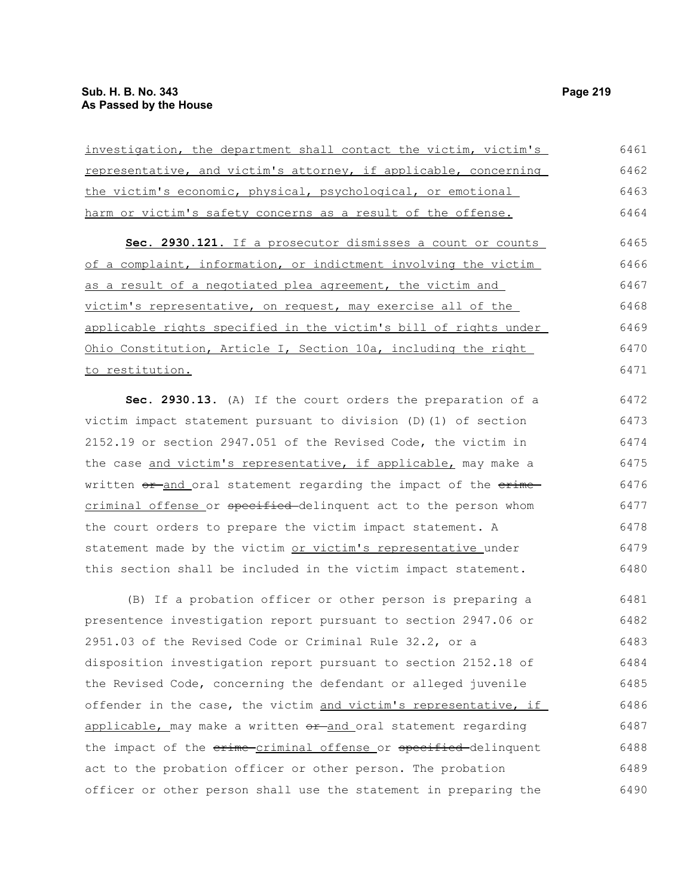| investigation, the department shall contact the victim, victim's | 6461 |
|------------------------------------------------------------------|------|
| representative, and victim's attorney, if applicable, concerning | 6462 |
| the victim's economic, physical, psychological, or emotional     | 6463 |
| harm or victim's safety concerns as a result of the offense.     | 6464 |

 **Sec. 2930.121.** If a prosecutor dismisses a count or counts of a complaint, information, or indictment involving the victim as a result of a negotiated plea agreement, the victim and victim's representative, on request, may exercise all of the applicable rights specified in the victim's bill of rights under Ohio Constitution, Article I, Section 10a, including the right to restitution. 6465 6466 6467 6468 6469 6470 6471

**Sec. 2930.13.** (A) If the court orders the preparation of a victim impact statement pursuant to division (D)(1) of section 2152.19 or section 2947.051 of the Revised Code, the victim in the case and victim's representative, if applicable, may make a written or and oral statement regarding the impact of the erime criminal offense or specified delinquent act to the person whom the court orders to prepare the victim impact statement. A statement made by the victim or victim's representative under this section shall be included in the victim impact statement. 6472 6473 6474 6475 6476 6477 6478 6479 6480

(B) If a probation officer or other person is preparing a presentence investigation report pursuant to section 2947.06 or 2951.03 of the Revised Code or Criminal Rule 32.2, or a disposition investigation report pursuant to section 2152.18 of the Revised Code, concerning the defendant or alleged juvenile offender in the case, the victim and victim's representative, if applicable, may make a written or and oral statement regarding the impact of the erime-criminal offense or specified-delinquent act to the probation officer or other person. The probation officer or other person shall use the statement in preparing the 6481 6482 6483 6484 6485 6486 6487 6488 6489 6490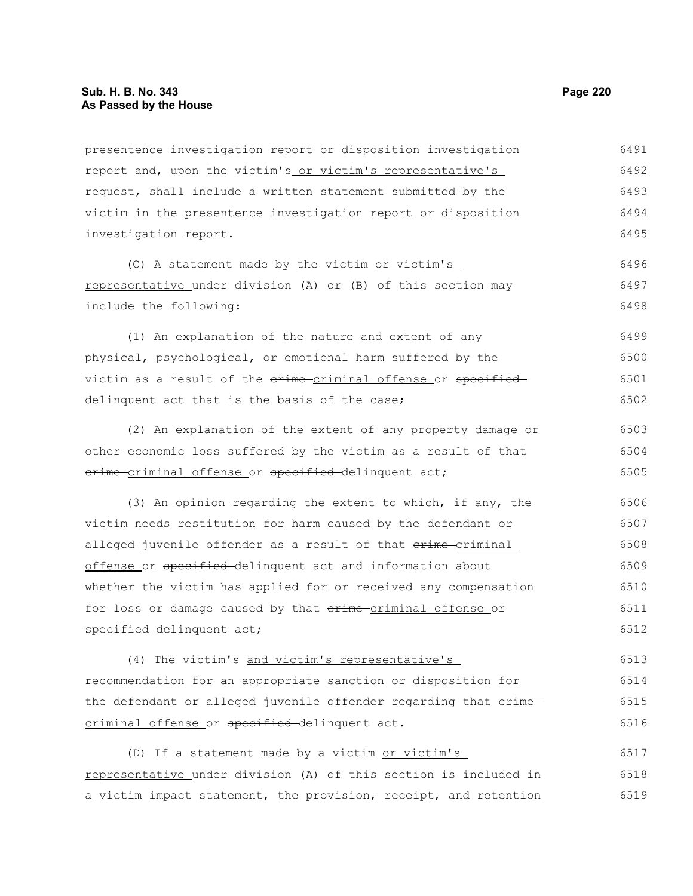presentence investigation report or disposition investigation report and, upon the victim's or victim's representative's request, shall include a written statement submitted by the victim in the presentence investigation report or disposition investigation report. (C) A statement made by the victim or victim's representative under division (A) or (B) of this section may include the following: (1) An explanation of the nature and extent of any physical, psychological, or emotional harm suffered by the victim as a result of the erime-criminal offense or specifieddelinquent act that is the basis of the case; (2) An explanation of the extent of any property damage or other economic loss suffered by the victim as a result of that erime criminal offense or specified delinquent act; (3) An opinion regarding the extent to which, if any, the victim needs restitution for harm caused by the defendant or alleged juvenile offender as a result of that erime-criminal offense or specified delinquent act and information about whether the victim has applied for or received any compensation for loss or damage caused by that erime-criminal offense or specified delinquent act; (4) The victim's and victim's representative's recommendation for an appropriate sanction or disposition for the defendant or alleged juvenile offender regarding that erimecriminal offense or specified-delinquent act. (D) If a statement made by a victim or victim's representative under division (A) of this section is included in 6491 6492 6493 6494 6495 6496 6497 6498 6499 6500 6501 6502 6503 6504 6505 6506 6507 6508 6509 6510 6511 6512 6513 6514 6515 6516 6517 6518

a victim impact statement, the provision, receipt, and retention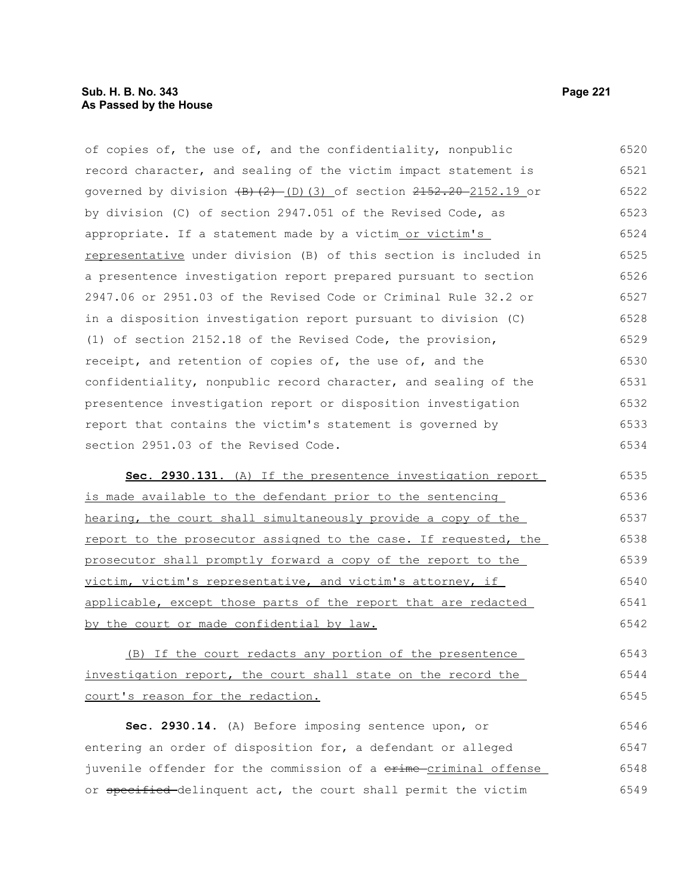section 2951.03 of the Revised Code.

of copies of, the use of, and the confidentiality, nonpublic record character, and sealing of the victim impact statement is governed by division  $\frac{1}{2}$  (D)(3) of section  $\frac{2152.20}{2152.19}$  or by division (C) of section 2947.051 of the Revised Code, as appropriate. If a statement made by a victim or victim's representative under division (B) of this section is included in a presentence investigation report prepared pursuant to section 2947.06 or 2951.03 of the Revised Code or Criminal Rule 32.2 or in a disposition investigation report pursuant to division (C) (1) of section 2152.18 of the Revised Code, the provision, receipt, and retention of copies of, the use of, and the confidentiality, nonpublic record character, and sealing of the presentence investigation report or disposition investigation report that contains the victim's statement is governed by 6520 6521 6522 6523 6524 6525 6526 6527 6528 6529 6530 6531 6532 6533

 **Sec. 2930.131.** (A) If the presentence investigation report is made available to the defendant prior to the sentencing hearing, the court shall simultaneously provide a copy of the report to the prosecutor assigned to the case. If requested, the prosecutor shall promptly forward a copy of the report to the victim, victim's representative, and victim's attorney, if applicable, except those parts of the report that are redacted by the court or made confidential by law. 6535 6536 6537 6538 6539 6540 6541 6542

(B) If the court redacts any portion of the presentence investigation report, the court shall state on the record the court's reason for the redaction. 6543 6544 6545

**Sec. 2930.14.** (A) Before imposing sentence upon, or entering an order of disposition for, a defendant or alleged juvenile offender for the commission of a erime-criminal offense or specified-delinquent act, the court shall permit the victim 6546 6547 6548 6549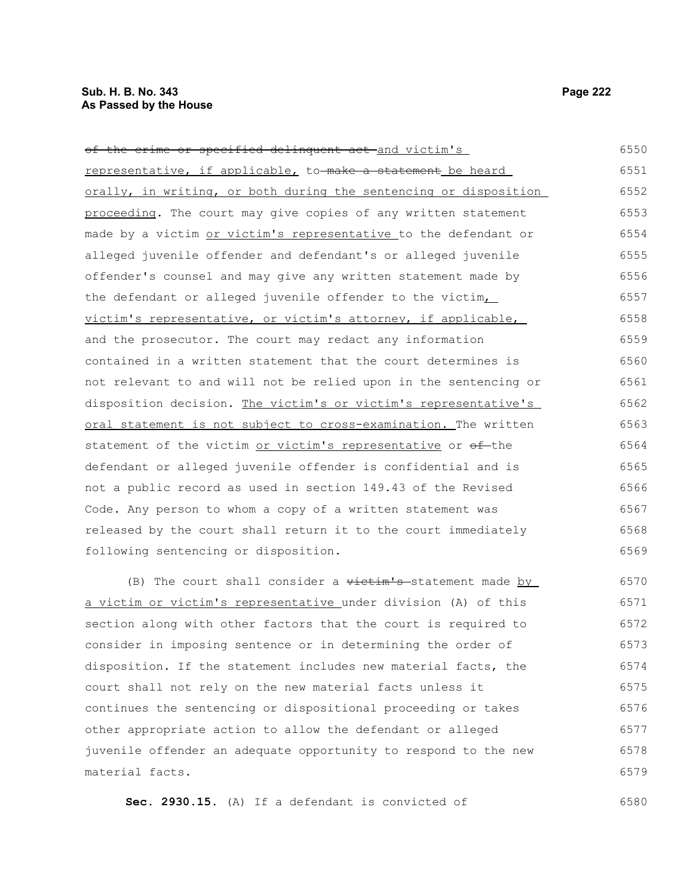of the crime or specified delinquent act and victim's representative, if applicable, to make a statement be heard orally, in writing, or both during the sentencing or disposition proceeding. The court may give copies of any written statement made by a victim or victim's representative to the defendant or alleged juvenile offender and defendant's or alleged juvenile offender's counsel and may give any written statement made by

the defendant or alleged juvenile offender to the victim victim's representative, or victim's attorney, if applicable, and the prosecutor. The court may redact any information contained in a written statement that the court determines is not relevant to and will not be relied upon in the sentencing or disposition decision. The victim's or victim's representative's oral statement is not subject to cross-examination. The written statement of the victim or victim's representative or of the defendant or alleged juvenile offender is confidential and is not a public record as used in section 149.43 of the Revised Code. Any person to whom a copy of a written statement was released by the court shall return it to the court immediately following sentencing or disposition. 6557 6558 6559 6560 6561 6562 6563 6564 6565 6566 6567 6568 6569

(B) The court shall consider a  $\overline{\text{vietim}}$ 's-statement made by a victim or victim's representative under division (A) of this section along with other factors that the court is required to consider in imposing sentence or in determining the order of disposition. If the statement includes new material facts, the court shall not rely on the new material facts unless it continues the sentencing or dispositional proceeding or takes other appropriate action to allow the defendant or alleged juvenile offender an adequate opportunity to respond to the new material facts. 6570 6571 6572 6573 6574 6575 6576 6577 6578 6579

**Sec. 2930.15.** (A) If a defendant is convicted of 6580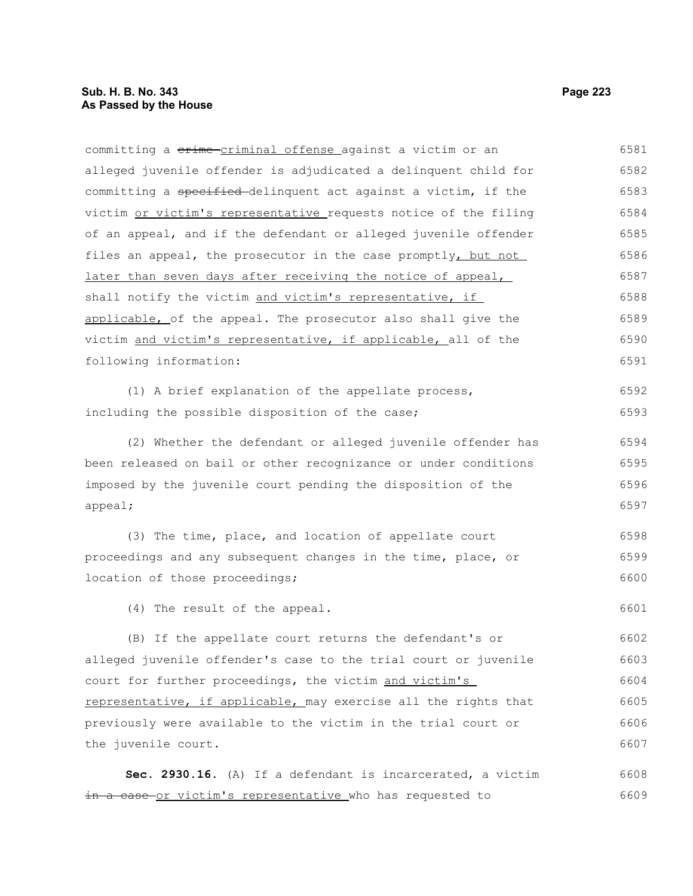## **Sub. H. B. No. 343 Page 223 As Passed by the House**

committing a crime-criminal offense against a victim or an alleged juvenile offender is adjudicated a delinquent child for committing a specified-delinquent act against a victim, if the victim or victim's representative requests notice of the filing of an appeal, and if the defendant or alleged juvenile offender files an appeal, the prosecutor in the case promptly, but not later than seven days after receiving the notice of appeal, shall notify the victim and victim's representative, if applicable, of the appeal. The prosecutor also shall give the victim and victim's representative, if applicable, all of the following information: (1) A brief explanation of the appellate process, including the possible disposition of the case; (2) Whether the defendant or alleged juvenile offender has been released on bail or other recognizance or under conditions imposed by the juvenile court pending the disposition of the appeal; (3) The time, place, and location of appellate court proceedings and any subsequent changes in the time, place, or location of those proceedings; (4) The result of the appeal. (B) If the appellate court returns the defendant's or alleged juvenile offender's case to the trial court or juvenile court for further proceedings, the victim and victim's representative, if applicable, may exercise all the rights that previously were available to the victim in the trial court or the juvenile court. **Sec. 2930.16.** (A) If a defendant is incarcerated, a victim in a case or victim's representative who has requested to 6581 6582 6583 6584 6585 6586 6587 6588 6589 6590 6591 6592 6593 6594 6595 6596 6597 6598 6599 6600 6601 6602 6603 6604 6605 6606 6607 6608 6609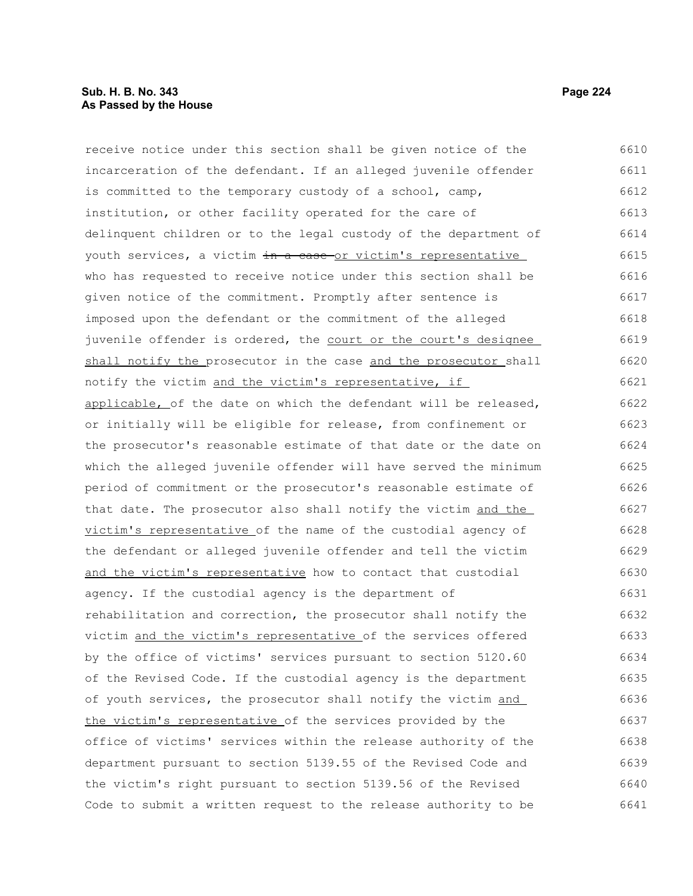# **Sub. H. B. No. 343 Page 224 As Passed by the House**

receive notice under this section shall be given notice of the incarceration of the defendant. If an alleged juvenile offender is committed to the temporary custody of a school, camp, institution, or other facility operated for the care of delinquent children or to the legal custody of the department of youth services, a victim in a case or victim's representative who has requested to receive notice under this section shall be given notice of the commitment. Promptly after sentence is imposed upon the defendant or the commitment of the alleged juvenile offender is ordered, the court or the court's designee shall notify the prosecutor in the case and the prosecutor shall notify the victim and the victim's representative, if applicable, of the date on which the defendant will be released, or initially will be eligible for release, from confinement or the prosecutor's reasonable estimate of that date or the date on which the alleged juvenile offender will have served the minimum period of commitment or the prosecutor's reasonable estimate of that date. The prosecutor also shall notify the victim and the victim's representative of the name of the custodial agency of the defendant or alleged juvenile offender and tell the victim and the victim's representative how to contact that custodial agency. If the custodial agency is the department of rehabilitation and correction, the prosecutor shall notify the victim and the victim's representative of the services offered by the office of victims' services pursuant to section 5120.60 of the Revised Code. If the custodial agency is the department of youth services, the prosecutor shall notify the victim and the victim's representative of the services provided by the office of victims' services within the release authority of the department pursuant to section 5139.55 of the Revised Code and the victim's right pursuant to section 5139.56 of the Revised Code to submit a written request to the release authority to be 6610 6611 6612 6613 6614 6615 6616 6617 6618 6619 6620 6621 6622 6623 6624 6625 6626 6627 6628 6629 6630 6631 6632 6633 6634 6635 6636 6637 6638 6639 6640 6641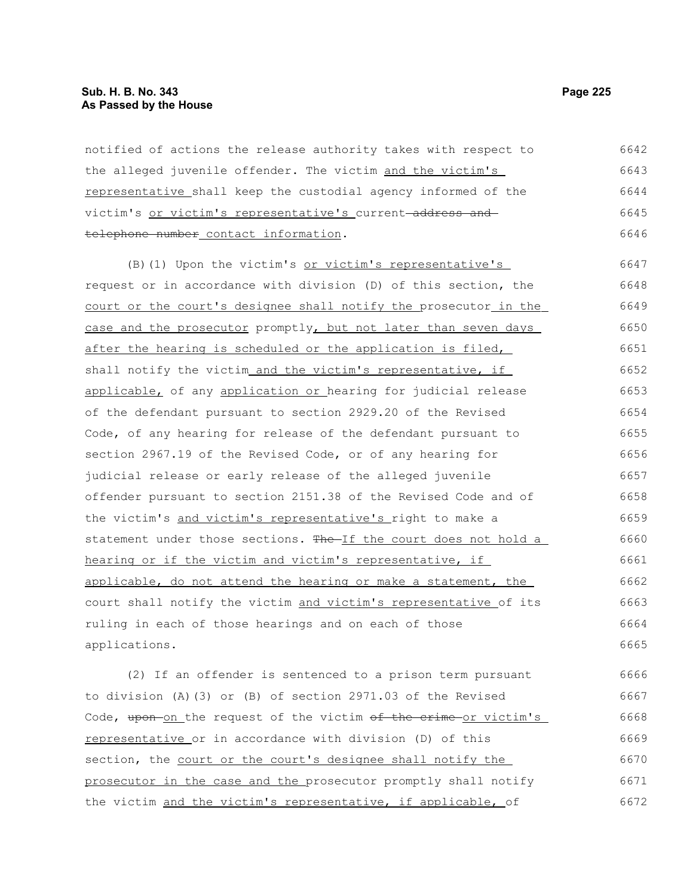#### **Sub. H. B. No. 343 Page 225 As Passed by the House**

notified of actions the release authority takes with respect to the alleged juvenile offender. The victim and the victim's representative shall keep the custodial agency informed of the victim's or victim's representative's current-address and telephone number contact information. 6642 6643 6644 6645 6646

(B)(1) Upon the victim's or victim's representative's request or in accordance with division (D) of this section, the court or the court's designee shall notify the prosecutor in the case and the prosecutor promptly, but not later than seven days after the hearing is scheduled or the application is filed, shall notify the victim and the victim's representative, if applicable, of any application or hearing for judicial release of the defendant pursuant to section 2929.20 of the Revised Code, of any hearing for release of the defendant pursuant to section 2967.19 of the Revised Code, or of any hearing for judicial release or early release of the alleged juvenile offender pursuant to section 2151.38 of the Revised Code and of the victim's and victim's representative's right to make a statement under those sections. The If the court does not hold a hearing or if the victim and victim's representative, if applicable, do not attend the hearing or make a statement, the court shall notify the victim and victim's representative of its ruling in each of those hearings and on each of those applications. 6647 6648 6649 6650 6651 6652 6653 6654 6655 6656 6657 6658 6659 6660 6661 6662 6663 6664 6665

(2) If an offender is sentenced to a prison term pursuant to division (A)(3) or (B) of section 2971.03 of the Revised Code, upon-on the request of the victim of the crime or victim's representative or in accordance with division (D) of this section, the court or the court's designee shall notify the prosecutor in the case and the prosecutor promptly shall notify the victim and the victim's representative, if applicable, of 6666 6667 6668 6669 6670 6671 6672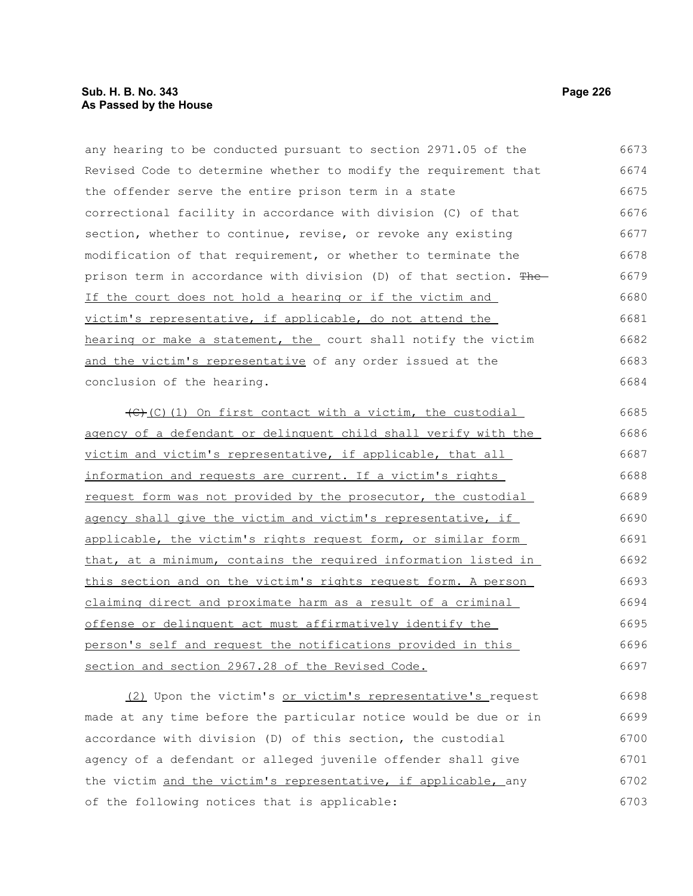# **Sub. H. B. No. 343 Page 226 As Passed by the House**

any hearing to be conducted pursuant to section 2971.05 of the Revised Code to determine whether to modify the requirement that the offender serve the entire prison term in a state correctional facility in accordance with division (C) of that section, whether to continue, revise, or revoke any existing modification of that requirement, or whether to terminate the prison term in accordance with division (D) of that section. The-If the court does not hold a hearing or if the victim and victim's representative, if applicable, do not attend the hearing or make a statement, the court shall notify the victim and the victim's representative of any order issued at the conclusion of the hearing.  $\left(\frac{1}{C}\right)$  (1) On first contact with a victim, the custodial agency of a defendant or delinquent child shall verify with the victim and victim's representative, if applicable, that all information and requests are current. If a victim's rights request form was not provided by the prosecutor, the custodial agency shall give the victim and victim's representative, if applicable, the victim's rights request form, or similar form that, at a minimum, contains the required information listed in this section and on the victim's rights request form. A person claiming direct and proximate harm as a result of a criminal offense or delinquent act must affirmatively identify the person's self and request the notifications provided in this section and section 2967.28 of the Revised Code. (2) Upon the victim's or victim's representative's request made at any time before the particular notice would be due or in 6673 6674 6675 6676 6677 6678 6679 6680 6681 6682 6683 6684 6685 6686 6687 6688 6689 6690 6691 6692 6693 6694 6695 6696 6697 6698 6699

accordance with division (D) of this section, the custodial agency of a defendant or alleged juvenile offender shall give the victim and the victim's representative, if applicable, any of the following notices that is applicable: 6700 6701 6702 6703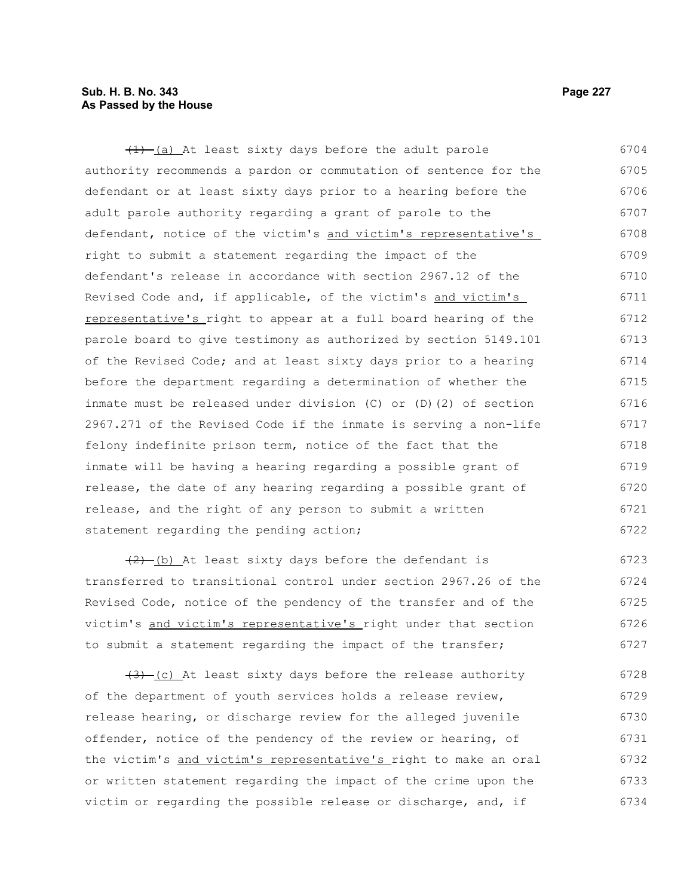# **Sub. H. B. No. 343 Page 227 As Passed by the House**

 $(1)$  (a) At least sixty days before the adult parole authority recommends a pardon or commutation of sentence for the defendant or at least sixty days prior to a hearing before the adult parole authority regarding a grant of parole to the defendant, notice of the victim's and victim's representative's right to submit a statement regarding the impact of the defendant's release in accordance with section 2967.12 of the Revised Code and, if applicable, of the victim's and victim's representative's right to appear at a full board hearing of the parole board to give testimony as authorized by section 5149.101 of the Revised Code; and at least sixty days prior to a hearing before the department regarding a determination of whether the inmate must be released under division (C) or (D)(2) of section 2967.271 of the Revised Code if the inmate is serving a non-life felony indefinite prison term, notice of the fact that the inmate will be having a hearing regarding a possible grant of release, the date of any hearing regarding a possible grant of release, and the right of any person to submit a written statement regarding the pending action; 6704 6705 6706 6707 6708 6709 6710 6711 6712 6713 6714 6715 6716 6717 6718 6719 6720 6721 6722

 $(2)$  (b) At least sixty days before the defendant is transferred to transitional control under section 2967.26 of the Revised Code, notice of the pendency of the transfer and of the victim's and victim's representative's right under that section to submit a statement regarding the impact of the transfer; 6723 6724 6725 6726 6727

(3) (c) At least sixty days before the release authority of the department of youth services holds a release review, release hearing, or discharge review for the alleged juvenile offender, notice of the pendency of the review or hearing, of the victim's and victim's representative's right to make an oral or written statement regarding the impact of the crime upon the victim or regarding the possible release or discharge, and, if 6728 6729 6730 6731 6732 6733 6734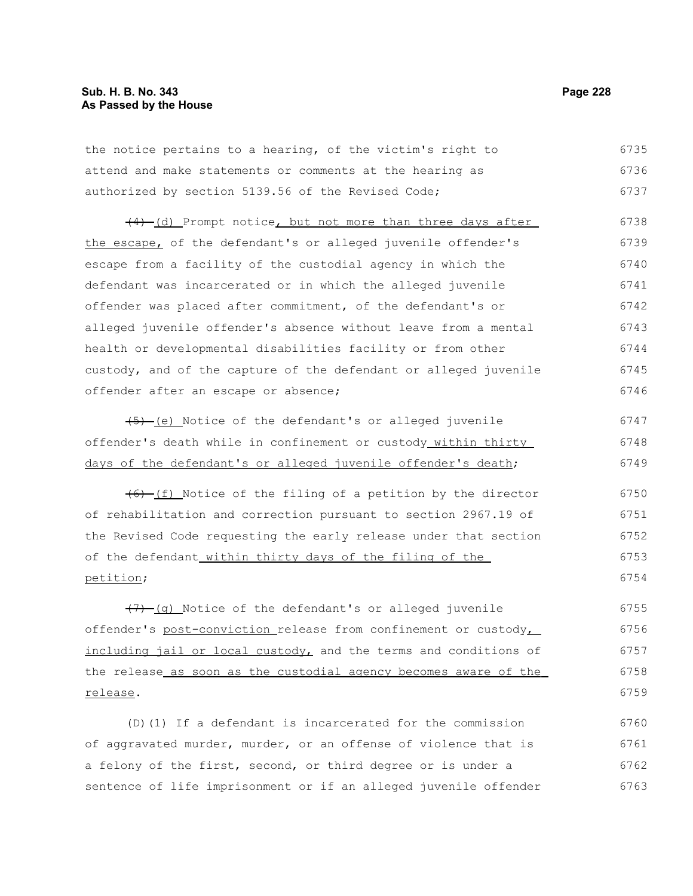attend and make statements or comments at the hearing as authorized by section 5139.56 of the Revised Code; (4) (d) Prompt notice, but not more than three days after the escape, of the defendant's or alleged juvenile offender's escape from a facility of the custodial agency in which the defendant was incarcerated or in which the alleged juvenile offender was placed after commitment, of the defendant's or alleged juvenile offender's absence without leave from a mental health or developmental disabilities facility or from other custody, and of the capture of the defendant or alleged juvenile offender after an escape or absence;  $(5)$  (e) Notice of the defendant's or alleged juvenile offender's death while in confinement or custody within thirty days of the defendant's or alleged juvenile offender's death;  $(6)$  (f) Notice of the filing of a petition by the director 6736 6737 6738 6739 6740 6741 6742 6743 6744 6745 6746 6747 6748 6749 6750

the notice pertains to a hearing, of the victim's right to

of rehabilitation and correction pursuant to section 2967.19 of the Revised Code requesting the early release under that section of the defendant within thirty days of the filing of the petition; 6751 6752 6753 6754

 $(7)$  (g) Notice of the defendant's or alleged juvenile offender's post-conviction release from confinement or custody, including jail or local custody, and the terms and conditions of the release as soon as the custodial agency becomes aware of the release. 6755 6756 6757 6758 6759

(D)(1) If a defendant is incarcerated for the commission of aggravated murder, murder, or an offense of violence that is a felony of the first, second, or third degree or is under a sentence of life imprisonment or if an alleged juvenile offender 6760 6761 6762 6763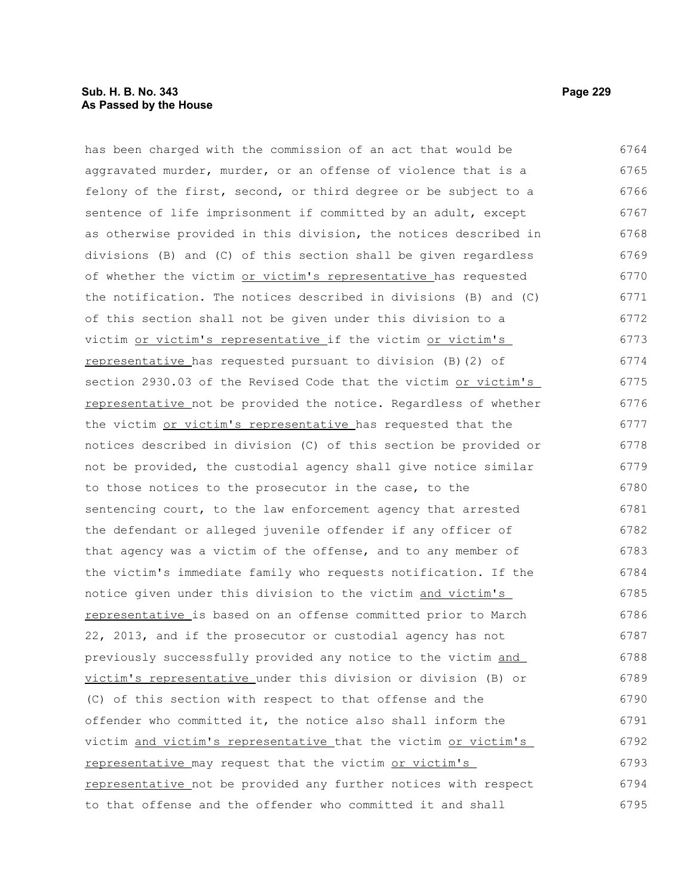# **Sub. H. B. No. 343** Page 229 **As Passed by the House**

has been charged with the commission of an act that would be aggravated murder, murder, or an offense of violence that is a felony of the first, second, or third degree or be subject to a sentence of life imprisonment if committed by an adult, except as otherwise provided in this division, the notices described in divisions (B) and (C) of this section shall be given regardless of whether the victim or victim's representative has requested the notification. The notices described in divisions (B) and (C) of this section shall not be given under this division to a victim or victim's representative if the victim or victim's representative has requested pursuant to division (B)(2) of section 2930.03 of the Revised Code that the victim or victim's representative not be provided the notice. Regardless of whether the victim or victim's representative has requested that the notices described in division (C) of this section be provided or not be provided, the custodial agency shall give notice similar to those notices to the prosecutor in the case, to the sentencing court, to the law enforcement agency that arrested the defendant or alleged juvenile offender if any officer of that agency was a victim of the offense, and to any member of the victim's immediate family who requests notification. If the notice given under this division to the victim and victim's representative is based on an offense committed prior to March 22, 2013, and if the prosecutor or custodial agency has not previously successfully provided any notice to the victim and victim's representative under this division or division (B) or (C) of this section with respect to that offense and the offender who committed it, the notice also shall inform the victim and victim's representative that the victim or victim's representative may request that the victim or victim's representative not be provided any further notices with respect to that offense and the offender who committed it and shall 6764 6765 6766 6767 6768 6769 6770 6771 6772 6773 6774 6775 6776 6777 6778 6779 6780 6781 6782 6783 6784 6785 6786 6787 6788 6789 6790 6791 6792 6793 6794 6795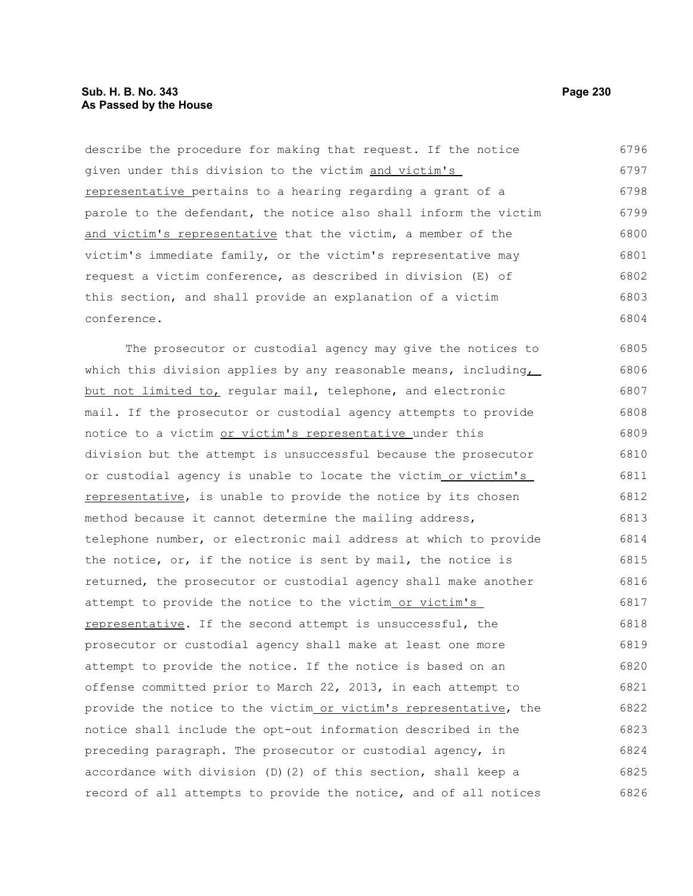# **Sub. H. B. No. 343 Page 230 As Passed by the House**

describe the procedure for making that request. If the notice given under this division to the victim and victim's representative pertains to a hearing regarding a grant of a parole to the defendant, the notice also shall inform the victim and victim's representative that the victim, a member of the victim's immediate family, or the victim's representative may request a victim conference, as described in division (E) of this section, and shall provide an explanation of a victim conference. The prosecutor or custodial agency may give the notices to which this division applies by any reasonable means, including, but not limited to, regular mail, telephone, and electronic mail. If the prosecutor or custodial agency attempts to provide notice to a victim or victim's representative under this division but the attempt is unsuccessful because the prosecutor or custodial agency is unable to locate the victim or victim's representative, is unable to provide the notice by its chosen method because it cannot determine the mailing address, telephone number, or electronic mail address at which to provide the notice, or, if the notice is sent by mail, the notice is returned, the prosecutor or custodial agency shall make another attempt to provide the notice to the victim or victim's representative. If the second attempt is unsuccessful, the prosecutor or custodial agency shall make at least one more attempt to provide the notice. If the notice is based on an offense committed prior to March 22, 2013, in each attempt to provide the notice to the victim or victim's representative, the notice shall include the opt-out information described in the preceding paragraph. The prosecutor or custodial agency, in 6796 6797 6798 6799 6800 6801 6802 6803 6804 6805 6806 6807 6808 6809 6810 6811 6812 6813 6814 6815 6816 6817 6818 6819 6820 6821 6822 6823 6824

accordance with division (D)(2) of this section, shall keep a

record of all attempts to provide the notice, and of all notices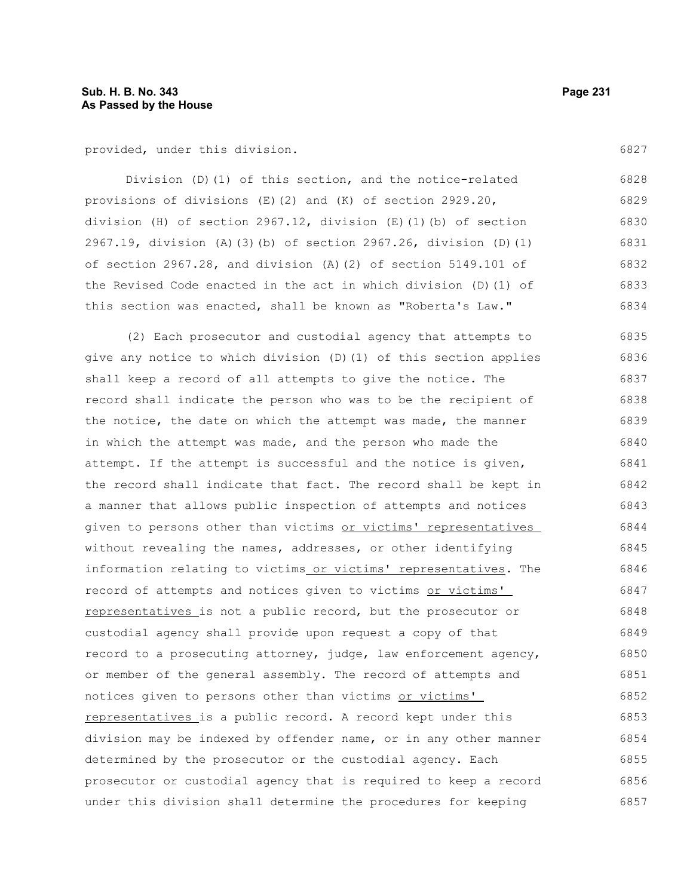provided, under this division.

Division (D)(1) of this section, and the notice-related provisions of divisions (E)(2) and (K) of section 2929.20, division (H) of section 2967.12, division (E)(1)(b) of section 2967.19, division (A)(3)(b) of section 2967.26, division (D)(1) of section 2967.28, and division (A)(2) of section 5149.101 of the Revised Code enacted in the act in which division (D)(1) of this section was enacted, shall be known as "Roberta's Law." 6828 6829 6830 6831 6832 6833 6834

(2) Each prosecutor and custodial agency that attempts to give any notice to which division (D)(1) of this section applies shall keep a record of all attempts to give the notice. The record shall indicate the person who was to be the recipient of the notice, the date on which the attempt was made, the manner in which the attempt was made, and the person who made the attempt. If the attempt is successful and the notice is given, the record shall indicate that fact. The record shall be kept in a manner that allows public inspection of attempts and notices given to persons other than victims or victims' representatives without revealing the names, addresses, or other identifying information relating to victims or victims' representatives. The record of attempts and notices given to victims or victims' representatives is not a public record, but the prosecutor or custodial agency shall provide upon request a copy of that record to a prosecuting attorney, judge, law enforcement agency, or member of the general assembly. The record of attempts and notices given to persons other than victims or victims' representatives is a public record. A record kept under this division may be indexed by offender name, or in any other manner determined by the prosecutor or the custodial agency. Each prosecutor or custodial agency that is required to keep a record under this division shall determine the procedures for keeping 6835 6836 6837 6838 6839 6840 6841 6842 6843 6844 6845 6846 6847 6848 6849 6850 6851 6852 6853 6854 6855 6856 6857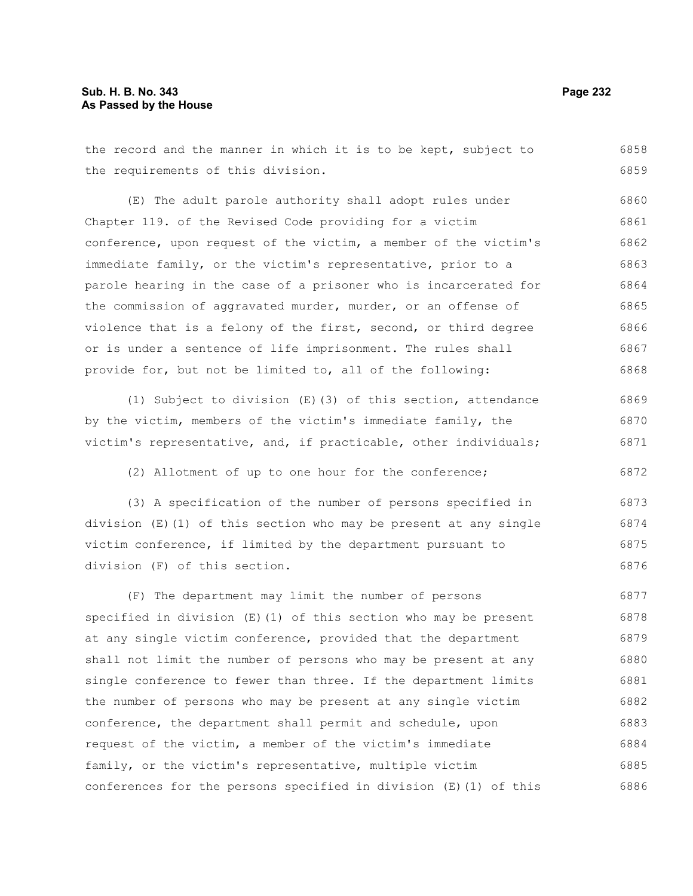| the record and the manner in which it is to be kept, subject to    | 6858 |
|--------------------------------------------------------------------|------|
| the requirements of this division.                                 | 6859 |
| (E) The adult parole authority shall adopt rules under             | 6860 |
| Chapter 119. of the Revised Code providing for a victim            | 6861 |
| conference, upon request of the victim, a member of the victim's   | 6862 |
| immediate family, or the victim's representative, prior to a       | 6863 |
| parole hearing in the case of a prisoner who is incarcerated for   | 6864 |
| the commission of aggravated murder, murder, or an offense of      | 6865 |
| violence that is a felony of the first, second, or third degree    | 6866 |
| or is under a sentence of life imprisonment. The rules shall       | 6867 |
| provide for, but not be limited to, all of the following:          | 6868 |
| (1) Subject to division $(E)(3)$ of this section, attendance       | 6869 |
| by the victim, members of the victim's immediate family, the       | 6870 |
| victim's representative, and, if practicable, other individuals;   | 6871 |
| (2) Allotment of up to one hour for the conference;                | 6872 |
| (3) A specification of the number of persons specified in          | 6873 |
| division (E)(1) of this section who may be present at any single   | 6874 |
| victim conference, if limited by the department pursuant to        | 6875 |
| division (F) of this section.                                      | 6876 |
| (F) The department may limit the number of persons                 | 6877 |
| specified in division $(E)$ (1) of this section who may be present | 6878 |
| at any single victim conference, provided that the department      | 6879 |
| shall not limit the number of persons who may be present at any    | 6880 |
| single conference to fewer than three. If the department limits    | 6881 |
| the number of persons who may be present at any single victim      | 6882 |
| conference, the department shall permit and schedule, upon         | 6883 |
| request of the victim, a member of the victim's immediate          | 6884 |
| family, or the victim's representative, multiple victim            | 6885 |
| conferences for the persons specified in division (E) (1) of this  | 6886 |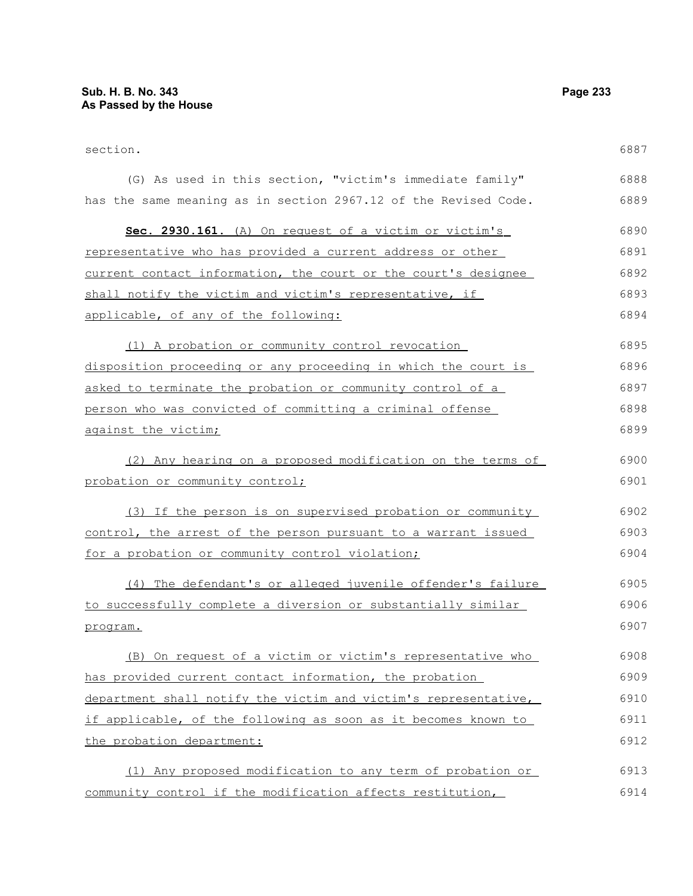section. (G) As used in this section, "victim's immediate family" has the same meaning as in section 2967.12 of the Revised Code. **Sec. 2930.161.** (A) On request of a victim or victim's representative who has provided a current address or other current contact information, the court or the court's designee shall notify the victim and victim's representative, if applicable, of any of the following: (1) A probation or community control revocation disposition proceeding or any proceeding in which the court is asked to terminate the probation or community control of a person who was convicted of committing a criminal offense against the victim; (2) Any hearing on a proposed modification on the terms of probation or community control; (3) If the person is on supervised probation or community control, the arrest of the person pursuant to a warrant issued for a probation or community control violation; (4) The defendant's or alleged juvenile offender's failure to successfully complete a diversion or substantially similar program. (B) On request of a victim or victim's representative who has provided current contact information, the probation department shall notify the victim and victim's representative, if applicable, of the following as soon as it becomes known to the probation department: (1) Any proposed modification to any term of probation or 6887 6888 6889 6890 6891 6892 6893 6894 6895 6896 6897 6898 6899 6900 6901 6902 6903 6904 6905 6906 6907 6908 6909 6910 6911 6912 6913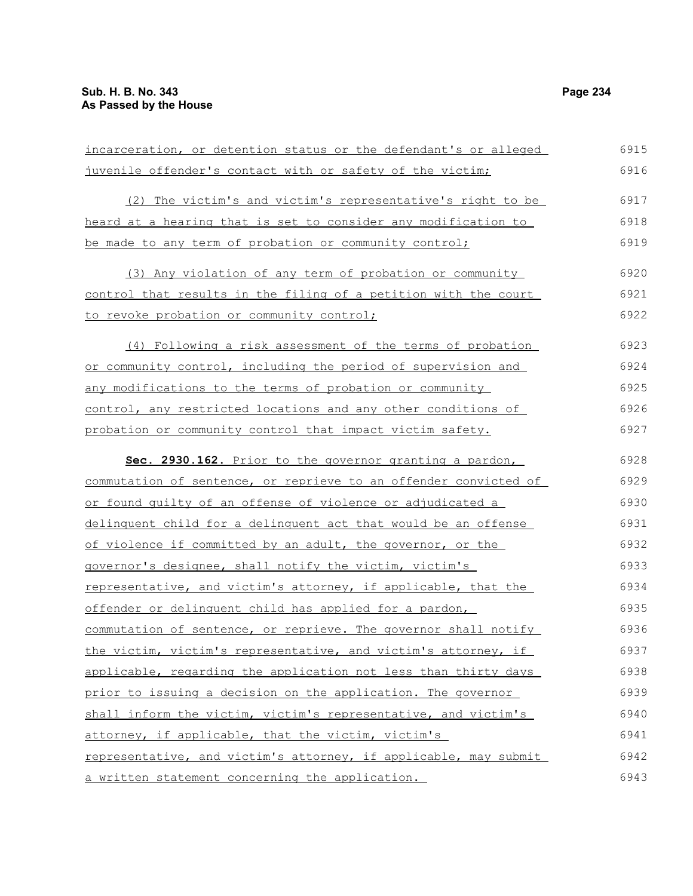| incarceration, or detention status or the defendant's or alleged | 6915 |
|------------------------------------------------------------------|------|
| juvenile offender's contact with or safety of the victim;        | 6916 |
| (2) The victim's and victim's representative's right to be       | 6917 |
| heard at a hearing that is set to consider any modification to   | 6918 |
| be made to any term of probation or community control;           | 6919 |
| (3) Any violation of any term of probation or community          | 6920 |
| control that results in the filing of a petition with the court  | 6921 |
| to revoke probation or community control;                        | 6922 |
| (4) Following a risk assessment of the terms of probation        | 6923 |
| or community control, including the period of supervision and    | 6924 |
| any modifications to the terms of probation or community         | 6925 |
| control, any restricted locations and any other conditions of    | 6926 |
| probation or community control that impact victim safety.        | 6927 |
| Sec. 2930.162. Prior to the governor granting a pardon,          | 6928 |
| commutation of sentence, or reprieve to an offender convicted of | 6929 |
| or found quilty of an offense of violence or adjudicated a       | 6930 |
| delinquent child for a delinquent act that would be an offense   | 6931 |
| of violence if committed by an adult, the governor, or the       | 6932 |
| governor's designee, shall notify the victim, victim's           | 6933 |
| representative, and victim's attorney, if applicable, that the   | 6934 |
| offender or delinquent child has applied for a pardon,           | 6935 |
| commutation of sentence, or reprieve. The governor shall notify  | 6936 |
| the victim, victim's representative, and victim's attorney, if   | 6937 |
| applicable, regarding the application not less than thirty days  | 6938 |
| prior to issuing a decision on the application. The governor     | 6939 |
| shall inform the victim, victim's representative, and victim's   | 6940 |
| attorney, if applicable, that the victim, victim's               | 6941 |
| representative, and victim's attorney, if applicable, may submit | 6942 |
| a written statement concerning the application.                  | 6943 |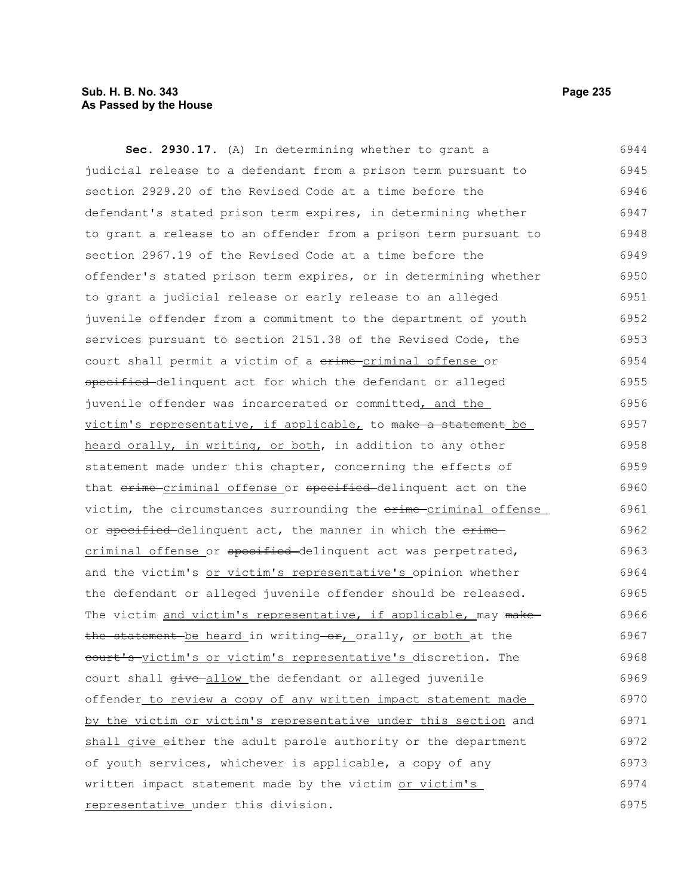# **Sub. H. B. No. 343 Page 235 As Passed by the House**

**Sec. 2930.17.** (A) In determining whether to grant a judicial release to a defendant from a prison term pursuant to section 2929.20 of the Revised Code at a time before the defendant's stated prison term expires, in determining whether to grant a release to an offender from a prison term pursuant to section 2967.19 of the Revised Code at a time before the offender's stated prison term expires, or in determining whether to grant a judicial release or early release to an alleged juvenile offender from a commitment to the department of youth services pursuant to section 2151.38 of the Revised Code, the court shall permit a victim of a erime-criminal offense or specified delinquent act for which the defendant or alleged juvenile offender was incarcerated or committed, and the victim's representative, if applicable, to make a statement be heard orally, in writing, or both, in addition to any other statement made under this chapter, concerning the effects of that erime criminal offense or specified delinquent act on the victim, the circumstances surrounding the erime-criminal offense or specified-delinquent act, the manner in which the erimecriminal offense or specified delinquent act was perpetrated, and the victim's or victim's representative's opinion whether the defendant or alleged juvenile offender should be released. The victim and victim's representative, if applicable, may make the statement-be heard in writing-or, orally, or both at the eourt's victim's or victim's representative's discretion. The court shall  $\frac{div}{div}$ -allow the defendant or alleged juvenile offender to review a copy of any written impact statement made by the victim or victim's representative under this section and shall give either the adult parole authority or the department of youth services, whichever is applicable, a copy of any written impact statement made by the victim or victim's representative under this division. 6944 6945 6946 6947 6948 6949 6950 6951 6952 6953 6954 6955 6956 6957 6958 6959 6960 6961 6962 6963 6964 6965 6966 6967 6968 6969 6970 6971 6972 6973 6974 6975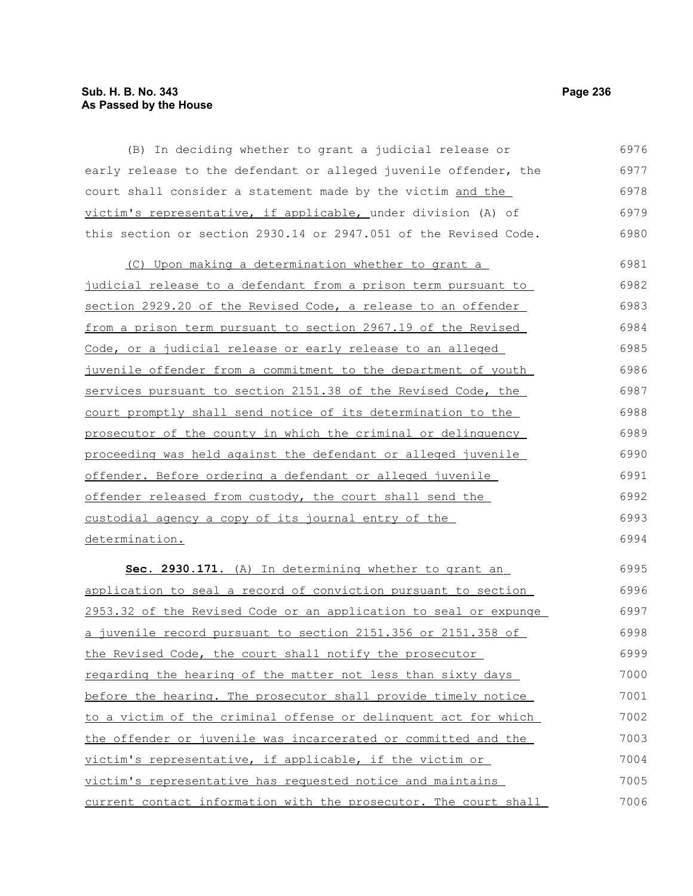# **Sub. H. B. No. 343 Page 236 As Passed by the House**

(B) In deciding whether to grant a judicial release or early release to the defendant or alleged juvenile offender, the court shall consider a statement made by the victim and the victim's representative, if applicable, under division (A) of this section or section 2930.14 or 2947.051 of the Revised Code. 6976 6977 6978 6979 6980

(C) Upon making a determination whether to grant a judicial release to a defendant from a prison term pursuant to section 2929.20 of the Revised Code, a release to an offender from a prison term pursuant to section 2967.19 of the Revised Code, or a judicial release or early release to an alleged juvenile offender from a commitment to the department of youth services pursuant to section 2151.38 of the Revised Code, the court promptly shall send notice of its determination to the prosecutor of the county in which the criminal or delinquency proceeding was held against the defendant or alleged juvenile offender. Before ordering a defendant or alleged juvenile offender released from custody, the court shall send the custodial agency a copy of its journal entry of the determination. 6981 6982 6983 6984 6985 6986 6987 6988 6989 6990 6991 6992 6993 6994

 **Sec. 2930.171.** (A) In determining whether to grant an application to seal a record of conviction pursuant to section 2953.32 of the Revised Code or an application to seal or expunge a juvenile record pursuant to section 2151.356 or 2151.358 of the Revised Code, the court shall notify the prosecutor regarding the hearing of the matter not less than sixty days before the hearing. The prosecutor shall provide timely notice to a victim of the criminal offense or delinquent act for which the offender or juvenile was incarcerated or committed and the victim's representative, if applicable, if the victim or victim's representative has requested notice and maintains current contact information with the prosecutor. The court shall 6995 6996 6997 6998 6999 7000 7001 7002 7003 7004 7005 7006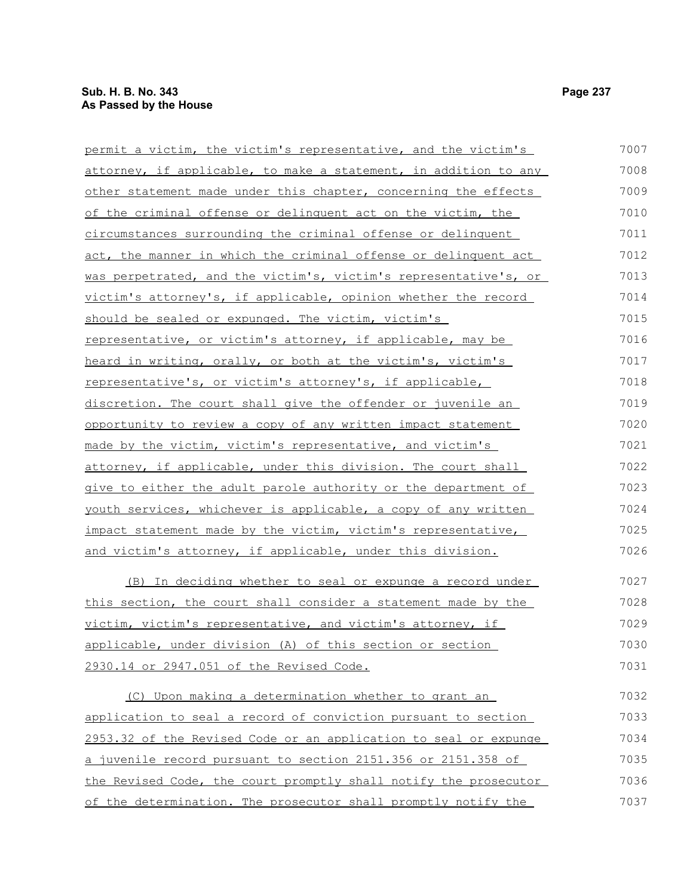| permit a victim, the victim's representative, and the victim's   | 7007 |
|------------------------------------------------------------------|------|
| attorney, if applicable, to make a statement, in addition to any | 7008 |
| other statement made under this chapter, concerning the effects  | 7009 |
| of the criminal offense or delinquent act on the victim, the     | 7010 |
| circumstances surrounding the criminal offense or delinquent     | 7011 |
| act, the manner in which the criminal offense or delinquent act  | 7012 |
| was perpetrated, and the victim's, victim's representative's, or | 7013 |
| victim's attorney's, if applicable, opinion whether the record   | 7014 |
| should be sealed or expunged. The victim, victim's               | 7015 |
| representative, or victim's attorney, if applicable, may be      | 7016 |
| heard in writing, orally, or both at the victim's, victim's      | 7017 |
| representative's, or victim's attorney's, if applicable,         | 7018 |
| discretion. The court shall give the offender or juvenile an     | 7019 |
| opportunity to review a copy of any written impact statement     | 7020 |
| made by the victim, victim's representative, and victim's        | 7021 |
| attorney, if applicable, under this division. The court shall    | 7022 |
| give to either the adult parole authority or the department of   | 7023 |
| youth services, whichever is applicable, a copy of any written   | 7024 |
| impact statement made by the victim, victim's representative,    | 7025 |
| and victim's attorney, if applicable, under this division.       | 7026 |
| (B) In deciding whether to seal or expunge a record under        | 7027 |

this section, the court shall consider a statement made by the victim, victim's representative, and victim's attorney, if applicable, under division (A) of this section or section 2930.14 or 2947.051 of the Revised Code. 7028 7029 7030 7031

(C) Upon making a determination whether to grant an application to seal a record of conviction pursuant to section 2953.32 of the Revised Code or an application to seal or expunge a juvenile record pursuant to section 2151.356 or 2151.358 of the Revised Code, the court promptly shall notify the prosecutor of the determination. The prosecutor shall promptly notify the 7032 7033 7034 7035 7036 7037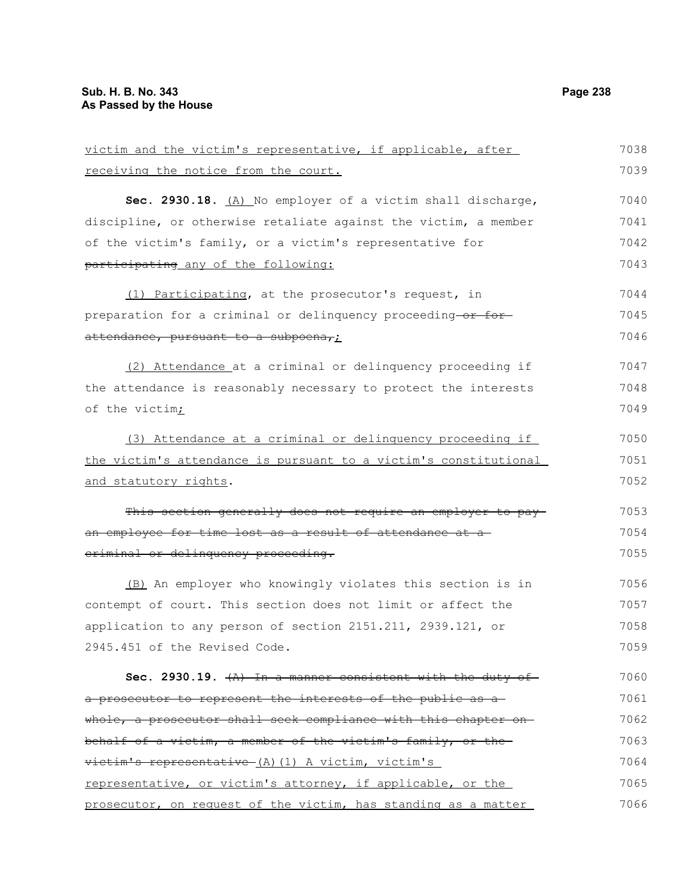| victim and the victim's representative, if applicable, after     | 7038 |
|------------------------------------------------------------------|------|
| receiving the notice from the court.                             | 7039 |
| Sec. 2930.18. (A) No employer of a victim shall discharge,       | 7040 |
| discipline, or otherwise retaliate against the victim, a member  | 7041 |
| of the victim's family, or a victim's representative for         | 7042 |
| participating any of the following:                              | 7043 |
| (1) Participating, at the prosecutor's request, in               | 7044 |
| preparation for a criminal or delinquency proceeding or for      | 7045 |
| attendance, pursuant to a subpoena, i                            | 7046 |
| (2) Attendance at a criminal or delinquency proceeding if        | 7047 |
| the attendance is reasonably necessary to protect the interests  | 7048 |
| of the victim;                                                   | 7049 |
| (3) Attendance at a criminal or delinguency proceeding if        | 7050 |
| the victim's attendance is pursuant to a victim's constitutional | 7051 |
| and statutory rights.                                            | 7052 |
| This section generally does not require an employer to pay-      | 7053 |
| an employee for time lost as a result of attendance at a         | 7054 |
| eriminal or delinquency proceeding.                              | 7055 |
| (B) An employer who knowingly violates this section is in        | 7056 |
| contempt of court. This section does not limit or affect the     | 7057 |
| application to any person of section 2151.211, 2939.121, or      | 7058 |
| 2945.451 of the Revised Code.                                    | 7059 |
| Sec. 2930.19. $(A)$ In a manner consistent with the duty of      | 7060 |
| a prosecutor to represent the interests of the public as a       | 7061 |
| whole, a prosecutor shall seek compliance with this chapter on-  | 7062 |
| behalf of a victim, a member of the victim's family, or the      | 7063 |
| victim's representative (A) (1) A victim, victim's               | 7064 |
| representative, or victim's attorney, if applicable, or the      | 7065 |
| prosecutor, on request of the victim, has standing as a matter   | 7066 |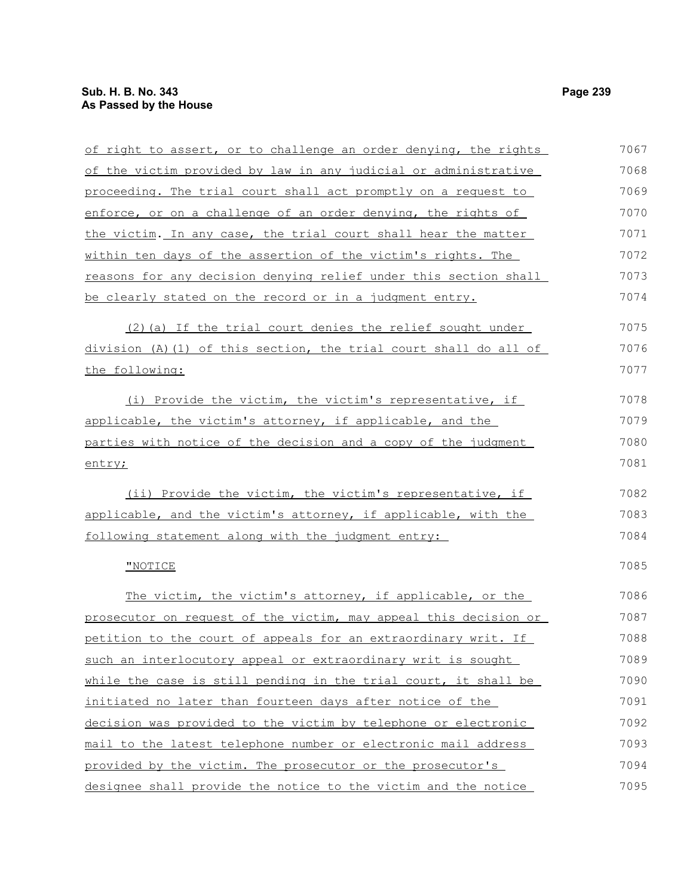| of right to assert, or to challenge an order denying, the rights | 7067 |
|------------------------------------------------------------------|------|
| of the victim provided by law in any judicial or administrative  | 7068 |
| proceeding. The trial court shall act promptly on a request to   | 7069 |
| enforce, or on a challenge of an order denying, the rights of    | 7070 |
| the victim. In any case, the trial court shall hear the matter   | 7071 |
| within ten days of the assertion of the victim's rights. The     | 7072 |
| reasons for any decision denying relief under this section shall | 7073 |

(2)(a) If the trial court denies the relief sought under division (A)(1) of this section, the trial court shall do all of the following: 7075 7076 7077

be clearly stated on the record or in a judgment entry.

(i) Provide the victim, the victim's representative, if applicable, the victim's attorney, if applicable, and the parties with notice of the decision and a copy of the judgment entry; 7078 7079 7080 7081

(ii) Provide the victim, the victim's representative, if applicable, and the victim's attorney, if applicable, with the following statement along with the judgment entry:

## "NOTICE

The victim, the victim's attorney, if applicable, or the prosecutor on request of the victim, may appeal this decision or petition to the court of appeals for an extraordinary writ. If such an interlocutory appeal or extraordinary writ is sought while the case is still pending in the trial court, it shall be initiated no later than fourteen days after notice of the decision was provided to the victim by telephone or electronic mail to the latest telephone number or electronic mail address provided by the victim. The prosecutor or the prosecutor's designee shall provide the notice to the victim and the notice 7086 7087 7088 7089 7090 7091 7092 7093 7094 7095

7074

7082 7083 7084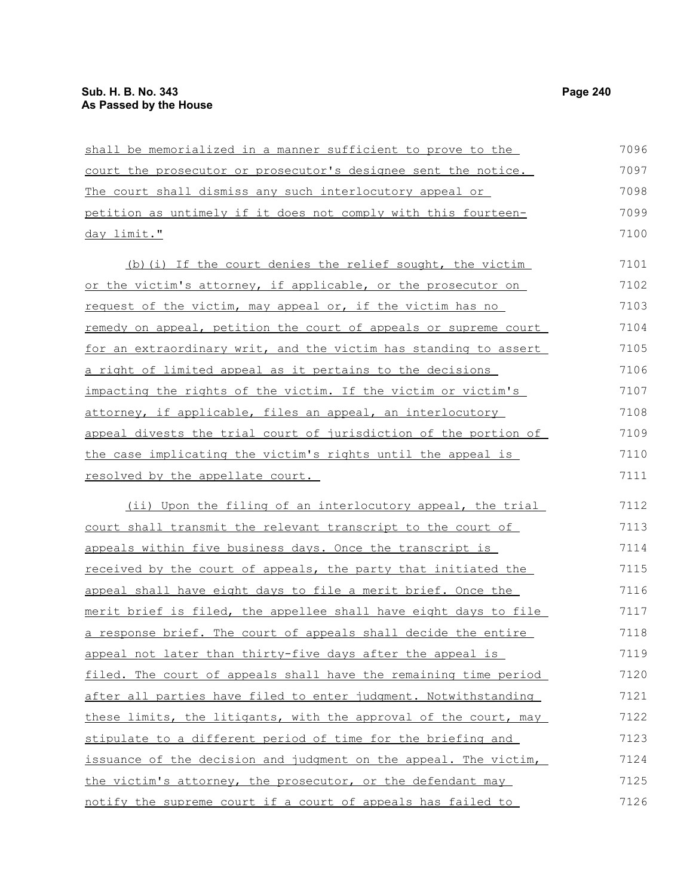| shall be memorialized in a manner sufficient to prove to the        | 7096 |
|---------------------------------------------------------------------|------|
| court the prosecutor or prosecutor's designee sent the notice.      | 7097 |
| The court shall dismiss any such interlocutory appeal or            | 7098 |
| petition as untimely if it does not comply with this fourteen-      | 7099 |
| day limit."                                                         | 7100 |
| (b) (i) If the court denies the relief sought, the victim           | 7101 |
| or the victim's attorney, if applicable, or the prosecutor on       | 7102 |
| request of the victim, may appeal or, if the victim has no          | 7103 |
| remedy on appeal, petition the court of appeals or supreme court    | 7104 |
| for an extraordinary writ, and the victim has standing to assert    | 7105 |
| a right of limited appeal as it pertains to the decisions           | 7106 |
| impacting the rights of the victim. If the victim or victim's       | 7107 |
| attorney, if applicable, files an appeal, an interlocutory          | 7108 |
| appeal divests the trial court of jurisdiction of the portion of    | 7109 |
| the case implicating the victim's rights until the appeal is        | 7110 |
| resolved by the appellate court.                                    | 7111 |
| (ii) Upon the filing of an interlocutory appeal, the trial          | 7112 |
| <u>court shall transmit the relevant transcript to the court of</u> | 7113 |
| appeals within five business days. Once the transcript is           | 7114 |
| received by the court of appeals, the party that initiated the      | 7115 |
| appeal shall have eight days to file a merit brief. Once the        | 7116 |
| merit brief is filed, the appellee shall have eight days to file    | 7117 |
| a response brief. The court of appeals shall decide the entire      | 7118 |
| appeal not later than thirty-five days after the appeal is          | 7119 |
| filed. The court of appeals shall have the remaining time period    | 7120 |
| after all parties have filed to enter judgment. Notwithstanding     | 7121 |
| these limits, the litigants, with the approval of the court, may    | 7122 |
| stipulate to a different period of time for the briefing and        | 7123 |
| issuance of the decision and judgment on the appeal. The victim,    | 7124 |
| the victim's attorney, the prosecutor, or the defendant may         | 7125 |
| notify the supreme court if a court of appeals has failed to        | 7126 |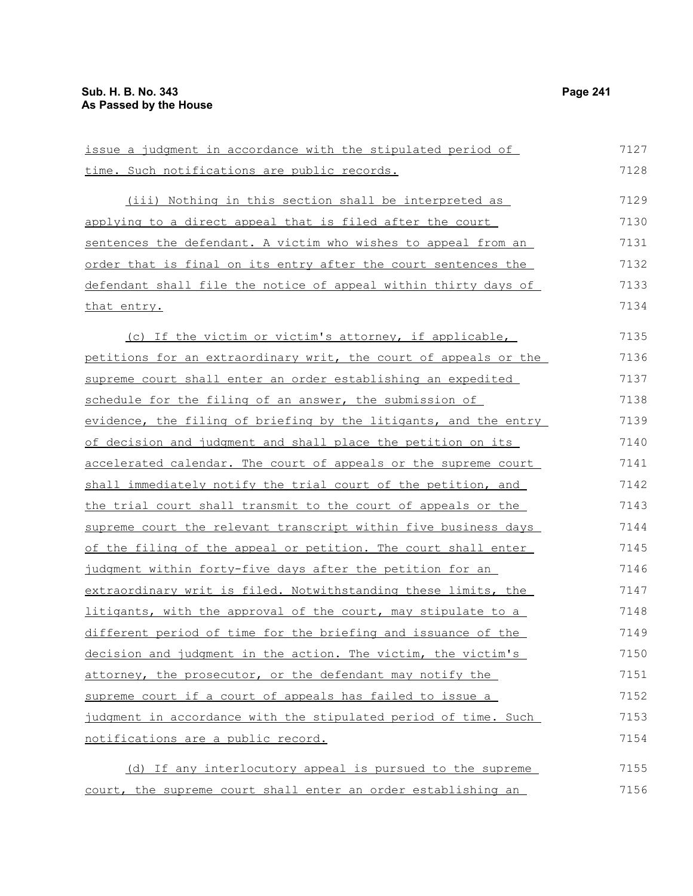| issue a judgment in accordance with the stipulated period of     | 7127 |
|------------------------------------------------------------------|------|
| time. Such notifications are public records.                     | 7128 |
| (iii) Nothing in this section shall be interpreted as            | 7129 |
| applying to a direct appeal that is filed after the court        | 7130 |
| sentences the defendant. A victim who wishes to appeal from an   | 7131 |
| order that is final on its entry after the court sentences the   | 7132 |
| defendant shall file the notice of appeal within thirty days of  | 7133 |
| that entry.                                                      | 7134 |
| (c) If the victim or victim's attorney, if applicable,           | 7135 |
| petitions for an extraordinary writ, the court of appeals or the | 7136 |
| supreme court shall enter an order establishing an expedited     | 7137 |
| schedule for the filing of an answer, the submission of          | 7138 |
| evidence, the filing of briefing by the litigants, and the entry | 7139 |
| of decision and judgment and shall place the petition on its     | 7140 |
| accelerated calendar. The court of appeals or the supreme court  | 7141 |
| shall immediately notify the trial court of the petition, and    | 7142 |
| the trial court shall transmit to the court of appeals or the    | 7143 |
| supreme court the relevant transcript within five business days  | 7144 |
| of the filing of the appeal or petition. The court shall enter   | 7145 |
| judgment within forty-five days after the petition for an        | 7146 |
| extraordinary writ is filed. Notwithstanding these limits, the   | 7147 |
| litigants, with the approval of the court, may stipulate to a    | 7148 |
| different period of time for the briefing and issuance of the    | 7149 |
| decision and judgment in the action. The victim, the victim's    | 7150 |
| attorney, the prosecutor, or the defendant may notify the        | 7151 |
| supreme court if a court of appeals has failed to issue a        | 7152 |
| judgment in accordance with the stipulated period of time. Such  | 7153 |
| notifications are a public record.                               | 7154 |
| (d) If any interlocutory appeal is pursued to the supreme        | 7155 |
| court, the supreme court shall enter an order establishing an    | 7156 |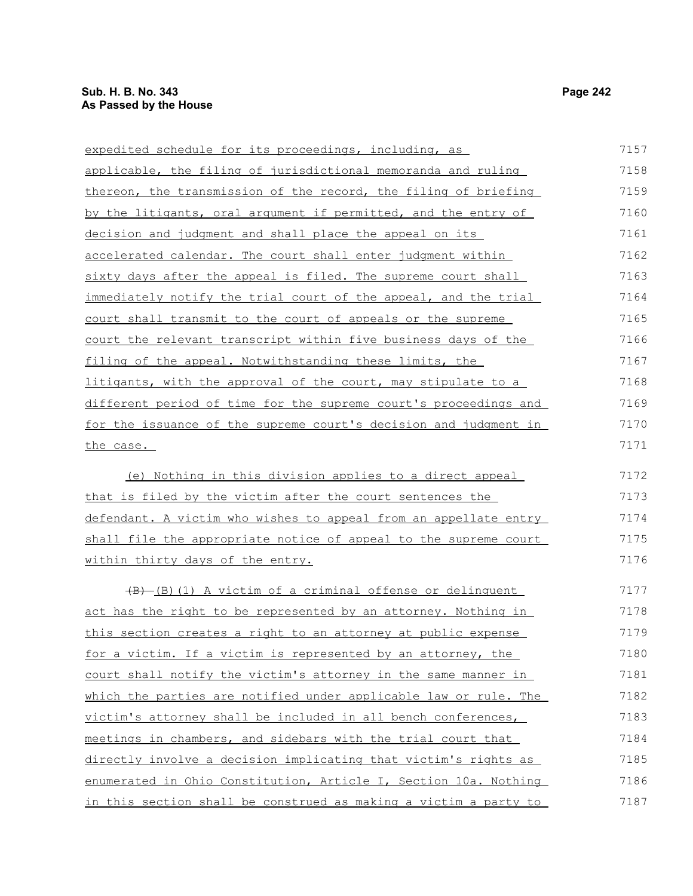| applicable, the filing of jurisdictional memoranda and ruling<br>thereon, the transmission of the record, the filing of briefing | 7158<br>7159<br>7160 |
|----------------------------------------------------------------------------------------------------------------------------------|----------------------|
|                                                                                                                                  |                      |
|                                                                                                                                  |                      |
| by the litigants, oral argument if permitted, and the entry of                                                                   |                      |
| decision and judgment and shall place the appeal on its                                                                          | 7161                 |
| accelerated calendar. The court shall enter judgment within                                                                      | 7162                 |
| sixty days after the appeal is filed. The supreme court shall                                                                    | 7163                 |
| immediately notify the trial court of the appeal, and the trial                                                                  | 7164                 |
| court shall transmit to the court of appeals or the supreme                                                                      | 7165                 |
| court the relevant transcript within five business days of the                                                                   | 7166                 |
| filing of the appeal. Notwithstanding these limits, the                                                                          | 7167                 |
| <u>litigants, with the approval of the court, may stipulate to a</u>                                                             | 7168                 |
| different period of time for the supreme court's proceedings and                                                                 | 7169                 |
| for the issuance of the supreme court's decision and judgment in                                                                 | 7170                 |
| the case.                                                                                                                        | 7171                 |
| (e) Nothing in this division applies to a direct appeal                                                                          | 7172                 |
| that is filed by the victim after the court sentences the                                                                        | 7173                 |
| defendant. A victim who wishes to appeal from an appellate entry                                                                 | 7174                 |

shall file the appropriate notice of appeal to the supreme court within thirty days of the entry. 7175 7176

(B) (B)(1) A victim of a criminal offense or delinquent act has the right to be represented by an attorney. Nothing in this section creates a right to an attorney at public expense for a victim. If a victim is represented by an attorney, the court shall notify the victim's attorney in the same manner in which the parties are notified under applicable law or rule. The victim's attorney shall be included in all bench conferences, meetings in chambers, and sidebars with the trial court that directly involve a decision implicating that victim's rights as enumerated in Ohio Constitution, Article I, Section 10a. Nothing in this section shall be construed as making a victim a party to 7177 7178 7179 7180 7181 7182 7183 7184 7185 7186 7187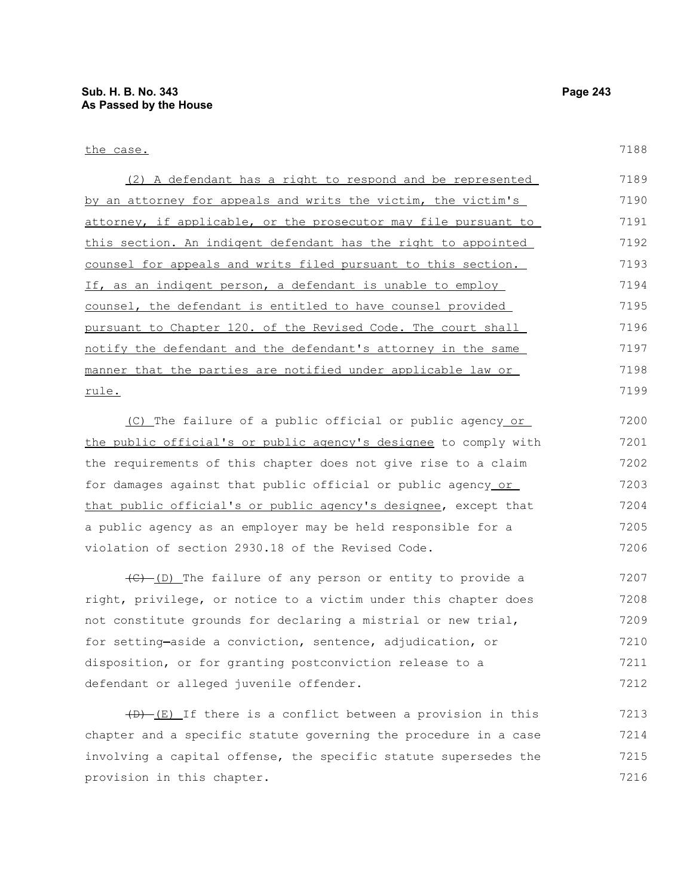#### the case.

7188

| (2) A defendant has a right to respond and be represented       | 7189 |
|-----------------------------------------------------------------|------|
| by an attorney for appeals and writs the victim, the victim's   | 7190 |
| attorney, if applicable, or the prosecutor may file pursuant to | 7191 |
| this section. An indigent defendant has the right to appointed  | 7192 |
| counsel for appeals and writs filed pursuant to this section.   | 7193 |
| If, as an indigent person, a defendant is unable to employ      | 7194 |
| counsel, the defendant is entitled to have counsel provided     | 7195 |
| pursuant to Chapter 120. of the Revised Code. The court shall   | 7196 |
| notify the defendant and the defendant's attorney in the same   | 7197 |
| manner that the parties are notified under applicable law or    | 7198 |
| rule.                                                           | 7199 |

(C) The failure of a public official or public agency or the public official's or public agency's designee to comply with the requirements of this chapter does not give rise to a claim for damages against that public official or public agency or that public official's or public agency's designee, except that a public agency as an employer may be held responsible for a violation of section 2930.18 of the Revised Code. 7200 7201 7202 7203 7204 7205 7206

(C) (D) The failure of any person or entity to provide a right, privilege, or notice to a victim under this chapter does not constitute grounds for declaring a mistrial or new trial, for setting-aside a conviction, sentence, adjudication, or disposition, or for granting postconviction release to a defendant or alleged juvenile offender. 7207 7208 7209 7210 7211 7212

 $(D)$   $(E)$  If there is a conflict between a provision in this chapter and a specific statute governing the procedure in a case involving a capital offense, the specific statute supersedes the provision in this chapter. 7213 7214 7215 7216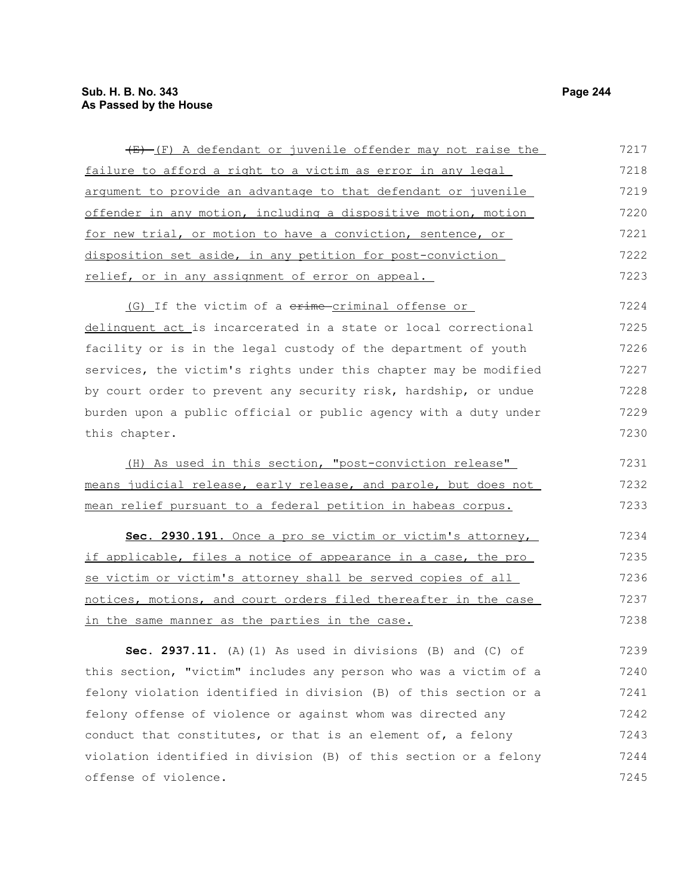offense of violence.

| (E) (F) A defendant or juvenile offender may not raise the       | 7217 |
|------------------------------------------------------------------|------|
| failure to afford a right to a victim as error in any legal      | 7218 |
| argument to provide an advantage to that defendant or juvenile   | 7219 |
| offender in any motion, including a dispositive motion, motion   | 7220 |
| for new trial, or motion to have a conviction, sentence, or      | 7221 |
| disposition set aside, in any petition for post-conviction       | 7222 |
| relief, or in any assignment of error on appeal.                 | 7223 |
| (G) If the victim of a erime-criminal offense or                 | 7224 |
| delinquent act is incarcerated in a state or local correctional  | 7225 |
| facility or is in the legal custody of the department of youth   | 7226 |
| services, the victim's rights under this chapter may be modified | 7227 |
| by court order to prevent any security risk, hardship, or undue  | 7228 |
| burden upon a public official or public agency with a duty under | 7229 |
| this chapter.                                                    | 7230 |
| (H) As used in this section, "post-conviction release"           | 7231 |
| means judicial release, early release, and parole, but does not  | 7232 |
| mean relief pursuant to a federal petition in habeas corpus.     | 7233 |
| Sec. 2930.191. Once a pro se victim or victim's attorney,        | 7234 |
| if applicable, files a notice of appearance in a case, the pro   | 7235 |
| se victim or victim's attorney shall be served copies of all     | 7236 |
| notices, motions, and court orders filed thereafter in the case  | 7237 |
| in the same manner as the parties in the case.                   | 7238 |
| Sec. 2937.11. (A) (1) As used in divisions (B) and (C) of        | 7239 |
| this section, "victim" includes any person who was a victim of a | 7240 |
| felony violation identified in division (B) of this section or a | 7241 |
| felony offense of violence or against whom was directed any      | 7242 |
| conduct that constitutes, or that is an element of, a felony     | 7243 |
| violation identified in division (B) of this section or a felony | 7244 |
|                                                                  |      |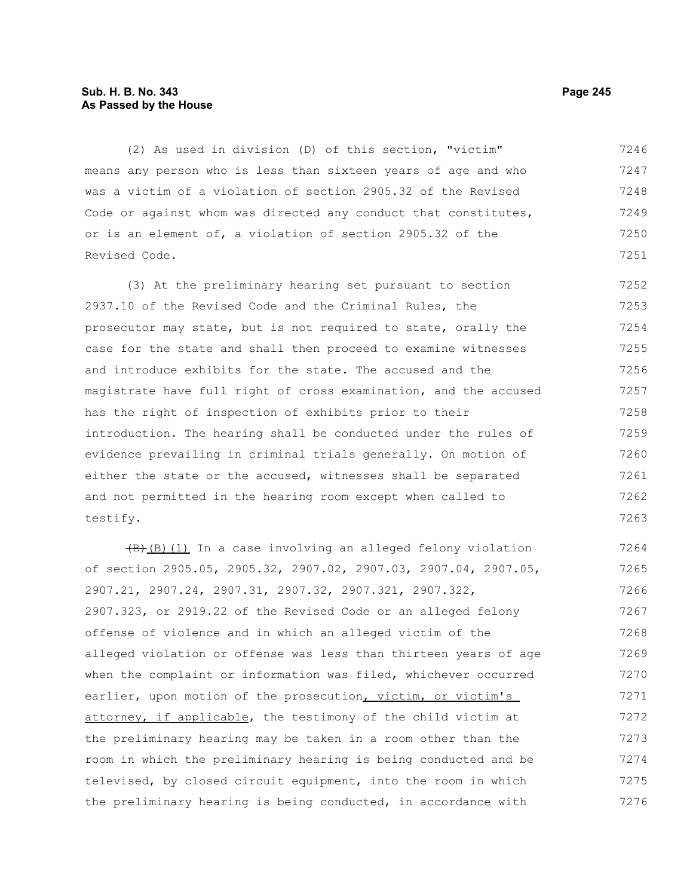# **Sub. H. B. No. 343** Page 245 **As Passed by the House**

(2) As used in division (D) of this section, "victim" means any person who is less than sixteen years of age and who was a victim of a violation of section 2905.32 of the Revised Code or against whom was directed any conduct that constitutes, or is an element of, a violation of section 2905.32 of the Revised Code. 7246 7247 7248 7249 7250 7251

(3) At the preliminary hearing set pursuant to section 2937.10 of the Revised Code and the Criminal Rules, the prosecutor may state, but is not required to state, orally the case for the state and shall then proceed to examine witnesses and introduce exhibits for the state. The accused and the magistrate have full right of cross examination, and the accused has the right of inspection of exhibits prior to their introduction. The hearing shall be conducted under the rules of evidence prevailing in criminal trials generally. On motion of either the state or the accused, witnesses shall be separated and not permitted in the hearing room except when called to testify. 7252 7253 7254 7255 7256 7257 7258 7259 7260 7261 7262 7263

(B)(B)(1) In a case involving an alleged felony violation of section 2905.05, 2905.32, 2907.02, 2907.03, 2907.04, 2907.05, 2907.21, 2907.24, 2907.31, 2907.32, 2907.321, 2907.322, 2907.323, or 2919.22 of the Revised Code or an alleged felony offense of violence and in which an alleged victim of the alleged violation or offense was less than thirteen years of age when the complaint or information was filed, whichever occurred earlier, upon motion of the prosecution, victim, or victim's attorney, if applicable, the testimony of the child victim at the preliminary hearing may be taken in a room other than the room in which the preliminary hearing is being conducted and be televised, by closed circuit equipment, into the room in which the preliminary hearing is being conducted, in accordance with 7264 7265 7266 7267 7268 7269 7270 7271 7272 7273 7274 7275 7276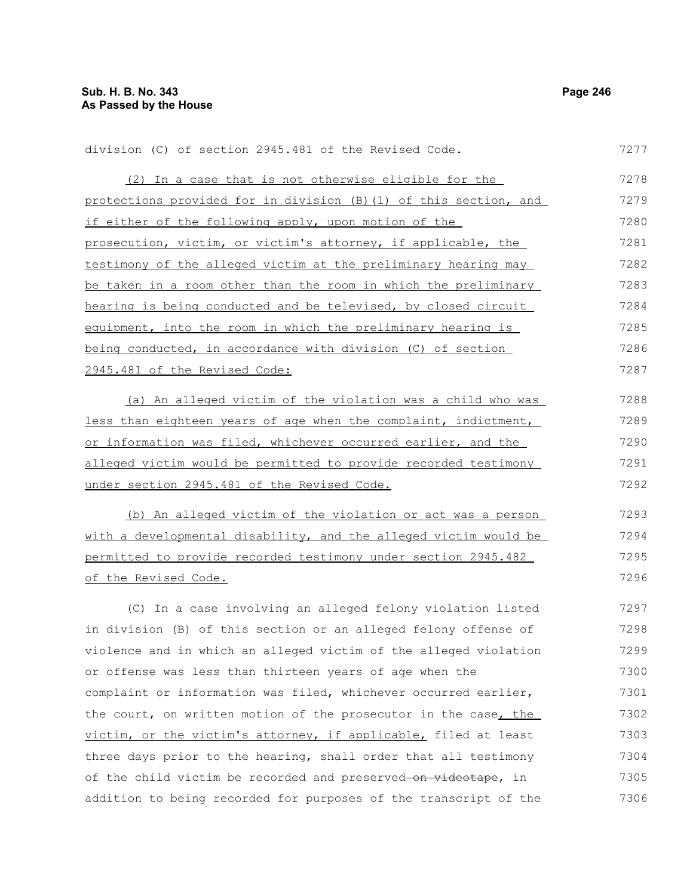division (C) of section 2945.481 of the Revised Code. (2) In a case that is not otherwise eligible for the protections provided for in division (B)(1) of this section, and if either of the following apply, upon motion of the prosecution, victim, or victim's attorney, if applicable, the testimony of the alleged victim at the preliminary hearing may be taken in a room other than the room in which the preliminary hearing is being conducted and be televised, by closed circuit equipment, into the room in which the preliminary hearing is being conducted, in accordance with division (C) of section 2945.481 of the Revised Code: (a) An alleged victim of the violation was a child who was less than eighteen years of age when the complaint, indictment, or information was filed, whichever occurred earlier, and the alleged victim would be permitted to provide recorded testimony under section 2945.481 of the Revised Code. (b) An alleged victim of the violation or act was a person with a developmental disability, and the alleged victim would be permitted to provide recorded testimony under section 2945.482 of the Revised Code. (C) In a case involving an alleged felony violation listed in division (B) of this section or an alleged felony offense of violence and in which an alleged victim of the alleged violation or offense was less than thirteen years of age when the complaint or information was filed, whichever occurred earlier, the court, on written motion of the prosecutor in the case, the victim, or the victim's attorney, if applicable, filed at least three days prior to the hearing, shall order that all testimony of the child victim be recorded and preserved-on videotape, in 7277 7278 7279 7280 7281 7282 7283 7284 7285 7286 7287 7288 7289 7290 7291 7292 7293 7294 7295 7296 7297 7298 7299 7300 7301 7302 7303 7304 7305

addition to being recorded for purposes of the transcript of the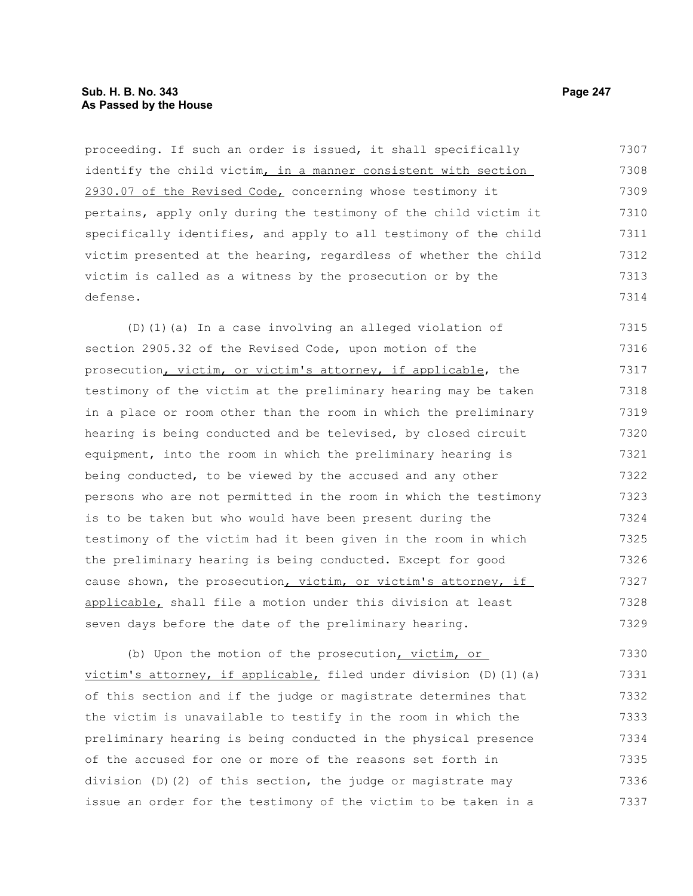proceeding. If such an order is issued, it shall specifically identify the child victim, in a manner consistent with section 2930.07 of the Revised Code, concerning whose testimony it pertains, apply only during the testimony of the child victim it specifically identifies, and apply to all testimony of the child victim presented at the hearing, regardless of whether the child victim is called as a witness by the prosecution or by the defense. (D)(1)(a) In a case involving an alleged violation of 7307 7308 7309 7310 7311 7312 7313 7314 7315

section 2905.32 of the Revised Code, upon motion of the prosecution, victim, or victim's attorney, if applicable, the testimony of the victim at the preliminary hearing may be taken in a place or room other than the room in which the preliminary hearing is being conducted and be televised, by closed circuit equipment, into the room in which the preliminary hearing is being conducted, to be viewed by the accused and any other persons who are not permitted in the room in which the testimony is to be taken but who would have been present during the testimony of the victim had it been given in the room in which the preliminary hearing is being conducted. Except for good cause shown, the prosecution, victim, or victim's attorney, if applicable, shall file a motion under this division at least seven days before the date of the preliminary hearing. 7316 7317 7318 7319 7320 7321 7322 7323 7324 7325 7326 7327 7328 7329

(b) Upon the motion of the prosecution, victim, or victim's attorney, if applicable, filed under division (D)(1)(a) of this section and if the judge or magistrate determines that the victim is unavailable to testify in the room in which the preliminary hearing is being conducted in the physical presence of the accused for one or more of the reasons set forth in division (D)(2) of this section, the judge or magistrate may issue an order for the testimony of the victim to be taken in a 7330 7331 7332 7333 7334 7335 7336 7337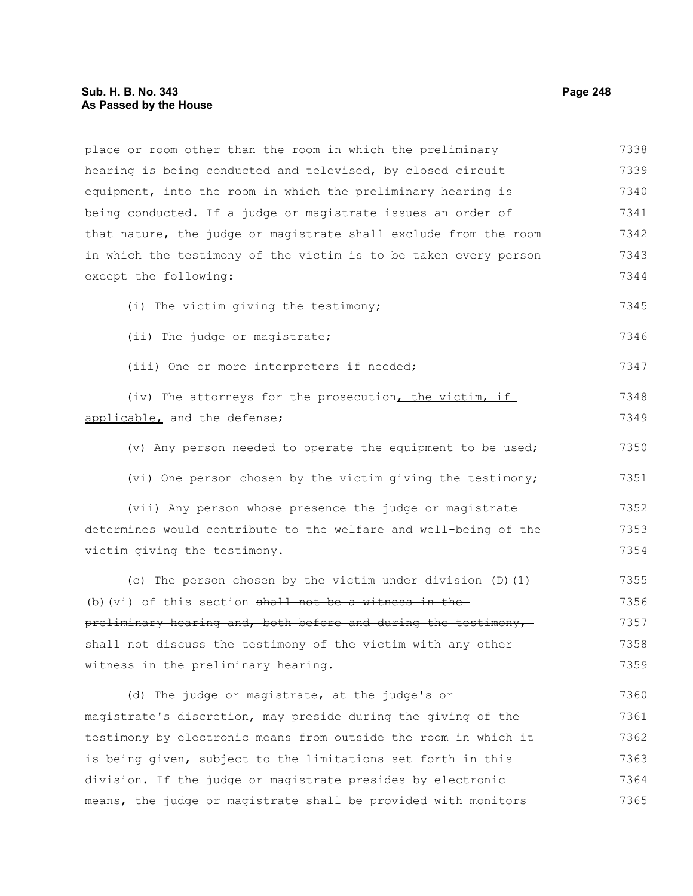place or room other than the room in which the preliminary hearing is being conducted and televised, by closed circuit equipment, into the room in which the preliminary hearing is being conducted. If a judge or magistrate issues an order of that nature, the judge or magistrate shall exclude from the room in which the testimony of the victim is to be taken every person except the following: (i) The victim giving the testimony; (ii) The judge or magistrate; (iii) One or more interpreters if needed; (iv) The attorneys for the prosecution, the victim, if applicable, and the defense; (v) Any person needed to operate the equipment to be used; (vi) One person chosen by the victim giving the testimony; (vii) Any person whose presence the judge or magistrate determines would contribute to the welfare and well-being of the victim giving the testimony. (c) The person chosen by the victim under division (D)(1) (b) (vi) of this section shall not be a witness in thepreliminary hearing and, both before and during the testimony, shall not discuss the testimony of the victim with any other witness in the preliminary hearing. (d) The judge or magistrate, at the judge's or magistrate's discretion, may preside during the giving of the testimony by electronic means from outside the room in which it is being given, subject to the limitations set forth in this division. If the judge or magistrate presides by electronic means, the judge or magistrate shall be provided with monitors 7338 7339 7340 7341 7342 7343 7344 7345 7346 7347 7348 7349 7350 7351 7352 7353 7354 7355 7356 7357 7358 7359 7360 7361 7362 7363 7364 7365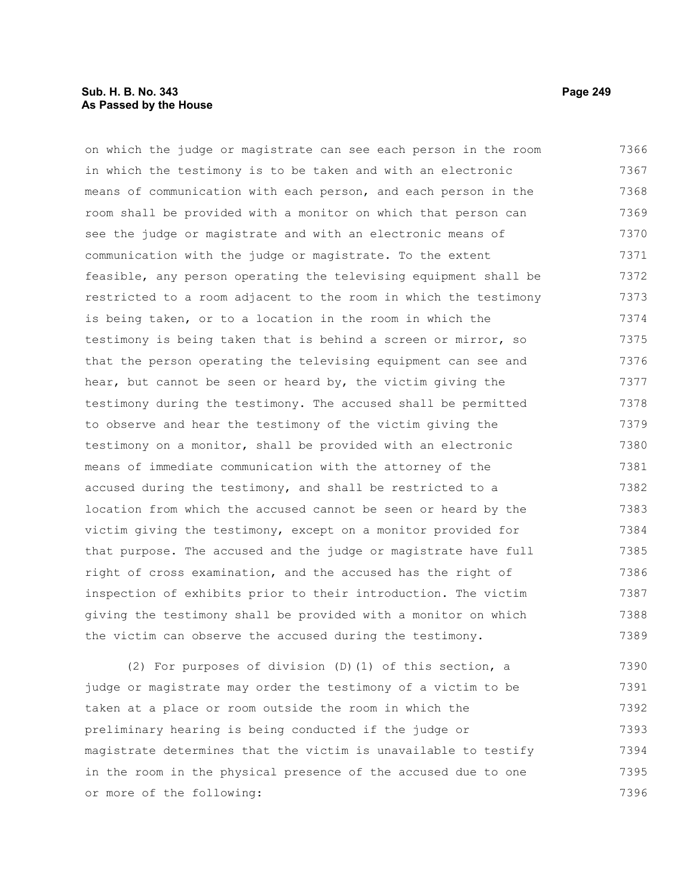## **Sub. H. B. No. 343** Page 249 **As Passed by the House**

on which the judge or magistrate can see each person in the room in which the testimony is to be taken and with an electronic means of communication with each person, and each person in the room shall be provided with a monitor on which that person can see the judge or magistrate and with an electronic means of communication with the judge or magistrate. To the extent feasible, any person operating the televising equipment shall be restricted to a room adjacent to the room in which the testimony is being taken, or to a location in the room in which the testimony is being taken that is behind a screen or mirror, so that the person operating the televising equipment can see and hear, but cannot be seen or heard by, the victim giving the testimony during the testimony. The accused shall be permitted to observe and hear the testimony of the victim giving the testimony on a monitor, shall be provided with an electronic means of immediate communication with the attorney of the accused during the testimony, and shall be restricted to a location from which the accused cannot be seen or heard by the victim giving the testimony, except on a monitor provided for that purpose. The accused and the judge or magistrate have full right of cross examination, and the accused has the right of inspection of exhibits prior to their introduction. The victim giving the testimony shall be provided with a monitor on which the victim can observe the accused during the testimony. 7366 7367 7368 7369 7370 7371 7372 7373 7374 7375 7376 7377 7378 7379 7380 7381 7382 7383 7384 7385 7386 7387 7388 7389

(2) For purposes of division (D)(1) of this section, a judge or magistrate may order the testimony of a victim to be taken at a place or room outside the room in which the preliminary hearing is being conducted if the judge or magistrate determines that the victim is unavailable to testify in the room in the physical presence of the accused due to one or more of the following: 7390 7391 7392 7393 7394 7395 7396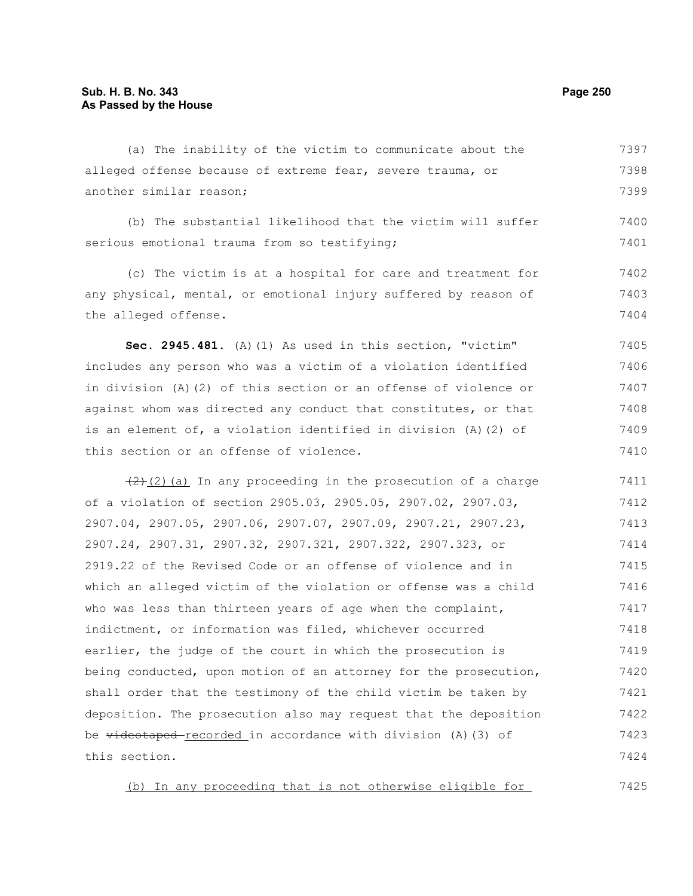7425

| (a) The inability of the victim to communicate about the   | 7397 |
|------------------------------------------------------------|------|
| alleged offense because of extreme fear, severe trauma, or | 7398 |
| another similar reason;                                    | 7399 |

(b) The substantial likelihood that the victim will suffer serious emotional trauma from so testifying; 7400 7401

(c) The victim is at a hospital for care and treatment for any physical, mental, or emotional injury suffered by reason of the alleged offense. 7402 7403 7404

**Sec. 2945.481.** (A)(1) As used in this section, "victim" includes any person who was a victim of a violation identified in division (A)(2) of this section or an offense of violence or against whom was directed any conduct that constitutes, or that is an element of, a violation identified in division (A)(2) of this section or an offense of violence. 7405 7406 7407 7408 7409 7410

 $(2)(a)$  In any proceeding in the prosecution of a charge of a violation of section 2905.03, 2905.05, 2907.02, 2907.03, 2907.04, 2907.05, 2907.06, 2907.07, 2907.09, 2907.21, 2907.23, 2907.24, 2907.31, 2907.32, 2907.321, 2907.322, 2907.323, or 2919.22 of the Revised Code or an offense of violence and in which an alleged victim of the violation or offense was a child who was less than thirteen years of age when the complaint, indictment, or information was filed, whichever occurred earlier, the judge of the court in which the prosecution is being conducted, upon motion of an attorney for the prosecution, shall order that the testimony of the child victim be taken by deposition. The prosecution also may request that the deposition be  $\forall i$  deotaped recorded in accordance with division (A)(3) of this section. 7411 7412 7413 7414 7415 7416 7417 7418 7419 7420 7421 7422 7423 7424

(b) In any proceeding that is not otherwise eligible for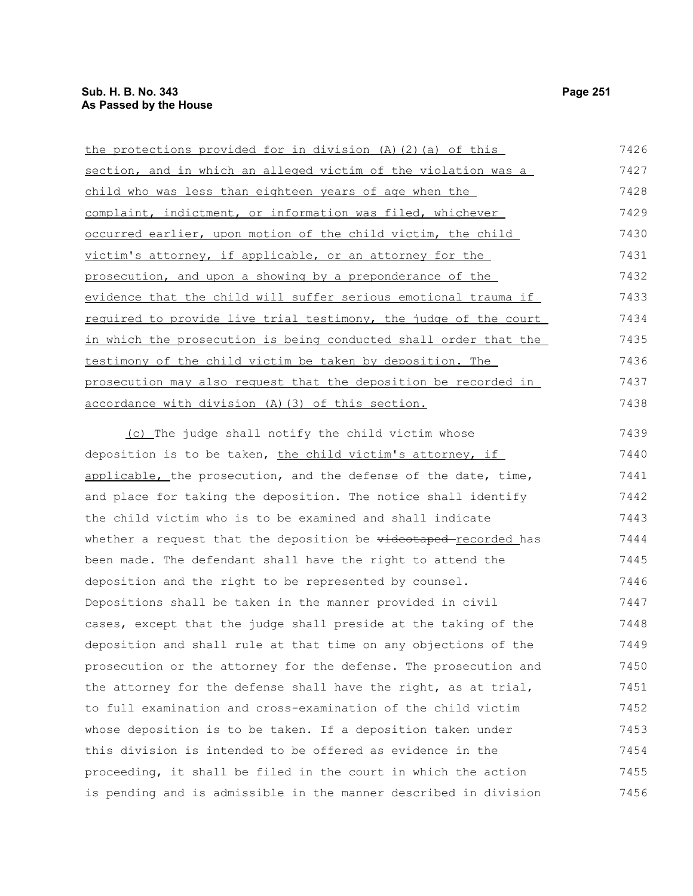| the protections provided for in division $(A)$ $(2)$ $(a)$ of this | 7426 |
|--------------------------------------------------------------------|------|
| section, and in which an alleged victim of the violation was a     | 7427 |
| child who was less than eighteen years of age when the             | 7428 |
| complaint, indictment, or information was filed, whichever         | 7429 |
| occurred earlier, upon motion of the child victim, the child       | 7430 |
| victim's attorney, if applicable, or an attorney for the           | 7431 |
| prosecution, and upon a showing by a preponderance of the          | 7432 |
| evidence that the child will suffer serious emotional trauma if    | 7433 |
| required to provide live trial testimony, the judge of the court   | 7434 |
| in which the prosecution is being conducted shall order that the   | 7435 |
| testimony of the child victim be taken by deposition. The          | 7436 |
| prosecution may also request that the deposition be recorded in    | 7437 |
| accordance with division (A) (3) of this section.                  | 7438 |
|                                                                    |      |

(c) The judge shall notify the child victim whose deposition is to be taken, the child victim's attorney, if applicable, the prosecution, and the defense of the date, time, and place for taking the deposition. The notice shall identify the child victim who is to be examined and shall indicate whether a request that the deposition be videotaped-recorded has been made. The defendant shall have the right to attend the deposition and the right to be represented by counsel. Depositions shall be taken in the manner provided in civil cases, except that the judge shall preside at the taking of the deposition and shall rule at that time on any objections of the prosecution or the attorney for the defense. The prosecution and the attorney for the defense shall have the right, as at trial, to full examination and cross-examination of the child victim whose deposition is to be taken. If a deposition taken under this division is intended to be offered as evidence in the proceeding, it shall be filed in the court in which the action is pending and is admissible in the manner described in division 7439 7440 7441 7442 7443 7444 7445 7446 7447 7448 7449 7450 7451 7452 7453 7454 7455 7456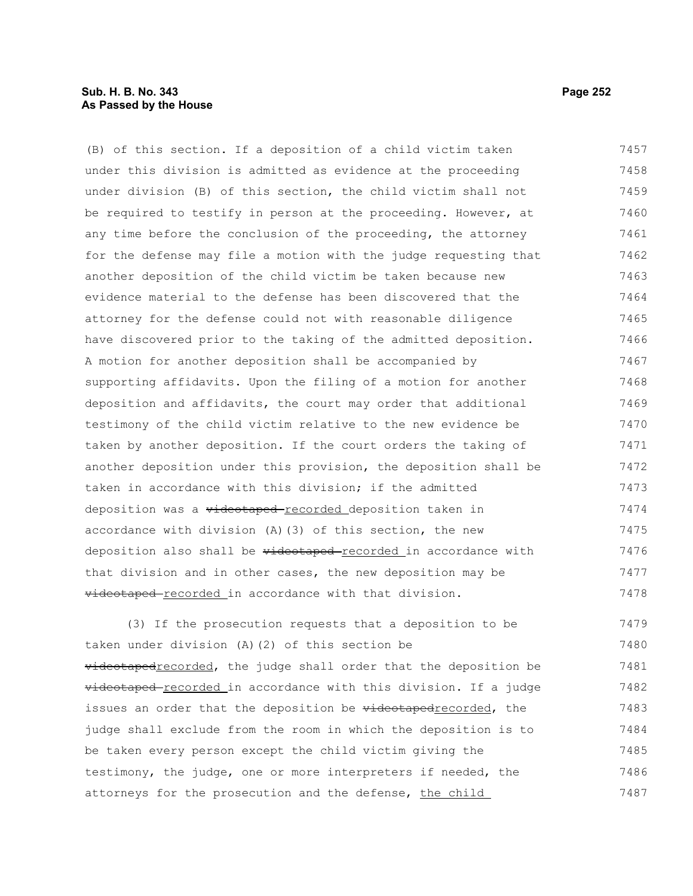# **Sub. H. B. No. 343 Page 252 As Passed by the House**

(B) of this section. If a deposition of a child victim taken under this division is admitted as evidence at the proceeding under division (B) of this section, the child victim shall not be required to testify in person at the proceeding. However, at any time before the conclusion of the proceeding, the attorney for the defense may file a motion with the judge requesting that another deposition of the child victim be taken because new evidence material to the defense has been discovered that the attorney for the defense could not with reasonable diligence have discovered prior to the taking of the admitted deposition. A motion for another deposition shall be accompanied by supporting affidavits. Upon the filing of a motion for another deposition and affidavits, the court may order that additional testimony of the child victim relative to the new evidence be taken by another deposition. If the court orders the taking of another deposition under this provision, the deposition shall be taken in accordance with this division; if the admitted deposition was a videotaped recorded deposition taken in accordance with division (A)(3) of this section, the new deposition also shall be videotaped-recorded in accordance with that division and in other cases, the new deposition may be videotaped recorded in accordance with that division. 7457 7458 7459 7460 7461 7462 7463 7464 7465 7466 7467 7468 7469 7470 7471 7472 7473 7474 7475 7476 7477 7478

(3) If the prosecution requests that a deposition to be taken under division (A)(2) of this section be videotapedrecorded, the judge shall order that the deposition be videotaped recorded in accordance with this division. If a judge issues an order that the deposition be videotapedrecorded, the judge shall exclude from the room in which the deposition is to be taken every person except the child victim giving the testimony, the judge, one or more interpreters if needed, the attorneys for the prosecution and the defense, the child 7479 7480 7481 7482 7483 7484 7485 7486 7487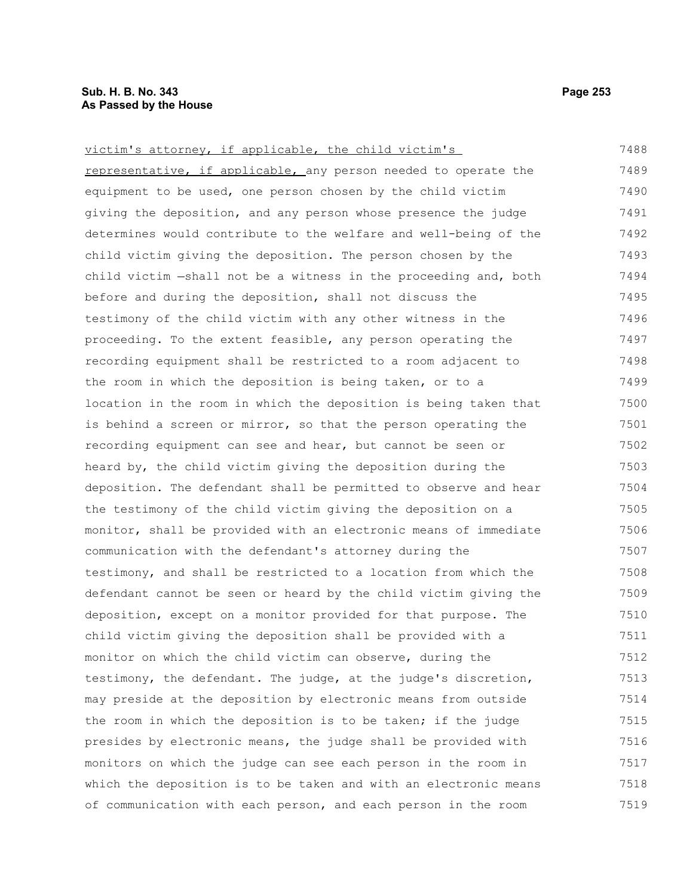| victim's attorney, if applicable, the child victim's             | 7488 |
|------------------------------------------------------------------|------|
| representative, if applicable, any person needed to operate the  | 7489 |
| equipment to be used, one person chosen by the child victim      | 7490 |
| giving the deposition, and any person whose presence the judge   | 7491 |
| determines would contribute to the welfare and well-being of the | 7492 |
| child victim giving the deposition. The person chosen by the     | 7493 |
| child victim -shall not be a witness in the proceeding and, both | 7494 |
| before and during the deposition, shall not discuss the          | 7495 |
| testimony of the child victim with any other witness in the      | 7496 |
| proceeding. To the extent feasible, any person operating the     | 7497 |
| recording equipment shall be restricted to a room adjacent to    | 7498 |
| the room in which the deposition is being taken, or to a         | 7499 |
| location in the room in which the deposition is being taken that | 7500 |
| is behind a screen or mirror, so that the person operating the   | 7501 |
| recording equipment can see and hear, but cannot be seen or      | 7502 |
| heard by, the child victim giving the deposition during the      | 7503 |
| deposition. The defendant shall be permitted to observe and hear | 7504 |
| the testimony of the child victim giving the deposition on a     | 7505 |
| monitor, shall be provided with an electronic means of immediate | 7506 |
| communication with the defendant's attorney during the           | 7507 |
| testimony, and shall be restricted to a location from which the  | 7508 |
| defendant cannot be seen or heard by the child victim giving the | 7509 |
| deposition, except on a monitor provided for that purpose. The   | 7510 |
| child victim giving the deposition shall be provided with a      | 7511 |
| monitor on which the child victim can observe, during the        | 7512 |
| testimony, the defendant. The judge, at the judge's discretion,  | 7513 |
| may preside at the deposition by electronic means from outside   | 7514 |
| the room in which the deposition is to be taken; if the judge    | 7515 |
| presides by electronic means, the judge shall be provided with   | 7516 |
| monitors on which the judge can see each person in the room in   | 7517 |
| which the deposition is to be taken and with an electronic means | 7518 |
| of communication with each person, and each person in the room   | 7519 |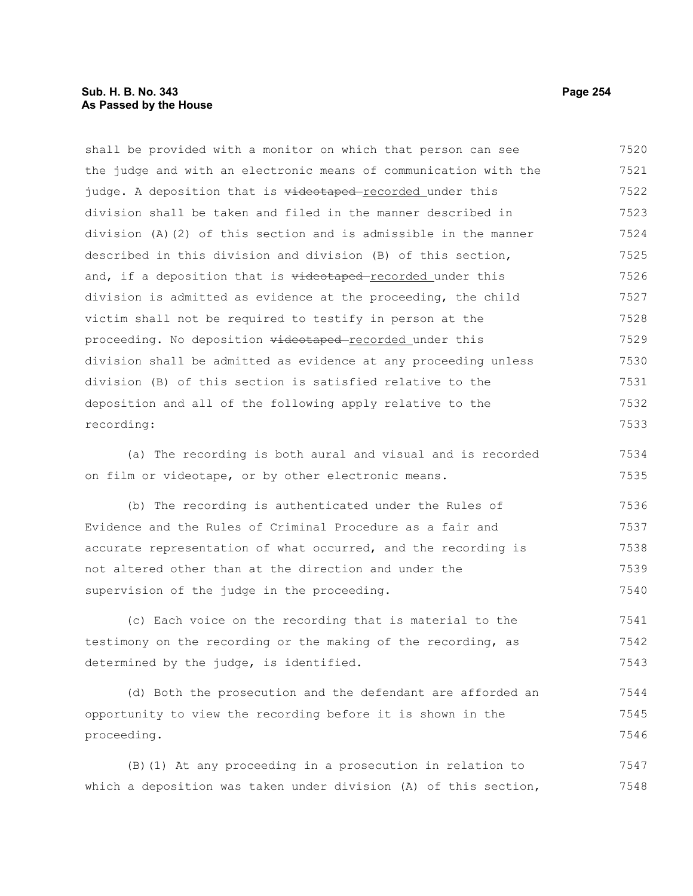# **Sub. H. B. No. 343 Page 254 As Passed by the House**

shall be provided with a monitor on which that person can see the judge and with an electronic means of communication with the judge. A deposition that is videotaped recorded under this division shall be taken and filed in the manner described in division (A)(2) of this section and is admissible in the manner described in this division and division (B) of this section, and, if a deposition that is videotaped-recorded under this division is admitted as evidence at the proceeding, the child victim shall not be required to testify in person at the proceeding. No deposition videotaped-recorded under this division shall be admitted as evidence at any proceeding unless division (B) of this section is satisfied relative to the deposition and all of the following apply relative to the recording: (a) The recording is both aural and visual and is recorded on film or videotape, or by other electronic means. (b) The recording is authenticated under the Rules of Evidence and the Rules of Criminal Procedure as a fair and 7520 7521 7522 7523 7524 7525 7526 7527 7528 7529 7530 7531 7532 7533 7534 7535 7536 7537

accurate representation of what occurred, and the recording is not altered other than at the direction and under the supervision of the judge in the proceeding. 7538 7539 7540

(c) Each voice on the recording that is material to the testimony on the recording or the making of the recording, as determined by the judge, is identified. 7541 7542 7543

(d) Both the prosecution and the defendant are afforded an opportunity to view the recording before it is shown in the proceeding. 7544 7545 7546

(B)(1) At any proceeding in a prosecution in relation to which a deposition was taken under division (A) of this section, 7547 7548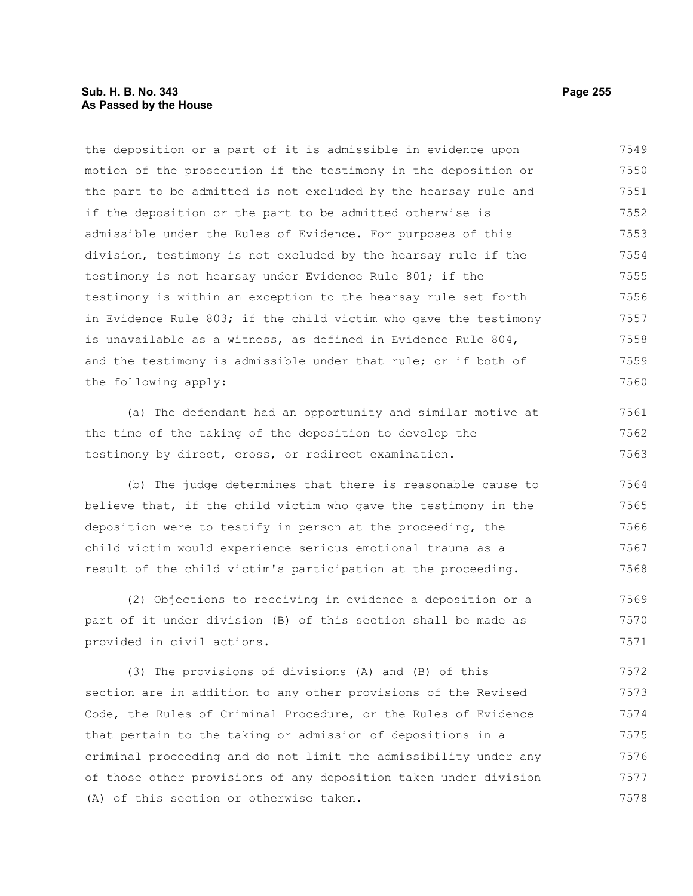# **Sub. H. B. No. 343 Page 255 As Passed by the House**

the deposition or a part of it is admissible in evidence upon motion of the prosecution if the testimony in the deposition or the part to be admitted is not excluded by the hearsay rule and if the deposition or the part to be admitted otherwise is admissible under the Rules of Evidence. For purposes of this division, testimony is not excluded by the hearsay rule if the testimony is not hearsay under Evidence Rule 801; if the testimony is within an exception to the hearsay rule set forth in Evidence Rule 803; if the child victim who gave the testimony is unavailable as a witness, as defined in Evidence Rule 804, and the testimony is admissible under that rule; or if both of the following apply: 7549 7550 7551 7552 7553 7554 7555 7556 7557 7558 7559 7560

(a) The defendant had an opportunity and similar motive at the time of the taking of the deposition to develop the testimony by direct, cross, or redirect examination. 7561 7562 7563

(b) The judge determines that there is reasonable cause to believe that, if the child victim who gave the testimony in the deposition were to testify in person at the proceeding, the child victim would experience serious emotional trauma as a result of the child victim's participation at the proceeding. 7564 7565 7566 7567 7568

(2) Objections to receiving in evidence a deposition or a part of it under division (B) of this section shall be made as provided in civil actions. 7569 7570 7571

(3) The provisions of divisions (A) and (B) of this section are in addition to any other provisions of the Revised Code, the Rules of Criminal Procedure, or the Rules of Evidence that pertain to the taking or admission of depositions in a criminal proceeding and do not limit the admissibility under any of those other provisions of any deposition taken under division (A) of this section or otherwise taken. 7572 7573 7574 7575 7576 7577 7578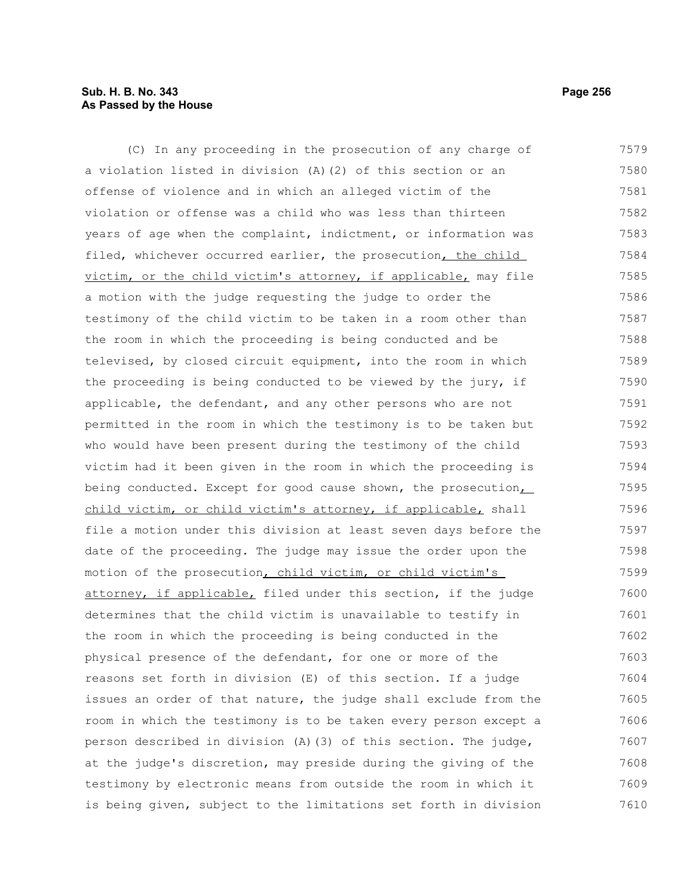# **Sub. H. B. No. 343 Page 256 As Passed by the House**

(C) In any proceeding in the prosecution of any charge of a violation listed in division (A)(2) of this section or an offense of violence and in which an alleged victim of the violation or offense was a child who was less than thirteen years of age when the complaint, indictment, or information was filed, whichever occurred earlier, the prosecution, the child victim, or the child victim's attorney, if applicable, may file a motion with the judge requesting the judge to order the testimony of the child victim to be taken in a room other than the room in which the proceeding is being conducted and be televised, by closed circuit equipment, into the room in which the proceeding is being conducted to be viewed by the jury, if applicable, the defendant, and any other persons who are not permitted in the room in which the testimony is to be taken but who would have been present during the testimony of the child victim had it been given in the room in which the proceeding is being conducted. Except for good cause shown, the prosecution, child victim, or child victim's attorney, if applicable, shall file a motion under this division at least seven days before the date of the proceeding. The judge may issue the order upon the motion of the prosecution, child victim, or child victim's attorney, if applicable, filed under this section, if the judge determines that the child victim is unavailable to testify in the room in which the proceeding is being conducted in the physical presence of the defendant, for one or more of the reasons set forth in division (E) of this section. If a judge issues an order of that nature, the judge shall exclude from the room in which the testimony is to be taken every person except a person described in division (A)(3) of this section. The judge, at the judge's discretion, may preside during the giving of the testimony by electronic means from outside the room in which it is being given, subject to the limitations set forth in division 7579 7580 7581 7582 7583 7584 7585 7586 7587 7588 7589 7590 7591 7592 7593 7594 7595 7596 7597 7598 7599 7600 7601 7602 7603 7604 7605 7606 7607 7608 7609 7610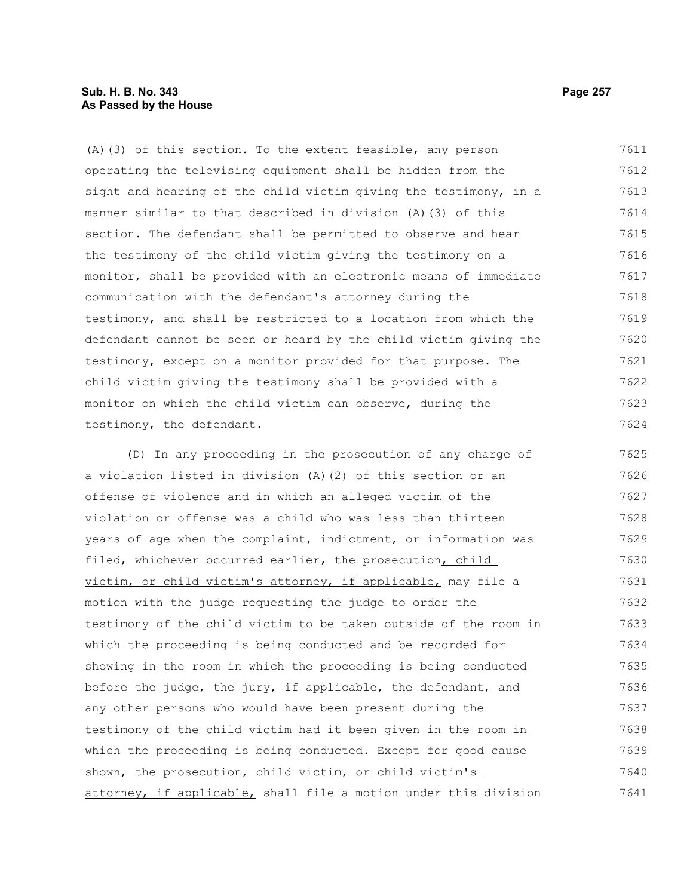# **Sub. H. B. No. 343 Page 257 As Passed by the House**

(A)(3) of this section. To the extent feasible, any person operating the televising equipment shall be hidden from the sight and hearing of the child victim giving the testimony, in a manner similar to that described in division (A)(3) of this section. The defendant shall be permitted to observe and hear the testimony of the child victim giving the testimony on a monitor, shall be provided with an electronic means of immediate communication with the defendant's attorney during the testimony, and shall be restricted to a location from which the defendant cannot be seen or heard by the child victim giving the testimony, except on a monitor provided for that purpose. The child victim giving the testimony shall be provided with a monitor on which the child victim can observe, during the testimony, the defendant. 7611 7612 7613 7614 7615 7616 7617 7618 7619 7620 7621 7622 7623 7624

(D) In any proceeding in the prosecution of any charge of a violation listed in division (A)(2) of this section or an offense of violence and in which an alleged victim of the violation or offense was a child who was less than thirteen years of age when the complaint, indictment, or information was filed, whichever occurred earlier, the prosecution, child victim, or child victim's attorney, if applicable, may file a motion with the judge requesting the judge to order the testimony of the child victim to be taken outside of the room in which the proceeding is being conducted and be recorded for showing in the room in which the proceeding is being conducted before the judge, the jury, if applicable, the defendant, and any other persons who would have been present during the testimony of the child victim had it been given in the room in which the proceeding is being conducted. Except for good cause shown, the prosecution, child victim, or child victim's attorney, if applicable, shall file a motion under this division 7625 7626 7627 7628 7629 7630 7631 7632 7633 7634 7635 7636 7637 7638 7639 7640 7641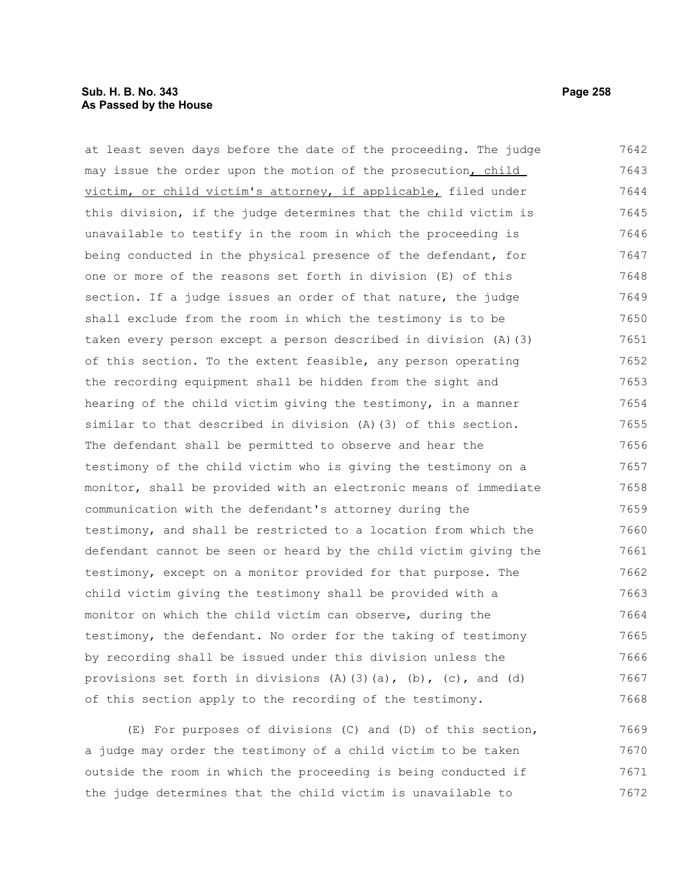# **Sub. H. B. No. 343 Page 258 As Passed by the House**

at least seven days before the date of the proceeding. The judge may issue the order upon the motion of the prosecution, child victim, or child victim's attorney, if applicable, filed under this division, if the judge determines that the child victim is unavailable to testify in the room in which the proceeding is being conducted in the physical presence of the defendant, for one or more of the reasons set forth in division (E) of this section. If a judge issues an order of that nature, the judge shall exclude from the room in which the testimony is to be taken every person except a person described in division (A)(3) of this section. To the extent feasible, any person operating the recording equipment shall be hidden from the sight and hearing of the child victim giving the testimony, in a manner similar to that described in division (A)(3) of this section. The defendant shall be permitted to observe and hear the testimony of the child victim who is giving the testimony on a monitor, shall be provided with an electronic means of immediate communication with the defendant's attorney during the testimony, and shall be restricted to a location from which the defendant cannot be seen or heard by the child victim giving the testimony, except on a monitor provided for that purpose. The child victim giving the testimony shall be provided with a monitor on which the child victim can observe, during the testimony, the defendant. No order for the taking of testimony by recording shall be issued under this division unless the provisions set forth in divisions  $(A)$   $(3)$   $(a)$ ,  $(b)$ ,  $(c)$ , and  $(d)$ of this section apply to the recording of the testimony. 7642 7643 7644 7645 7646 7647 7648 7649 7650 7651 7652 7653 7654 7655 7656 7657 7658 7659 7660 7661 7662 7663 7664 7665 7666 7667 7668

(E) For purposes of divisions (C) and (D) of this section, a judge may order the testimony of a child victim to be taken outside the room in which the proceeding is being conducted if the judge determines that the child victim is unavailable to 7669 7670 7671 7672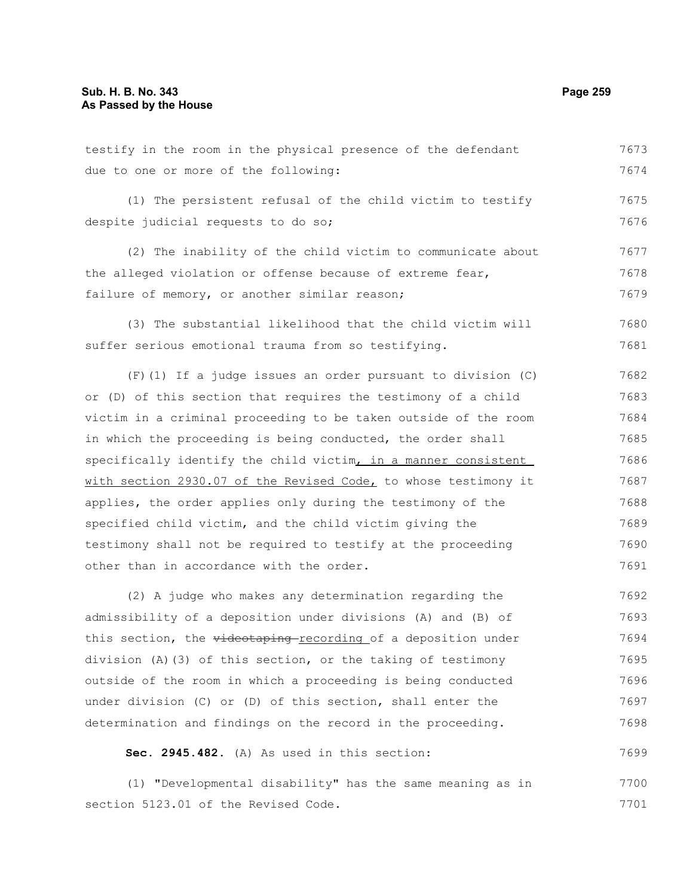7701

| testify in the room in the physical presence of the defendant   | 7673 |
|-----------------------------------------------------------------|------|
| due to one or more of the following:                            | 7674 |
| (1) The persistent refusal of the child victim to testify       | 7675 |
| despite judicial requests to do so;                             | 7676 |
| (2) The inability of the child victim to communicate about      | 7677 |
| the alleged violation or offense because of extreme fear,       | 7678 |
| failure of memory, or another similar reason;                   | 7679 |
| (3) The substantial likelihood that the child victim will       | 7680 |
| suffer serious emotional trauma from so testifying.             | 7681 |
| (F) (1) If a judge issues an order pursuant to division (C)     | 7682 |
| or (D) of this section that requires the testimony of a child   | 7683 |
| victim in a criminal proceeding to be taken outside of the room | 7684 |
| in which the proceeding is being conducted, the order shall     | 7685 |
| specifically identify the child victim, in a manner consistent  | 7686 |
| with section 2930.07 of the Revised Code, to whose testimony it | 7687 |
| applies, the order applies only during the testimony of the     | 7688 |
| specified child victim, and the child victim giving the         | 7689 |
| testimony shall not be required to testify at the proceeding    | 7690 |
| other than in accordance with the order.                        | 7691 |
| (2) A judge who makes any determination regarding the           | 7692 |
| admissibility of a deposition under divisions (A) and (B) of    | 7693 |
| this section, the videotaping-recording of a deposition under   | 7694 |
| division (A) (3) of this section, or the taking of testimony    | 7695 |
| outside of the room in which a proceeding is being conducted    | 7696 |
| under division (C) or (D) of this section, shall enter the      | 7697 |
| determination and findings on the record in the proceeding.     | 7698 |
| Sec. 2945.482. (A) As used in this section:                     | 7699 |
| (1) "Developmental disability" has the same meaning as in       | 7700 |

section 5123.01 of the Revised Code.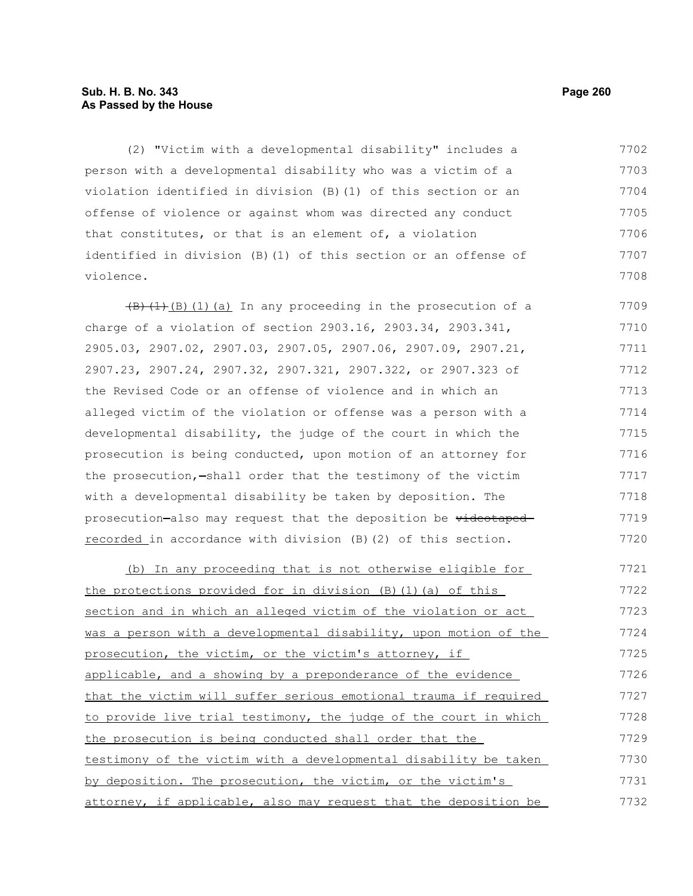# **Sub. H. B. No. 343 Page 260 As Passed by the House**

(2) "Victim with a developmental disability" includes a person with a developmental disability who was a victim of a violation identified in division (B)(1) of this section or an offense of violence or against whom was directed any conduct that constitutes, or that is an element of, a violation identified in division (B)(1) of this section or an offense of violence. 7702 7703 7704 7705 7706 7707 7708

 $(H+(B)(B)(1)(a))$  In any proceeding in the prosecution of a charge of a violation of section 2903.16, 2903.34, 2903.341, 2905.03, 2907.02, 2907.03, 2907.05, 2907.06, 2907.09, 2907.21, 2907.23, 2907.24, 2907.32, 2907.321, 2907.322, or 2907.323 of the Revised Code or an offense of violence and in which an alleged victim of the violation or offense was a person with a developmental disability, the judge of the court in which the prosecution is being conducted, upon motion of an attorney for the prosecution,-shall order that the testimony of the victim with a developmental disability be taken by deposition. The prosecution-also may request that the deposition be videotapedrecorded in accordance with division (B)(2) of this section. 7709 7710 7711 7712 7713 7714 7715 7716 7717 7718 7719 7720

(b) In any proceeding that is not otherwise eligible for the protections provided for in division (B)(1)(a) of this section and in which an alleged victim of the violation or act was a person with a developmental disability, upon motion of the prosecution, the victim, or the victim's attorney, if applicable, and a showing by a preponderance of the evidence that the victim will suffer serious emotional trauma if required to provide live trial testimony, the judge of the court in which the prosecution is being conducted shall order that the testimony of the victim with a developmental disability be taken by deposition. The prosecution, the victim, or the victim's attorney, if applicable, also may request that the deposition be 7721 7722 7723 7724 7725 7726 7727 7728 7729 7730 7731 7732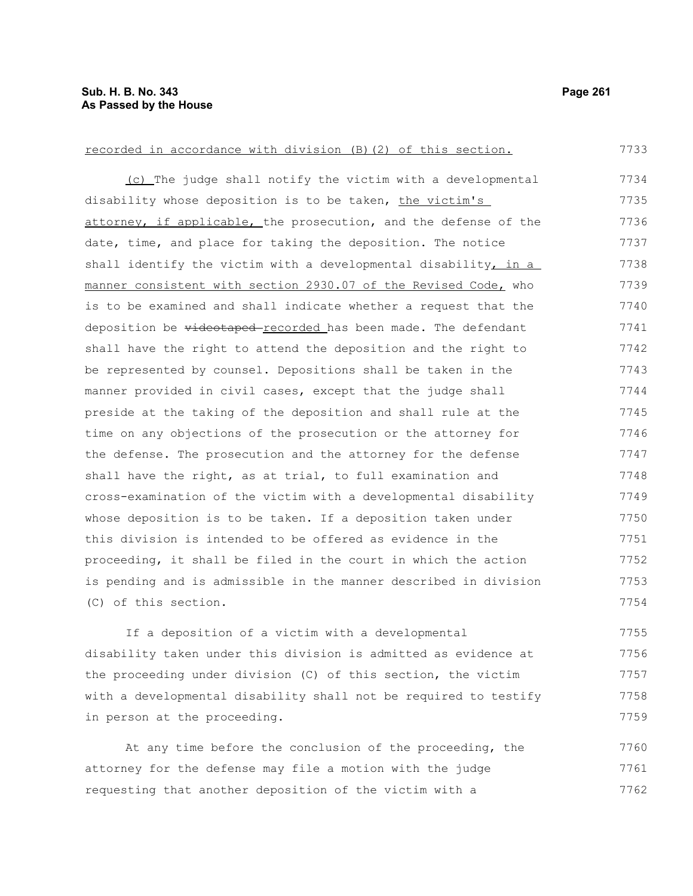| recorded in accordance with division (B) (2) of this section.    | 7733 |
|------------------------------------------------------------------|------|
| (c) The judge shall notify the victim with a developmental       | 7734 |
| disability whose deposition is to be taken, the victim's         | 7735 |
| attorney, if applicable, the prosecution, and the defense of the | 7736 |
| date, time, and place for taking the deposition. The notice      | 7737 |
| shall identify the victim with a developmental disability, in a  | 7738 |
| manner consistent with section 2930.07 of the Revised Code, who  | 7739 |
| is to be examined and shall indicate whether a request that the  | 7740 |
| deposition be videotaped recorded has been made. The defendant   | 7741 |
| shall have the right to attend the deposition and the right to   | 7742 |
| be represented by counsel. Depositions shall be taken in the     | 7743 |
| manner provided in civil cases, except that the judge shall      | 7744 |
| preside at the taking of the deposition and shall rule at the    | 7745 |
| time on any objections of the prosecution or the attorney for    | 7746 |
| the defense. The prosecution and the attorney for the defense    | 7747 |
| shall have the right, as at trial, to full examination and       | 7748 |
| cross-examination of the victim with a developmental disability  | 7749 |
| whose deposition is to be taken. If a deposition taken under     | 7750 |
| this division is intended to be offered as evidence in the       | 7751 |
| proceeding, it shall be filed in the court in which the action   | 7752 |
| is pending and is admissible in the manner described in division | 7753 |
| (C) of this section.                                             | 7754 |
| If a deposition of a victim with a developmental                 | 7755 |

disability taken under this division is admitted as evidence at the proceeding under division (C) of this section, the victim with a developmental disability shall not be required to testify in person at the proceeding. 7756 7757 7758 7759

At any time before the conclusion of the proceeding, the attorney for the defense may file a motion with the judge requesting that another deposition of the victim with a 7760 7761 7762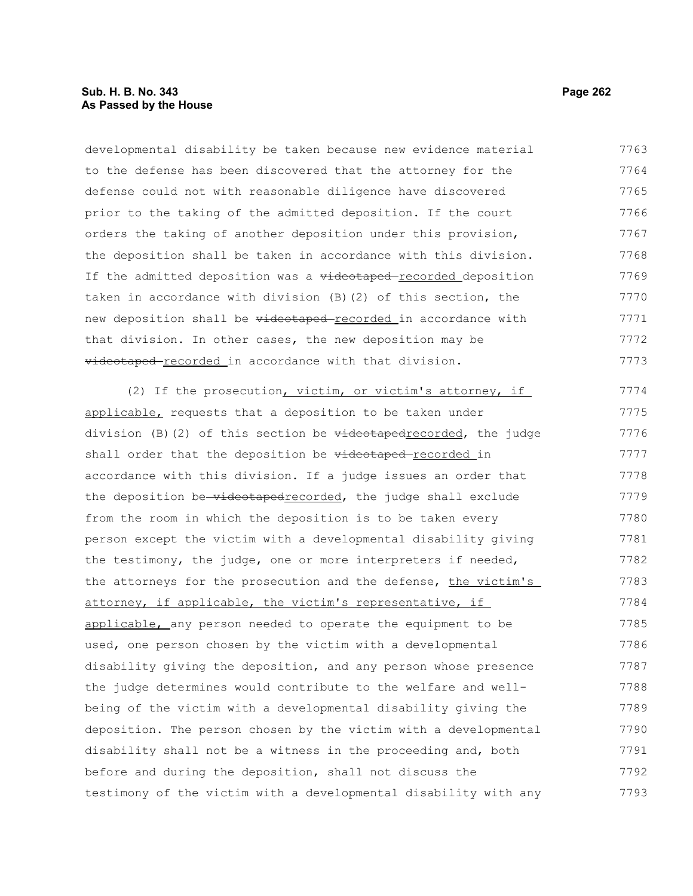developmental disability be taken because new evidence material to the defense has been discovered that the attorney for the defense could not with reasonable diligence have discovered prior to the taking of the admitted deposition. If the court orders the taking of another deposition under this provision, the deposition shall be taken in accordance with this division. If the admitted deposition was a videotaped-recorded deposition taken in accordance with division (B)(2) of this section, the new deposition shall be videotaped recorded in accordance with that division. In other cases, the new deposition may be videotaped recorded in accordance with that division. 7763 7764 7765 7766 7767 7768 7769 7770 7771 7772 7773

(2) If the prosecution, victim, or victim's attorney, if applicable, requests that a deposition to be taken under division (B)(2) of this section be videotapedrecorded, the judge shall order that the deposition be videotaped-recorded in accordance with this division. If a judge issues an order that the deposition be-videotapedrecorded, the judge shall exclude from the room in which the deposition is to be taken every person except the victim with a developmental disability giving the testimony, the judge, one or more interpreters if needed, the attorneys for the prosecution and the defense, the victim's attorney, if applicable, the victim's representative, if applicable, any person needed to operate the equipment to be used, one person chosen by the victim with a developmental disability giving the deposition, and any person whose presence the judge determines would contribute to the welfare and wellbeing of the victim with a developmental disability giving the deposition. The person chosen by the victim with a developmental disability shall not be a witness in the proceeding and, both before and during the deposition, shall not discuss the testimony of the victim with a developmental disability with any 7774 7775 7776 7777 7778 7779 7780 7781 7782 7783 7784 7785 7786 7787 7788 7789 7790 7791 7792 7793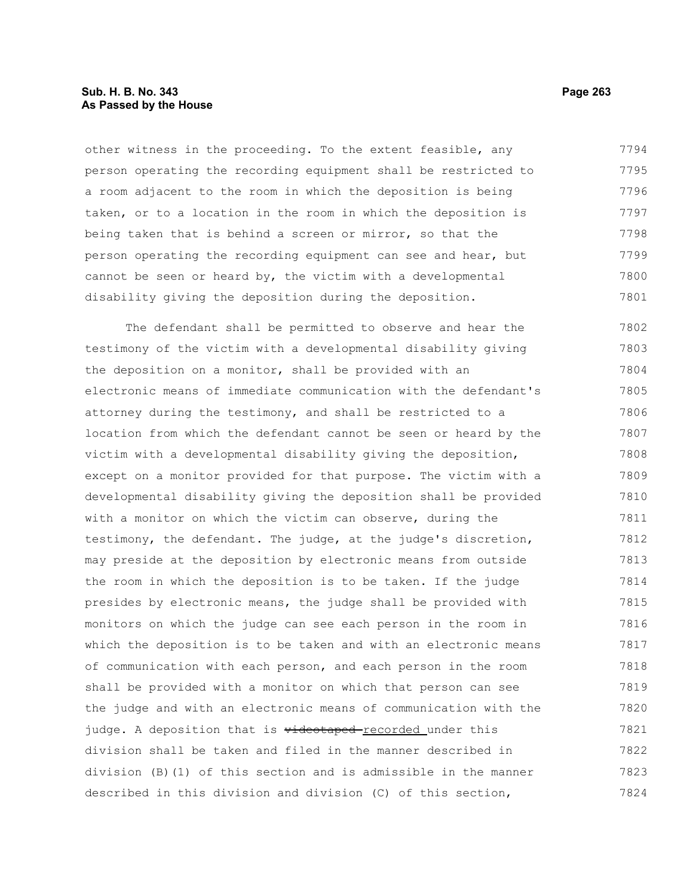# **Sub. H. B. No. 343 Page 263 As Passed by the House**

other witness in the proceeding. To the extent feasible, any person operating the recording equipment shall be restricted to a room adjacent to the room in which the deposition is being taken, or to a location in the room in which the deposition is being taken that is behind a screen or mirror, so that the person operating the recording equipment can see and hear, but cannot be seen or heard by, the victim with a developmental disability giving the deposition during the deposition. 7794 7795 7796 7797 7798 7799 7800 7801

The defendant shall be permitted to observe and hear the testimony of the victim with a developmental disability giving the deposition on a monitor, shall be provided with an electronic means of immediate communication with the defendant's attorney during the testimony, and shall be restricted to a location from which the defendant cannot be seen or heard by the victim with a developmental disability giving the deposition, except on a monitor provided for that purpose. The victim with a developmental disability giving the deposition shall be provided with a monitor on which the victim can observe, during the testimony, the defendant. The judge, at the judge's discretion, may preside at the deposition by electronic means from outside the room in which the deposition is to be taken. If the judge presides by electronic means, the judge shall be provided with monitors on which the judge can see each person in the room in which the deposition is to be taken and with an electronic means of communication with each person, and each person in the room shall be provided with a monitor on which that person can see the judge and with an electronic means of communication with the judge. A deposition that is videotaped recorded under this division shall be taken and filed in the manner described in division (B)(1) of this section and is admissible in the manner described in this division and division (C) of this section, 7802 7803 7804 7805 7806 7807 7808 7809 7810 7811 7812 7813 7814 7815 7816 7817 7818 7819 7820 7821 7822 7823 7824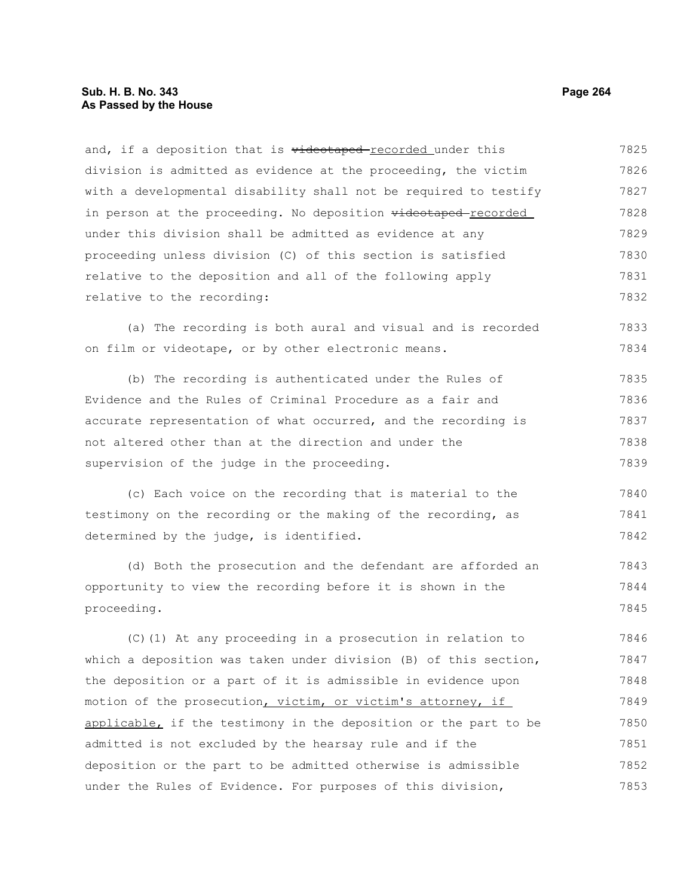## **Sub. H. B. No. 343 Page 264 As Passed by the House**

and, if a deposition that is videotaped-recorded under this division is admitted as evidence at the proceeding, the victim with a developmental disability shall not be required to testify in person at the proceeding. No deposition videotaped-recorded under this division shall be admitted as evidence at any proceeding unless division (C) of this section is satisfied relative to the deposition and all of the following apply relative to the recording: 7825 7826 7827 7828 7829 7830 7831 7832

(a) The recording is both aural and visual and is recorded on film or videotape, or by other electronic means. 7833 7834

(b) The recording is authenticated under the Rules of Evidence and the Rules of Criminal Procedure as a fair and accurate representation of what occurred, and the recording is not altered other than at the direction and under the supervision of the judge in the proceeding. 7835 7836 7837 7838 7839

(c) Each voice on the recording that is material to the testimony on the recording or the making of the recording, as determined by the judge, is identified. 7840 7841 7842

(d) Both the prosecution and the defendant are afforded an opportunity to view the recording before it is shown in the proceeding. 7843 7844 7845

(C)(1) At any proceeding in a prosecution in relation to which a deposition was taken under division (B) of this section, the deposition or a part of it is admissible in evidence upon motion of the prosecution, victim, or victim's attorney, if applicable, if the testimony in the deposition or the part to be admitted is not excluded by the hearsay rule and if the deposition or the part to be admitted otherwise is admissible under the Rules of Evidence. For purposes of this division, 7846 7847 7848 7849 7850 7851 7852 7853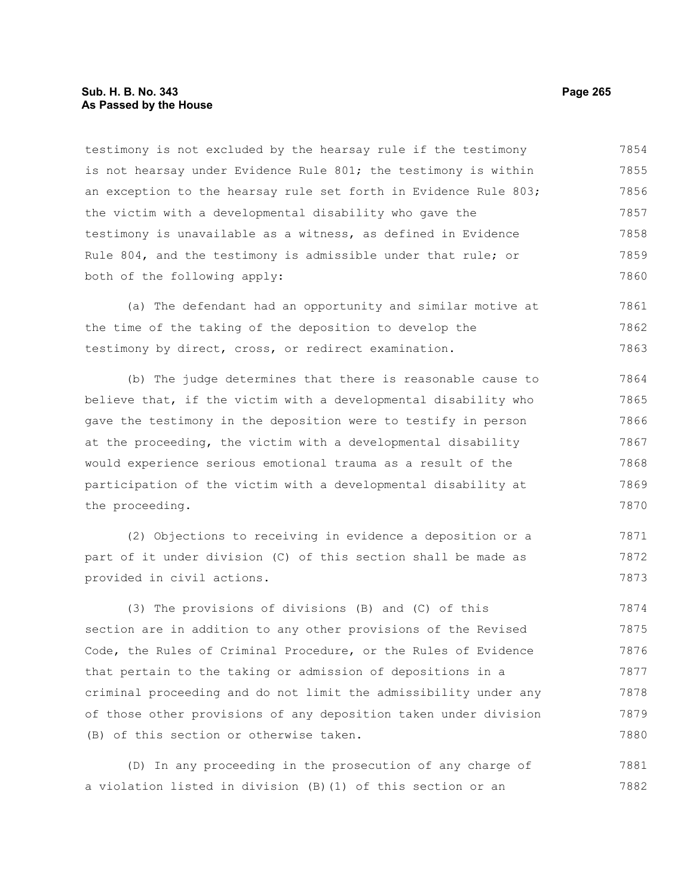# **Sub. H. B. No. 343 Page 265 As Passed by the House**

testimony is not excluded by the hearsay rule if the testimony is not hearsay under Evidence Rule 801; the testimony is within an exception to the hearsay rule set forth in Evidence Rule 803; the victim with a developmental disability who gave the testimony is unavailable as a witness, as defined in Evidence Rule 804, and the testimony is admissible under that rule; or both of the following apply: 7854 7855 7856 7857 7858 7859 7860

(a) The defendant had an opportunity and similar motive at the time of the taking of the deposition to develop the testimony by direct, cross, or redirect examination. 7861 7862 7863

(b) The judge determines that there is reasonable cause to believe that, if the victim with a developmental disability who gave the testimony in the deposition were to testify in person at the proceeding, the victim with a developmental disability would experience serious emotional trauma as a result of the participation of the victim with a developmental disability at the proceeding. 7864 7865 7866 7867 7868 7869 7870

(2) Objections to receiving in evidence a deposition or a part of it under division (C) of this section shall be made as provided in civil actions. 7871 7872 7873

(3) The provisions of divisions (B) and (C) of this section are in addition to any other provisions of the Revised Code, the Rules of Criminal Procedure, or the Rules of Evidence that pertain to the taking or admission of depositions in a criminal proceeding and do not limit the admissibility under any of those other provisions of any deposition taken under division (B) of this section or otherwise taken. 7874 7875 7876 7877 7878 7879 7880

(D) In any proceeding in the prosecution of any charge of a violation listed in division (B)(1) of this section or an 7881 7882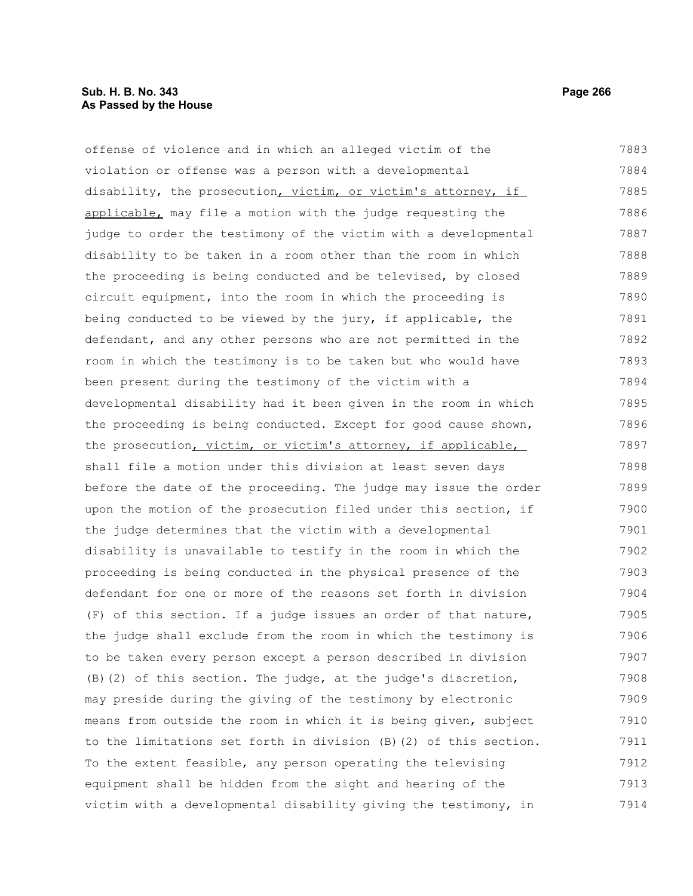#### **Sub. H. B. No. 343 Page 266 As Passed by the House**

offense of violence and in which an alleged victim of the violation or offense was a person with a developmental disability, the prosecution, victim, or victim's attorney, if applicable, may file a motion with the judge requesting the judge to order the testimony of the victim with a developmental disability to be taken in a room other than the room in which the proceeding is being conducted and be televised, by closed circuit equipment, into the room in which the proceeding is being conducted to be viewed by the jury, if applicable, the defendant, and any other persons who are not permitted in the room in which the testimony is to be taken but who would have been present during the testimony of the victim with a developmental disability had it been given in the room in which the proceeding is being conducted. Except for good cause shown, the prosecution, victim, or victim's attorney, if applicable, shall file a motion under this division at least seven days before the date of the proceeding. The judge may issue the order upon the motion of the prosecution filed under this section, if the judge determines that the victim with a developmental disability is unavailable to testify in the room in which the proceeding is being conducted in the physical presence of the defendant for one or more of the reasons set forth in division (F) of this section. If a judge issues an order of that nature, the judge shall exclude from the room in which the testimony is to be taken every person except a person described in division (B)(2) of this section. The judge, at the judge's discretion, may preside during the giving of the testimony by electronic means from outside the room in which it is being given, subject to the limitations set forth in division (B)(2) of this section. To the extent feasible, any person operating the televising equipment shall be hidden from the sight and hearing of the victim with a developmental disability giving the testimony, in 7883 7884 7885 7886 7887 7888 7889 7890 7891 7892 7893 7894 7895 7896 7897 7898 7899 7900 7901 7902 7903 7904 7905 7906 7907 7908 7909 7910 7911 7912 7913 7914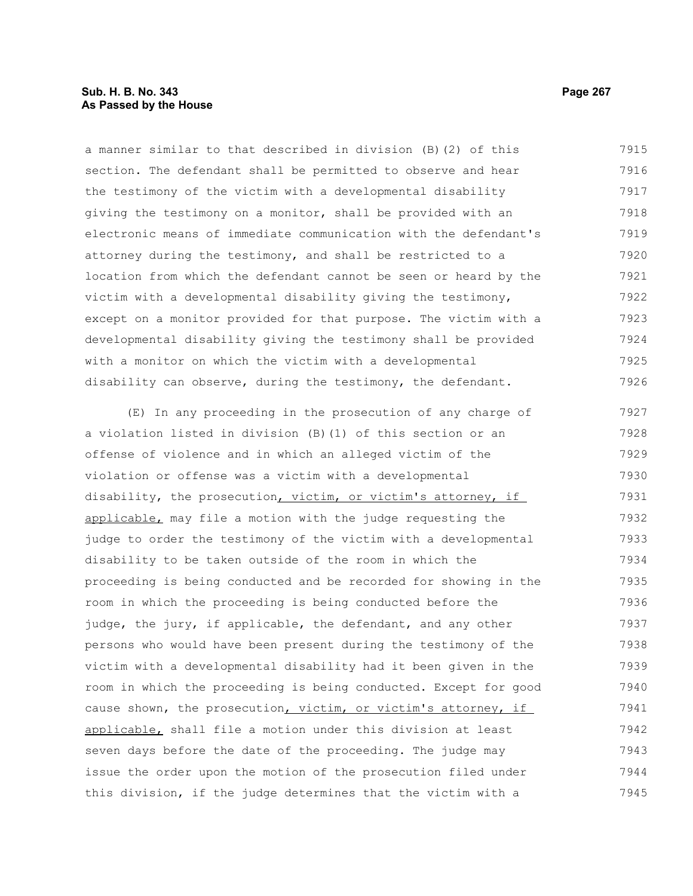# **Sub. H. B. No. 343 Page 267 As Passed by the House**

a manner similar to that described in division (B)(2) of this section. The defendant shall be permitted to observe and hear the testimony of the victim with a developmental disability giving the testimony on a monitor, shall be provided with an electronic means of immediate communication with the defendant's attorney during the testimony, and shall be restricted to a location from which the defendant cannot be seen or heard by the victim with a developmental disability giving the testimony, except on a monitor provided for that purpose. The victim with a developmental disability giving the testimony shall be provided with a monitor on which the victim with a developmental disability can observe, during the testimony, the defendant. 7915 7916 7917 7918 7919 7920 7921 7922 7923 7924 7925 7926

(E) In any proceeding in the prosecution of any charge of a violation listed in division (B)(1) of this section or an offense of violence and in which an alleged victim of the violation or offense was a victim with a developmental disability, the prosecution, victim, or victim's attorney, if applicable, may file a motion with the judge requesting the judge to order the testimony of the victim with a developmental disability to be taken outside of the room in which the proceeding is being conducted and be recorded for showing in the room in which the proceeding is being conducted before the judge, the jury, if applicable, the defendant, and any other persons who would have been present during the testimony of the victim with a developmental disability had it been given in the room in which the proceeding is being conducted. Except for good cause shown, the prosecution, victim, or victim's attorney, if applicable, shall file a motion under this division at least seven days before the date of the proceeding. The judge may issue the order upon the motion of the prosecution filed under this division, if the judge determines that the victim with a 7927 7928 7929 7930 7931 7932 7933 7934 7935 7936 7937 7938 7939 7940 7941 7942 7943 7944 7945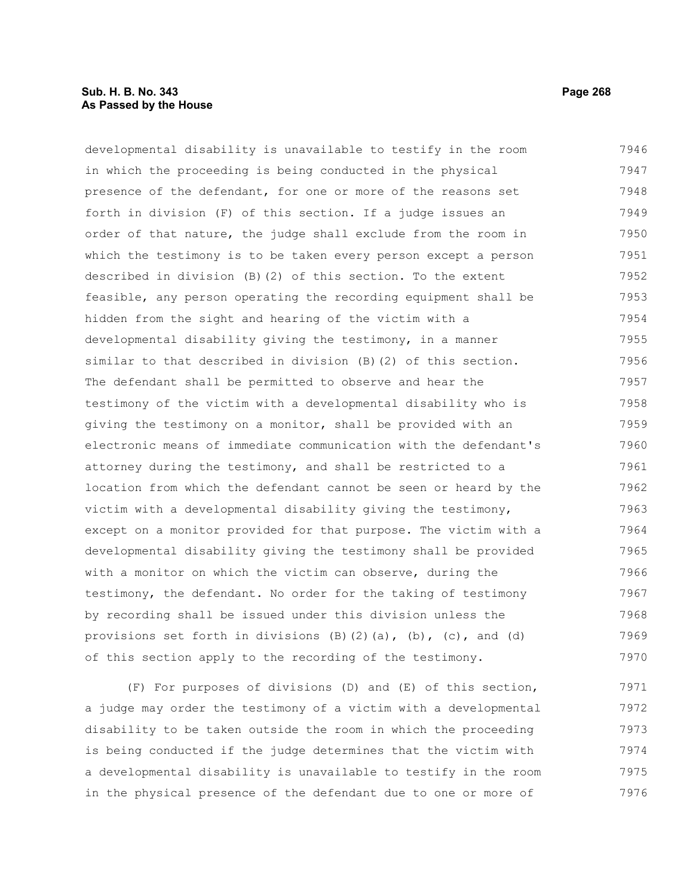developmental disability is unavailable to testify in the room in which the proceeding is being conducted in the physical presence of the defendant, for one or more of the reasons set forth in division (F) of this section. If a judge issues an order of that nature, the judge shall exclude from the room in which the testimony is to be taken every person except a person described in division (B)(2) of this section. To the extent feasible, any person operating the recording equipment shall be hidden from the sight and hearing of the victim with a developmental disability giving the testimony, in a manner similar to that described in division (B)(2) of this section. The defendant shall be permitted to observe and hear the testimony of the victim with a developmental disability who is giving the testimony on a monitor, shall be provided with an electronic means of immediate communication with the defendant's attorney during the testimony, and shall be restricted to a location from which the defendant cannot be seen or heard by the victim with a developmental disability giving the testimony, except on a monitor provided for that purpose. The victim with a developmental disability giving the testimony shall be provided with a monitor on which the victim can observe, during the testimony, the defendant. No order for the taking of testimony by recording shall be issued under this division unless the provisions set forth in divisions  $(B)(2)(a)$ ,  $(b)$ ,  $(c)$ , and  $(d)$ of this section apply to the recording of the testimony. 7946 7947 7948 7949 7950 7951 7952 7953 7954 7955 7956 7957 7958 7959 7960 7961 7962 7963 7964 7965 7966 7967 7968 7969 7970

(F) For purposes of divisions (D) and (E) of this section, a judge may order the testimony of a victim with a developmental disability to be taken outside the room in which the proceeding is being conducted if the judge determines that the victim with a developmental disability is unavailable to testify in the room in the physical presence of the defendant due to one or more of 7971 7972 7973 7974 7975 7976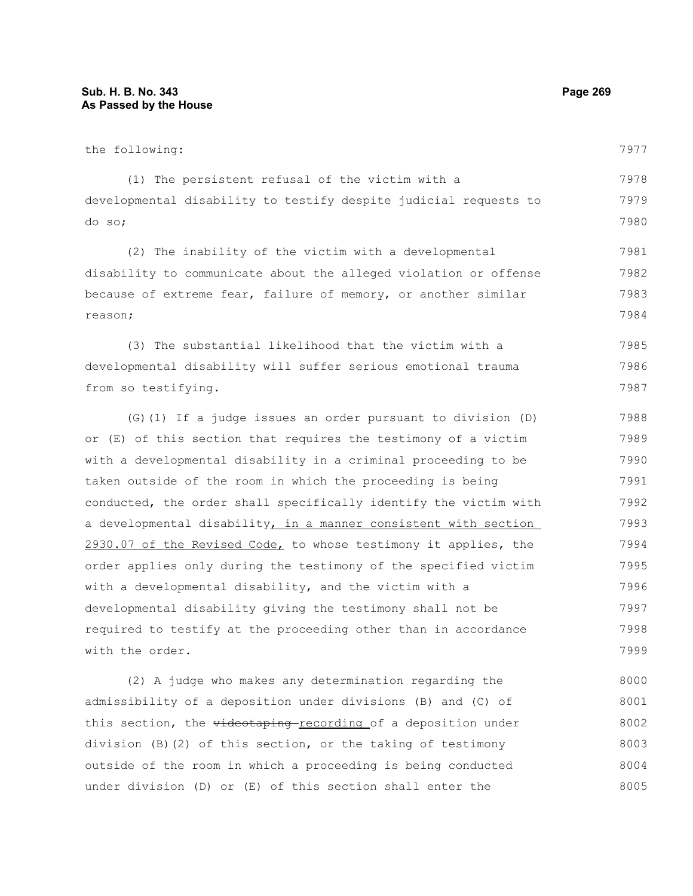8005

| the following:                                                   | 7977 |
|------------------------------------------------------------------|------|
| (1) The persistent refusal of the victim with a                  | 7978 |
| developmental disability to testify despite judicial requests to | 7979 |
| do so;                                                           | 7980 |
| (2) The inability of the victim with a developmental             | 7981 |
| disability to communicate about the alleged violation or offense | 7982 |
| because of extreme fear, failure of memory, or another similar   | 7983 |
| reason;                                                          | 7984 |
| (3) The substantial likelihood that the victim with a            | 7985 |
| developmental disability will suffer serious emotional trauma    | 7986 |
| from so testifying.                                              | 7987 |
| (G) (1) If a judge issues an order pursuant to division (D)      | 7988 |
| or (E) of this section that requires the testimony of a victim   | 7989 |
| with a developmental disability in a criminal proceeding to be   | 7990 |
| taken outside of the room in which the proceeding is being       | 7991 |
| conducted, the order shall specifically identify the victim with | 7992 |
| a developmental disability, in a manner consistent with section  | 7993 |
| 2930.07 of the Revised Code, to whose testimony it applies, the  | 7994 |
| order applies only during the testimony of the specified victim  | 7995 |
| with a developmental disability, and the victim with a           | 7996 |
| developmental disability giving the testimony shall not be       | 7997 |
| required to testify at the proceeding other than in accordance   | 7998 |
| with the order.                                                  | 7999 |
| (2) A judge who makes any determination regarding the            | 8000 |
| admissibility of a deposition under divisions (B) and (C) of     | 8001 |
| this section, the videotaping recording of a deposition under    | 8002 |
| division (B) (2) of this section, or the taking of testimony     | 8003 |
| outside of the room in which a proceeding is being conducted     | 8004 |

under division (D) or (E) of this section shall enter the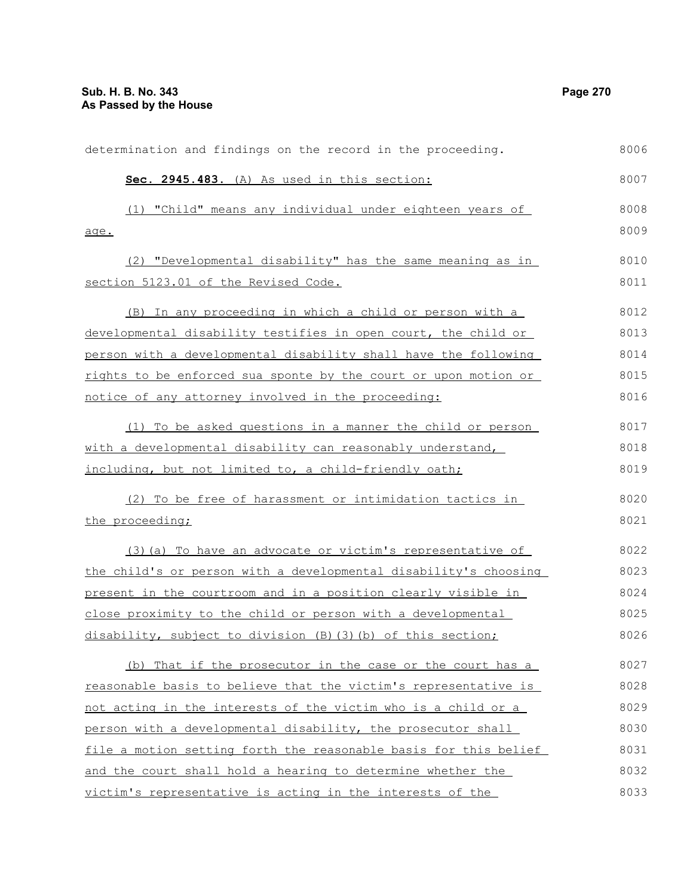determination and findings on the record in the proceeding. **Sec. 2945.483.** (A) As used in this section: (1) "Child" means any individual under eighteen years of age. (2) "Developmental disability" has the same meaning as in section 5123.01 of the Revised Code. (B) In any proceeding in which a child or person with a developmental disability testifies in open court, the child or person with a developmental disability shall have the following rights to be enforced sua sponte by the court or upon motion or notice of any attorney involved in the proceeding: (1) To be asked questions in a manner the child or person with a developmental disability can reasonably understand, including, but not limited to, a child-friendly oath; (2) To be free of harassment or intimidation tactics in the proceeding; (3)(a) To have an advocate or victim's representative of the child's or person with a developmental disability's choosing present in the courtroom and in a position clearly visible in close proximity to the child or person with a developmental disability, subject to division (B)(3)(b) of this section; (b) That if the prosecutor in the case or the court has a reasonable basis to believe that the victim's representative is not acting in the interests of the victim who is a child or a person with a developmental disability, the prosecutor shall file a motion setting forth the reasonable basis for this belief and the court shall hold a hearing to determine whether the victim's representative is acting in the interests of the 8006 8007 8008 8009 8010 8011 8012 8013 8014 8015 8016 8017 8018 8019 8020 8021 8022 8023 8024 8025 8026 8027 8028 8029 8030 8031 8032 8033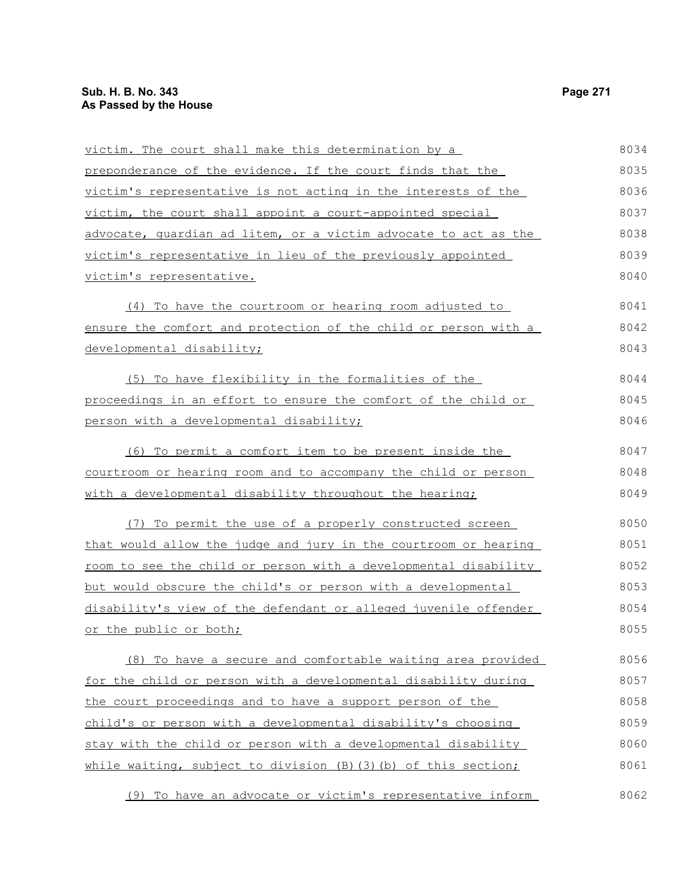| victim. The court shall make this determination by a            | 8034 |
|-----------------------------------------------------------------|------|
| preponderance of the evidence. If the court finds that the      | 8035 |
| victim's representative is not acting in the interests of the   | 8036 |
| victim, the court shall appoint a court-appointed special       | 8037 |
| advocate, quardian ad litem, or a victim advocate to act as the | 8038 |
| victim's representative in lieu of the previously appointed     | 8039 |
| <u>victim's representative.</u>                                 | 8040 |
| (4) To have the courtroom or hearing room adjusted to           | 8041 |
| ensure the comfort and protection of the child or person with a | 8042 |
| developmental disability;                                       | 8043 |
| (5) To have flexibility in the formalities of the               | 8044 |
| proceedings in an effort to ensure the comfort of the child or  | 8045 |
| person with a developmental disability;                         | 8046 |
| (6) To permit a comfort item to be present inside the           | 8047 |
| courtroom or hearing room and to accompany the child or person  | 8048 |
| with a developmental disability throughout the hearing;         | 8049 |
| (7) To permit the use of a properly constructed screen          | 8050 |
| that would allow the judge and jury in the courtroom or hearing | 8051 |
| room to see the child or person with a developmental disability | 8052 |
| but would obscure the child's or person with a developmental    | 8053 |
| disability's view of the defendant or alleged juvenile offender | 8054 |
| or the public or both;                                          | 8055 |
| (8) To have a secure and comfortable waiting area provided      | 8056 |
| for the child or person with a developmental disability during  | 8057 |
| the court proceedings and to have a support person of the       | 8058 |
| child's or person with a developmental disability's choosing    | 8059 |
| stay with the child or person with a developmental disability   | 8060 |
| while waiting, subject to division (B) (3) (b) of this section; | 8061 |
| (9) To have an advocate or victim's representative inform       | 8062 |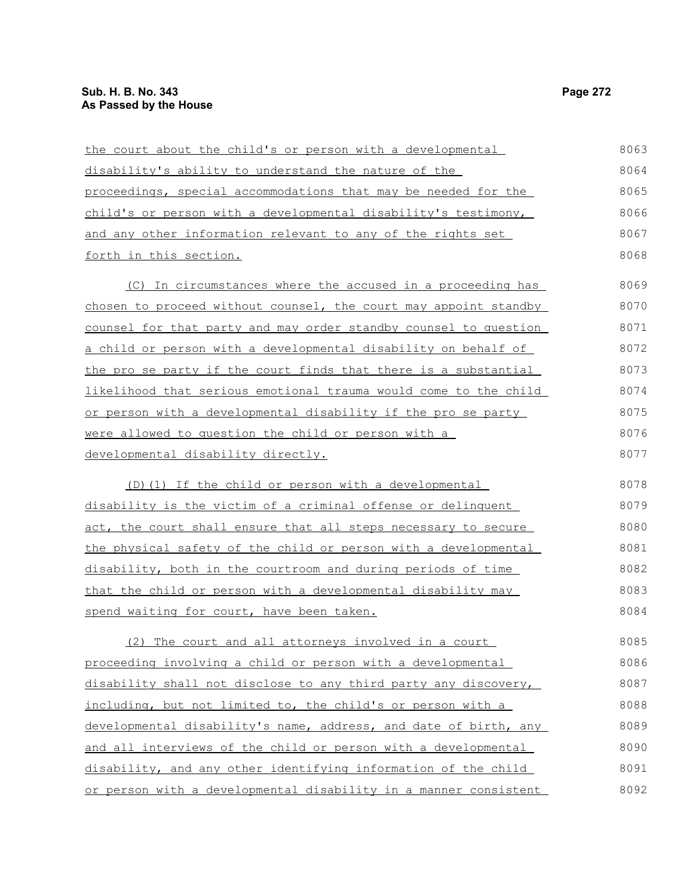| the court about the child's or person with a developmental       | 8063 |
|------------------------------------------------------------------|------|
| disability's ability to understand the nature of the             | 8064 |
| proceedings, special accommodations that may be needed for the   | 8065 |
| child's or person with a developmental disability's testimony,   | 8066 |
| and any other information relevant to any of the rights set      | 8067 |
| forth in this section.                                           | 8068 |
| (C) In circumstances where the accused in a proceeding has       | 8069 |
| chosen to proceed without counsel, the court may appoint standby | 8070 |
| counsel for that party and may order standby counsel to question | 8071 |
| a child or person with a developmental disability on behalf of   | 8072 |
| the pro se party if the court finds that there is a substantial  | 8073 |
| likelihood that serious emotional trauma would come to the child | 8074 |
| or person with a developmental disability if the pro se party    | 8075 |
| were allowed to question the child or person with a              | 8076 |
| developmental disability directly.                               | 8077 |
| (D) (1) If the child or person with a developmental              | 8078 |
| disability is the victim of a criminal offense or delinquent     | 8079 |
| act, the court shall ensure that all steps necessary to secure   | 8080 |
| the physical safety of the child or person with a developmental  | 8081 |
| disability, both in the courtroom and during periods of time     | 8082 |
| that the child or person with a developmental disability may     | 8083 |
| spend waiting for court, have been taken.                        | 8084 |
| (2) The court and all attorneys involved in a court              | 8085 |
| proceeding involving a child or person with a developmental      | 8086 |
| disability shall not disclose to any third party any discovery,  | 8087 |
| including, but not limited to, the child's or person with a      | 8088 |
| developmental disability's name, address, and date of birth, any | 8089 |
| and all interviews of the child or person with a developmental   | 8090 |
| disability, and any other identifying information of the child   | 8091 |
| or person with a developmental disability in a manner consistent | 8092 |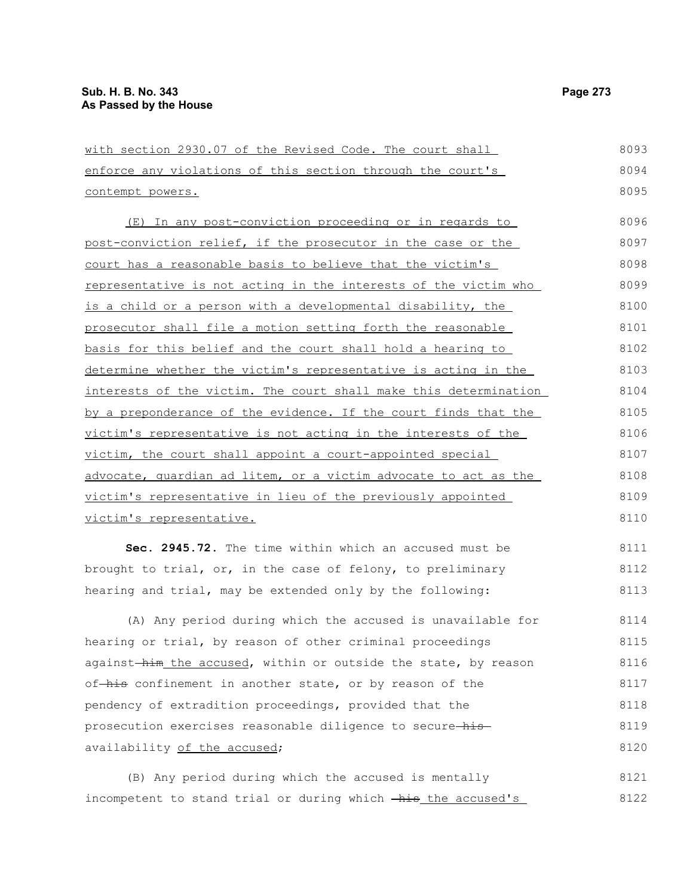with section 2930.07 of the Revised Code. The court shall enforce any violations of this section through the court's contempt powers. (E) In any post-conviction proceeding or in regards to post-conviction relief, if the prosecutor in the case or the court has a reasonable basis to believe that the victim's representative is not acting in the interests of the victim who is a child or a person with a developmental disability, the prosecutor shall file a motion setting forth the reasonable basis for this belief and the court shall hold a hearing to determine whether the victim's representative is acting in the interests of the victim. The court shall make this determination by a preponderance of the evidence. If the court finds that the victim's representative is not acting in the interests of the victim, the court shall appoint a court-appointed special advocate, guardian ad litem, or a victim advocate to act as the victim's representative in lieu of the previously appointed victim's representative. **Sec. 2945.72.** The time within which an accused must be brought to trial, or, in the case of felony, to preliminary hearing and trial, may be extended only by the following: 8093 8094 8095 8096 8097 8098 8099 8100 8101 8102 8103 8104 8105 8106 8107 8108 8109 8110 8111 8112 8113

(A) Any period during which the accused is unavailable for hearing or trial, by reason of other criminal proceedings against-him the accused, within or outside the state, by reason of-his confinement in another state, or by reason of the pendency of extradition proceedings, provided that the prosecution exercises reasonable diligence to secure-hisavailability of the accused; 8114 8115 8116 8117 8118 8119 8120

(B) Any period during which the accused is mentally incompetent to stand trial or during which  $-\text{his}$  the accused's 8121 8122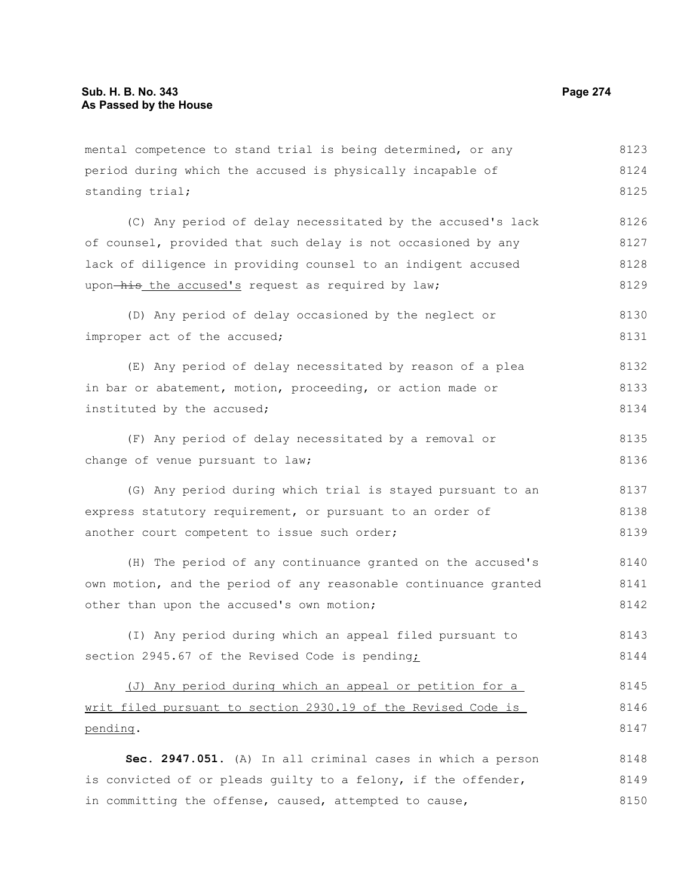mental competence to stand trial is being determined, or any period during which the accused is physically incapable of standing trial; (C) Any period of delay necessitated by the accused's lack of counsel, provided that such delay is not occasioned by any lack of diligence in providing counsel to an indigent accused upon-his the accused's request as required by law; (D) Any period of delay occasioned by the neglect or improper act of the accused; (E) Any period of delay necessitated by reason of a plea in bar or abatement, motion, proceeding, or action made or instituted by the accused; (F) Any period of delay necessitated by a removal or change of venue pursuant to law; (G) Any period during which trial is stayed pursuant to an express statutory requirement, or pursuant to an order of another court competent to issue such order; (H) The period of any continuance granted on the accused's own motion, and the period of any reasonable continuance granted other than upon the accused's own motion; (I) Any period during which an appeal filed pursuant to section 2945.67 of the Revised Code is pending; (J) Any period during which an appeal or petition for a writ filed pursuant to section 2930.19 of the Revised Code is pending. 8123 8124 8125 8126 8127 8128 8129 8130 8131 8132 8133 8134 8135 8136 8137 8138 8139 8140 8141 8142 8143 8144 8145 8146 8147

**Sec. 2947.051.** (A) In all criminal cases in which a person is convicted of or pleads guilty to a felony, if the offender, in committing the offense, caused, attempted to cause, 8148 8149 8150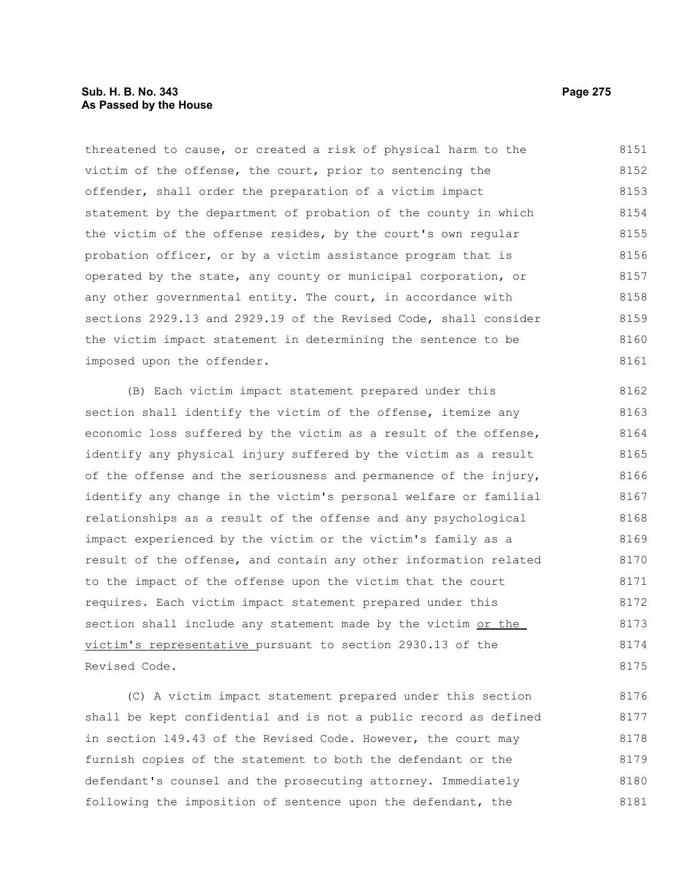# **Sub. H. B. No. 343 Page 275 As Passed by the House**

threatened to cause, or created a risk of physical harm to the victim of the offense, the court, prior to sentencing the offender, shall order the preparation of a victim impact statement by the department of probation of the county in which the victim of the offense resides, by the court's own regular probation officer, or by a victim assistance program that is operated by the state, any county or municipal corporation, or any other governmental entity. The court, in accordance with sections 2929.13 and 2929.19 of the Revised Code, shall consider the victim impact statement in determining the sentence to be imposed upon the offender. 8151 8152 8153 8154 8155 8156 8157 8158 8159 8160 8161

(B) Each victim impact statement prepared under this section shall identify the victim of the offense, itemize any economic loss suffered by the victim as a result of the offense, identify any physical injury suffered by the victim as a result of the offense and the seriousness and permanence of the injury, identify any change in the victim's personal welfare or familial relationships as a result of the offense and any psychological impact experienced by the victim or the victim's family as a result of the offense, and contain any other information related to the impact of the offense upon the victim that the court requires. Each victim impact statement prepared under this section shall include any statement made by the victim or the victim's representative pursuant to section 2930.13 of the Revised Code. 8162 8163 8164 8165 8166 8167 8168 8169 8170 8171 8172 8173 8174 8175

(C) A victim impact statement prepared under this section shall be kept confidential and is not a public record as defined in section 149.43 of the Revised Code. However, the court may furnish copies of the statement to both the defendant or the defendant's counsel and the prosecuting attorney. Immediately following the imposition of sentence upon the defendant, the 8176 8177 8178 8179 8180 8181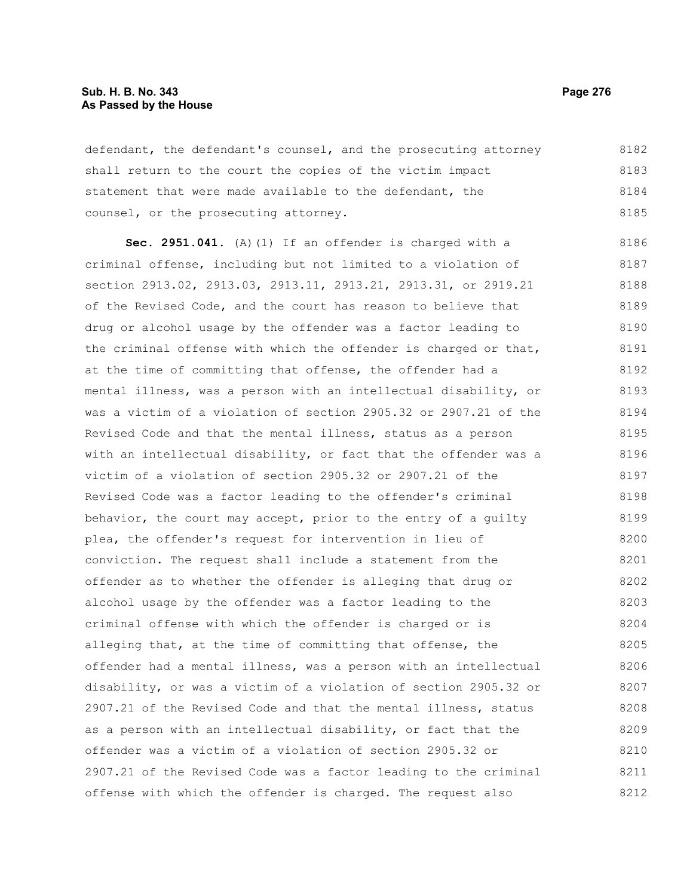defendant, the defendant's counsel, and the prosecuting attorney shall return to the court the copies of the victim impact statement that were made available to the defendant, the counsel, or the prosecuting attorney. 8182 8183 8184 8185

**Sec. 2951.041.** (A)(1) If an offender is charged with a criminal offense, including but not limited to a violation of section 2913.02, 2913.03, 2913.11, 2913.21, 2913.31, or 2919.21 of the Revised Code, and the court has reason to believe that drug or alcohol usage by the offender was a factor leading to the criminal offense with which the offender is charged or that, at the time of committing that offense, the offender had a mental illness, was a person with an intellectual disability, or was a victim of a violation of section 2905.32 or 2907.21 of the Revised Code and that the mental illness, status as a person with an intellectual disability, or fact that the offender was a victim of a violation of section 2905.32 or 2907.21 of the Revised Code was a factor leading to the offender's criminal behavior, the court may accept, prior to the entry of a guilty plea, the offender's request for intervention in lieu of conviction. The request shall include a statement from the offender as to whether the offender is alleging that drug or alcohol usage by the offender was a factor leading to the criminal offense with which the offender is charged or is alleging that, at the time of committing that offense, the offender had a mental illness, was a person with an intellectual disability, or was a victim of a violation of section 2905.32 or 2907.21 of the Revised Code and that the mental illness, status as a person with an intellectual disability, or fact that the offender was a victim of a violation of section 2905.32 or 2907.21 of the Revised Code was a factor leading to the criminal offense with which the offender is charged. The request also 8186 8187 8188 8189 8190 8191 8192 8193 8194 8195 8196 8197 8198 8199 8200 8201 8202 8203 8204 8205 8206 8207 8208 8209 8210 8211 8212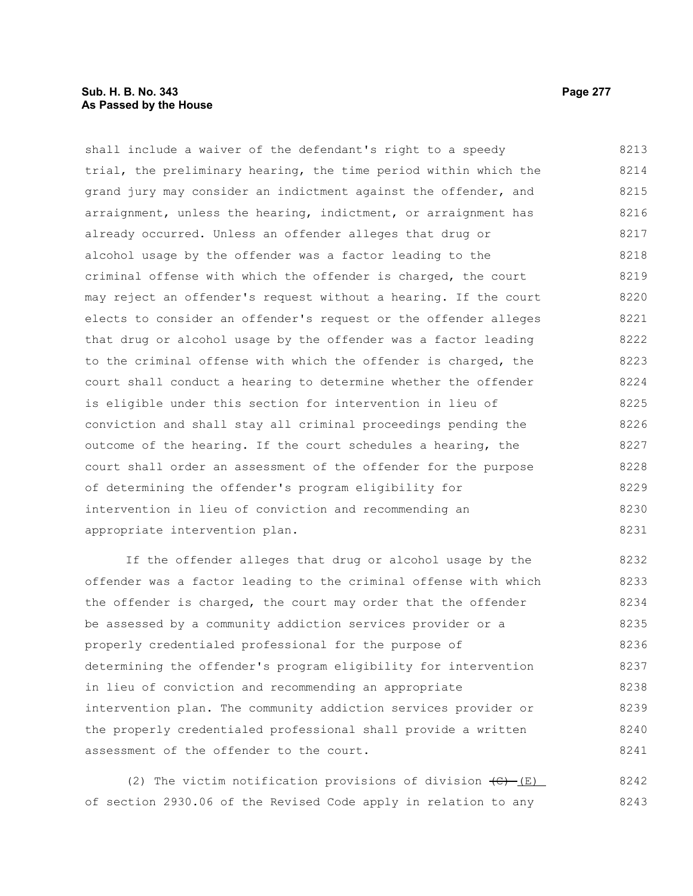# **Sub. H. B. No. 343 Page 277 As Passed by the House**

shall include a waiver of the defendant's right to a speedy trial, the preliminary hearing, the time period within which the grand jury may consider an indictment against the offender, and arraignment, unless the hearing, indictment, or arraignment has already occurred. Unless an offender alleges that drug or alcohol usage by the offender was a factor leading to the criminal offense with which the offender is charged, the court may reject an offender's request without a hearing. If the court elects to consider an offender's request or the offender alleges that drug or alcohol usage by the offender was a factor leading to the criminal offense with which the offender is charged, the court shall conduct a hearing to determine whether the offender is eligible under this section for intervention in lieu of conviction and shall stay all criminal proceedings pending the outcome of the hearing. If the court schedules a hearing, the court shall order an assessment of the offender for the purpose of determining the offender's program eligibility for intervention in lieu of conviction and recommending an appropriate intervention plan. 8213 8214 8215 8216 8217 8218 8219 8220 8221 8222 8223 8224 8225 8226 8227 8228 8229 8230 8231

If the offender alleges that drug or alcohol usage by the offender was a factor leading to the criminal offense with which the offender is charged, the court may order that the offender be assessed by a community addiction services provider or a properly credentialed professional for the purpose of determining the offender's program eligibility for intervention in lieu of conviction and recommending an appropriate intervention plan. The community addiction services provider or the properly credentialed professional shall provide a written assessment of the offender to the court. 8232 8233 8234 8235 8236 8237 8238 8239 8240 8241

(2) The victim notification provisions of division  $\left(\frac{E}{E}\right)$ of section 2930.06 of the Revised Code apply in relation to any 8242 8243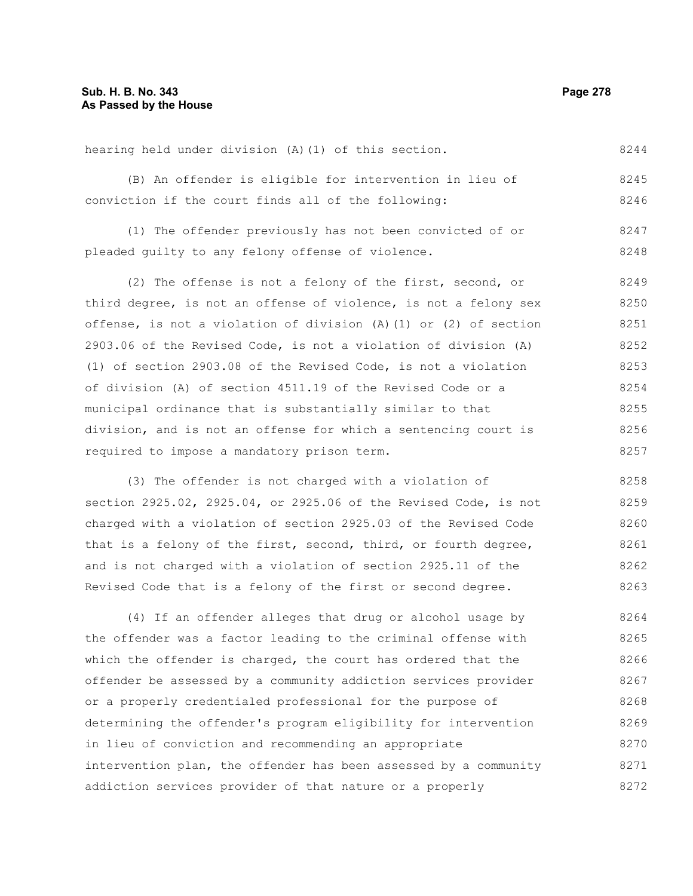hearing held under division (A)(1) of this section.

(B) An offender is eligible for intervention in lieu of conviction if the court finds all of the following: 8245 8246

(1) The offender previously has not been convicted of or pleaded guilty to any felony offense of violence. 8247 8248

(2) The offense is not a felony of the first, second, or third degree, is not an offense of violence, is not a felony sex offense, is not a violation of division (A)(1) or (2) of section 2903.06 of the Revised Code, is not a violation of division (A) (1) of section 2903.08 of the Revised Code, is not a violation of division (A) of section 4511.19 of the Revised Code or a municipal ordinance that is substantially similar to that division, and is not an offense for which a sentencing court is required to impose a mandatory prison term. 8249 8250 8251 8252 8253 8254 8255 8256 8257

(3) The offender is not charged with a violation of section 2925.02, 2925.04, or 2925.06 of the Revised Code, is not charged with a violation of section 2925.03 of the Revised Code that is a felony of the first, second, third, or fourth degree, and is not charged with a violation of section 2925.11 of the Revised Code that is a felony of the first or second degree. 8258 8259 8260 8261 8262 8263

(4) If an offender alleges that drug or alcohol usage by the offender was a factor leading to the criminal offense with which the offender is charged, the court has ordered that the offender be assessed by a community addiction services provider or a properly credentialed professional for the purpose of determining the offender's program eligibility for intervention in lieu of conviction and recommending an appropriate intervention plan, the offender has been assessed by a community addiction services provider of that nature or a properly 8264 8265 8266 8267 8268 8269 8270 8271 8272

8244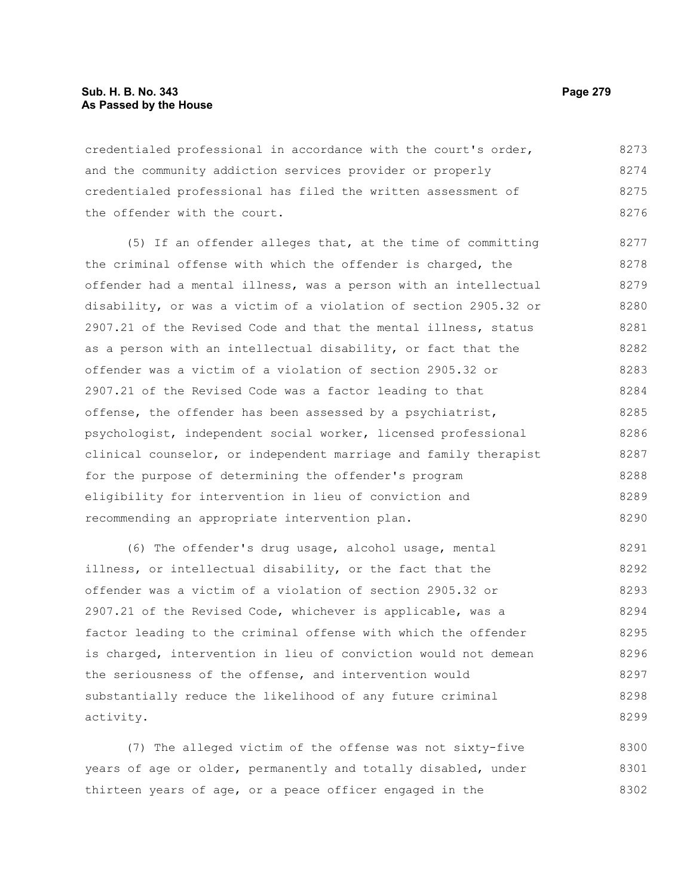credentialed professional in accordance with the court's order, and the community addiction services provider or properly credentialed professional has filed the written assessment of the offender with the court. 8273 8274 8275 8276

(5) If an offender alleges that, at the time of committing the criminal offense with which the offender is charged, the offender had a mental illness, was a person with an intellectual disability, or was a victim of a violation of section 2905.32 or 2907.21 of the Revised Code and that the mental illness, status as a person with an intellectual disability, or fact that the offender was a victim of a violation of section 2905.32 or 2907.21 of the Revised Code was a factor leading to that offense, the offender has been assessed by a psychiatrist, psychologist, independent social worker, licensed professional clinical counselor, or independent marriage and family therapist for the purpose of determining the offender's program eligibility for intervention in lieu of conviction and recommending an appropriate intervention plan. 8277 8278 8279 8280 8281 8282 8283 8284 8285 8286 8287 8288 8289 8290

(6) The offender's drug usage, alcohol usage, mental illness, or intellectual disability, or the fact that the offender was a victim of a violation of section 2905.32 or 2907.21 of the Revised Code, whichever is applicable, was a factor leading to the criminal offense with which the offender is charged, intervention in lieu of conviction would not demean the seriousness of the offense, and intervention would substantially reduce the likelihood of any future criminal activity. 8291 8292 8293 8294 8295 8296 8297 8298 8299

(7) The alleged victim of the offense was not sixty-five years of age or older, permanently and totally disabled, under thirteen years of age, or a peace officer engaged in the 8300 8301 8302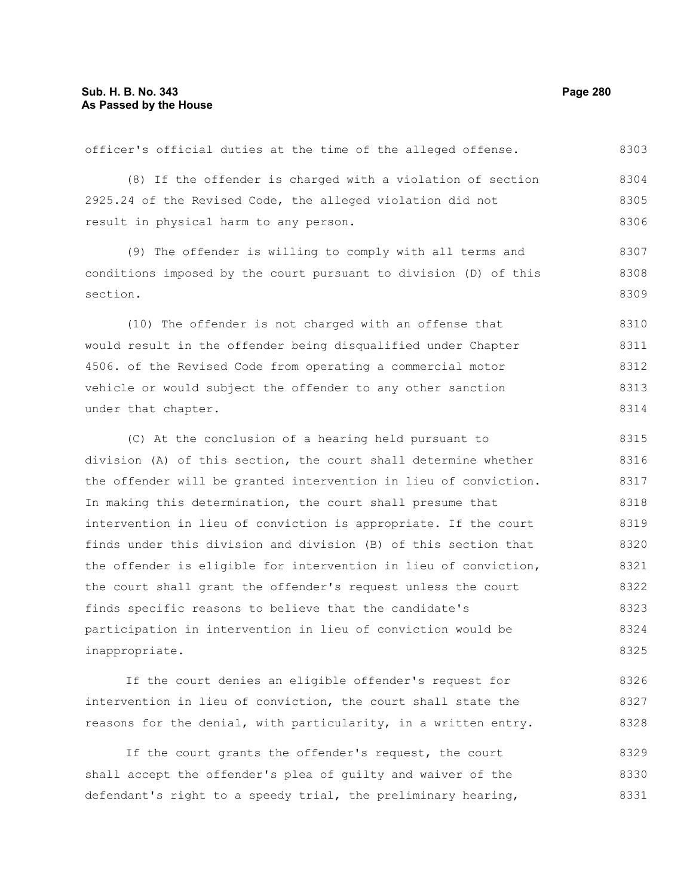#### officer's official duties at the time of the alleged offense. (8) If the offender is charged with a violation of section 2925.24 of the Revised Code, the alleged violation did not result in physical harm to any person. (9) The offender is willing to comply with all terms and conditions imposed by the court pursuant to division (D) of this section. (10) The offender is not charged with an offense that would result in the offender being disqualified under Chapter 4506. of the Revised Code from operating a commercial motor vehicle or would subject the offender to any other sanction under that chapter. (C) At the conclusion of a hearing held pursuant to division (A) of this section, the court shall determine whether the offender will be granted intervention in lieu of conviction. In making this determination, the court shall presume that intervention in lieu of conviction is appropriate. If the court finds under this division and division (B) of this section that the offender is eligible for intervention in lieu of conviction, the court shall grant the offender's request unless the court finds specific reasons to believe that the candidate's participation in intervention in lieu of conviction would be inappropriate. If the court denies an eligible offender's request for intervention in lieu of conviction, the court shall state the reasons for the denial, with particularity, in a written entry. 8303 8304 8305 8306 8307 8308 8309 8310 8311 8312 8313 8314 8315 8316 8317 8318 8319 8320 8321 8322 8323 8324 8325 8326 8327 8328

If the court grants the offender's request, the court shall accept the offender's plea of guilty and waiver of the defendant's right to a speedy trial, the preliminary hearing, 8329 8330 8331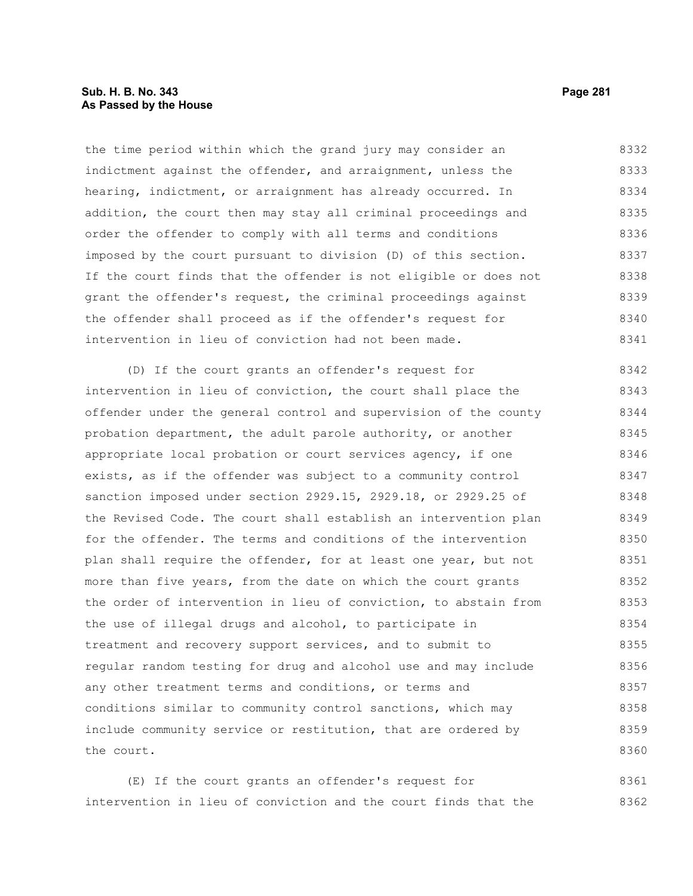# **Sub. H. B. No. 343** Page 281 **As Passed by the House**

the time period within which the grand jury may consider an indictment against the offender, and arraignment, unless the hearing, indictment, or arraignment has already occurred. In addition, the court then may stay all criminal proceedings and order the offender to comply with all terms and conditions imposed by the court pursuant to division (D) of this section. If the court finds that the offender is not eligible or does not grant the offender's request, the criminal proceedings against the offender shall proceed as if the offender's request for intervention in lieu of conviction had not been made. 8332 8333 8334 8335 8336 8337 8338 8339 8340 8341

(D) If the court grants an offender's request for intervention in lieu of conviction, the court shall place the offender under the general control and supervision of the county probation department, the adult parole authority, or another appropriate local probation or court services agency, if one exists, as if the offender was subject to a community control sanction imposed under section 2929.15, 2929.18, or 2929.25 of the Revised Code. The court shall establish an intervention plan for the offender. The terms and conditions of the intervention plan shall require the offender, for at least one year, but not more than five years, from the date on which the court grants the order of intervention in lieu of conviction, to abstain from the use of illegal drugs and alcohol, to participate in treatment and recovery support services, and to submit to regular random testing for drug and alcohol use and may include any other treatment terms and conditions, or terms and conditions similar to community control sanctions, which may include community service or restitution, that are ordered by the court. 8342 8343 8344 8345 8346 8347 8348 8349 8350 8351 8352 8353 8354 8355 8356 8357 8358 8359 8360

(E) If the court grants an offender's request for intervention in lieu of conviction and the court finds that the 8361 8362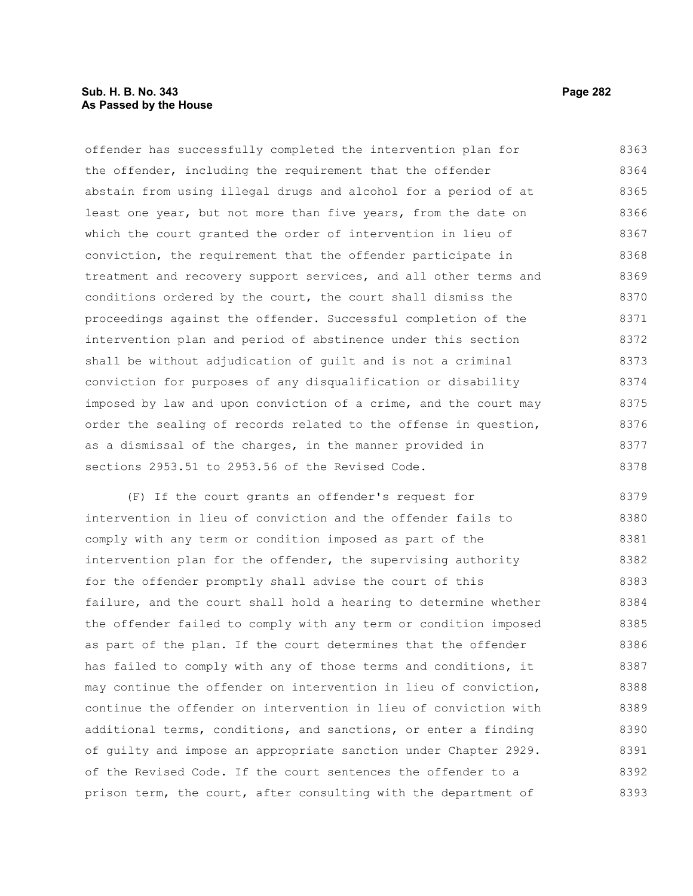# **Sub. H. B. No. 343 Page 282 As Passed by the House**

offender has successfully completed the intervention plan for the offender, including the requirement that the offender abstain from using illegal drugs and alcohol for a period of at least one year, but not more than five years, from the date on which the court granted the order of intervention in lieu of conviction, the requirement that the offender participate in treatment and recovery support services, and all other terms and conditions ordered by the court, the court shall dismiss the proceedings against the offender. Successful completion of the intervention plan and period of abstinence under this section shall be without adjudication of guilt and is not a criminal conviction for purposes of any disqualification or disability imposed by law and upon conviction of a crime, and the court may order the sealing of records related to the offense in question, as a dismissal of the charges, in the manner provided in sections 2953.51 to 2953.56 of the Revised Code. 8363 8364 8365 8366 8367 8368 8369 8370 8371 8372 8373 8374 8375 8376 8377 8378

(F) If the court grants an offender's request for intervention in lieu of conviction and the offender fails to comply with any term or condition imposed as part of the intervention plan for the offender, the supervising authority for the offender promptly shall advise the court of this failure, and the court shall hold a hearing to determine whether the offender failed to comply with any term or condition imposed as part of the plan. If the court determines that the offender has failed to comply with any of those terms and conditions, it may continue the offender on intervention in lieu of conviction, continue the offender on intervention in lieu of conviction with additional terms, conditions, and sanctions, or enter a finding of guilty and impose an appropriate sanction under Chapter 2929. of the Revised Code. If the court sentences the offender to a prison term, the court, after consulting with the department of 8379 8380 8381 8382 8383 8384 8385 8386 8387 8388 8389 8390 8391 8392 8393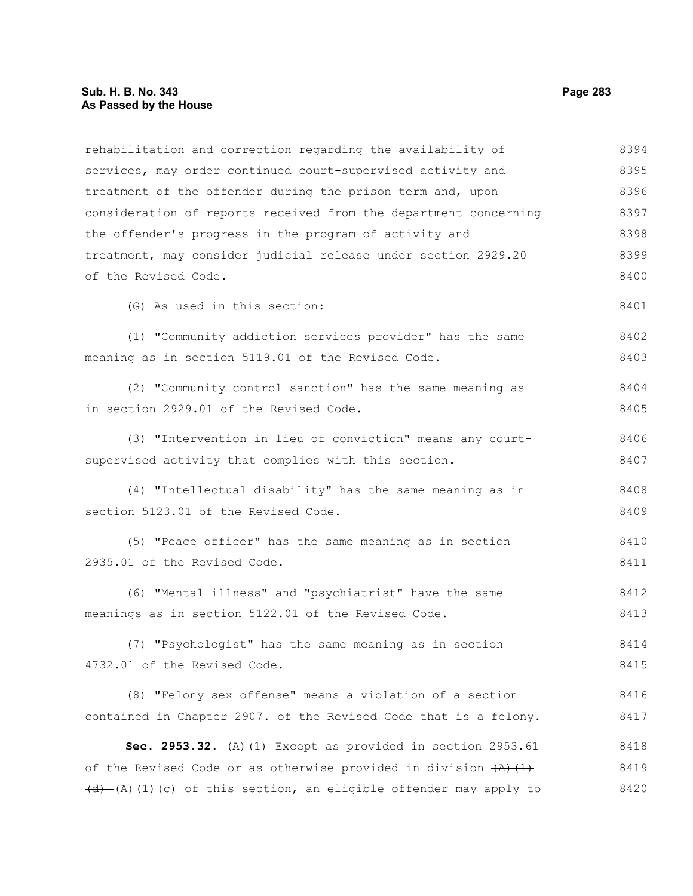## **Sub. H. B. No. 343 Page 283 As Passed by the House**

rehabilitation and correction regarding the availability of services, may order continued court-supervised activity and treatment of the offender during the prison term and, upon consideration of reports received from the department concerning the offender's progress in the program of activity and treatment, may consider judicial release under section 2929.20 of the Revised Code. (G) As used in this section: (1) "Community addiction services provider" has the same meaning as in section 5119.01 of the Revised Code. (2) "Community control sanction" has the same meaning as in section 2929.01 of the Revised Code. (3) "Intervention in lieu of conviction" means any courtsupervised activity that complies with this section. (4) "Intellectual disability" has the same meaning as in section 5123.01 of the Revised Code. (5) "Peace officer" has the same meaning as in section 2935.01 of the Revised Code. (6) "Mental illness" and "psychiatrist" have the same meanings as in section 5122.01 of the Revised Code. (7) "Psychologist" has the same meaning as in section 4732.01 of the Revised Code. (8) "Felony sex offense" means a violation of a section contained in Chapter 2907. of the Revised Code that is a felony. **Sec. 2953.32.** (A)(1) Except as provided in section 2953.61 of the Revised Code or as otherwise provided in division  $(A)$   $(1)$  $\left(\frac{d}{d}\right)$  (1)(c) of this section, an eligible offender may apply to 8394 8395 8396 8397 8398 8399 8400 8401 8402 8403 8404 8405 8406 8407 8408 8409 8410 8411 8412 8413 8414 8415 8416 8417 8418 8419 8420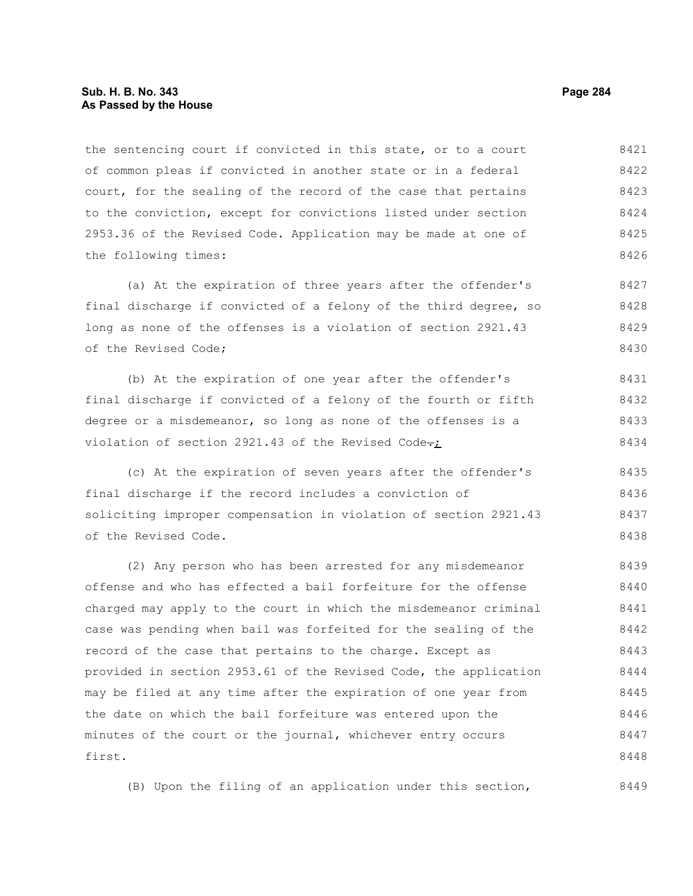# **Sub. H. B. No. 343 Page 284 As Passed by the House**

the sentencing court if convicted in this state, or to a court of common pleas if convicted in another state or in a federal court, for the sealing of the record of the case that pertains to the conviction, except for convictions listed under section 2953.36 of the Revised Code. Application may be made at one of the following times: 8421 8422 8423 8424 8425 8426

(a) At the expiration of three years after the offender's final discharge if convicted of a felony of the third degree, so long as none of the offenses is a violation of section 2921.43 of the Revised Code; 8427 8428 8429 8430

(b) At the expiration of one year after the offender's final discharge if convicted of a felony of the fourth or fifth degree or a misdemeanor, so long as none of the offenses is a violation of section 2921.43 of the Revised Code- $\dot{z}$ 8431 8432 8433 8434

(c) At the expiration of seven years after the offender's final discharge if the record includes a conviction of soliciting improper compensation in violation of section 2921.43 of the Revised Code. 8435 8436 8437 8438

(2) Any person who has been arrested for any misdemeanor offense and who has effected a bail forfeiture for the offense charged may apply to the court in which the misdemeanor criminal case was pending when bail was forfeited for the sealing of the record of the case that pertains to the charge. Except as provided in section 2953.61 of the Revised Code, the application may be filed at any time after the expiration of one year from the date on which the bail forfeiture was entered upon the minutes of the court or the journal, whichever entry occurs first. 8439 8440 8441 8442 8443 8444 8445 8446 8447 8448

(B) Upon the filing of an application under this section, 8449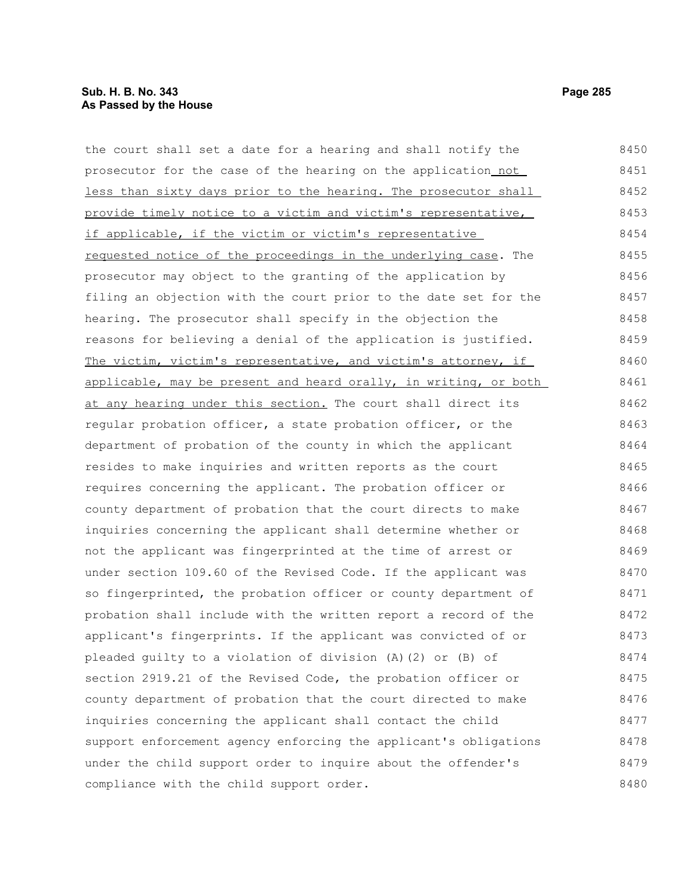the court shall set a date for a hearing and shall notify the prosecutor for the case of the hearing on the application not less than sixty days prior to the hearing. The prosecutor shall provide timely notice to a victim and victim's representative, if applicable, if the victim or victim's representative requested notice of the proceedings in the underlying case. The prosecutor may object to the granting of the application by filing an objection with the court prior to the date set for the hearing. The prosecutor shall specify in the objection the reasons for believing a denial of the application is justified. The victim, victim's representative, and victim's attorney, if applicable, may be present and heard orally, in writing, or both at any hearing under this section. The court shall direct its regular probation officer, a state probation officer, or the department of probation of the county in which the applicant resides to make inquiries and written reports as the court requires concerning the applicant. The probation officer or county department of probation that the court directs to make inquiries concerning the applicant shall determine whether or not the applicant was fingerprinted at the time of arrest or under section 109.60 of the Revised Code. If the applicant was so fingerprinted, the probation officer or county department of probation shall include with the written report a record of the applicant's fingerprints. If the applicant was convicted of or pleaded guilty to a violation of division (A)(2) or (B) of section 2919.21 of the Revised Code, the probation officer or county department of probation that the court directed to make inquiries concerning the applicant shall contact the child support enforcement agency enforcing the applicant's obligations under the child support order to inquire about the offender's compliance with the child support order. 8450 8451 8452 8453 8454 8455 8456 8457 8458 8459 8460 8461 8462 8463 8464 8465 8466 8467 8468 8469 8470 8471 8472 8473 8474 8475 8476 8477 8478 8479 8480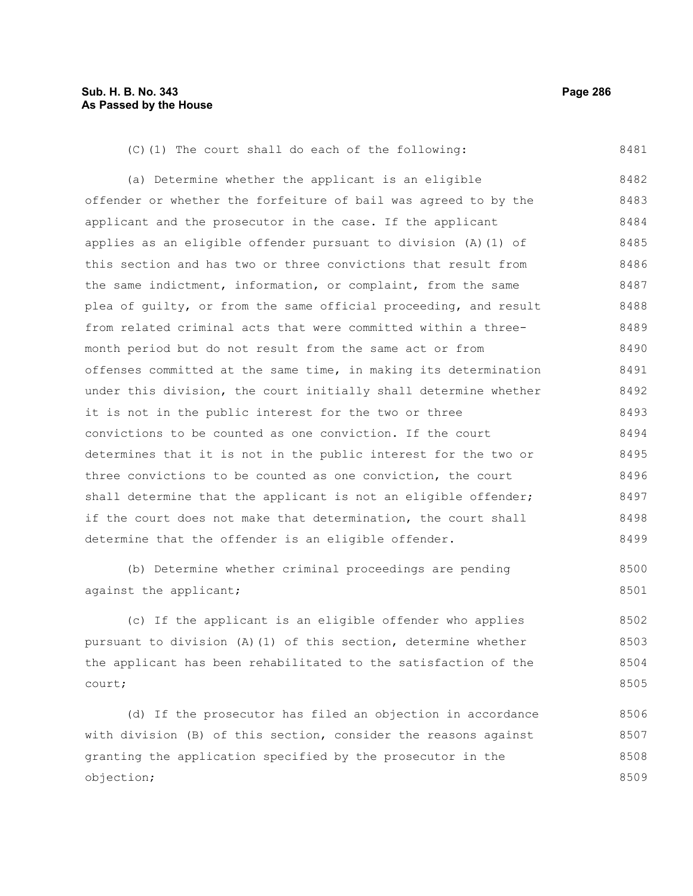8481

(C)(1) The court shall do each of the following:

(a) Determine whether the applicant is an eligible offender or whether the forfeiture of bail was agreed to by the applicant and the prosecutor in the case. If the applicant applies as an eligible offender pursuant to division (A)(1) of this section and has two or three convictions that result from the same indictment, information, or complaint, from the same plea of guilty, or from the same official proceeding, and result from related criminal acts that were committed within a threemonth period but do not result from the same act or from offenses committed at the same time, in making its determination under this division, the court initially shall determine whether it is not in the public interest for the two or three convictions to be counted as one conviction. If the court determines that it is not in the public interest for the two or three convictions to be counted as one conviction, the court shall determine that the applicant is not an eligible offender; if the court does not make that determination, the court shall determine that the offender is an eligible offender. 8482 8483 8484 8485 8486 8487 8488 8489 8490 8491 8492 8493 8494 8495 8496 8497 8498 8499

(b) Determine whether criminal proceedings are pending against the applicant; 8500 8501

(c) If the applicant is an eligible offender who applies pursuant to division (A)(1) of this section, determine whether the applicant has been rehabilitated to the satisfaction of the court; 8502 8503 8504 8505

(d) If the prosecutor has filed an objection in accordance with division (B) of this section, consider the reasons against granting the application specified by the prosecutor in the objection; 8506 8507 8508 8509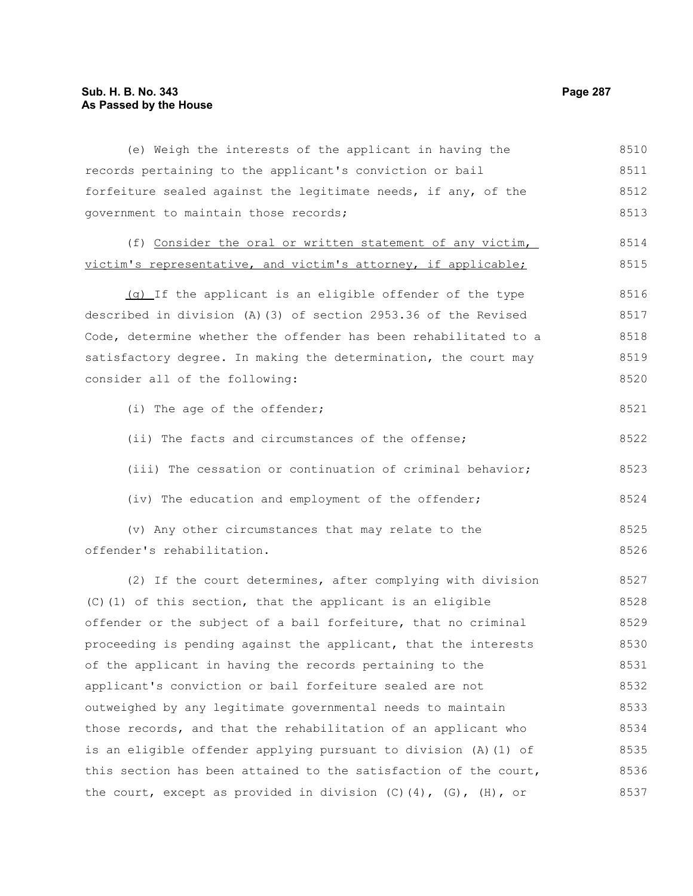# **Sub. H. B. No. 343 Page 287 As Passed by the House**

(e) Weigh the interests of the applicant in having the records pertaining to the applicant's conviction or bail forfeiture sealed against the legitimate needs, if any, of the government to maintain those records; (f) Consider the oral or written statement of any victim, victim's representative, and victim's attorney, if applicable; (g) If the applicant is an eligible offender of the type described in division (A)(3) of section 2953.36 of the Revised Code, determine whether the offender has been rehabilitated to a satisfactory degree. In making the determination, the court may consider all of the following: (i) The age of the offender; (ii) The facts and circumstances of the offense; (iii) The cessation or continuation of criminal behavior; (iv) The education and employment of the offender; (v) Any other circumstances that may relate to the offender's rehabilitation. (2) If the court determines, after complying with division (C)(1) of this section, that the applicant is an eligible offender or the subject of a bail forfeiture, that no criminal proceeding is pending against the applicant, that the interests of the applicant in having the records pertaining to the applicant's conviction or bail forfeiture sealed are not outweighed by any legitimate governmental needs to maintain those records, and that the rehabilitation of an applicant who is an eligible offender applying pursuant to division (A)(1) of this section has been attained to the satisfaction of the court, the court, except as provided in division (C)(4), (G), (H), or 8510 8511 8512 8513 8514 8515 8516 8517 8518 8519 8520 8521 8522 8523 8524 8525 8526 8527 8528 8529 8530 8531 8532 8533 8534 8535 8536 8537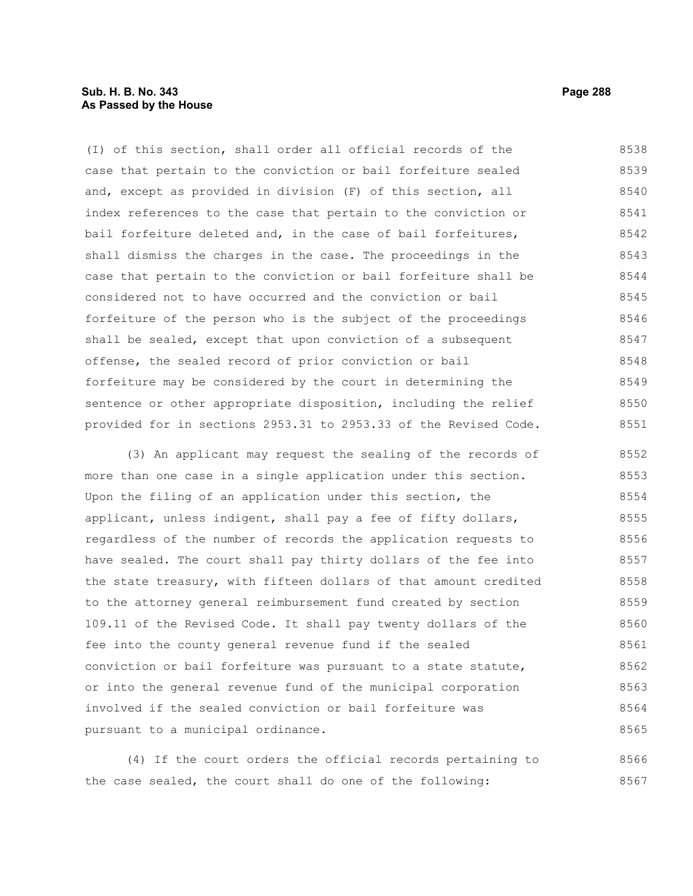# **Sub. H. B. No. 343 Page 288 As Passed by the House**

(I) of this section, shall order all official records of the case that pertain to the conviction or bail forfeiture sealed and, except as provided in division (F) of this section, all index references to the case that pertain to the conviction or bail forfeiture deleted and, in the case of bail forfeitures, shall dismiss the charges in the case. The proceedings in the case that pertain to the conviction or bail forfeiture shall be considered not to have occurred and the conviction or bail forfeiture of the person who is the subject of the proceedings shall be sealed, except that upon conviction of a subsequent offense, the sealed record of prior conviction or bail forfeiture may be considered by the court in determining the sentence or other appropriate disposition, including the relief provided for in sections 2953.31 to 2953.33 of the Revised Code. 8538 8539 8540 8541 8542 8543 8544 8545 8546 8547 8548 8549 8550 8551

(3) An applicant may request the sealing of the records of more than one case in a single application under this section. Upon the filing of an application under this section, the applicant, unless indigent, shall pay a fee of fifty dollars, regardless of the number of records the application requests to have sealed. The court shall pay thirty dollars of the fee into the state treasury, with fifteen dollars of that amount credited to the attorney general reimbursement fund created by section 109.11 of the Revised Code. It shall pay twenty dollars of the fee into the county general revenue fund if the sealed conviction or bail forfeiture was pursuant to a state statute, or into the general revenue fund of the municipal corporation involved if the sealed conviction or bail forfeiture was pursuant to a municipal ordinance. 8552 8553 8554 8555 8556 8557 8558 8559 8560 8561 8562 8563 8564 8565

(4) If the court orders the official records pertaining to the case sealed, the court shall do one of the following: 8566 8567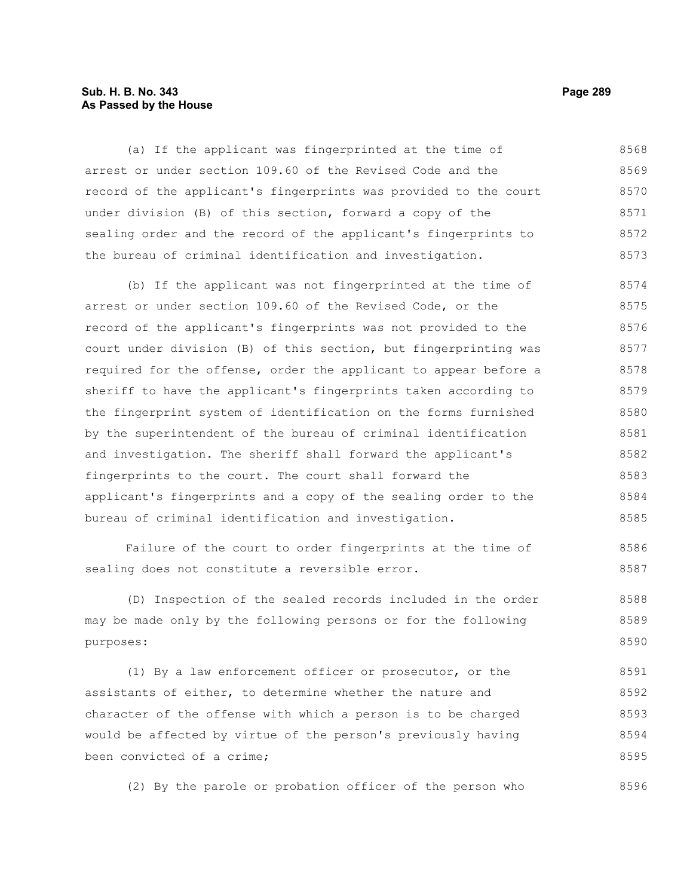## **Sub. H. B. No. 343 Page 289 As Passed by the House**

(a) If the applicant was fingerprinted at the time of arrest or under section 109.60 of the Revised Code and the record of the applicant's fingerprints was provided to the court under division (B) of this section, forward a copy of the sealing order and the record of the applicant's fingerprints to the bureau of criminal identification and investigation. 8568 8569 8570 8571 8572 8573

(b) If the applicant was not fingerprinted at the time of arrest or under section 109.60 of the Revised Code, or the record of the applicant's fingerprints was not provided to the court under division (B) of this section, but fingerprinting was required for the offense, order the applicant to appear before a sheriff to have the applicant's fingerprints taken according to the fingerprint system of identification on the forms furnished by the superintendent of the bureau of criminal identification and investigation. The sheriff shall forward the applicant's fingerprints to the court. The court shall forward the applicant's fingerprints and a copy of the sealing order to the bureau of criminal identification and investigation. 8574 8575 8576 8577 8578 8579 8580 8581 8582 8583 8584 8585

Failure of the court to order fingerprints at the time of sealing does not constitute a reversible error. 8586 8587

(D) Inspection of the sealed records included in the order may be made only by the following persons or for the following purposes: 8588 8589 8590

(1) By a law enforcement officer or prosecutor, or the assistants of either, to determine whether the nature and character of the offense with which a person is to be charged would be affected by virtue of the person's previously having been convicted of a crime; 8591 8592 8593 8594 8595

(2) By the parole or probation officer of the person who

8596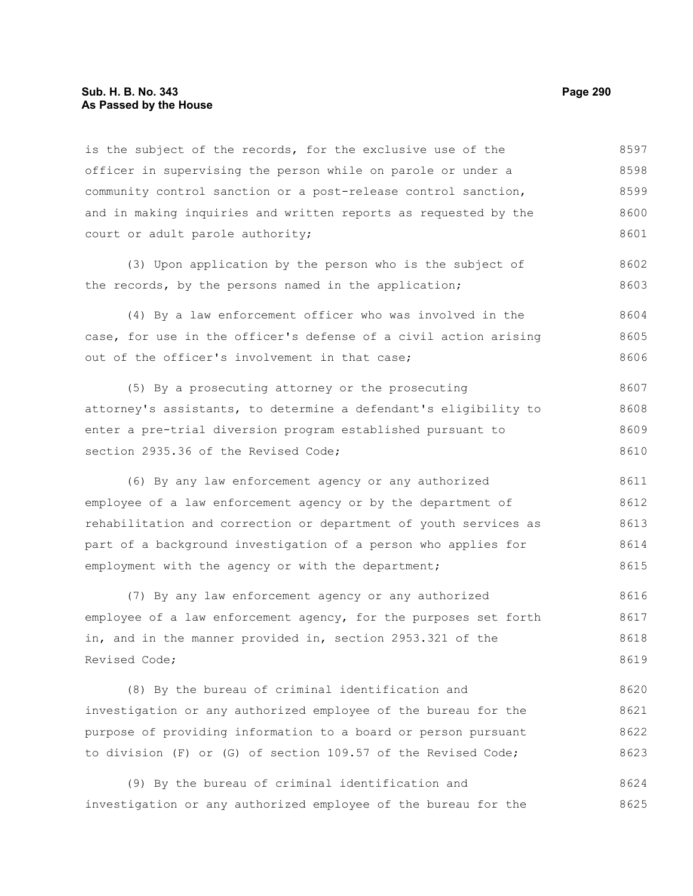## **Sub. H. B. No. 343 Page 290 As Passed by the House**

is the subject of the records, for the exclusive use of the officer in supervising the person while on parole or under a community control sanction or a post-release control sanction, and in making inquiries and written reports as requested by the court or adult parole authority; 8597 8598 8599 8600 8601

(3) Upon application by the person who is the subject of the records, by the persons named in the application; 8602 8603

(4) By a law enforcement officer who was involved in the case, for use in the officer's defense of a civil action arising out of the officer's involvement in that case; 8604 8605 8606

(5) By a prosecuting attorney or the prosecuting attorney's assistants, to determine a defendant's eligibility to enter a pre-trial diversion program established pursuant to section 2935.36 of the Revised Code; 8607 8608 8609 8610

(6) By any law enforcement agency or any authorized employee of a law enforcement agency or by the department of rehabilitation and correction or department of youth services as part of a background investigation of a person who applies for employment with the agency or with the department; 8611 8612 8613 8614 8615

(7) By any law enforcement agency or any authorized employee of a law enforcement agency, for the purposes set forth in, and in the manner provided in, section 2953.321 of the Revised Code; 8616 8617 8618 8619

(8) By the bureau of criminal identification and investigation or any authorized employee of the bureau for the purpose of providing information to a board or person pursuant to division (F) or (G) of section 109.57 of the Revised Code; 8620 8621 8622 8623

(9) By the bureau of criminal identification and investigation or any authorized employee of the bureau for the 8624 8625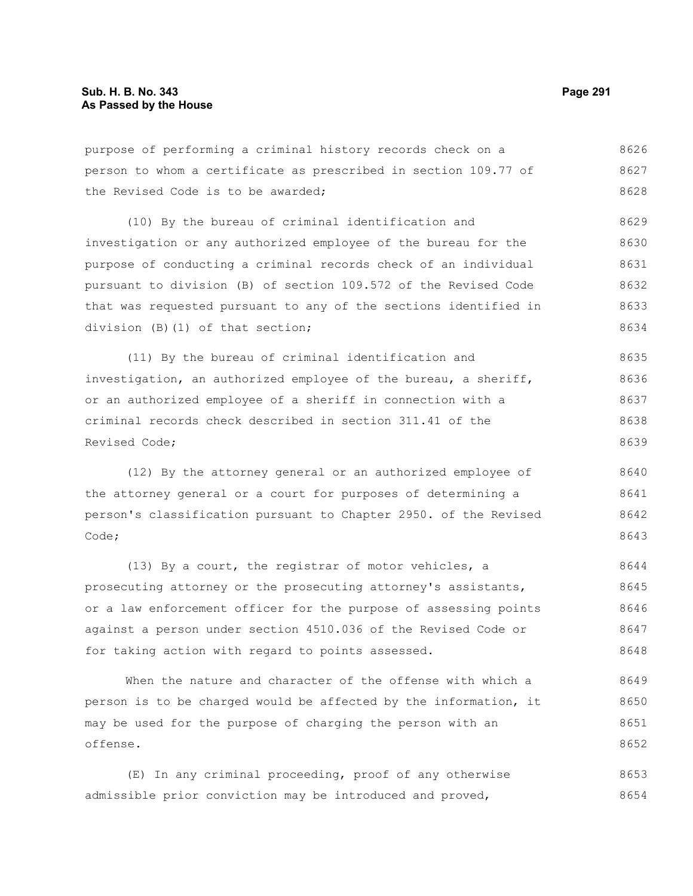purpose of performing a criminal history records check on a person to whom a certificate as prescribed in section 109.77 of the Revised Code is to be awarded; 8626 8627 8628

(10) By the bureau of criminal identification and investigation or any authorized employee of the bureau for the purpose of conducting a criminal records check of an individual pursuant to division (B) of section 109.572 of the Revised Code that was requested pursuant to any of the sections identified in division (B)(1) of that section; 8629 8630 8631 8632 8633 8634

(11) By the bureau of criminal identification and investigation, an authorized employee of the bureau, a sheriff, or an authorized employee of a sheriff in connection with a criminal records check described in section 311.41 of the Revised Code; 8635 8636 8637 8638 8639

(12) By the attorney general or an authorized employee of the attorney general or a court for purposes of determining a person's classification pursuant to Chapter 2950. of the Revised Code; 8640 8641 8642 8643

(13) By a court, the registrar of motor vehicles, a prosecuting attorney or the prosecuting attorney's assistants, or a law enforcement officer for the purpose of assessing points against a person under section 4510.036 of the Revised Code or for taking action with regard to points assessed. 8644 8645 8646 8647 8648

When the nature and character of the offense with which a person is to be charged would be affected by the information, it may be used for the purpose of charging the person with an offense. 8649 8650 8651 8652

(E) In any criminal proceeding, proof of any otherwise admissible prior conviction may be introduced and proved, 8653 8654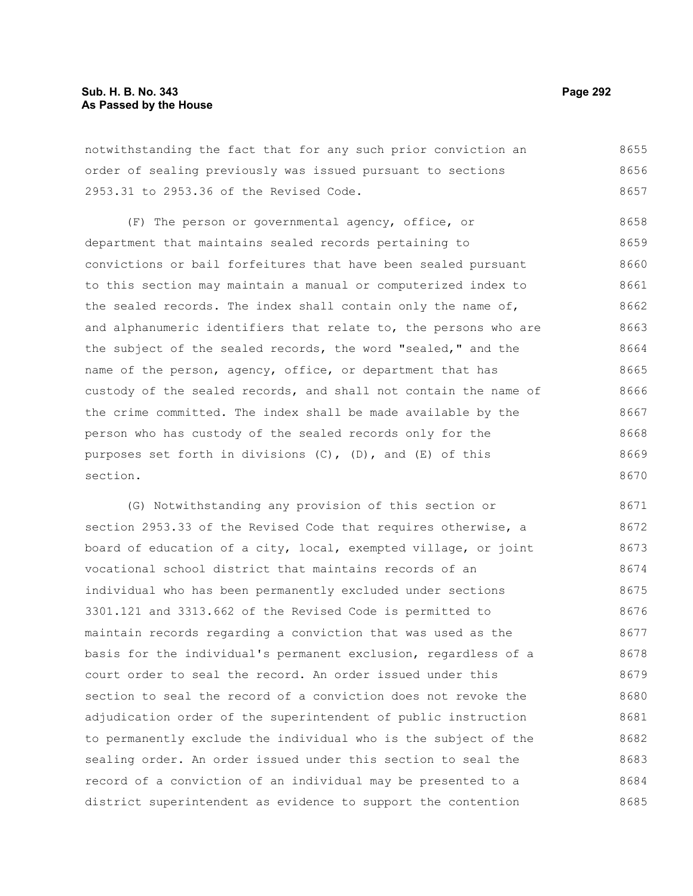notwithstanding the fact that for any such prior conviction an order of sealing previously was issued pursuant to sections 2953.31 to 2953.36 of the Revised Code. 8655 8656 8657

(F) The person or governmental agency, office, or department that maintains sealed records pertaining to convictions or bail forfeitures that have been sealed pursuant to this section may maintain a manual or computerized index to the sealed records. The index shall contain only the name of, and alphanumeric identifiers that relate to, the persons who are the subject of the sealed records, the word "sealed," and the name of the person, agency, office, or department that has custody of the sealed records, and shall not contain the name of the crime committed. The index shall be made available by the person who has custody of the sealed records only for the purposes set forth in divisions (C), (D), and (E) of this section. 8658 8659 8660 8661 8662 8663 8664 8665 8666 8667 8668 8669 8670

(G) Notwithstanding any provision of this section or section 2953.33 of the Revised Code that requires otherwise, a board of education of a city, local, exempted village, or joint vocational school district that maintains records of an individual who has been permanently excluded under sections 3301.121 and 3313.662 of the Revised Code is permitted to maintain records regarding a conviction that was used as the basis for the individual's permanent exclusion, regardless of a court order to seal the record. An order issued under this section to seal the record of a conviction does not revoke the adjudication order of the superintendent of public instruction to permanently exclude the individual who is the subject of the sealing order. An order issued under this section to seal the record of a conviction of an individual may be presented to a district superintendent as evidence to support the contention 8671 8672 8673 8674 8675 8676 8677 8678 8679 8680 8681 8682 8683 8684 8685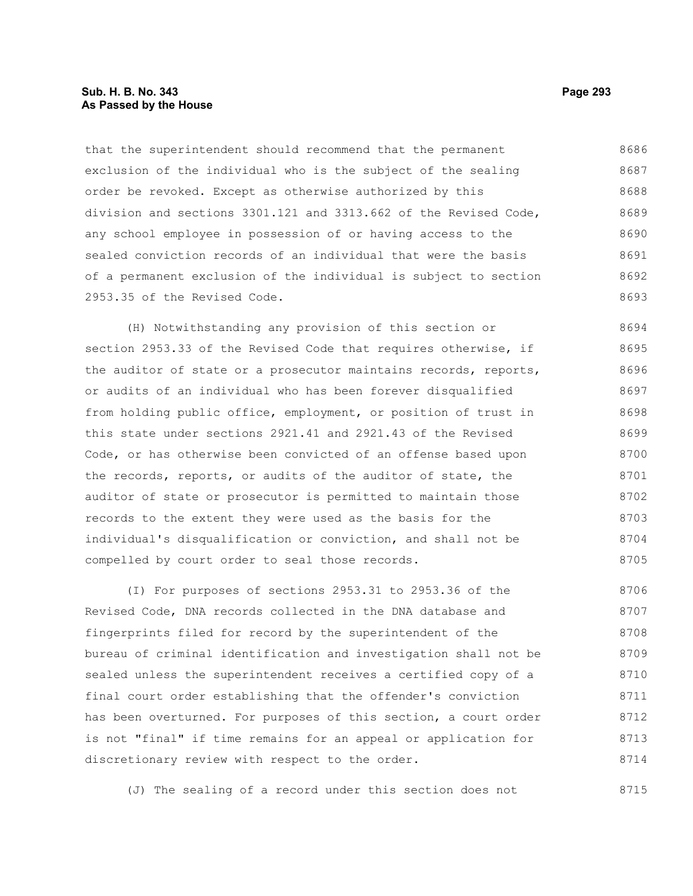## **Sub. H. B. No. 343 Page 293 As Passed by the House**

that the superintendent should recommend that the permanent exclusion of the individual who is the subject of the sealing order be revoked. Except as otherwise authorized by this division and sections 3301.121 and 3313.662 of the Revised Code, any school employee in possession of or having access to the sealed conviction records of an individual that were the basis of a permanent exclusion of the individual is subject to section 2953.35 of the Revised Code. 8686 8687 8688 8689 8690 8691 8692 8693

(H) Notwithstanding any provision of this section or section 2953.33 of the Revised Code that requires otherwise, if the auditor of state or a prosecutor maintains records, reports, or audits of an individual who has been forever disqualified from holding public office, employment, or position of trust in this state under sections 2921.41 and 2921.43 of the Revised Code, or has otherwise been convicted of an offense based upon the records, reports, or audits of the auditor of state, the auditor of state or prosecutor is permitted to maintain those records to the extent they were used as the basis for the individual's disqualification or conviction, and shall not be compelled by court order to seal those records. 8694 8695 8696 8697 8698 8699 8700 8701 8702 8703 8704 8705

(I) For purposes of sections 2953.31 to 2953.36 of the Revised Code, DNA records collected in the DNA database and fingerprints filed for record by the superintendent of the bureau of criminal identification and investigation shall not be sealed unless the superintendent receives a certified copy of a final court order establishing that the offender's conviction has been overturned. For purposes of this section, a court order is not "final" if time remains for an appeal or application for discretionary review with respect to the order. 8706 8707 8708 8709 8710 8711 8712 8713 8714

(J) The sealing of a record under this section does not

8715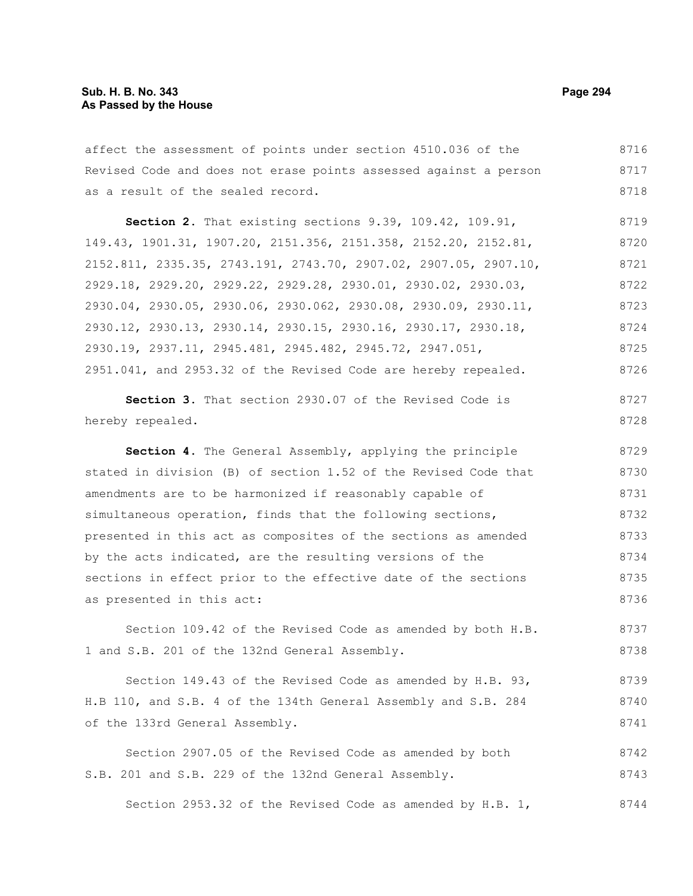affect the assessment of points under section 4510.036 of the Revised Code and does not erase points assessed against a person as a result of the sealed record. 8716 8717 8718

**Section 2.** That existing sections 9.39, 109.42, 109.91, 149.43, 1901.31, 1907.20, 2151.356, 2151.358, 2152.20, 2152.81, 2152.811, 2335.35, 2743.191, 2743.70, 2907.02, 2907.05, 2907.10, 2929.18, 2929.20, 2929.22, 2929.28, 2930.01, 2930.02, 2930.03, 2930.04, 2930.05, 2930.06, 2930.062, 2930.08, 2930.09, 2930.11, 2930.12, 2930.13, 2930.14, 2930.15, 2930.16, 2930.17, 2930.18, 2930.19, 2937.11, 2945.481, 2945.482, 2945.72, 2947.051, 2951.041, and 2953.32 of the Revised Code are hereby repealed. 8719 8720 8721 8722 8723 8724 8725 8726

**Section 3.** That section 2930.07 of the Revised Code is hereby repealed. 8727 8728

**Section 4.** The General Assembly, applying the principle stated in division (B) of section 1.52 of the Revised Code that amendments are to be harmonized if reasonably capable of simultaneous operation, finds that the following sections, presented in this act as composites of the sections as amended by the acts indicated, are the resulting versions of the sections in effect prior to the effective date of the sections as presented in this act: 8729 8730 8731 8732 8733 8734 8735 8736

Section 109.42 of the Revised Code as amended by both H.B. 1 and S.B. 201 of the 132nd General Assembly. 8737 8738

Section 149.43 of the Revised Code as amended by H.B. 93, H.B 110, and S.B. 4 of the 134th General Assembly and S.B. 284 of the 133rd General Assembly. 8739 8740 8741

Section 2907.05 of the Revised Code as amended by both S.B. 201 and S.B. 229 of the 132nd General Assembly. 8742 8743

Section 2953.32 of the Revised Code as amended by H.B. 1, 8744